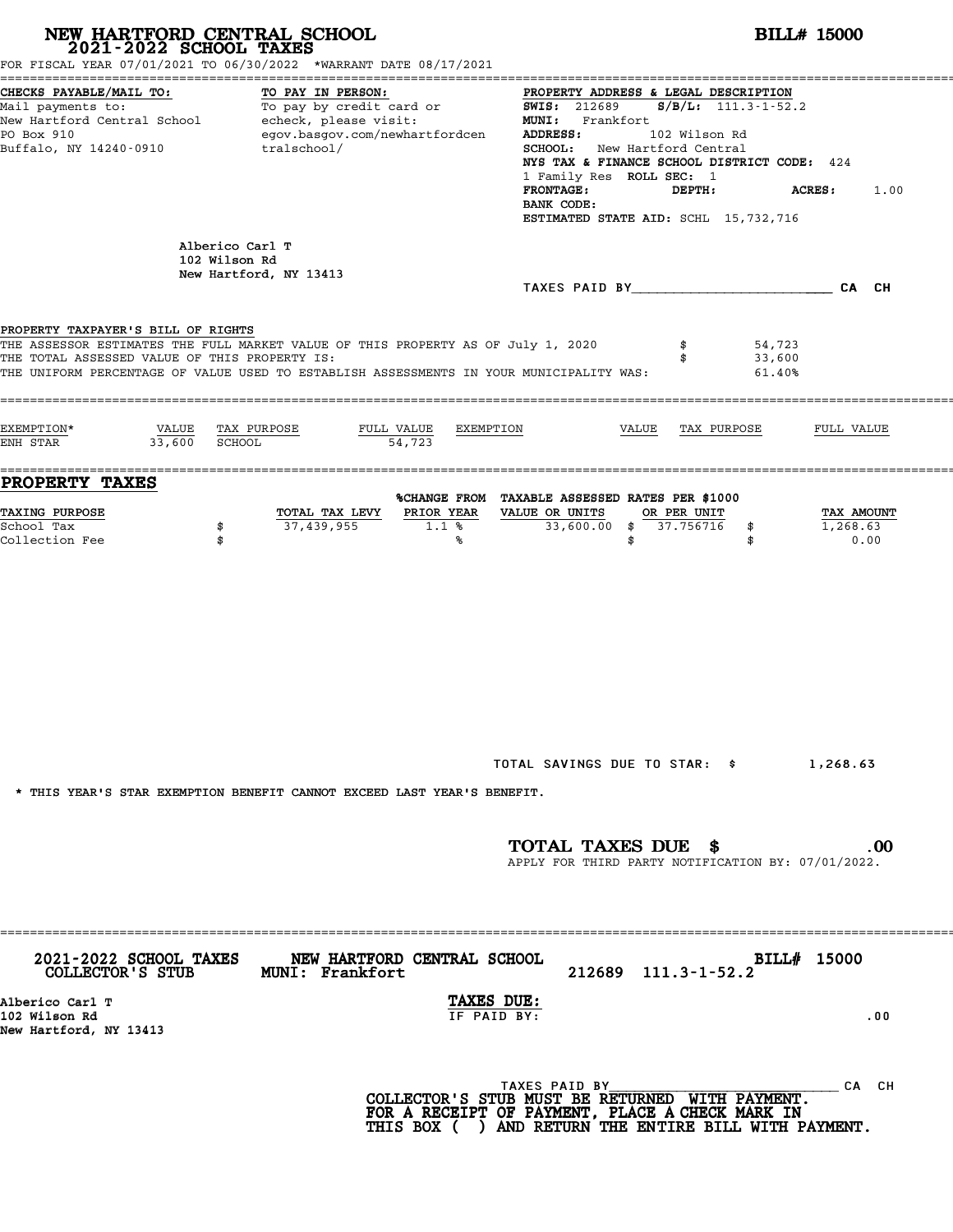|                                                                                     | NEW HARTFORD CENTRAL SCHOOL 2021-2022 SCHOOL TAXES<br>FOR FISCAL YEAR 07/01/2021 TO 06/30/2022 *WARRANT DATE 08/17/2021                                                     |                                                                                                                                                                                                                                                                                                                                                                                                                                                                                                                                           |
|-------------------------------------------------------------------------------------|-----------------------------------------------------------------------------------------------------------------------------------------------------------------------------|-------------------------------------------------------------------------------------------------------------------------------------------------------------------------------------------------------------------------------------------------------------------------------------------------------------------------------------------------------------------------------------------------------------------------------------------------------------------------------------------------------------------------------------------|
| CHECKS PAYABLE/MAIL TO:<br>PO Box 910<br>Buffalo, NY 14240-0910                     | TO PAY IN PERSON:<br>egov.basgov.com/newhartfordcen<br>tralschool/                                                                                                          | PROPERTY ADDRESS & LEGAL DESCRIPTION<br>Mail payments to:<br>Mail payments to:<br>New Hartford Central School echeck, please visit:<br>New Hartford Central School echeck, please visit:<br>NEW MI: Frankfort<br>The Frankfort of the SMIS: 212689 S/B/L: 111.3-1-52.2<br><b>ADDRESS:</b><br>102 Wilson Rd<br><b>SCHOOL:</b> New Hartford Central<br>NYS TAX & FINANCE SCHOOL DISTRICT CODE: 424<br>1 Family Res ROLL SEC: 1<br><b>FRONTAGE:</b><br>DEPTH:<br><b>ACRES:</b><br>1.00<br>BANK CODE:<br>ESTIMATED STATE AID: SCHL 15,732,716 |
| 102 Wilson Rd                                                                       | Alberico Carl T<br>New Hartford, NY 13413                                                                                                                                   |                                                                                                                                                                                                                                                                                                                                                                                                                                                                                                                                           |
|                                                                                     |                                                                                                                                                                             | TAXES PAID BY CA CH                                                                                                                                                                                                                                                                                                                                                                                                                                                                                                                       |
| PROPERTY TAXPAYER'S BILL OF RIGHTS<br>THE TOTAL ASSESSED VALUE OF THIS PROPERTY IS: | THE ASSESSOR ESTIMATES THE FULL MARKET VALUE OF THIS PROPERTY AS OF July 1, 2020<br>THE UNIFORM PERCENTAGE OF VALUE USED TO ESTABLISH ASSESSMENTS IN YOUR MUNICIPALITY WAS: | \$<br>54,723<br>33,600<br>\$<br>61.40%                                                                                                                                                                                                                                                                                                                                                                                                                                                                                                    |
| EXEMPTION*<br>VALUE TAX PURPOSE<br>33,600 SCHOOL<br>ENH STAR                        | FULL VALUE<br>EXEMPTION<br>54,723                                                                                                                                           | VALUE TAX PURPOSE<br>FULL VALUE                                                                                                                                                                                                                                                                                                                                                                                                                                                                                                           |
| PROPERTY TAXES                                                                      |                                                                                                                                                                             | %CHANGE FROM TAXABLE ASSESSED RATES PER \$1000                                                                                                                                                                                                                                                                                                                                                                                                                                                                                            |
| <b>TAXING PURPOSE</b><br>School Tax<br>\$<br>Collection Fee<br>\$                   | TOTAL TAX LEVY<br>PRIOR YEAR<br>37,439,955<br>1.1%<br>℁                                                                                                                     | VALUE OR UNITS<br>OR PER UNIT<br>TAX AMOUNT<br>33,600.00 \$ 37.756716<br>1,268.63<br>\$<br>\$<br>0.00<br>\$                                                                                                                                                                                                                                                                                                                                                                                                                               |
|                                                                                     | * THIS YEAR'S STAR EXEMPTION BENEFIT CANNOT EXCEED LAST YEAR'S BENEFIT.                                                                                                     | TOTAL SAVINGS DUE TO STAR: \$ 1,268.63<br>TOTAL TAXES DUE \$<br>$.00 \,$<br>APPLY FOR THIRD PARTY NOTIFICATION BY: 07/01/2022.                                                                                                                                                                                                                                                                                                                                                                                                            |
| COLLECTOR'S STUB MUNI: Frankfort                                                    | 2021-2022 SCHOOL TAXES NEW HARTFORD CENTRAL SCHOOL                                                                                                                          | BILL# 15000<br>212689 111.3-1-52.2                                                                                                                                                                                                                                                                                                                                                                                                                                                                                                        |
| Alberico Carl T<br>102 Wilson Rd<br>New Hartford, NY 13413                          | TAXES DUE:<br>IF PAID BY:                                                                                                                                                   | .00                                                                                                                                                                                                                                                                                                                                                                                                                                                                                                                                       |
|                                                                                     |                                                                                                                                                                             |                                                                                                                                                                                                                                                                                                                                                                                                                                                                                                                                           |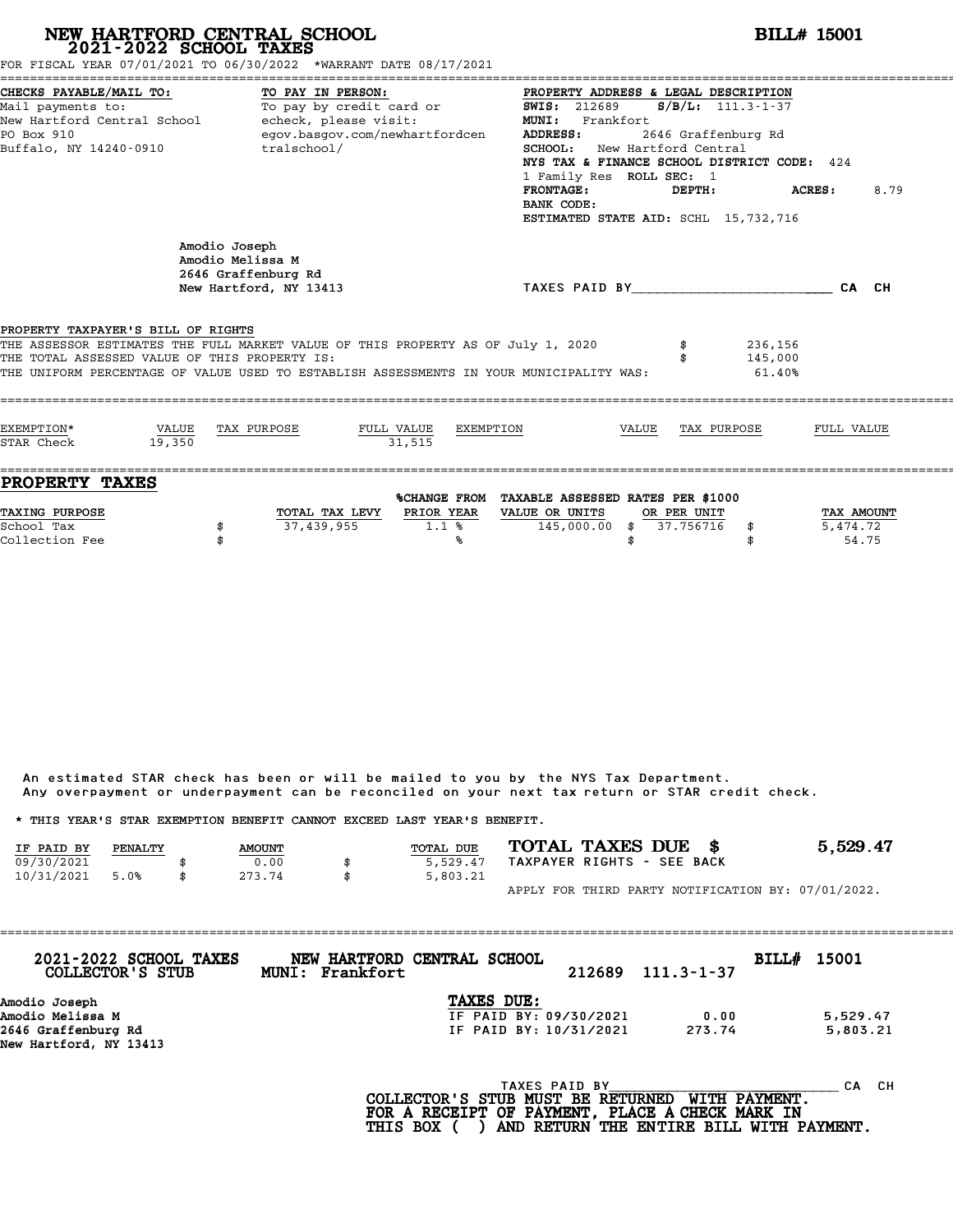| NEW HARTFORD CENTRAL SCHOOL<br>2021-2022 SCHOOL TAXES<br>FOR FISCAL YEAR 07/01/2021 TO 06/30/2022 *WARRANT DATE 08/17/2021                                                                                                                                         |                                                          |                                                                    |                      |           |                                                                                                                                                                                                                                                                                        |       |             |                                             | <b>BILL# 15001</b>     |      |
|--------------------------------------------------------------------------------------------------------------------------------------------------------------------------------------------------------------------------------------------------------------------|----------------------------------------------------------|--------------------------------------------------------------------|----------------------|-----------|----------------------------------------------------------------------------------------------------------------------------------------------------------------------------------------------------------------------------------------------------------------------------------------|-------|-------------|---------------------------------------------|------------------------|------|
| CHECKS PAYABLE/MAIL TO:<br>Mail payments to: To pay by credit card or<br>New Hartford Central School - echeck, please visit:<br>PO Box 910<br>Buffalo, NY 14240-0910                                                                                               |                                                          | TO PAY IN PERSON:<br>egov.basgov.com/newhartfordcen<br>tralschool/ |                      |           | PROPERTY ADDRESS & LEGAL DESCRIPTION<br><b>SWIS: 212689</b><br>MUNI: Frankfort<br>ADDRESS:<br><b>SCHOOL:</b> New Hartford Central<br>NYS TAX & FINANCE SCHOOL DISTRICT CODE: 424<br>1 Family Res ROLL SEC: 1<br><b>FRONTAGE:</b><br>BANK CODE:<br>ESTIMATED STATE AID: SCHL 15,732,716 |       | DEPTH:      | $S/B/L$ : 111.3-1-37<br>2646 Graffenburg Rd | ACRES:                 | 8.79 |
|                                                                                                                                                                                                                                                                    | Amodio Joseph<br>Amodio Melissa M<br>2646 Graffenburg Rd | New Hartford, NY 13413                                             |                      |           | TAXES PAID BY CA CH                                                                                                                                                                                                                                                                    |       |             |                                             |                        |      |
| PROPERTY TAXPAYER'S BILL OF RIGHTS<br>THE ASSESSOR ESTIMATES THE FULL MARKET VALUE OF THIS PROPERTY AS OF July 1, 2020<br>THE TOTAL ASSESSED VALUE OF THIS PROPERTY IS:<br>THE UNIFORM PERCENTAGE OF VALUE USED TO ESTABLISH ASSESSMENTS IN YOUR MUNICIPALITY WAS: |                                                          |                                                                    |                      |           |                                                                                                                                                                                                                                                                                        |       |             | 236,156<br>145,000<br>61.40%                |                        |      |
| EXEMPTION*<br>VALUE<br>STAR Check                                                                                                                                                                                                                                  | 19,350                                                   | TAX PURPOSE                                                        | FULL VALUE<br>31.515 | EXEMPTION |                                                                                                                                                                                                                                                                                        | VALUE | TAX PURPOSE |                                             | FULL VALUE             |      |
| <b>PROPERTY TAXES</b><br><b>TAXING PURPOSE</b><br>School Tax                                                                                                                                                                                                       | \$                                                       | TOTAL TAX LEVY PRIOR YEAR<br>37,439,955                            | 1.1%                 |           | %CHANGE FROM TAXABLE ASSESSED RATES PER \$1000<br>VALUE OR UNITS<br>145,000.00 \$ 37.756716                                                                                                                                                                                            |       | OR PER UNIT | \$                                          | TAX AMOUNT<br>5,474.72 |      |

|                                                                         |         |               | Any overpayment or underpayment can be reconciled on your next tax return or STAR credit check. |                  |  |                            |                                                    |
|-------------------------------------------------------------------------|---------|---------------|-------------------------------------------------------------------------------------------------|------------------|--|----------------------------|----------------------------------------------------|
| * THIS YEAR'S STAR EXEMPTION BENEFIT CANNOT EXCEED LAST YEAR'S BENEFIT. |         |               |                                                                                                 |                  |  |                            |                                                    |
| IF PAID BY                                                              | PENALTY | <b>AMOUNT</b> |                                                                                                 | <b>TOTAL DUE</b> |  | TOTAL TAXES DUE \$         | 5,529.47                                           |
| 09/30/2021                                                              |         | 0.00          | \$                                                                                              | 5,529.47         |  | TAXPAYER RIGHTS - SEE BACK |                                                    |
| 10/31/2021                                                              | 5.0%    | 273.74        | \$                                                                                              | 5,803.21         |  |                            |                                                    |
|                                                                         |         |               |                                                                                                 |                  |  |                            | APPLY FOR THIRD PARTY NOTIFICATION BY: 07/01/2022. |

| 2021-2022 SCHOOL TAXES<br>COLLECTOR'S STUB    | NEW HARTFORD CENTRAL SCHOOL<br>MUNI: Frankfort |                                       | 212689        | $111.3 - 1 - 37$    | BILL# 15001 |           |
|-----------------------------------------------|------------------------------------------------|---------------------------------------|---------------|---------------------|-------------|-----------|
| Amodio Joseph                                 |                                                | TAXES DUE:                            |               |                     |             |           |
| Amodio Melissa M                              |                                                | IF PAID BY: 09/30/2021                |               | 0.00                |             | 5,529.47  |
| 2646 Graffenburg Rd<br>New Hartford, NY 13413 |                                                | IF PAID BY: 10/31/2021                |               | 273.74              |             | 5,803.21  |
|                                               |                                                |                                       |               |                     |             |           |
|                                               |                                                | $COT$ הקווסזוייקס קס ישטווא מזויים וכ | TAXES PAID BY | <b>MTTU DAVMPNT</b> |             | CH.<br>CА |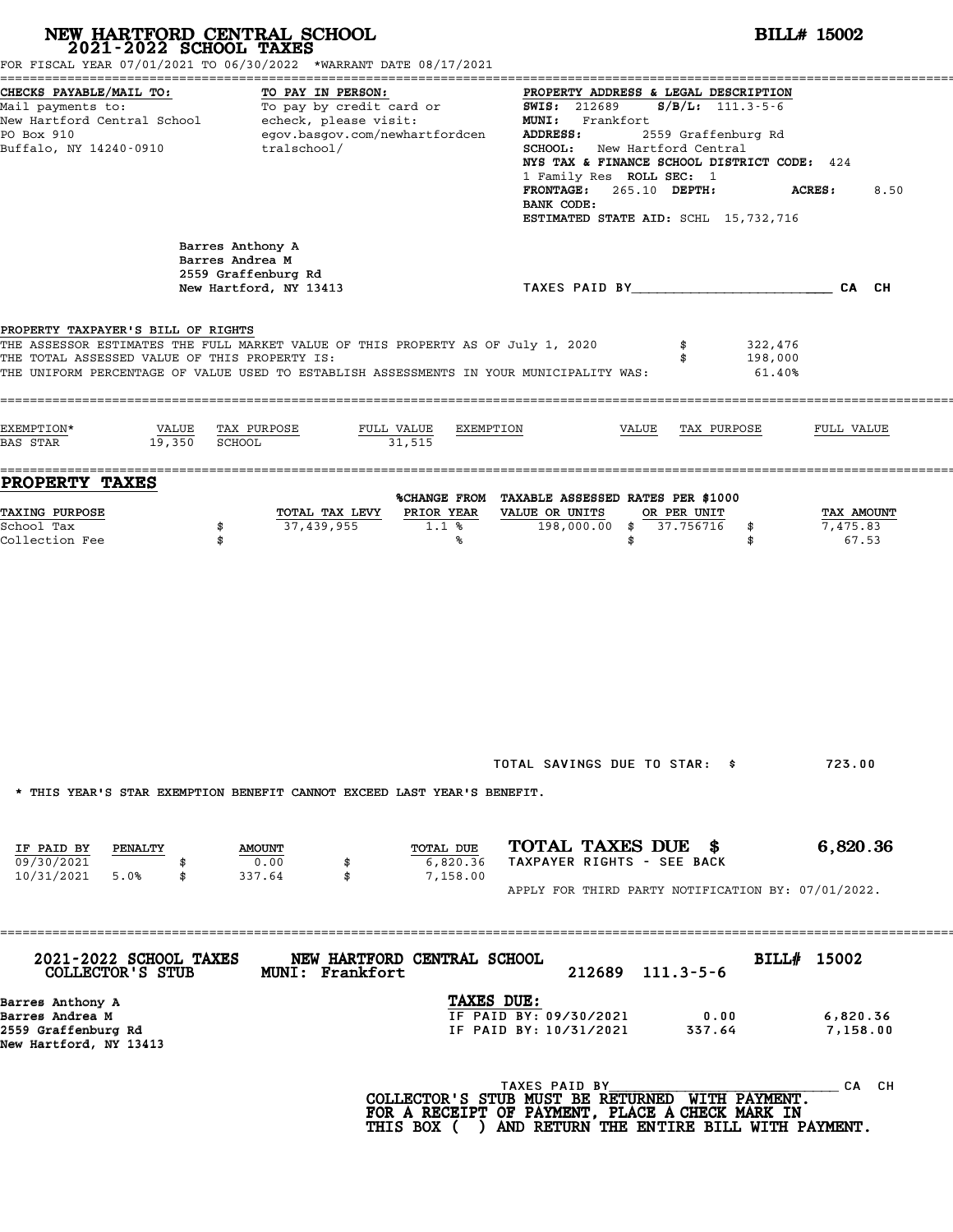|                                                                                                            | NEW HARTFORD CENTRAL SCHOOL<br>2021-2022 SCHOOL TAXES<br>FOR FISCAL YEAR 07/01/2021 TO 06/30/2022 *WARRANT DATE 08/17/2021                                                                               |                                                                                                                                                                                                                                                                                                                                     | <b>BILL# 15002</b>              |  |  |  |  |  |
|------------------------------------------------------------------------------------------------------------|----------------------------------------------------------------------------------------------------------------------------------------------------------------------------------------------------------|-------------------------------------------------------------------------------------------------------------------------------------------------------------------------------------------------------------------------------------------------------------------------------------------------------------------------------------|---------------------------------|--|--|--|--|--|
| CHECKS PAYABLE/MAIL TO:<br>PO Box 910<br>Buffalo, NY 14240-0910                                            | TO PAY IN PERSON:<br>Mail payments to:<br>Mail payments to:<br>New Hartford Central School echeck, please visit:<br>egov.basgov.com/newhartfordcen<br>tralschool/                                        | PROPERTY ADDRESS & LEGAL DESCRIPTION<br><b>SWIS: 212689</b><br>$S/B/L: 111.3-5-6$<br>MUNI: Frankfort<br>2559 Graffenburg Rd<br>ADDRESS:<br>SCHOOL: New Hartford Central<br>NYS TAX & FINANCE SCHOOL DISTRICT CODE: 424<br>1 Family Res ROLL SEC: 1<br>FRONTAGE: 265.10 DEPTH:<br>BANK CODE:<br>ESTIMATED STATE AID: SCHL 15,732,716 | 8.50<br><b>ACRES :</b>          |  |  |  |  |  |
|                                                                                                            | Barres Anthony A<br>Barres Andrea M<br>2559 Graffenburg Rd<br>New Hartford, NY 13413                                                                                                                     | TAXES PAID BY CAN CHE CAN CH                                                                                                                                                                                                                                                                                                        |                                 |  |  |  |  |  |
| PROPERTY TAXPAYER'S BILL OF RIGHTS<br>THE TOTAL ASSESSED VALUE OF THIS PROPERTY IS:<br>EXEMPTION*<br>VALUE | THE ASSESSOR ESTIMATES THE FULL MARKET VALUE OF THIS PROPERTY AS OF July 1, 2020<br>THE UNIFORM PERCENTAGE OF VALUE USED TO ESTABLISH ASSESSMENTS IN YOUR MUNICIPALITY WAS:<br>TAX PURPOSE<br>FULL VALUE | 322,476<br>198,000<br>61.40%<br>EXEMPTION<br>VALUE<br>TAX PURPOSE                                                                                                                                                                                                                                                                   | FULL VALUE                      |  |  |  |  |  |
| 19,350<br><b>BAS STAR</b><br>PROPERTY TAXES                                                                | SCHOOL<br>31,515                                                                                                                                                                                         |                                                                                                                                                                                                                                                                                                                                     |                                 |  |  |  |  |  |
| TAXING PURPOSE<br>School Tax<br>Collection Fee                                                             | PRIOR YEAR<br>TOTAL TAX LEVY<br>37,439,955<br>\$<br>$1.1*$<br>\$<br>℁                                                                                                                                    | %CHANGE FROM TAXABLE ASSESSED RATES PER \$1000<br>VALUE OR UNITS<br>OR PER UNIT<br>$198,000.00$ \$ 37.756716<br>\$<br>\$<br>\$                                                                                                                                                                                                      | TAX AMOUNT<br>7,475.83<br>67.53 |  |  |  |  |  |
|                                                                                                            | * THIS YEAR'S STAR EXEMPTION BENEFIT CANNOT EXCEED LAST YEAR'S BENEFIT.                                                                                                                                  | TOTAL SAVINGS DUE TO STAR: \$                                                                                                                                                                                                                                                                                                       | 723.00                          |  |  |  |  |  |
| IF PAID BY<br>PENALTY<br>09/30/2021<br>$10/31/2021$ 5.0%<br>\$                                             | TOTAL DUE<br><b>AMOUNT</b><br>0.00<br>6,820.36<br>\$<br>\$<br>7,158.00<br>337.64                                                                                                                         | TOTAL TAXES DUE \$<br>TAXPAYER RIGHTS - SEE BACK<br>APPLY FOR THIRD PARTY NOTIFICATION BY: 07/01/2022.                                                                                                                                                                                                                              | 6,820.36                        |  |  |  |  |  |
| 2021-2022 SCHOOL TAXES<br>COLLECTOR'S STUB                                                                 | NEW HARTFORD CENTRAL SCHOOL<br>MUNI: Frankfort                                                                                                                                                           | $212689$ $111.3-5-6$                                                                                                                                                                                                                                                                                                                | BILL# 15002                     |  |  |  |  |  |
| Barres Anthony A<br>Barres Andrea M<br>2559 Graffenburg Rd<br>New Hartford, NY 13413                       |                                                                                                                                                                                                          | TAXES DUE:<br>IF PAID BY: 09/30/2021<br>0.00<br>IF PAID BY: 10/31/2021<br>337.64                                                                                                                                                                                                                                                    | 6,820.36<br>7,158.00            |  |  |  |  |  |
|                                                                                                            |                                                                                                                                                                                                          | TAXES PAID BY<br>COLLECTOR'S STUB MUST BE RETURNED WITH PAYMENT.<br>FOR A RECEIPT OF PAYMENT, PLACE A CHECK MARK IN<br>THIS BOX ( ) AND RETURN THE ENTIRE BILL WITH PAYMENT.                                                                                                                                                        | CA CH                           |  |  |  |  |  |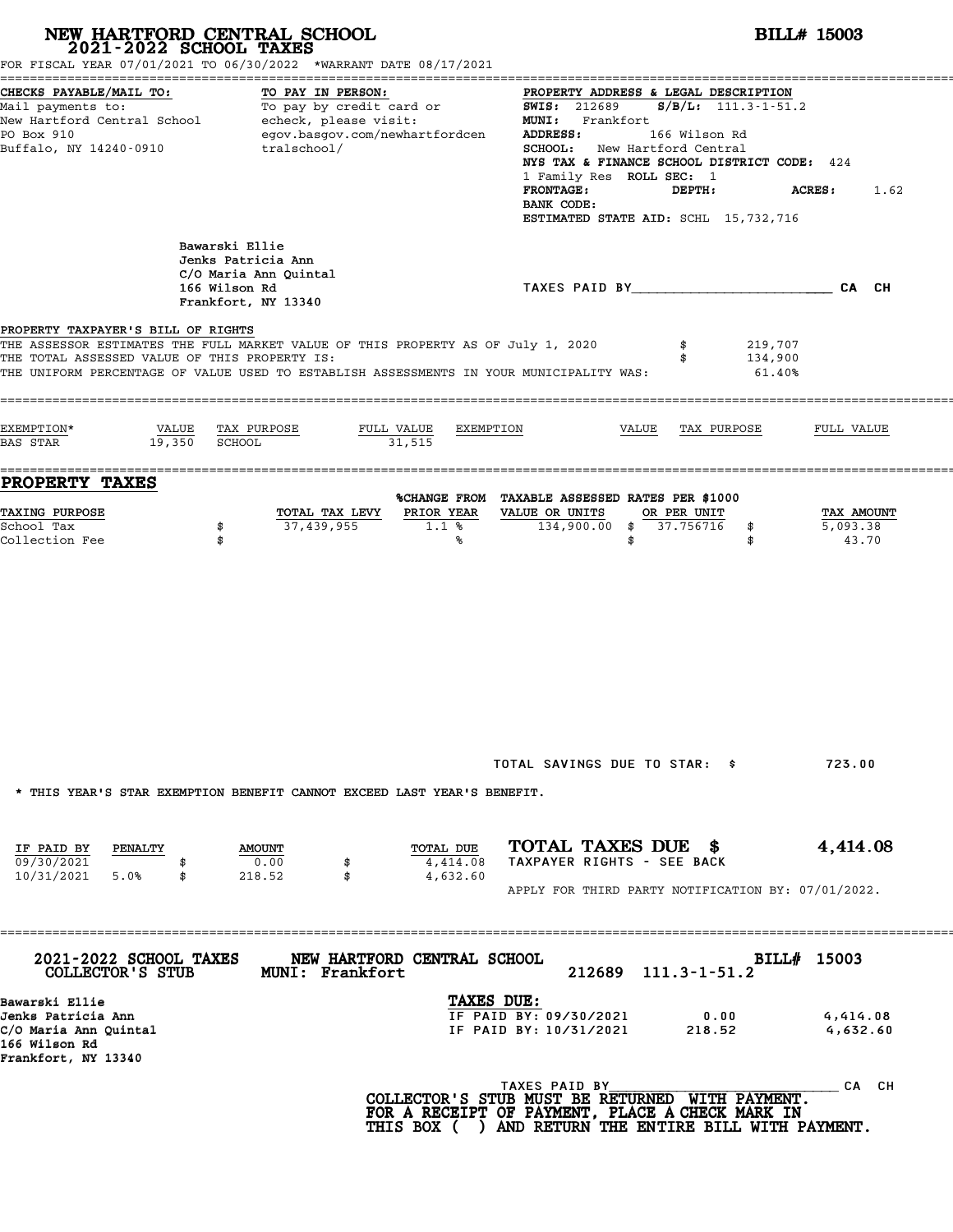|                                                                                                       | NEW HARTFORD CENTRAL SCHOOL 2021-2022 SCHOOL TAXES<br>FOR FISCAL YEAR 07/01/2021 TO 06/30/2022 *WARRANT DATE 08/17/2021                                                     | <b>BILL# 15003</b>                                                                                                                                                                                                                                                                                                                                             |                      |  |  |  |  |  |
|-------------------------------------------------------------------------------------------------------|-----------------------------------------------------------------------------------------------------------------------------------------------------------------------------|----------------------------------------------------------------------------------------------------------------------------------------------------------------------------------------------------------------------------------------------------------------------------------------------------------------------------------------------------------------|----------------------|--|--|--|--|--|
| CHECKS PAYABLE/MAIL TO:<br>PO Box 910<br>Buffalo, NY 14240-0910                                       | TO PAY IN PERSON:<br>Mail payments to:<br>Mail payments to:<br>New Hartford Central School echeck, please visit:<br>egov.basgov.com/newhartfordcen<br>tralschool/           | PROPERTY ADDRESS & LEGAL DESCRIPTION<br><b>SWIS: 212689</b><br>$S/B/L$ : 111.3-1-51.2<br>MUNI: Frankfort<br>166 Wilson Rd<br>ADDRESS:<br>SCHOOL: New Hartford Central<br>NYS TAX & FINANCE SCHOOL DISTRICT CODE: 424<br>1 Family Res ROLL SEC: 1<br><b>FRONTAGE:</b><br>DEPTH:<br><b>ACRES :</b><br>1.62<br>BANK CODE:<br>ESTIMATED STATE AID: SCHL 15,732,716 |                      |  |  |  |  |  |
|                                                                                                       | Bawarski Ellie<br>Jenks Patricia Ann<br>C/O Maria Ann Quintal<br>166 Wilson Rd<br>Frankfort, NY 13340                                                                       | TAXES PAID BY___________________________CA CH                                                                                                                                                                                                                                                                                                                  |                      |  |  |  |  |  |
| PROPERTY TAXPAYER'S BILL OF RIGHTS<br>THE TOTAL ASSESSED VALUE OF THIS PROPERTY IS:                   | THE ASSESSOR ESTIMATES THE FULL MARKET VALUE OF THIS PROPERTY AS OF July 1, 2020<br>THE UNIFORM PERCENTAGE OF VALUE USED TO ESTABLISH ASSESSMENTS IN YOUR MUNICIPALITY WAS: | 219,707<br>134,900<br>$61.40\%$                                                                                                                                                                                                                                                                                                                                |                      |  |  |  |  |  |
| EXEMPTION*<br>VALUE<br>19,350<br><b>BAS STAR</b>                                                      | TAX PURPOSE<br>FULL VALUE<br>SCHOOL<br>31,515                                                                                                                               | EXEMPTION<br>VALUE<br>TAX PURPOSE<br>FULL VALUE                                                                                                                                                                                                                                                                                                                |                      |  |  |  |  |  |
| PROPERTY TAXES<br>TAXING PURPOSE<br>School Tax<br>Collection Fee                                      | PRIOR YEAR<br>TOTAL TAX LEVY<br>37,439,955<br>\$<br>1.1%<br>\$<br>℁                                                                                                         | %CHANGE FROM TAXABLE ASSESSED RATES PER \$1000<br>VALUE OR UNITS<br>OR PER UNIT<br>134,900.00 \$ 37.756716<br>5,093.38<br>\$<br>\$<br>\$                                                                                                                                                                                                                       | TAX AMOUNT<br>43.70  |  |  |  |  |  |
|                                                                                                       | * THIS YEAR'S STAR EXEMPTION BENEFIT CANNOT EXCEED LAST YEAR'S BENEFIT.                                                                                                     | TOTAL SAVINGS DUE TO STAR: \$<br>723.00                                                                                                                                                                                                                                                                                                                        |                      |  |  |  |  |  |
|                                                                                                       | TOTAL DUE<br><b>AMOUNT</b><br>0.00<br>4,414.08<br>\$                                                                                                                        | TOTAL TAXES DUE \$<br>4,414.08<br>TAXPAYER RIGHTS - SEE BACK                                                                                                                                                                                                                                                                                                   |                      |  |  |  |  |  |
| IF PAID BY<br>PENALTY<br>09/30/2021<br>10/31/2021 5.0%<br>\$                                          | \$<br>4,632.60<br>218.52                                                                                                                                                    | APPLY FOR THIRD PARTY NOTIFICATION BY: 07/01/2022.                                                                                                                                                                                                                                                                                                             |                      |  |  |  |  |  |
| 2021-2022 SCHOOL TAXES<br>COLLECTOR'S STUB                                                            | NEW HARTFORD CENTRAL SCHOOL<br><b>MUNI: Frankfort</b>                                                                                                                       | BILL# 15003<br>212689<br>$111.3 - 1 - 51.2$                                                                                                                                                                                                                                                                                                                    |                      |  |  |  |  |  |
| Bawarski Ellie<br>Jenks Patricia Ann<br>C/O Maria Ann Quintal<br>166 Wilson Rd<br>Frankfort, NY 13340 |                                                                                                                                                                             | TAXES DUE:<br>IF PAID BY: 09/30/2021<br>0.00<br>IF PAID BY: 10/31/2021<br>218.52                                                                                                                                                                                                                                                                               | 4,414.08<br>4,632.60 |  |  |  |  |  |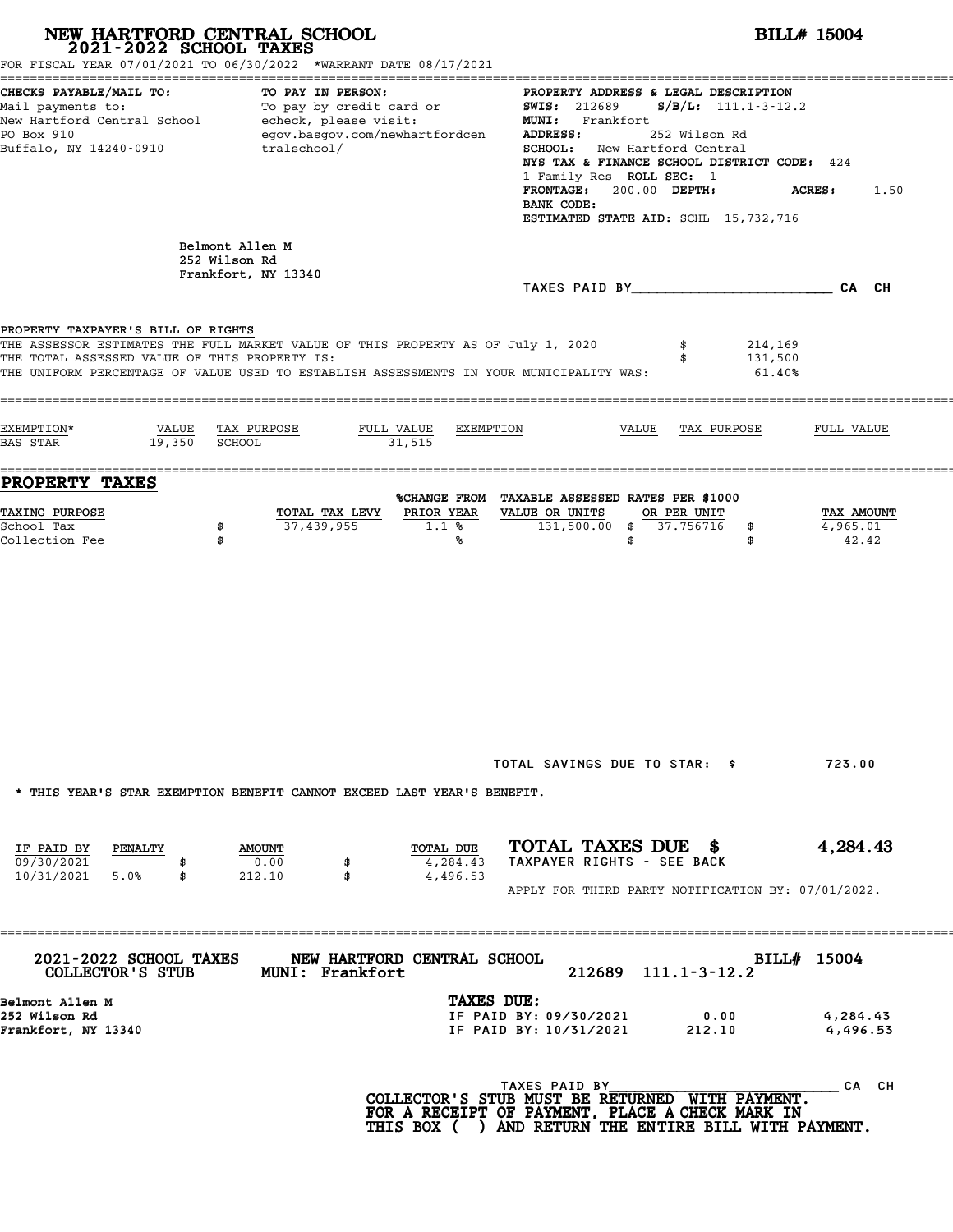| NEW HARTFORD CENTRAL SCHOOL<br>2021-2022 SCHOOL TAXES                                      | FOR FISCAL YEAR 07/01/2021 TO 06/30/2022 *WARRANT DATE 08/17/2021                                                                                                           | <b>BILL# 15004</b>                                                                                                                                                                                                                                                                                                                                                                                                                                                                                                      |                                 |  |  |  |  |
|--------------------------------------------------------------------------------------------|-----------------------------------------------------------------------------------------------------------------------------------------------------------------------------|-------------------------------------------------------------------------------------------------------------------------------------------------------------------------------------------------------------------------------------------------------------------------------------------------------------------------------------------------------------------------------------------------------------------------------------------------------------------------------------------------------------------------|---------------------------------|--|--|--|--|
| CHECKS PAYABLE/MAIL TO:<br>PO Box 910<br>Buffalo, NY 14240-0910                            | TO PAY IN PERSON:<br>egov.basgov.com/newhartfordcen<br>tralschool/                                                                                                          | PROPERTY ADDRESS & LEGAL DESCRIPTION<br>Mail payments to:<br>Mail payments to: To pay by credit card or $\frac{1.000 \text{ m/s}}{1.000 \text{ m/s}} = 212689$ S/B/L: 111.1-3-12.2<br>New Hartford Central School echeck, please visit: MUNI: Frankfort<br><b>ADDRESS:</b><br>252 Wilson Rd<br><b>SCHOOL:</b> New Hartford Central<br>NYS TAX & FINANCE SCHOOL DISTRICT CODE: 424<br>1 Family Res ROLL SEC: 1<br>FRONTAGE: 200.00 DEPTH:<br><b>ACRES:</b><br>1.50<br>BANK CODE:<br>ESTIMATED STATE AID: SCHL 15,732,716 |                                 |  |  |  |  |
|                                                                                            | Belmont Allen M<br>252 Wilson Rd<br>Frankfort, NY 13340                                                                                                                     |                                                                                                                                                                                                                                                                                                                                                                                                                                                                                                                         |                                 |  |  |  |  |
| PROPERTY TAXPAYER'S BILL OF RIGHTS<br>THE TOTAL ASSESSED VALUE OF THIS PROPERTY IS:        | THE ASSESSOR ESTIMATES THE FULL MARKET VALUE OF THIS PROPERTY AS OF July 1, 2020<br>THE UNIFORM PERCENTAGE OF VALUE USED TO ESTABLISH ASSESSMENTS IN YOUR MUNICIPALITY WAS: | 214,169<br>131,500<br>$61.40\%$                                                                                                                                                                                                                                                                                                                                                                                                                                                                                         |                                 |  |  |  |  |
| EXEMPTION*<br>$19,350$ SCHOOL<br><b>BAS STAR</b>                                           | VALUE TAX PURPOSE<br>FULL VALUE<br>EXEMPTION<br>31,515                                                                                                                      | VALUE TAX PURPOSE                                                                                                                                                                                                                                                                                                                                                                                                                                                                                                       | FULL VALUE                      |  |  |  |  |
| <b>PROPERTY TAXES</b><br><b>TAXING PURPOSE</b><br>School Tax<br>\$<br>Collection Fee<br>\$ | TOTAL TAX LEVY<br>PRIOR YEAR<br>37,439,955<br>1.1%<br>℁                                                                                                                     | %CHANGE FROM TAXABLE ASSESSED RATES PER \$1000<br>VALUE OR UNITS<br>OR PER UNIT<br>131,500.00 \$ 37.756716<br>\$<br>\$<br>\$                                                                                                                                                                                                                                                                                                                                                                                            | TAX AMOUNT<br>4,965.01<br>42.42 |  |  |  |  |
|                                                                                            | * THIS YEAR'S STAR EXEMPTION BENEFIT CANNOT EXCEED LAST YEAR'S BENEFIT.                                                                                                     | TOTAL SAVINGS DUE TO STAR: \$                                                                                                                                                                                                                                                                                                                                                                                                                                                                                           | 723.00                          |  |  |  |  |
| IF PAID BY PENALTY<br>09/30/2021<br>10/31/2021 5.0%<br>\$                                  | TOTAL DUE<br><b>AMOUNT</b><br>0.00<br>4,284.43<br>\$<br>212.10<br>\$<br>4,496.53                                                                                            | TOTAL TAXES DUE \$<br>TAXPAYER RIGHTS - SEE BACK<br>APPLY FOR THIRD PARTY NOTIFICATION BY: 07/01/2022.                                                                                                                                                                                                                                                                                                                                                                                                                  | 4,284.43                        |  |  |  |  |
| <b>2021-2022 SCHOOL TAXES</b><br>COLLECTOR'S STUB                                          | NEW HARTFORD CENTRAL SCHOOL<br><b>MUNI: Frankfort</b>                                                                                                                       | BILL# 15004<br>212689 111.1-3-12.2                                                                                                                                                                                                                                                                                                                                                                                                                                                                                      |                                 |  |  |  |  |
| Belmont Allen M<br>252 Wilson Rd<br>Frankfort, NY 13340                                    | TAXES DUE:                                                                                                                                                                  | IF PAID BY: 09/30/2021<br>0.00<br>IF PAID BY: 10/31/2021<br>212.10                                                                                                                                                                                                                                                                                                                                                                                                                                                      | 4,284.43<br>4,496.53            |  |  |  |  |
|                                                                                            |                                                                                                                                                                             | TAXES PAID BY<br>COLLECTOR'S STUB MUST BE RETURNED WITH PAYMENT.<br>FOR A RECEIPT OF PAYMENT, PLACE A CHECK MARK IN<br>THIS BOX ( ) AND RETURN THE ENTIRE BILL WITH PAYMENT.                                                                                                                                                                                                                                                                                                                                            | CA CH                           |  |  |  |  |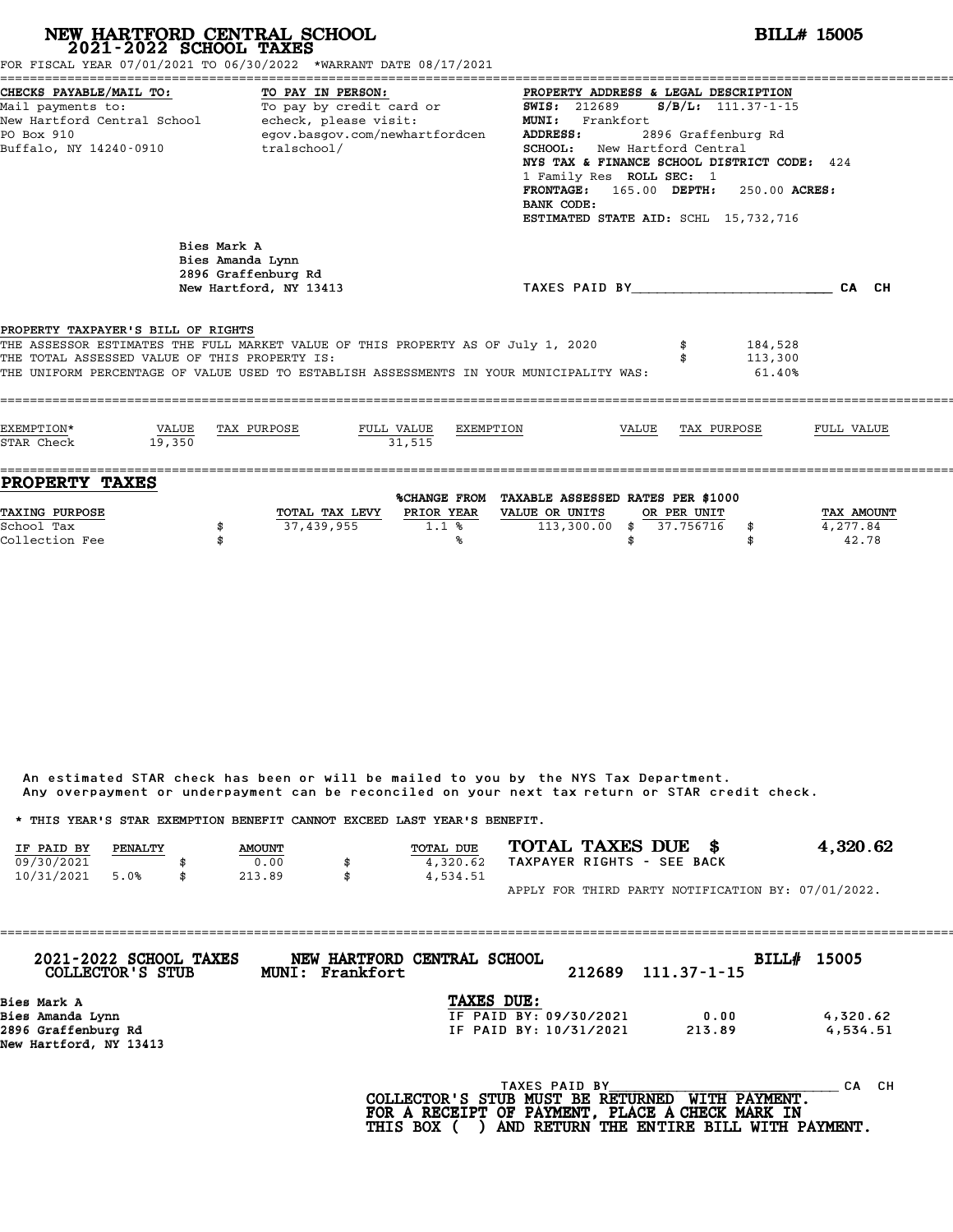| FOR FISCAL YEAR 07/01/2021 TO 06/30/2022 *WARRANT DATE 08/17/2021                                                                                                                                                                                                  |                 | NEW HARTFORD CENTRAL SCHOOL 2021-2022 SCHOOL TAXES                               |                                                            |           |                                                                                                                                                                                    |       |                          |                                                                                                                                                                                 | <b>BILL# 15005</b>              |
|--------------------------------------------------------------------------------------------------------------------------------------------------------------------------------------------------------------------------------------------------------------------|-----------------|----------------------------------------------------------------------------------|------------------------------------------------------------|-----------|------------------------------------------------------------------------------------------------------------------------------------------------------------------------------------|-------|--------------------------|---------------------------------------------------------------------------------------------------------------------------------------------------------------------------------|---------------------------------|
| CHECKS PAYABLE/MAIL TO:<br>Mail payments to:<br>New Hartford Central School - echeck, please visit:<br>PO Box 910<br>Buffalo, NY 14240-0910                                                                                                                        |                 | TO PAY IN PERSON:<br>tralschool/                                                 | To pay by credit card or<br>egov.basgov.com/newhartfordcen |           | PROPERTY ADDRESS & LEGAL DESCRIPTION<br><b>SWIS: 212689</b><br>MUNI: Frankfort<br><b>ADDRESS:</b><br><b>SCHOOL:</b> New Hartford Central<br>1 Family Res ROLL SEC: 1<br>BANK CODE: |       |                          | $S/B/L: 111.37 - 1 - 15$<br>2896 Graffenburg Rd<br>NYS TAX & FINANCE SCHOOL DISTRICT CODE: 424<br>FRONTAGE: 165.00 DEPTH: 250.00 ACRES:<br>ESTIMATED STATE AID: SCHL 15,732,716 |                                 |
|                                                                                                                                                                                                                                                                    |                 | Bies Mark A<br>Bies Amanda Lynn<br>2896 Graffenburg Rd<br>New Hartford, NY 13413 |                                                            |           |                                                                                                                                                                                    |       |                          | TAXES PAID BY CALCH                                                                                                                                                             |                                 |
| PROPERTY TAXPAYER'S BILL OF RIGHTS<br>THE ASSESSOR ESTIMATES THE FULL MARKET VALUE OF THIS PROPERTY AS OF July 1, 2020<br>THE TOTAL ASSESSED VALUE OF THIS PROPERTY IS:<br>THE UNIFORM PERCENTAGE OF VALUE USED TO ESTABLISH ASSESSMENTS IN YOUR MUNICIPALITY WAS: |                 |                                                                                  |                                                            |           |                                                                                                                                                                                    |       |                          | 184,528<br>113,300<br>61.40%                                                                                                                                                    |                                 |
| EXEMPTION*<br>STAR Check                                                                                                                                                                                                                                           | VALUE<br>19,350 | TAX PURPOSE                                                                      | FULL VALUE<br>31.515                                       | EXEMPTION |                                                                                                                                                                                    | VALUE |                          | TAX PURPOSE                                                                                                                                                                     | FULL VALUE                      |
| <b>PROPERTY TAXES</b><br>TAXING PURPOSE<br>School Tax<br>Collection Fee                                                                                                                                                                                            |                 | 37,439,955<br>\$<br>\$                                                           | TOTAL TAX LEVY PRIOR YEAR                                  | 1.1%<br>℁ | %CHANGE FROM TAXABLE ASSESSED RATES PER \$1000<br>VALUE OR UNITS<br>$113,300.00$ \$                                                                                                | \$    | OR PER UNIT<br>37.756716 | \$<br>\$                                                                                                                                                                        | TAX AMOUNT<br>4,277.84<br>42.78 |

|            |         |               | Any overpayment or underpayment can be reconciled on your next tax return or STAR credit check. |                            |                                                    |
|------------|---------|---------------|-------------------------------------------------------------------------------------------------|----------------------------|----------------------------------------------------|
|            |         |               | * THIS YEAR'S STAR EXEMPTION BENEFIT CANNOT EXCEED LAST YEAR'S BENEFIT.                         |                            |                                                    |
| IF PAID BY | PENALTY | <b>AMOUNT</b> | <b>TOTAL DUE</b>                                                                                | TOTAL TAXES DUE \$         | 4,320.62                                           |
| 09/30/2021 |         | 0.00          | 4,320.62                                                                                        | TAXPAYER RIGHTS - SEE BACK |                                                    |
| 10/31/2021 | 5.0%    | \$<br>213.89  | \$<br>4,534.51                                                                                  |                            |                                                    |
|            |         |               |                                                                                                 |                            | APPLY FOR THIRD PARTY NOTIFICATION BY: 07/01/2022. |

| 2021-2022 SCHOOL TAXES<br>COLLECTOR'S STUB | NEW HARTFORD CENTRAL SCHOOL<br>MUNI: Frankfort | 212689                                                 | $111.37 - 1 - 15$   | BILL# 15005 |
|--------------------------------------------|------------------------------------------------|--------------------------------------------------------|---------------------|-------------|
| Bies Mark A                                |                                                | TAXES DUE:                                             |                     |             |
| Bies Amanda Lynn                           |                                                | IF PAID BY: 09/30/2021                                 | 0.00                | 4,320.62    |
| 2896 Graffenburg Rd                        |                                                | IF PAID BY: 10/31/2021                                 | 213.89              | 4,534.51    |
| New Hartford, NY 13413                     |                                                |                                                        |                     |             |
|                                            |                                                |                                                        |                     |             |
|                                            |                                                | TAXES PAID BY<br>$COT$ הקווסזוייקס קס ישטווא מזויים וכ | <b>MTTU DAVMPNT</b> | CH.<br>CА   |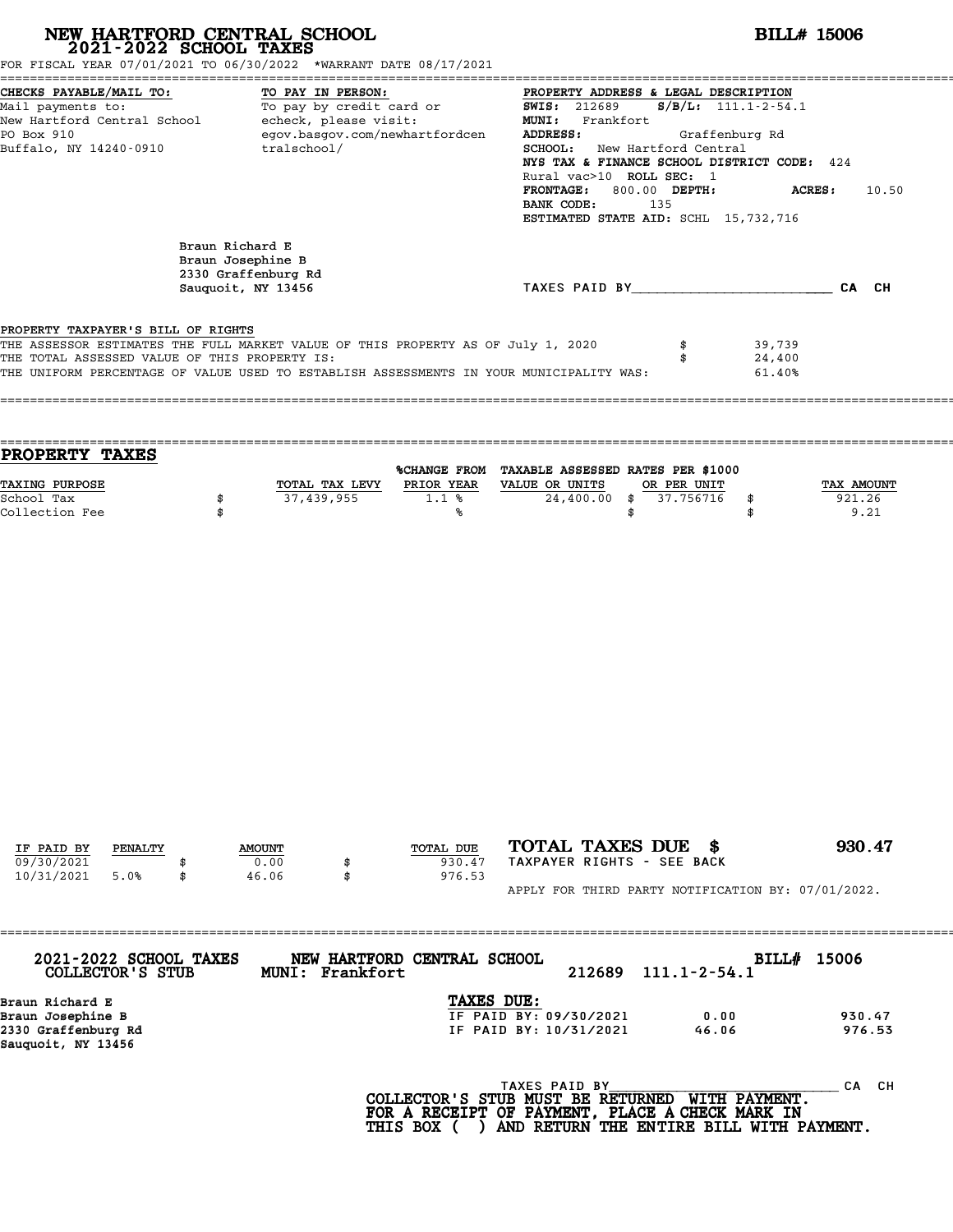| CHECKS PAYABLE/MAIL TO:<br>TO PAY IN PERSON:<br>PROPERTY ADDRESS & LEGAL DESCRIPTION<br>TO PAY IN PERSON:<br>To pay by credit card or<br><b>SWIS: 212689</b><br>$S/B/L: 111.1-2-54.1$<br>Mail payments to:<br>New Hartford Central School echeck, please visit:<br>MUNI: Frankfort<br>egov.basgov.com/newhartfordcen<br>ADDRESS:<br>PO Box 910<br>Graffenburg Rd<br>Buffalo, NY 14240-0910<br>tralschool/<br>SCHOOL: New Hartford Central<br>NYS TAX & FINANCE SCHOOL DISTRICT CODE: 424<br>Rural vac>10 ROLL SEC: 1<br>FRONTAGE: 800.00 DEPTH:<br><b>ACRES:</b><br>10.50<br>135<br>BANK CODE:<br>ESTIMATED STATE AID: SCHL 15,732,716<br>Braun Richard E<br>Braun Josephine B<br>2330 Graffenburg Rd<br>TAXES PAID BY CAN CH<br>Sauguoit, NY 13456<br>PROPERTY TAXPAYER'S BILL OF RIGHTS<br>THE ASSESSOR ESTIMATES THE FULL MARKET VALUE OF THIS PROPERTY AS OF July 1, 2020<br>\$<br>39,739<br>THE TOTAL ASSESSED VALUE OF THIS PROPERTY IS:<br>24,400<br>\$<br>THE UNIFORM PERCENTAGE OF VALUE USED TO ESTABLISH ASSESSMENTS IN YOUR MUNICIPALITY WAS:<br>61.40%<br>PROPERTY TAXES<br>%CHANGE FROM TAXABLE ASSESSED RATES PER \$1000<br>TAXING PURPOSE<br>PRIOR YEAR<br>VALUE OR UNITS<br>OR PER UNIT<br>TOTAL TAX LEVY<br>TAX AMOUNT<br>37,439,955<br>1.1%<br>24,400.00 \$<br>37.756716<br>921.26<br>School Tax<br>\$<br>\$<br>Collection Fee<br>9.21<br>\$<br>\$<br>℁<br>\$ |
|----------------------------------------------------------------------------------------------------------------------------------------------------------------------------------------------------------------------------------------------------------------------------------------------------------------------------------------------------------------------------------------------------------------------------------------------------------------------------------------------------------------------------------------------------------------------------------------------------------------------------------------------------------------------------------------------------------------------------------------------------------------------------------------------------------------------------------------------------------------------------------------------------------------------------------------------------------------------------------------------------------------------------------------------------------------------------------------------------------------------------------------------------------------------------------------------------------------------------------------------------------------------------------------------------------------------------------------------------------------------------------|
|                                                                                                                                                                                                                                                                                                                                                                                                                                                                                                                                                                                                                                                                                                                                                                                                                                                                                                                                                                                                                                                                                                                                                                                                                                                                                                                                                                                  |
|                                                                                                                                                                                                                                                                                                                                                                                                                                                                                                                                                                                                                                                                                                                                                                                                                                                                                                                                                                                                                                                                                                                                                                                                                                                                                                                                                                                  |
|                                                                                                                                                                                                                                                                                                                                                                                                                                                                                                                                                                                                                                                                                                                                                                                                                                                                                                                                                                                                                                                                                                                                                                                                                                                                                                                                                                                  |
|                                                                                                                                                                                                                                                                                                                                                                                                                                                                                                                                                                                                                                                                                                                                                                                                                                                                                                                                                                                                                                                                                                                                                                                                                                                                                                                                                                                  |
|                                                                                                                                                                                                                                                                                                                                                                                                                                                                                                                                                                                                                                                                                                                                                                                                                                                                                                                                                                                                                                                                                                                                                                                                                                                                                                                                                                                  |
|                                                                                                                                                                                                                                                                                                                                                                                                                                                                                                                                                                                                                                                                                                                                                                                                                                                                                                                                                                                                                                                                                                                                                                                                                                                                                                                                                                                  |
|                                                                                                                                                                                                                                                                                                                                                                                                                                                                                                                                                                                                                                                                                                                                                                                                                                                                                                                                                                                                                                                                                                                                                                                                                                                                                                                                                                                  |
| TOTAL TAXES DUE \$<br>930.47<br>TOTAL DUE<br>IF PAID BY<br>PENALTY<br><b>AMOUNT</b><br>TAXPAYER RIGHTS - SEE BACK<br>09/30/2021<br>0.00<br>930.47<br>\$<br>10/31/2021<br>46.06<br>976.53<br>5.0%<br>\$<br>APPLY FOR THIRD PARTY NOTIFICATION BY: 07/01/2022.                                                                                                                                                                                                                                                                                                                                                                                                                                                                                                                                                                                                                                                                                                                                                                                                                                                                                                                                                                                                                                                                                                                     |

2330 Graffenburg Rd IF PAID BY: 10/31/2021 46.06 976.53 Sauquoit, NY 13456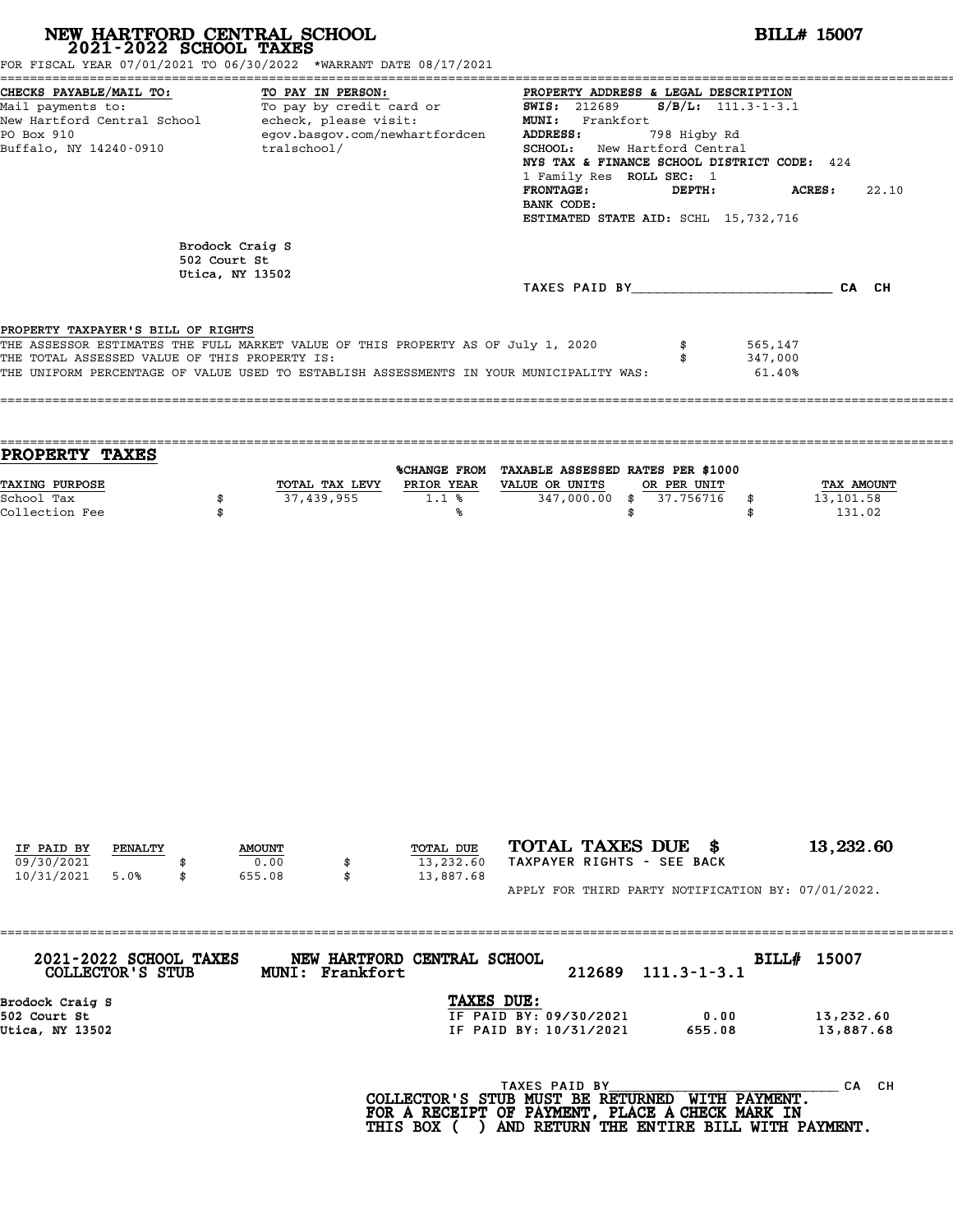| NEW HARTFORD CENTRAL SCHOOL 2021-2022 SCHOOL TAXES<br>FOR FISCAL YEAR 07/01/2021 TO 06/30/2022 *WARRANT DATE 08/17/2021                                                                                                                                            |              |                                                                                                                                                                                                                                                                                                                                                |                 |                                      |                                                                                                                     | <b>BILL# 15007</b>             |                              |                                          |  |  |  |
|--------------------------------------------------------------------------------------------------------------------------------------------------------------------------------------------------------------------------------------------------------------------|--------------|------------------------------------------------------------------------------------------------------------------------------------------------------------------------------------------------------------------------------------------------------------------------------------------------------------------------------------------------|-----------------|--------------------------------------|---------------------------------------------------------------------------------------------------------------------|--------------------------------|------------------------------|------------------------------------------|--|--|--|
| CHECKS PAYABLE/MAIL TO:<br>TO PAY IN PERSON:<br>To pay by credit card or<br>Mail payments to:<br>New Hartford Central School - echeck, please visit:<br>egov.basgov.com/newhartfordcen<br>PO Box 910<br>Buffalo, NY 14240-0910<br>tralschool/                      |              | PROPERTY ADDRESS & LEGAL DESCRIPTION<br>$S/B/L$ : 111.3-1-3.1<br><b>SWIS: 212689</b><br>MUNI: Frankfort<br>ADDRESS:<br>798 Higby Rd<br>SCHOOL: New Hartford Central<br>NYS TAX & FINANCE SCHOOL DISTRICT CODE: 424<br>1 Family Res ROLL SEC: 1<br>FRONTAGE:<br>DEPTH:<br>ACRES:<br>22.10<br>BANK CODE:<br>ESTIMATED STATE AID: SCHL 15,732,716 |                 |                                      |                                                                                                                     |                                |                              |                                          |  |  |  |
|                                                                                                                                                                                                                                                                    | 502 Court St | Brodock Craig S<br>Utica, NY 13502                                                                                                                                                                                                                                                                                                             |                 |                                      |                                                                                                                     |                                |                              |                                          |  |  |  |
|                                                                                                                                                                                                                                                                    |              |                                                                                                                                                                                                                                                                                                                                                |                 |                                      | TAXES PAID BY CA CH                                                                                                 |                                |                              |                                          |  |  |  |
| PROPERTY TAXPAYER'S BILL OF RIGHTS<br>THE ASSESSOR ESTIMATES THE FULL MARKET VALUE OF THIS PROPERTY AS OF July 1, 2020<br>THE TOTAL ASSESSED VALUE OF THIS PROPERTY IS:<br>THE UNIFORM PERCENTAGE OF VALUE USED TO ESTABLISH ASSESSMENTS IN YOUR MUNICIPALITY WAS: |              |                                                                                                                                                                                                                                                                                                                                                |                 |                                      |                                                                                                                     | \$                             | 565,147<br>347,000<br>61.40% |                                          |  |  |  |
| PROPERTY TAXES                                                                                                                                                                                                                                                     |              |                                                                                                                                                                                                                                                                                                                                                |                 |                                      | %CHANGE FROM TAXABLE ASSESSED RATES PER \$1000                                                                      |                                |                              |                                          |  |  |  |
| TAXING PURPOSE<br>School Tax<br>Collection Fee                                                                                                                                                                                                                     | \$<br>\$     |                                                                                                                                                                                                                                                                                                                                                | 37,439,955      | 1.1%<br>%ร                           | TOTAL TAX LEVY PRIOR YEAR VALUE OR UNITS<br>347,000.00 \$                                                           | OR PER UNIT<br>37.756716<br>\$ | \$<br>\$                     | <b>TAX AMOUNT</b><br>13,101.58<br>131.02 |  |  |  |
|                                                                                                                                                                                                                                                                    |              |                                                                                                                                                                                                                                                                                                                                                |                 |                                      |                                                                                                                     |                                |                              |                                          |  |  |  |
| IF PAID BY<br>PENALTY                                                                                                                                                                                                                                              |              | <b>AMOUNT</b>                                                                                                                                                                                                                                                                                                                                  |                 | TOTAL DUE                            | TOTAL TAXES DUE \$                                                                                                  |                                |                              | 13,232.60                                |  |  |  |
| 09/30/2021<br>10/31/2021<br>5.0%                                                                                                                                                                                                                                   | \$           | 0.00<br>655.08                                                                                                                                                                                                                                                                                                                                 | \$<br>\$        | 13,232.60<br>13,887.68               | TAXPAYER RIGHTS - SEE BACK<br>APPLY FOR THIRD PARTY NOTIFICATION BY: 07/01/2022.                                    |                                |                              |                                          |  |  |  |
|                                                                                                                                                                                                                                                                    |              |                                                                                                                                                                                                                                                                                                                                                |                 | :=================================== |                                                                                                                     |                                |                              |                                          |  |  |  |
| 2021-2022 SCHOOL TAXES<br>COLLECTOR'S STUB                                                                                                                                                                                                                         |              |                                                                                                                                                                                                                                                                                                                                                | MUNI: Frankfort | NEW HARTFORD CENTRAL SCHOOL          | 212689                                                                                                              | $111.3 - 1 - 3.1$              |                              | BILL# 15007                              |  |  |  |
| Brodock Craig S<br>502 Court St<br>Utica, NY 13502                                                                                                                                                                                                                 |              |                                                                                                                                                                                                                                                                                                                                                |                 | TAXES DUE:                           | IF PAID BY: 09/30/2021<br>IF PAID BY: 10/31/2021                                                                    | 655.08                         | 0.00                         | 13,232.60<br>13,887.68                   |  |  |  |
|                                                                                                                                                                                                                                                                    |              |                                                                                                                                                                                                                                                                                                                                                |                 |                                      | TAXES PAID BY<br>COLLECTOR'S STUB MUST BE RETURNED WITH PAYMENT.<br>FOR A RECEIPT OF PAYMENT, PLACE A CHECK MARK IN |                                |                              | CA CH                                    |  |  |  |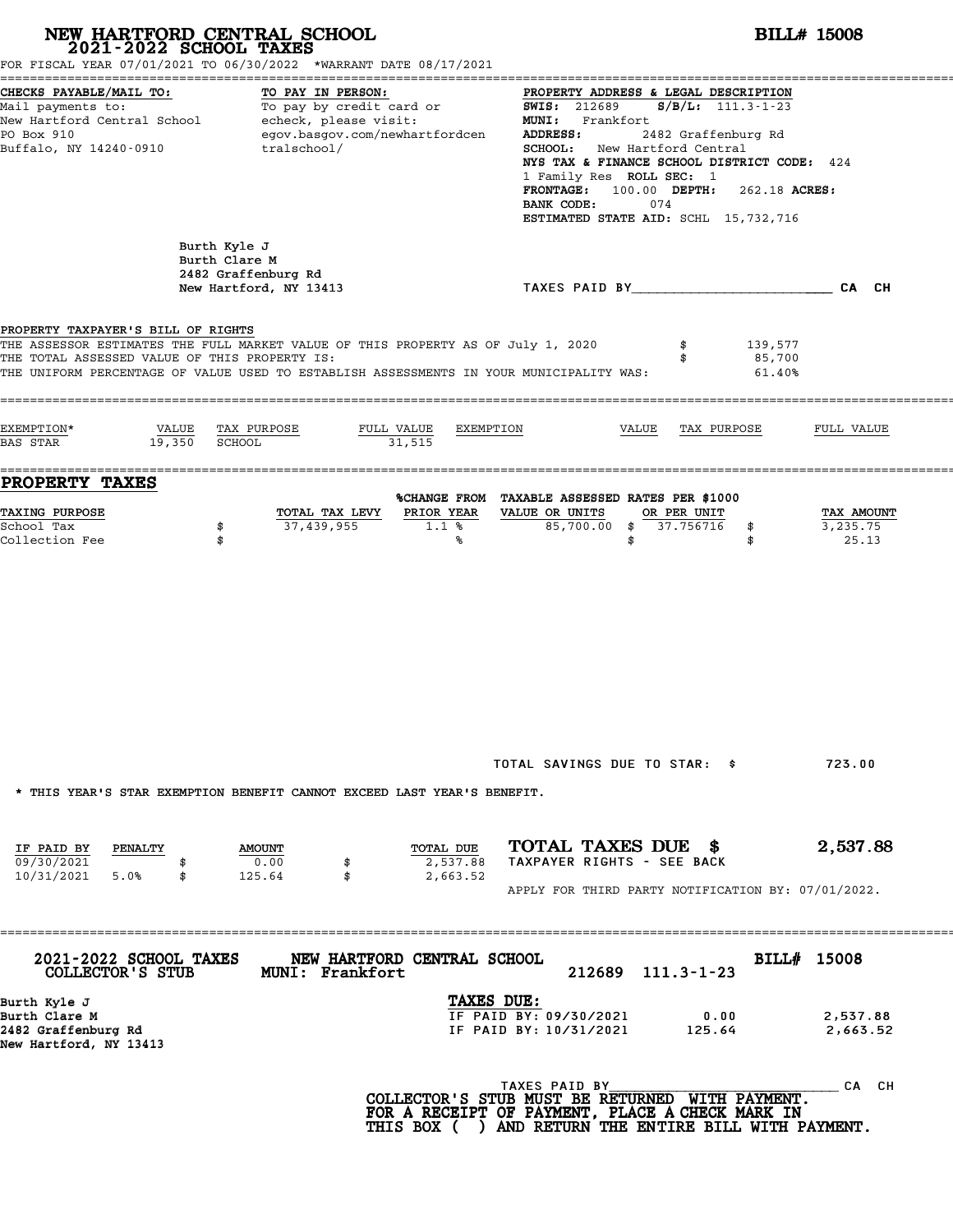# **NEW HARTFORD CENTRAL SCHOOL**<br>
2021-2022 SCHOOL TAXES<br>
FOR FISCAL YEAR 07/01/2021 TO 06/30/2022 \*WARRANT DATE 08/17/2021<br> **POR FISCAL YEAR 07/01/2021 TO 06/30/2022** \*WARRANT DATE 08/17/2021

| FOR FISCAL YEAR 07/01/2021 TO 06/30/2022 *WARRANT DATE 08/17/2021                                                                                                                                                                                                  |                                                                                                                         |                                                                                                                                                             |                                                                                                                  |                                                                                                                                                                                                                                      |                             |                                 |
|--------------------------------------------------------------------------------------------------------------------------------------------------------------------------------------------------------------------------------------------------------------------|-------------------------------------------------------------------------------------------------------------------------|-------------------------------------------------------------------------------------------------------------------------------------------------------------|------------------------------------------------------------------------------------------------------------------|--------------------------------------------------------------------------------------------------------------------------------------------------------------------------------------------------------------------------------------|-----------------------------|---------------------------------|
| CHECKS PAYABLE/MAIL TO:<br>Mail payments to:<br>New Hartford Central School<br>PO Box 910<br>Buffalo, NY 14240-0910                                                                                                                                                | TO PAY IN PERSON:<br>To pay by credit card or<br>echeck, please visit:<br>egov.basgov.com/newhartfordcen<br>tralschool/ |                                                                                                                                                             | <b>SWIS:</b> 212689<br>MUNI: Frankfort<br>ADDRESS:<br>1 Family Res ROLL SEC: 1<br><b>FRONTAGE:</b><br>BANK CODE: | PROPERTY ADDRESS & LEGAL DESCRIPTION<br>$S/B/L$ : 111.3-1-23<br>2482 Graffenburg Rd<br>SCHOOL: New Hartford Central<br>NYS TAX & FINANCE SCHOOL DISTRICT CODE: 424<br>$100.00$ DEPTH:<br>074<br>ESTIMATED STATE AID: SCHL 15,732,716 | 262.18 ACRES:               |                                 |
|                                                                                                                                                                                                                                                                    | Burth Kyle J<br>Burth Clare M<br>2482 Graffenburg Rd<br>New Hartford, NY 13413                                          |                                                                                                                                                             |                                                                                                                  | TAXES PAID BY AND AN AND AN ALL AND ANY                                                                                                                                                                                              |                             | CA CH                           |
| PROPERTY TAXPAYER'S BILL OF RIGHTS<br>THE ASSESSOR ESTIMATES THE FULL MARKET VALUE OF THIS PROPERTY AS OF July 1, 2020<br>THE TOTAL ASSESSED VALUE OF THIS PROPERTY IS:<br>THE UNIFORM PERCENTAGE OF VALUE USED TO ESTABLISH ASSESSMENTS IN YOUR MUNICIPALITY WAS: |                                                                                                                         |                                                                                                                                                             |                                                                                                                  | \$                                                                                                                                                                                                                                   | 139,577<br>85,700<br>61.40% |                                 |
| EXEMPTION*<br>VALUE<br>19,350<br><b>BAS STAR</b>                                                                                                                                                                                                                   | FULL VALUE<br>TAX PURPOSE<br>SCHOOL                                                                                     | EXEMPTION<br>31,515                                                                                                                                         |                                                                                                                  | VALUE<br>TAX PURPOSE                                                                                                                                                                                                                 |                             | FULL VALUE                      |
| <b>PROPERTY TAXES</b><br>TAXING PURPOSE<br>School Tax<br>Collection Fee                                                                                                                                                                                            | TOTAL TAX LEVY<br>37,439,955<br>\$<br>\$                                                                                | %CHANGE FROM TAXABLE ASSESSED RATES PER \$1000<br>PRIOR YEAR<br>1.1%<br>℁                                                                                   | VALUE OR UNITS<br>85,700.00<br>\$<br>\$                                                                          | OR PER UNIT<br>37.756716                                                                                                                                                                                                             | \$<br>\$                    | TAX AMOUNT<br>3,235.75<br>25.13 |
|                                                                                                                                                                                                                                                                    |                                                                                                                         |                                                                                                                                                             | TOTAL SAVINGS DUE TO STAR: \$                                                                                    |                                                                                                                                                                                                                                      |                             | 723.00                          |
| IF PAID BY<br>PENALTY<br>09/30/2021<br>10/31/2021<br>5.0%<br>\$                                                                                                                                                                                                    | * THIS YEAR'S STAR EXEMPTION BENEFIT CANNOT EXCEED LAST YEAR'S BENEFIT.<br><b>AMOUNT</b><br>0.00<br>\$<br>125.64<br>\$  | TOTAL DUE<br>2,537.88<br>2,663.52                                                                                                                           | TOTAL TAXES DUE \$<br>TAXPAYER RIGHTS - SEE BACK                                                                 | APPLY FOR THIRD PARTY NOTIFICATION BY: 07/01/2022.                                                                                                                                                                                   |                             | 2,537.88                        |
| 2021-2022 SCHOOL TAXES<br>COLLECTOR'S STUB                                                                                                                                                                                                                         | -------------------------------<br>NEW HARTFORD CENTRAL SCHOOL<br><b>MUNI: Frankfort</b>                                |                                                                                                                                                             | 212689                                                                                                           | $111.3 - 1 - 23$                                                                                                                                                                                                                     | BILL# 15008                 |                                 |
| Burth Kyle J<br>Burth Clare M<br>2482 Graffenburg Rd<br>New Hartford, NY 13413                                                                                                                                                                                     |                                                                                                                         | TAXES DUE:                                                                                                                                                  | IF PAID BY: 09/30/2021<br>IF PAID BY: 10/31/2021                                                                 | 0.00<br>125.64                                                                                                                                                                                                                       |                             | 2,537.88<br>2,663.52            |
|                                                                                                                                                                                                                                                                    |                                                                                                                         | COLLECTOR'S STUB MUST BE RETURNED WITH PAYMENT.<br>FOR A RECEIPT OF PAYMENT, PLACE A CHECK MARK IN<br>THIS BOX ( ) AND RETURN THE ENTIRE BILL WITH PAYMENT. | TAXES PAID BY                                                                                                    |                                                                                                                                                                                                                                      |                             | CA CH                           |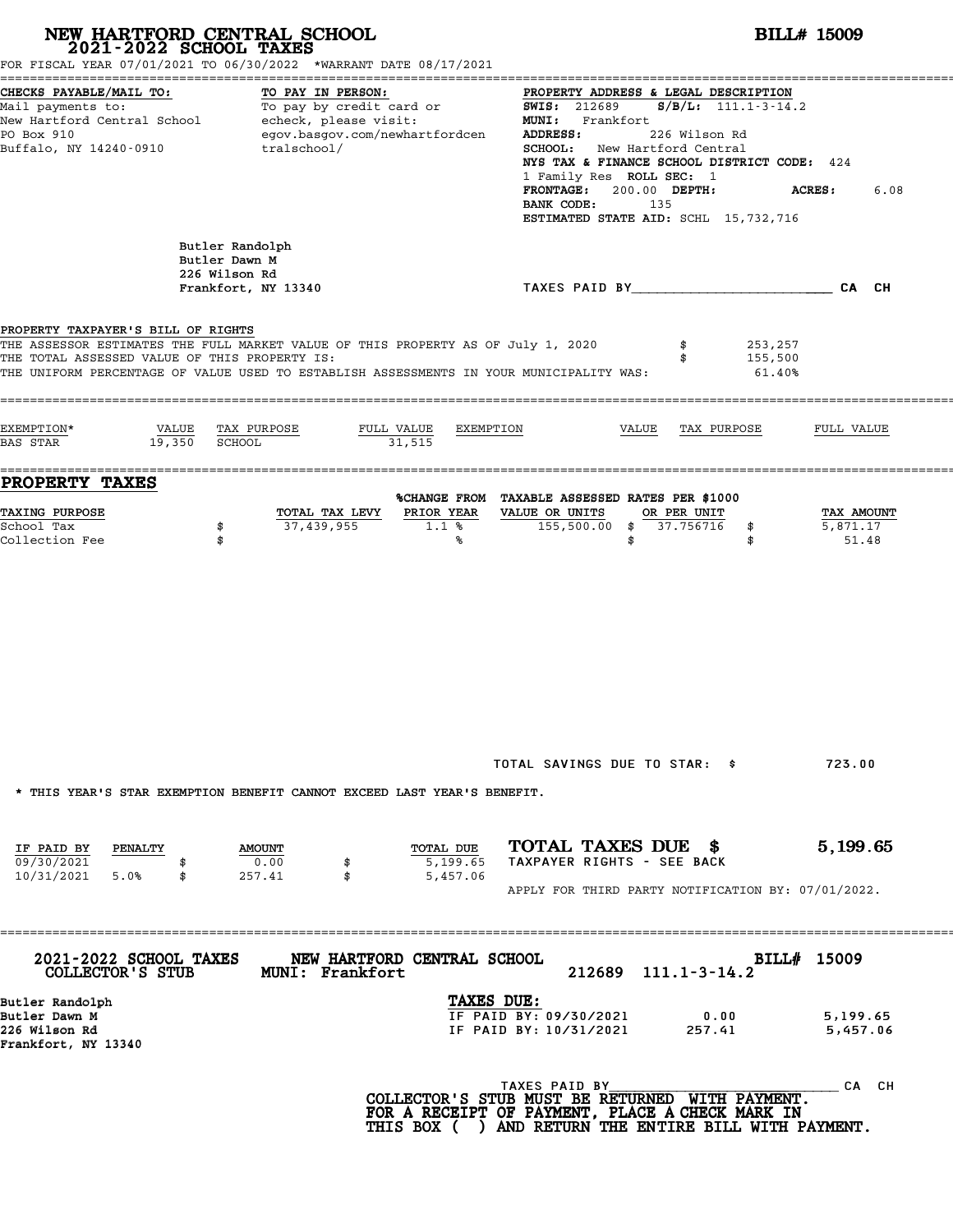|                                                                                     | NEW HARTFORD CENTRAL SCHOOL 2021-2022 SCHOOL TAXES<br>FOR FISCAL YEAR 07/01/2021 TO 06/30/2022 *WARRANT DATE 08/17/2021                                                     |                                                                |                                                                                                                                                                                                                                                                                                                          | <b>BILL# 15009</b>                          |      |
|-------------------------------------------------------------------------------------|-----------------------------------------------------------------------------------------------------------------------------------------------------------------------------|----------------------------------------------------------------|--------------------------------------------------------------------------------------------------------------------------------------------------------------------------------------------------------------------------------------------------------------------------------------------------------------------------|---------------------------------------------|------|
| CHECKS PAYABLE/MAIL TO:<br>PO Box 910<br>Buffalo, NY 14240-0910                     | TO PAY IN PERSON:<br>Mail payments to: To pay by credit card or<br>New Hartford Central School echeck, please visit:<br>egov.basgov.com/newhartfordcen<br>tralschool/       | ADDRESS:<br>BANK CODE:                                         | PROPERTY ADDRESS & LEGAL DESCRIPTION<br><b>SWIS: 212689</b><br>$S/B/L: 111.1 - 3 - 14.2$<br>MUNI: Frankfort<br>226 Wilson Rd<br><b>SCHOOL:</b> New Hartford Central<br>NYS TAX & FINANCE SCHOOL DISTRICT CODE: 424<br>1 Family Res ROLL SEC: 1<br>FRONTAGE: 200.00 DEPTH:<br>135<br>ESTIMATED STATE AID: SCHL 15,732,716 | <b>ACRES :</b>                              | 6.08 |
|                                                                                     | Butler Randolph<br>Butler Dawn M<br>226 Wilson Rd<br>Frankfort, NY 13340                                                                                                    |                                                                | TAXES PAID BY CAN CHE CAN CH                                                                                                                                                                                                                                                                                             |                                             |      |
| PROPERTY TAXPAYER'S BILL OF RIGHTS<br>THE TOTAL ASSESSED VALUE OF THIS PROPERTY IS: | THE ASSESSOR ESTIMATES THE FULL MARKET VALUE OF THIS PROPERTY AS OF July 1, 2020<br>THE UNIFORM PERCENTAGE OF VALUE USED TO ESTABLISH ASSESSMENTS IN YOUR MUNICIPALITY WAS: |                                                                | \$<br>\$                                                                                                                                                                                                                                                                                                                 | 253,257<br>155,500<br>$61.40\%$             |      |
| EXEMPTION*<br>VALUE<br>19,350 SCHOOL<br>BAS STAR                                    | TAX PURPOSE<br>FULL VALUE<br>31,515                                                                                                                                         | EXEMPTION                                                      | VALUE<br>TAX PURPOSE                                                                                                                                                                                                                                                                                                     | FULL VALUE                                  |      |
| PROPERTY TAXES<br><b>TAXING PURPOSE</b><br>School Tax<br>Collection Fee             | TOTAL TAX LEVY<br>37,439,955<br>\$<br>\$                                                                                                                                    | PRIOR YEAR<br>VALUE OR UNITS<br>1.1%<br>℁                      | %CHANGE FROM TAXABLE ASSESSED RATES PER \$1000<br>OR PER UNIT<br>155,500.00 \$ 37.756716<br>\$                                                                                                                                                                                                                           | TAX AMOUNT<br>5,871.17<br>\$<br>51.48<br>\$ |      |
| IF PAID BY<br>PENALTY                                                               | * THIS YEAR'S STAR EXEMPTION BENEFIT CANNOT EXCEED LAST YEAR'S BENEFIT.<br><b>AMOUNT</b>                                                                                    | TOTAL DUE                                                      | TOTAL SAVINGS DUE TO STAR: \$<br>TOTAL TAXES DUE \$                                                                                                                                                                                                                                                                      | 723.00<br>5,199.65                          |      |
| 09/30/2021<br>5.0%<br>10/31/2021<br>\$                                              | 0.00<br>257.41<br>\$                                                                                                                                                        | 5,199.65<br>5,457.06                                           | TAXPAYER RIGHTS - SEE BACK<br>APPLY FOR THIRD PARTY NOTIFICATION BY: 07/01/2022.                                                                                                                                                                                                                                         |                                             |      |
| 2021-2022 SCHOOL TAXES<br>COLLECTOR'S STUB                                          | NEW HARTFORD CENTRAL SCHOOL<br><b>MUNI: Frankfort</b>                                                                                                                       |                                                                | 212689<br>$111.1 - 3 - 14.2$                                                                                                                                                                                                                                                                                             | <b>BILL# 15009</b>                          |      |
| Butler Randolph<br>Butler Dawn M<br>226 Wilson Rd<br>Frankfort, NY 13340            |                                                                                                                                                                             | TAXES DUE:<br>IF PAID BY: 09/30/2021<br>IF PAID BY: 10/31/2021 | 0.00<br>257.41                                                                                                                                                                                                                                                                                                           | 5,199.65<br>5,457.06                        |      |
|                                                                                     |                                                                                                                                                                             | TAXES PAID BY                                                  | COLLECTOR'S STUB MUST BE RETURNED WITH PAYMENT.<br>FOR A RECEIPT OF PAYMENT, PLACE A CHECK MARK IN<br>THIS BOX ( ) AND RETURN THE ENTIRE BILL WITH PAYMENT.                                                                                                                                                              | CA CH                                       |      |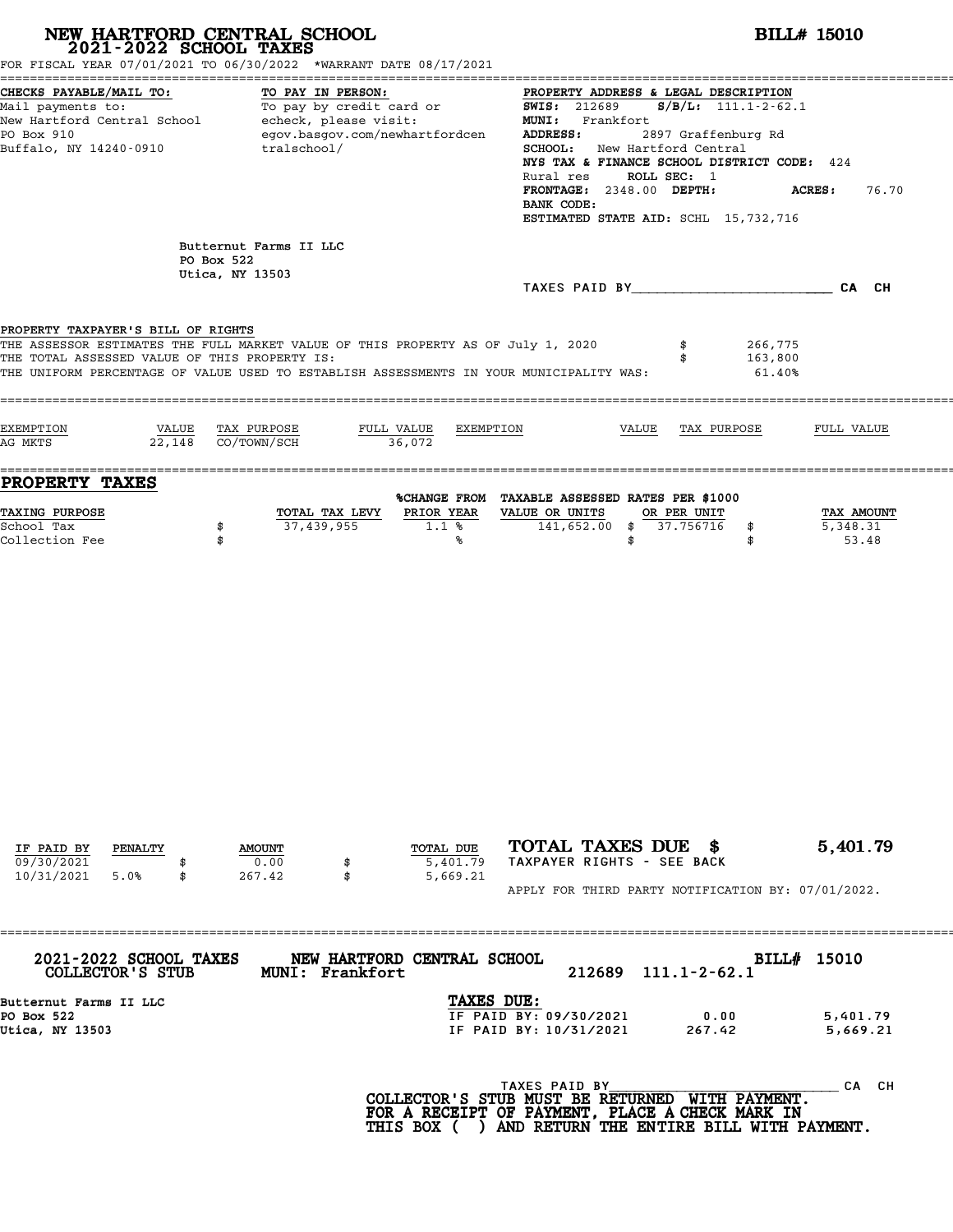|                                                                                                       | NEW HARTFORD CENTRAL SCHOOL 2021-2022 SCHOOL TAXES<br>FOR FISCAL YEAR 07/01/2021 TO 06/30/2022 *WARRANT DATE 08/17/2021                                                     | <b>BILL# 15010</b>                                                                                                                                                                                                                                                                                                                                                                                                                                                                                                                 |
|-------------------------------------------------------------------------------------------------------|-----------------------------------------------------------------------------------------------------------------------------------------------------------------------------|------------------------------------------------------------------------------------------------------------------------------------------------------------------------------------------------------------------------------------------------------------------------------------------------------------------------------------------------------------------------------------------------------------------------------------------------------------------------------------------------------------------------------------|
| CHECKS PAYABLE/MAIL TO:<br>PO Box 910<br>Buffalo, NY 14240-0910                                       | TO PAY IN PERSON:<br>egov.basgov.com/newhartfordcen<br>tralschool/                                                                                                          | PROPERTY ADDRESS & LEGAL DESCRIPTION<br>Mail payments to:<br>Mail payments to:<br>New Hartford Central School echeck, please visit:<br>New Hartford Central School echeck, please visit:<br>MMI: Frankfort<br>MMI: Frankfort<br>MMI: Frankfort<br>2007 Guilding Payments<br>ADDRESS:<br>2897 Graffenburg Rd<br>SCHOOL: New Hartford Central<br>NYS TAX & FINANCE SCHOOL DISTRICT CODE: 424<br>ROLL SEC: 1<br>Rural res<br>FRONTAGE: 2348.00 DEPTH:<br><b>ACRES:</b><br>76.70<br>BANK CODE:<br>ESTIMATED STATE AID: SCHL 15,732,716 |
|                                                                                                       | Butternut Farms II LLC<br>PO Box 522<br>Utica, NY 13503                                                                                                                     | TAXES PAID BY CA CH                                                                                                                                                                                                                                                                                                                                                                                                                                                                                                                |
| PROPERTY TAXPAYER'S BILL OF RIGHTS<br>THE TOTAL ASSESSED VALUE OF THIS PROPERTY IS:                   | THE ASSESSOR ESTIMATES THE FULL MARKET VALUE OF THIS PROPERTY AS OF July 1, 2020<br>THE UNIFORM PERCENTAGE OF VALUE USED TO ESTABLISH ASSESSMENTS IN YOUR MUNICIPALITY WAS: | 266,775<br>163,800<br>61.40%                                                                                                                                                                                                                                                                                                                                                                                                                                                                                                       |
| EXEMPTION<br>AG MKTS                                                                                  | VALUE TAX PURPOSE<br>FULL VALUE<br>$22,148$ $CO/TOWN/SCH$<br>36,072                                                                                                         | EXEMPTION<br>VALUE TAX PURPOSE<br>FULL VALUE                                                                                                                                                                                                                                                                                                                                                                                                                                                                                       |
| <b>PROPERTY TAXES</b><br><b>TAXING PURPOSE</b><br>School Tax<br>Collection Fee                        | TOTAL TAX LEVY<br>PRIOR YEAR<br>37,439,955<br>1.1%<br>\$<br>\$<br>℁                                                                                                         | %CHANGE FROM TAXABLE ASSESSED RATES PER \$1000<br>VALUE OR UNITS<br>OR PER UNIT<br>TAX AMOUNT<br>141,652.00 \$ 37.756716<br>5,348.31<br>\$<br>53.48<br>\$<br>\$                                                                                                                                                                                                                                                                                                                                                                    |
| IF PAID BY<br>PENALTY<br>09/30/2021<br>5.0%<br>10/31/2021<br>\$                                       | TOTAL DUE<br><b>AMOUNT</b><br>0.00<br>5,401.79<br>267.42<br>5,669.21<br>\$                                                                                                  | TOTAL TAXES DUE \$<br>5,401.79<br>TAXPAYER RIGHTS - SEE BACK<br>APPLY FOR THIRD PARTY NOTIFICATION BY: 07/01/2022.                                                                                                                                                                                                                                                                                                                                                                                                                 |
| 2021-2022 SCHOOL TAXES<br>COLLECTOR'S STUB<br>Butternut Farms II LLC<br>PO Box 522<br>Utica, NY 13503 | NEW HARTFORD CENTRAL SCHOOL<br>MUNI: Frankfort                                                                                                                              | BILL# 15010<br>212689<br>$111.1 - 2 - 62.1$<br>TAXES DUE:<br>IF PAID BY: 09/30/2021<br>0.00<br>5,401.79<br>IF PAID BY: 10/31/2021<br>267.42<br>5,669.21                                                                                                                                                                                                                                                                                                                                                                            |
|                                                                                                       |                                                                                                                                                                             | TAXES PAID BY<br>CA CH<br>COLLECTOR'S STUB MUST BE RETURNED WITH PAYMENT.<br>FOR A RECEIPT OF PAYMENT, PLACE A CHECK MARK IN<br>THIS BOX ( ) AND RETURN THE ENTIRE BILL WITH PAYMENT.                                                                                                                                                                                                                                                                                                                                              |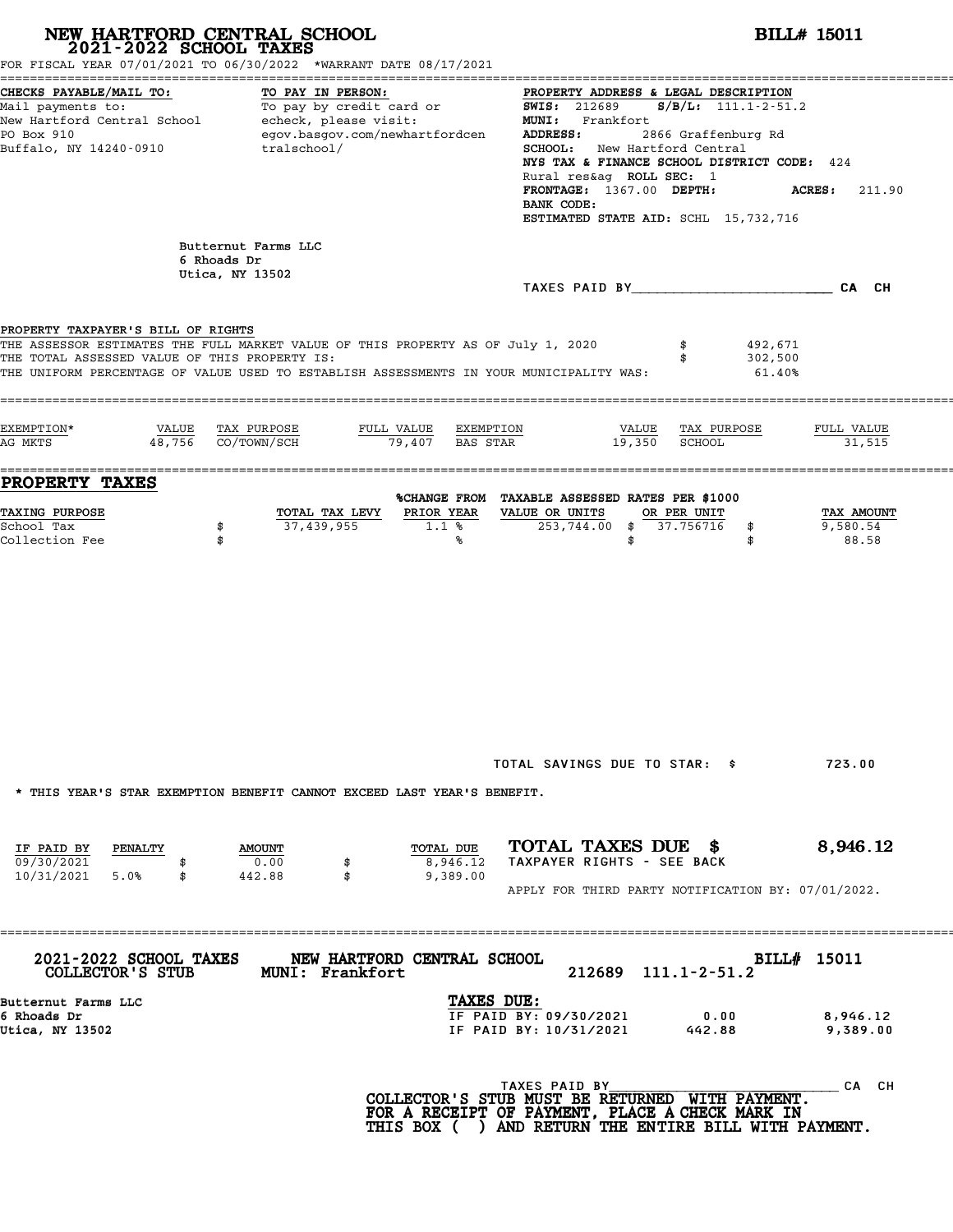|                                                                                     | NEW HARTFORD CENTRAL SCHOOL 2021-2022 SCHOOL TAXES<br>FOR FISCAL YEAR 07/01/2021 TO 06/30/2022 *WARRANT DATE 08/17/2021                                                     |                                                                                                                                                                                                                                                                                                                                             | <b>BILL# 15011</b>              |
|-------------------------------------------------------------------------------------|-----------------------------------------------------------------------------------------------------------------------------------------------------------------------------|---------------------------------------------------------------------------------------------------------------------------------------------------------------------------------------------------------------------------------------------------------------------------------------------------------------------------------------------|---------------------------------|
| CHECKS PAYABLE/MAIL TO:<br>PO Box 910<br>Buffalo, NY 14240-0910                     | TO PAY IN PERSON:<br>Mail payments to:<br>New Hartford Central School echeck, please visit:<br>egov.basgov.com/newhartfordcen<br>tralschool/                                | PROPERTY ADDRESS & LEGAL DESCRIPTION<br><b>SWIS: 212689</b><br>$S/B/L: 111.1 - 2 - 51.2$<br>MUNI: Frankfort<br>2866 Graffenburg Rd<br>ADDRESS:<br>SCHOOL: New Hartford Central<br>NYS TAX & FINANCE SCHOOL DISTRICT CODE: 424<br>Rural res&ag ROLL SEC: 1<br>FRONTAGE: 1367.00 DEPTH:<br>BANK CODE:<br>ESTIMATED STATE AID: SCHL 15,732,716 | <b>ACRES:</b> 211.90            |
|                                                                                     | Butternut Farms LLC<br>6 Rhoads Dr<br>Utica, NY 13502                                                                                                                       | TAXES PAID BY CA CH                                                                                                                                                                                                                                                                                                                         |                                 |
| PROPERTY TAXPAYER'S BILL OF RIGHTS<br>THE TOTAL ASSESSED VALUE OF THIS PROPERTY IS: | THE ASSESSOR ESTIMATES THE FULL MARKET VALUE OF THIS PROPERTY AS OF July 1, 2020<br>THE UNIFORM PERCENTAGE OF VALUE USED TO ESTABLISH ASSESSMENTS IN YOUR MUNICIPALITY WAS: | 492,671<br>302,500<br>$61.40\%$                                                                                                                                                                                                                                                                                                             |                                 |
| EXEMPTION*<br>VALUE<br>AG MKTS                                                      | TAX PURPOSE<br>FULL VALUE EXEMPTION<br>$48,756$ $CO/TOWN/SCH$<br>79,407 BAS STAR                                                                                            | <u>VALUE</u> TAX PURPOSE<br>19,350<br>SCHOOL                                                                                                                                                                                                                                                                                                | FULL VALUE<br>31,515            |
| <b>PROPERTY TAXES</b><br>TAXING PURPOSE<br>School Tax<br>Collection Fee             | TOTAL TAX LEVY<br>PRIOR YEAR<br>37,439,955<br>1.1%<br>\$<br>\$<br>℁                                                                                                         | %CHANGE FROM TAXABLE ASSESSED RATES PER \$1000<br>VALUE OR UNITS<br>OR PER UNIT<br>253,744.00<br>\$37.756716<br>\$<br>\$<br>\$                                                                                                                                                                                                              | TAX AMOUNT<br>9,580.54<br>88.58 |
| IF PAID BY<br>PENALTY                                                               | * THIS YEAR'S STAR EXEMPTION BENEFIT CANNOT EXCEED LAST YEAR'S BENEFIT.<br>TOTAL DUE<br><b>AMOUNT</b>                                                                       | TOTAL SAVINGS DUE TO STAR: \$<br>TOTAL TAXES DUE \$                                                                                                                                                                                                                                                                                         | 723.00<br>8,946.12              |
| 09/30/2021<br>10/31/2021<br>5.0%<br>\$                                              | 0.00<br>8,946.12<br>\$<br>442.88<br>\$<br>9,389.00                                                                                                                          | TAXPAYER RIGHTS - SEE BACK<br>APPLY FOR THIRD PARTY NOTIFICATION BY: 07/01/2022.                                                                                                                                                                                                                                                            |                                 |
| 2021-2022 SCHOOL TAXES<br>COLLECTOR'S STUB                                          | NEW HARTFORD CENTRAL SCHOOL<br><b>MUNI: Frankfort</b>                                                                                                                       | 212689<br>$111.1 - 2 - 51.2$                                                                                                                                                                                                                                                                                                                | BILL# 15011                     |
| Butternut Farms LLC<br>6 Rhoads Dr<br>Utica, NY 13502                               |                                                                                                                                                                             | TAXES DUE:<br>IF PAID BY: 09/30/2021<br>0.00<br>IF PAID BY: 10/31/2021<br>442.88                                                                                                                                                                                                                                                            | 8,946.12<br>9,389.00            |
|                                                                                     |                                                                                                                                                                             | TAXES PAID BY<br>COLLECTOR'S STUB MUST BE RETURNED WITH PAYMENT.<br>FOR A RECEIPT OF PAYMENT, PLACE A CHECK MARK IN<br>THIS BOX ( ) AND RETURN THE ENTIRE BILL WITH PAYMENT.                                                                                                                                                                | CA CH                           |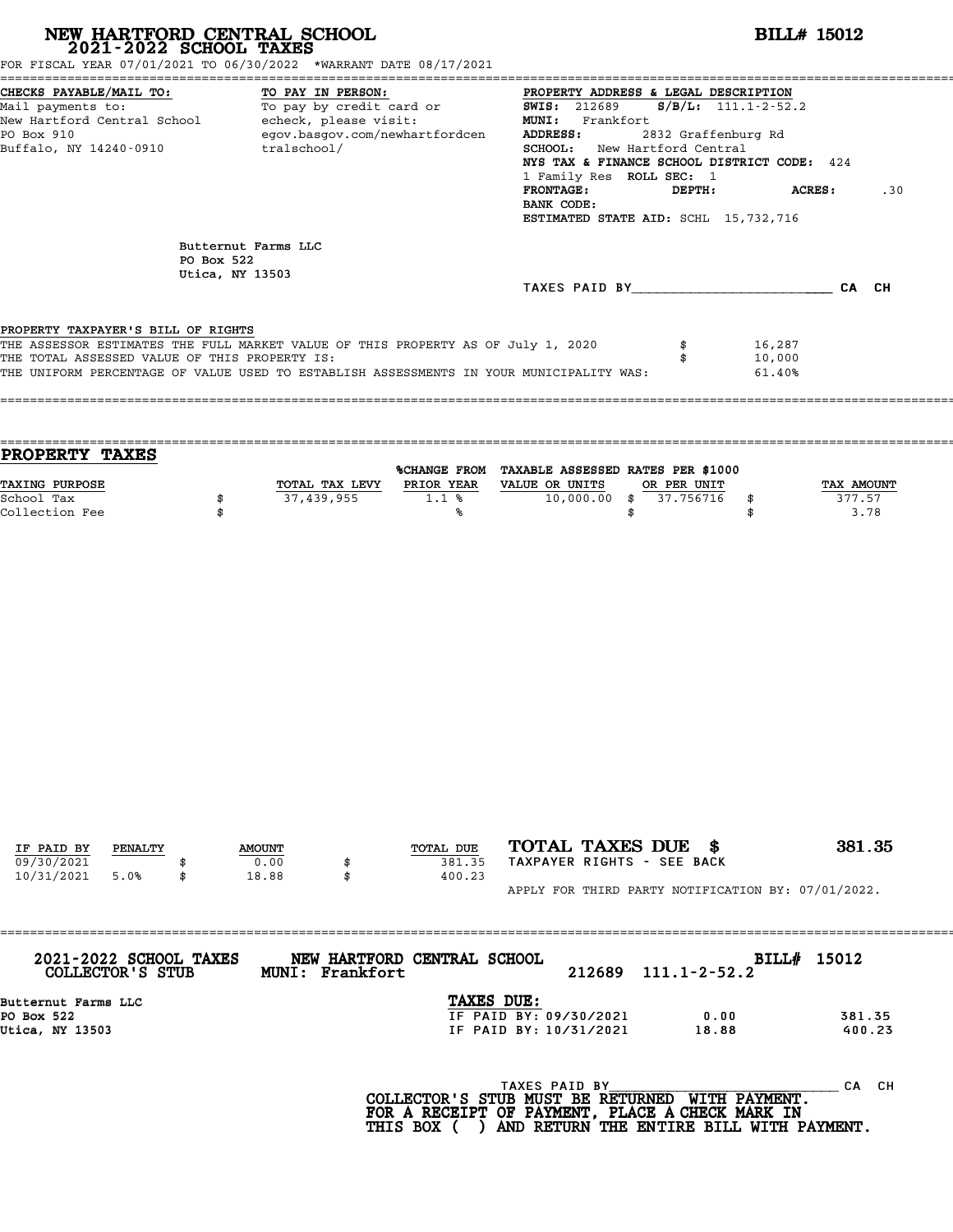| NEW HARTFORD CENTRAL SCHOOL 2021-2022 SCHOOL TAXES<br>FOR FISCAL YEAR 07/01/2021 TO 06/30/2022 *WARRANT DATE 08/17/2021                                                                                                                                            |                 |                     |                   |                                |                                                                                                                                                                                                                                                                                                  |                                                                       | <b>BILL# 15012</b>         |                              |
|--------------------------------------------------------------------------------------------------------------------------------------------------------------------------------------------------------------------------------------------------------------------|-----------------|---------------------|-------------------|--------------------------------|--------------------------------------------------------------------------------------------------------------------------------------------------------------------------------------------------------------------------------------------------------------------------------------------------|-----------------------------------------------------------------------|----------------------------|------------------------------|
| CHECKS PAYABLE/MAIL TO:<br>Mail payments to:<br>New Hartford Central School - echeck, please visit:<br>PO Box 910<br>Buffalo, NY 14240-0910 tralschool/                                                                                                            |                 |                     | TO PAY IN PERSON: | egov.basgov.com/newhartfordcen | TO: TO PAY IN PERSON: TO PAY IN PERSON:<br>To pay by credit card or TO 12689<br>MUNI: Frankfort<br>ADDRESS:<br>SCHOOL: New Hartford Central<br>NYS TAX & FINANCE SCHOOL DISTRICT CODE: 424<br>1 Family Res ROLL SEC: 1<br><b>FRONTAGE:</b><br>BANK CODE:<br>ESTIMATED STATE AID: SCHL 15,732,716 | PROPERTY ADDRESS & LEGAL DESCRIPTION<br>2832 Graffenburg Rd<br>DEPTH: | $S/B/L$ : 111.1-2-52.2     | <b>ACRES:</b><br>.30         |
|                                                                                                                                                                                                                                                                    | PO Box 522      | Butternut Farms LLC |                   |                                |                                                                                                                                                                                                                                                                                                  |                                                                       |                            |                              |
|                                                                                                                                                                                                                                                                    | Utica, NY 13503 |                     |                   |                                | TAXES PAID BY CA CH                                                                                                                                                                                                                                                                              |                                                                       |                            |                              |
| PROPERTY TAXPAYER'S BILL OF RIGHTS<br>THE ASSESSOR ESTIMATES THE FULL MARKET VALUE OF THIS PROPERTY AS OF July 1, 2020<br>THE TOTAL ASSESSED VALUE OF THIS PROPERTY IS:<br>THE UNIFORM PERCENTAGE OF VALUE USED TO ESTABLISH ASSESSMENTS IN YOUR MUNICIPALITY WAS: |                 |                     |                   |                                |                                                                                                                                                                                                                                                                                                  | \$<br>\$                                                              | 16,287<br>10,000<br>61.40% |                              |
| <b>PROPERTY TAXES</b><br>TAXING PURPOSE<br>School Tax<br>Collection Fee                                                                                                                                                                                            | \$<br>\$        |                     | 37,439,955        | 1.1%<br>℁                      | %CHANGE FROM TAXABLE ASSESSED RATES PER \$1000<br>TOTAL TAX LEVY PRIOR YEAR VALUE OR UNITS<br>$10,000.00$ \$                                                                                                                                                                                     | OR PER UNIT<br>37.756716<br>\$                                        | \$<br>\$                   | TAX AMOUNT<br>377.57<br>3.78 |
|                                                                                                                                                                                                                                                                    |                 |                     |                   |                                |                                                                                                                                                                                                                                                                                                  |                                                                       |                            |                              |
| IF PAID BY<br>PENALTY                                                                                                                                                                                                                                              |                 | <b>AMOUNT</b>       |                   | TOTAL DUE                      | TOTAL TAXES DUE \$                                                                                                                                                                                                                                                                               |                                                                       |                            | 381.35                       |
| 09/30/2021<br>10/31/2021<br>5.0%                                                                                                                                                                                                                                   | \$              | 0.00<br>18.88       | \$<br>\$          | 381.35<br>400.23               | TAXPAYER RIGHTS - SEE BACK<br>APPLY FOR THIRD PARTY NOTIFICATION BY: 07/01/2022.                                                                                                                                                                                                                 |                                                                       |                            |                              |
|                                                                                                                                                                                                                                                                    |                 |                     |                   |                                |                                                                                                                                                                                                                                                                                                  |                                                                       |                            |                              |
| 2021-2022 SCHOOL TAXES<br>COLLECTOR'S STUB                                                                                                                                                                                                                         |                 |                     | MUNI: Frankfort   | NEW HARTFORD CENTRAL SCHOOL    | 212689                                                                                                                                                                                                                                                                                           | $111.1 - 2 - 52.2$                                                    | BILL# 15012                |                              |
| Butternut Farms LLC<br>PO Box 522<br>Utica, NY 13503                                                                                                                                                                                                               |                 |                     |                   | TAXES DUE:                     | IF PAID BY: 09/30/2021<br>IF PAID BY: 10/31/2021                                                                                                                                                                                                                                                 | 0.00<br>18.88                                                         |                            | 381.35<br>400.23             |
|                                                                                                                                                                                                                                                                    |                 |                     |                   |                                | TAXES PAID BY<br>COLLECTOR'S STUB MUST BE RETURNED WITH PAYMENT.<br>FOR A RECEIPT OF PAYMENT, PLACE A CHECK MARK IN                                                                                                                                                                              |                                                                       |                            | CA CH                        |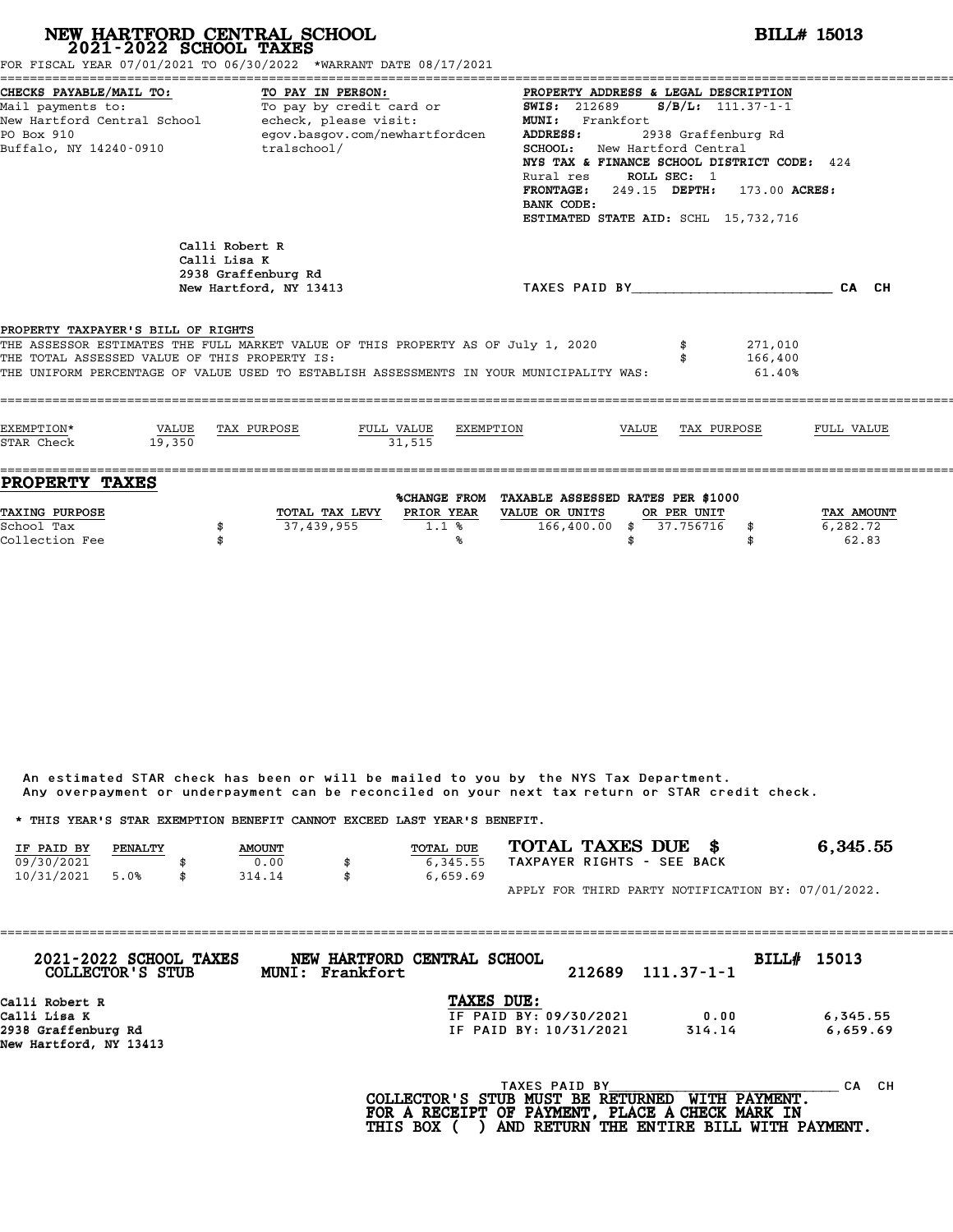| FOR FISCAL YEAR 07/01/2021 TO 06/30/2022 *WARRANT DATE 08/17/2021                                                                                                                                                                                                  |                 | NEW HARTFORD CENTRAL SCHOOL 2021-2022 SCHOOL TAXES              |                                               |           |                                                                                     |                                                                                                                                                                                                                                                                                                                                             |                          |                               | <b>BILL# 15013</b>              |  |  |
|--------------------------------------------------------------------------------------------------------------------------------------------------------------------------------------------------------------------------------------------------------------------|-----------------|-----------------------------------------------------------------|-----------------------------------------------|-----------|-------------------------------------------------------------------------------------|---------------------------------------------------------------------------------------------------------------------------------------------------------------------------------------------------------------------------------------------------------------------------------------------------------------------------------------------|--------------------------|-------------------------------|---------------------------------|--|--|
| CHECKS PAYABLE/MAIL TO:<br>Mail payments to: To pay by credit card or<br>New Hartford Central School - echeck, please visit:<br>PO Box 910<br>Buffalo, NY 14240-0910                                                                                               |                 | TO PAY IN PERSON:                                               | egov.basgov.com/newhartfordcen<br>tralschool/ |           | <b>ADDRESS:</b>                                                                     | PROPERTY ADDRESS & LEGAL DESCRIPTION<br><b>SWIS: 212689</b><br>$S/B/L$ : 111.37-1-1<br>MUNI: Frankfort<br>2938 Graffenburg Rd<br><b>SCHOOL:</b> New Hartford Central<br>NYS TAX & FINANCE SCHOOL DISTRICT CODE: 424<br>Rural res ROLL SEC: 1<br>FRONTAGE: 249.15 DEPTH: 173.00 ACRES:<br>BANK CODE:<br>ESTIMATED STATE AID: SCHL 15,732,716 |                          |                               |                                 |  |  |
|                                                                                                                                                                                                                                                                    | Calli Lisa K    | Calli Robert R<br>2938 Graffenburg Rd<br>New Hartford, NY 13413 |                                               |           |                                                                                     |                                                                                                                                                                                                                                                                                                                                             |                          | TAXES PAID BY CAN CHE CAN CHE |                                 |  |  |
| PROPERTY TAXPAYER'S BILL OF RIGHTS<br>THE ASSESSOR ESTIMATES THE FULL MARKET VALUE OF THIS PROPERTY AS OF July 1, 2020<br>THE TOTAL ASSESSED VALUE OF THIS PROPERTY IS:<br>THE UNIFORM PERCENTAGE OF VALUE USED TO ESTABLISH ASSESSMENTS IN YOUR MUNICIPALITY WAS: |                 |                                                                 |                                               |           |                                                                                     |                                                                                                                                                                                                                                                                                                                                             |                          | 271,010<br>166,400<br>61.40%  |                                 |  |  |
| EXEMPTION*<br>STAR Check                                                                                                                                                                                                                                           | VALUE<br>19,350 | TAX PURPOSE                                                     | FULL VALUE<br>31.515                          | EXEMPTION |                                                                                     | VALUE                                                                                                                                                                                                                                                                                                                                       |                          | TAX PURPOSE                   | FULL VALUE                      |  |  |
| <b>PROPERTY TAXES</b><br>TAXING PURPOSE<br>School Tax<br>Collection Fee                                                                                                                                                                                            | \$              | 37,439,955                                                      | TOTAL TAX LEVY PRIOR YEAR                     | 1.1%<br>℁ | %CHANGE FROM TAXABLE ASSESSED RATES PER \$1000<br>VALUE OR UNITS<br>$166,400.00$ \$ | \$                                                                                                                                                                                                                                                                                                                                          | OR PER UNIT<br>37.756716 | \$<br>\$                      | TAX AMOUNT<br>6,282.72<br>62.83 |  |  |

|            |         |               |                                                                         | Any overpayment or underpayment can be reconciled on your next tax return or STAR credit check. |          |
|------------|---------|---------------|-------------------------------------------------------------------------|-------------------------------------------------------------------------------------------------|----------|
|            |         |               | * THIS YEAR'S STAR EXEMPTION BENEFIT CANNOT EXCEED LAST YEAR'S BENEFIT. |                                                                                                 |          |
| IF PAID BY | PENALTY | <b>AMOUNT</b> | TOTAL DUE                                                               | TOTAL TAXES DUE \$                                                                              | 6,345.55 |
| 09/30/2021 |         | 0.00          | 6,345.55                                                                | TAXPAYER RIGHTS - SEE BACK                                                                      |          |
| 10/31/2021 | 5.0%    | \$<br>314.14  | \$<br>6,659.69                                                          |                                                                                                 |          |
|            |         |               |                                                                         | APPLY FOR THIRD PARTY NOTIFICATION BY: 07/01/2022.                                              |          |

| 2021-2022 SCHOOL TAXES<br>COLLECTOR'S STUB | NEW HARTFORD CENTRAL SCHOOL<br>MUNI: Frankfort |                        | 212689        | $111.37 - 1 - 1$ | BILL# 15013 |           |
|--------------------------------------------|------------------------------------------------|------------------------|---------------|------------------|-------------|-----------|
| Calli Robert R                             |                                                | <b>TAXES DUE:</b>      |               |                  |             |           |
| Calli Lisa K                               |                                                | IF PAID BY: 09/30/2021 |               | 0.00             |             | 6,345.55  |
| 2938 Graffenburg Rd                        |                                                | IF PAID BY: 10/31/2021 |               | 314.14           |             | 6,659.69  |
| New Hartford, NY 13413                     |                                                |                        |               |                  |             |           |
|                                            |                                                |                        | TAXES PAID BY |                  |             | CH.<br>CА |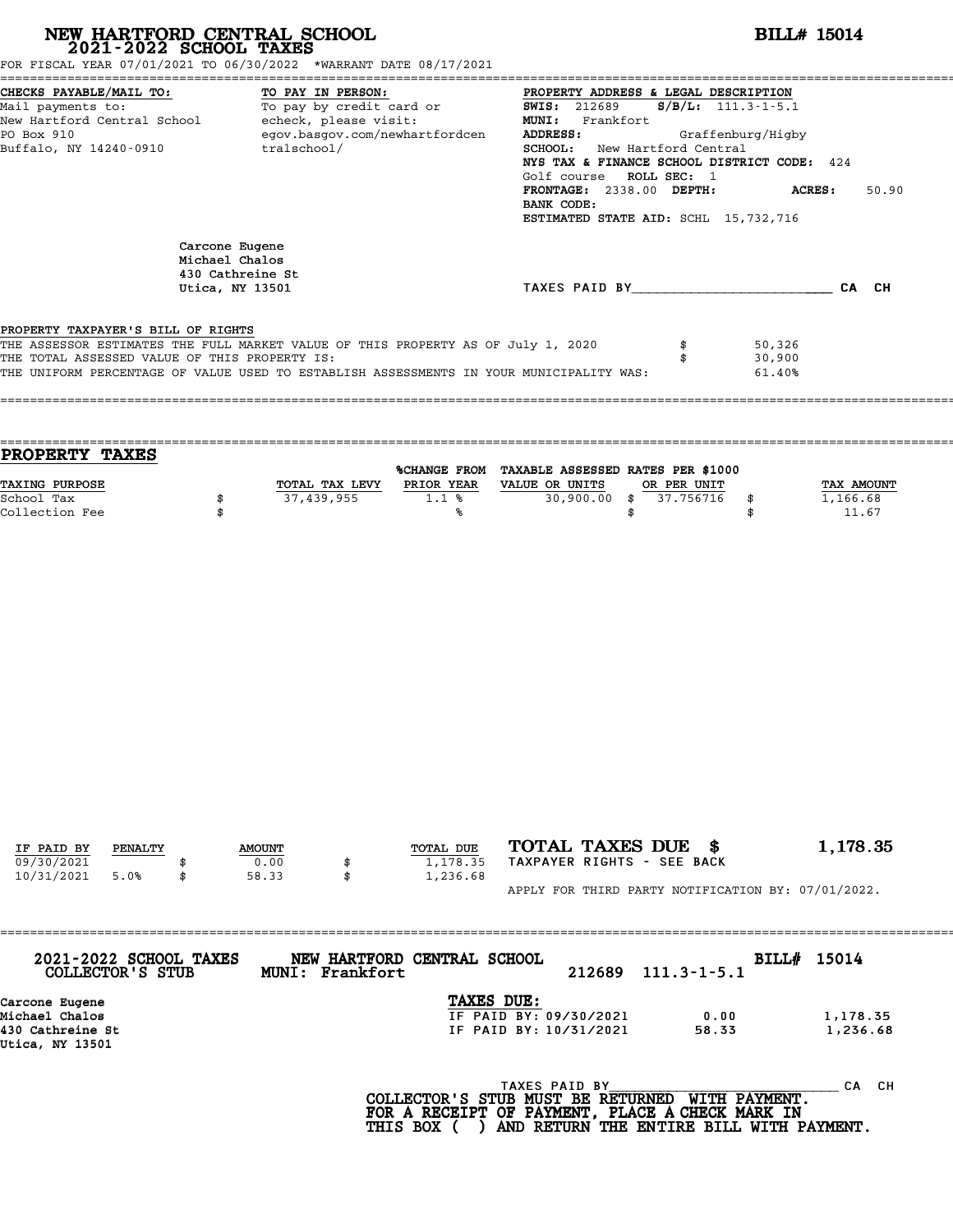| NEW HARTFORD CENTRAL SCHOOL 2021-2022 SCHOOL TAXES<br>FOR FISCAL YEAR 07/01/2021 TO 06/30/2022 *WARRANT DATE 08/17/2021                                                                                                                                                                        |                                                                         |                                  |          |                                           |                                                                                                                                                                                                                                              |                   | <b>BILL# 15014</b>                                   |                                 |
|------------------------------------------------------------------------------------------------------------------------------------------------------------------------------------------------------------------------------------------------------------------------------------------------|-------------------------------------------------------------------------|----------------------------------|----------|-------------------------------------------|----------------------------------------------------------------------------------------------------------------------------------------------------------------------------------------------------------------------------------------------|-------------------|------------------------------------------------------|---------------------------------|
| CHECKS PAYABLE/MAIL TO:<br>CHECKS PAYABLE/MAIL TO: TO PAY IN PERSON: TO PAY IN PROPERTY ADDRESS &<br>Mail payments to: To pay by credit card or SWIS: 212689<br>New Hartford Central School echeck, please visit: To Pay MUNI: Frankfort<br>PO Pay 910<br>PO Box 910<br>Buffalo, NY 14240-0910 |                                                                         | TO PAY IN PERSON:<br>tralschool/ |          | egov.basgov.com/newhartfordcen            | PROPERTY ADDRESS & LEGAL DESCRIPTION<br>ADDRESS:<br>SCHOOL: New Hartford Central<br>NYS TAX & FINANCE SCHOOL DISTRICT CODE: 424<br>Golf course ROLL SEC: 1<br>FRONTAGE: 2338.00 DEPTH:<br>BANK CODE:<br>ESTIMATED STATE AID: SCHL 15,732,716 |                   | $S/B/L$ : 111.3-1-5.1<br>Graffenburg/Higby<br>ACRES: | 50.90                           |
|                                                                                                                                                                                                                                                                                                | Carcone Eugene<br>Michael Chalos<br>430 Cathreine St<br>Utica, NY 13501 |                                  |          |                                           | TAXES PAID BY CAN CH                                                                                                                                                                                                                         |                   |                                                      |                                 |
| PROPERTY TAXPAYER'S BILL OF RIGHTS<br>THE ASSESSOR ESTIMATES THE FULL MARKET VALUE OF THIS PROPERTY AS OF July 1, 2020<br>THE TOTAL ASSESSED VALUE OF THIS PROPERTY IS:<br>THE UNIFORM PERCENTAGE OF VALUE USED TO ESTABLISH ASSESSMENTS IN YOUR MUNICIPALITY WAS:                             |                                                                         |                                  |          |                                           |                                                                                                                                                                                                                                              | \$<br>\$          | 50,326<br>30,900<br>61.40%                           |                                 |
| PROPERTY TAXES                                                                                                                                                                                                                                                                                 |                                                                         |                                  |          |                                           |                                                                                                                                                                                                                                              |                   |                                                      |                                 |
| TAXING PURPOSE<br>School Tax<br>Collection Fee                                                                                                                                                                                                                                                 | \$<br>\$                                                                | 37,439,955                       |          | 1.1%<br>℁                                 | %CHANGE FROM TAXABLE ASSESSED RATES PER \$1000<br>TOTAL TAX LEVY PRIOR YEAR VALUE OR UNITS<br>30,900.00 \$ 37.756716                                                                                                                         | \$<br>OR PER UNIT | \$<br>\$                                             | TAX AMOUNT<br>1,166.68<br>11.67 |
| IF PAID BY<br>PENALTY<br>09/30/2021<br>10/31/2021<br>5.0%                                                                                                                                                                                                                                      |                                                                         | <b>AMOUNT</b><br>0.00<br>58.33   | \$<br>\$ | TOTAL DUE<br>1,178.35<br>1,236.68         | TOTAL TAXES DUE \$<br>TAXPAYER RIGHTS - SEE BACK                                                                                                                                                                                             |                   |                                                      | 1,178.35                        |
|                                                                                                                                                                                                                                                                                                |                                                                         |                                  |          |                                           | APPLY FOR THIRD PARTY NOTIFICATION BY: 07/01/2022.                                                                                                                                                                                           |                   |                                                      |                                 |
| 2021-2022 SCHOOL TAXES<br>COLLECTOR'S STUB                                                                                                                                                                                                                                                     |                                                                         | MUNI: Frankfort                  |          | NEW HARTFORD CENTRAL SCHOOL<br>TAXES DUE: | 212689                                                                                                                                                                                                                                       | $111.3 - 1 - 5.1$ | BILL# 15014                                          |                                 |
| Carcone Eugene<br>Michael Chalos<br>430 Cathreine St<br>Utica, NY 13501                                                                                                                                                                                                                        |                                                                         |                                  |          |                                           | IF PAID BY: 09/30/2021<br>IF PAID BY: 10/31/2021                                                                                                                                                                                             | 0.00<br>58.33     |                                                      | 1,178.35<br>1,236.68            |
|                                                                                                                                                                                                                                                                                                |                                                                         |                                  |          |                                           | TAXES PAID BY<br>COLLECTOR'S STUB MUST BE RETURNED WITH PAYMENT.<br>FOR A RECEIPT OF PAYMENT, PLACE A CHECK MARK IN                                                                                                                          |                   |                                                      | CA CH                           |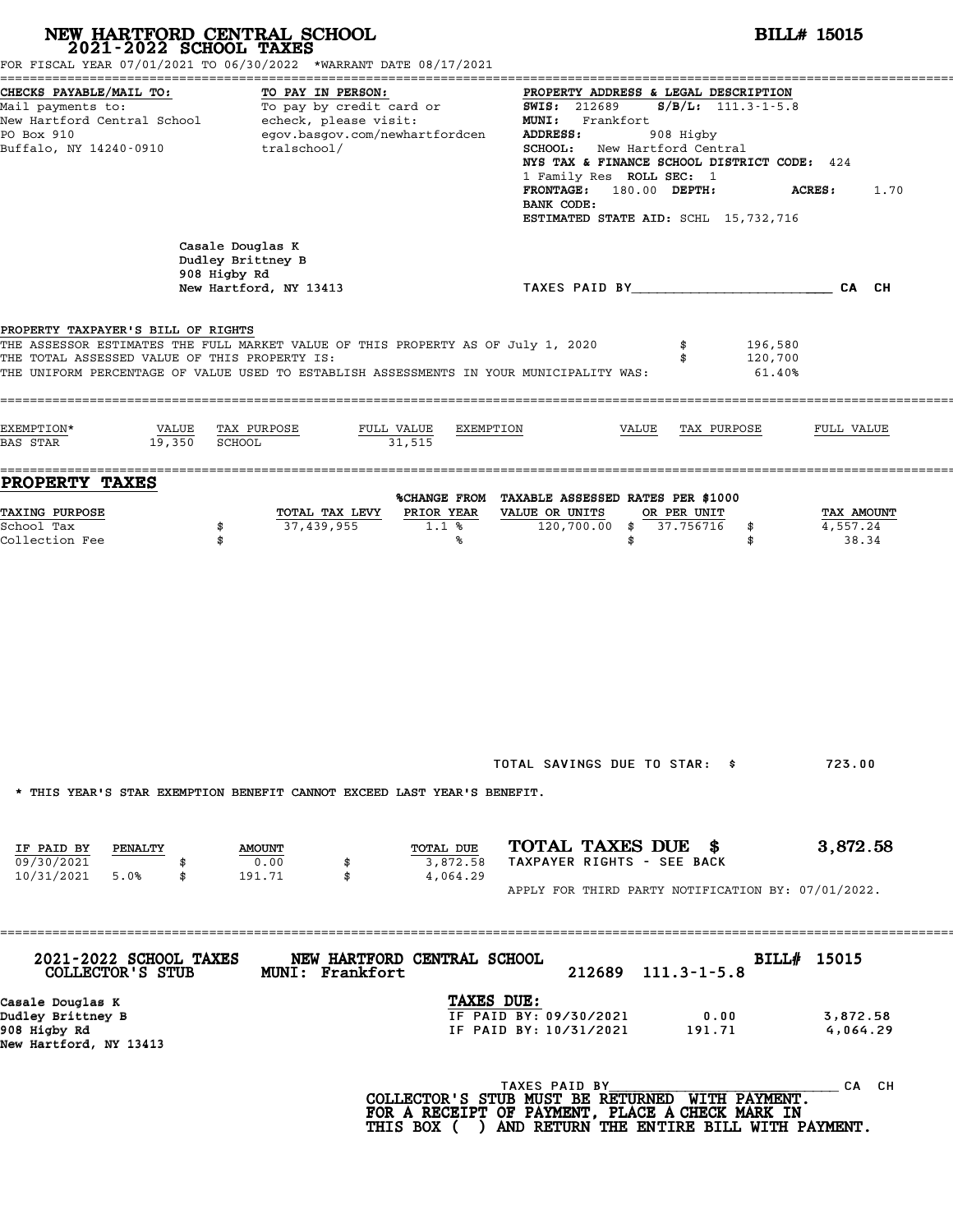| NEW HARTFORD CENTRAL SCHOOL<br>2021-2022 SCHOOL TAXES                                                                                                              | FOR FISCAL YEAR 07/01/2021 TO 06/30/2022 *WARRANT DATE 08/17/2021                                                                                                           |                                                                                                                                                                                                                                                                                                                                     | <b>BILL# 15015</b>              |
|--------------------------------------------------------------------------------------------------------------------------------------------------------------------|-----------------------------------------------------------------------------------------------------------------------------------------------------------------------------|-------------------------------------------------------------------------------------------------------------------------------------------------------------------------------------------------------------------------------------------------------------------------------------------------------------------------------------|---------------------------------|
| CHECKS PAYABLE/MAIL TO:<br>Mail payments to: To pay by credit card or<br>New Hartford Central School echeck, please visit:<br>PO Box 910<br>Buffalo, NY 14240-0910 | TO PAY IN PERSON:<br>egov.basgov.com/newhartfordcen<br>tralschool/                                                                                                          | PROPERTY ADDRESS & LEGAL DESCRIPTION<br>$S/B/L$ : 111.3-1-5.8<br><b>SWIS:</b> 212689<br>MUNI: Frankfort<br>ADDRESS:<br>908 Higby<br><b>SCHOOL:</b> New Hartford Central<br>NYS TAX & FINANCE SCHOOL DISTRICT CODE: 424<br>1 Family Res ROLL SEC: 1<br>FRONTAGE: 180.00 DEPTH:<br>BANK CODE:<br>ESTIMATED STATE AID: SCHL 15,732,716 | <b>ACRES:</b><br>1.70           |
| Casale Douglas K<br>908 Higby Rd                                                                                                                                   | Dudley Brittney B<br>New Hartford, NY 13413                                                                                                                                 | TAXES PAID BY___________________________CA CH                                                                                                                                                                                                                                                                                       |                                 |
| PROPERTY TAXPAYER'S BILL OF RIGHTS<br>THE TOTAL ASSESSED VALUE OF THIS PROPERTY IS:                                                                                | THE ASSESSOR ESTIMATES THE FULL MARKET VALUE OF THIS PROPERTY AS OF July 1, 2020<br>THE UNIFORM PERCENTAGE OF VALUE USED TO ESTABLISH ASSESSMENTS IN YOUR MUNICIPALITY WAS: | 196,580<br>120,700<br>61.40%                                                                                                                                                                                                                                                                                                        |                                 |
| EXEMPTION*<br>VALUE TAX PURPOSE<br>19,350<br><b>BAS STAR</b><br>SCHOOL                                                                                             | FULL VALUE<br>EXEMPTION<br>31,515                                                                                                                                           | VALUE<br>TAX PURPOSE                                                                                                                                                                                                                                                                                                                | FULL VALUE                      |
| <b>PROPERTY TAXES</b><br><b>TAXING PURPOSE</b><br>School Tax<br>\$<br>Collection Fee<br>\$                                                                         | TOTAL TAX LEVY<br>PRIOR YEAR<br>37,439,955<br>1.1%<br>%                                                                                                                     | %CHANGE FROM TAXABLE ASSESSED RATES PER \$1000<br>VALUE OR UNITS<br>OR PER UNIT<br>120,700.00 \$ 37.756716<br>\$<br>\$<br>\$                                                                                                                                                                                                        | TAX AMOUNT<br>4,557.24<br>38.34 |
|                                                                                                                                                                    | * THIS YEAR'S STAR EXEMPTION BENEFIT CANNOT EXCEED LAST YEAR'S BENEFIT.                                                                                                     | TOTAL SAVINGS DUE TO STAR: \$                                                                                                                                                                                                                                                                                                       | 723.00                          |
| IF PAID BY<br>PENALTY<br>09/30/2021<br>10/31/2021 5.0%<br>\$                                                                                                       | TOTAL DUE<br><b>AMOUNT</b><br>0.00<br>3,872.58<br>4,064.29<br>191.71<br>\$                                                                                                  | TOTAL TAXES DUE \$<br>TAXPAYER RIGHTS - SEE BACK<br>APPLY FOR THIRD PARTY NOTIFICATION BY: 07/01/2022.                                                                                                                                                                                                                              | 3,872.58                        |
| 2021-2022 SCHOOL TAXES<br>COLLECTOR'S STUB                                                                                                                         | NEW HARTFORD CENTRAL SCHOOL<br>MUNI: Frankfort                                                                                                                              | 212689<br>$111.3 - 1 - 5.8$                                                                                                                                                                                                                                                                                                         | BILL# 15015                     |
| Casale Douglas K<br>Dudley Brittney B<br>908 Higby Rd<br>New Hartford, NY 13413                                                                                    | TAXES DUE:                                                                                                                                                                  | IF PAID BY: 09/30/2021<br>0.00<br>IF PAID BY: 10/31/2021<br>191.71                                                                                                                                                                                                                                                                  | 3,872.58<br>4,064.29            |
|                                                                                                                                                                    |                                                                                                                                                                             | TAXES PAID BY<br>COLLECTOR'S STUB MUST BE RETURNED WITH PAYMENT.<br>FOR A RECEIPT OF PAYMENT, PLACE A CHECK MARK IN                                                                                                                                                                                                                 | CA CH                           |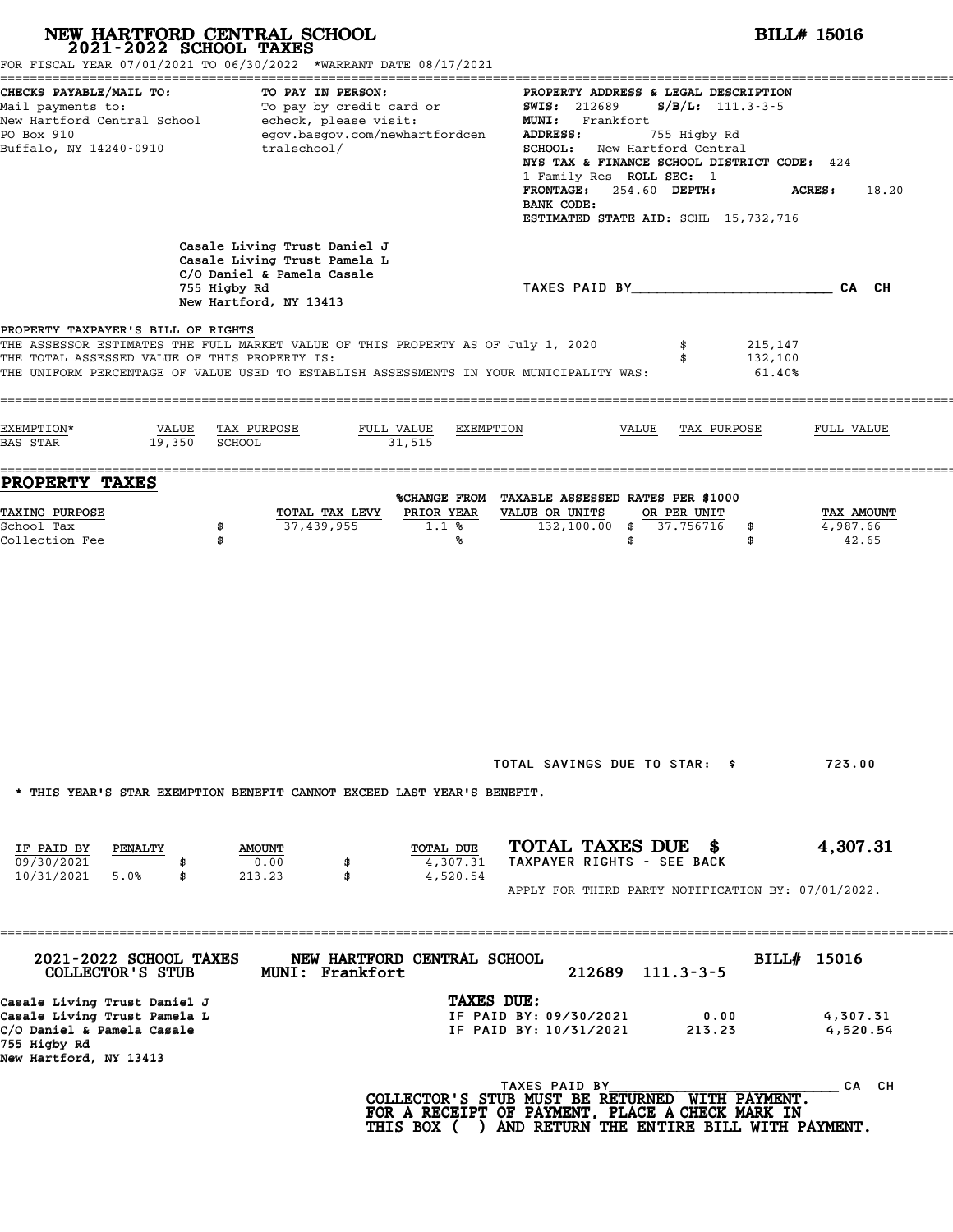| NEW HARTFORD CENTRAL SCHOOL<br>2021-2022 SCHOOL TAXES                                                                                | FOR FISCAL YEAR 07/01/2021 TO 06/30/2022 *WARRANT DATE 08/17/2021                                                                                                           |                                                                                                                                                                                                                                                                                                                                        | <b>BILL# 15016</b>              |
|--------------------------------------------------------------------------------------------------------------------------------------|-----------------------------------------------------------------------------------------------------------------------------------------------------------------------------|----------------------------------------------------------------------------------------------------------------------------------------------------------------------------------------------------------------------------------------------------------------------------------------------------------------------------------------|---------------------------------|
| CHECKS PAYABLE/MAIL TO:<br>PO Box 910<br>Buffalo, NY 14240-0910                                                                      | TO PAY IN PERSON:<br>Mail payments to:<br>Mail payments to:<br>New Hartford Central School echeck, please visit:<br>egov.basgov.com/newhartfordcen<br>tralschool/           | PROPERTY ADDRESS & LEGAL DESCRIPTION<br><b>SWIS: 212689</b><br>$S/B/L: 111.3-3-5$<br>MUNI: Frankfort<br>ADDRESS:<br>755 Higby Rd<br>SCHOOL: New Hartford Central<br>NYS TAX & FINANCE SCHOOL DISTRICT CODE: 424<br>1 Family Res ROLL SEC: 1<br>254.60 DEPTH:<br><b>FRONTAGE:</b><br>BANK CODE:<br>ESTIMATED STATE AID: SCHL 15,732,716 | <b>ACRES:</b><br>18.20          |
|                                                                                                                                      | Casale Living Trust Daniel J<br>Casale Living Trust Pamela L<br>C/O Daniel & Pamela Casale<br>755 Higby Rd<br>New Hartford, NY 13413                                        | TAXES PAID BY CAN CH                                                                                                                                                                                                                                                                                                                   |                                 |
| PROPERTY TAXPAYER'S BILL OF RIGHTS<br>THE TOTAL ASSESSED VALUE OF THIS PROPERTY IS:                                                  | THE ASSESSOR ESTIMATES THE FULL MARKET VALUE OF THIS PROPERTY AS OF July 1, 2020<br>THE UNIFORM PERCENTAGE OF VALUE USED TO ESTABLISH ASSESSMENTS IN YOUR MUNICIPALITY WAS: | 215,147<br>132,100<br>$61.40\%$                                                                                                                                                                                                                                                                                                        |                                 |
| EXEMPTION*<br>VALUE<br>19,350<br><b>BAS STAR</b>                                                                                     | TAX PURPOSE<br>FULL VALUE<br>SCHOOL<br>31,515                                                                                                                               | EXEMPTION<br>VALUE<br>TAX PURPOSE                                                                                                                                                                                                                                                                                                      | FULL VALUE                      |
| PROPERTY TAXES                                                                                                                       |                                                                                                                                                                             |                                                                                                                                                                                                                                                                                                                                        |                                 |
| TAXING PURPOSE<br>School Tax<br>Collection Fee                                                                                       | PRIOR YEAR<br>TOTAL TAX LEVY<br>37,439,955<br>\$<br>$1.1*$<br>\$<br>℁                                                                                                       | %CHANGE FROM TAXABLE ASSESSED RATES PER \$1000<br>VALUE OR UNITS<br>OR PER UNIT<br>132,100.00 \$ 37.756716<br>\$<br>\$<br>\$                                                                                                                                                                                                           | TAX AMOUNT<br>4,987.66<br>42.65 |
| IF PAID BY<br>PENALTY<br>09/30/2021<br>10/31/2021<br>5.0%<br>\$                                                                      | * THIS YEAR'S STAR EXEMPTION BENEFIT CANNOT EXCEED LAST YEAR'S BENEFIT.<br>TOTAL DUE<br><b>AMOUNT</b><br>0.00<br>4,307.31<br>\$<br>4,520.54<br>213.23<br>\$                 | TOTAL SAVINGS DUE TO STAR: \$<br>TOTAL TAXES DUE \$<br>TAXPAYER RIGHTS - SEE BACK<br>APPLY FOR THIRD PARTY NOTIFICATION BY: 07/01/2022.                                                                                                                                                                                                | 723.00<br>4,307.31              |
| 2021-2022 SCHOOL TAXES<br>COLLECTOR'S STUB                                                                                           | NEW HARTFORD CENTRAL SCHOOL<br>MUNI: Frankfort                                                                                                                              | 212689<br>$111.3 - 3 - 5$                                                                                                                                                                                                                                                                                                              | BILL# 15016                     |
| Casale Living Trust Daniel J<br>Casale Living Trust Pamela L<br>C/O Daniel & Pamela Casale<br>755 Higby Rd<br>New Hartford, NY 13413 |                                                                                                                                                                             | TAXES DUE:<br>IF PAID BY: 09/30/2021<br>0.00<br>IF PAID BY: 10/31/2021<br>213.23                                                                                                                                                                                                                                                       | 4,307.31<br>4,520.54            |
|                                                                                                                                      |                                                                                                                                                                             | TAXES PAID BY<br>COLLECTOR'S STUB MUST BE RETURNED WITH PAYMENT.<br>FOR A RECEIPT OF PAYMENT, PLACE A CHECK MARK IN<br>THIS BOX ( ) AND RETURN THE ENTIRE BILL WITH PAYMENT.                                                                                                                                                           | CA CH                           |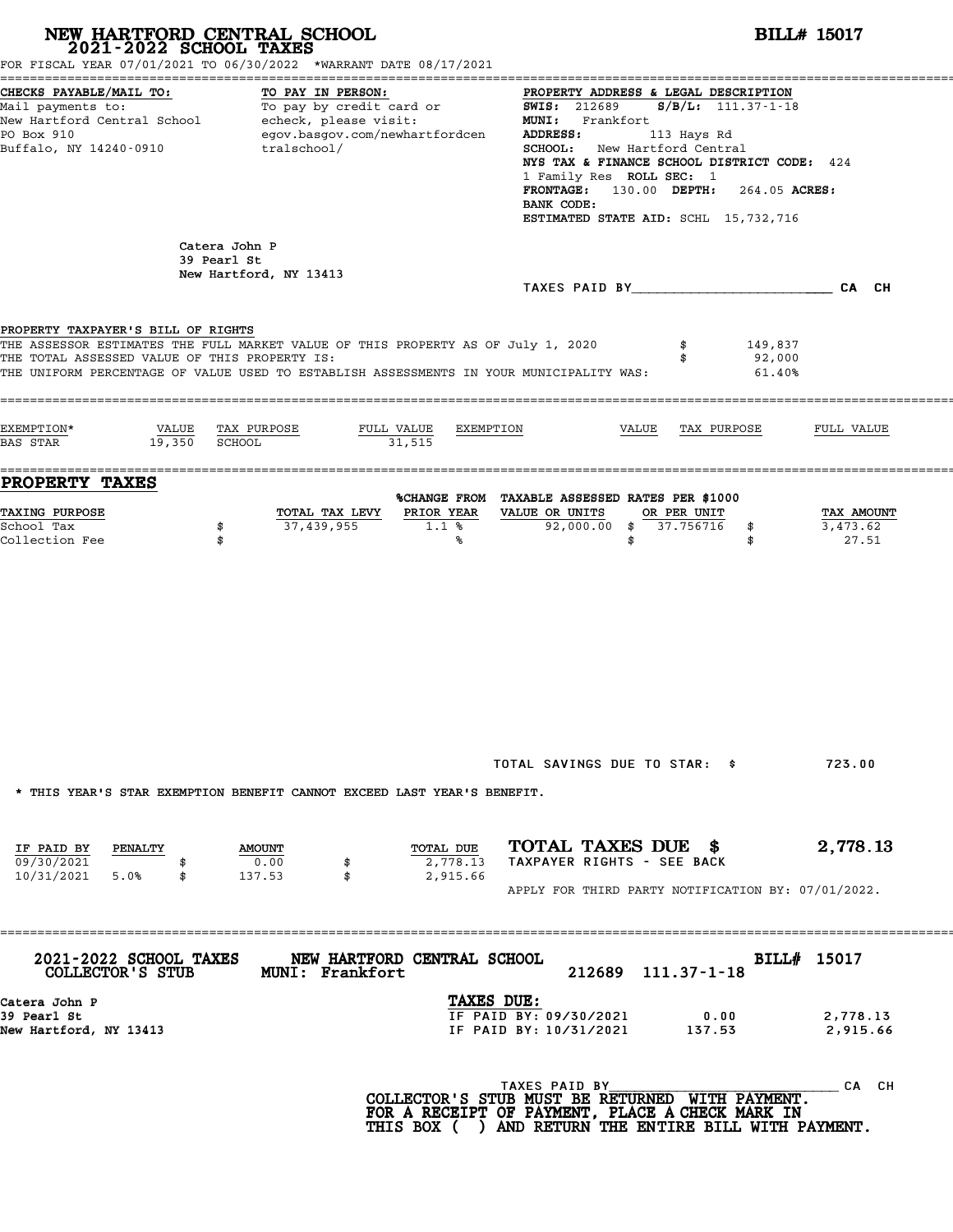| NEW HARTFORD CENTRAL SCHOOL 2021-2022 SCHOOL TAXES                                  | FOR FISCAL YEAR 07/01/2021 TO 06/30/2022 *WARRANT DATE 08/17/2021                                                                                                           |                                                                                                                                                                                                                                                                                                                                                 | <b>BILL# 15017</b>              |
|-------------------------------------------------------------------------------------|-----------------------------------------------------------------------------------------------------------------------------------------------------------------------------|-------------------------------------------------------------------------------------------------------------------------------------------------------------------------------------------------------------------------------------------------------------------------------------------------------------------------------------------------|---------------------------------|
| CHECKS PAYABLE/MAIL TO:<br>PO Box 910<br>Buffalo, NY 14240-0910                     | TO PAY IN PERSON:<br>Mail payments to: To pay by credit card or<br>New Hartford Central School echeck, please visit:<br>egov.basgov.com/newhartfordcen<br>tralschool/       | PROPERTY ADDRESS & LEGAL DESCRIPTION<br>SWIS: 212689<br>$S/B/L: 111.37 - 1 - 18$<br>MUNI: Frankfort<br>ADDRESS:<br>113 Hays Rd<br><b>SCHOOL:</b> New Hartford Central<br>NYS TAX & FINANCE SCHOOL DISTRICT CODE: 424<br>1 Family Res ROLL SEC: 1<br>FRONTAGE: 130.00 DEPTH: 264.05 ACRES:<br>BANK CODE:<br>ESTIMATED STATE AID: SCHL 15,732,716 |                                 |
| 39 Pearl St                                                                         | Catera John P<br>New Hartford, NY 13413                                                                                                                                     | TAXES PAID BY CA CH                                                                                                                                                                                                                                                                                                                             |                                 |
| PROPERTY TAXPAYER'S BILL OF RIGHTS<br>THE TOTAL ASSESSED VALUE OF THIS PROPERTY IS: | THE ASSESSOR ESTIMATES THE FULL MARKET VALUE OF THIS PROPERTY AS OF July 1, 2020<br>THE UNIFORM PERCENTAGE OF VALUE USED TO ESTABLISH ASSESSMENTS IN YOUR MUNICIPALITY WAS: | 149,837<br>\$<br>92,000<br>\$<br>61.40%                                                                                                                                                                                                                                                                                                         |                                 |
| EXEMPTION*<br>19,350 SCHOOL<br>BAS STAR                                             | VALUE TAX PURPOSE<br>FULL VALUE<br>EXEMPTION<br>31,515                                                                                                                      | VALUE<br>TAX PURPOSE                                                                                                                                                                                                                                                                                                                            | FULL VALUE                      |
| PROPERTY TAXES<br><b>TAXING PURPOSE</b><br>School Tax<br>Collection Fee             | PRIOR YEAR<br>TOTAL TAX LEVY<br>37,439,955<br>1.1%<br>\$<br>\$<br>℁                                                                                                         | %CHANGE FROM TAXABLE ASSESSED RATES PER \$1000<br>VALUE OR UNITS<br>OR PER UNIT<br>92,000.00 \$ 37.756716<br>\$<br>\$<br>\$                                                                                                                                                                                                                     | TAX AMOUNT<br>3,473.62<br>27.51 |
|                                                                                     | * THIS YEAR'S STAR EXEMPTION BENEFIT CANNOT EXCEED LAST YEAR'S BENEFIT.                                                                                                     | TOTAL SAVINGS DUE TO STAR: \$                                                                                                                                                                                                                                                                                                                   | 723.00                          |
| IF PAID BY<br><b>PENALTY</b><br>09/30/2021<br>10/31/2021<br>5.0%<br>\$              | TOTAL DUE<br><b>AMOUNT</b><br>0.00<br>2,778.13<br>\$<br>137.53<br>\$<br>2,915.66                                                                                            | TOTAL TAXES DUE \$<br>TAXPAYER RIGHTS - SEE BACK<br>APPLY FOR THIRD PARTY NOTIFICATION BY: 07/01/2022.                                                                                                                                                                                                                                          | 2,778.13                        |
| 2021-2022 SCHOOL TAXES<br>COLLECTOR'S STUB                                          | NEW HARTFORD CENTRAL SCHOOL<br><b>MUNI: Frankfort</b>                                                                                                                       | 212689 111.37-1-18                                                                                                                                                                                                                                                                                                                              | BILL# 15017                     |
| Catera John P<br>39 Pearl St<br>New Hartford, NY 13413                              | TAXES DUE:                                                                                                                                                                  | IF PAID BY: 09/30/2021<br>0.00<br>IF PAID BY: 10/31/2021<br>137.53                                                                                                                                                                                                                                                                              | 2,778.13<br>2,915.66            |
|                                                                                     |                                                                                                                                                                             | TAXES PAID BY<br>COLLECTOR'S STUB MUST BE RETURNED WITH PAYMENT.<br>FOR A RECEIPT OF PAYMENT, PLACE A CHECK MARK IN<br>THIS BOX ( ) AND RETURN THE ENTIRE BILL WITH PAYMENT.                                                                                                                                                                    | CA CH                           |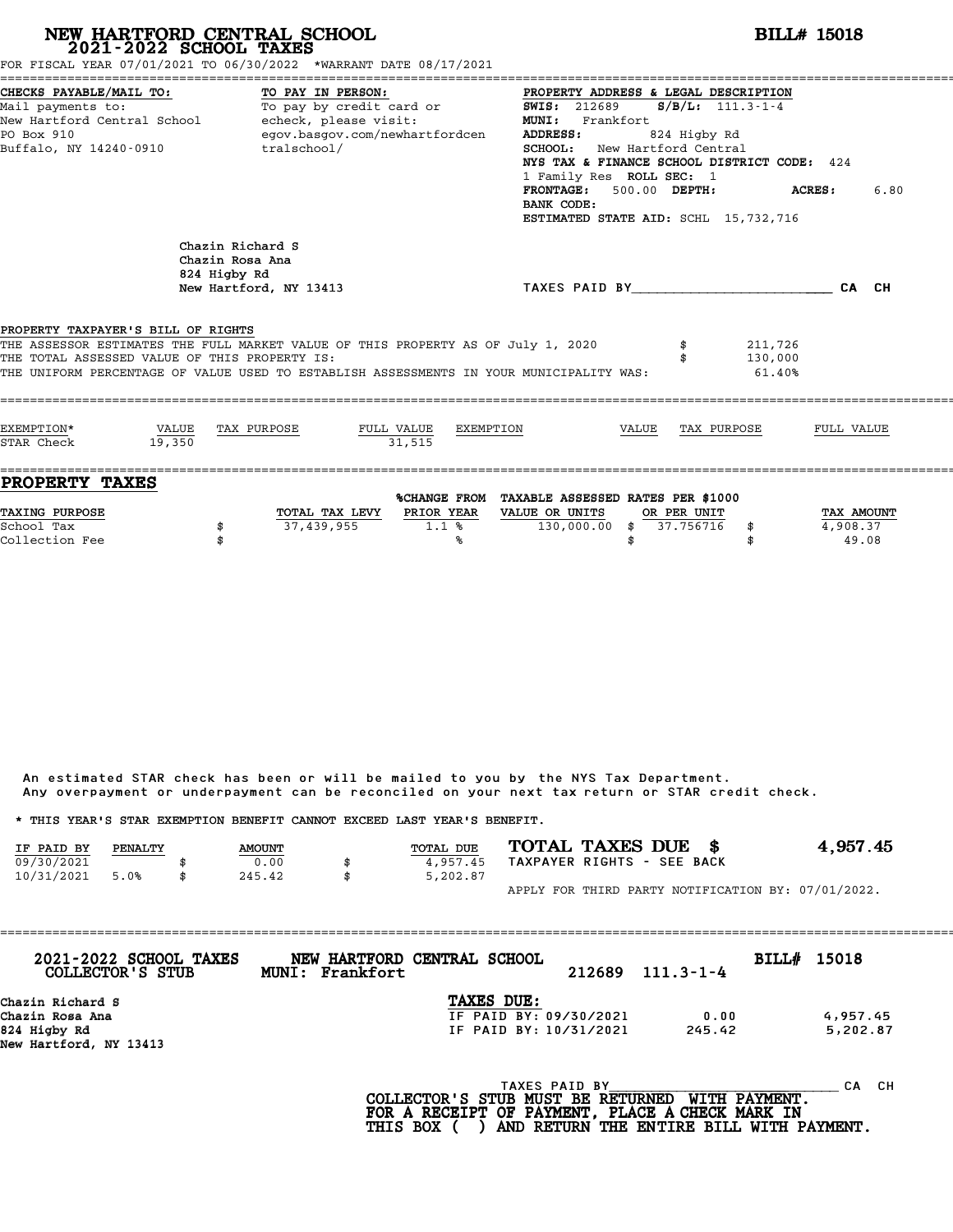# **NEW HARTFORD CENTRAL SCHOOL**<br>
2021-2022 SCHOOL TAXES<br>
FOR FISCAL YEAR 07/01/2021 TO 06/30/2022 \*WARRANT DATE 08/17/2021<br> **2021-2022** TO 06/30/2022 \*WARRANT DATE 08/17/2021

|                                                                                                                                             | FOR FISCAL YEAR 07/01/2021 TO 06/30/2022 *WARRANT DATE 08/17/2021                                                                                 |                                                                                                                                                                                                                                                                                                                                |                                 |
|---------------------------------------------------------------------------------------------------------------------------------------------|---------------------------------------------------------------------------------------------------------------------------------------------------|--------------------------------------------------------------------------------------------------------------------------------------------------------------------------------------------------------------------------------------------------------------------------------------------------------------------------------|---------------------------------|
| CHECKS PAYABLE/MAIL TO:<br>Mail payments to:<br>New Hartford Central School - echeck, please visit:<br>PO Box 910<br>Buffalo, NY 14240-0910 | TO PAY IN PERSON:<br>To pay by credit card or<br>egov.basgov.com/newhartfordcen<br>tralschool/                                                    | PROPERTY ADDRESS & LEGAL DESCRIPTION<br><b>SWIS:</b> 212689 <b>S/B/L:</b> 111.3-1-4<br>MUNI: Frankfort<br>ADDRESS:<br>824 Higby Rd<br>SCHOOL: New Hartford Central<br>NYS TAX & FINANCE SCHOOL DISTRICT CODE: 424<br>1 Family Res ROLL SEC: 1<br>FRONTAGE: 500.00 DEPTH:<br>BANK CODE:<br>ESTIMATED STATE AID: SCHL 15,732,716 | 6.80<br><b>ACRES:</b>           |
| 824 Higby Rd<br>PROPERTY TAXPAYER'S BILL OF RIGHTS<br>THE TOTAL ASSESSED VALUE OF THIS PROPERTY IS:                                         | Chazin Richard S<br>Chazin Rosa Ana<br>New Hartford, NY 13413<br>THE ASSESSOR ESTIMATES THE FULL MARKET VALUE OF THIS PROPERTY AS OF July 1, 2020 | TAXES PAID BY CA CH<br>211,726<br>130,000                                                                                                                                                                                                                                                                                      |                                 |
| EXEMPTION*<br>VALUE TAX PURPOSE<br>STAR Check<br>19.350                                                                                     | THE UNIFORM PERCENTAGE OF VALUE USED TO ESTABLISH ASSESSMENTS IN YOUR MUNICIPALITY WAS:<br>FULL VALUE EXEMPTION<br>31.515                         | 61.40%<br>VALUE TAX PURPOSE                                                                                                                                                                                                                                                                                                    | FULL VALUE                      |
| <b>PROPERTY TAXES</b><br><b>TAXING PURPOSE</b><br>School Tax<br>\$<br>Collection Fee                                                        | TOTAL TAX LEVY PRIOR YEAR<br>37,439,955<br>1.1%<br>℁                                                                                              | %CHANGE FROM TAXABLE ASSESSED RATES PER \$1000<br>VALUE OR UNITS<br>OR PER UNIT<br>130,000.00 \$ 37.756716 \$<br>\$                                                                                                                                                                                                            | TAX AMOUNT<br>4,908.37<br>49.08 |

An estimated STAR check has been or will be mailed to you by the NYS Tax Department. An estimated STAR check has been or will be mailed to you by the NYS Tax Department.<br>Any overpayment or underpayment can be reconciled on your next tax return or STAR credit check.

|            |         |               | Any overpayment or underpayment can be reconciled on your next tax return or STAR credit check. |                            |                                                    |
|------------|---------|---------------|-------------------------------------------------------------------------------------------------|----------------------------|----------------------------------------------------|
|            |         |               | * THIS YEAR'S STAR EXEMPTION BENEFIT CANNOT EXCEED LAST YEAR'S BENEFIT.                         |                            |                                                    |
| IF PAID BY | PENALTY | <b>AMOUNT</b> | <b>TOTAL DUE</b>                                                                                | TOTAL TAXES DUE \$         | 4,957.45                                           |
| 09/30/2021 |         | 0.00          | 4.957.45                                                                                        | TAXPAYER RIGHTS - SEE BACK |                                                    |
| 10/31/2021 | 5.0%    | \$<br>245.42  | \$<br>5,202.87                                                                                  |                            |                                                    |
|            |         |               |                                                                                                 |                            | APPLY FOR THIRD PARTY NOTIFICATION BY: 07/01/2022. |

| 2021-2022 SCHOOL TAXES<br>COLLECTOR'S STUB | Frankfort<br><b>MUNI:</b> | NEW HARTFORD CENTRAL SCHOOL | 212689 | $111.3 - 1 - 4$ | BILL# 15018 |           |
|--------------------------------------------|---------------------------|-----------------------------|--------|-----------------|-------------|-----------|
| Chazin Richard S                           |                           | TAXES DUE:                  |        |                 |             |           |
| Chazin Rosa Ana                            |                           | IF PAID BY: 09/30/2021      |        | 0.00            |             | 4,957.45  |
| 824 Higby Rd                               |                           | IF PAID BY: 10/31/2021      |        | 245.42          |             | 5,202.87  |
| New Hartford, NY 13413                     |                           |                             |        |                 |             |           |
|                                            |                           | TAXES PAID BY               |        |                 |             | CH.<br>CА |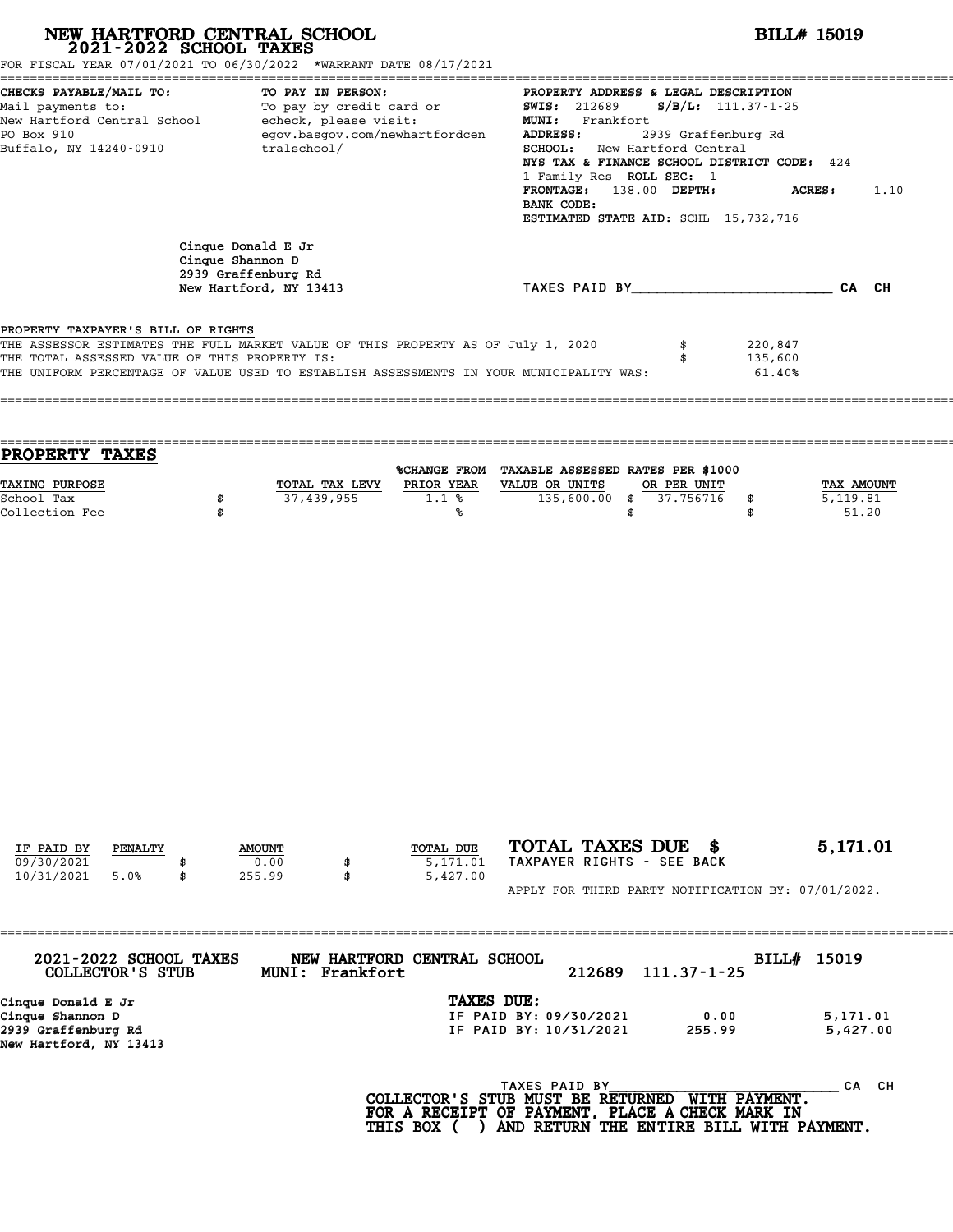| FOR FISCAL YEAR 07/01/2021 TO 06/30/2022 *WARRANT DATE 08/17/2021                                                                                                                                                                                                  |                  | NEW HARTFORD CENTRAL SCHOOL 2021-2022 SCHOOL TAXES                                             |                                   |                                                                                                                                                                                                                                                                                        |                                              | <b>BILL# 15019</b>              |
|--------------------------------------------------------------------------------------------------------------------------------------------------------------------------------------------------------------------------------------------------------------------|------------------|------------------------------------------------------------------------------------------------|-----------------------------------|----------------------------------------------------------------------------------------------------------------------------------------------------------------------------------------------------------------------------------------------------------------------------------------|----------------------------------------------|---------------------------------|
| CHECKS PAYABLE/MAIL TO:<br>Mail payments to:<br>New Hartford Central School - echeck, please visit:<br>PO Box 910<br>Buffalo, NY 14240-0910                                                                                                                        |                  | TO PAY IN PERSON:<br>To pay by credit card or<br>egov.basgov.com/newhartfordcen<br>tralschool/ |                                   | PROPERTY ADDRESS & LEGAL DESCRIPTION<br><b>SWIS: 212689</b><br>MUNI: Frankfort<br>ADDRESS:<br>SCHOOL: New Hartford Central<br>NYS TAX & FINANCE SCHOOL DISTRICT CODE: 424<br>1 Family Res ROLL SEC: 1<br>FRONTAGE: 138.00 DEPTH:<br>BANK CODE:<br>ESTIMATED STATE AID: SCHL 15,732,716 | $S/B/L$ : 111.37-1-25<br>2939 Graffenburg Rd | ACRES:<br>1.10                  |
|                                                                                                                                                                                                                                                                    | Cinque Shannon D | Cinque Donald E Jr<br>2939 Graffenburg Rd<br>New Hartford, NY 13413                            |                                   | TAXES PAID BY CAN CH                                                                                                                                                                                                                                                                   |                                              |                                 |
| PROPERTY TAXPAYER'S BILL OF RIGHTS<br>THE ASSESSOR ESTIMATES THE FULL MARKET VALUE OF THIS PROPERTY AS OF July 1, 2020<br>THE TOTAL ASSESSED VALUE OF THIS PROPERTY IS:<br>THE UNIFORM PERCENTAGE OF VALUE USED TO ESTABLISH ASSESSMENTS IN YOUR MUNICIPALITY WAS: |                  |                                                                                                |                                   |                                                                                                                                                                                                                                                                                        | \$                                           | 220,847<br>135,600<br>61.40%    |
| PROPERTY TAXES                                                                                                                                                                                                                                                     |                  |                                                                                                |                                   | %CHANGE FROM TAXABLE ASSESSED RATES PER \$1000                                                                                                                                                                                                                                         |                                              |                                 |
| TAXING PURPOSE<br>School Tax<br>Collection Fee                                                                                                                                                                                                                     | \$<br>\$         | TOTAL TAX LEVY PRIOR YEAR<br>37,439,955                                                        | $1.1$ %<br>%ร                     | VALUE OR UNITS<br>$135,600.00$ \$<br>\$                                                                                                                                                                                                                                                | OR PER UNIT<br>37.756716<br>\$<br>\$         | TAX AMOUNT<br>5,119.81<br>51.20 |
|                                                                                                                                                                                                                                                                    |                  |                                                                                                |                                   |                                                                                                                                                                                                                                                                                        |                                              |                                 |
| IF PAID BY<br>PENALTY<br>09/30/2021<br>10/31/2021<br>5.0%                                                                                                                                                                                                          | \$               | <b>AMOUNT</b><br>0.00<br>\$<br>255.99<br>\$                                                    | TOTAL DUE<br>5,171.01<br>5,427.00 | TOTAL TAXES DUE \$<br>TAXPAYER RIGHTS - SEE BACK<br>APPLY FOR THIRD PARTY NOTIFICATION BY: 07/01/2022.                                                                                                                                                                                 |                                              | 5,171.01                        |
| 2021-2022 SCHOOL TAXES<br><b>COLLECTOR'S STUB</b>                                                                                                                                                                                                                  |                  | MUNI: Frankfort                                                                                | NEW HARTFORD CENTRAL SCHOOL       | 212689                                                                                                                                                                                                                                                                                 | $111.37 - 1 - 25$                            | BILL# 15019                     |
| Cinque Donald E Jr<br>Cinque Shannon D<br>2939 Graffenburg Rd<br>New Hartford, NY 13413                                                                                                                                                                            |                  |                                                                                                | TAXES DUE:                        | IF PAID BY: 09/30/2021<br>IF PAID BY: 10/31/2021                                                                                                                                                                                                                                       | 0.00<br>255.99                               | 5,171.01<br>5,427.00            |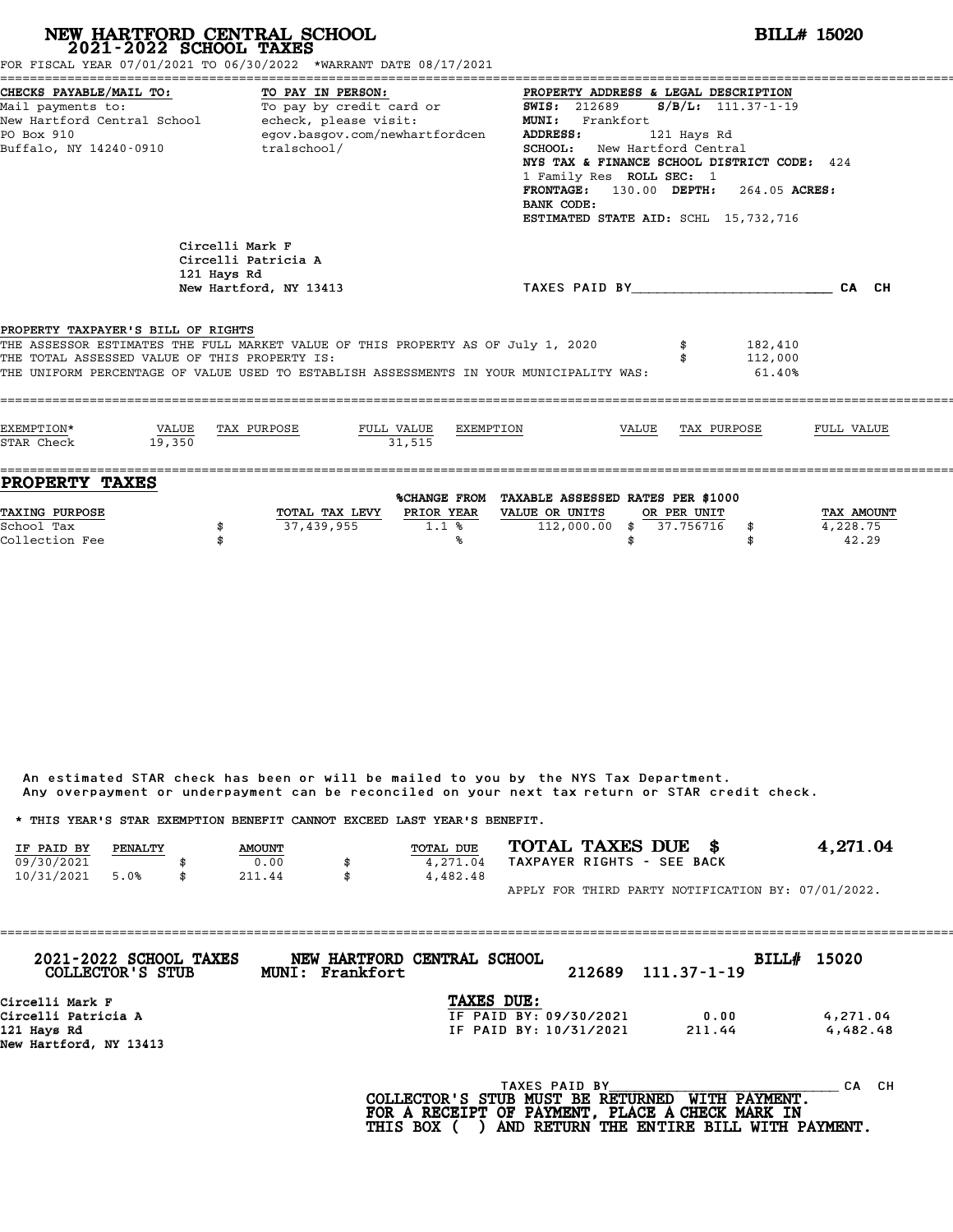|                                                                                      | NEW HARTFORD CENTRAL SCHOOL<br>2021-2022 SCHOOL TAXES<br>FOR FISCAL YEAR 07/01/2021 TO 06/30/2022 *WARRANT DATE 08/17/2021                                                  |                                                                                                                                                                                                                                                                                                                                                    | <b>BILL# 15020</b>              |
|--------------------------------------------------------------------------------------|-----------------------------------------------------------------------------------------------------------------------------------------------------------------------------|----------------------------------------------------------------------------------------------------------------------------------------------------------------------------------------------------------------------------------------------------------------------------------------------------------------------------------------------------|---------------------------------|
| CHECKS PAYABLE/MAIL TO:<br>Mail payments to:<br>PO Box 910<br>Buffalo, NY 14240-0910 | TO PAY IN PERSON:<br>To pay by credit card or<br>New Hartford Central School - echeck, please visit:<br>egov.basgov.com/newhartfordcen<br>tralschool/                       | PROPERTY ADDRESS & LEGAL DESCRIPTION<br>$S/B/L: 111.37-1-19$<br><b>SWIS: 212689</b><br>MUNI: Frankfort<br><b>ADDRESS:</b><br>121 Hays Rd<br>SCHOOL: New Hartford Central<br>NYS TAX & FINANCE SCHOOL DISTRICT CODE: 424<br>1 Family Res ROLL SEC: 1<br>FRONTAGE: 130.00 DEPTH: 264.05 ACRES:<br>BANK CODE:<br>ESTIMATED STATE AID: SCHL 15,732,716 |                                 |
|                                                                                      | Circelli Mark F<br>Circelli Patricia A<br>121 Hays Rd<br>New Hartford, NY 13413                                                                                             | TAXES PAID BY CAN CH                                                                                                                                                                                                                                                                                                                               |                                 |
| PROPERTY TAXPAYER'S BILL OF RIGHTS<br>THE TOTAL ASSESSED VALUE OF THIS PROPERTY IS:  | THE ASSESSOR ESTIMATES THE FULL MARKET VALUE OF THIS PROPERTY AS OF July 1, 2020<br>THE UNIFORM PERCENTAGE OF VALUE USED TO ESTABLISH ASSESSMENTS IN YOUR MUNICIPALITY WAS: | 182,410<br>112,000<br>61.40%                                                                                                                                                                                                                                                                                                                       |                                 |
| EXEMPTION*<br>VALUE<br>STAR Check<br>19,350                                          | FULL VALUE<br>EXEMPTION<br>TAX PURPOSE<br>31,515                                                                                                                            | TAX PURPOSE<br>VALUE                                                                                                                                                                                                                                                                                                                               | FULL VALUE                      |
| <b>PROPERTY TAXES</b><br>TAXING PURPOSE<br>School Tax<br>Collection Fee              | TOTAL TAX LEVY PRIOR YEAR<br>37,439,955<br>1.1%<br>\$<br>\$<br>℁                                                                                                            | %CHANGE FROM TAXABLE ASSESSED RATES PER \$1000<br>VALUE OR UNITS<br>OR PER UNIT<br>112,000.00<br>\$<br>37.756716<br>\$<br>\$<br>\$                                                                                                                                                                                                                 | TAX AMOUNT<br>4,228.75<br>42.29 |

|                                                                         |         |               | Any overpayment or underpayment can be reconciled on your next tax return or STAR credit check. |                  |                            |  |                                                    |
|-------------------------------------------------------------------------|---------|---------------|-------------------------------------------------------------------------------------------------|------------------|----------------------------|--|----------------------------------------------------|
| * THIS YEAR'S STAR EXEMPTION BENEFIT CANNOT EXCEED LAST YEAR'S BENEFIT. |         |               |                                                                                                 |                  |                            |  |                                                    |
| IF PAID BY                                                              | PENALTY | <b>AMOUNT</b> |                                                                                                 | <b>TOTAL DUE</b> | TOTAL TAXES DUE \$         |  | 4,271.04                                           |
| 09/30/2021                                                              |         | 0.00          | \$                                                                                              | 4,271.04         | TAXPAYER RIGHTS - SEE BACK |  |                                                    |
| 10/31/2021                                                              | 5.0%    | 211.44        | \$                                                                                              | 4,482.48         |                            |  |                                                    |
|                                                                         |         |               |                                                                                                 |                  |                            |  | APPLY FOR THIRD PARTY NOTIFICATION BY: 07/01/2022. |

| 2021-2022 SCHOOL TAXES<br>COLLECTOR'S STUB | NEW HARTFORD CENTRAL SCHOOL<br>Frankfort<br><b>MUNI:</b> |                        | 212689 | 111.37-1-19 | BILL# 15020 |           |
|--------------------------------------------|----------------------------------------------------------|------------------------|--------|-------------|-------------|-----------|
| Circelli Mark F                            |                                                          | TAXES DUE:             |        |             |             |           |
| Circelli Patricia A                        |                                                          | IF PAID BY: 09/30/2021 |        | 0.00        |             | 4,271.04  |
| 121 Hays Rd                                |                                                          | IF PAID BY: 10/31/2021 |        | 211.44      |             | 4,482.48  |
| New Hartford, NY 13413                     |                                                          |                        |        |             |             |           |
|                                            |                                                          | TAXES PAID BY          |        |             |             | CH.<br>CА |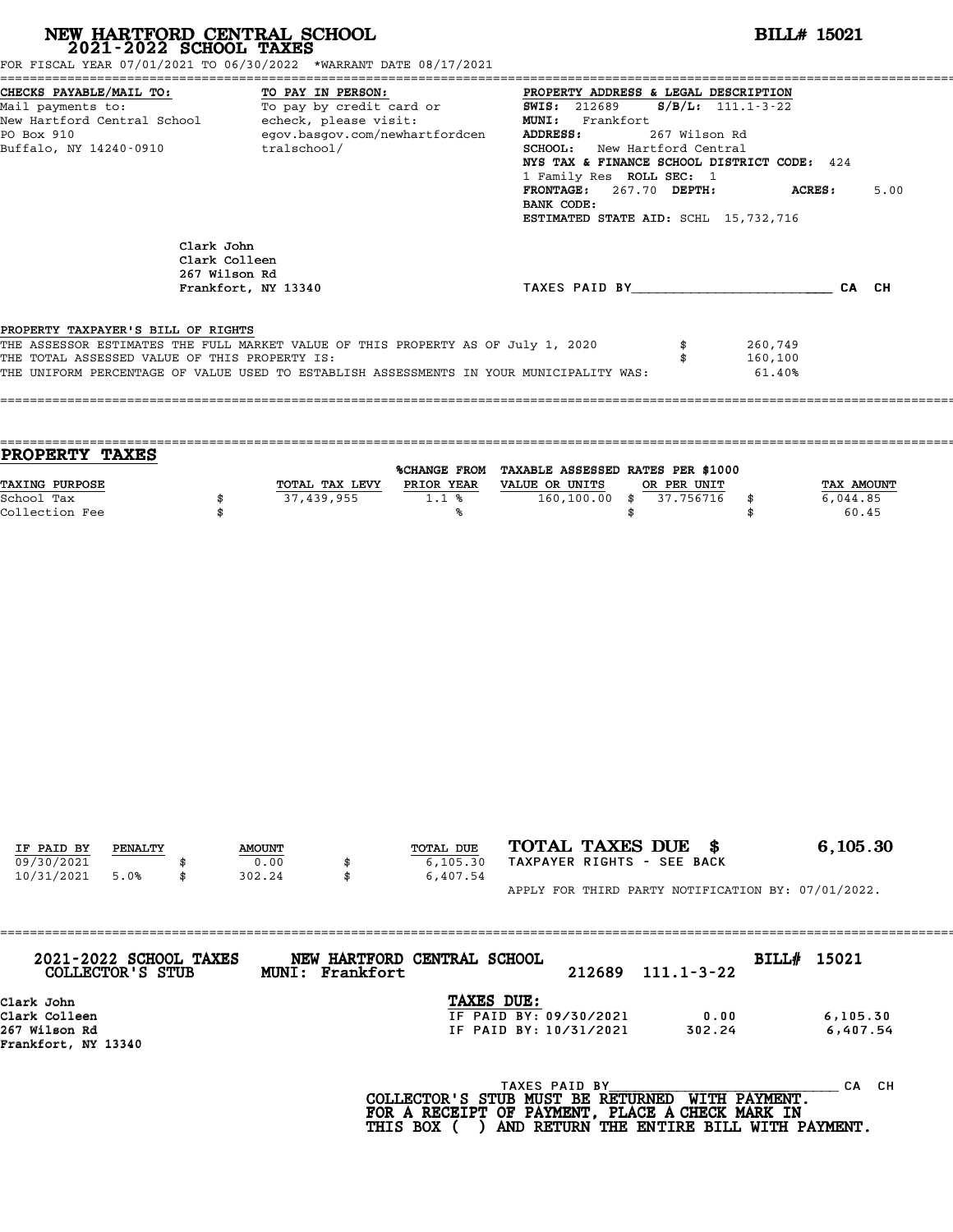# **NEW HARTFORD CENTRAL SCHOOL**<br>
2021-2022 SCHOOL TAXES<br>
FOR FISCAL YEAR 07/01/2021 TO 06/30/2022 \*WARRANT DATE 08/17/2021<br> **POR FISCAL YEAR 07/01/2021** TO 06/30/2022 \*WARRANT DATE 08/17/2021

|                                                                                      | FOR FISCAL YEAR 07/01/2021 TO 06/30/2022 *WARRANT DATE 08/17/2021                                                                                                           |                                                                                            |                                                                                                                                                                                                                                                                   |                              |            |
|--------------------------------------------------------------------------------------|-----------------------------------------------------------------------------------------------------------------------------------------------------------------------------|--------------------------------------------------------------------------------------------|-------------------------------------------------------------------------------------------------------------------------------------------------------------------------------------------------------------------------------------------------------------------|------------------------------|------------|
| CHECKS PAYABLE/MAIL TO:<br>Mail payments to:<br>PO Box 910<br>Buffalo, NY 14240-0910 | TO PAY IN PERSON:<br>To pay by credit card or<br>New Hartford Central School - echeck, please visit:<br>egov.basgov.com/newhartfordcen<br>tralschool/                       | <b>SWIS:</b> 212689<br>MUNI: Frankfort<br><b>ADDRESS:</b><br>BANK CODE:                    | PROPERTY ADDRESS & LEGAL DESCRIPTION<br>$S/B/L: 111.1-3-22$<br>267 Wilson Rd<br><b>SCHOOL:</b> New Hartford Central<br>NYS TAX & FINANCE SCHOOL DISTRICT CODE: 424<br>1 Family Res ROLL SEC: 1<br>FRONTAGE: 267.70 DEPTH:<br>ESTIMATED STATE AID: SCHL 15,732,716 | <b>ACRES:</b>                | 5.00       |
|                                                                                      | Clark John<br>Clark Colleen<br>267 Wilson Rd<br>Frankfort, NY 13340                                                                                                         |                                                                                            | TAXES PAID BY CA CH                                                                                                                                                                                                                                               |                              |            |
| PROPERTY TAXPAYER'S BILL OF RIGHTS<br>THE TOTAL ASSESSED VALUE OF THIS PROPERTY IS:  | THE ASSESSOR ESTIMATES THE FULL MARKET VALUE OF THIS PROPERTY AS OF July 1, 2020<br>THE UNIFORM PERCENTAGE OF VALUE USED TO ESTABLISH ASSESSMENTS IN YOUR MUNICIPALITY WAS: |                                                                                            |                                                                                                                                                                                                                                                                   | 260,749<br>160,100<br>61.40% |            |
| <b>PROPERTY TAXES</b><br>TAXING PURPOSE                                              |                                                                                                                                                                             | %CHANGE FROM TAXABLE ASSESSED RATES PER \$1000<br>TOTAL TAX LEVY PRIOR YEAR VALUE OR UNITS | OR PER UNIT                                                                                                                                                                                                                                                       |                              | TAX AMOUNT |

| IF PAID BY | PENALTY | <b>AMOUNT</b> | TOTAL DUE | TOTAL TAXES DUE \$                                 | 6,105.30 |
|------------|---------|---------------|-----------|----------------------------------------------------|----------|
| 09/30/2021 |         | 0.00          | 6,105.30  | TAXPAYER RIGHTS - SEE BACK                         |          |
| 10/31/2021 | 5.0%    | 302.24        | 6,407.54  |                                                    |          |
|            |         |               |           | APPLY FOR THIRD PARTY NOTIFICATION BY: 07/01/2022. |          |

| 2021-2022 SCHOOL TAXES<br>COLLECTOR'S STUB | NEW HARTFORD CENTRAL SCHOOL<br>Frankfort<br><b>MUNI:</b> | 212689                 | $111.1 - 3 - 22$ | BILL# 15021 |
|--------------------------------------------|----------------------------------------------------------|------------------------|------------------|-------------|
| Clark John                                 |                                                          | TAXES DUE:             |                  |             |
| Clark Colleen                              |                                                          | IF PAID BY: 09/30/2021 | 0.00             | 6, 105.30   |
| 267 Wilson Rd                              |                                                          | IF PAID BY: 10/31/2021 | 302.24           | 6,407.54    |
| Frankfort, NY 13340                        |                                                          |                        |                  |             |
|                                            |                                                          | TAXES PAID BY          |                  | CА          |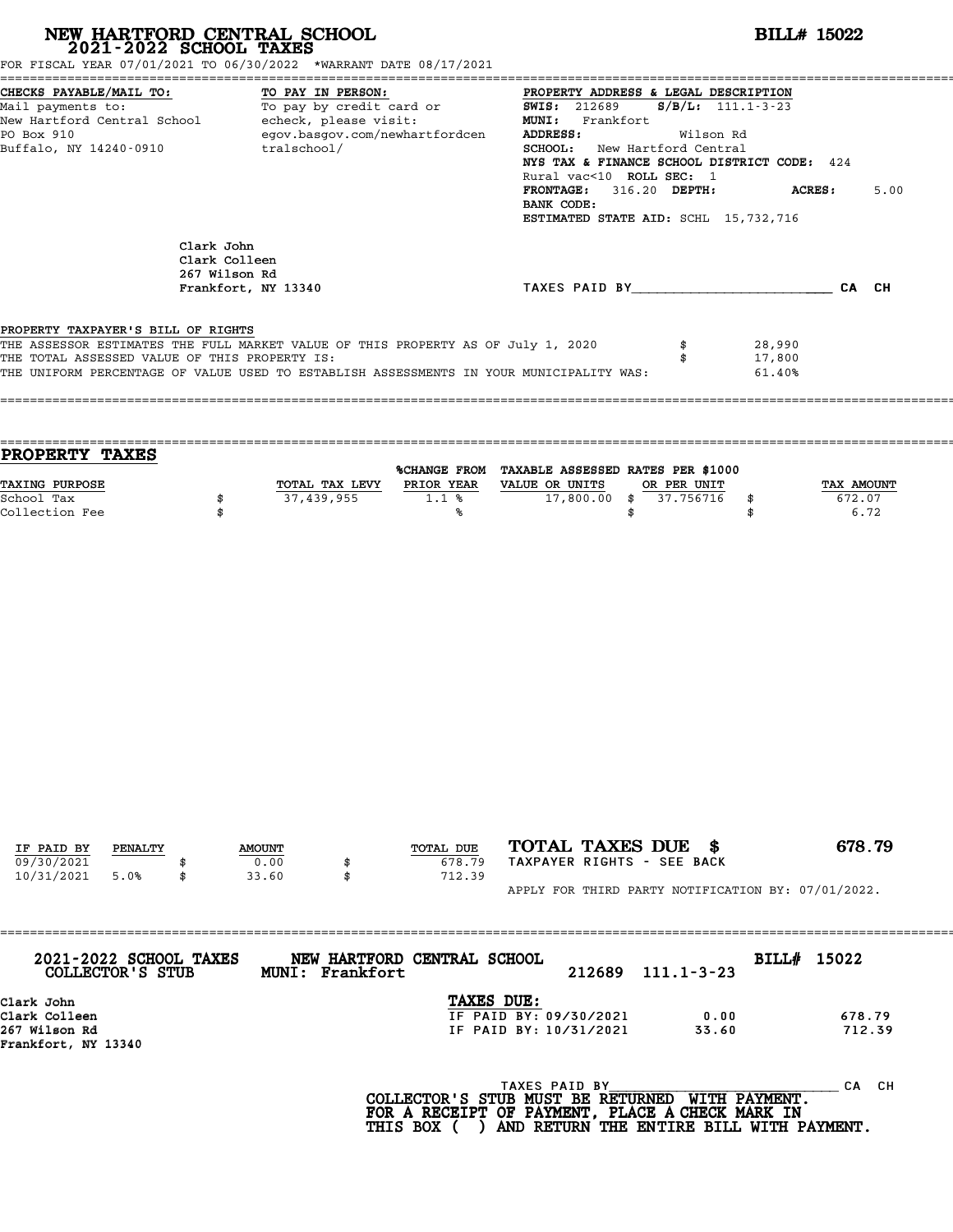| FOR FISCAL YEAR 07/01/2021 TO 06/30/2022 *WARRANT DATE 08/17/2021                                                                                                                                                                                                  |                                              | NEW HARTFORD CENTRAL SCHOOL 2021-2022 SCHOOL TAXES |                                                       |                                                                                                                                                                                                                                                                                                                                                                                                                                                | <b>BILL# 15022</b>                                                 |                              |
|--------------------------------------------------------------------------------------------------------------------------------------------------------------------------------------------------------------------------------------------------------------------|----------------------------------------------|----------------------------------------------------|-------------------------------------------------------|------------------------------------------------------------------------------------------------------------------------------------------------------------------------------------------------------------------------------------------------------------------------------------------------------------------------------------------------------------------------------------------------------------------------------------------------|--------------------------------------------------------------------|------------------------------|
| CHECKS PAYABLE/MAIL TO:<br>PO Box 910<br>Buffalo, NY 14240-0910                                                                                                                                                                                                    |                                              | TO PAY IN PERSON:<br>tralschool/                   | egov.basgov.com/newhartfordcen                        | PROPERTY ADDRESS & LEGAL DESCRIPTION<br>CHECKS PAYABLE/MAIL TO:<br>Mail payments to:<br>Mail payments to:<br>New Hartford Central School echeck, please visit:<br>New Hartford Central School echeck, please visit:<br>MUNI: Frankfort<br>MUNI: Frankfort<br>MUNI: Frankfort<br>MUNI:<br>ADDRESS:<br>SCHOOL: New Hartford Central<br>Rural vac<10 ROLL SEC: 1<br>FRONTAGE: 316.20 DEPTH:<br>BANK CODE:<br>ESTIMATED STATE AID: SCHL 15,732,716 | Wilson Rd<br>NYS TAX & FINANCE SCHOOL DISTRICT CODE: 424<br>ACRES: | 5.00                         |
|                                                                                                                                                                                                                                                                    | Clark John<br>Clark Colleen<br>267 Wilson Rd | Frankfort, NY 13340                                |                                                       |                                                                                                                                                                                                                                                                                                                                                                                                                                                | TAXES PAID BY CAN CH                                               |                              |
| PROPERTY TAXPAYER'S BILL OF RIGHTS<br>THE ASSESSOR ESTIMATES THE FULL MARKET VALUE OF THIS PROPERTY AS OF July 1, 2020<br>THE TOTAL ASSESSED VALUE OF THIS PROPERTY IS:<br>THE UNIFORM PERCENTAGE OF VALUE USED TO ESTABLISH ASSESSMENTS IN YOUR MUNICIPALITY WAS: |                                              |                                                    |                                                       |                                                                                                                                                                                                                                                                                                                                                                                                                                                | \$<br>28,990<br>17,800<br>\$<br>61.40%                             |                              |
| PROPERTY TAXES                                                                                                                                                                                                                                                     |                                              |                                                    |                                                       |                                                                                                                                                                                                                                                                                                                                                                                                                                                |                                                                    |                              |
| TAXING PURPOSE<br>School Tax<br>Collection Fee                                                                                                                                                                                                                     | \$<br>\$                                     | 37,439,955                                         | TOTAL TAX LEVY PRIOR YEAR VALUE OR UNITS<br>1.1%<br>℁ | %CHANGE FROM TAXABLE ASSESSED RATES PER \$1000<br>17,800.00 \$ 37.756716<br>\$                                                                                                                                                                                                                                                                                                                                                                 | OR PER UNIT<br>\$<br>\$                                            | TAX AMOUNT<br>672.07<br>6.72 |
| IF PAID BY<br>PENALTY<br>09/30/2021<br>10/31/2021<br>5.0%                                                                                                                                                                                                          |                                              | <b>AMOUNT</b><br>0.00<br>33.60<br>\$               | TOTAL DUE<br>678.79<br>712.39                         | TOTAL TAXES DUE \$<br>TAXPAYER RIGHTS - SEE BACK                                                                                                                                                                                                                                                                                                                                                                                               |                                                                    | 678.79                       |
|                                                                                                                                                                                                                                                                    |                                              |                                                    |                                                       |                                                                                                                                                                                                                                                                                                                                                                                                                                                | APPLY FOR THIRD PARTY NOTIFICATION BY: 07/01/2022.                 |                              |
| 2021-2022 SCHOOL TAXES<br>COLLECTOR'S STUB<br>Clark John                                                                                                                                                                                                           |                                              | MUNI: Frankfort                                    | NEW HARTFORD CENTRAL SCHOOL<br>TAXES DUE:             | 212689                                                                                                                                                                                                                                                                                                                                                                                                                                         | BILL# 15022<br>$111.1 - 3 - 23$                                    |                              |
| Clark Colleen<br>267 Wilson Rd<br>Frankfort, NY 13340                                                                                                                                                                                                              |                                              |                                                    |                                                       | IF PAID BY: 09/30/2021<br>IF PAID BY: 10/31/2021                                                                                                                                                                                                                                                                                                                                                                                               | 0.00<br>33.60                                                      | 678.79<br>712.39             |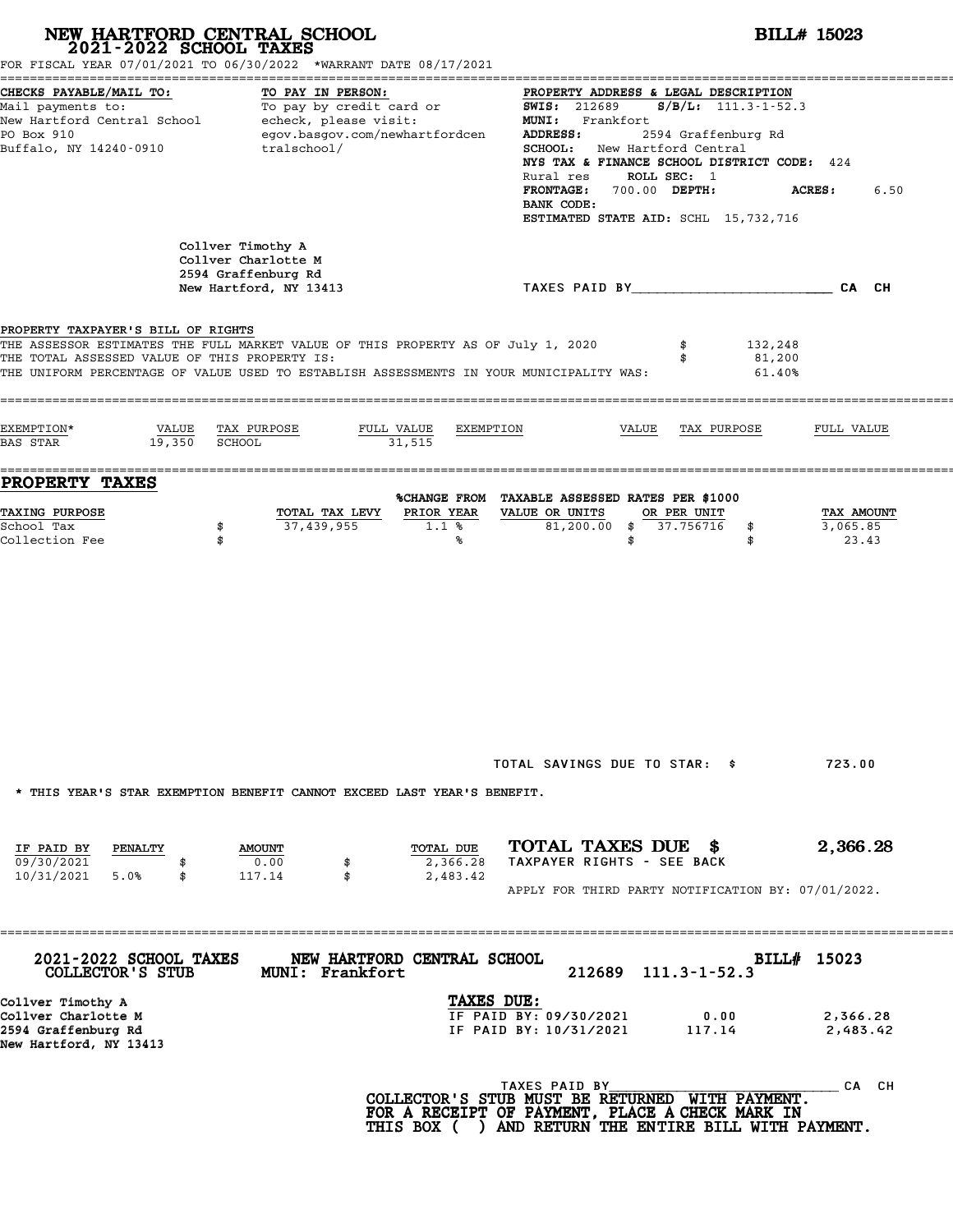|                                                                                                                                                                                                                                                                    | NEW HARTFORD CENTRAL SCHOOL<br>2021-2022 SCHOOL TAXES<br>FOR FISCAL YEAR 07/01/2021 TO 06/30/2022 *WARRANT DATE 08/17/2021 |                                   |                                                                                                                                                                                                                                                                                        | <b>BILL# 15023</b>                            |                                 |
|--------------------------------------------------------------------------------------------------------------------------------------------------------------------------------------------------------------------------------------------------------------------|----------------------------------------------------------------------------------------------------------------------------|-----------------------------------|----------------------------------------------------------------------------------------------------------------------------------------------------------------------------------------------------------------------------------------------------------------------------------------|-----------------------------------------------|---------------------------------|
| CHECKS PAYABLE/MAIL TO:<br>Mail payments to:<br>Mail payments to:<br>New Hartford Central School echeck, please visit:<br>PO Box 910<br>Buffalo, NY 14240-0910                                                                                                     | TO PAY IN PERSON:<br>egov.basgov.com/newhartfordcen<br>tralschool/                                                         |                                   | PROPERTY ADDRESS & LEGAL DESCRIPTION<br><b>SWIS: 212689</b><br>MUNI: Frankfort<br>ADDRESS:<br>SCHOOL: New Hartford Central<br>NYS TAX & FINANCE SCHOOL DISTRICT CODE: 424<br>ROLL SEC: 1<br>Rural res<br>FRONTAGE: 700.00 DEPTH:<br>BANK CODE:<br>ESTIMATED STATE AID: SCHL 15,732,716 | $S/B/L$ : 111.3-1-52.3<br>2594 Graffenburg Rd | 6.50<br><b>ACRES:</b>           |
|                                                                                                                                                                                                                                                                    | Collver Timothy A<br>Collver Charlotte M<br>2594 Graffenburg Rd<br>New Hartford, NY 13413                                  |                                   | TAXES PAID BY___________________________CA CH                                                                                                                                                                                                                                          |                                               |                                 |
| PROPERTY TAXPAYER'S BILL OF RIGHTS<br>THE ASSESSOR ESTIMATES THE FULL MARKET VALUE OF THIS PROPERTY AS OF July 1, 2020<br>THE TOTAL ASSESSED VALUE OF THIS PROPERTY IS:<br>THE UNIFORM PERCENTAGE OF VALUE USED TO ESTABLISH ASSESSMENTS IN YOUR MUNICIPALITY WAS: |                                                                                                                            |                                   | \$<br>\$                                                                                                                                                                                                                                                                               | 132,248<br>81,200<br>61.40%                   |                                 |
| EXEMPTION*<br>VALUE<br>19,350<br><b>BAS STAR</b>                                                                                                                                                                                                                   | TAX PURPOSE<br>FULL VALUE<br>SCHOOL                                                                                        | EXEMPTION<br>31,515               | VALUE                                                                                                                                                                                                                                                                                  | TAX PURPOSE                                   | FULL VALUE                      |
| PROPERTY TAXES                                                                                                                                                                                                                                                     |                                                                                                                            |                                   | %CHANGE FROM TAXABLE ASSESSED RATES PER \$1000                                                                                                                                                                                                                                         |                                               |                                 |
| TAXING PURPOSE<br>School Tax<br>Collection Fee                                                                                                                                                                                                                     | TOTAL TAX LEVY<br>37,439,955<br>\$<br>\$                                                                                   | PRIOR YEAR<br>1.1%<br>℁           | VALUE OR UNITS<br>OR PER UNIT<br>$81,200.00$ \$<br>37.756716<br>\$                                                                                                                                                                                                                     | \$<br>\$                                      | TAX AMOUNT<br>3,065.85<br>23.43 |
|                                                                                                                                                                                                                                                                    |                                                                                                                            |                                   |                                                                                                                                                                                                                                                                                        |                                               |                                 |
| * THIS YEAR'S STAR EXEMPTION BENEFIT CANNOT EXCEED LAST YEAR'S BENEFIT.<br>IF PAID BY<br>PENALTY<br>09/30/2021<br>10/31/2021<br>5.0%<br>\$                                                                                                                         | <b>AMOUNT</b><br>0.00<br>\$<br>117.14<br>\$                                                                                | TOTAL DUE<br>2,366.28<br>2,483.42 | TOTAL SAVINGS DUE TO STAR: \$<br>TOTAL TAXES DUE \$<br>TAXPAYER RIGHTS - SEE BACK<br>APPLY FOR THIRD PARTY NOTIFICATION BY: 07/01/2022.                                                                                                                                                |                                               | 723.00<br>2,366.28              |
| 2021-2022 SCHOOL TAXES<br>COLLECTOR'S STUB                                                                                                                                                                                                                         | NEW HARTFORD CENTRAL SCHOOL<br>MUNI: Frankfort                                                                             |                                   | 212689<br>$111.3 - 1 - 52.3$                                                                                                                                                                                                                                                           | BILL# 15023                                   |                                 |
| Collver Timothy A<br>Collver Charlotte M<br>2594 Graffenburg Rd<br>New Hartford, NY 13413                                                                                                                                                                          |                                                                                                                            | TAXES DUE:                        | IF PAID BY: 09/30/2021<br>IF PAID BY: 10/31/2021                                                                                                                                                                                                                                       | 0.00<br>117.14                                | 2,366.28<br>2,483.42            |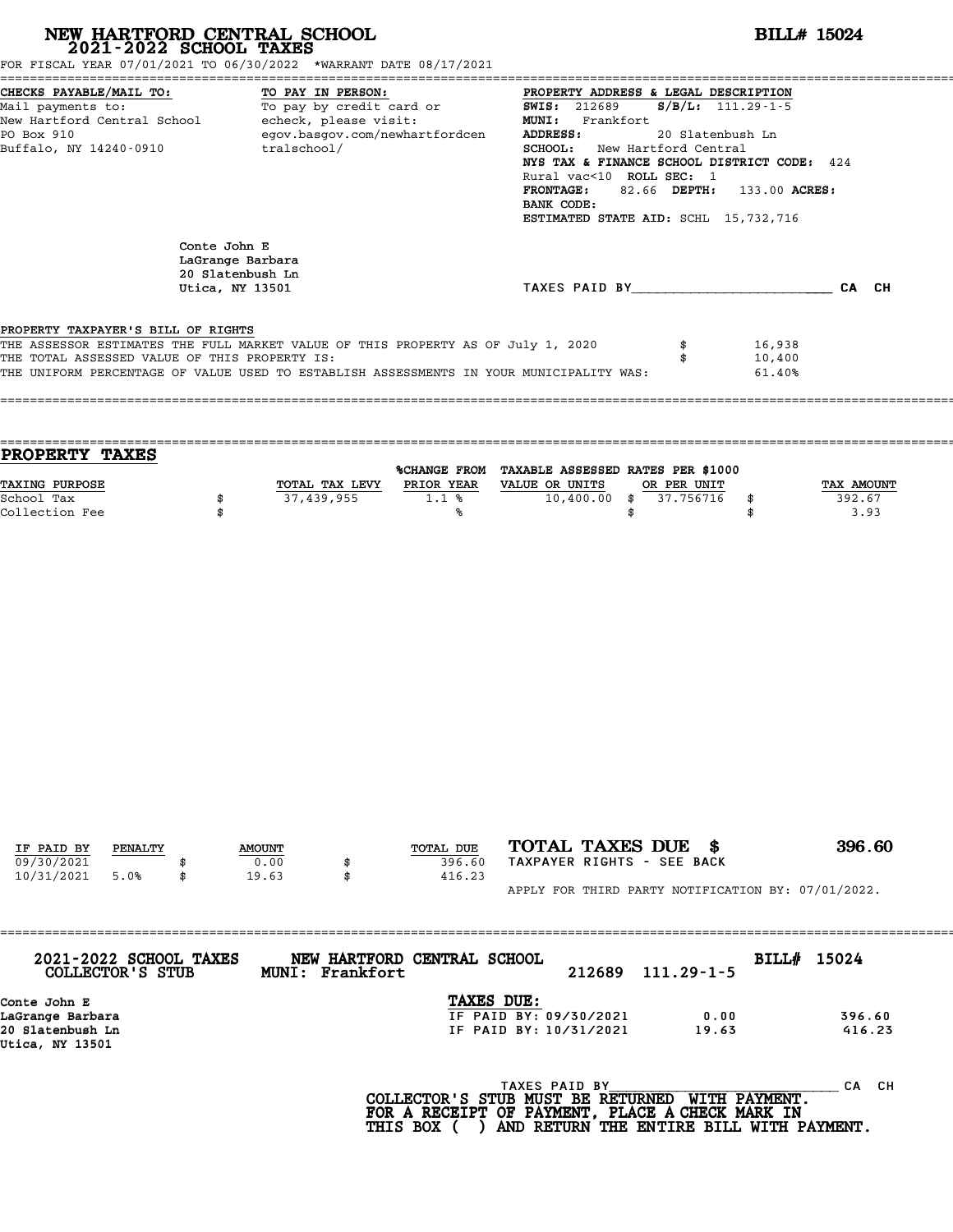| Conte John E<br>LaGrange Barbara<br>20 Slatenbush Ln<br>Utica, NY 13501                                                                                                                                                                                            |                                                         | TAXES PAID BY CA CH                                             |                                          |
|--------------------------------------------------------------------------------------------------------------------------------------------------------------------------------------------------------------------------------------------------------------------|---------------------------------------------------------|-----------------------------------------------------------------|------------------------------------------|
| PROPERTY TAXPAYER'S BILL OF RIGHTS<br>THE ASSESSOR ESTIMATES THE FULL MARKET VALUE OF THIS PROPERTY AS OF July 1, 2020<br>THE TOTAL ASSESSED VALUE OF THIS PROPERTY IS:<br>THE UNIFORM PERCENTAGE OF VALUE USED TO ESTABLISH ASSESSMENTS IN YOUR MUNICIPALITY WAS: |                                                         |                                                                 |                                          |
|                                                                                                                                                                                                                                                                    |                                                         | \$<br>\$                                                        | 16,938<br>10,400<br>61.40%               |
| <b>PROPERTY TAXES</b>                                                                                                                                                                                                                                              |                                                         | %CHANGE FROM TAXABLE ASSESSED RATES PER \$1000                  |                                          |
| TAXING PURPOSE<br>\$<br>School Tax<br>Collection Fee<br>\$                                                                                                                                                                                                         | TOTAL TAX LEVY<br>PRIOR YEAR<br>37,439,955<br>1.1%<br>℁ | VALUE OR UNITS<br>OR PER UNIT<br>10,400.00<br>\$37.756716<br>\$ | TAX AMOUNT<br>392.67<br>\$<br>\$<br>3.93 |
|                                                                                                                                                                                                                                                                    |                                                         |                                                                 |                                          |

| 2021-2022 SCHOOL TAXES |                |               | NEW HARTFORD CENTRAL SCHOOL |           |                            |  | BILL# 15024 |                                                    |
|------------------------|----------------|---------------|-----------------------------|-----------|----------------------------|--|-------------|----------------------------------------------------|
| 10/31/2021             | 5.0%           | 19.63         |                             | 416.23    |                            |  |             | APPLY FOR THIRD PARTY NOTIFICATION BY: 07/01/2022. |
| 09/30/2021             |                | 0.00          |                             | 396.60    | TAXPAYER RIGHTS - SEE BACK |  |             |                                                    |
| IF PAID BY             | <b>PENALTY</b> | <b>AMOUNT</b> |                             | TOTAL DUE | TOTAL TAXES DUE \$         |  |             | 396.60                                             |

| TAXES DUE:<br>Conte John E<br>IF PAID BY: 09/30/2021<br>LaGrange Barbara<br>0.00<br>IF PAID BY: 10/31/2021<br>19.63 | COLLECTOR'S STUB | BILL# 15024 |
|---------------------------------------------------------------------------------------------------------------------|------------------|-------------|
|                                                                                                                     |                  |             |
|                                                                                                                     |                  | 396.60      |
| Utica, NY 13501                                                                                                     | 20 Slatenbush Ln | 416.23      |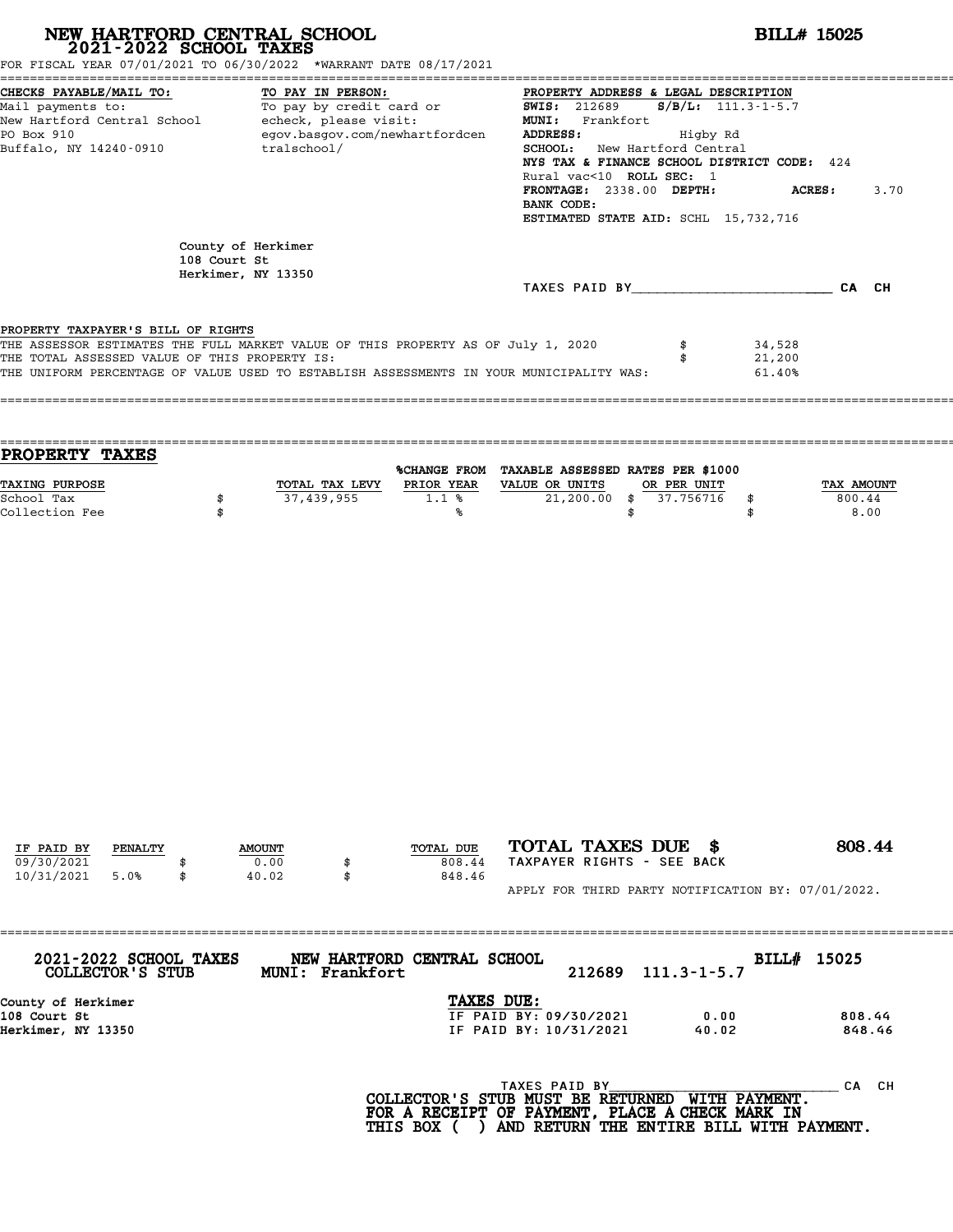| NEW HARTFORD CENTRAL SCHOOL 2021-2022 SCHOOL TAXES<br>FOR FISCAL YEAR 07/01/2021 TO 06/30/2022 *WARRANT DATE 08/17/2021                                                                                                                                              |                                                          |                                            |                                         |                                                                                                                                                                                                  | <b>BILL# 15025</b>                    |                            |                    |  |  |
|----------------------------------------------------------------------------------------------------------------------------------------------------------------------------------------------------------------------------------------------------------------------|----------------------------------------------------------|--------------------------------------------|-----------------------------------------|--------------------------------------------------------------------------------------------------------------------------------------------------------------------------------------------------|---------------------------------------|----------------------------|--------------------|--|--|
| CHECKS PAYABLE/MAIL TO:<br>Mail payments to:<br>Mail payments to:<br>New Hartford Central School echeck, please visit:<br>MINI: Frankfort MONI: Frankfort Migby Rd<br>PO Box 910 eqov.basgov.com/newhartfordcen ADDRESS: Higby Rd<br>MINI:<br>Buffalo, NY 14240-0910 |                                                          | TO PAY IN PERSON:<br>tralschool/           |                                         | <b>SCHOOL:</b> New Hartford Central<br>NYS TAX & FINANCE SCHOOL DISTRICT CODE: 424<br>Rural vac<10 ROLL SEC: 1<br>FRONTAGE: 2338.00 DEPTH:<br>BANK CODE:<br>ESTIMATED STATE AID: SCHL 15,732,716 |                                       | ACRES:                     | 3.70               |  |  |
|                                                                                                                                                                                                                                                                      | County of Herkimer<br>108 Court St<br>Herkimer, NY 13350 |                                            |                                         |                                                                                                                                                                                                  |                                       |                            |                    |  |  |
|                                                                                                                                                                                                                                                                      |                                                          |                                            |                                         |                                                                                                                                                                                                  |                                       | TAXES PAID BY CA CH        |                    |  |  |
| PROPERTY TAXPAYER'S BILL OF RIGHTS<br>THE ASSESSOR ESTIMATES THE FULL MARKET VALUE OF THIS PROPERTY AS OF July 1, 2020<br>THE TOTAL ASSESSED VALUE OF THIS PROPERTY IS:<br>THE UNIFORM PERCENTAGE OF VALUE USED TO ESTABLISH ASSESSMENTS IN YOUR MUNICIPALITY WAS:   |                                                          |                                            |                                         |                                                                                                                                                                                                  | \$<br>\$                              | 34,528<br>21,200<br>61.40% |                    |  |  |
| PROPERTY TAXES                                                                                                                                                                                                                                                       |                                                          |                                            |                                         |                                                                                                                                                                                                  |                                       |                            |                    |  |  |
| TAXING PURPOSE<br>School Tax<br>Collection Fee                                                                                                                                                                                                                       | \$<br>\$                                                 | 37,439,955                                 | TOTAL TAX LEVY PRIOR YEAR<br>1.1%<br>%ร | %CHANGE FROM TAXABLE ASSESSED RATES PER \$1000<br>VALUE OR UNITS<br>\$                                                                                                                           | OR PER UNIT<br>21,200.00 \$ 37.756716 | 800.44<br>\$<br>\$         | TAX AMOUNT<br>8.00 |  |  |
|                                                                                                                                                                                                                                                                      |                                                          |                                            |                                         |                                                                                                                                                                                                  |                                       |                            |                    |  |  |
| IF PAID BY<br>PENALTY<br>09/30/2021<br>10/31/2021<br>5.0%<br>\$                                                                                                                                                                                                      |                                                          | <b>AMOUNT</b><br>0.00<br>\$<br>40.02<br>\$ | TOTAL DUE<br>808.44<br>848.46           | TOTAL TAXES DUE \$<br>TAXPAYER RIGHTS - SEE BACK                                                                                                                                                 |                                       |                            | 808.44             |  |  |
|                                                                                                                                                                                                                                                                      |                                                          |                                            |                                         | APPLY FOR THIRD PARTY NOTIFICATION BY: 07/01/2022.                                                                                                                                               |                                       |                            |                    |  |  |
| 2021-2022 SCHOOL TAXES<br>COLLECTOR'S STUB                                                                                                                                                                                                                           |                                                          | MUNI: Frankfort                            | NEW HARTFORD CENTRAL SCHOOL             | 212689                                                                                                                                                                                           | $111.3 - 1 - 5.7$                     | BILL# 15025                |                    |  |  |
| County of Herkimer<br>108 Court St<br>Herkimer, NY 13350                                                                                                                                                                                                             |                                                          |                                            |                                         | TAXES DUE:<br>IF PAID BY: 09/30/2021<br>IF PAID BY: 10/31/2021                                                                                                                                   | 0.00<br>40.02                         |                            | 808.44<br>848.46   |  |  |
|                                                                                                                                                                                                                                                                      |                                                          |                                            |                                         |                                                                                                                                                                                                  |                                       |                            |                    |  |  |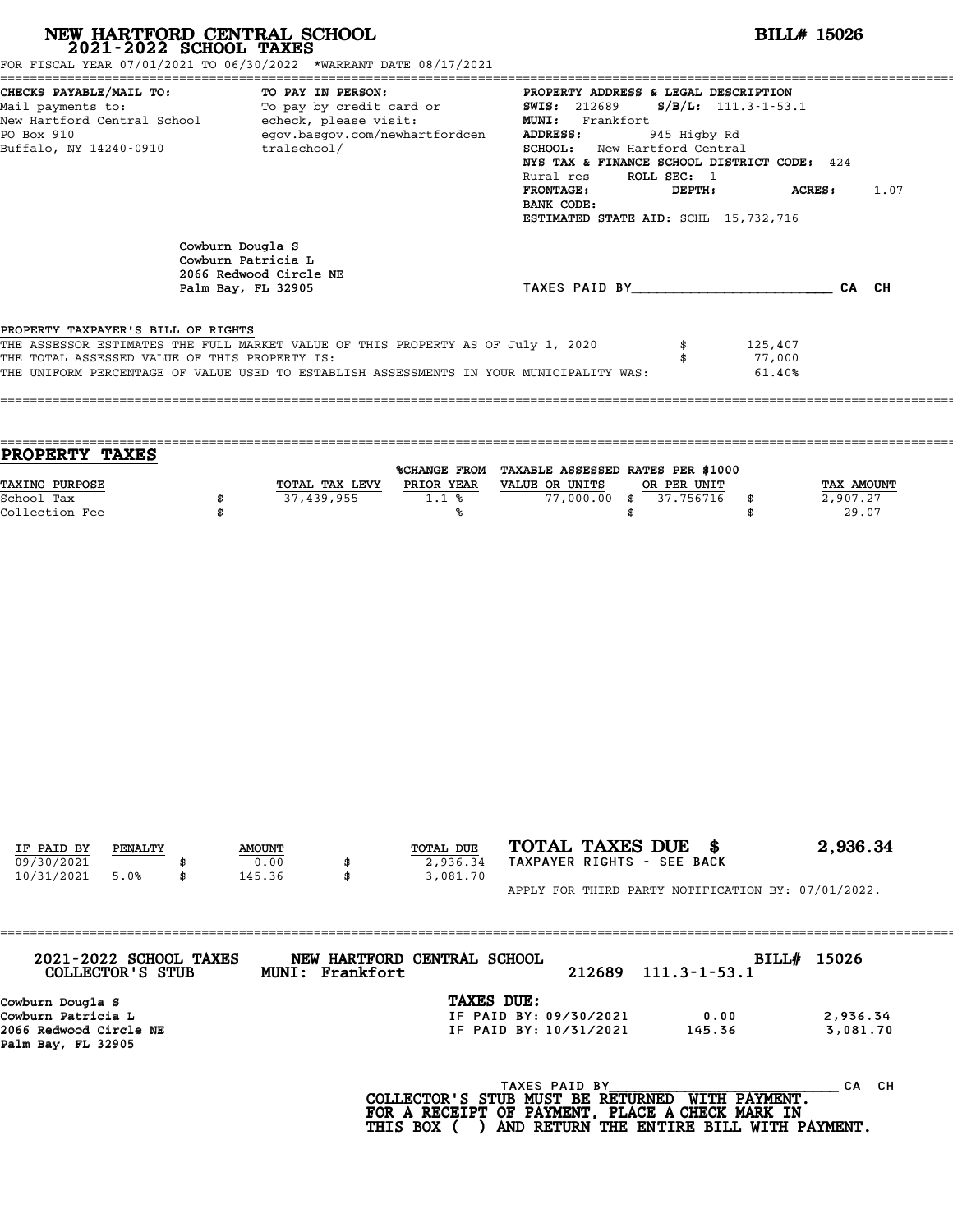| FOR FISCAL YEAR 07/01/2021 TO 06/30/2022 *WARRANT DATE 08/17/2021                                                                                                       |          | NEW HARTFORD CENTRAL SCHOOL 2021-2022 SCHOOL TAXES                                                                  |              | <b>BILL# 15026</b>                                                                                                                                                                                                                                                                                                                                               |  |  |  |  |
|-------------------------------------------------------------------------------------------------------------------------------------------------------------------------|----------|---------------------------------------------------------------------------------------------------------------------|--------------|------------------------------------------------------------------------------------------------------------------------------------------------------------------------------------------------------------------------------------------------------------------------------------------------------------------------------------------------------------------|--|--|--|--|
| CHECKS PAYABLE/MAIL TO:<br>Mail payments to:<br>New Hartford Central School - echeck, please visit:<br>PO Box 910<br>Buffalo, NY 14240-0910                             |          | TO PAY IN PERSON:<br>TO PAI IN PERSON:<br>To pay by credit card or<br>egov.basgov.com/newhartfordcen<br>tralschool/ |              | PROPERTY ADDRESS & LEGAL DESCRIPTION<br>$S/B/L: 111.3 - 1 - 53.1$<br><b>SWIS: 212689</b><br>MUNI: Frankfort<br>ADDRESS:<br>945 Higby Rd<br>SCHOOL: New Hartford Central<br>NYS TAX & FINANCE SCHOOL DISTRICT CODE: 424<br>ROLL SEC: 1<br>Rural res<br><b>FRONTAGE:</b><br><b>ACRES :</b><br>DEPTH:<br>1.07<br>BANK CODE:<br>ESTIMATED STATE AID: SCHL 15,732,716 |  |  |  |  |
|                                                                                                                                                                         |          | Cowburn Dougla S<br>Cowburn Patricia L<br>2066 Redwood Circle NE<br>Palm Bay, FL 32905                              |              | TAXES PAID BY CAN CH                                                                                                                                                                                                                                                                                                                                             |  |  |  |  |
| PROPERTY TAXPAYER'S BILL OF RIGHTS<br>THE ASSESSOR ESTIMATES THE FULL MARKET VALUE OF THIS PROPERTY AS OF July 1, 2020<br>THE TOTAL ASSESSED VALUE OF THIS PROPERTY IS: |          |                                                                                                                     |              | \$<br>125,407<br>77,000<br>\$<br>THE UNIFORM PERCENTAGE OF VALUE USED TO ESTABLISH ASSESSMENTS IN YOUR MUNICIPALITY WAS:<br>61.40%                                                                                                                                                                                                                               |  |  |  |  |
| PROPERTY TAXES                                                                                                                                                          |          |                                                                                                                     |              |                                                                                                                                                                                                                                                                                                                                                                  |  |  |  |  |
| TAXING PURPOSE<br>School Tax<br>Collection Fee                                                                                                                          | \$<br>\$ | 37,439,955                                                                                                          | $1.1$ %<br>℁ | %CHANGE FROM TAXABLE ASSESSED RATES PER \$1000<br>TOTAL TAX LEVY PRIOR YEAR VALUE OR UNITS<br>OR PER UNIT<br>TAX AMOUNT<br>$77,000.00$ \$<br>37.756716<br>2,907.27<br>\$<br>29.07<br>\$<br>\$                                                                                                                                                                    |  |  |  |  |
|                                                                                                                                                                         |          |                                                                                                                     |              |                                                                                                                                                                                                                                                                                                                                                                  |  |  |  |  |
|                                                                                                                                                                         |          |                                                                                                                     |              |                                                                                                                                                                                                                                                                                                                                                                  |  |  |  |  |

Cowburn Dougla S<br>Cowburn Patricia L<br>2066 Redwood Circle NE<br>Palm Bay, FL 32905

COLLECTOR'S STUB MUNI: Frankfort 212689 111.3-1-53.1<br>
Cowburn Dougla S<br>
Cowburn Patricia L<br>
2,936.34<br>
2066 Pedwood Circle NF (2,936) 2013 US (2,936) 165.36 (3,081 70 2066 Redwood Circle NE IF PAID BY: 10/31/2021 145.36 3,081.70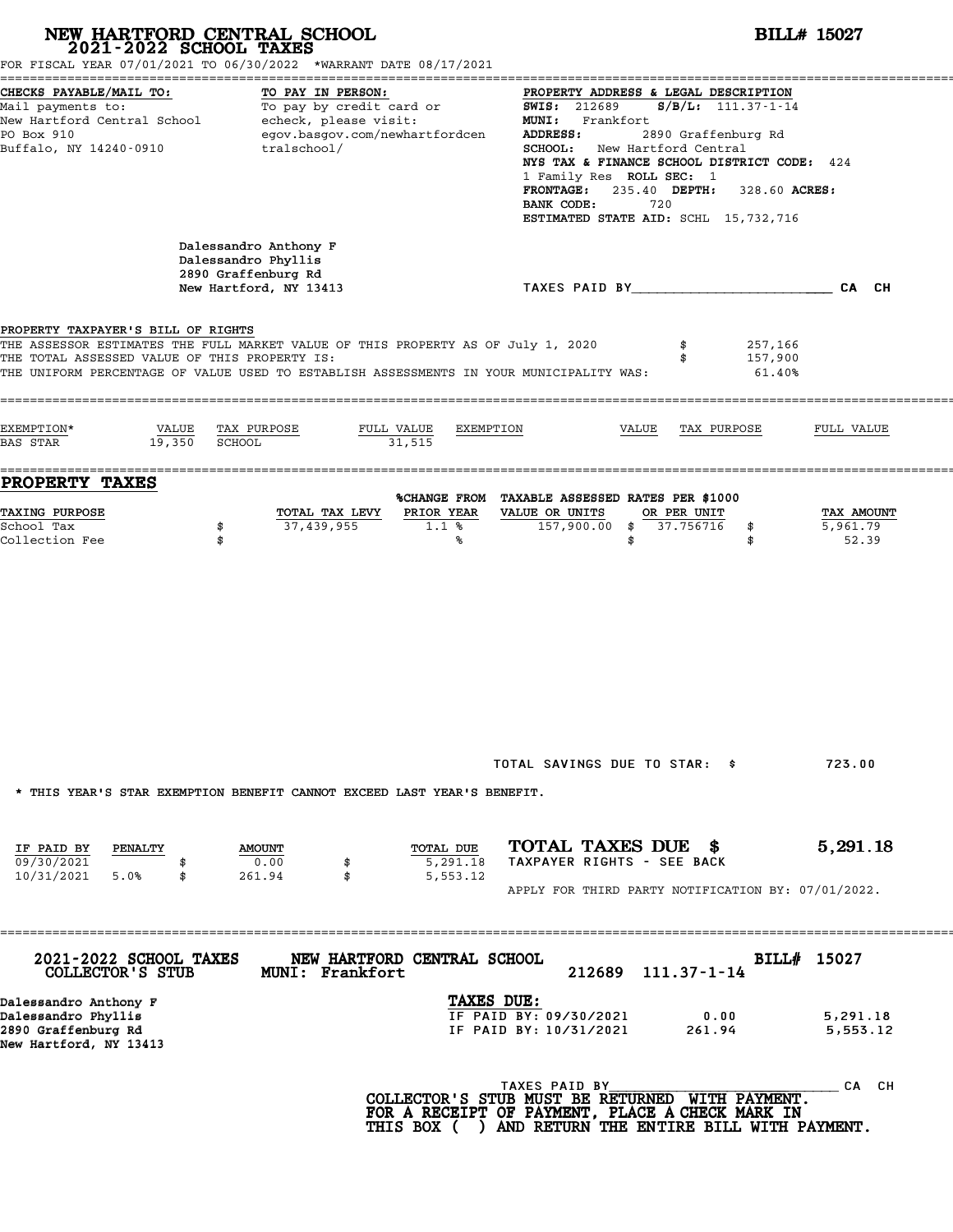|                                                                                                                                         | NEW HARTFORD CENTRAL SCHOOL<br>2021-2022 SCHOOL TAXES<br>FOR FISCAL YEAR 07/01/2021 TO 06/30/2022 *WARRANT DATE 08/17/2021                       |                                                                                                                                                                                                                                                                                                                                                             | <b>BILL# 15027</b>                          |  |  |  |  |
|-----------------------------------------------------------------------------------------------------------------------------------------|--------------------------------------------------------------------------------------------------------------------------------------------------|-------------------------------------------------------------------------------------------------------------------------------------------------------------------------------------------------------------------------------------------------------------------------------------------------------------------------------------------------------------|---------------------------------------------|--|--|--|--|
| CHECKS PAYABLE/MAIL TO:<br>Mail payments to:<br>New Hartford Central School<br>PO Box 910<br>Buffalo, NY 14240-0910                     | TO PAY IN PERSON:<br>To pay by credit card<br>echeck, please visit:<br>To pay by credit card or<br>egov.basgov.com/newhartfordcen<br>tralschool/ | PROPERTY ADDRESS & LEGAL DESCRIPTION<br>$S/B/L$ : 111.37-1-14<br><b>SWIS: 212689</b><br>MUNI: Frankfort<br>2890 Graffenburg Rd<br>ADDRESS:<br>SCHOOL: New Hartford Central<br>NYS TAX & FINANCE SCHOOL DISTRICT CODE: 424<br>1 Family Res ROLL SEC: 1<br>FRONTAGE: 235.40 DEPTH: 328.60 ACRES:<br>BANK CODE:<br>720<br>ESTIMATED STATE AID: SCHL 15,732,716 |                                             |  |  |  |  |
|                                                                                                                                         | Dalessandro Anthony F<br>Dalessandro Phyllis<br>2890 Graffenburg Rd<br>New Hartford, NY 13413                                                    | TAXES PAID BY___________________________CA CH                                                                                                                                                                                                                                                                                                               |                                             |  |  |  |  |
| PROPERTY TAXPAYER'S BILL OF RIGHTS<br>THE TOTAL ASSESSED VALUE OF THIS PROPERTY IS:<br>EXEMPTION*<br>VALUE<br>19,350<br><b>BAS STAR</b> | THE ASSESSOR ESTIMATES THE FULL MARKET VALUE OF THIS PROPERTY AS OF July 1, 2020<br>TAX PURPOSE<br>FULL VALUE<br>SCHOOL<br>31,515                | \$<br>\$<br>THE UNIFORM PERCENTAGE OF VALUE USED TO ESTABLISH ASSESSMENTS IN YOUR MUNICIPALITY WAS:<br>EXEMPTION<br>VALUE<br>TAX PURPOSE                                                                                                                                                                                                                    | 257,166<br>157,900<br>61.40%<br>FULL VALUE  |  |  |  |  |
| <b>PROPERTY TAXES</b>                                                                                                                   |                                                                                                                                                  |                                                                                                                                                                                                                                                                                                                                                             |                                             |  |  |  |  |
| TAXING PURPOSE<br>School Tax<br>Collection Fee                                                                                          | TOTAL TAX LEVY<br>37,439,955<br>\$<br>\$                                                                                                         | %CHANGE FROM TAXABLE ASSESSED RATES PER \$1000<br>PRIOR YEAR<br>VALUE OR UNITS<br>OR PER UNIT<br>157,900.00 \$<br>37.756716<br>1.1%<br>\$<br>℁                                                                                                                                                                                                              | TAX AMOUNT<br>5,961.79<br>\$<br>52.39<br>\$ |  |  |  |  |
|                                                                                                                                         | * THIS YEAR'S STAR EXEMPTION BENEFIT CANNOT EXCEED LAST YEAR'S BENEFIT.                                                                          | TOTAL SAVINGS DUE TO STAR: \$                                                                                                                                                                                                                                                                                                                               | 723.00                                      |  |  |  |  |
| IF PAID BY<br>PENALTY<br>09/30/2021<br>10/31/2021<br>5.0%<br>\$                                                                         | <b>AMOUNT</b><br>0.00<br>\$<br>261.94<br>\$                                                                                                      | TOTAL TAXES DUE \$<br>TOTAL DUE<br>TAXPAYER RIGHTS - SEE BACK<br>5,291.18<br>5,553.12<br>APPLY FOR THIRD PARTY NOTIFICATION BY: 07/01/2022.                                                                                                                                                                                                                 | 5,291.18                                    |  |  |  |  |
| 2021-2022 SCHOOL TAXES<br>COLLECTOR'S STUB                                                                                              | NEW HARTFORD CENTRAL SCHOOL<br>MUNI: Frankfort                                                                                                   | 212689<br>$111.37 - 1 - 14$                                                                                                                                                                                                                                                                                                                                 | BILL# 15027                                 |  |  |  |  |
| Dalessandro Anthony F<br>Dalessandro Phyllis<br>2890 Graffenburg Rd<br>New Hartford, NY 13413                                           |                                                                                                                                                  | TAXES DUE:<br>IF PAID BY: 09/30/2021<br>0.00<br>IF PAID BY: 10/31/2021<br>261.94                                                                                                                                                                                                                                                                            | 5,291.18<br>5,553.12                        |  |  |  |  |
|                                                                                                                                         | COLLECTOR'S STUB MUST BE RETURNED WITH PAYMENT.                                                                                                  | TAXES PAID BY                                                                                                                                                                                                                                                                                                                                               | CA CH                                       |  |  |  |  |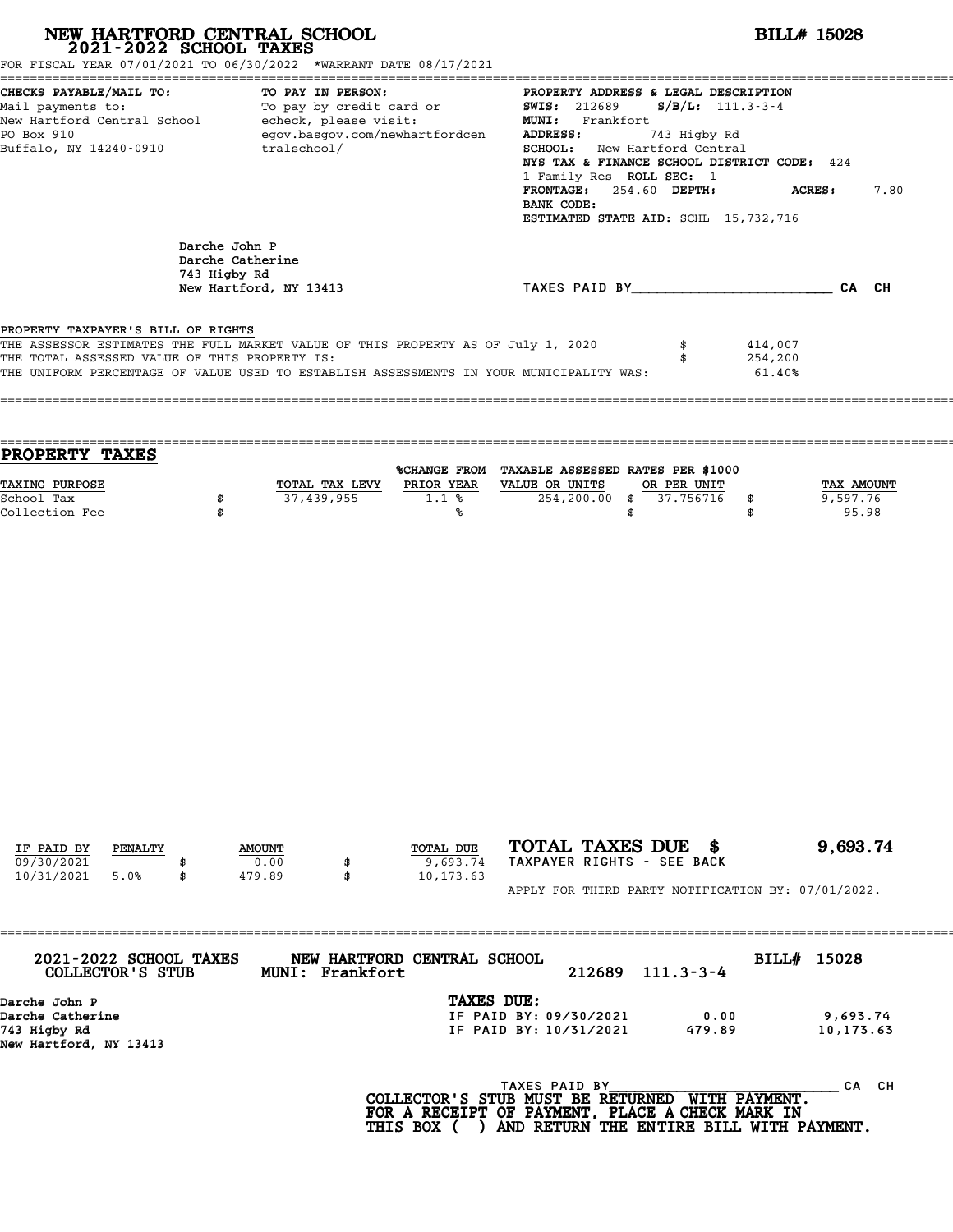| NEW HARTFORD CENTRAL SCHOOL 2021-2022 SCHOOL TAXES<br>FOR FISCAL YEAR 07/01/2021 TO 06/30/2022 *WARRANT DATE 08/17/2021                                                                                                                                            |                                                   |                                  |                                                            | <b>BILL# 15028</b>                                                                                                                                                                                                                                                                     |                                    |                              |                                 |  |
|--------------------------------------------------------------------------------------------------------------------------------------------------------------------------------------------------------------------------------------------------------------------|---------------------------------------------------|----------------------------------|------------------------------------------------------------|----------------------------------------------------------------------------------------------------------------------------------------------------------------------------------------------------------------------------------------------------------------------------------------|------------------------------------|------------------------------|---------------------------------|--|
| CHECKS PAYABLE/MAIL TO:<br>Mail payments to:<br>New Hartford Central School - echeck, please visit:<br>PO Box 910<br>Buffalo, NY 14240-0910                                                                                                                        |                                                   | TO PAY IN PERSON:<br>tralschool/ | To pay by credit card or<br>egov.basgov.com/newhartfordcen | PROPERTY ADDRESS & LEGAL DESCRIPTION<br><b>SWIS: 212689</b><br>MUNI: Frankfort<br>ADDRESS:<br>SCHOOL: New Hartford Central<br>NYS TAX & FINANCE SCHOOL DISTRICT CODE: 424<br>1 Family Res ROLL SEC: 1<br>FRONTAGE: 254.60 DEPTH:<br>BANK CODE:<br>ESTIMATED STATE AID: SCHL 15,732,716 | $S/B/L: 111.3-3-4$<br>743 Higby Rd | <b>ACRES:</b>                | 7.80                            |  |
|                                                                                                                                                                                                                                                                    | Darche John P<br>Darche Catherine<br>743 Higby Rd | New Hartford, NY 13413           |                                                            | TAXES PAID BY____________________________CA CH                                                                                                                                                                                                                                         |                                    |                              |                                 |  |
| PROPERTY TAXPAYER'S BILL OF RIGHTS<br>THE ASSESSOR ESTIMATES THE FULL MARKET VALUE OF THIS PROPERTY AS OF July 1, 2020<br>THE TOTAL ASSESSED VALUE OF THIS PROPERTY IS:<br>THE UNIFORM PERCENTAGE OF VALUE USED TO ESTABLISH ASSESSMENTS IN YOUR MUNICIPALITY WAS: |                                                   |                                  |                                                            |                                                                                                                                                                                                                                                                                        | \$<br>\$                           | 414,007<br>254,200<br>61.40% |                                 |  |
| PROPERTY TAXES                                                                                                                                                                                                                                                     |                                                   |                                  |                                                            | %CHANGE FROM TAXABLE ASSESSED RATES PER \$1000                                                                                                                                                                                                                                         |                                    |                              |                                 |  |
| TAXING PURPOSE<br>School Tax<br>Collection Fee                                                                                                                                                                                                                     | \$<br>\$                                          | 37,439,955                       | TOTAL TAX LEVY PRIOR YEAR VALUE OR UNITS<br>1.1%<br>%      | $254, 200.00$ \$<br>\$                                                                                                                                                                                                                                                                 | OR PER UNIT<br>37.756716           | \$<br>\$                     | TAX AMOUNT<br>9,597.76<br>95.98 |  |
| IF PAID BY<br><b>PENALTY</b>                                                                                                                                                                                                                                       |                                                   | <b>AMOUNT</b>                    | TOTAL DUE                                                  | TOTAL TAXES DUE \$                                                                                                                                                                                                                                                                     |                                    |                              | 9,693.74                        |  |
| 09/30/2021<br>10/31/2021<br>5.0%                                                                                                                                                                                                                                   | \$                                                | 0.00<br>479.89<br>\$             | 9,693.74<br>10,173.63                                      | TAXPAYER RIGHTS - SEE BACK<br>APPLY FOR THIRD PARTY NOTIFICATION BY: 07/01/2022.                                                                                                                                                                                                       |                                    |                              |                                 |  |
| 2021-2022 SCHOOL TAXES<br>COLLECTOR'S STUB                                                                                                                                                                                                                         |                                                   | MUNI: Frankfort                  | NEW HARTFORD CENTRAL SCHOOL                                | 212689                                                                                                                                                                                                                                                                                 | $111.3 - 3 - 4$                    | BILL# 15028                  |                                 |  |
| Darche John P<br>Darche Catherine<br>743 Higby Rd<br>New Hartford, NY 13413                                                                                                                                                                                        |                                                   |                                  | TAXES DUE:                                                 | IF PAID BY: 09/30/2021<br>IF PAID BY: 10/31/2021                                                                                                                                                                                                                                       | 0.00<br>479.89                     |                              | 9,693.74<br>10,173.63           |  |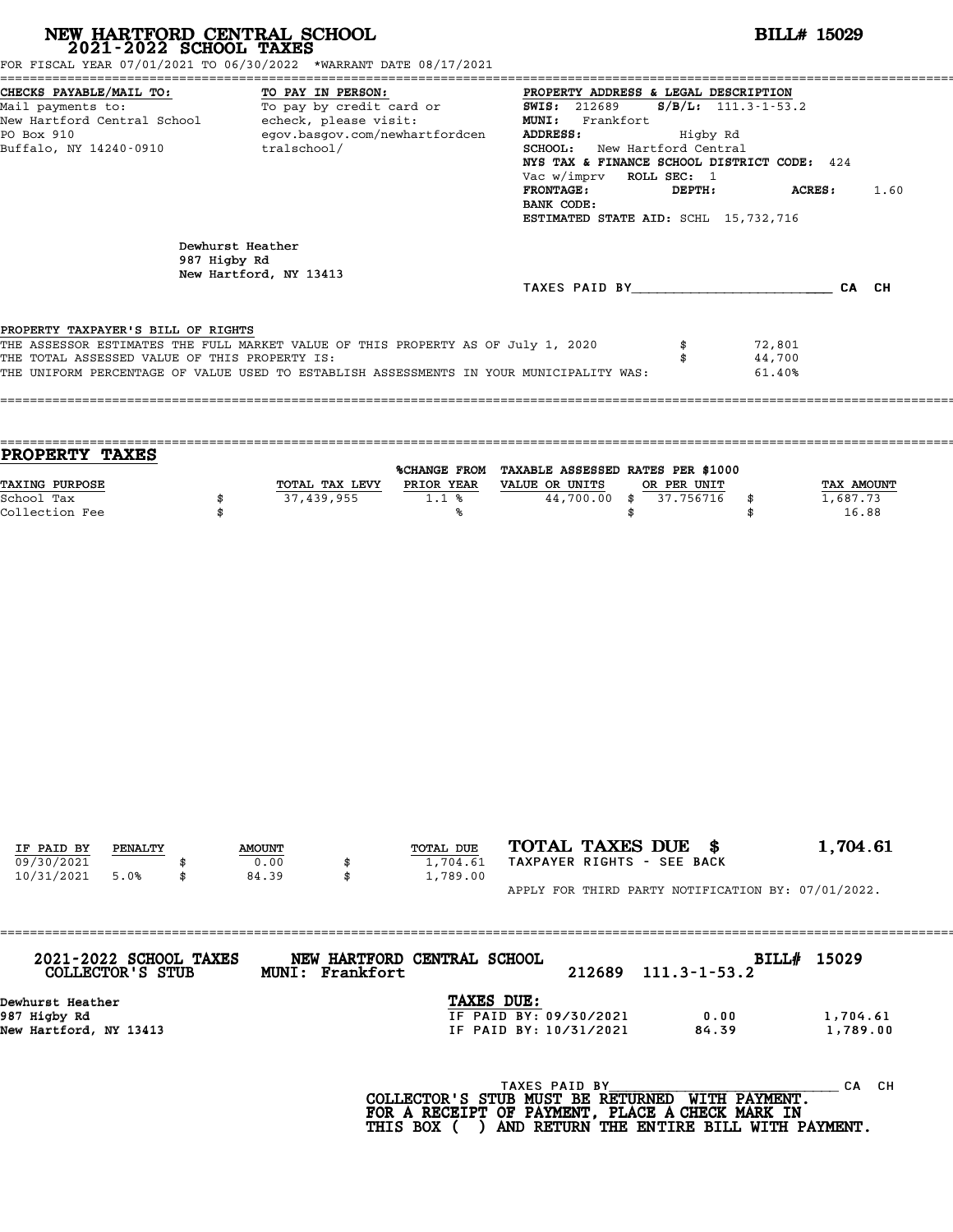| NEW HARTFORD CENTRAL SCHOOL 2021-2022 SCHOOL TAXES<br>FOR FISCAL YEAR 07/01/2021 TO 06/30/2022 *WARRANT DATE 08/17/2021                                                                                                                                            |                                                            |                              |                                                                                     | <b>BILL# 15029</b>                                                                                                  |                                                                                                                                                                                                             |                            |                                        |  |
|--------------------------------------------------------------------------------------------------------------------------------------------------------------------------------------------------------------------------------------------------------------------|------------------------------------------------------------|------------------------------|-------------------------------------------------------------------------------------|---------------------------------------------------------------------------------------------------------------------|-------------------------------------------------------------------------------------------------------------------------------------------------------------------------------------------------------------|----------------------------|----------------------------------------|--|
| CHECKS PAYABLE/MAIL TO:<br>Mail payments to:<br>New Hartford Central School - echeck, please visit:<br>PO Box 910<br>Buffalo, NY 14240-0910                                                                                                                        | tralschool/                                                | TO PAY IN PERSON:            | TO: TO PAY IN PERSON:<br>To pay by credit card or<br>egov.basgov.com/newhartfordcen | <b>SWIS:</b> 212689<br>MUNI: Frankfort<br>ADDRESS:<br>Vac w/imprv ROLL SEC: 1<br><b>FRONTAGE:</b><br>BANK CODE:     | PROPERTY ADDRESS & LEGAL DESCRIPTION<br>$S/B/L$ : 111.3-1-53.2<br>Higby Rd<br>SCHOOL: New Hartford Central<br>NYS TAX & FINANCE SCHOOL DISTRICT CODE: 424<br>DEPTH:<br>ESTIMATED STATE AID: SCHL 15,732,716 |                            | <b>ACRES :</b><br>1.60                 |  |
|                                                                                                                                                                                                                                                                    | Dewhurst Heather<br>987 Higby Rd<br>New Hartford, NY 13413 |                              |                                                                                     |                                                                                                                     | TAXES PAID BY CA CH                                                                                                                                                                                         |                            |                                        |  |
| PROPERTY TAXPAYER'S BILL OF RIGHTS<br>THE ASSESSOR ESTIMATES THE FULL MARKET VALUE OF THIS PROPERTY AS OF July 1, 2020<br>THE TOTAL ASSESSED VALUE OF THIS PROPERTY IS:<br>THE UNIFORM PERCENTAGE OF VALUE USED TO ESTABLISH ASSESSMENTS IN YOUR MUNICIPALITY WAS: |                                                            |                              |                                                                                     |                                                                                                                     | \$<br>\$                                                                                                                                                                                                    | 72,801<br>44,700<br>61.40% |                                        |  |
| <b>PROPERTY TAXES</b>                                                                                                                                                                                                                                              |                                                            |                              |                                                                                     | %CHANGE FROM TAXABLE ASSESSED RATES PER \$1000                                                                      |                                                                                                                                                                                                             |                            |                                        |  |
| TAXING PURPOSE<br>School Tax<br>Collection Fee                                                                                                                                                                                                                     | \$<br>\$                                                   | TOTAL TAX LEVY<br>37,439,955 | 1.1%<br>℁                                                                           | PRIOR YEAR VALUE OR UNITS<br>44,700.00 \$                                                                           | OR PER UNIT<br>37.756716<br>\$                                                                                                                                                                              | \$<br>\$                   | <b>TAX AMOUNT</b><br>1,687.73<br>16.88 |  |
| IF PAID BY<br>PENALTY<br>09/30/2021<br>10/31/2021<br>5.0%                                                                                                                                                                                                          | \$<br><b>AMOUNT</b><br>0.00<br>84.39                       | \$<br>\$                     | TOTAL DUE<br>1,704.61<br>1,789.00                                                   | TOTAL TAXES DUE \$<br>TAXPAYER RIGHTS - SEE BACK<br>APPLY FOR THIRD PARTY NOTIFICATION BY: 07/01/2022.              |                                                                                                                                                                                                             |                            | 1,704.61                               |  |
| 2021-2022 SCHOOL TAXES<br>COLLECTOR'S STUB                                                                                                                                                                                                                         |                                                            | MUNI: Frankfort              | NEW HARTFORD CENTRAL SCHOOL                                                         | 212689                                                                                                              | $111.3 - 1 - 53.2$                                                                                                                                                                                          | BILL# 15029                |                                        |  |
| Dewhurst Heather<br>987 Higby Rd<br>New Hartford, NY 13413                                                                                                                                                                                                         |                                                            |                              | TAXES DUE:                                                                          | IF PAID BY: 09/30/2021<br>IF PAID BY: 10/31/2021                                                                    | 0.00<br>84.39                                                                                                                                                                                               |                            | 1,704.61<br>1,789.00                   |  |
|                                                                                                                                                                                                                                                                    |                                                            |                              |                                                                                     | TAXES PAID BY<br>COLLECTOR'S STUB MUST BE RETURNED WITH PAYMENT.<br>FOR A RECEIPT OF PAYMENT, PLACE A CHECK MARK IN |                                                                                                                                                                                                             |                            | CA CH                                  |  |

COLLECTOR'S STUB MUST BE RETURNED WITH PAYMENT. HTTP CANNON BUST BE RETURNED WITH PAYMENT. THE CANNO<br>FOR A RECEIPT OF PAYMENT, PLACE A CHECK MARK IN<br>THIS BOX ( ) AND RETURN THE ENTIRE BILL WITH PAYMENT.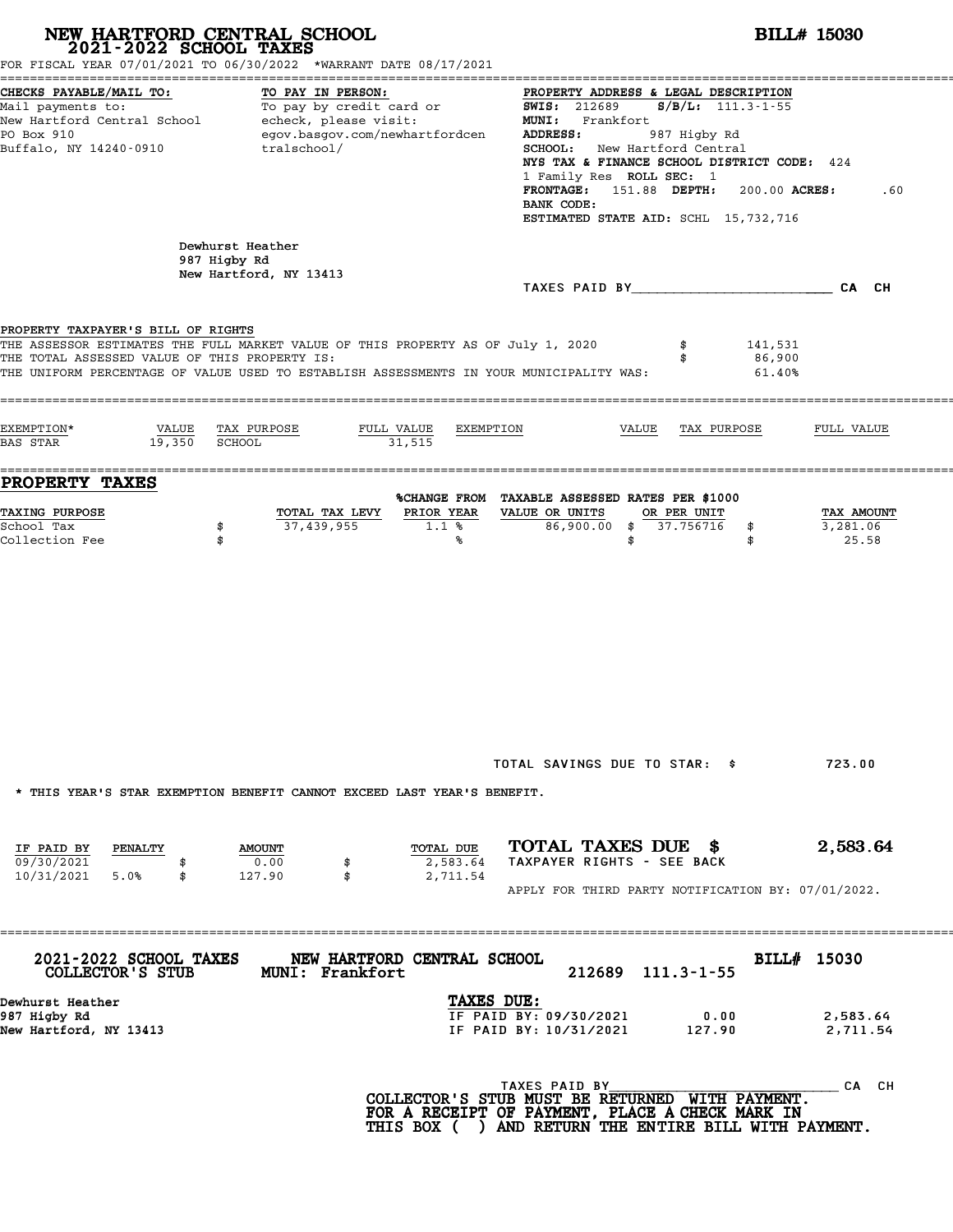| FOR FISCAL YEAR 07/01/2021 TO 06/30/2022 *WARRANT DATE 08/17/2021                                                                                                                                                                                                  | NEW HARTFORD CENTRAL SCHOOL 2021-2022 SCHOOL TAXES                      |                                   | <b>BILL# 15030</b>                                                                                                                                                                                                                                                                                                                                            |                                             |                             |                                 |  |
|--------------------------------------------------------------------------------------------------------------------------------------------------------------------------------------------------------------------------------------------------------------------|-------------------------------------------------------------------------|-----------------------------------|---------------------------------------------------------------------------------------------------------------------------------------------------------------------------------------------------------------------------------------------------------------------------------------------------------------------------------------------------------------|---------------------------------------------|-----------------------------|---------------------------------|--|
| CHECKS PAYABLE/MAIL TO:<br>TO PAY IN PERSON:<br>Mail payments to:<br>Mail payments to: To pay by credit card or<br>New Hartford Central School echeck, please visit:<br>egov.basgov.com/newhartfordcen<br>PO Box 910<br>Buffalo, NY 14240-0910<br>tralschool/      |                                                                         |                                   | PROPERTY ADDRESS & LEGAL DESCRIPTION<br><b>SWIS: 212689</b><br>$S/B/L$ : 111.3-1-55<br>MUNI: Frankfort<br>ADDRESS:<br>987 Higby Rd<br><b>SCHOOL:</b> New Hartford Central<br>NYS TAX & FINANCE SCHOOL DISTRICT CODE: 424<br>1 Family Res ROLL SEC: 1<br>FRONTAGE: 151.88 DEPTH:<br>200.00 ACRES:<br>.60<br>BANK CODE:<br>ESTIMATED STATE AID: SCHL 15,732,716 |                                             |                             |                                 |  |
|                                                                                                                                                                                                                                                                    | Dewhurst Heather<br>987 Higby Rd<br>New Hartford, NY 13413              |                                   |                                                                                                                                                                                                                                                                                                                                                               |                                             |                             |                                 |  |
| PROPERTY TAXPAYER'S BILL OF RIGHTS<br>THE ASSESSOR ESTIMATES THE FULL MARKET VALUE OF THIS PROPERTY AS OF July 1, 2020<br>THE TOTAL ASSESSED VALUE OF THIS PROPERTY IS:<br>THE UNIFORM PERCENTAGE OF VALUE USED TO ESTABLISH ASSESSMENTS IN YOUR MUNICIPALITY WAS: |                                                                         |                                   |                                                                                                                                                                                                                                                                                                                                                               | \$<br>\$                                    | 141,531<br>86,900<br>61.40% |                                 |  |
| EXEMPTION*<br>VALUE<br>19,350 SCHOOL<br>BAS STAR                                                                                                                                                                                                                   | TAX PURPOSE<br>FULL VALUE                                               | EXEMPTION<br>31,515               |                                                                                                                                                                                                                                                                                                                                                               | VALUE<br>TAX PURPOSE                        |                             | FULL VALUE                      |  |
| PROPERTY TAXES<br><b>TAXING PURPOSE</b><br>School Tax<br>Collection Fee                                                                                                                                                                                            | TOTAL TAX LEVY<br>37,439,955<br>\$<br>\$                                | PRIOR YEAR<br>1.1%<br>℁           | %CHANGE FROM TAXABLE ASSESSED RATES PER \$1000<br>VALUE OR UNITS                                                                                                                                                                                                                                                                                              | OR PER UNIT<br>86,900.00 \$ 37.756716<br>\$ | \$<br>\$                    | TAX AMOUNT<br>3,281.06<br>25.58 |  |
|                                                                                                                                                                                                                                                                    | * THIS YEAR'S STAR EXEMPTION BENEFIT CANNOT EXCEED LAST YEAR'S BENEFIT. |                                   | TOTAL SAVINGS DUE TO STAR: \$                                                                                                                                                                                                                                                                                                                                 |                                             |                             | 723.00                          |  |
| IF PAID BY<br>PENALTY<br>09/30/2021<br>5.0%<br>10/31/2021<br>\$                                                                                                                                                                                                    | <b>AMOUNT</b><br>0.00<br>\$<br>127.90<br>\$                             | TOTAL DUE<br>2,583.64<br>2,711.54 | TOTAL TAXES DUE \$<br>TAXPAYER RIGHTS - SEE BACK<br>APPLY FOR THIRD PARTY NOTIFICATION BY: 07/01/2022.                                                                                                                                                                                                                                                        |                                             |                             | 2,583.64                        |  |
| 2021-2022 SCHOOL TAXES<br>COLLECTOR'S STUB                                                                                                                                                                                                                         | NEW HARTFORD CENTRAL SCHOOL<br>MUNI: Frankfort                          |                                   |                                                                                                                                                                                                                                                                                                                                                               | 212689 111.3-1-55                           | BILL# 15030                 |                                 |  |
| Dewhurst Heather<br>987 Higby Rd<br>New Hartford, NY 13413                                                                                                                                                                                                         |                                                                         | TAXES DUE:                        | IF PAID BY: 09/30/2021<br>IF PAID BY: 10/31/2021                                                                                                                                                                                                                                                                                                              | 0.00<br>127.90                              |                             | 2,583.64<br>2,711.54            |  |
|                                                                                                                                                                                                                                                                    |                                                                         |                                   | TAXES PAID BY<br>COLLECTOR'S STUB MUST BE RETURNED WITH PAYMENT.<br>FOR A RECEIPT OF PAYMENT, PLACE A CHECK MARK IN<br>THIS BOX ( ) AND RETURN THE ENTIRE BILL WITH PAYMENT.                                                                                                                                                                                  |                                             |                             | CA CH                           |  |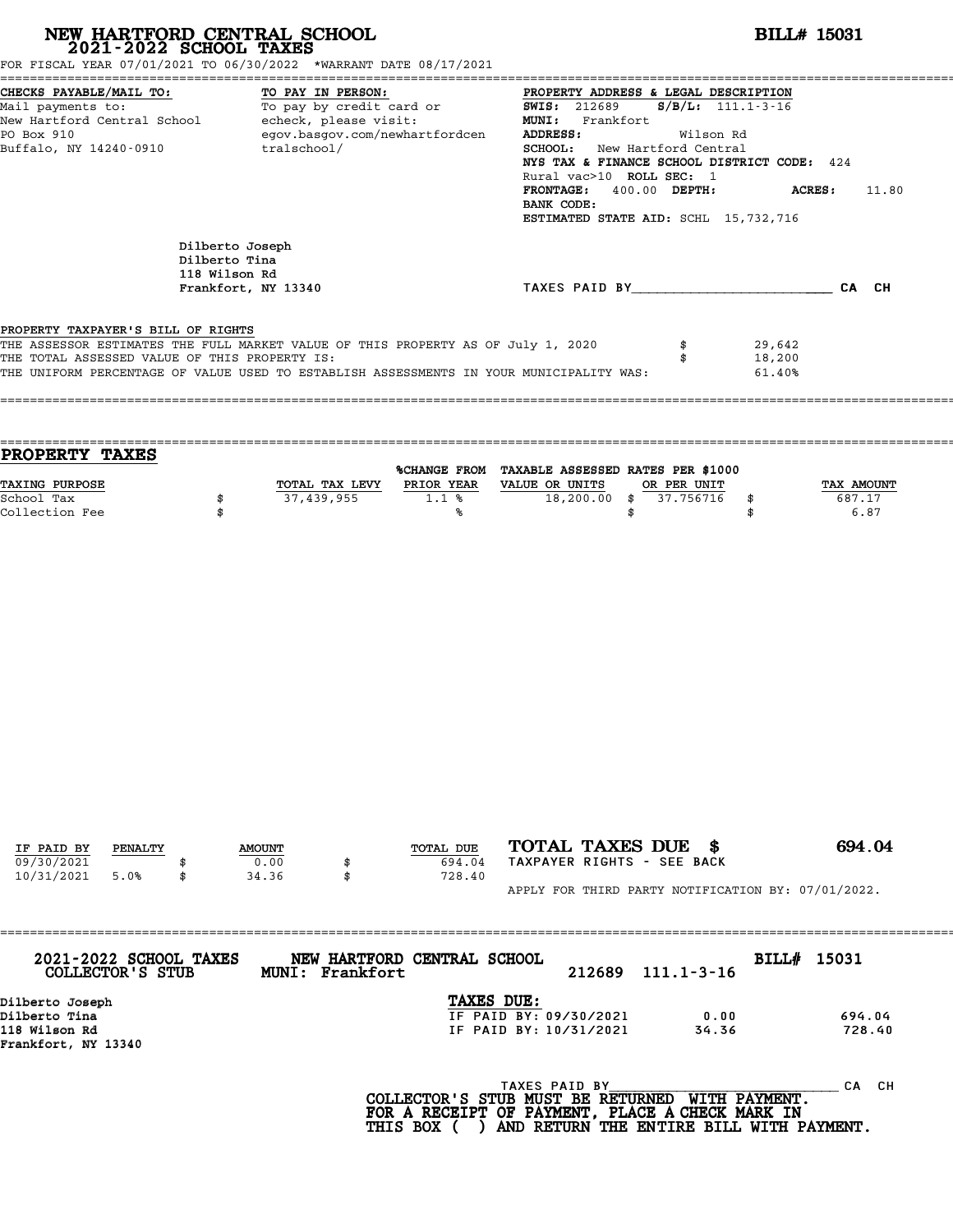| NEW HARTFORD CENTRAL SCHOOL 2021-2022 SCHOOL TAXES<br>FOR FISCAL YEAR 07/01/2021 TO 06/30/2022 *WARRANT DATE 08/17/2021                                                                                                                                                                                 |                                                                          |                                  |                                                       | <b>BILL# 15031</b>                                                                                            |                                                                                                                                                                  |                              |  |
|---------------------------------------------------------------------------------------------------------------------------------------------------------------------------------------------------------------------------------------------------------------------------------------------------------|--------------------------------------------------------------------------|----------------------------------|-------------------------------------------------------|---------------------------------------------------------------------------------------------------------------|------------------------------------------------------------------------------------------------------------------------------------------------------------------|------------------------------|--|
| CHECKS PAYABLE/MAIL TO:<br>CHECKS PAYABLE/MAIL TO: TO PAY IN PERSON: PROPERTY ADDRESS &<br>Mail payments to: To pay by credit card or SWIS: 212689<br>New Hartford Central School echeck, please visit: "ADDRESS &<br>New Hartford Central School echeck, pleas<br>PO Box 910<br>Buffalo, NY 14240-0910 |                                                                          | TO PAY IN PERSON:<br>tralschool/ | egov.basgov.com/newhartfordcen                        | ADDRESS:<br>SCHOOL: New Hartford Central<br>Rural vac>10 ROLL SEC: 1<br>FRONTAGE: 400.00 DEPTH:<br>BANK CODE: | PROPERTY ADDRESS & LEGAL DESCRIPTION<br>$S/B/L$ : 111.1-3-16<br>Wilson Rd<br>NYS TAX & FINANCE SCHOOL DISTRICT CODE: 424<br>ESTIMATED STATE AID: SCHL 15,732,716 | ACRES:<br>11.80              |  |
|                                                                                                                                                                                                                                                                                                         | Dilberto Joseph<br>Dilberto Tina<br>118 Wilson Rd<br>Frankfort, NY 13340 |                                  |                                                       | TAXES PAID BY CAN CH                                                                                          |                                                                                                                                                                  |                              |  |
| PROPERTY TAXPAYER'S BILL OF RIGHTS<br>THE ASSESSOR ESTIMATES THE FULL MARKET VALUE OF THIS PROPERTY AS OF July 1, 2020<br>THE TOTAL ASSESSED VALUE OF THIS PROPERTY IS:<br>THE UNIFORM PERCENTAGE OF VALUE USED TO ESTABLISH ASSESSMENTS IN YOUR MUNICIPALITY WAS:                                      |                                                                          |                                  |                                                       |                                                                                                               | \$<br>29,642<br>\$<br>18,200<br>61.40%                                                                                                                           |                              |  |
| PROPERTY TAXES                                                                                                                                                                                                                                                                                          |                                                                          |                                  |                                                       |                                                                                                               |                                                                                                                                                                  |                              |  |
| TAXING PURPOSE<br>School Tax<br>Collection Fee                                                                                                                                                                                                                                                          | \$<br>\$                                                                 | 37,439,955                       | TOTAL TAX LEVY PRIOR YEAR VALUE OR UNITS<br>1.1%<br>℁ | %CHANGE FROM TAXABLE ASSESSED RATES PER \$1000<br>$18,200.00 \quad $37.756716$<br>\$                          | OR PER UNIT<br>\$<br>\$                                                                                                                                          | TAX AMOUNT<br>687.17<br>6.87 |  |
| IF PAID BY<br>PENALTY                                                                                                                                                                                                                                                                                   |                                                                          | <b>AMOUNT</b>                    | TOTAL DUE                                             | TOTAL TAXES DUE \$                                                                                            |                                                                                                                                                                  | 694.04                       |  |
| 09/30/2021<br>10/31/2021<br>5.0%                                                                                                                                                                                                                                                                        |                                                                          | 0.00<br>34.36<br>\$              | 694.04<br>728.40                                      | TAXPAYER RIGHTS - SEE BACK<br>APPLY FOR THIRD PARTY NOTIFICATION BY: 07/01/2022.                              |                                                                                                                                                                  |                              |  |
| 2021-2022 SCHOOL TAXES<br>COLLECTOR'S STUB                                                                                                                                                                                                                                                              |                                                                          | MUNI: Frankfort                  | NEW HARTFORD CENTRAL SCHOOL                           | 212689                                                                                                        | $111.1 - 3 - 16$                                                                                                                                                 | BILL# 15031                  |  |
| Dilberto Joseph<br>Dilberto Tina<br>118 Wilson Rd<br>Frankfort, NY 13340                                                                                                                                                                                                                                |                                                                          |                                  | TAXES DUE:                                            | IF PAID BY: 09/30/2021<br>IF PAID BY: 10/31/2021                                                              | 0.00<br>34.36                                                                                                                                                    | 694.04<br>728.40             |  |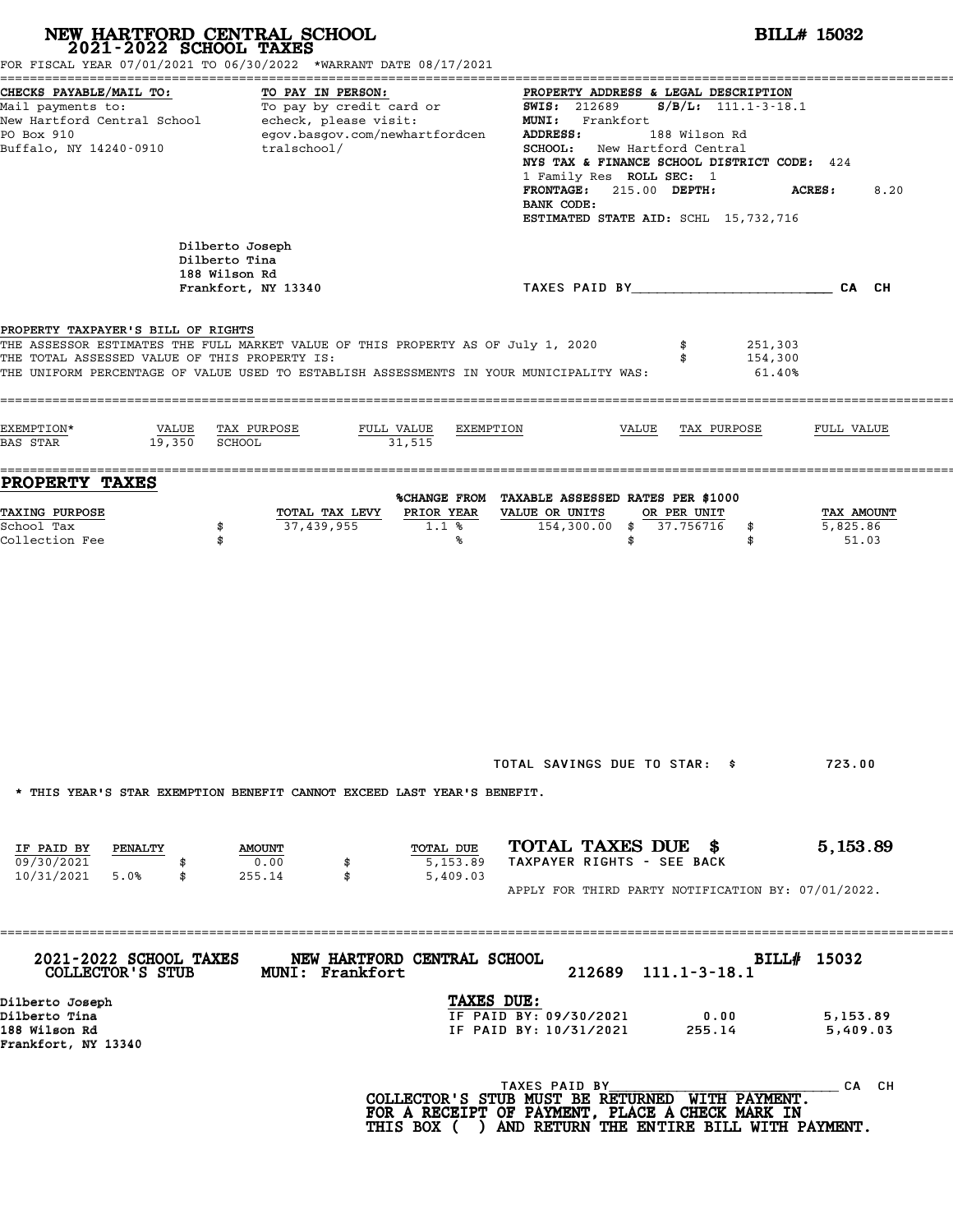| NEW HARTFORD CENTRAL SCHOOL 2021-2022 SCHOOL TAXES                                  | FOR FISCAL YEAR 07/01/2021 TO 06/30/2022 *WARRANT DATE 08/17/2021                                                                                                                          | <b>BILL# 15032</b>                                                                                                                                                                                                                                                                                                                       |                                 |  |  |  |
|-------------------------------------------------------------------------------------|--------------------------------------------------------------------------------------------------------------------------------------------------------------------------------------------|------------------------------------------------------------------------------------------------------------------------------------------------------------------------------------------------------------------------------------------------------------------------------------------------------------------------------------------|---------------------------------|--|--|--|
| CHECKS PAYABLE/MAIL TO:<br>PO Box 910<br>Buffalo, NY 14240-0910                     | TO PAY IN PERSON:<br>Mail payments to:<br>Mail payments to: To pay by credit card or<br>New Hartford Central School echeck, please visit:<br>egov.basgov.com/newhartfordcen<br>tralschool/ | PROPERTY ADDRESS & LEGAL DESCRIPTION<br>$S/B/L$ : 111.1-3-18.1<br><b>SWIS:</b> 212689<br>MUNI: Frankfort<br>ADDRESS:<br>188 Wilson Rd<br><b>SCHOOL:</b> New Hartford Central<br>NYS TAX & FINANCE SCHOOL DISTRICT CODE: 424<br>1 Family Res ROLL SEC: 1<br>FRONTAGE: 215.00 DEPTH:<br>BANK CODE:<br>ESTIMATED STATE AID: SCHL 15,732,716 | 8.20<br><b>ACRES :</b>          |  |  |  |
|                                                                                     | Dilberto Joseph<br>Dilberto Tina<br>188 Wilson Rd<br>Frankfort, NY 13340                                                                                                                   | TAXES PAID BY CAN CHE CAN CH                                                                                                                                                                                                                                                                                                             |                                 |  |  |  |
| PROPERTY TAXPAYER'S BILL OF RIGHTS<br>THE TOTAL ASSESSED VALUE OF THIS PROPERTY IS: | THE ASSESSOR ESTIMATES THE FULL MARKET VALUE OF THIS PROPERTY AS OF July 1, 2020<br>THE UNIFORM PERCENTAGE OF VALUE USED TO ESTABLISH ASSESSMENTS IN YOUR MUNICIPALITY WAS:                | 251,303<br>\$<br>154,300<br>\$<br>$61.40\%$                                                                                                                                                                                                                                                                                              |                                 |  |  |  |
| EXEMPTION*<br>VALUE<br>19,350 SCHOOL<br>BAS STAR                                    | TAX PURPOSE<br>FULL VALUE<br>EXEMPTION<br>31,515                                                                                                                                           | VALUE<br>TAX PURPOSE                                                                                                                                                                                                                                                                                                                     | FULL VALUE                      |  |  |  |
| <b>PROPERTY TAXES</b><br>TAXING PURPOSE<br>School Tax<br>Collection Fee             | PRIOR YEAR<br>TOTAL TAX LEVY<br>37,439,955<br>\$<br>$1.1$ %<br>\$<br>℁                                                                                                                     | %CHANGE FROM TAXABLE ASSESSED RATES PER \$1000<br>VALUE OR UNITS<br>OR PER UNIT<br>154,300.00 \$ 37.756716<br>\$<br>\$<br>\$                                                                                                                                                                                                             | TAX AMOUNT<br>5,825.86<br>51.03 |  |  |  |
|                                                                                     | * THIS YEAR'S STAR EXEMPTION BENEFIT CANNOT EXCEED LAST YEAR'S BENEFIT.                                                                                                                    | TOTAL SAVINGS DUE TO STAR: \$                                                                                                                                                                                                                                                                                                            | 723.00                          |  |  |  |
| IF PAID BY<br><b>PENALTY</b><br>09/30/2021<br>10/31/2021 5.0%<br>\$                 | TOTAL DUE<br><b>AMOUNT</b><br>0.00<br>5,153.89<br>\$<br>255.14<br>\$<br>5,409.03                                                                                                           | TOTAL TAXES DUE \$<br>TAXPAYER RIGHTS - SEE BACK<br>APPLY FOR THIRD PARTY NOTIFICATION BY: 07/01/2022.                                                                                                                                                                                                                                   | 5,153.89                        |  |  |  |
| 2021-2022 SCHOOL TAXES<br>COLLECTOR'S STUB                                          | ================<br>NEW HARTFORD CENTRAL SCHOOL<br><b>MUNI: Frankfort</b>                                                                                                                  | BILL# 15032<br>212689 111.1-3-18.1                                                                                                                                                                                                                                                                                                       |                                 |  |  |  |
| Dilberto Joseph<br>Dilberto Tina<br>188 Wilson Rd<br>Frankfort, NY 13340            | TAXES DUE:                                                                                                                                                                                 | IF PAID BY: 09/30/2021<br>0.00<br>IF PAID BY: 10/31/2021<br>255.14                                                                                                                                                                                                                                                                       | 5,153.89<br>5,409.03            |  |  |  |
|                                                                                     |                                                                                                                                                                                            | TAXES PAID BY<br>COLLECTOR'S STUB MUST BE RETURNED WITH PAYMENT.<br>FOR A RECEIPT OF PAYMENT, PLACE A CHECK MARK IN<br>THIS BOX ( ) AND RETURN THE ENTIRE BILL WITH PAYMENT.                                                                                                                                                             | CA CH                           |  |  |  |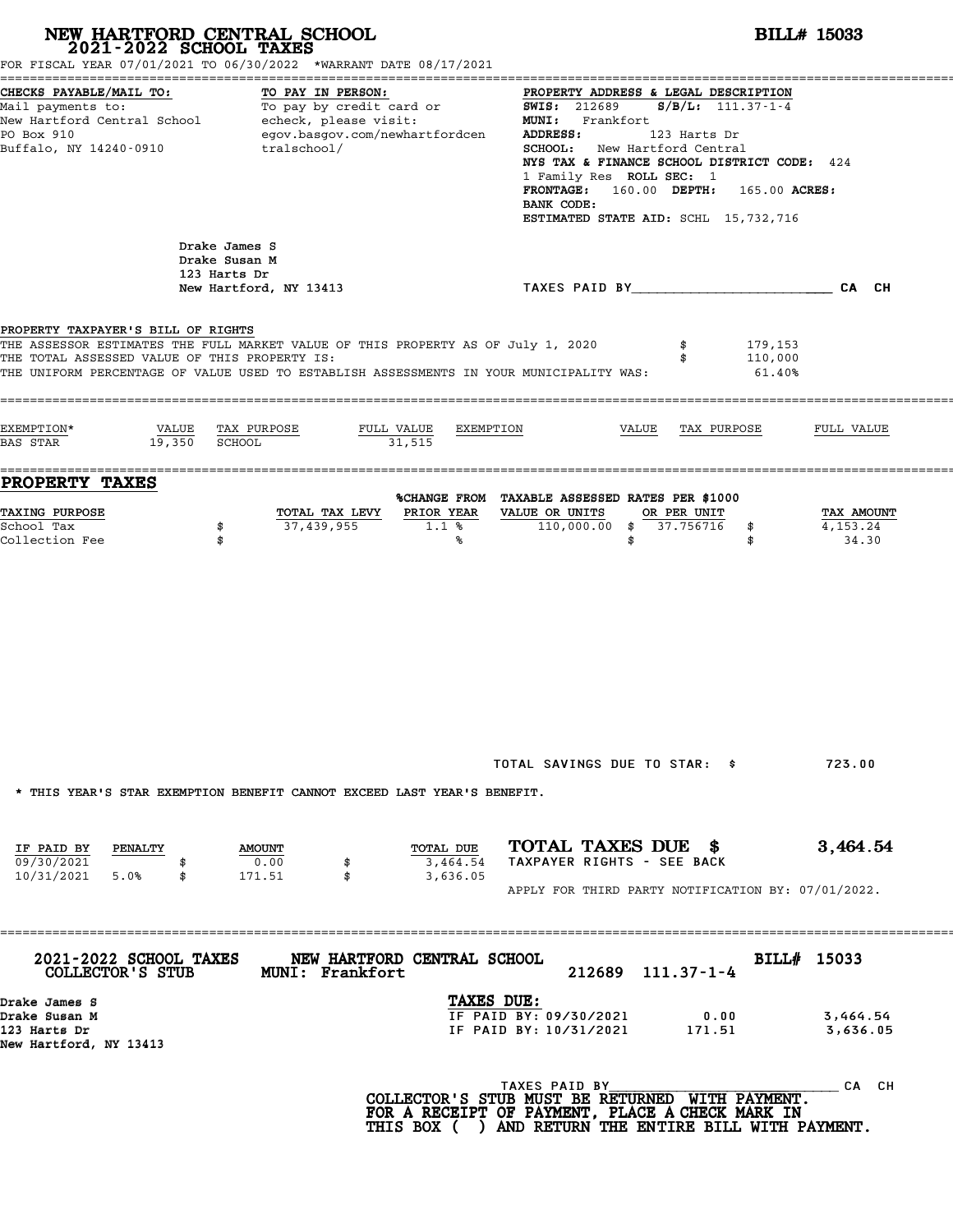# **NEW HARTFORD CENTRAL SCHOOL**<br>
2021-2022 SCHOOL TAXES<br>
FOR FISCAL YEAR 07/01/2021 TO 06/30/2022 \*WARRANT DATE 08/17/2021<br> **2021-2022** TO 06/30/2022 \*WARRANT DATE 08/17/2021

|                                                                                                                                                                                                                                                                    | FOR FISCAL YEAR 07/01/2021 TO 06/30/2022 *WARRANT DATE 08/17/2021                                                       |                                                                                                                                                                                                                                                                                                                                                                     |                                     |
|--------------------------------------------------------------------------------------------------------------------------------------------------------------------------------------------------------------------------------------------------------------------|-------------------------------------------------------------------------------------------------------------------------|---------------------------------------------------------------------------------------------------------------------------------------------------------------------------------------------------------------------------------------------------------------------------------------------------------------------------------------------------------------------|-------------------------------------|
| CHECKS PAYABLE/MAIL TO:<br>Mail payments to:<br>New Hartford Central School<br>PO Box 910<br>Buffalo, NY 14240-0910                                                                                                                                                | TO PAY IN PERSON:<br>To pay by credit card or<br>echeck, please visit:<br>egov.basgov.com/newhartfordcen<br>tralschool/ | PROPERTY ADDRESS & LEGAL DESCRIPTION<br><b>SWIS:</b> 212689<br>$S/B/L$ : 111.37-1-4<br>MUNI: Frankfort<br>ADDRESS:<br>123 Harts Dr<br><b>SCHOOL:</b><br>New Hartford Central<br>NYS TAX & FINANCE SCHOOL DISTRICT CODE: 424<br>1 Family Res ROLL SEC: 1<br><b>FRONTAGE:</b><br>160.00 DEPTH:<br>165.00 ACRES:<br>BANK CODE:<br>ESTIMATED STATE AID: SCHL 15,732,716 |                                     |
| Drake James S<br>Drake Susan M<br>123 Harts Dr                                                                                                                                                                                                                     | New Hartford, NY 13413                                                                                                  | TAXES PAID BY TAND AND TAXES PAID BY                                                                                                                                                                                                                                                                                                                                | CA CH                               |
| PROPERTY TAXPAYER'S BILL OF RIGHTS<br>THE ASSESSOR ESTIMATES THE FULL MARKET VALUE OF THIS PROPERTY AS OF July 1, 2020<br>THE TOTAL ASSESSED VALUE OF THIS PROPERTY IS:<br>THE UNIFORM PERCENTAGE OF VALUE USED TO ESTABLISH ASSESSMENTS IN YOUR MUNICIPALITY WAS: |                                                                                                                         | 179,153<br>110,000<br>61.40%                                                                                                                                                                                                                                                                                                                                        |                                     |
| EXEMPTION*<br>VALUE<br>19,350<br>BAS STAR<br><b>SCHOOL</b>                                                                                                                                                                                                         | TAX PURPOSE<br>FULL VALUE<br>EXEMPTION<br>31,515                                                                        | VALUE<br>TAX PURPOSE                                                                                                                                                                                                                                                                                                                                                | FULL VALUE                          |
| <b>PROPERTY TAXES</b><br>TAXING PURPOSE<br>School Tax<br>\$<br>Collection Fee<br>\$                                                                                                                                                                                | TOTAL TAX LEVY<br>PRIOR YEAR<br>37,439,955<br>1.1%<br>℁                                                                 | %CHANGE FROM TAXABLE ASSESSED RATES PER \$1000<br>VALUE OR UNITS<br>OR PER UNIT<br>110,000.00<br>37.756716<br>\$<br>\$<br>\$<br>\$                                                                                                                                                                                                                                  | TAX AMOUNT<br>4,153.24<br>34.30     |
|                                                                                                                                                                                                                                                                    | * THIS YEAR'S STAR EXEMPTION BENEFIT CANNOT EXCEED LAST YEAR'S BENEFIT.                                                 | TOTAL SAVINGS DUE TO STAR: \$                                                                                                                                                                                                                                                                                                                                       | 723.00                              |
| IF PAID BY<br>PENALTY<br>09/30/2021<br>$10/31/2021$ 5.0%<br>\$                                                                                                                                                                                                     | TOTAL DUE<br><b>AMOUNT</b><br>0.00<br>\$<br>3,464.54<br>\$<br>171.51<br>3,636.05                                        | TOTAL TAXES DUE \$<br>TAXPAYER RIGHTS - SEE BACK<br>APPLY FOR THIRD PARTY NOTIFICATION BY: 07/01/2022.                                                                                                                                                                                                                                                              | 3,464.54                            |
| 2021-2022 SCHOOL TAXES<br>COLLECTOR'S STUB<br>Drake James S<br>Drake Susan M<br>123 Harts Dr                                                                                                                                                                       | ===================================<br>NEW HARTFORD CENTRAL SCHOOL<br><b>MUNI: Frankfort</b><br>TAXES DUE:              | 212689 111.37-1-4<br>IF PAID BY: 09/30/2021<br>0.00<br>IF PAID BY: 10/31/2021<br>171.51                                                                                                                                                                                                                                                                             | BILL# 15033<br>3,464.54<br>3,636.05 |
| New Hartford, NY 13413                                                                                                                                                                                                                                             |                                                                                                                         | TAXES PAID BY<br>COLLECTOR'S STUB MUST BE RETURNED WITH PAYMENT.<br>FOR A RECEIPT OF PAYMENT, PLACE A CHECK MARK IN<br>THIS BOX ( ) AND RETURN THE ENTIRE BILL WITH PAYMENT.                                                                                                                                                                                        | $\overline{\phantom{a}}$ CA CH      |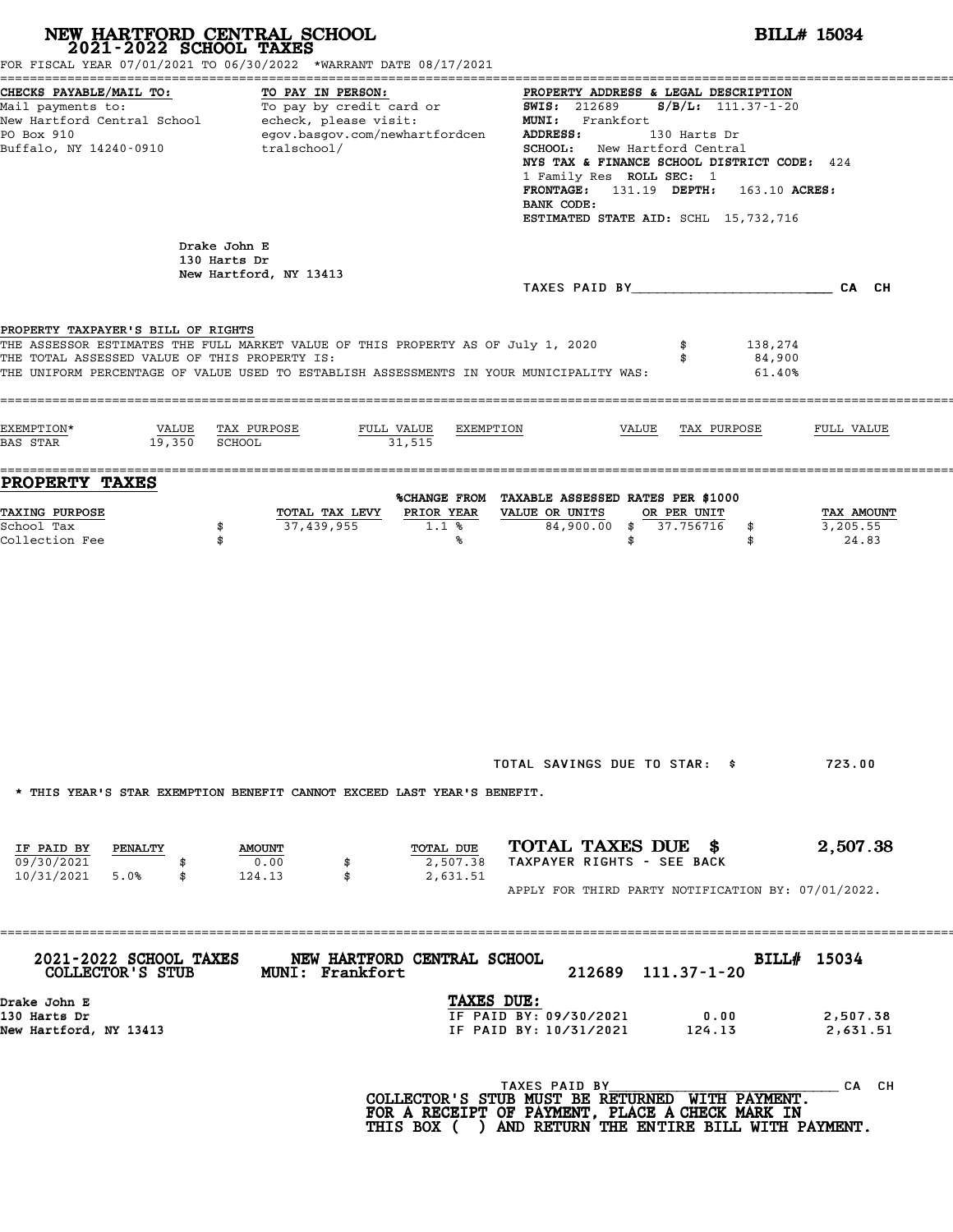| 2021-2022 SCHOOL TAXES                                                              | NEW HARTFORD CENTRAL SCHOOL<br>FOR FISCAL YEAR 07/01/2021 TO 06/30/2022 *WARRANT DATE 08/17/2021                                                                            |                                                                                                                                                             | <b>BILL# 15034</b>                                                                                                                                                                                                                                                                                                                                                                                                                                                                                                                     |                                                |                             |                                 |  |  |
|-------------------------------------------------------------------------------------|-----------------------------------------------------------------------------------------------------------------------------------------------------------------------------|-------------------------------------------------------------------------------------------------------------------------------------------------------------|----------------------------------------------------------------------------------------------------------------------------------------------------------------------------------------------------------------------------------------------------------------------------------------------------------------------------------------------------------------------------------------------------------------------------------------------------------------------------------------------------------------------------------------|------------------------------------------------|-----------------------------|---------------------------------|--|--|
| CHECKS PAYABLE/MAIL TO:<br>PO Box 910<br>Buffalo, NY 14240-0910                     | TO PAY IN PERSON:<br>egov.basgov.com/newhartfordcen<br>tralschool/                                                                                                          |                                                                                                                                                             | PROPERTY ADDRESS & LEGAL DESCRIPTION<br>Nail payments to:<br>Mail payments to:<br>New Hartford Central School echeck, please visit: WERE MORE 212689 S/B/L: 111.37-1-20<br>New Hartford Central School echeck, please visit: Frankfort<br>MUNI: Frankfort<br>MUNI: Frankfort<br>MU<br><b>ADDRESS:</b><br>130 Harts Dr<br><b>SCHOOL:</b> New Hartford Central<br>NYS TAX & FINANCE SCHOOL DISTRICT CODE: 424<br>1 Family Res ROLL SEC: 1<br>FRONTAGE: 131.19 DEPTH: 163.10 ACRES:<br>BANK CODE:<br>ESTIMATED STATE AID: SCHL 15,732,716 |                                                |                             |                                 |  |  |
|                                                                                     | Drake John E<br>130 Harts Dr<br>New Hartford, NY 13413                                                                                                                      |                                                                                                                                                             | TAXES PAID BY CA CH                                                                                                                                                                                                                                                                                                                                                                                                                                                                                                                    |                                                |                             |                                 |  |  |
| PROPERTY TAXPAYER'S BILL OF RIGHTS<br>THE TOTAL ASSESSED VALUE OF THIS PROPERTY IS: | THE ASSESSOR ESTIMATES THE FULL MARKET VALUE OF THIS PROPERTY AS OF July 1, 2020<br>THE UNIFORM PERCENTAGE OF VALUE USED TO ESTABLISH ASSESSMENTS IN YOUR MUNICIPALITY WAS: |                                                                                                                                                             |                                                                                                                                                                                                                                                                                                                                                                                                                                                                                                                                        |                                                | 138,274<br>84,900<br>61.40% |                                 |  |  |
| EXEMPTION*<br>BAS STAR 19,350 SCHOOL                                                | VALUE TAX PURPOSE<br>FULL VALUE<br>31,515                                                                                                                                   | EXEMPTION                                                                                                                                                   |                                                                                                                                                                                                                                                                                                                                                                                                                                                                                                                                        | VALUE TAX PURPOSE                              |                             | FULL VALUE                      |  |  |
| <b>PROPERTY TAXES</b><br><b>TAXING PURPOSE</b><br>School Tax<br>Collection Fee      | TOTAL TAX LEVY<br>37,439,955<br>\$<br>\$                                                                                                                                    | %CHANGE FROM TAXABLE ASSESSED RATES PER \$1000<br>PRIOR YEAR<br>1.1%<br>℁                                                                                   | VALUE OR UNITS                                                                                                                                                                                                                                                                                                                                                                                                                                                                                                                         | OR PER UNIT<br>84,900.00 \$ 37.756716 \$<br>\$ | \$                          | TAX AMOUNT<br>3,205.55<br>24.83 |  |  |
|                                                                                     | * THIS YEAR'S STAR EXEMPTION BENEFIT CANNOT EXCEED LAST YEAR'S BENEFIT.                                                                                                     |                                                                                                                                                             | TOTAL SAVINGS DUE TO STAR: \$ 723.00                                                                                                                                                                                                                                                                                                                                                                                                                                                                                                   |                                                |                             |                                 |  |  |
| IF PAID BY PENALTY<br>09/30/2021<br>10/31/2021 5.0%<br>\$                           | <b>AMOUNT</b><br>0.00<br>\$<br>124.13<br>\$                                                                                                                                 | TOTAL DUE<br>2,507.38<br>2,631.51                                                                                                                           | TOTAL TAXES DUE \$<br>TAXPAYER RIGHTS - SEE BACK<br>APPLY FOR THIRD PARTY NOTIFICATION BY: 07/01/2022.                                                                                                                                                                                                                                                                                                                                                                                                                                 |                                                |                             | 2,507.38                        |  |  |
| <b>2021-2022 SCHOOL TAXES</b><br>COLLECTOR'S STUB                                   | NEW HARTFORD CENTRAL SCHOOL<br><b>MUNI: Frankfort</b>                                                                                                                       |                                                                                                                                                             |                                                                                                                                                                                                                                                                                                                                                                                                                                                                                                                                        | 212689 111.37-1-20                             |                             | BILL# 15034                     |  |  |
| Drake John E<br>130 Harts Dr<br>New Hartford, NY 13413                              |                                                                                                                                                                             | TAXES DUE:                                                                                                                                                  | IF PAID BY: 09/30/2021<br>IF PAID BY: 10/31/2021 124.13                                                                                                                                                                                                                                                                                                                                                                                                                                                                                |                                                | 0.00                        | 2,507.38<br>2,631.51            |  |  |
|                                                                                     |                                                                                                                                                                             | COLLECTOR'S STUB MUST BE RETURNED WITH PAYMENT.<br>FOR A RECEIPT OF PAYMENT, PLACE A CHECK MARK IN<br>THIS BOX ( ) AND RETURN THE ENTIRE BILL WITH PAYMENT. | TAXES PAID BY                                                                                                                                                                                                                                                                                                                                                                                                                                                                                                                          |                                                |                             | _ CA CH                         |  |  |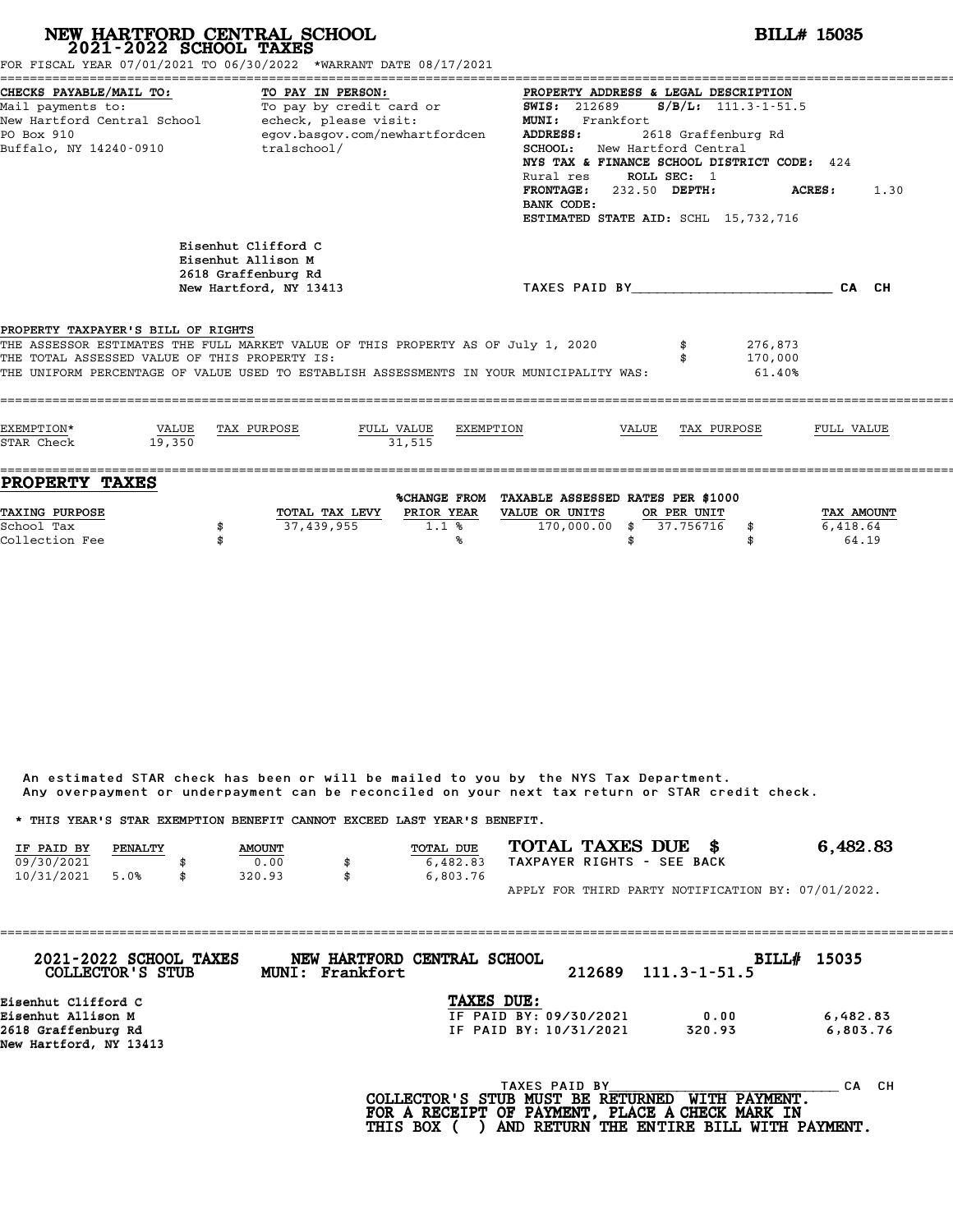| FOR FISCAL YEAR 07/01/2021 TO 06/30/2022 *WARRANT DATE 08/17/2021                                                   |                 | NEW HARTFORD CENTRAL SCHOOL 2021-2022 SCHOOL TAXES                                                                      |                           |                                                                                                                                                                                                                                                                                                                                                                            |       |                          |                              | <b>BILL# 15035</b>     |  |
|---------------------------------------------------------------------------------------------------------------------|-----------------|-------------------------------------------------------------------------------------------------------------------------|---------------------------|----------------------------------------------------------------------------------------------------------------------------------------------------------------------------------------------------------------------------------------------------------------------------------------------------------------------------------------------------------------------------|-------|--------------------------|------------------------------|------------------------|--|
| CHECKS PAYABLE/MAIL TO:<br>Mail payments to:<br>New Hartford Central School<br>PO Box 910<br>Buffalo, NY 14240-0910 |                 | TO PAY IN PERSON:<br>To pay by credit card or<br>echeck, please visit:<br>egov.basgov.com/newhartfordcen<br>tralschool/ |                           | PROPERTY ADDRESS & LEGAL DESCRIPTION<br><b>SWIS: 212689</b><br>$S/B/L: 111.3-1-51.5$<br>MUNI: Frankfort<br><b>ADDRESS:</b><br>2618 Graffenburg Rd<br><b>SCHOOL:</b> New Hartford Central<br>NYS TAX & FINANCE SCHOOL DISTRICT CODE: 424<br>ROLL SEC: 1<br>Rural res<br>FRONTAGE: 232.50 DEPTH:<br><b>ACRES:</b> 1.30<br>BANK CODE:<br>ESTIMATED STATE AID: SCHL 15,732,716 |       |                          |                              |                        |  |
|                                                                                                                     |                 | Eisenhut Clifford C<br>Eisenhut Allison M<br>2618 Graffenburg Rd<br>New Hartford, NY 13413                              |                           |                                                                                                                                                                                                                                                                                                                                                                            |       |                          | TAXES PAID BY CALCH          |                        |  |
| PROPERTY TAXPAYER'S BILL OF RIGHTS<br>THE TOTAL ASSESSED VALUE OF THIS PROPERTY IS:                                 |                 |                                                                                                                         |                           | THE ASSESSOR ESTIMATES THE FULL MARKET VALUE OF THIS PROPERTY AS OF July 1, 2020<br>THE UNIFORM PERCENTAGE OF VALUE USED TO ESTABLISH ASSESSMENTS IN YOUR MUNICIPALITY WAS:                                                                                                                                                                                                |       |                          | 276,873<br>170,000<br>61.40% |                        |  |
| EXEMPTION*<br>STAR Check                                                                                            | VALUE<br>19,350 | TAX PURPOSE                                                                                                             | FULL VALUE<br>31.515      | EXEMPTION                                                                                                                                                                                                                                                                                                                                                                  | VALUE | TAX PURPOSE              |                              | FULL VALUE             |  |
| <b>PROPERTY TAXES</b><br>TAXING PURPOSE<br>School Tax                                                               |                 | TOTAL TAX LEVY<br>37,439,955<br>\$                                                                                      | <b>PRIOR YEAR</b><br>1.1% | %CHANGE FROM TAXABLE ASSESSED RATES PER \$1000<br>VALUE OR UNITS<br>170,000.00                                                                                                                                                                                                                                                                                             | \$    | OR PER UNIT<br>37.756716 | \$                           | TAX AMOUNT<br>6,418.64 |  |

|            |         |               |                                                                         | Any overpayment or underpayment can be reconciled on your next tax return or STAR credit check. |                                                    |
|------------|---------|---------------|-------------------------------------------------------------------------|-------------------------------------------------------------------------------------------------|----------------------------------------------------|
|            |         |               | * THIS YEAR'S STAR EXEMPTION BENEFIT CANNOT EXCEED LAST YEAR'S BENEFIT. |                                                                                                 |                                                    |
| IF PAID BY | PENALTY | <b>AMOUNT</b> | TOTAL DUE                                                               | TOTAL TAXES DUE \$                                                                              | 6,482.83                                           |
| 09/30/2021 |         | 0.00          | 6,482.83                                                                | TAXPAYER RIGHTS - SEE BACK                                                                      |                                                    |
| 10/31/2021 | 5.0%    | \$<br>320.93  | \$<br>6,803.76                                                          |                                                                                                 |                                                    |
|            |         |               |                                                                         |                                                                                                 | APPLY FOR THIRD PARTY NOTIFICATION BY: 07/01/2022. |

| 2021-2022 SCHOOL TAXES<br>COLLECTOR'S STUB | MUNI: Frankfort | NEW HARTFORD CENTRAL SCHOOL | 212689 | $111.3 - 1 - 51.5$ | BILL# 15035 |
|--------------------------------------------|-----------------|-----------------------------|--------|--------------------|-------------|
| Eisenhut Clifford C                        |                 | TAXES DUE:                  |        |                    |             |
| Eisenhut Allison M                         |                 | IF PAID BY: 09/30/2021      |        | 0.00               | 6,482.83    |
| 2618 Graffenburg Rd                        |                 | IF PAID BY: 10/31/2021      |        | 320.93             | 6,803.76    |
| New Hartford, NY 13413                     |                 |                             |        |                    |             |
|                                            |                 | TAXES PAID BY               |        |                    | CH.<br>CА   |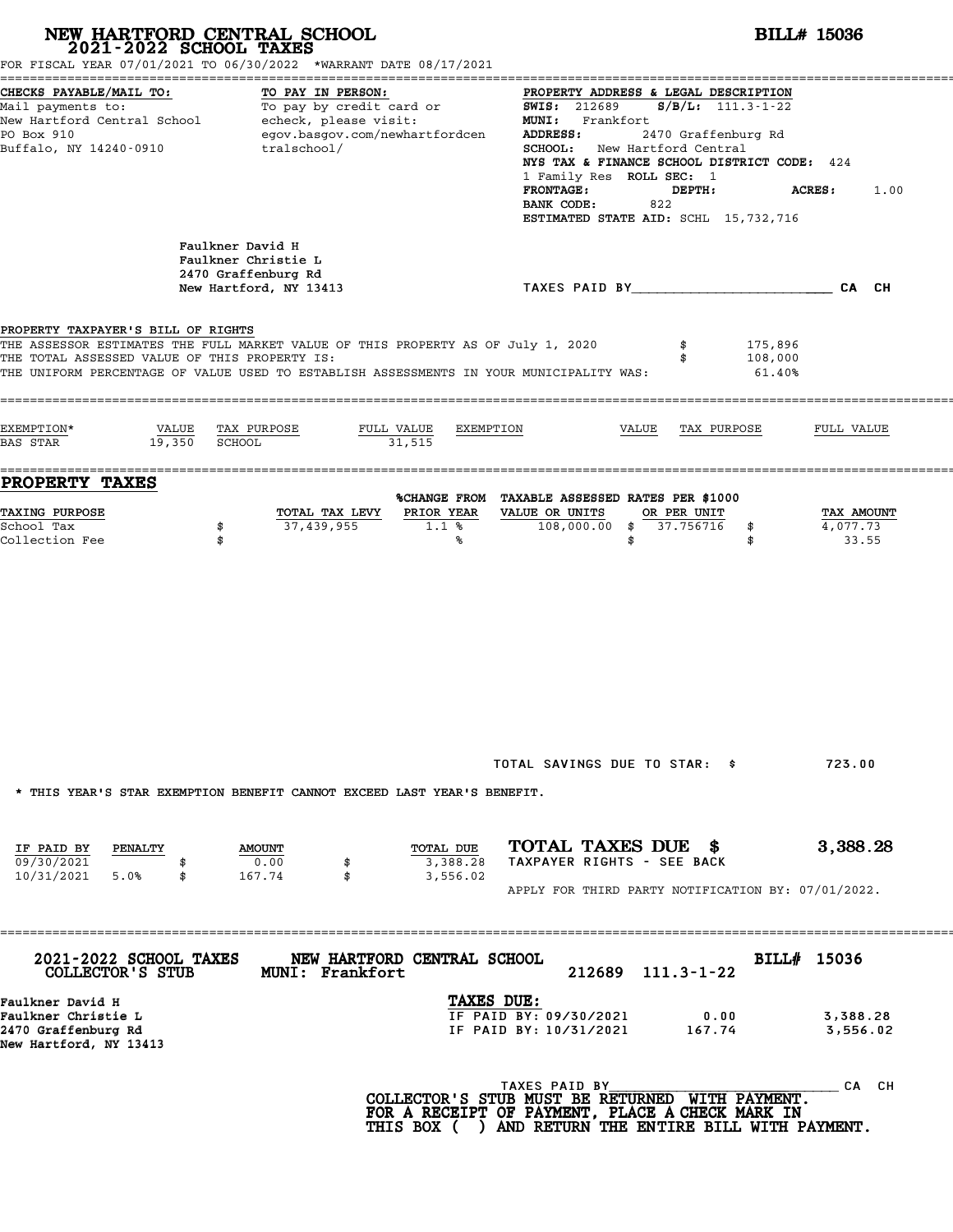| NEW HARTFORD CENTRAL SCHOOL 2021-2022 SCHOOL TAXES                                       | FOR FISCAL YEAR 07/01/2021 TO 06/30/2022 *WARRANT DATE 08/17/2021                                                                                                           |                                                                                                                                                                                                                                                                                                                                                | <b>BILL# 15036</b>              |
|------------------------------------------------------------------------------------------|-----------------------------------------------------------------------------------------------------------------------------------------------------------------------------|------------------------------------------------------------------------------------------------------------------------------------------------------------------------------------------------------------------------------------------------------------------------------------------------------------------------------------------------|---------------------------------|
| CHECKS PAYABLE/MAIL TO:<br>PO Box 910<br>Buffalo, NY 14240-0910                          | TO PAY IN PERSON:<br>Mail payments to: To pay by credit card or<br>New Hartford Central School echeck, please visit:<br>egov.basgov.com/newhartfordcen<br>tralschool/       | PROPERTY ADDRESS & LEGAL DESCRIPTION<br><b>SWIS: 212689</b><br>$S/B/L: 111.3-1-22$<br>MUNI: Frankfort<br>ADDRESS:<br>2470 Graffenburg Rd<br>SCHOOL: New Hartford Central<br>NYS TAX & FINANCE SCHOOL DISTRICT CODE: 424<br>1 Family Res ROLL SEC: 1<br><b>FRONTAGE:</b><br>DEPTH:<br>822<br>BANK CODE:<br>ESTIMATED STATE AID: SCHL 15,732,716 | ACRES :<br>1.00                 |
|                                                                                          | Faulkner David H<br>Faulkner Christie L<br>2470 Graffenburg Rd<br>New Hartford, NY 13413                                                                                    | TAXES PAID BY CA CH                                                                                                                                                                                                                                                                                                                            |                                 |
| PROPERTY TAXPAYER'S BILL OF RIGHTS<br>THE TOTAL ASSESSED VALUE OF THIS PROPERTY IS:      | THE ASSESSOR ESTIMATES THE FULL MARKET VALUE OF THIS PROPERTY AS OF July 1, 2020<br>THE UNIFORM PERCENTAGE OF VALUE USED TO ESTABLISH ASSESSMENTS IN YOUR MUNICIPALITY WAS: | 175,896<br>\$<br>108,000<br>\$<br>61.40%                                                                                                                                                                                                                                                                                                       |                                 |
| EXEMPTION*<br>19,350 SCHOOL<br>BAS STAR                                                  | VALUE TAX PURPOSE<br>FULL VALUE<br>EXEMPTION<br>31,515                                                                                                                      | VALUE<br>TAX PURPOSE                                                                                                                                                                                                                                                                                                                           | FULL VALUE                      |
| PROPERTY TAXES<br><b>TAXING PURPOSE</b><br>School Tax<br>Collection Fee                  | PRIOR YEAR<br>TOTAL TAX LEVY<br>37,439,955<br>1.1%<br>\$<br>\$<br>℁                                                                                                         | %CHANGE FROM TAXABLE ASSESSED RATES PER \$1000<br>VALUE OR UNITS<br>OR PER UNIT<br>108,000.00 \$ 37.756716<br>\$<br>\$<br>\$                                                                                                                                                                                                                   | TAX AMOUNT<br>4,077.73<br>33.55 |
|                                                                                          |                                                                                                                                                                             | TOTAL SAVINGS DUE TO STAR: \$                                                                                                                                                                                                                                                                                                                  | 723.00                          |
| IF PAID BY<br>PENALTY<br>09/30/2021<br>10/31/2021<br>5.0%<br>\$                          | * THIS YEAR'S STAR EXEMPTION BENEFIT CANNOT EXCEED LAST YEAR'S BENEFIT.<br>TOTAL DUE<br><b>AMOUNT</b><br>0.00<br>3,388.28<br>167.74<br>\$<br>3,556.02                       | TOTAL TAXES DUE \$<br>TAXPAYER RIGHTS - SEE BACK<br>APPLY FOR THIRD PARTY NOTIFICATION BY: 07/01/2022.                                                                                                                                                                                                                                         | 3,388.28                        |
| 2021-2022 SCHOOL TAXES<br>COLLECTOR'S STUB                                               | NEW HARTFORD CENTRAL SCHOOL<br><b>MUNI: Frankfort</b>                                                                                                                       | 212689 111.3-1-22                                                                                                                                                                                                                                                                                                                              | BILL# 15036                     |
| Faulkner David H<br>Faulkner Christie L<br>2470 Graffenburg Rd<br>New Hartford, NY 13413 | TAXES DUE:                                                                                                                                                                  | IF PAID BY: 09/30/2021<br>0.00<br>IF PAID BY: 10/31/2021<br>167.74                                                                                                                                                                                                                                                                             | 3,388.28<br>3,556.02            |
|                                                                                          |                                                                                                                                                                             | TAXES PAID BY<br>COLLECTOR'S STUB MUST BE RETURNED WITH PAYMENT.<br>FOR A RECEIPT OF PAYMENT, PLACE A CHECK MARK IN<br>THIS BOX ( ) AND RETURN THE ENTIRE BILL WITH PAYMENT.                                                                                                                                                                   | CA CH                           |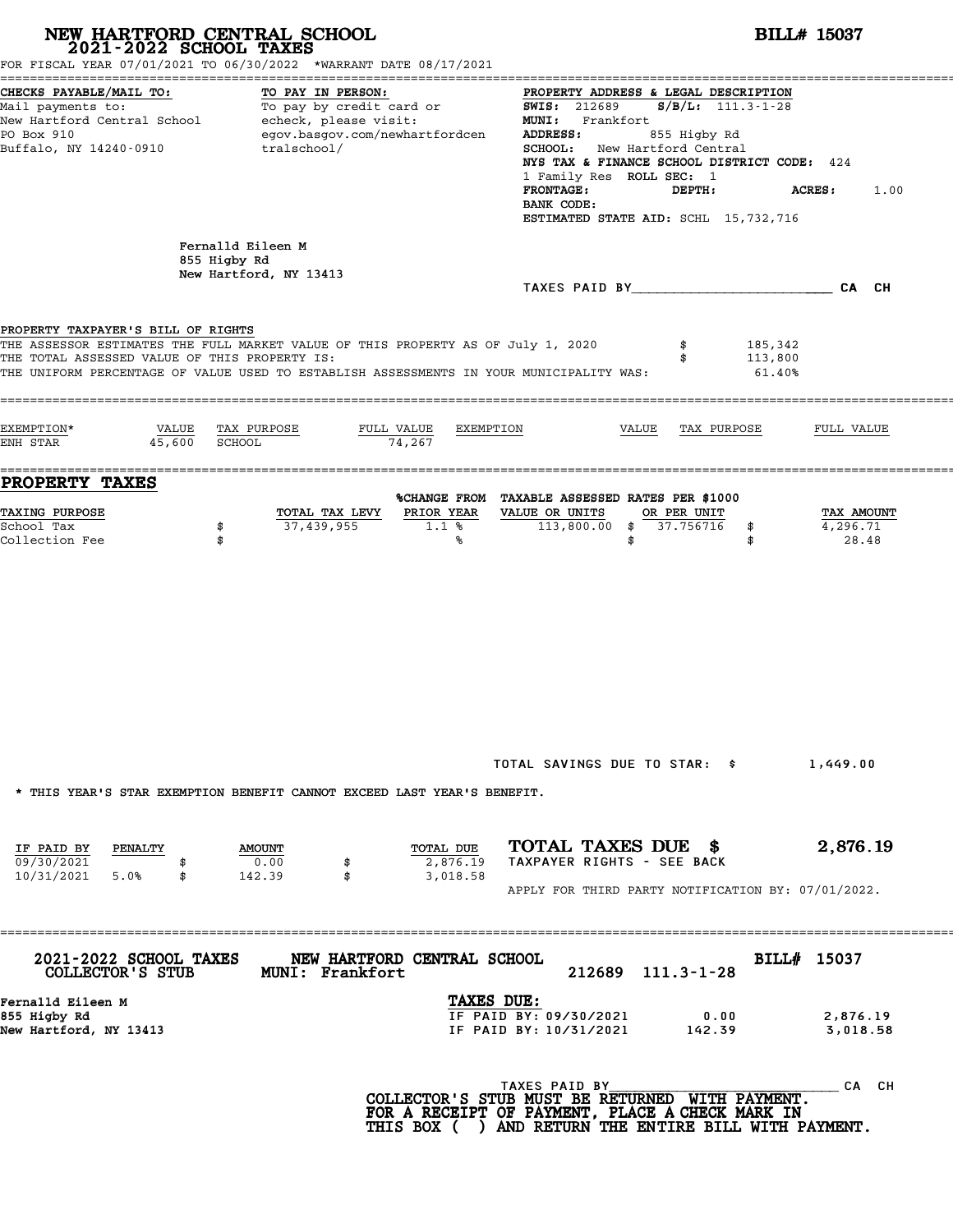# **NEW HARTFORD CENTRAL SCHOOL**<br>
2021-2022 SCHOOL TAXES<br>
FOR FISCAL YEAR 07/01/2021 TO 06/30/2022 \*WARRANT DATE 08/17/2021<br> **2021-2022 5CHOOL TAXES**

|                                                                                                                     | FOR FISCAL YEAR 07/01/2021 TO 06/30/2022 *WARRANT DATE 08/17/2021                                                                                                           |                                                                                                                                                             |                                                                                                                  |                                                                                                                                                                                                              |                              |                                 |
|---------------------------------------------------------------------------------------------------------------------|-----------------------------------------------------------------------------------------------------------------------------------------------------------------------------|-------------------------------------------------------------------------------------------------------------------------------------------------------------|------------------------------------------------------------------------------------------------------------------|--------------------------------------------------------------------------------------------------------------------------------------------------------------------------------------------------------------|------------------------------|---------------------------------|
| CHECKS PAYABLE/MAIL TO:<br>Mail payments to:<br>New Hartford Central School<br>PO Box 910<br>Buffalo, NY 14240-0910 | TO PAY IN PERSON:<br>To pay by credit card or<br>echeck, please visit:<br>egov.basgov.com/newhartfordcen<br>tralschool/                                                     |                                                                                                                                                             | <b>SWIS: 212689</b><br>MUNI: Frankfort<br>ADDRESS:<br>1 Family Res ROLL SEC: 1<br><b>FRONTAGE:</b><br>BANK CODE: | PROPERTY ADDRESS & LEGAL DESCRIPTION<br>$S/B/L: 111.3-1-28$<br>855 Higby Rd<br>SCHOOL: New Hartford Central<br>NYS TAX & FINANCE SCHOOL DISTRICT CODE: 424<br>DEPTH:<br>ESTIMATED STATE AID: SCHL 15,732,716 | ACRES:                       | 1.00                            |
|                                                                                                                     | Fernalld Eileen M<br>855 Higby Rd<br>New Hartford, NY 13413                                                                                                                 |                                                                                                                                                             |                                                                                                                  | TAXES PAID BY TAXES PAID BY                                                                                                                                                                                  |                              | CA CH                           |
| PROPERTY TAXPAYER'S BILL OF RIGHTS<br>THE TOTAL ASSESSED VALUE OF THIS PROPERTY IS:                                 | THE ASSESSOR ESTIMATES THE FULL MARKET VALUE OF THIS PROPERTY AS OF July 1, 2020<br>THE UNIFORM PERCENTAGE OF VALUE USED TO ESTABLISH ASSESSMENTS IN YOUR MUNICIPALITY WAS: |                                                                                                                                                             |                                                                                                                  |                                                                                                                                                                                                              | 185,342<br>113,800<br>61.40% |                                 |
| EXEMPTION*<br>VALUE<br>45,600<br>ENH STAR                                                                           | TAX PURPOSE<br>FULL VALUE<br>74,267<br>SCHOOL                                                                                                                               | EXEMPTION                                                                                                                                                   |                                                                                                                  | VALUE<br>TAX PURPOSE                                                                                                                                                                                         |                              | FULL VALUE                      |
| =====<br><b>PROPERTY TAXES</b><br><b>TAXING PURPOSE</b><br>School Tax<br>Collection Fee                             | TOTAL TAX LEVY<br>37,439,955<br>\$<br>\$                                                                                                                                    | %CHANGE FROM TAXABLE ASSESSED RATES PER \$1000<br>PRIOR YEAR<br>1.1%<br>%                                                                                   | VALUE OR UNITS<br>$113,800.00$ \$<br>\$                                                                          | OR PER UNIT<br>37.756716                                                                                                                                                                                     | \$<br>\$                     | TAX AMOUNT<br>4,296.71<br>28.48 |
| IF PAID BY<br>PENALTY<br>09/30/2021                                                                                 | * THIS YEAR'S STAR EXEMPTION BENEFIT CANNOT EXCEED LAST YEAR'S BENEFIT.<br><b>AMOUNT</b><br>0.00                                                                            | TOTAL DUE<br>2,876.19                                                                                                                                       | TAXPAYER RIGHTS - SEE BACK                                                                                       | TOTAL SAVINGS DUE TO STAR: \$<br>TOTAL TAXES DUE \$                                                                                                                                                          |                              | 1,449.00<br>2,876.19            |
| 10/31/2021 5.0%<br>\$<br><b>2021-2022 SCHOOL TAXES</b>                                                              | 142.39<br>\$<br>NEW HARTFORD CENTRAL SCHOOL                                                                                                                                 | 3,018.58                                                                                                                                                    |                                                                                                                  | APPLY FOR THIRD PARTY NOTIFICATION BY: 07/01/2022.                                                                                                                                                           | BILL# 15037                  |                                 |
| COLLECTOR'S STUB<br>Fernalld Eileen M<br>855 Higby Rd<br>New Hartford, NY 13413                                     | <b>MUNI: Frankfort</b>                                                                                                                                                      | TAXES DUE:                                                                                                                                                  | IF PAID BY: 09/30/2021<br>IF PAID BY: 10/31/2021                                                                 | 212689 111.3-1-28<br>0.00<br>142.39                                                                                                                                                                          |                              | 2,876.19<br>3,018.58            |
|                                                                                                                     |                                                                                                                                                                             | COLLECTOR'S STUB MUST BE RETURNED WITH PAYMENT.<br>FOR A RECEIPT OF PAYMENT, PLACE A CHECK MARK IN<br>THIS BOX ( ) AND RETURN THE ENTIRE BILL WITH PAYMENT. | TAXES PAID BY                                                                                                    |                                                                                                                                                                                                              |                              | _CA CH                          |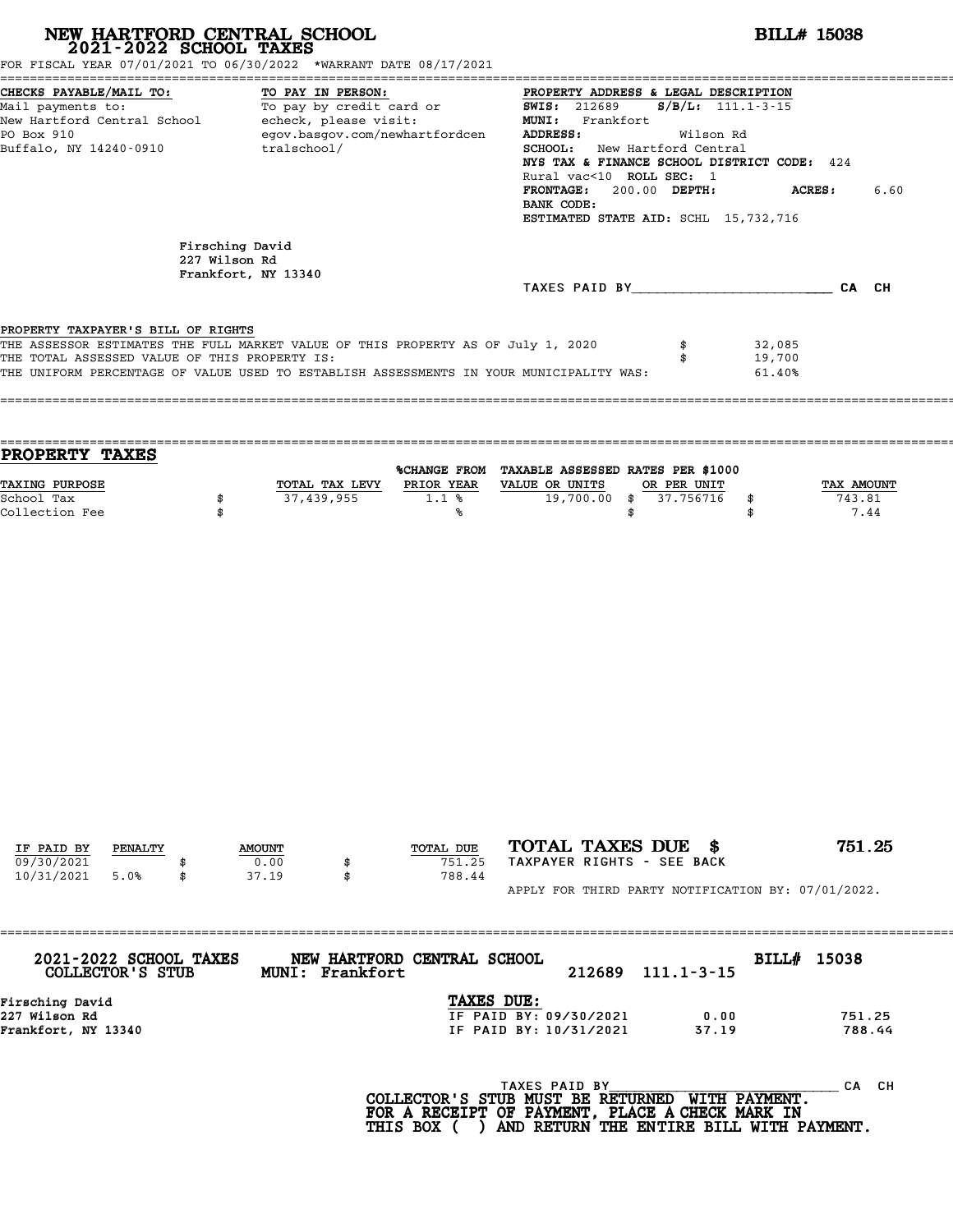| FOR FISCAL YEAR 07/01/2021 TO 06/30/2022 *WARRANT DATE 08/17/2021                                                                                                                                                                                                  |                                  | NEW HARTFORD CENTRAL SCHOOL 2021-2022 SCHOOL TAXES                                                                  |                               |                                                                                                                                                                                                                                                                                        | <b>BILL# 15038</b>                |                            |                              |
|--------------------------------------------------------------------------------------------------------------------------------------------------------------------------------------------------------------------------------------------------------------------|----------------------------------|---------------------------------------------------------------------------------------------------------------------|-------------------------------|----------------------------------------------------------------------------------------------------------------------------------------------------------------------------------------------------------------------------------------------------------------------------------------|-----------------------------------|----------------------------|------------------------------|
| CHECKS PAYABLE/MAIL TO:<br>Mail payments to:<br>New Hartford Central School echeck, please visit:<br>PO Box 910<br>Buffalo, NY 14240-0910                                                                                                                          |                                  | TO PAY IN PERSON:<br>TO PAY IN PERSON:<br>To pay by credit card or<br>egov.basgov.com/newhartfordcen<br>tralschool/ |                               | PROPERTY ADDRESS & LEGAL DESCRIPTION<br><b>SWIS:</b> 212689<br>MUNI: Frankfort<br>ADDRESS:<br>SCHOOL: New Hartford Central<br>NYS TAX & FINANCE SCHOOL DISTRICT CODE: 424<br>Rural vac<10 ROLL SEC: 1<br>FRONTAGE: 200.00 DEPTH:<br>BANK CODE:<br>ESTIMATED STATE AID: SCHL 15,732,716 | $S/B/L$ : 111.1-3-15<br>Wilson Rd |                            | <b>ACRES :</b><br>6.60       |
|                                                                                                                                                                                                                                                                    | Firsching David<br>227 Wilson Rd | Frankfort, NY 13340                                                                                                 |                               | TAXES PAID BY CA CH                                                                                                                                                                                                                                                                    |                                   |                            |                              |
| PROPERTY TAXPAYER'S BILL OF RIGHTS<br>THE ASSESSOR ESTIMATES THE FULL MARKET VALUE OF THIS PROPERTY AS OF July 1, 2020<br>THE TOTAL ASSESSED VALUE OF THIS PROPERTY IS:<br>THE UNIFORM PERCENTAGE OF VALUE USED TO ESTABLISH ASSESSMENTS IN YOUR MUNICIPALITY WAS: |                                  |                                                                                                                     |                               |                                                                                                                                                                                                                                                                                        | \$<br>\$                          | 32,085<br>19,700<br>61.40% |                              |
| PROPERTY TAXES                                                                                                                                                                                                                                                     |                                  |                                                                                                                     |                               | %CHANGE FROM TAXABLE ASSESSED RATES PER \$1000                                                                                                                                                                                                                                         |                                   |                            |                              |
| TAXING PURPOSE<br>School Tax<br>Collection Fee                                                                                                                                                                                                                     | \$<br>\$                         | TOTAL TAX LEVY<br>37,439,955                                                                                        | 1.1%<br>℁                     | PRIOR YEAR VALUE OR UNITS<br>19,700.00 \$                                                                                                                                                                                                                                              | OR PER UNIT<br>37.756716<br>\$    | \$<br>\$                   | TAX AMOUNT<br>743.81<br>7.44 |
|                                                                                                                                                                                                                                                                    |                                  |                                                                                                                     |                               |                                                                                                                                                                                                                                                                                        |                                   |                            |                              |
|                                                                                                                                                                                                                                                                    |                                  |                                                                                                                     |                               |                                                                                                                                                                                                                                                                                        |                                   |                            |                              |
| IF PAID BY<br>PENALTY<br>09/30/2021<br>10/31/2021<br>5.0%                                                                                                                                                                                                          | \$                               | <b>AMOUNT</b><br>0.00<br>\$<br>37.19<br>\$                                                                          | TOTAL DUE<br>751.25<br>788.44 | TOTAL TAXES DUE \$<br>TAXPAYER RIGHTS - SEE BACK                                                                                                                                                                                                                                       |                                   |                            | 751.25                       |
| 2021-2022 SCHOOL TAXES                                                                                                                                                                                                                                             |                                  | NEW HARTFORD CENTRAL SCHOOL                                                                                         |                               | APPLY FOR THIRD PARTY NOTIFICATION BY: 07/01/2022.                                                                                                                                                                                                                                     |                                   | BILL# 15038                |                              |
| <b>COLLECTOR'S STUB</b><br>Firsching David                                                                                                                                                                                                                         |                                  | MUNI: Frankfort                                                                                                     | TAXES DUE:                    | 212689                                                                                                                                                                                                                                                                                 | $111.1 - 3 - 15$                  |                            |                              |
| 227 Wilson Rd<br>Frankfort, NY 13340                                                                                                                                                                                                                               |                                  |                                                                                                                     |                               | IF PAID BY: 09/30/2021<br>IF PAID BY: 10/31/2021                                                                                                                                                                                                                                       | 0.00<br>37.19                     |                            | 751.25<br>788.44             |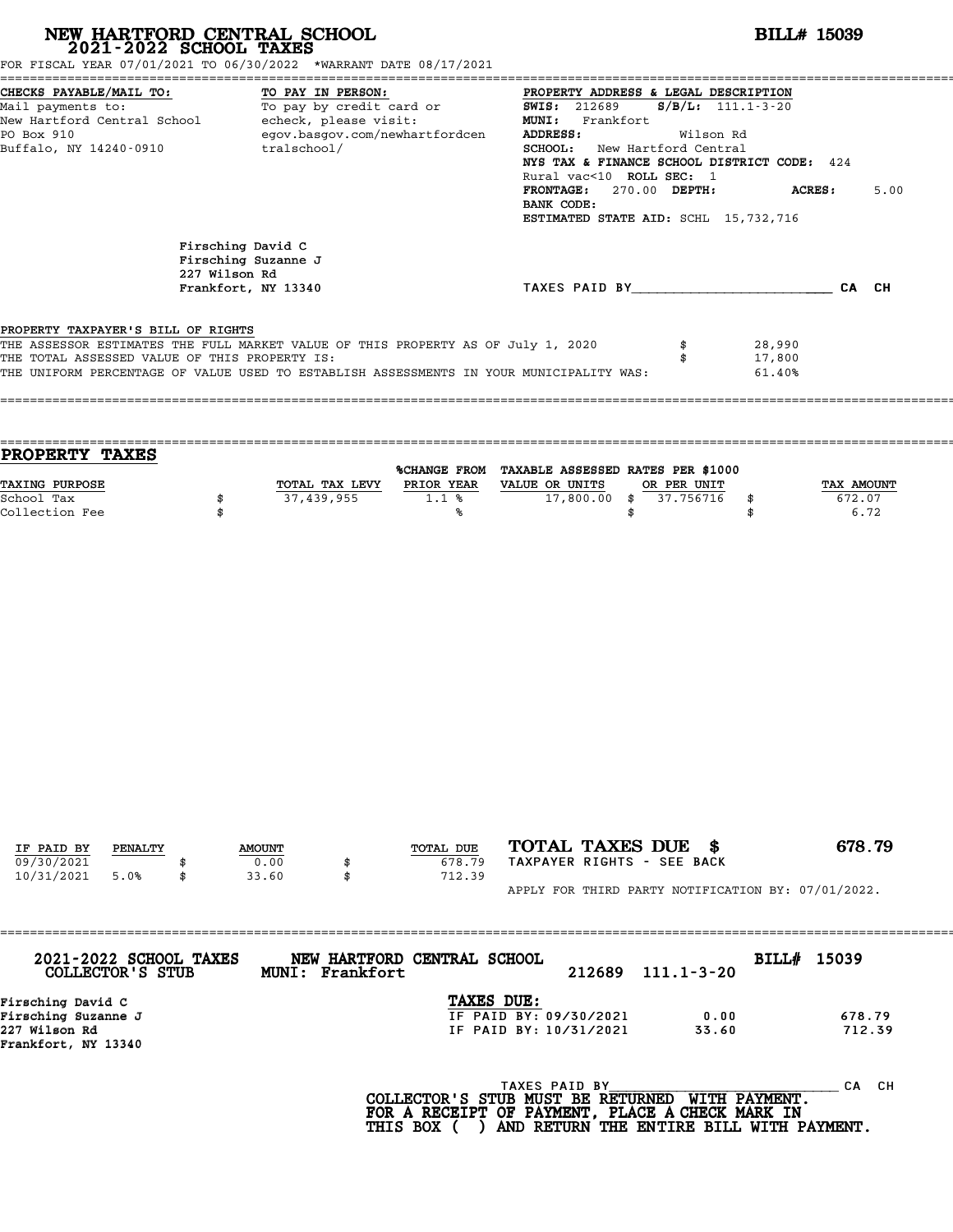|                                                                                     |               | NEW HARTFORD CENTRAL SCHOOL 2021-2022 SCHOOL TAXES                                                                                                                                                                                                                                                                                                                                                                    |                                    |                                                                                                                                                                                                                                                            | <b>BILL# 15039</b>                          |                            |                              |  |
|-------------------------------------------------------------------------------------|---------------|-----------------------------------------------------------------------------------------------------------------------------------------------------------------------------------------------------------------------------------------------------------------------------------------------------------------------------------------------------------------------------------------------------------------------|------------------------------------|------------------------------------------------------------------------------------------------------------------------------------------------------------------------------------------------------------------------------------------------------------|---------------------------------------------|----------------------------|------------------------------|--|
|                                                                                     |               | FOR FISCAL YEAR 07/01/2021 TO 06/30/2022 *WARRANT DATE 08/17/2021                                                                                                                                                                                                                                                                                                                                                     |                                    |                                                                                                                                                                                                                                                            |                                             |                            |                              |  |
| CHECKS PAYABLE/MAIL TO:<br>PO Box 910<br>Buffalo, NY 14240-0910                     |               | TO PAY IN PERSON:<br>Mail payments to:<br>Mail payments to: To pay by credit card or $\frac{F_{\text{NO}}F_{\text{NMS}}}{\text{MW}}$ and $\frac{F_{\text{NO}}F_{\text{NMS}}}{\text{MW}}$ and $\frac{F_{\text{NO}}F_{\text{NMS}}}{\text{MW}}$ and $\frac{F_{\text{NO}}F_{\text{NMS}}}{\text{MW}}$ and $\frac{F_{\text{NO}}F_{\text{NMS}}}{\text{MW}}$ and $\frac{F_{$<br>egov.basgov.com/newhartfordcen<br>tralschool/ |                                    | PROPERTY ADDRESS & LEGAL DESCRIPTION<br><b>ADDRESS:</b><br><b>SCHOOL:</b> New Hartford Central<br>NYS TAX & FINANCE SCHOOL DISTRICT CODE: 424<br>Rural vac<10 ROLL SEC: 1<br>FRONTAGE: 270.00 DEPTH:<br>BANK CODE:<br>ESTIMATED STATE AID: SCHL 15,732,716 | Wilson Rd                                   |                            | <b>ACRES:</b><br>5.00        |  |
|                                                                                     | 227 Wilson Rd | Firsching David C<br>Firsching Suzanne J<br>Frankfort, NY 13340                                                                                                                                                                                                                                                                                                                                                       |                                    | TAXES PAID BY CA CH                                                                                                                                                                                                                                        |                                             |                            |                              |  |
| PROPERTY TAXPAYER'S BILL OF RIGHTS<br>THE TOTAL ASSESSED VALUE OF THIS PROPERTY IS: |               | THE ASSESSOR ESTIMATES THE FULL MARKET VALUE OF THIS PROPERTY AS OF July 1, 2020<br>THE UNIFORM PERCENTAGE OF VALUE USED TO ESTABLISH ASSESSMENTS IN YOUR MUNICIPALITY WAS:                                                                                                                                                                                                                                           |                                    |                                                                                                                                                                                                                                                            | \$<br>\$                                    | 28,990<br>17,800<br>61.40% |                              |  |
| PROPERTY TAXES                                                                      |               |                                                                                                                                                                                                                                                                                                                                                                                                                       |                                    | %CHANGE FROM TAXABLE ASSESSED RATES PER \$1000                                                                                                                                                                                                             |                                             |                            |                              |  |
| <b>TAXING PURPOSE</b><br>School Tax<br>Collection Fee                               | \$<br>\$      | TOTAL TAX LEVY<br>37,439,955                                                                                                                                                                                                                                                                                                                                                                                          | <b>PRIOR YEAR</b><br>$1.1$ %<br>°∝ | VALUE OR UNITS                                                                                                                                                                                                                                             | OR PER UNIT<br>17,800.00 \$ 37.756716<br>\$ | \$<br>\$                   | TAX AMOUNT<br>672.07<br>6.72 |  |
|                                                                                     |               |                                                                                                                                                                                                                                                                                                                                                                                                                       |                                    |                                                                                                                                                                                                                                                            |                                             |                            |                              |  |
| IF PAID BY<br>PENALTY<br>09/30/2021<br>10/31/2021<br>5.0%                           | \$            | <b>AMOUNT</b><br>0.00<br>\$<br>33.60<br>\$                                                                                                                                                                                                                                                                                                                                                                            | TOTAL DUE<br>678.79<br>712.39      | TOTAL TAXES DUE \$<br>TAXPAYER RIGHTS - SEE BACK                                                                                                                                                                                                           |                                             |                            | 678.79                       |  |

APPLY FOR THIRD PARTY NOTIFICATION BY: 07/01/2022.

| 2021-2022 SCHOOL TAXES | NEW HARTFORD CENTRAL SCHOOL |                                             |               |                       | BILL# 15039 |           |  |
|------------------------|-----------------------------|---------------------------------------------|---------------|-----------------------|-------------|-----------|--|
| COLLECTOR'S STUB       | MUNI: Frankfort             |                                             | 212689        | $111.1 - 3 - 20$      |             |           |  |
| Firsching David C      |                             | TAXES DUE:                                  |               |                       |             |           |  |
| Firsching Suzanne J    |                             | IF PAID BY: 09/30/2021                      |               | 0.00                  |             | 678.79    |  |
| 227 Wilson Rd          |                             | IF PAID BY: 10/31/2021                      |               | 33.60                 |             | 712.39    |  |
| Frankfort, NY 13340    |                             |                                             |               |                       |             |           |  |
|                        |                             |                                             | TAXES PAID BY |                       |             | CH.<br>CА |  |
|                        |                             | $COT$ מסורתים כן ספר מידותים מחיים וכתחים ז |               | <b>MITTLE DAVMENT</b> |             |           |  |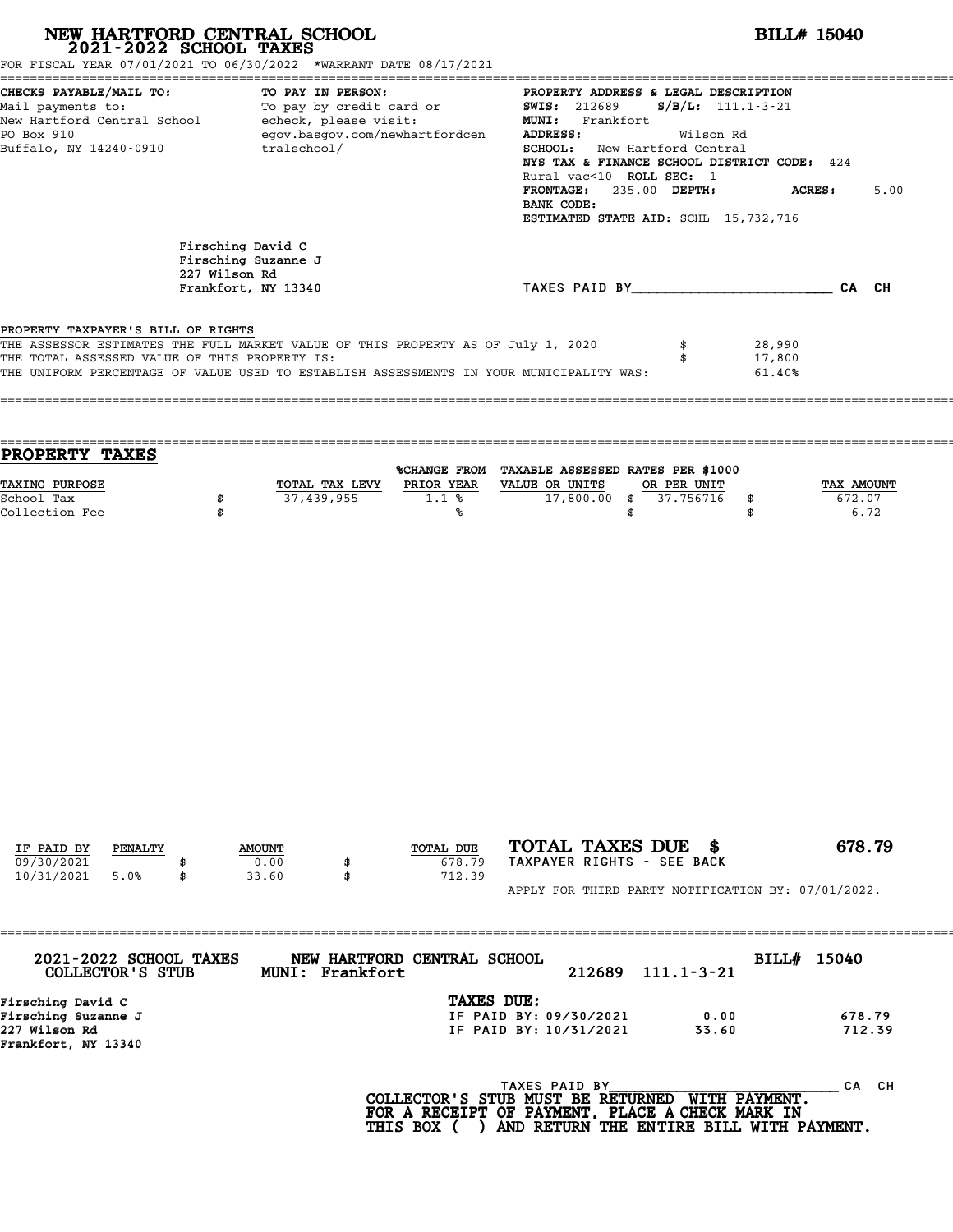| NEW HARTFORD CENTRAL SCHOOL 2021-2022 SCHOOL TAXES<br>FOR FISCAL YEAR 07/01/2021 TO 06/30/2022 *WARRANT DATE 08/17/2021                                                 |                                                                                                                                                                                                                                                                                                                                         |                                                                 |                                                                                                                                                                                                                                                                                                  | <b>BILL# 15040</b>                                                                                              |                            |                              |  |
|-------------------------------------------------------------------------------------------------------------------------------------------------------------------------|-----------------------------------------------------------------------------------------------------------------------------------------------------------------------------------------------------------------------------------------------------------------------------------------------------------------------------------------|-----------------------------------------------------------------|--------------------------------------------------------------------------------------------------------------------------------------------------------------------------------------------------------------------------------------------------------------------------------------------------|-----------------------------------------------------------------------------------------------------------------|----------------------------|------------------------------|--|
| CHECKS PAYABLE/MAIL TO:<br>PO Box 910                                                                                                                                   | TO PAY IN PERSON:<br>Mail payments to: To pay by credit card or MUNI: Frankfort<br>New Hartford Central School echeck, please visit: MUNI: Frankfort<br>New Hartford Central School echeck, please visit: MUNI: Frankfort<br>New Hartford Central School ech<br>egov.basgov.com/newhartfordcen<br>Buffalo, NY 14240-0910<br>tralschool/ |                                                                 | PROPERTY ADDRESS & LEGAL DESCRIPTION<br><b>ADDRESS:</b><br>Wilson Rd<br><b>SCHOOL:</b> New Hartford Central<br>NYS TAX & FINANCE SCHOOL DISTRICT CODE: 424<br>Rural vac<10 ROLL SEC: 1<br>FRONTAGE: 235.00 DEPTH:<br><b>ACRES:</b><br>5.00<br>BANK CODE:<br>ESTIMATED STATE AID: SCHL 15,732,716 |                                                                                                                 |                            |                              |  |
|                                                                                                                                                                         | 227 Wilson Rd                                                                                                                                                                                                                                                                                                                           | Firsching David C<br>Firsching Suzanne J<br>Frankfort, NY 13340 |                                                                                                                                                                                                                                                                                                  | TAXES PAID BY CA CH                                                                                             |                            |                              |  |
| PROPERTY TAXPAYER'S BILL OF RIGHTS<br>THE ASSESSOR ESTIMATES THE FULL MARKET VALUE OF THIS PROPERTY AS OF July 1, 2020<br>THE TOTAL ASSESSED VALUE OF THIS PROPERTY IS: |                                                                                                                                                                                                                                                                                                                                         |                                                                 |                                                                                                                                                                                                                                                                                                  | \$<br>\$<br>THE UNIFORM PERCENTAGE OF VALUE USED TO ESTABLISH ASSESSMENTS IN YOUR MUNICIPALITY WAS:             | 28,990<br>17,800<br>61.40% |                              |  |
| PROPERTY TAXES<br><b>TAXING PURPOSE</b><br>School Tax<br>Collection Fee                                                                                                 | \$<br>\$                                                                                                                                                                                                                                                                                                                                | TOTAL TAX LEVY<br>37,439,955                                    | <b>PRIOR YEAR</b><br>$1.1$ %<br>°∝                                                                                                                                                                                                                                                               | %CHANGE FROM TAXABLE ASSESSED RATES PER \$1000<br>VALUE OR UNITS<br>OR PER UNIT<br>17,800.00 \$ 37.756716<br>\$ | \$<br>\$                   | TAX AMOUNT<br>672.07<br>6.72 |  |
|                                                                                                                                                                         |                                                                                                                                                                                                                                                                                                                                         |                                                                 |                                                                                                                                                                                                                                                                                                  |                                                                                                                 |                            |                              |  |

| TAXES DUE:<br>Firsching David C<br>Firsching Suzanne J<br>IF PAID BY: 09/30/2021 | $111.1 - 3 - 21$ |
|----------------------------------------------------------------------------------|------------------|
|                                                                                  |                  |
|                                                                                  | 678.79<br>0.00   |
| 227 Wilson Rd<br>IF PAID BY: 10/31/2021<br>33.60                                 | 712.39           |
| Frankfort, NY 13340                                                              |                  |
| TAXES PAID BY                                                                    | CА               |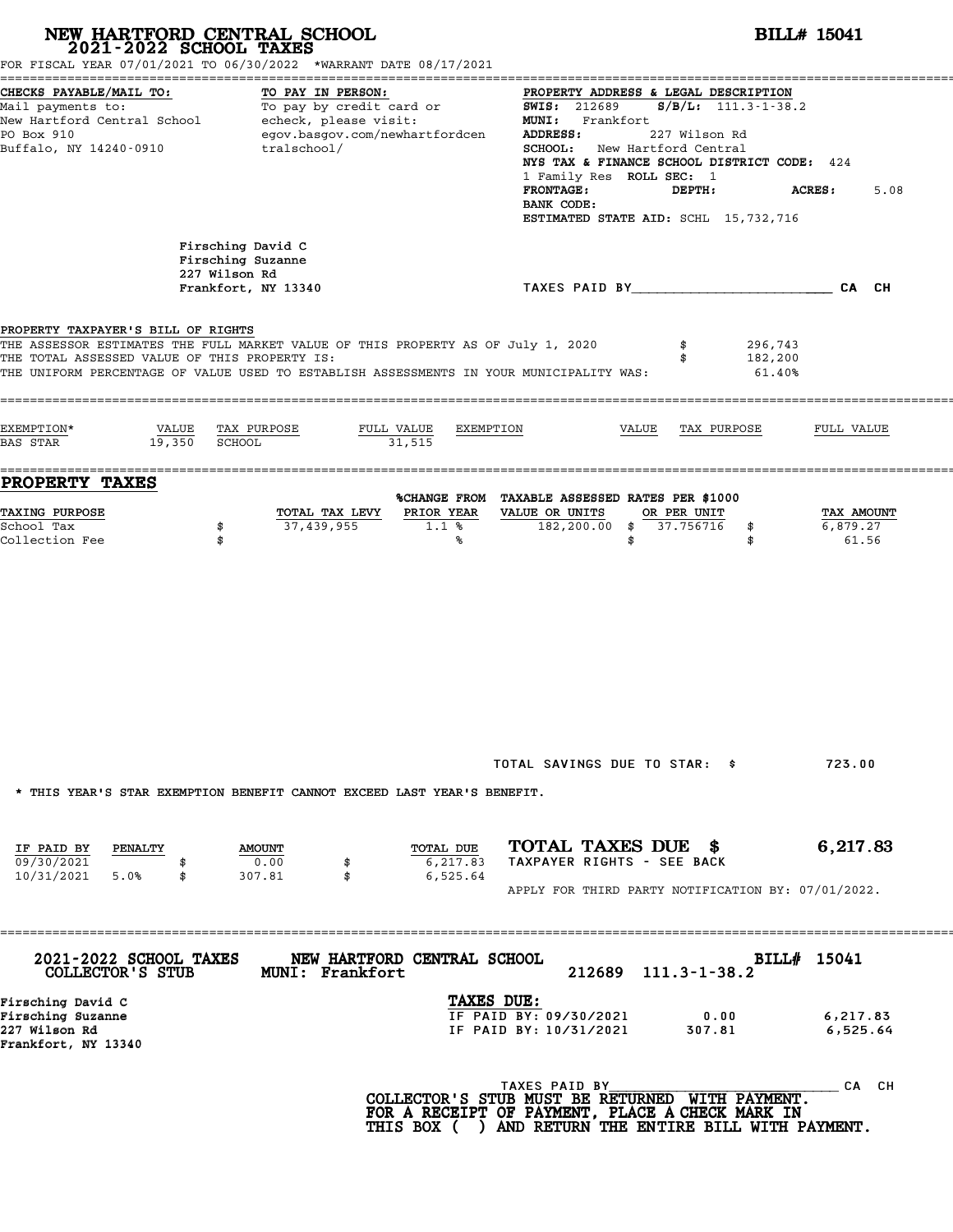|                                                                                                                                            | NEW HARTFORD CENTRAL SCHOOL<br>2021-2022 SCHOOL TAXES<br>FOR FISCAL YEAR 07/01/2021 TO 06/30/2022 *WARRANT DATE 08/17/2021                                                  |                                                                                                                                                                                                                                                                                                                                                | <b>BILL# 15041</b>              |
|--------------------------------------------------------------------------------------------------------------------------------------------|-----------------------------------------------------------------------------------------------------------------------------------------------------------------------------|------------------------------------------------------------------------------------------------------------------------------------------------------------------------------------------------------------------------------------------------------------------------------------------------------------------------------------------------|---------------------------------|
| CHECKS PAYABLE/MAIL TO:<br>Mail payments to:<br>New Hartford Central School becheck, please visit:<br>PO Box 910<br>Buffalo, NY 14240-0910 | TO PAY IN PERSON:<br>To pay by credit card or<br>egov.basgov.com/newhartfordcen<br>tralschool/                                                                              | PROPERTY ADDRESS & LEGAL DESCRIPTION<br>$S/B/L: 111.3 - 1 - 38.2$<br><b>SWIS:</b> 212689<br>MUNI: Frankfort<br>ADDRESS:<br>227 Wilson Rd<br><b>SCHOOL:</b> New Hartford Central<br>NYS TAX & FINANCE SCHOOL DISTRICT CODE: 424<br>1 Family Res ROLL SEC: 1<br><b>FRONTAGE:</b><br>DEPTH:<br>BANK CODE:<br>ESTIMATED STATE AID: SCHL 15,732,716 | <b>ACRES:</b><br>5.08           |
| 227 Wilson Rd                                                                                                                              | Firsching David C<br>Firsching Suzanne<br>Frankfort, NY 13340                                                                                                               | TAXES PAID BY CA CH                                                                                                                                                                                                                                                                                                                            |                                 |
| PROPERTY TAXPAYER'S BILL OF RIGHTS<br>THE TOTAL ASSESSED VALUE OF THIS PROPERTY IS:                                                        | THE ASSESSOR ESTIMATES THE FULL MARKET VALUE OF THIS PROPERTY AS OF July 1, 2020<br>THE UNIFORM PERCENTAGE OF VALUE USED TO ESTABLISH ASSESSMENTS IN YOUR MUNICIPALITY WAS: | 296,743<br>182,200<br>61.40%                                                                                                                                                                                                                                                                                                                   |                                 |
| EXEMPTION*<br>VALUE<br>19,350<br><b>BAS STAR</b>                                                                                           | TAX PURPOSE<br>FULL VALUE<br>EXEMPTION<br>SCHOOL<br>31,515                                                                                                                  | VALUE<br>TAX PURPOSE                                                                                                                                                                                                                                                                                                                           | FULL VALUE                      |
| <b>PROPERTY TAXES</b><br><b>TAXING PURPOSE</b><br>School Tax<br>\$<br>Collection Fee<br>\$                                                 | TOTAL TAX LEVY<br>PRIOR YEAR<br>37,439,955<br>1.1%<br>%                                                                                                                     | %CHANGE FROM TAXABLE ASSESSED RATES PER \$1000<br>VALUE OR UNITS<br>OR PER UNIT<br>182,200.00 \$ 37.756716<br>\$<br>\$<br>\$                                                                                                                                                                                                                   | TAX AMOUNT<br>6,879.27<br>61.56 |
|                                                                                                                                            |                                                                                                                                                                             |                                                                                                                                                                                                                                                                                                                                                |                                 |
|                                                                                                                                            | * THIS YEAR'S STAR EXEMPTION BENEFIT CANNOT EXCEED LAST YEAR'S BENEFIT.                                                                                                     | TOTAL SAVINGS DUE TO STAR: \$                                                                                                                                                                                                                                                                                                                  | 723.00                          |
| IF PAID BY<br>PENALTY<br>09/30/2021<br>10/31/2021 5.0%<br>\$                                                                               | TOTAL DUE<br><b>AMOUNT</b><br>0.00<br>6,217.83<br>307.81<br>\$<br>6,525.64                                                                                                  | TOTAL TAXES DUE \$<br>TAXPAYER RIGHTS - SEE BACK                                                                                                                                                                                                                                                                                               | 6,217.83                        |
|                                                                                                                                            |                                                                                                                                                                             | APPLY FOR THIRD PARTY NOTIFICATION BY: 07/01/2022.                                                                                                                                                                                                                                                                                             |                                 |
| 2021-2022 SCHOOL TAXES<br>COLLECTOR'S STUB                                                                                                 | NEW HARTFORD CENTRAL SCHOOL<br>MUNI: Frankfort<br>TAXES DUE:                                                                                                                | 212689<br>$111.3 - 1 - 38.2$                                                                                                                                                                                                                                                                                                                   | BILL# 15041                     |
|                                                                                                                                            |                                                                                                                                                                             |                                                                                                                                                                                                                                                                                                                                                | 6,217.83                        |
| Firsching David C<br>Firsching Suzanne<br>227 Wilson Rd<br>Frankfort, NY 13340                                                             |                                                                                                                                                                             | IF PAID BY: 09/30/2021<br>0.00<br>IF PAID BY: 10/31/2021<br>307.81                                                                                                                                                                                                                                                                             | 6,525.64                        |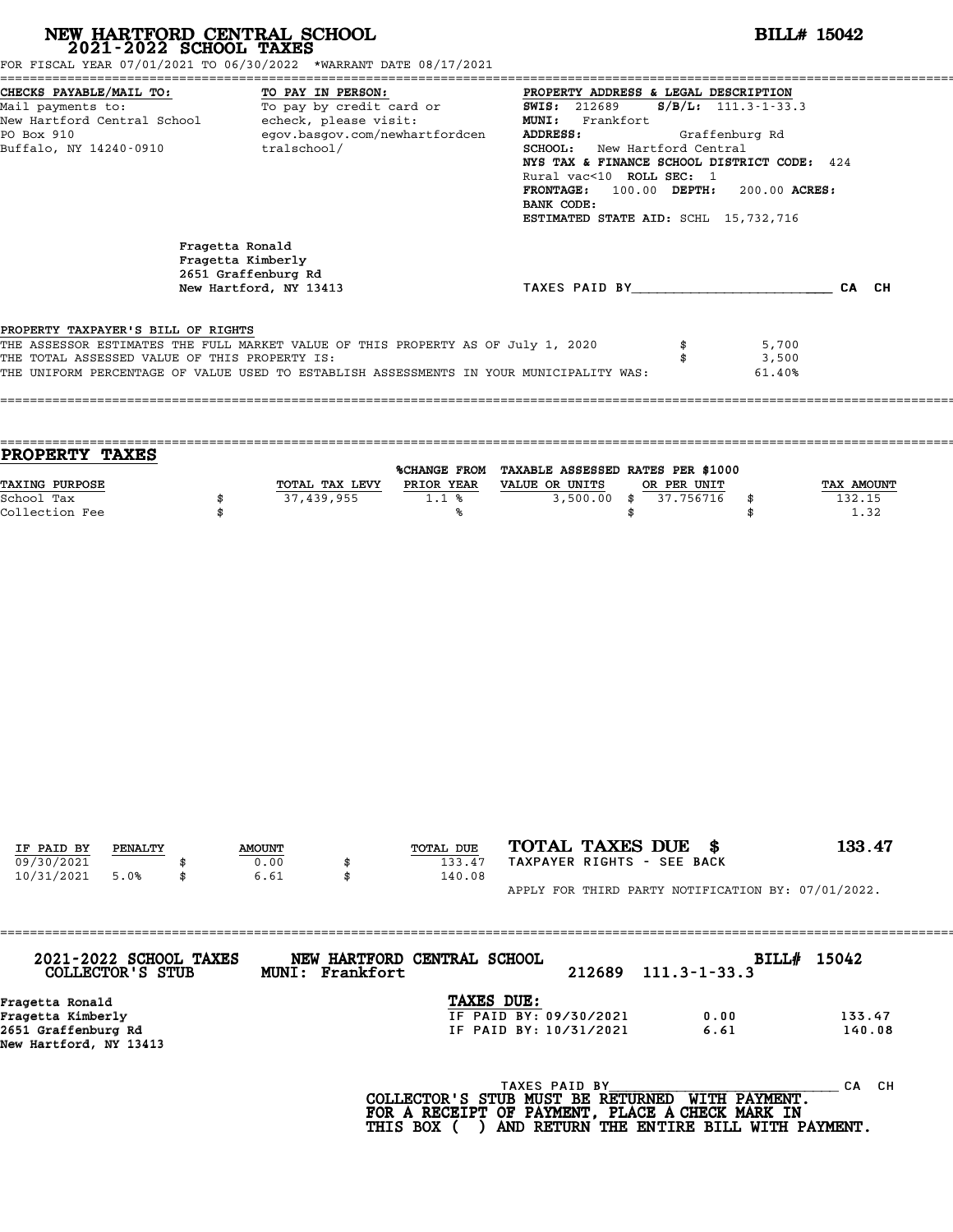| FOR FISCAL YEAR 07/01/2021 TO 06/30/2022 *WARRANT DATE 08/17/2021                                                                                                                                                                                                  | NEW HARTFORD CENTRAL SCHOOL 2021-2022 SCHOOL TAXES                                    |                                                        | <b>BILL# 15042</b>                                                                                                                                                                                                                                                                                                                                                                                                                          |                          |                              |
|--------------------------------------------------------------------------------------------------------------------------------------------------------------------------------------------------------------------------------------------------------------------|---------------------------------------------------------------------------------------|--------------------------------------------------------|---------------------------------------------------------------------------------------------------------------------------------------------------------------------------------------------------------------------------------------------------------------------------------------------------------------------------------------------------------------------------------------------------------------------------------------------|--------------------------|------------------------------|
| Buffalo, NY 14240-0910                                                                                                                                                                                                                                             | tralschool/                                                                           |                                                        | CHECKS PAYABLE/MAIL TO:<br>Mail payments to:<br>Mail payments to:<br>New Hartford Central School echeck, please visit:<br>To pay by credit card or any same and the series of the mail school echeck, please visit:<br>MUNI: Frankfort a<br><b>SCHOOL:</b> New Hartford Central<br>NYS TAX & FINANCE SCHOOL DISTRICT CODE: 424<br>Rural vac<10 ROLL SEC: 1<br>FRONTAGE: 100.00 DEPTH:<br>BANK CODE:<br>ESTIMATED STATE AID: SCHL 15,732,716 | 200.00 ACRES:            |                              |
|                                                                                                                                                                                                                                                                    | Fragetta Ronald<br>Fragetta Kimberly<br>2651 Graffenburg Rd<br>New Hartford, NY 13413 |                                                        | TAXES PAID BY CAN CH                                                                                                                                                                                                                                                                                                                                                                                                                        |                          |                              |
| PROPERTY TAXPAYER'S BILL OF RIGHTS<br>THE ASSESSOR ESTIMATES THE FULL MARKET VALUE OF THIS PROPERTY AS OF July 1, 2020<br>THE TOTAL ASSESSED VALUE OF THIS PROPERTY IS:<br>THE UNIFORM PERCENTAGE OF VALUE USED TO ESTABLISH ASSESSMENTS IN YOUR MUNICIPALITY WAS: |                                                                                       |                                                        | \$                                                                                                                                                                                                                                                                                                                                                                                                                                          | 5,700<br>3,500<br>61.40% |                              |
| PROPERTY TAXES<br><b>TAXING PURPOSE</b><br>School Tax<br>Collection Fee                                                                                                                                                                                            | 37,439,955<br>\$<br>\$                                                                | TOTAL TAX LEVY PRIOR YEAR VALUE OR UNITS<br>1.1%<br>°∝ | %CHANGE FROM TAXABLE ASSESSED RATES PER \$1000<br>OR PER UNIT<br>3,500.00 \$ 37.756716<br>\$                                                                                                                                                                                                                                                                                                                                                | \$<br>\$                 | TAX AMOUNT<br>132.15<br>1.32 |
|                                                                                                                                                                                                                                                                    |                                                                                       |                                                        |                                                                                                                                                                                                                                                                                                                                                                                                                                             |                          |                              |
|                                                                                                                                                                                                                                                                    |                                                                                       |                                                        |                                                                                                                                                                                                                                                                                                                                                                                                                                             |                          |                              |
|                                                                                                                                                                                                                                                                    |                                                                                       |                                                        |                                                                                                                                                                                                                                                                                                                                                                                                                                             |                          |                              |

| 2021-2022 SCHOOL TAXES<br>COLLECTOR'S STUB | NEW HARTFORD CENTRAL SCHOOL<br>MUNI: Frankfort |                        | 212689 | $111.3 - 1 - 33.3$ | BILLH 15042 |
|--------------------------------------------|------------------------------------------------|------------------------|--------|--------------------|-------------|
| Fragetta Ronald                            |                                                | <b>TAXES DUE:</b>      |        |                    |             |
| Fragetta Kimberly                          |                                                | IF PAID BY: 09/30/2021 |        | 0.00               | 133.47      |
| 2651 Graffenburg Rd                        |                                                | IF PAID BY: 10/31/2021 |        | 6.61               | 140.08      |
| New Hartford, NY 13413                     |                                                |                        |        |                    |             |
|                                            |                                                | TAXES PAID BY          |        |                    | CH.<br>CА   |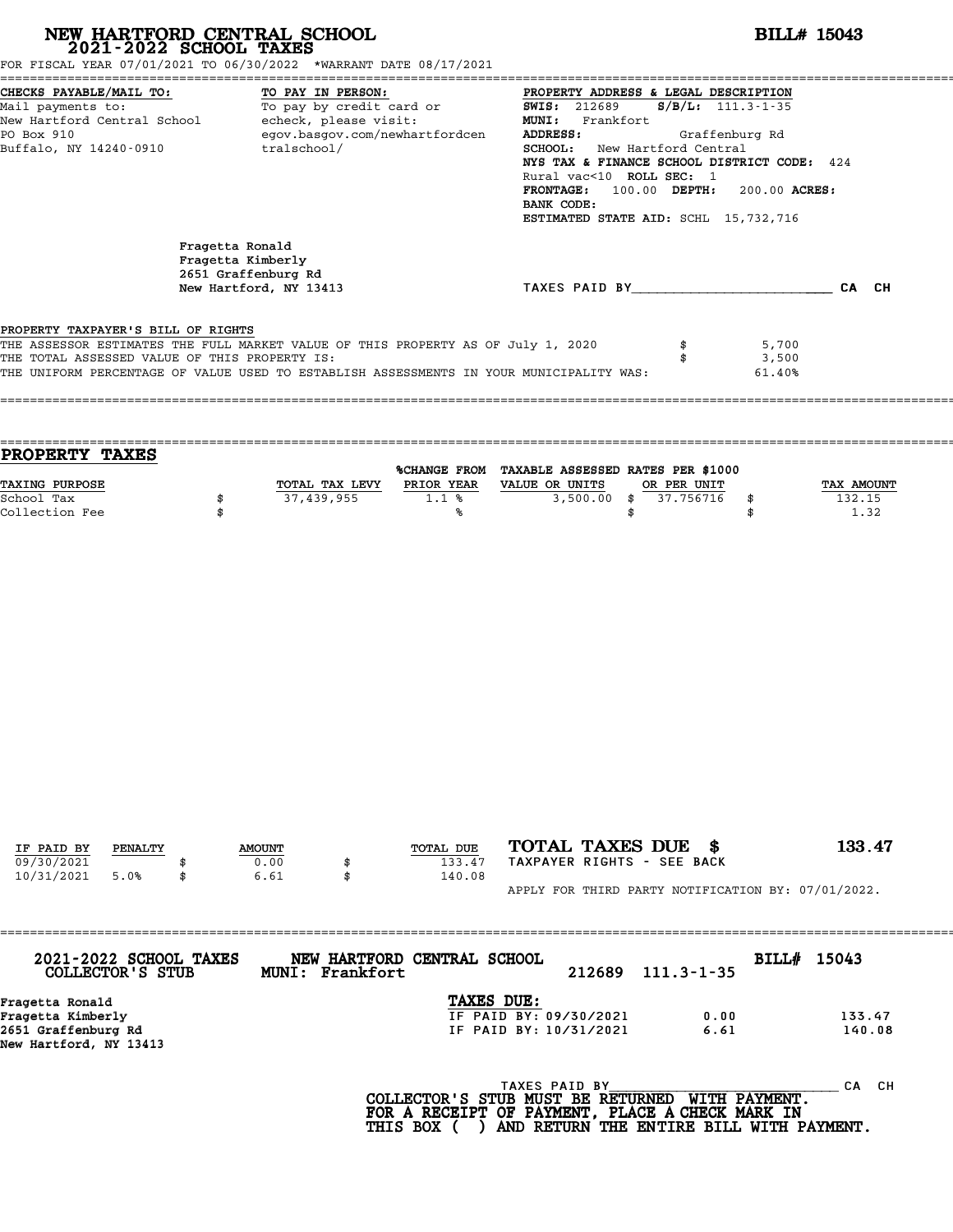| CHECKS PAYABLE/MAIL TO:<br>TO PAY IN PERSON:<br>PROPERTY ADDRESS & LEGAL DESCRIPTION<br>CHECKS PAYABLE/MAIL TO: TO PAY IN PERSON: PROPERTY ADDRESS & LEGAL DESCRIPTION<br>Mail payments to: To pay by credit card or FONIS: 212689 S/B/L: 111.3-1-35<br>New Hartford Central School echck, please visit: MUNI: Frankfort<br>New<br>egov.basgov.com/newhartfordcen<br>PO Box 910<br>ADDRESS:<br>Graffenburg Rd<br>Buffalo, NY 14240-0910<br>tralschool/<br><b>SCHOOL:</b> New Hartford Central<br>NYS TAX & FINANCE SCHOOL DISTRICT CODE: 424<br>Rural vac<10 ROLL SEC: 1<br>FRONTAGE: 100.00 DEPTH:<br>200.00 ACRES:<br>BANK CODE:<br>ESTIMATED STATE AID: SCHL 15,732,716<br>Fragetta Ronald<br>Fragetta Kimberly<br>2651 Graffenburg Rd<br>TAXES PAID BY CAN CH<br>New Hartford, NY 13413<br>PROPERTY TAXPAYER'S BILL OF RIGHTS<br>THE ASSESSOR ESTIMATES THE FULL MARKET VALUE OF THIS PROPERTY AS OF July 1, 2020<br>5,700<br>THE TOTAL ASSESSED VALUE OF THIS PROPERTY IS:<br>3,500<br>\$<br>THE UNIFORM PERCENTAGE OF VALUE USED TO ESTABLISH ASSESSMENTS IN YOUR MUNICIPALITY WAS:<br>61.40%<br>PROPERTY TAXES<br>%CHANGE FROM TAXABLE ASSESSED RATES PER \$1000<br><b>TAXING PURPOSE</b><br>TOTAL TAX LEVY PRIOR YEAR VALUE OR UNITS<br>OR PER UNIT<br>TAX AMOUNT<br>37,439,955<br>1.1%<br>3,500.00 \$ 37.756716<br>132.15<br>School Tax<br>\$<br>\$<br>Collection Fee<br>1.32<br>\$<br>\$<br>\$<br>°∝ |
|----------------------------------------------------------------------------------------------------------------------------------------------------------------------------------------------------------------------------------------------------------------------------------------------------------------------------------------------------------------------------------------------------------------------------------------------------------------------------------------------------------------------------------------------------------------------------------------------------------------------------------------------------------------------------------------------------------------------------------------------------------------------------------------------------------------------------------------------------------------------------------------------------------------------------------------------------------------------------------------------------------------------------------------------------------------------------------------------------------------------------------------------------------------------------------------------------------------------------------------------------------------------------------------------------------------------------------------------------------------------------------------------------------------|
|                                                                                                                                                                                                                                                                                                                                                                                                                                                                                                                                                                                                                                                                                                                                                                                                                                                                                                                                                                                                                                                                                                                                                                                                                                                                                                                                                                                                                |
|                                                                                                                                                                                                                                                                                                                                                                                                                                                                                                                                                                                                                                                                                                                                                                                                                                                                                                                                                                                                                                                                                                                                                                                                                                                                                                                                                                                                                |
|                                                                                                                                                                                                                                                                                                                                                                                                                                                                                                                                                                                                                                                                                                                                                                                                                                                                                                                                                                                                                                                                                                                                                                                                                                                                                                                                                                                                                |
|                                                                                                                                                                                                                                                                                                                                                                                                                                                                                                                                                                                                                                                                                                                                                                                                                                                                                                                                                                                                                                                                                                                                                                                                                                                                                                                                                                                                                |
|                                                                                                                                                                                                                                                                                                                                                                                                                                                                                                                                                                                                                                                                                                                                                                                                                                                                                                                                                                                                                                                                                                                                                                                                                                                                                                                                                                                                                |
|                                                                                                                                                                                                                                                                                                                                                                                                                                                                                                                                                                                                                                                                                                                                                                                                                                                                                                                                                                                                                                                                                                                                                                                                                                                                                                                                                                                                                |
|                                                                                                                                                                                                                                                                                                                                                                                                                                                                                                                                                                                                                                                                                                                                                                                                                                                                                                                                                                                                                                                                                                                                                                                                                                                                                                                                                                                                                |
| TOTAL TAXES DUE \$<br>133.47<br>IF PAID BY<br>TOTAL DUE<br>PENALTY<br><b>AMOUNT</b><br>TAXPAYER RIGHTS - SEE BACK<br>09/30/2021<br>0.00<br>133.47<br>\$<br>6.61<br>10/31/2021<br>5.0%<br>\$<br>\$<br>140.08                                                                                                                                                                                                                                                                                                                                                                                                                                                                                                                                                                                                                                                                                                                                                                                                                                                                                                                                                                                                                                                                                                                                                                                                    |

Fragetta Ronald<br>Fragetta Kimberly<br>2651 Graffenburg Rd<br>New Hartford, NY 13413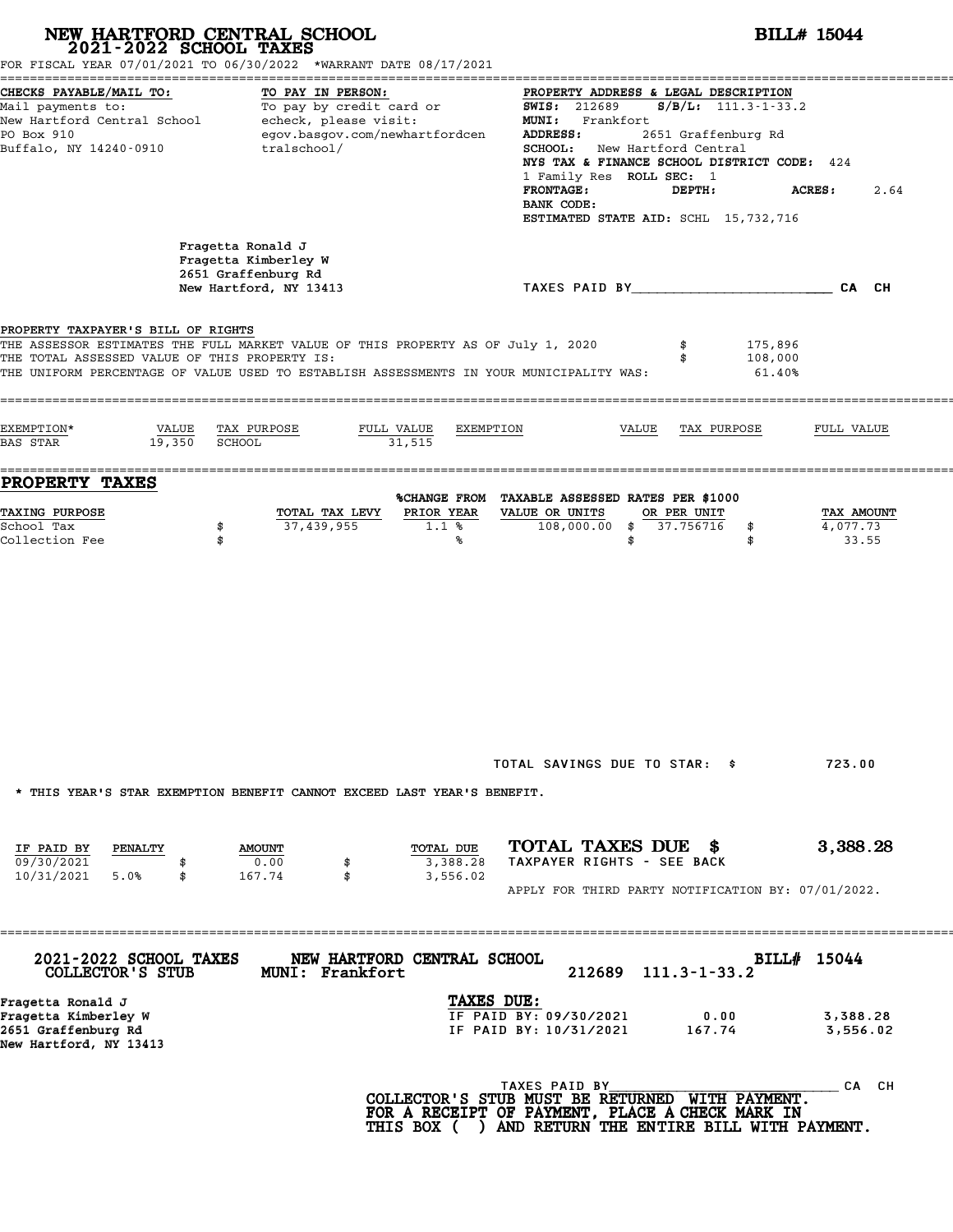|                                                                                            | NEW HARTFORD CENTRAL SCHOOL<br>2021-2022 SCHOOL TAXES<br>FOR FISCAL YEAR 07/01/2021 TO 06/30/2022 *WARRANT DATE 08/17/2021                                                  |                                                                                                                                                                                                                                                                                                                                                      | <b>BILL# 15044</b>              |
|--------------------------------------------------------------------------------------------|-----------------------------------------------------------------------------------------------------------------------------------------------------------------------------|------------------------------------------------------------------------------------------------------------------------------------------------------------------------------------------------------------------------------------------------------------------------------------------------------------------------------------------------------|---------------------------------|
| CHECKS PAYABLE/MAIL TO:<br>Mail payments to:<br>PO Box 910<br>Buffalo, NY 14240-0910       | TO PAY IN PERSON:<br>To pay by credit card or<br>New Hartford Central School - echeck, please visit:<br>egov.basgov.com/newhartfordcen<br>tralschool/                       | PROPERTY ADDRESS & LEGAL DESCRIPTION<br><b>SWIS: 212689</b><br>$S/B/L$ : 111.3-1-33.2<br>MUNI: Frankfort<br>2651 Graffenburg Rd<br>ADDRESS:<br>New Hartford Central<br><b>SCHOOL:</b><br>NYS TAX & FINANCE SCHOOL DISTRICT CODE: 424<br>1 Family Res ROLL SEC: 1<br><b>FRONTAGE:</b><br>DEPTH:<br>BANK CODE:<br>ESTIMATED STATE AID: SCHL 15,732,716 | <b>ACRES:</b><br>2.64           |
|                                                                                            | Fragetta Ronald J<br>Fragetta Kimberley W<br>2651 Graffenburg Rd<br>New Hartford, NY 13413                                                                                  | TAXES PAID BY CAN CH                                                                                                                                                                                                                                                                                                                                 |                                 |
| PROPERTY TAXPAYER'S BILL OF RIGHTS<br>THE TOTAL ASSESSED VALUE OF THIS PROPERTY IS:        | THE ASSESSOR ESTIMATES THE FULL MARKET VALUE OF THIS PROPERTY AS OF July 1, 2020<br>THE UNIFORM PERCENTAGE OF VALUE USED TO ESTABLISH ASSESSMENTS IN YOUR MUNICIPALITY WAS: | 175,896<br>108,000<br>61.40%                                                                                                                                                                                                                                                                                                                         |                                 |
| EXEMPTION*<br>VALUE<br>19,350<br><b>BAS STAR</b>                                           | FULL VALUE<br>TAX PURPOSE<br><b>SCHOOL</b><br>31,515                                                                                                                        | EXEMPTION<br>VALUE<br>TAX PURPOSE                                                                                                                                                                                                                                                                                                                    | FULL VALUE                      |
| PROPERTY TAXES                                                                             |                                                                                                                                                                             | %CHANGE FROM TAXABLE ASSESSED RATES PER \$1000                                                                                                                                                                                                                                                                                                       |                                 |
| TAXING PURPOSE<br>School Tax<br>Collection Fee                                             | PRIOR YEAR<br>TOTAL TAX LEVY<br>37,439,955<br>1.1%<br>\$<br>\$<br>℁                                                                                                         | VALUE OR UNITS<br>OR PER UNIT<br>108,000.00<br>\$37.756716<br>\$<br>\$<br>\$                                                                                                                                                                                                                                                                         | TAX AMOUNT<br>4,077.73<br>33.55 |
| IF PAID BY<br>PENALTY                                                                      | * THIS YEAR'S STAR EXEMPTION BENEFIT CANNOT EXCEED LAST YEAR'S BENEFIT.<br>TOTAL DUE<br><b>AMOUNT</b>                                                                       | TOTAL SAVINGS DUE TO STAR: \$<br>TOTAL TAXES DUE \$                                                                                                                                                                                                                                                                                                  | 723.00<br>3,388.28              |
| 09/30/2021<br>10/31/2021<br>5.0%<br>\$                                                     | 0.00<br>3,388.28<br>\$<br>167.74<br>\$<br>3,556.02                                                                                                                          | TAXPAYER RIGHTS - SEE BACK<br>APPLY FOR THIRD PARTY NOTIFICATION BY: 07/01/2022.                                                                                                                                                                                                                                                                     |                                 |
| 2021-2022 SCHOOL TAXES<br>COLLECTOR'S STUB                                                 | NEW HARTFORD CENTRAL SCHOOL<br>MUNI: Frankfort                                                                                                                              | 212689<br>$111.3 - 1 - 33.2$                                                                                                                                                                                                                                                                                                                         | BILL# 15044                     |
| Fragetta Ronald J<br>Fragetta Kimberley W<br>2651 Graffenburg Rd<br>New Hartford, NY 13413 |                                                                                                                                                                             | TAXES DUE:<br>IF PAID BY: 09/30/2021<br>0.00<br>IF PAID BY: 10/31/2021<br>167.74                                                                                                                                                                                                                                                                     | 3,388.28<br>3,556.02            |
|                                                                                            |                                                                                                                                                                             | TAXES PAID BY<br>COLLECTOR'S STUB MUST BE RETURNED WITH PAYMENT.<br>FOR A RECEIPT OF PAYMENT, PLACE A CHECK MARK IN<br>THIS BOX ( ) AND RETURN THE ENTIRE BILL WITH PAYMENT.                                                                                                                                                                         | CA CH                           |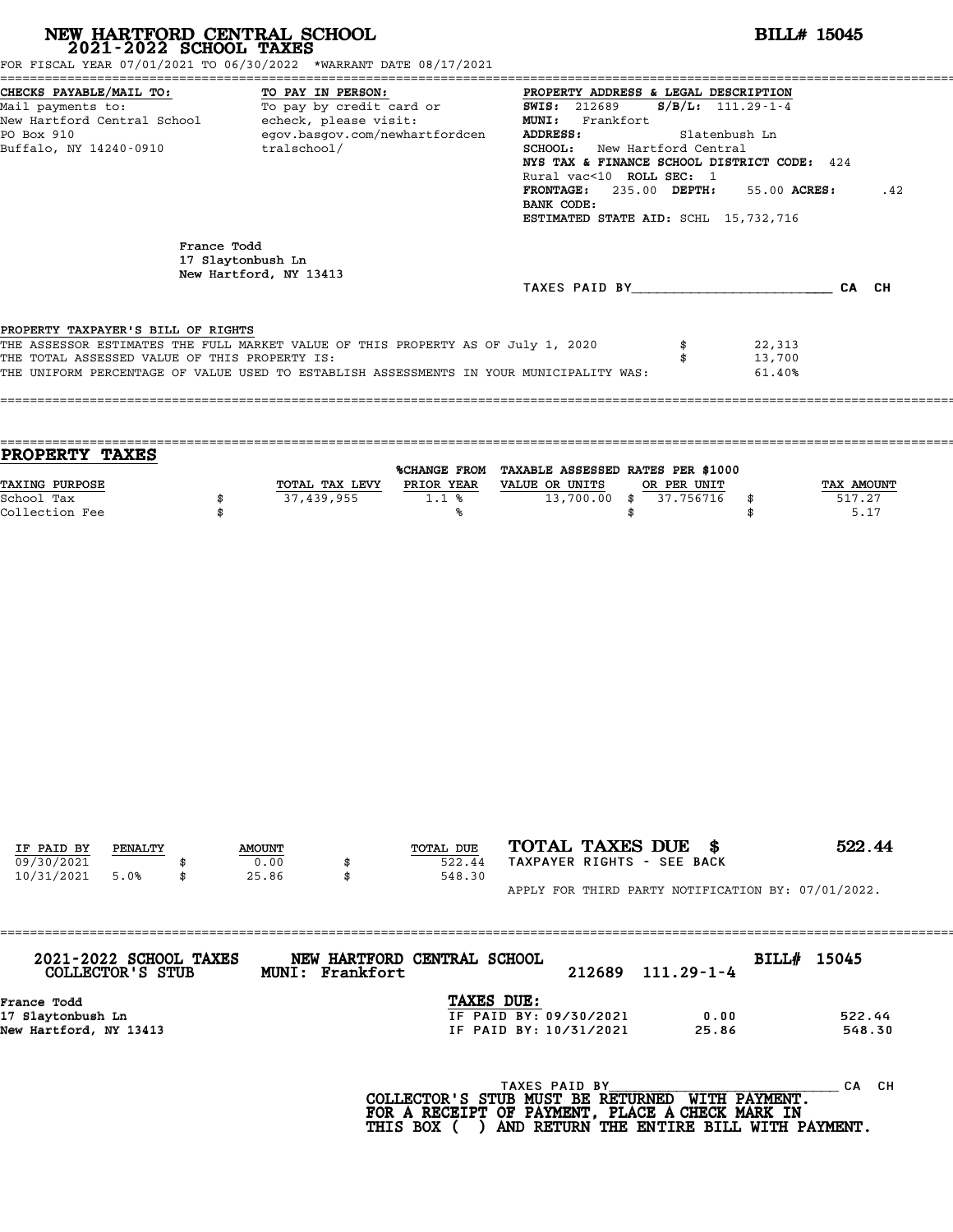# **NEW HARTFORD CENTRAL SCHOOL**<br>
2021-2022 SCHOOL TAXES<br>
FOR FISCAL YEAR 07/01/2021 TO 06/30/2022 \*WARRANT DATE 08/17/2021<br> **2021-2022** TO 06/30/2022 \*WARRANT DATE 08/17/2021

| CHECKS PAYABLE/MAIL TO: TO PAY IN PERSON:                                        | PROPERTY ADDRESS & LEGAL DESCRIPTION           |
|----------------------------------------------------------------------------------|------------------------------------------------|
| Mail payments to: To pay by credit card or                                       | <b>SWIS:</b> 212689 <b>S/B/L:</b> 111.29-1-4   |
| New Hartford Central School - echeck, please visit:                              | MUNI: Frankfort                                |
| PO Box 910<br>egov.basgov.com/newhartfordcen                                     | <b>ADDRESS:</b><br>Slatenbush Ln               |
| Buffalo, NY 14240-0910 tralschool/                                               | SCHOOL: New Hartford Central                   |
|                                                                                  | NYS TAX & FINANCE SCHOOL DISTRICT CODE: 424    |
|                                                                                  | Rural vac<10 ROLL SEC: 1                       |
|                                                                                  | FRONTAGE: 235.00 DEPTH:<br>55.00 ACRES:<br>.42 |
|                                                                                  | BANK CODE:                                     |
|                                                                                  | ESTIMATED STATE AID: SCHL 15,732,716           |
| France Todd                                                                      |                                                |
| 17 Slaytonbush Ln                                                                |                                                |
| New Hartford, NY 13413                                                           |                                                |
|                                                                                  | TAXES PAID BY<br>CA CH                         |
|                                                                                  |                                                |
| PROPERTY TAXPAYER'S BILL OF RIGHTS                                               |                                                |
| THE ASSESSOR ESTIMATES THE FULL MARKET VALUE OF THIS PROPERTY AS OF July 1, 2020 | 22,313                                         |
| THE TOTAL ASSESSED VALUE OF THIS PROPERTY IS:                                    | 13,700                                         |
|                                                                                  |                                                |

|                | %CHANGE FROM |                |              |                                                               |
|----------------|--------------|----------------|--------------|---------------------------------------------------------------|
| TOTAL TAX LEVY | PRIOR YEAR   | VALUE OR UNITS |              | <b>TAX AMOUNT</b>                                             |
| 37,439,955     | 1.1%         |                |              | 517.27                                                        |
|                |              |                |              | 5.17                                                          |
|                |              |                | 13,700.00 \$ | TAXABLE ASSESSED RATES PER \$1000<br>OR PER UNIT<br>37.756716 |

| IF PAID BY | PENALTY | <b>AMOUNT</b> | TOTAL DUE | TOTAL TAXES DUE \$                                 | 522.44 |
|------------|---------|---------------|-----------|----------------------------------------------------|--------|
| 09/30/2021 |         | 0.00          | 522.44    | TAXPAYER RIGHTS - SEE BACK                         |        |
| 10/31/2021 | 5.0%    | 25.86         | 548.30    |                                                    |        |
|            |         |               |           | APPLY FOR THIRD PARTY NOTIFICATION BY: 07/01/2022. |        |

| 2021-2022 SCHOOL TAXES<br>COLLECTOR'S STUB | NEW HARTFORD CENTRAL SCHOOL<br><b>MUNI: Frankfort</b> | 212689 | $111.29 - 1 - 4$ | BILL# 15045 |        |
|--------------------------------------------|-------------------------------------------------------|--------|------------------|-------------|--------|
| France Todd                                | TAXES DUE:                                            |        |                  |             |        |
| 17 Slaytonbush Ln                          | IF PAID BY: 09/30/2021                                |        | 0.00             |             | 522.44 |
| New Hartford, NY 13413                     | IF PAID BY: 10/31/2021                                |        | 25.86            |             | 548.30 |
|                                            |                                                       |        |                  |             |        |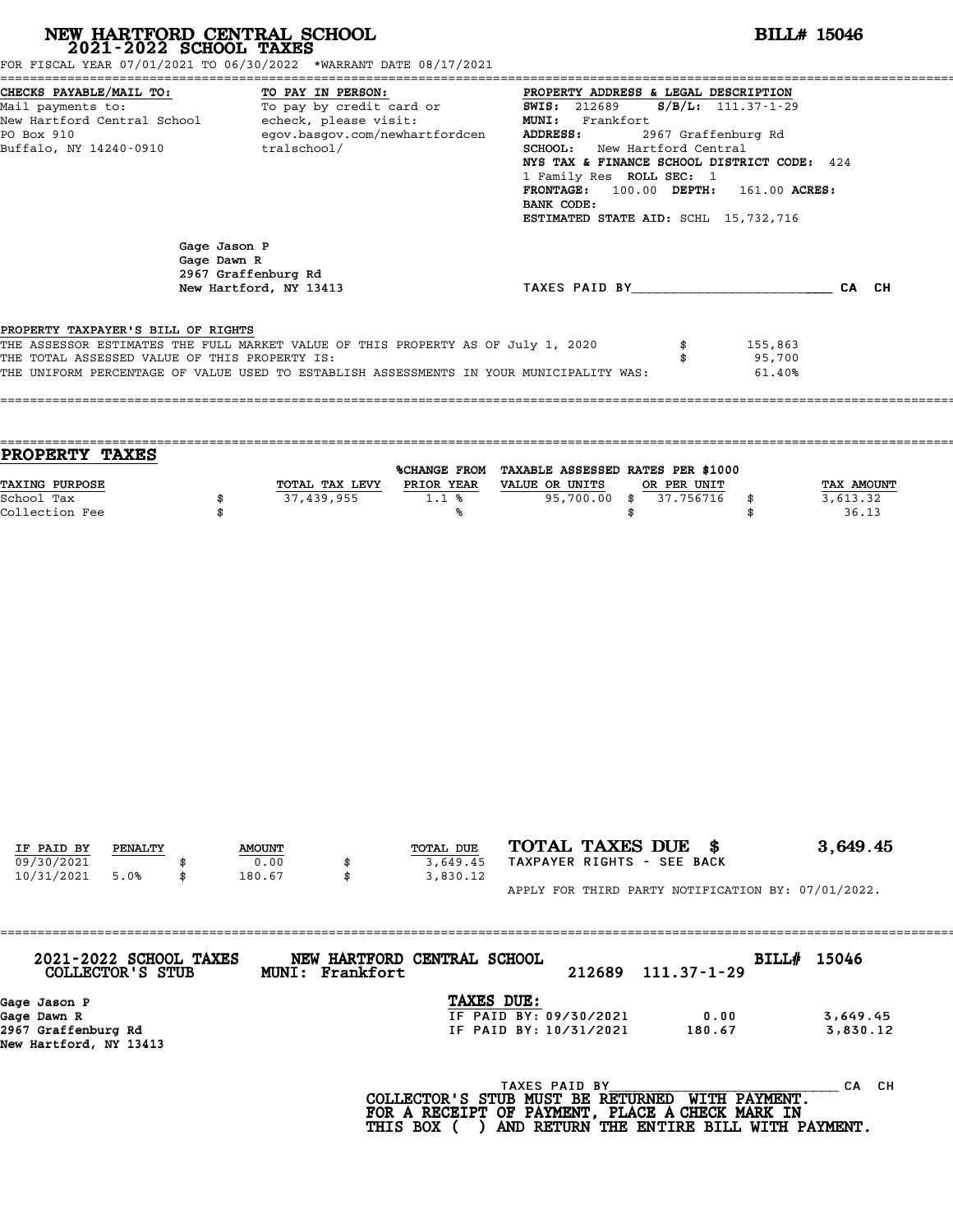|                                                                                                                                                                                                                                               |                             | NEW HARTFORD CENTRAL SCHOOL<br>2021-2022 SCHOOL TAXES<br>FOR FISCAL YEAR 07/01/2021 TO 06/30/2022 *WARRANT DATE 08/17/2021                                                  |                                               |                                                                                                                                                                                                                                                                                                      |                          | <b>BILL# 15046</b>          |                                 |  |  |
|-----------------------------------------------------------------------------------------------------------------------------------------------------------------------------------------------------------------------------------------------|-----------------------------|-----------------------------------------------------------------------------------------------------------------------------------------------------------------------------|-----------------------------------------------|------------------------------------------------------------------------------------------------------------------------------------------------------------------------------------------------------------------------------------------------------------------------------------------------------|--------------------------|-----------------------------|---------------------------------|--|--|
| CHECKS PAYABLE/MAIL TO:<br>TO PAY IN PERSON:<br>To pay by credit card or<br>Mail payments to:<br>New Hartford Central School - echeck, please visit:<br>egov.basgov.com/newhartfordcen<br>PO Box 910<br>Buffalo, NY 14240-0910<br>tralschool/ |                             |                                                                                                                                                                             | <b>SWIS: 212689</b><br>ADDRESS:<br>BANK CODE: | PROPERTY ADDRESS & LEGAL DESCRIPTION<br>$S/B/L: 111.37 - 1-29$<br>MUNI: Frankfort<br>2967 Graffenburg Rd<br>SCHOOL: New Hartford Central<br>NYS TAX & FINANCE SCHOOL DISTRICT CODE: 424<br>1 Family Res ROLL SEC: 1<br>FRONTAGE: 100.00 DEPTH: 161.00 ACRES:<br>ESTIMATED STATE AID: SCHL 15,732,716 |                          |                             |                                 |  |  |
|                                                                                                                                                                                                                                               | Gage Jason P<br>Gage Dawn R | 2967 Graffenburg Rd<br>New Hartford, NY 13413                                                                                                                               |                                               | TAXES PAID BY CAN CH                                                                                                                                                                                                                                                                                 |                          |                             |                                 |  |  |
| PROPERTY TAXPAYER'S BILL OF RIGHTS<br>THE TOTAL ASSESSED VALUE OF THIS PROPERTY IS:                                                                                                                                                           |                             | THE ASSESSOR ESTIMATES THE FULL MARKET VALUE OF THIS PROPERTY AS OF July 1, 2020<br>THE UNIFORM PERCENTAGE OF VALUE USED TO ESTABLISH ASSESSMENTS IN YOUR MUNICIPALITY WAS: |                                               |                                                                                                                                                                                                                                                                                                      | \$<br>\$                 | 155,863<br>95,700<br>61.40% |                                 |  |  |
| <b>PROPERTY TAXES</b>                                                                                                                                                                                                                         |                             |                                                                                                                                                                             |                                               | %CHANGE FROM TAXABLE ASSESSED RATES PER \$1000                                                                                                                                                                                                                                                       |                          |                             |                                 |  |  |
| <b>TAXING PURPOSE</b><br>School Tax<br>Collection Fee                                                                                                                                                                                         | \$<br>\$                    | TOTAL TAX LEVY PRIOR YEAR VALUE OR UNITS<br>37,439,955                                                                                                                      | 1.1%<br>%ร                                    | $95,700.00$ \$<br>\$                                                                                                                                                                                                                                                                                 | OR PER UNIT<br>37.756716 | \$<br>\$                    | TAX AMOUNT<br>3,613.32<br>36.13 |  |  |
|                                                                                                                                                                                                                                               |                             |                                                                                                                                                                             |                                               |                                                                                                                                                                                                                                                                                                      |                          |                             |                                 |  |  |
|                                                                                                                                                                                                                                               |                             |                                                                                                                                                                             |                                               |                                                                                                                                                                                                                                                                                                      |                          |                             |                                 |  |  |
| IF PAID BY<br>PENALTY<br>09/30/2021<br>10/31/2021<br>5.0%                                                                                                                                                                                     | \$                          | <b>AMOUNT</b><br>0.00<br>\$<br>180.67<br>\$                                                                                                                                 | TOTAL DUE<br>3,649.45<br>3,830.12             | TOTAL TAXES DUE \$<br>TAXPAYER RIGHTS - SEE BACK<br>APPLY FOR THIRD PARTY NOTIFICATION BY: 07/01/2022.                                                                                                                                                                                               |                          |                             | 3,649.45                        |  |  |
| 2021-2022 SCHOOL TAXES<br>COLLECTOR'S STUB                                                                                                                                                                                                    |                             | ;====================================<br>MUNI: Frankfort                                                                                                                    | NEW HARTFORD CENTRAL SCHOOL                   | 212689                                                                                                                                                                                                                                                                                               | $111.37 - 1 - 29$        | BILL# 15046                 |                                 |  |  |
| Gage Jason P<br>Gage Dawn R<br>2967 Graffenburg Rd<br>New Hartford, NY 13413                                                                                                                                                                  |                             |                                                                                                                                                                             | TAXES DUE:                                    | IF PAID BY: 09/30/2021<br>IF PAID BY: 10/31/2021                                                                                                                                                                                                                                                     | 0.00<br>180.67           |                             | 3,649.45<br>3,830.12            |  |  |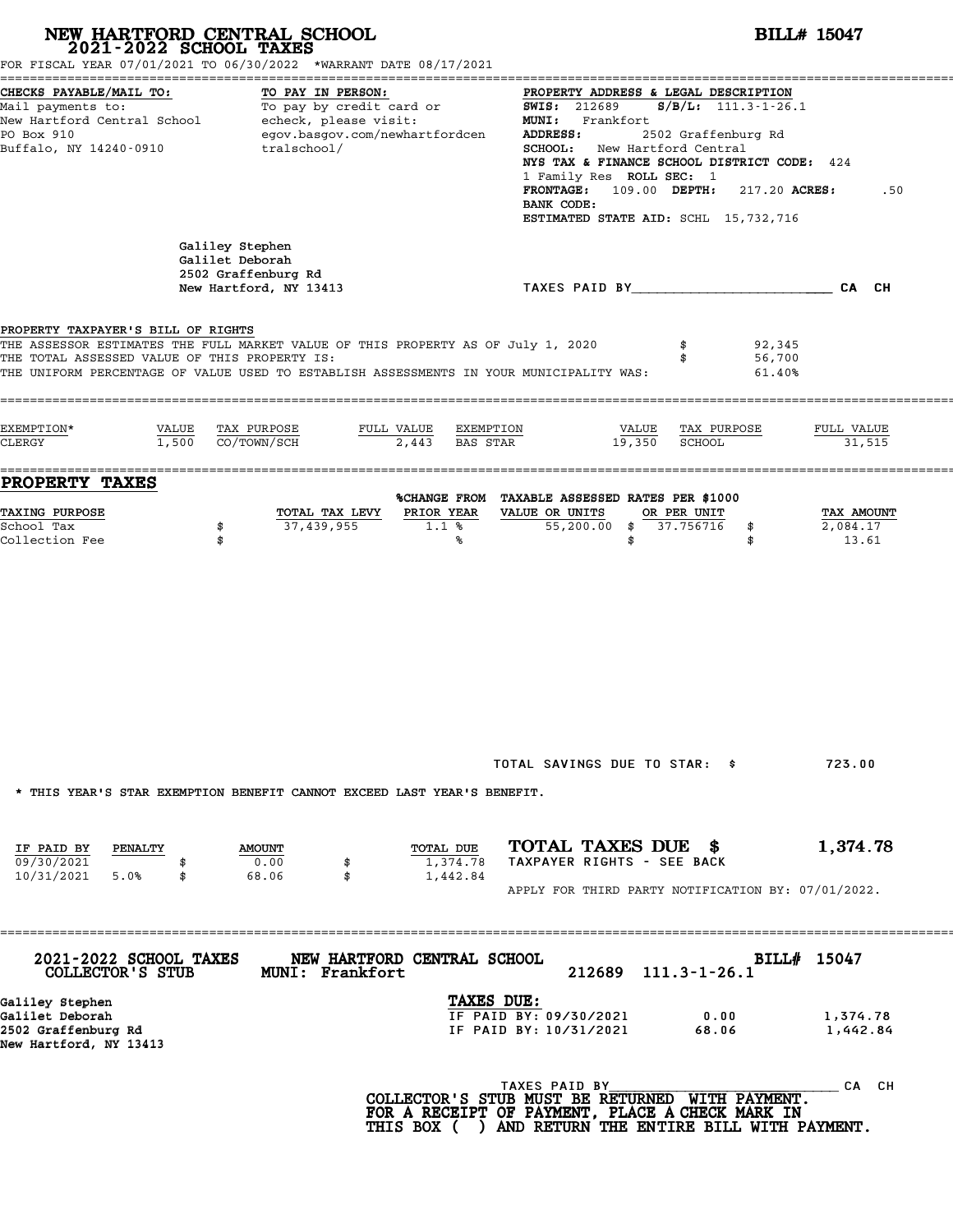|                                                                                     | NEW HARTFORD CENTRAL SCHOOL<br>2021-2022 SCHOOL TAXES<br>FOR FISCAL YEAR 07/01/2021 TO 06/30/2022 *WARRANT DATE 08/17/2021                                                  |                                                                |                                                                                                                                                                                                                                                                                  | <b>BILL# 15047</b>              |  |  |
|-------------------------------------------------------------------------------------|-----------------------------------------------------------------------------------------------------------------------------------------------------------------------------|----------------------------------------------------------------|----------------------------------------------------------------------------------------------------------------------------------------------------------------------------------------------------------------------------------------------------------------------------------|---------------------------------|--|--|
| CHECKS PAYABLE/MAIL TO:<br>PO Box 910<br>Buffalo, NY 14240-0910                     | TO PAY IN PERSON:<br>Mail payments to: To pay by credit card or<br>New Hartford Central School echeck, please visit:<br>egov.basgov.com/newhartfordcen<br>tralschool/       | <b>SWIS: 212689</b><br>ADDRESS:<br>BANK CODE:                  | PROPERTY ADDRESS & LEGAL DESCRIPTION<br>MUNI: Frankfort<br>2502 Graffenburg Rd<br>SCHOOL: New Hartford Central<br>NYS TAX & FINANCE SCHOOL DISTRICT CODE: 424<br>1 Family Res ROLL SEC: 1<br>$FRONTAGE: 109.00$ $DEPTH: 217.20$ $ACRES:$<br>ESTIMATED STATE AID: SCHL 15,732,716 | $S/B/L$ : 111.3-1-26.1<br>.50   |  |  |
|                                                                                     | Galiley Stephen<br>Galilet Deborah<br>2502 Graffenburg Rd<br>New Hartford, NY 13413                                                                                         |                                                                | TAXES PAID BY CAN CHE CAN CH                                                                                                                                                                                                                                                     |                                 |  |  |
| PROPERTY TAXPAYER'S BILL OF RIGHTS<br>THE TOTAL ASSESSED VALUE OF THIS PROPERTY IS: | THE ASSESSOR ESTIMATES THE FULL MARKET VALUE OF THIS PROPERTY AS OF July 1, 2020<br>THE UNIFORM PERCENTAGE OF VALUE USED TO ESTABLISH ASSESSMENTS IN YOUR MUNICIPALITY WAS: |                                                                | 92,345<br>56,700<br>\$                                                                                                                                                                                                                                                           | 61.40%                          |  |  |
| EXEMPTION*<br>VALUE<br>CLERGY                                                       | TAX PURPOSE<br>$1,500$ CO/TOWN/SCH                                                                                                                                          | FULL VALUE EXEMPTION<br>2,443 BAS STAR                         | VALUE<br>TAX PURPOSE<br>19,350<br><b>SCHOOL</b>                                                                                                                                                                                                                                  | FULL VALUE<br>31,515            |  |  |
| PROPERTY TAXES<br>TAXING PURPOSE<br>School Tax<br>Collection Fee                    | TOTAL TAX LEVY<br>37,439,955<br>\$<br>\$                                                                                                                                    | PRIOR YEAR<br>VALUE OR UNITS<br>1.1 <sup>8</sup><br>℁          | %CHANGE FROM TAXABLE ASSESSED RATES PER \$1000<br>OR PER UNIT<br>55,200.00 \$ 37.756716<br>\$<br>\$<br>\$                                                                                                                                                                        | TAX AMOUNT<br>2,084.17<br>13.61 |  |  |
|                                                                                     |                                                                                                                                                                             |                                                                |                                                                                                                                                                                                                                                                                  |                                 |  |  |
|                                                                                     |                                                                                                                                                                             |                                                                |                                                                                                                                                                                                                                                                                  |                                 |  |  |
|                                                                                     | * THIS YEAR'S STAR EXEMPTION BENEFIT CANNOT EXCEED LAST YEAR'S BENEFIT.                                                                                                     |                                                                | TOTAL SAVINGS DUE TO STAR: \$                                                                                                                                                                                                                                                    | 723.00                          |  |  |
| IF PAID BY<br>PENALTY<br>09/30/2021<br>10/31/2021<br>5.0%<br>\$                     | <b>AMOUNT</b><br>0.00<br>\$<br>68.06<br>\$                                                                                                                                  | TOTAL DUE<br>1,374.78<br>1,442.84                              | TOTAL TAXES DUE \$<br>TAXPAYER RIGHTS - SEE BACK<br>APPLY FOR THIRD PARTY NOTIFICATION BY: 07/01/2022.                                                                                                                                                                           | 1,374.78                        |  |  |
| 2021-2022 SCHOOL TAXES<br>COLLECTOR'S STUB                                          | NEW HARTFORD CENTRAL SCHOOL<br>MUNI: Frankfort                                                                                                                              |                                                                | 212689<br>$111.3 - 1 - 26.1$                                                                                                                                                                                                                                                     | BILL# 15047                     |  |  |
| Galiley Stephen<br>Galilet Deborah<br>2502 Graffenburg Rd<br>New Hartford, NY 13413 |                                                                                                                                                                             | TAXES DUE:<br>IF PAID BY: 09/30/2021<br>IF PAID BY: 10/31/2021 | 0.00<br>68.06                                                                                                                                                                                                                                                                    | 1,374.78<br>1,442.84            |  |  |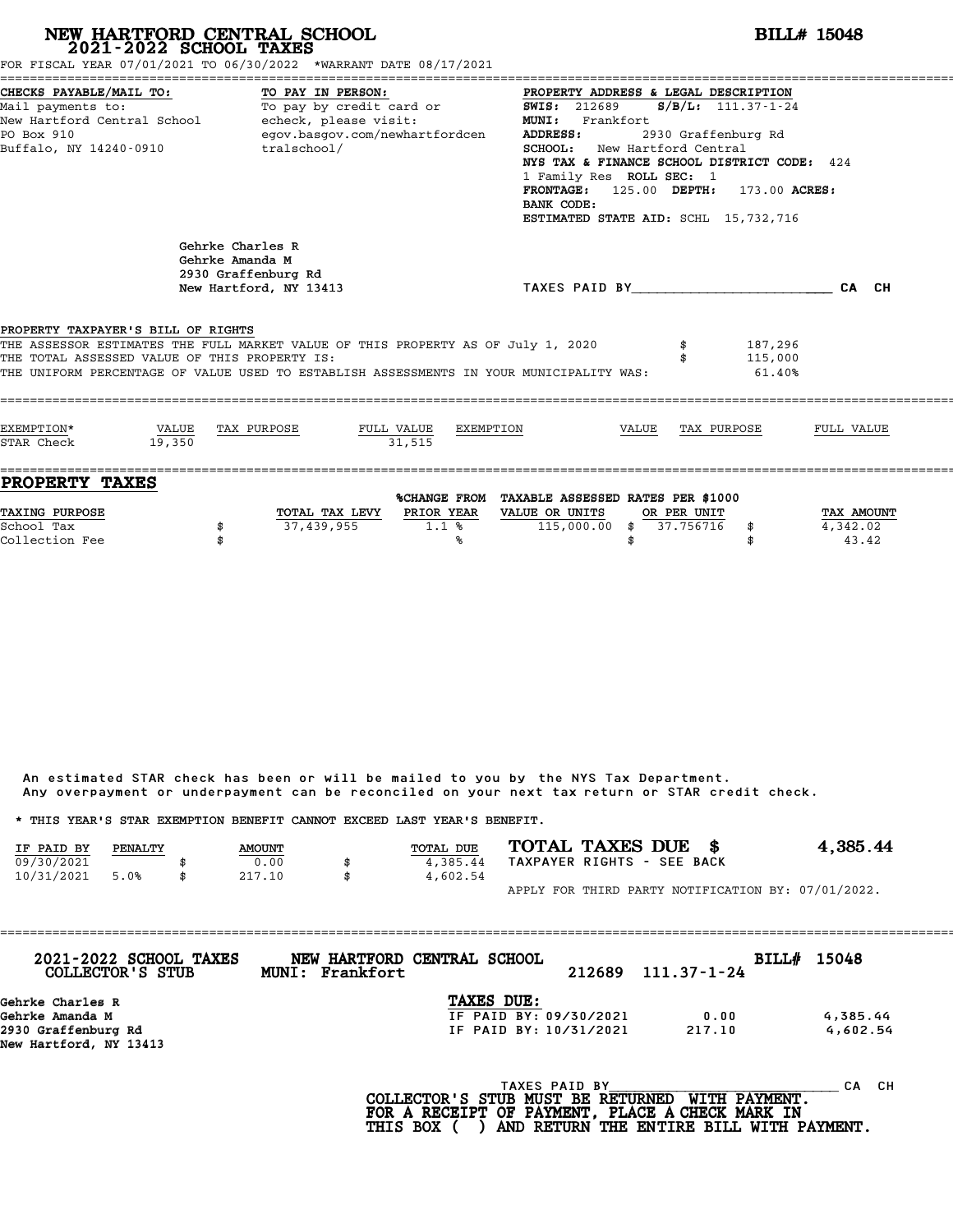| FOR FISCAL YEAR 07/01/2021 TO 06/30/2022 *WARRANT DATE 08/17/2021                                                                                                                                                                                                  |                                                                                                                                                                         | NEW HARTFORD CENTRAL SCHOOL 2021-2022 SCHOOL TAXES                                   |                           |           | <b>BILL# 15048</b>                                                                  |                                                                                                                         |                          |                                                                                                                                                                                                                         |                                 |  |  |
|--------------------------------------------------------------------------------------------------------------------------------------------------------------------------------------------------------------------------------------------------------------------|-------------------------------------------------------------------------------------------------------------------------------------------------------------------------|--------------------------------------------------------------------------------------|---------------------------|-----------|-------------------------------------------------------------------------------------|-------------------------------------------------------------------------------------------------------------------------|--------------------------|-------------------------------------------------------------------------------------------------------------------------------------------------------------------------------------------------------------------------|---------------------------------|--|--|
| CHECKS PAYABLE/MAIL TO:<br>PO Box 910<br>Buffalo, NY 14240-0910                                                                                                                                                                                                    | TO PAY IN PERSON:<br>Mail payments to: To pay by credit card or<br>New Hartford Central School - echeck, please visit:<br>egov.basgov.com/newhartfordcen<br>tralschool/ |                                                                                      |                           |           |                                                                                     | <b>SWIS: 212689</b><br>MUNI: Frankfort<br><b>SCHOOL:</b> New Hartford Central<br>1 Family Res ROLL SEC: 1<br>BANK CODE: |                          | PROPERTY ADDRESS & LEGAL DESCRIPTION<br>$S/B/L: 111.37 - 1 - 24$<br>2930 Graffenburg Rd<br>NYS TAX & FINANCE SCHOOL DISTRICT CODE: 424<br>FRONTAGE: 125.00 DEPTH: 173.00 ACRES:<br>ESTIMATED STATE AID: SCHL 15,732,716 |                                 |  |  |
|                                                                                                                                                                                                                                                                    |                                                                                                                                                                         | Gehrke Charles R<br>Gehrke Amanda M<br>2930 Graffenburg Rd<br>New Hartford, NY 13413 |                           |           |                                                                                     |                                                                                                                         |                          | TAXES PAID BY CALCULATE CALCH                                                                                                                                                                                           |                                 |  |  |
| PROPERTY TAXPAYER'S BILL OF RIGHTS<br>THE ASSESSOR ESTIMATES THE FULL MARKET VALUE OF THIS PROPERTY AS OF July 1, 2020<br>THE TOTAL ASSESSED VALUE OF THIS PROPERTY IS:<br>THE UNIFORM PERCENTAGE OF VALUE USED TO ESTABLISH ASSESSMENTS IN YOUR MUNICIPALITY WAS: |                                                                                                                                                                         |                                                                                      |                           |           |                                                                                     |                                                                                                                         |                          | 187,296<br>115,000<br>61.40%                                                                                                                                                                                            |                                 |  |  |
| EXEMPTION*<br>STAR Check                                                                                                                                                                                                                                           | VALUE<br>19,350                                                                                                                                                         | TAX PURPOSE                                                                          | FULL VALUE<br>31.515      | EXEMPTION |                                                                                     | VALUE                                                                                                                   |                          | TAX PURPOSE                                                                                                                                                                                                             | FULL VALUE                      |  |  |
| PROPERTY TAXES<br>TAXING PURPOSE<br>School Tax<br>Collection Fee                                                                                                                                                                                                   |                                                                                                                                                                         | 37,439,955<br>\$<br>\$                                                               | TOTAL TAX LEVY PRIOR YEAR | 1.1%<br>℁ | %CHANGE FROM TAXABLE ASSESSED RATES PER \$1000<br>VALUE OR UNITS<br>$115,000.00$ \$ | \$                                                                                                                      | OR PER UNIT<br>37.756716 | \$<br>\$                                                                                                                                                                                                                | TAX AMOUNT<br>4,342.02<br>43.42 |  |  |

| Any overpayment or underpayment can be reconciled on your next tax return or STAR credit check. |         |               |    |                  |  |                            |                                                    |
|-------------------------------------------------------------------------------------------------|---------|---------------|----|------------------|--|----------------------------|----------------------------------------------------|
| * THIS YEAR'S STAR EXEMPTION BENEFIT CANNOT EXCEED LAST YEAR'S BENEFIT.                         |         |               |    |                  |  |                            |                                                    |
| IF PAID BY                                                                                      | PENALTY | <b>AMOUNT</b> |    | <b>TOTAL DUE</b> |  | TOTAL TAXES DUE \$         | 4,385.44                                           |
| 09/30/2021                                                                                      |         | 0.00          | \$ | 4,385.44         |  | TAXPAYER RIGHTS - SEE BACK |                                                    |
| 10/31/2021                                                                                      | 5.0%    | 217.10        | \$ | 4,602.54         |  |                            |                                                    |
|                                                                                                 |         |               |    |                  |  |                            | APPLY FOR THIRD PARTY NOTIFICATION BY: 07/01/2022. |

| 2021-2022 SCHOOL TAXES<br>COLLECTOR'S STUB | MUNI: Frankfort | NEW HARTFORD CENTRAL SCHOOL | 212689 | 111.37-1-24 | BILL# 15048 |
|--------------------------------------------|-----------------|-----------------------------|--------|-------------|-------------|
| Gehrke Charles R                           |                 | <b>TAXES DUE:</b>           |        |             |             |
| Gehrke Amanda M                            |                 | IF PAID BY: 09/30/2021      |        | 0.00        | 4,385.44    |
| 2930 Graffenburg Rd                        |                 | IF PAID BY: 10/31/2021      |        | 217.10      | 4,602.54    |
| New Hartford, NY 13413                     |                 |                             |        |             |             |
|                                            |                 | TAXES PAID BY               |        |             | CА          |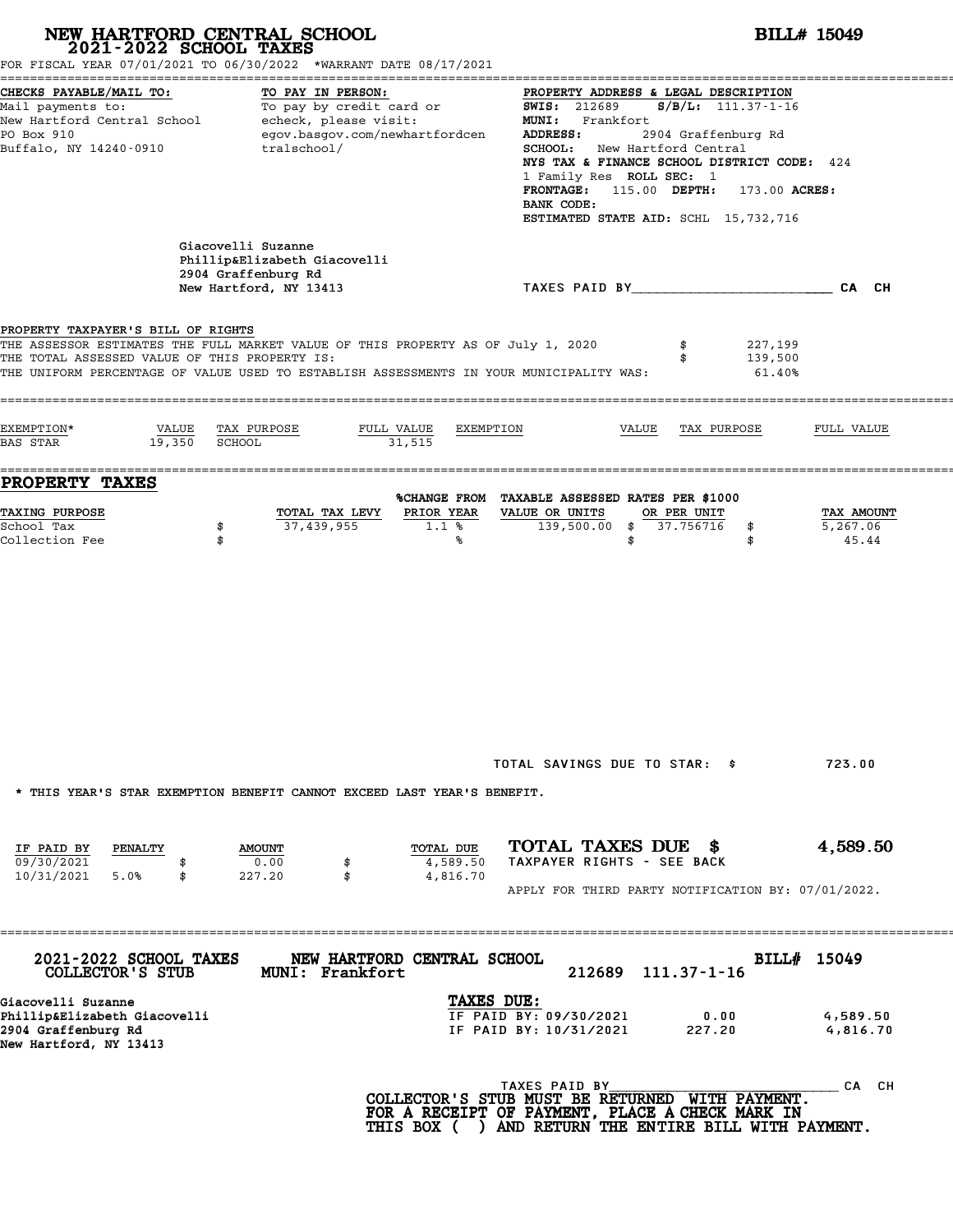| FOR FISCAL YEAR 07/01/2021 TO 06/30/2022 *WARRANT DATE 08/17/2021                                                                                                                                                                                                  | NEW HARTFORD CENTRAL SCHOOL 2021-2022 SCHOOL TAXES                                                                      |                                   |                                                                                                                                                                                                                                                                                                                                                                    |                                      | <b>BILL# 15049</b>              |  |  |
|--------------------------------------------------------------------------------------------------------------------------------------------------------------------------------------------------------------------------------------------------------------------|-------------------------------------------------------------------------------------------------------------------------|-----------------------------------|--------------------------------------------------------------------------------------------------------------------------------------------------------------------------------------------------------------------------------------------------------------------------------------------------------------------------------------------------------------------|--------------------------------------|---------------------------------|--|--|
| CHECKS PAYABLE/MAIL TO:<br>Mail payments to:<br>New Hartford Central School<br>PO Box 910<br>Buffalo, NY 14240-0910                                                                                                                                                | TO PAY IN PERSON:<br>To pay by credit card or<br>echeck, please visit:<br>egov.basgov.com/newhartfordcen<br>tralschool/ |                                   | PROPERTY ADDRESS & LEGAL DESCRIPTION<br>$S/B/L$ : 111.37-1-16<br><b>SWIS:</b> 212689<br>MUNI: Frankfort<br>2904 Graffenburg Rd<br>ADDRESS:<br>SCHOOL: New Hartford Central<br>NYS TAX & FINANCE SCHOOL DISTRICT CODE: 424<br>1 Family Res ROLL SEC: 1<br>115.00 DEPTH:<br><b>FRONTAGE :</b><br>173.00 ACRES:<br>BANK CODE:<br>ESTIMATED STATE AID: SCHL 15,732,716 |                                      |                                 |  |  |
|                                                                                                                                                                                                                                                                    | Giacovelli Suzanne<br>Phillip&Elizabeth Giacovelli<br>2904 Graffenburg Rd<br>New Hartford, NY 13413                     |                                   | TAXES PAID BY CA CH                                                                                                                                                                                                                                                                                                                                                |                                      |                                 |  |  |
| PROPERTY TAXPAYER'S BILL OF RIGHTS<br>THE ASSESSOR ESTIMATES THE FULL MARKET VALUE OF THIS PROPERTY AS OF July 1, 2020<br>THE TOTAL ASSESSED VALUE OF THIS PROPERTY IS:<br>THE UNIFORM PERCENTAGE OF VALUE USED TO ESTABLISH ASSESSMENTS IN YOUR MUNICIPALITY WAS: |                                                                                                                         |                                   |                                                                                                                                                                                                                                                                                                                                                                    | 227,199<br>139,500<br>$61.40\%$      |                                 |  |  |
| EXEMPTION*<br>VALUE<br><b>BAS STAR</b><br>19,350                                                                                                                                                                                                                   | TAX PURPOSE<br>SCHOOL                                                                                                   | FULL VALUE<br>EXEMPTION<br>31,515 | VALUE                                                                                                                                                                                                                                                                                                                                                              | TAX PURPOSE                          | FULL VALUE                      |  |  |
| <b>PROPERTY TAXES</b>                                                                                                                                                                                                                                              |                                                                                                                         |                                   |                                                                                                                                                                                                                                                                                                                                                                    |                                      |                                 |  |  |
| TAXING PURPOSE<br>School Tax<br>Collection Fee                                                                                                                                                                                                                     | TOTAL TAX LEVY<br>37,439,955<br>\$<br>\$                                                                                | PRIOR YEAR<br>1.1%<br>℁           | %CHANGE FROM TAXABLE ASSESSED RATES PER \$1000<br>VALUE OR UNITS<br>139,500.00<br>\$<br>\$                                                                                                                                                                                                                                                                         | OR PER UNIT<br>37.756716<br>\$<br>\$ | TAX AMOUNT<br>5,267.06<br>45.44 |  |  |
| * THIS YEAR'S STAR EXEMPTION BENEFIT CANNOT EXCEED LAST YEAR'S BENEFIT.                                                                                                                                                                                            |                                                                                                                         |                                   | TOTAL SAVINGS DUE TO STAR: \$                                                                                                                                                                                                                                                                                                                                      |                                      | 723.00                          |  |  |
| IF PAID BY<br>PENALTY<br>09/30/2021                                                                                                                                                                                                                                | <b>AMOUNT</b><br>0.00<br>\$<br>227.20<br>\$                                                                             | TOTAL DUE<br>4,589.50<br>4,816.70 | TOTAL TAXES DUE \$<br>TAXPAYER RIGHTS - SEE BACK<br>APPLY FOR THIRD PARTY NOTIFICATION BY: 07/01/2022.                                                                                                                                                                                                                                                             |                                      | 4,589.50                        |  |  |
| 10/31/2021<br>5.0%<br>\$                                                                                                                                                                                                                                           |                                                                                                                         |                                   |                                                                                                                                                                                                                                                                                                                                                                    |                                      |                                 |  |  |
| 2021-2022 SCHOOL TAXES<br>COLLECTOR'S STUB                                                                                                                                                                                                                         | MUNI: Frankfort                                                                                                         | NEW HARTFORD CENTRAL SCHOOL       | 212689                                                                                                                                                                                                                                                                                                                                                             | $111.37 - 1 - 16$                    | BILL# 15049                     |  |  |
| Giacovelli Suzanne<br>Phillip&Elizabeth Giacovelli<br>2904 Graffenburg Rd<br>New Hartford, NY 13413                                                                                                                                                                |                                                                                                                         | TAXES DUE:                        | IF PAID BY: 09/30/2021<br>IF PAID BY: 10/31/2021                                                                                                                                                                                                                                                                                                                   | 0.00<br>227.20                       | 4,589.50<br>4,816.70            |  |  |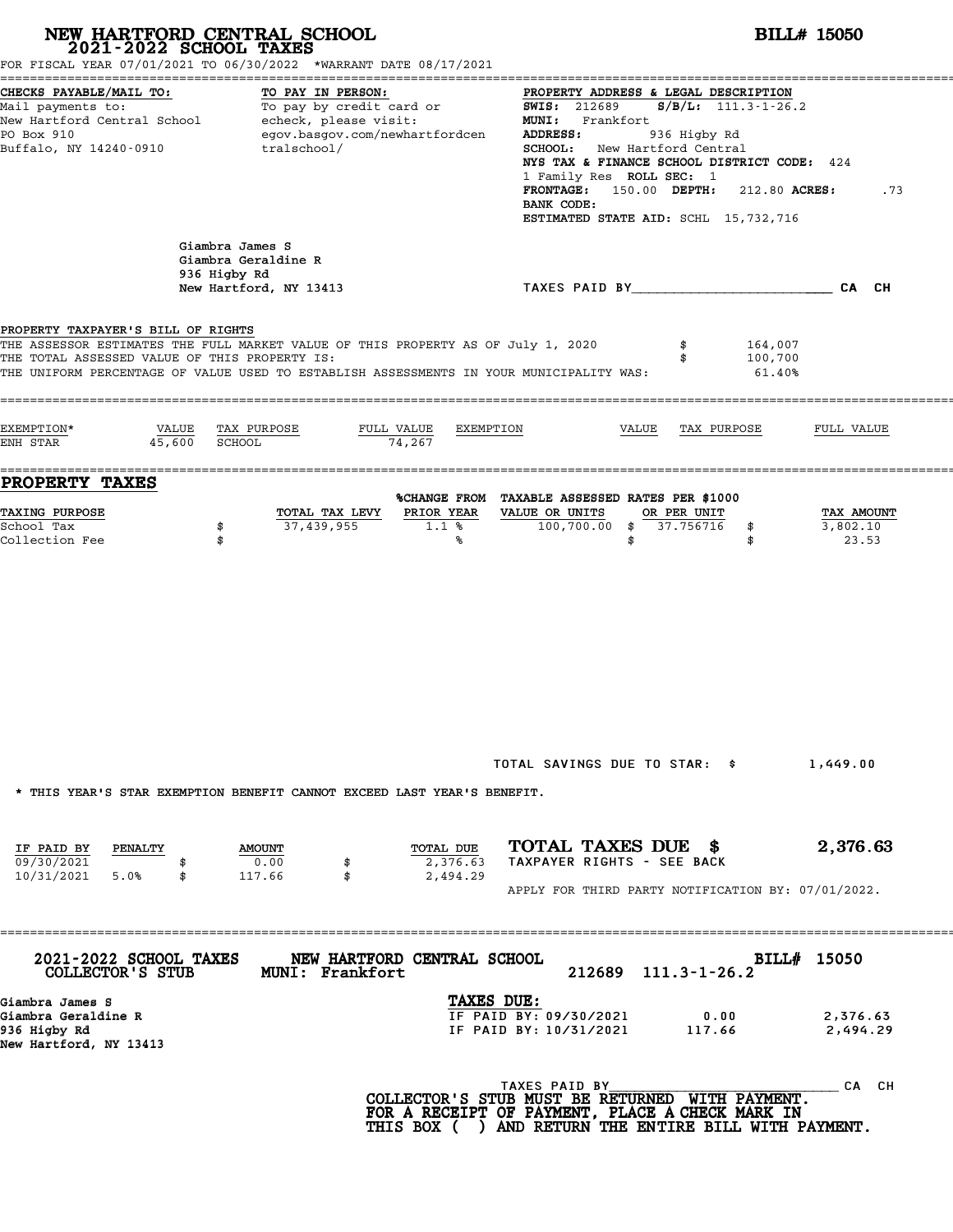|                                                                                                                                                                                                                                                                    | NEW HARTFORD CENTRAL SCHOOL 2021-2022 SCHOOL TAXES<br>FOR FISCAL YEAR 07/01/2021 TO 06/30/2022 *WARRANT DATE 08/17/2021 |                                   | <b>BILL# 15050</b>                                                                                                                                                                                                                                                                                                                                                 |                                 |  |  |  |  |
|--------------------------------------------------------------------------------------------------------------------------------------------------------------------------------------------------------------------------------------------------------------------|-------------------------------------------------------------------------------------------------------------------------|-----------------------------------|--------------------------------------------------------------------------------------------------------------------------------------------------------------------------------------------------------------------------------------------------------------------------------------------------------------------------------------------------------------------|---------------------------------|--|--|--|--|
| CHECKS PAYABLE/MAIL TO:<br>Mail payments to:<br>New Hartford Central School - echeck, please visit:<br>PO Box 910<br>Buffalo, NY 14240-0910                                                                                                                        | TO PAY IN PERSON:<br>To pay by credit card or<br>egov.basgov.com/newhartfordcen<br>tralschool/                          |                                   | PROPERTY ADDRESS & LEGAL DESCRIPTION<br>$S/B/L: 111.3 - 1 - 26.2$<br><b>SWIS:</b> 212689<br>MUNI: Frankfort<br>ADDRESS:<br>936 Higby Rd<br>SCHOOL: New Hartford Central<br>NYS TAX & FINANCE SCHOOL DISTRICT CODE: 424<br>1 Family Res ROLL SEC: 1<br>150.00 DEPTH: 212.80 ACRES:<br><b>FRONTAGE:</b><br>.73<br>BANK CODE:<br>ESTIMATED STATE AID: SCHL 15,732,716 |                                 |  |  |  |  |
|                                                                                                                                                                                                                                                                    | Giambra James S<br>Giambra Geraldine R<br>936 Higby Rd<br>New Hartford, NY 13413                                        |                                   | TAXES PAID BY_____________________________CA CH                                                                                                                                                                                                                                                                                                                    |                                 |  |  |  |  |
| PROPERTY TAXPAYER'S BILL OF RIGHTS<br>THE ASSESSOR ESTIMATES THE FULL MARKET VALUE OF THIS PROPERTY AS OF July 1, 2020<br>THE TOTAL ASSESSED VALUE OF THIS PROPERTY IS:<br>THE UNIFORM PERCENTAGE OF VALUE USED TO ESTABLISH ASSESSMENTS IN YOUR MUNICIPALITY WAS: |                                                                                                                         |                                   |                                                                                                                                                                                                                                                                                                                                                                    | 164,007<br>100,700<br>$61.40\%$ |  |  |  |  |
| EXEMPTION*<br>VALUE<br>ENH STAR<br>45,600                                                                                                                                                                                                                          | TAX PURPOSE<br>FULL VALUE<br>SCHOOL                                                                                     | EXEMPTION<br>74,267               | VALUE<br>TAX PURPOSE                                                                                                                                                                                                                                                                                                                                               | FULL VALUE                      |  |  |  |  |
| <b>PROPERTY TAXES</b>                                                                                                                                                                                                                                              |                                                                                                                         |                                   |                                                                                                                                                                                                                                                                                                                                                                    |                                 |  |  |  |  |
| TAXING PURPOSE<br>School Tax<br>Collection Fee                                                                                                                                                                                                                     | TOTAL TAX LEVY<br>37,439,955<br>\$<br>\$                                                                                | PRIOR YEAR<br>1.1%<br>℁           | %CHANGE FROM TAXABLE ASSESSED RATES PER \$1000<br>VALUE OR UNITS<br>OR PER UNIT<br>100,700.00<br>37.756716<br>\$<br>\$<br>\$<br>\$                                                                                                                                                                                                                                 | TAX AMOUNT<br>3,802.10<br>23.53 |  |  |  |  |
|                                                                                                                                                                                                                                                                    |                                                                                                                         |                                   |                                                                                                                                                                                                                                                                                                                                                                    |                                 |  |  |  |  |
| IF PAID BY<br>PENALTY<br>09/30/2021<br>10/31/2021<br>5.0%<br>\$                                                                                                                                                                                                    | * THIS YEAR'S STAR EXEMPTION BENEFIT CANNOT EXCEED LAST YEAR'S BENEFIT.<br><b>AMOUNT</b><br>0.00<br>\$<br>117.66<br>\$  | TOTAL DUE<br>2,376.63<br>2,494.29 | TOTAL SAVINGS DUE TO STAR: \$<br>TOTAL TAXES DUE \$<br>TAXPAYER RIGHTS - SEE BACK<br>APPLY FOR THIRD PARTY NOTIFICATION BY: 07/01/2022.                                                                                                                                                                                                                            | 1,449.00                        |  |  |  |  |
| 2021-2022 SCHOOL TAXES                                                                                                                                                                                                                                             | NEW HARTFORD CENTRAL SCHOOL                                                                                             |                                   |                                                                                                                                                                                                                                                                                                                                                                    | 2,376.63<br>BILL# 15050         |  |  |  |  |
| COLLECTOR'S STUB<br>Giambra James S<br>Giambra Geraldine R<br>936 Higby Rd<br>New Hartford, NY 13413                                                                                                                                                               | <b>MUNI: Frankfort</b>                                                                                                  | TAXES DUE:                        | $111.3 - 1 - 26.2$<br>212689<br>IF PAID BY: 09/30/2021<br>0.00<br>IF PAID BY: 10/31/2021<br>117.66                                                                                                                                                                                                                                                                 | 2,376.63<br>2,494.29            |  |  |  |  |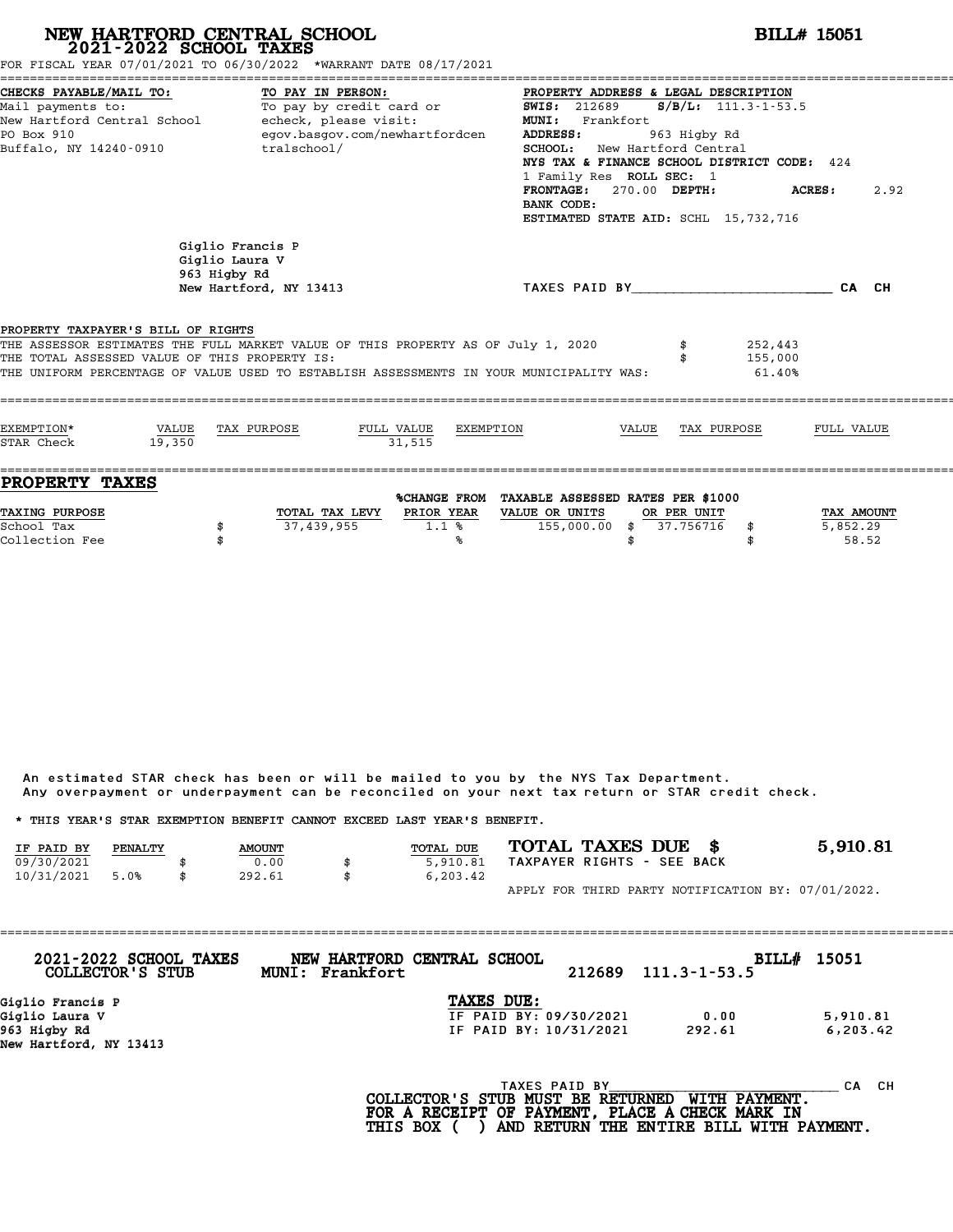| FOR FISCAL YEAR 07/01/2021 TO 06/30/2022 *WARRANT DATE 08/17/2021                                                                                                                                                                                                  | 2021-2022 SCHOOL TAXES                                                                                                                                                                                     | NEW HARTFORD CENTRAL SCHOOL                                                  |                                   |           | <b>BILL# 15051</b>                                                                |                                                                                                                                                                                                                                                                                                                                                              |                          |                              |                                 |  |  |
|--------------------------------------------------------------------------------------------------------------------------------------------------------------------------------------------------------------------------------------------------------------------|------------------------------------------------------------------------------------------------------------------------------------------------------------------------------------------------------------|------------------------------------------------------------------------------|-----------------------------------|-----------|-----------------------------------------------------------------------------------|--------------------------------------------------------------------------------------------------------------------------------------------------------------------------------------------------------------------------------------------------------------------------------------------------------------------------------------------------------------|--------------------------|------------------------------|---------------------------------|--|--|
| Mail payments to:<br>PO Box 910                                                                                                                                                                                                                                    | CHECKS PAYABLE/MAIL TO:<br>TO PAY IN PERSON:<br>To pay by credit card or<br>New Hartford Central School - echeck, please visit:<br>egov.basgov.com/newhartfordcen<br>tralschool/<br>Buffalo, NY 14240-0910 |                                                                              |                                   |           |                                                                                   | PROPERTY ADDRESS & LEGAL DESCRIPTION<br><b>SWIS: 212689</b><br>$S/B/L: 111.3 - 1 - 53.5$<br>MUNI: Frankfort<br><b>ADDRESS:</b><br>963 Higby Rd<br>SCHOOL: New Hartford Central<br>NYS TAX & FINANCE SCHOOL DISTRICT CODE: 424<br>1 Family Res ROLL SEC: 1<br>FRONTAGE: 270.00 DEPTH:<br>ACRES:<br>2.92<br>BANK CODE:<br>ESTIMATED STATE AID: SCHL 15,732,716 |                          |                              |                                 |  |  |
|                                                                                                                                                                                                                                                                    |                                                                                                                                                                                                            | Giglio Francis P<br>Giglio Laura V<br>963 Higby Rd<br>New Hartford, NY 13413 |                                   |           | TAXES PAID BY                                                                     |                                                                                                                                                                                                                                                                                                                                                              |                          |                              | CA CH                           |  |  |
| PROPERTY TAXPAYER'S BILL OF RIGHTS<br>THE ASSESSOR ESTIMATES THE FULL MARKET VALUE OF THIS PROPERTY AS OF July 1, 2020<br>THE TOTAL ASSESSED VALUE OF THIS PROPERTY IS:<br>THE UNIFORM PERCENTAGE OF VALUE USED TO ESTABLISH ASSESSMENTS IN YOUR MUNICIPALITY WAS: |                                                                                                                                                                                                            |                                                                              |                                   |           |                                                                                   |                                                                                                                                                                                                                                                                                                                                                              |                          | 252,443<br>155,000<br>61.40% |                                 |  |  |
| EXEMPTION*<br>STAR Check                                                                                                                                                                                                                                           | VALUE<br>19,350                                                                                                                                                                                            | TAX PURPOSE                                                                  | FULL VALUE<br>31.515              | EXEMPTION |                                                                                   | VALUE                                                                                                                                                                                                                                                                                                                                                        | TAX PURPOSE              |                              | FULL VALUE                      |  |  |
| <b>PROPERTY TAXES</b><br>TAXING PURPOSE<br>School Tax<br>Collection Fee                                                                                                                                                                                            | \$<br>\$                                                                                                                                                                                                   | 37,439,955                                                                   | TOTAL TAX LEVY PRIOR YEAR<br>1.1% | ℁         | %CHANGE FROM TAXABLE ASSESSED RATES PER \$1000<br>VALUE OR UNITS<br>155,000.00 \$ | \$                                                                                                                                                                                                                                                                                                                                                           | OR PER UNIT<br>37.756716 | \$<br>\$                     | TAX AMOUNT<br>5,852.29<br>58.52 |  |  |

| Any overpayment or underpayment can be reconciled on your next tax return or STAR credit check. |         |               |    |                  |                            |  |  |                                                    |
|-------------------------------------------------------------------------------------------------|---------|---------------|----|------------------|----------------------------|--|--|----------------------------------------------------|
| * THIS YEAR'S STAR EXEMPTION BENEFIT CANNOT EXCEED LAST YEAR'S BENEFIT.                         |         |               |    |                  |                            |  |  |                                                    |
| IF PAID BY                                                                                      | PENALTY | <b>AMOUNT</b> |    | <b>TOTAL DUE</b> | TOTAL TAXES DUE \$         |  |  | 5,910.81                                           |
| 09/30/2021                                                                                      |         | 0.00          | \$ | 5,910.81         | TAXPAYER RIGHTS - SEE BACK |  |  |                                                    |
| 10/31/2021                                                                                      | 5.0%    | 292.61        | \$ | 6, 203, 42       |                            |  |  |                                                    |
|                                                                                                 |         |               |    |                  |                            |  |  | APPLY FOR THIRD PARTY NOTIFICATION BY: 07/01/2022. |

| 2021-2022 SCHOOL TAXES<br>COLLECTOR'S STUB | NEW HARTFORD CENTRAL SCHOOL<br>MUNI: Frankfort |                        | 212689 | $111.3 - 1 - 53.5$ | BILL# 15051 |
|--------------------------------------------|------------------------------------------------|------------------------|--------|--------------------|-------------|
| Giglio Francis P                           |                                                | TAXES DUE:             |        |                    |             |
| Giglio Laura V                             |                                                | IF PAID BY: 09/30/2021 |        | 0.00               | 5,910.81    |
| 963 Higby Rd                               |                                                | IF PAID BY: 10/31/2021 |        | 292.61             | 6, 203.42   |
| New Hartford, NY 13413                     |                                                |                        |        |                    |             |
|                                            |                                                | TAXES PAID BY          |        |                    | CH.<br>CА   |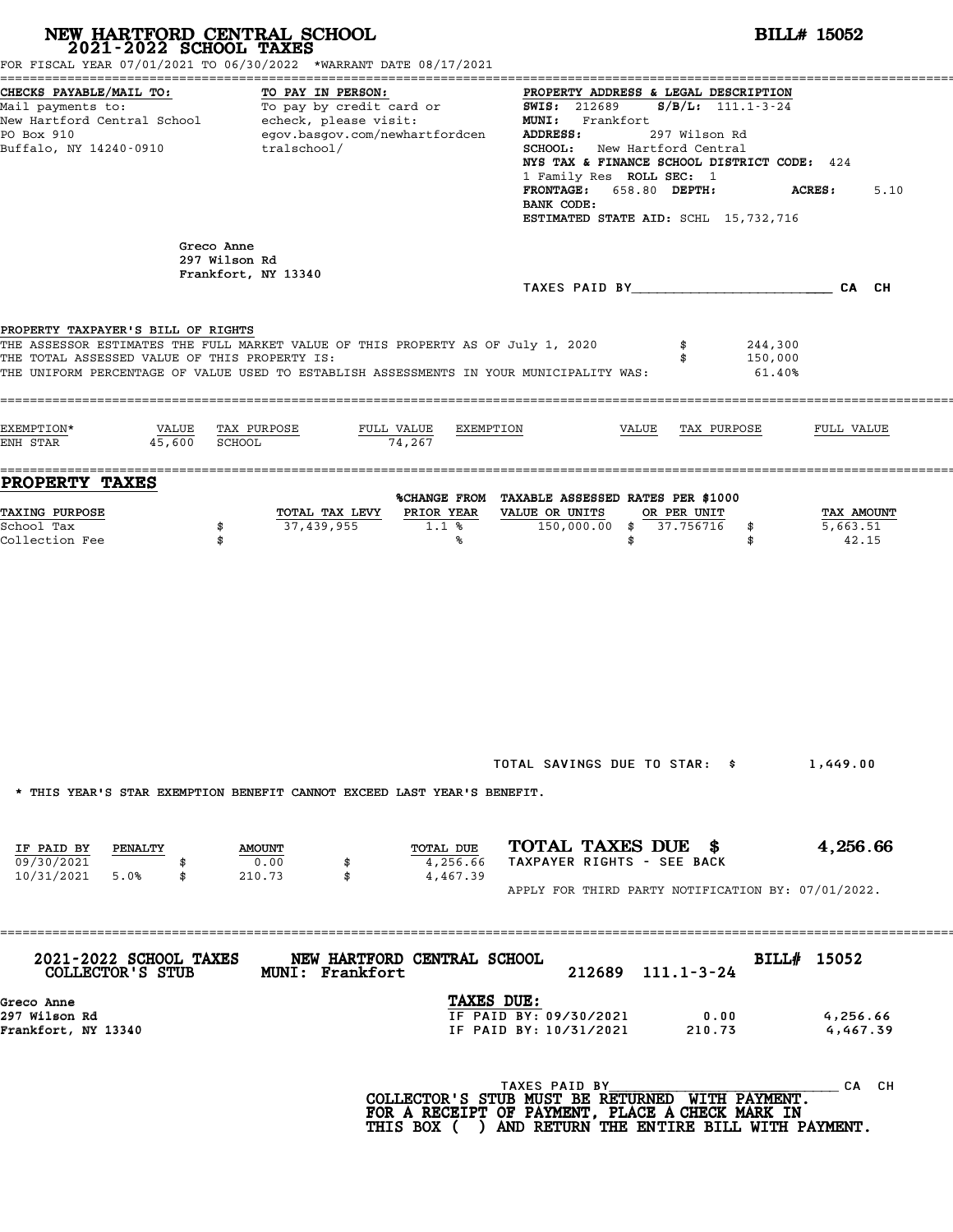| NEW HARTFORD CENTRAL SCHOOL<br>2021-2022 SCHOOL TAXES<br>FOR FISCAL YEAR 07/01/2021 TO 06/30/2022 *WARRANT DATE 08/17/2021                                                                                                                                                                 |                                               | <b>BILL# 15052</b>                                                                                                                                                                                                                                                          |                                 |  |  |  |  |
|--------------------------------------------------------------------------------------------------------------------------------------------------------------------------------------------------------------------------------------------------------------------------------------------|-----------------------------------------------|-----------------------------------------------------------------------------------------------------------------------------------------------------------------------------------------------------------------------------------------------------------------------------|---------------------------------|--|--|--|--|
| CHECKS PAYABLE/MAIL TO:<br>TO PAY IN PERSON:<br>Mail payments to:<br>Mail payments to: To pay by credit card or $\frac{1}{100}$ SWIS: 212689 S/B/L: 111.1-3-24<br>New Hartford Central School echeck, please visit: MUNI: Frankfort<br>PO Box 910<br>Buffalo, NY 14240-0910<br>tralschool/ | egov.basgov.com/newhartfordcen                | PROPERTY ADDRESS & LEGAL DESCRIPTION<br><b>ADDRESS:</b><br>297 Wilson Rd<br><b>SCHOOL:</b> New Hartford Central<br>NYS TAX & FINANCE SCHOOL DISTRICT CODE: 424<br>1 Family Res ROLL SEC: 1<br>FRONTAGE: 658.80 DEPTH:<br>BANK CODE:<br>ESTIMATED STATE AID: SCHL 15,732,716 | <b>ACRES:</b><br>5.10           |  |  |  |  |
| Greco Anne<br>297 Wilson Rd<br>Frankfort, NY 13340                                                                                                                                                                                                                                         |                                               |                                                                                                                                                                                                                                                                             |                                 |  |  |  |  |
|                                                                                                                                                                                                                                                                                            |                                               |                                                                                                                                                                                                                                                                             |                                 |  |  |  |  |
| PROPERTY TAXPAYER'S BILL OF RIGHTS<br>THE ASSESSOR ESTIMATES THE FULL MARKET VALUE OF THIS PROPERTY AS OF July 1, 2020<br>THE TOTAL ASSESSED VALUE OF THIS PROPERTY IS:<br>THE UNIFORM PERCENTAGE OF VALUE USED TO ESTABLISH ASSESSMENTS IN YOUR MUNICIPALITY WAS:                         |                                               |                                                                                                                                                                                                                                                                             | 244,300<br>150,000<br>61.40%    |  |  |  |  |
| EXEMPTION*<br>VALUE TAX PURPOSE<br>45,600 SCHOOL<br>ENH STAR                                                                                                                                                                                                                               | FULL VALUE<br>EXEMPTION<br>74,267             | VALUE TAX PURPOSE                                                                                                                                                                                                                                                           | FULL VALUE                      |  |  |  |  |
| <b>PROPERTY TAXES</b><br><b>TAXING PURPOSE</b><br>37,439,955<br>School Tax<br>\$<br>Collection Fee<br>\$                                                                                                                                                                                   | TOTAL TAX LEVY<br>PRIOR YEAR<br>1.1%<br>℁     | %CHANGE FROM TAXABLE ASSESSED RATES PER \$1000<br>VALUE OR UNITS<br>OR PER UNIT<br>150,000.00 \$ 37.756716<br>\$<br>\$<br>\$                                                                                                                                                | TAX AMOUNT<br>5,663.51<br>42.15 |  |  |  |  |
| * THIS YEAR'S STAR EXEMPTION BENEFIT CANNOT EXCEED LAST YEAR'S BENEFIT.                                                                                                                                                                                                                    |                                               | TOTAL SAVINGS DUE TO STAR: \$                                                                                                                                                                                                                                               | 1,449.00                        |  |  |  |  |
| IF PAID BY PENALTY<br><b>AMOUNT</b><br>09/30/2021<br>0.00<br>10/31/2021 5.0%<br>210.73<br>\$                                                                                                                                                                                               | TOTAL DUE<br>4,256.66<br>\$<br>\$<br>4,467.39 | TOTAL TAXES DUE \$<br>TAXPAYER RIGHTS - SEE BACK<br>APPLY FOR THIRD PARTY NOTIFICATION BY: 07/01/2022.                                                                                                                                                                      | 4,256.66                        |  |  |  |  |
| ===========<br><b>2021-2022 SCHOOL TAXES</b><br>COLLECTOR'S STUB<br><b>MUNI: Frankfort</b>                                                                                                                                                                                                 | NEW HARTFORD CENTRAL SCHOOL                   | 212689 111.1-3-24                                                                                                                                                                                                                                                           | BILL# 15052                     |  |  |  |  |
| Greco Anne<br>297 Wilson Rd<br>Frankfort, NY 13340                                                                                                                                                                                                                                         | TAXES DUE:                                    | IF PAID BY: 09/30/2021<br>0.00<br>IF PAID BY: 10/31/2021<br>210.73                                                                                                                                                                                                          | 4,256.66<br>4,467.39            |  |  |  |  |
|                                                                                                                                                                                                                                                                                            |                                               | TAXES PAID BY<br>COLLECTOR'S STUB MUST BE RETURNED WITH PAYMENT.<br>FOR A RECEIPT OF PAYMENT, PLACE A CHECK MARK IN<br>THIS BOX ( ) AND RETURN THE ENTIRE BILL WITH PAYMENT.                                                                                                | _ CA CH                         |  |  |  |  |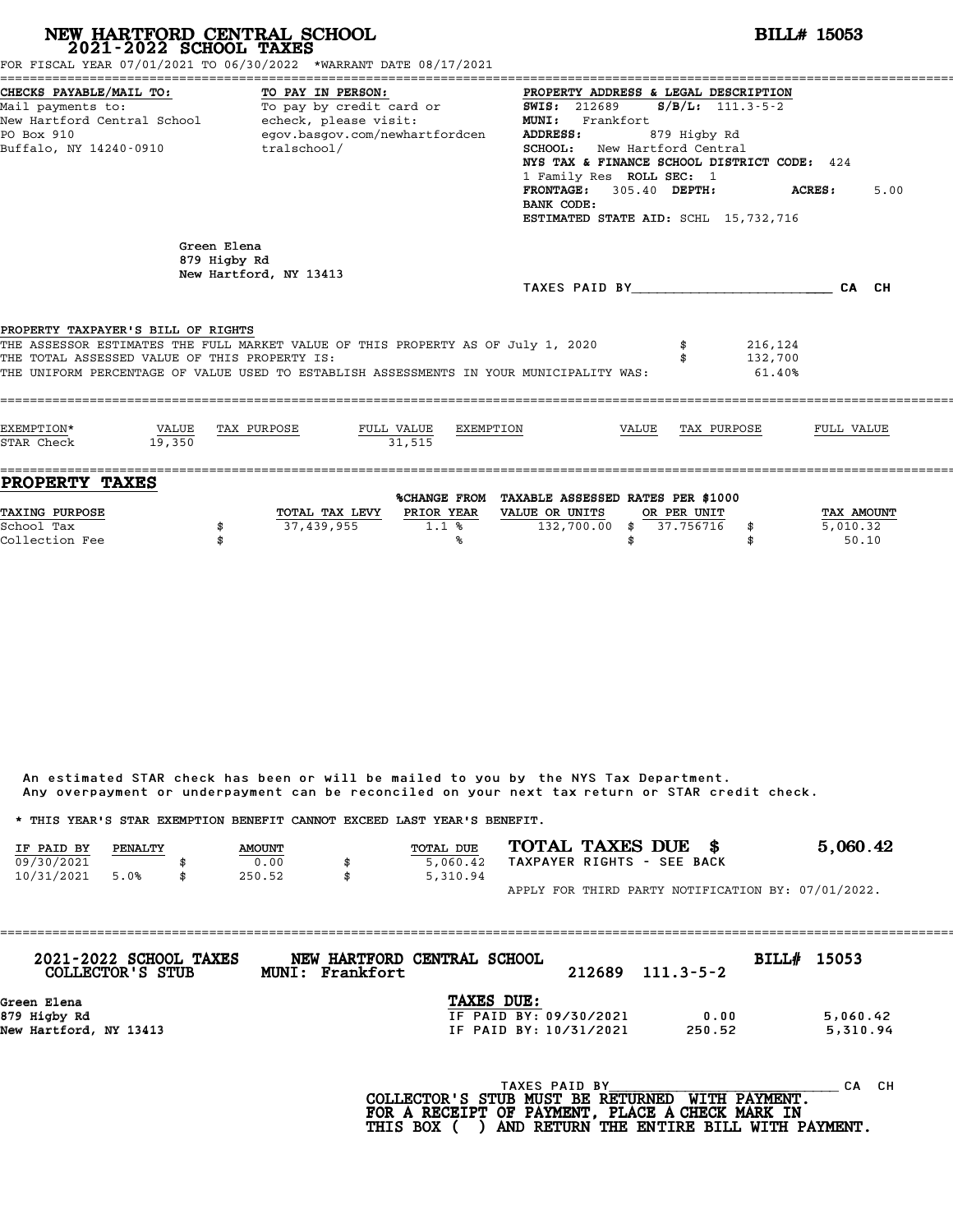|                                                                                      |                             | NEW HARTFORD CENTRAL SCHOOL<br>2021-2022 SCHOOL TAXES<br>FOR FISCAL YEAR 07/01/2021 TO 06/30/2022 *WARRANT DATE 08/17/2021                                                  |                                                                                                                                                                                                                                                                                                                                                       | <b>BILL# 15053</b>           |                        |  |  |  |  |
|--------------------------------------------------------------------------------------|-----------------------------|-----------------------------------------------------------------------------------------------------------------------------------------------------------------------------|-------------------------------------------------------------------------------------------------------------------------------------------------------------------------------------------------------------------------------------------------------------------------------------------------------------------------------------------------------|------------------------------|------------------------|--|--|--|--|
| CHECKS PAYABLE/MAIL TO:<br>Mail payments to:<br>PO Box 910<br>Buffalo, NY 14240-0910 |                             | TO PAY IN PERSON:<br>To pay by credit card or<br>New Hartford Central School - echeck, please visit:<br>egov.basgov.com/newhartfordcen<br>tralschool/                       | PROPERTY ADDRESS & LEGAL DESCRIPTION<br><b>SWIS: 212689</b><br>$S/B/L: 111.3-5-2$<br>MUNI: Frankfort<br><b>ADDRESS:</b><br>879 Higby Rd<br>SCHOOL: New Hartford Central<br>NYS TAX & FINANCE SCHOOL DISTRICT CODE: 424<br>1 Family Res ROLL SEC: 1<br>FRONTAGE: 305.40 DEPTH:<br>ACRES:<br>5.00<br>BANK CODE:<br>ESTIMATED STATE AID: SCHL 15,732,716 |                              |                        |  |  |  |  |
|                                                                                      | Green Elena<br>879 Higby Rd | New Hartford, NY 13413                                                                                                                                                      | TAXES PAID BY CA CH                                                                                                                                                                                                                                                                                                                                   |                              |                        |  |  |  |  |
| PROPERTY TAXPAYER'S BILL OF RIGHTS<br>THE TOTAL ASSESSED VALUE OF THIS PROPERTY IS:  |                             | THE ASSESSOR ESTIMATES THE FULL MARKET VALUE OF THIS PROPERTY AS OF July 1, 2020<br>THE UNIFORM PERCENTAGE OF VALUE USED TO ESTABLISH ASSESSMENTS IN YOUR MUNICIPALITY WAS: |                                                                                                                                                                                                                                                                                                                                                       | 216,124<br>132,700<br>61.40% |                        |  |  |  |  |
| EXEMPTION*<br>STAR Check                                                             | VALUE<br>19,350             | TAX PURPOSE<br>FULL VALUE<br>31.515                                                                                                                                         | EXEMPTION<br>VALUE                                                                                                                                                                                                                                                                                                                                    | TAX PURPOSE                  | FULL VALUE             |  |  |  |  |
| PROPERTY TAXES<br>TAXING PURPOSE                                                     | \$                          | TOTAL TAX LEVY PRIOR YEAR<br>37,439,955<br>1.1%                                                                                                                             | %CHANGE FROM TAXABLE ASSESSED RATES PER \$1000<br>VALUE OR UNITS<br>OR PER UNIT<br>132,700.00 \$<br>37.756716                                                                                                                                                                                                                                         | \$                           | TAX AMOUNT<br>5,010.32 |  |  |  |  |

|            |         |               |                                                                         | Any overpayment or underpayment can be reconciled on your next tax return or STAR credit check. |                                                    |
|------------|---------|---------------|-------------------------------------------------------------------------|-------------------------------------------------------------------------------------------------|----------------------------------------------------|
|            |         |               | * THIS YEAR'S STAR EXEMPTION BENEFIT CANNOT EXCEED LAST YEAR'S BENEFIT. |                                                                                                 |                                                    |
| IF PAID BY | PENALTY | <b>AMOUNT</b> | TOTAL DUE                                                               | TOTAL TAXES DUE \$                                                                              | 5,060.42                                           |
| 09/30/2021 |         | 0.00          | 5,060.42                                                                | TAXPAYER RIGHTS - SEE BACK                                                                      |                                                    |
| 10/31/2021 | 5.0%    | \$<br>250.52  | \$<br>5,310.94                                                          |                                                                                                 |                                                    |
|            |         |               |                                                                         |                                                                                                 | APPLY FOR THIRD PARTY NOTIFICATION BY: 07/01/2022. |

| 2021-2022 SCHOOL TAXES<br>COLLECTOR'S STUB | NEW HARTFORD CENTRAL SCHOOL<br>MUNI: Frankfort | 212689                 | $111.3 - 5 - 2$ | <b>BILL# 15053</b> |  |
|--------------------------------------------|------------------------------------------------|------------------------|-----------------|--------------------|--|
| Green Elena<br>879 Higby Rd                | TAXES DUE:                                     | IF PAID BY: 09/30/2021 | 0.00            | 5,060.42           |  |
| New Hartford, NY 13413                     |                                                | IF PAID BY: 10/31/2021 | 250.52          | 5,310.94           |  |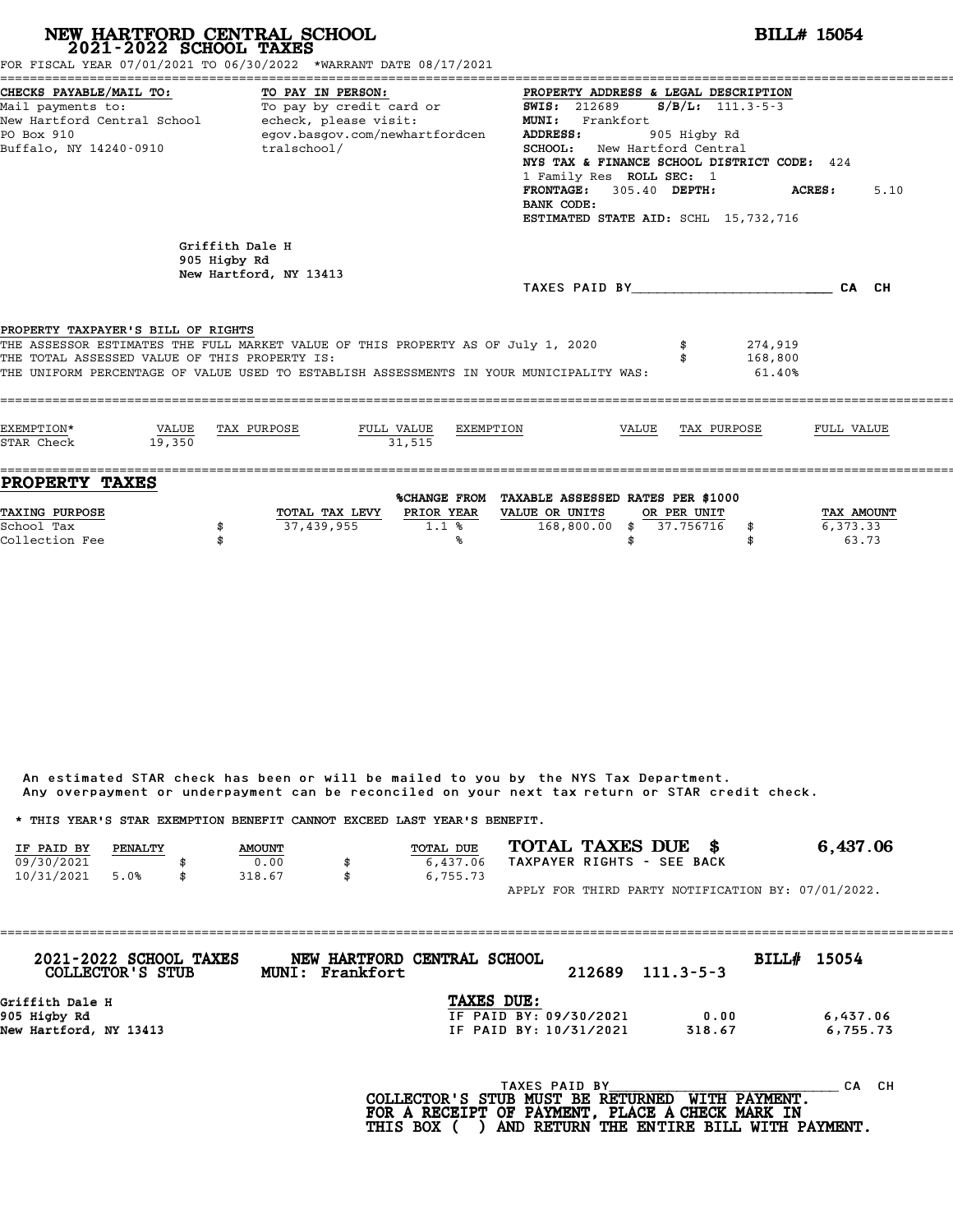# **NEW HARTFORD CENTRAL SCHOOL**<br>
2021-2022 SCHOOL TAXES<br>
FOR FISCAL YEAR 07/01/2021 TO 06/30/2022 \*WARRANT DATE 08/17/2021<br> **2021-2022** TO 06/30/2022 \*WARRANT DATE 08/17/2021

|                                                                                                                                            | FOR FISCAL YEAR 07/01/2021 TO 06/30/2022 *WARRANT DATE 08/17/2021                                                                                                           |                                                                                                                                                                                                                                                                                                                                |                                 |
|--------------------------------------------------------------------------------------------------------------------------------------------|-----------------------------------------------------------------------------------------------------------------------------------------------------------------------------|--------------------------------------------------------------------------------------------------------------------------------------------------------------------------------------------------------------------------------------------------------------------------------------------------------------------------------|---------------------------------|
| CHECKS PAYABLE/MAIL TO:<br>Mail payments to:<br>New Hartford Central School becheck, please visit:<br>PO Box 910<br>Buffalo, NY 14240-0910 | TO PAY IN PERSON:<br>To pay by credit card or<br>egov.basgov.com/newhartfordcen<br>tralschool/                                                                              | PROPERTY ADDRESS & LEGAL DESCRIPTION<br><b>SWIS:</b> 212689 <b>S/B/L:</b> 111.3-5-3<br>MUNI: Frankfort<br>ADDRESS:<br>905 Higby Rd<br>SCHOOL: New Hartford Central<br>NYS TAX & FINANCE SCHOOL DISTRICT CODE: 424<br>1 Family Res ROLL SEC: 1<br>FRONTAGE: 305.40 DEPTH:<br>BANK CODE:<br>ESTIMATED STATE AID: SCHL 15,732,716 | 5.10<br>ACRES:                  |
|                                                                                                                                            | Griffith Dale H<br>905 Higby Rd<br>New Hartford, NY 13413                                                                                                                   | TAXES PAID BY CA CH                                                                                                                                                                                                                                                                                                            |                                 |
| PROPERTY TAXPAYER'S BILL OF RIGHTS<br>THE TOTAL ASSESSED VALUE OF THIS PROPERTY IS:                                                        | THE ASSESSOR ESTIMATES THE FULL MARKET VALUE OF THIS PROPERTY AS OF July 1, 2020<br>THE UNIFORM PERCENTAGE OF VALUE USED TO ESTABLISH ASSESSMENTS IN YOUR MUNICIPALITY WAS: | 274,919<br>168,800<br>61.40%                                                                                                                                                                                                                                                                                                   |                                 |
| EXEMPTION*<br>VALUE TAX PURPOSE<br>STAR Check<br>19.350                                                                                    | FULL VALUE EXEMPTION<br>31.515                                                                                                                                              | VALUE TAX PURPOSE                                                                                                                                                                                                                                                                                                              | FULL VALUE                      |
| <b>PROPERTY TAXES</b><br><b>TAXING PURPOSE</b><br>School Tax<br>\$<br>Collection Fee                                                       | PRIOR YEAR<br>TOTAL TAX LEVY<br>37,439,955<br>1.1%<br>℁                                                                                                                     | %CHANGE FROM TAXABLE ASSESSED RATES PER \$1000<br>VALUE OR UNITS<br>OR PER UNIT<br>168,800.00 \$ 37.756716 \$<br>\$                                                                                                                                                                                                            | TAX AMOUNT<br>6,373.33<br>63.73 |

An estimated STAR check has been or will be mailed to you by the NYS Tax Department. An estimated STAR check has been or will be mailed to you by the NYS Tax Department.<br>Any overpayment or underpayment can be reconciled on your next tax return or STAR credit check.

|            |         |               |                                                                         | Any overpayment or underpayment can be reconciled on your next tax return or STAR credit check. |          |
|------------|---------|---------------|-------------------------------------------------------------------------|-------------------------------------------------------------------------------------------------|----------|
|            |         |               | * THIS YEAR'S STAR EXEMPTION BENEFIT CANNOT EXCEED LAST YEAR'S BENEFIT. |                                                                                                 |          |
| IF PAID BY | PENALTY | <b>AMOUNT</b> | TOTAL DUE                                                               | TOTAL TAXES DUE \$                                                                              | 6,437.06 |
| 09/30/2021 |         | 0.00          | 6,437.06                                                                | TAXPAYER RIGHTS - SEE BACK                                                                      |          |
| 10/31/2021 | 5.0%    | \$<br>318.67  | \$<br>6,755.73                                                          |                                                                                                 |          |
|            |         |               |                                                                         | APPLY FOR THIRD PARTY NOTIFICATION BY: 07/01/2022.                                              |          |

| TAXES DUE:<br>Griffith Dale H                                          | 2021-2022 SCHOOL TAXES<br>COLLECTOR'S STUB | NEW HARTFORD CENTRAL SCHOOL<br>MUNI: Frankfort | 212689 | $111.3 - 5 - 3$ | BILL# 15054 |  |
|------------------------------------------------------------------------|--------------------------------------------|------------------------------------------------|--------|-----------------|-------------|--|
|                                                                        |                                            |                                                |        |                 |             |  |
|                                                                        |                                            |                                                |        |                 |             |  |
| 905 Higby Rd<br>IF PAID BY: 09/30/2021<br>6,437.06<br>0.00             |                                            |                                                |        |                 |             |  |
| New Hartford, NY 13413<br>318.67<br>6,755.73<br>IF PAID BY: 10/31/2021 |                                            |                                                |        |                 |             |  |
|                                                                        |                                            |                                                |        |                 |             |  |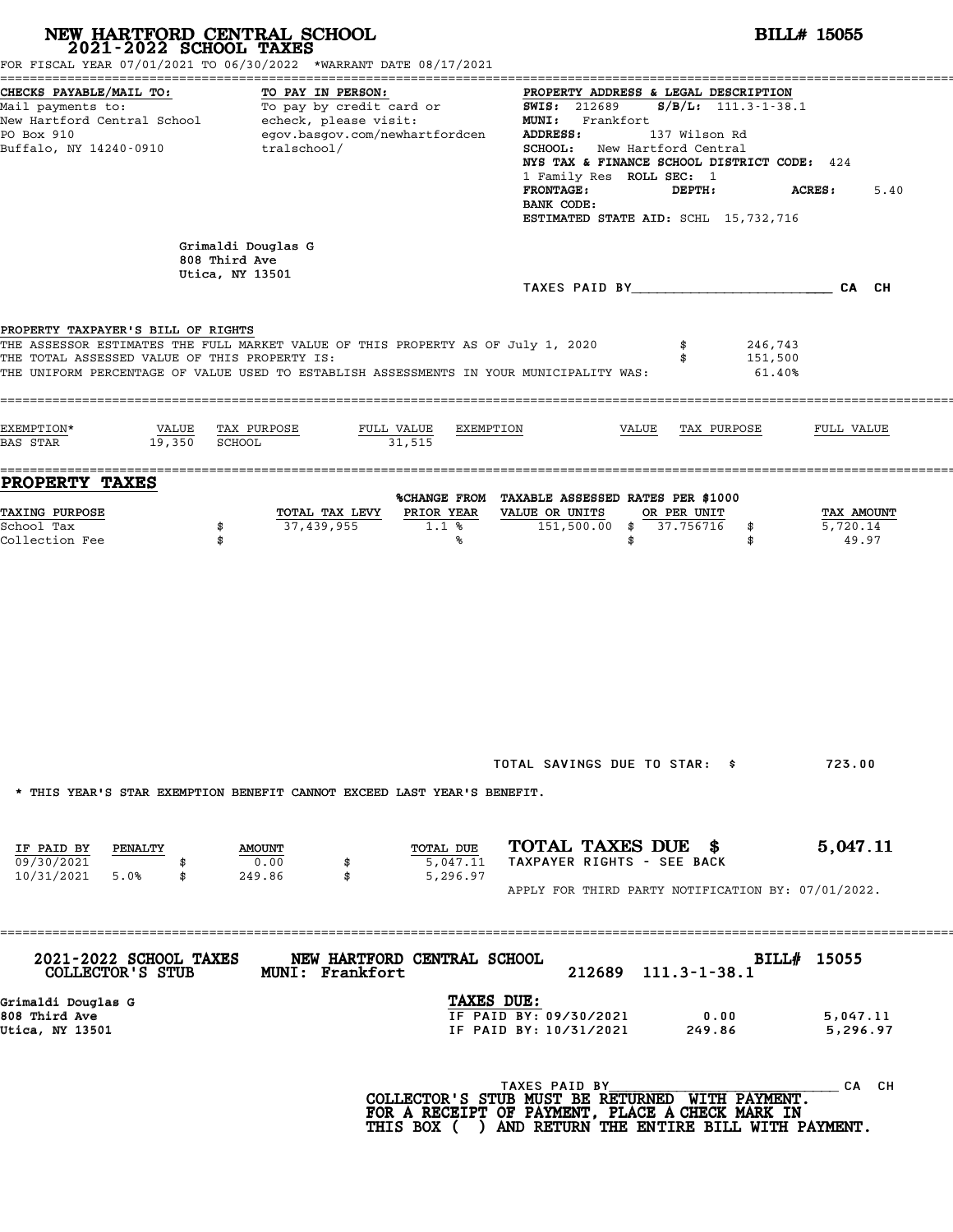| 2021-2022 SCHOOL TAXES                                                              | NEW HARTFORD CENTRAL SCHOOL<br>FOR FISCAL YEAR 07/01/2021 TO 06/30/2022 *WARRANT DATE 08/17/2021                                                                            | <b>BILL# 15055</b>                                                                                                                                                                                                                                                                                                                                                                                                                                    |  |  |  |  |
|-------------------------------------------------------------------------------------|-----------------------------------------------------------------------------------------------------------------------------------------------------------------------------|-------------------------------------------------------------------------------------------------------------------------------------------------------------------------------------------------------------------------------------------------------------------------------------------------------------------------------------------------------------------------------------------------------------------------------------------------------|--|--|--|--|
| CHECKS PAYABLE/MAIL TO:<br>PO Box 910<br>Buffalo, NY 14240-0910                     | TO PAY IN PERSON:<br>egov.basgov.com/newhartfordcen<br>tralschool/                                                                                                          | PROPERTY ADDRESS & LEGAL DESCRIPTION<br>Mail payments to:<br>Mail payments to: To pay by credit card or $\frac{1.000 \text{ m/s}}{1.000 \text{ m/s}} = 212689$ S/B/L: 111.3-1-38.1<br><b>ADDRESS:</b><br>137 Wilson Rd<br><b>SCHOOL:</b> New Hartford Central<br>NYS TAX & FINANCE SCHOOL DISTRICT CODE: 424<br>1 Family Res ROLL SEC: 1<br><b>FRONTAGE:</b><br>DEPTH:<br><b>ACRES:</b><br>5.40<br>BANK CODE:<br>ESTIMATED STATE AID: SCHL 15,732,716 |  |  |  |  |
|                                                                                     | Grimaldi Douglas G<br>808 Third Ave<br>Utica, NY 13501                                                                                                                      |                                                                                                                                                                                                                                                                                                                                                                                                                                                       |  |  |  |  |
| PROPERTY TAXPAYER'S BILL OF RIGHTS<br>THE TOTAL ASSESSED VALUE OF THIS PROPERTY IS: | THE ASSESSOR ESTIMATES THE FULL MARKET VALUE OF THIS PROPERTY AS OF July 1, 2020<br>THE UNIFORM PERCENTAGE OF VALUE USED TO ESTABLISH ASSESSMENTS IN YOUR MUNICIPALITY WAS: | 246,743<br>151,500<br>61.40%                                                                                                                                                                                                                                                                                                                                                                                                                          |  |  |  |  |
| EXEMPTION*<br>19,350<br><b>BAS STAR</b>                                             | VALUE TAX PURPOSE<br>FULL VALUE<br>SCHOOL<br>31,515                                                                                                                         | EXEMPTION<br>VALUE<br>TAX PURPOSE<br>FULL VALUE                                                                                                                                                                                                                                                                                                                                                                                                       |  |  |  |  |
| <b>PROPERTY TAXES</b><br><b>TAXING PURPOSE</b><br>School Tax<br>Collection Fee      | TOTAL TAX LEVY<br>PRIOR YEAR<br>37,439,955<br>1.1%<br>\$<br>\$<br>%                                                                                                         | %CHANGE FROM TAXABLE ASSESSED RATES PER \$1000<br>VALUE OR UNITS<br>OR PER UNIT<br>TAX AMOUNT<br>151,500.00 \$ 37.756716<br>5,720.14<br>\$<br>49.97<br>\$<br>\$                                                                                                                                                                                                                                                                                       |  |  |  |  |
| IF PAID BY<br>PENALTY                                                               | * THIS YEAR'S STAR EXEMPTION BENEFIT CANNOT EXCEED LAST YEAR'S BENEFIT.<br>TOTAL DUE<br><b>AMOUNT</b>                                                                       | TOTAL SAVINGS DUE TO STAR: \$<br>723.00<br>TOTAL TAXES DUE \$<br>5,047.11                                                                                                                                                                                                                                                                                                                                                                             |  |  |  |  |
| 09/30/2021<br>10/31/2021 5.0%<br>\$                                                 | 0.00<br>5,047.11<br>249.86<br>\$<br>5,296.97                                                                                                                                | TAXPAYER RIGHTS - SEE BACK<br>APPLY FOR THIRD PARTY NOTIFICATION BY: 07/01/2022.                                                                                                                                                                                                                                                                                                                                                                      |  |  |  |  |
| 2021-2022 SCHOOL TAXES<br>COLLECTOR'S STUB                                          | NEW HARTFORD CENTRAL SCHOOL<br><b>MUNI: Frankfort</b>                                                                                                                       | BILL# 15055<br>212689 111.3-1-38.1                                                                                                                                                                                                                                                                                                                                                                                                                    |  |  |  |  |
| Grimaldi Douglas G<br>808 Third Ave<br>Utica, NY 13501                              |                                                                                                                                                                             | TAXES DUE:<br>IF PAID BY: 09/30/2021<br>0.00<br>5,047.11<br>IF PAID BY: 10/31/2021<br>249.86<br>5,296.97                                                                                                                                                                                                                                                                                                                                              |  |  |  |  |
|                                                                                     |                                                                                                                                                                             | TAXES PAID BY<br>CA CH<br>COLLECTOR'S STUB MUST BE RETURNED WITH PAYMENT.<br>FOR A RECEIPT OF PAYMENT, PLACE A CHECK MARK IN<br>THIS BOX ( ) AND RETURN THE ENTIRE BILL WITH PAYMENT.                                                                                                                                                                                                                                                                 |  |  |  |  |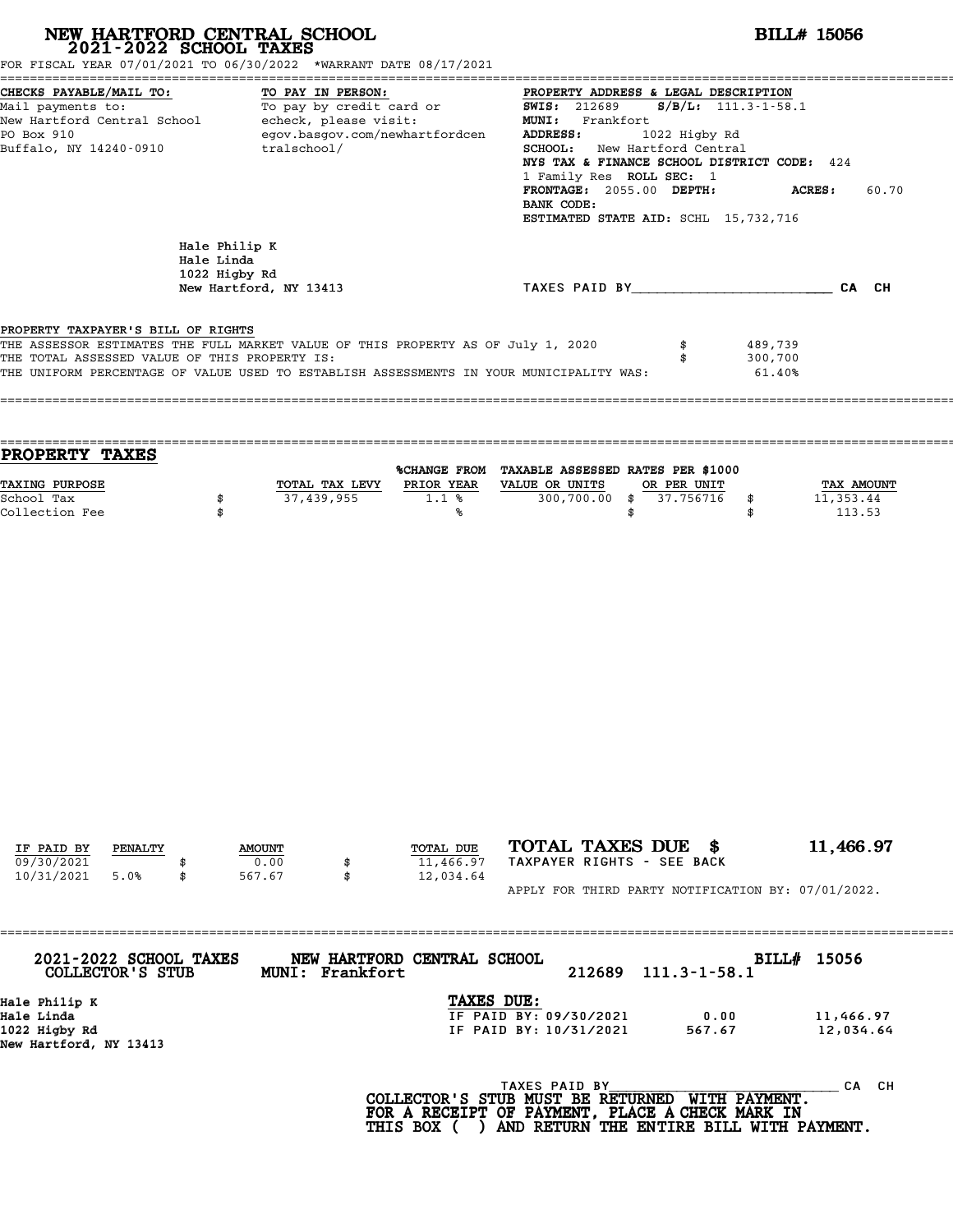| NEW HARTFORD CENTRAL SCHOOL 2021-2022 SCHOOL TAXES<br>FOR FISCAL YEAR 07/01/2021 TO 06/30/2022 *WARRANT DATE 08/17/2021                                                                                                                                            |                                              |                                                                                   |                                           | <b>BILL# 15056</b>                                                                                                                                                                                                                                                                             |                    |                           |                              |                                          |  |
|--------------------------------------------------------------------------------------------------------------------------------------------------------------------------------------------------------------------------------------------------------------------|----------------------------------------------|-----------------------------------------------------------------------------------|-------------------------------------------|------------------------------------------------------------------------------------------------------------------------------------------------------------------------------------------------------------------------------------------------------------------------------------------------|--------------------|---------------------------|------------------------------|------------------------------------------|--|
| CHECKS PAYABLE/MAIL TO:<br>Mail payments to:<br>New Hartford Central School - echeck, please visit:<br>PO Box 910<br>Buffalo, NY 14240-0910                                                                                                                        |                                              | TO PAY IN PERSON:<br>TO PAY IN PERSON:<br>To pay by credit card or<br>tralschool/ | egov.basgov.com/newhartfordcen            | PROPERTY ADDRESS & LEGAL DESCRIPTION<br><b>SWIS: 212689</b><br>MUNI: Frankfort<br><b>ADDRESS:</b><br>SCHOOL: New Hartford Central<br>NYS TAX & FINANCE SCHOOL DISTRICT CODE: 424<br>1 Family Res ROLL SEC: 1<br>FRONTAGE: 2055.00 DEPTH:<br>BANK CODE:<br>ESTIMATED STATE AID: SCHL 15,732,716 | 1022 Higby Rd      | $S/B/L: 111.3 - 1 - 58.1$ | <b>ACRES:</b>                | 60.70                                    |  |
|                                                                                                                                                                                                                                                                    | Hale Philip K<br>Hale Linda<br>1022 Higby Rd | New Hartford, NY 13413                                                            |                                           | TAXES PAID BY____________________________CA CH                                                                                                                                                                                                                                                 |                    |                           |                              |                                          |  |
| PROPERTY TAXPAYER'S BILL OF RIGHTS<br>THE ASSESSOR ESTIMATES THE FULL MARKET VALUE OF THIS PROPERTY AS OF July 1, 2020<br>THE TOTAL ASSESSED VALUE OF THIS PROPERTY IS:<br>THE UNIFORM PERCENTAGE OF VALUE USED TO ESTABLISH ASSESSMENTS IN YOUR MUNICIPALITY WAS: |                                              |                                                                                   |                                           |                                                                                                                                                                                                                                                                                                | \$<br>\$           |                           | 489,739<br>300,700<br>61.40% |                                          |  |
| PROPERTY TAXES                                                                                                                                                                                                                                                     |                                              |                                                                                   |                                           |                                                                                                                                                                                                                                                                                                |                    |                           |                              |                                          |  |
| TAXING PURPOSE<br>School Tax<br>Collection Fee                                                                                                                                                                                                                     | \$<br>\$                                     | 37,439,955                                                                        | 1.1%<br>℁                                 | %CHANGE FROM TAXABLE ASSESSED RATES PER \$1000<br>TOTAL TAX LEVY PRIOR YEAR VALUE OR UNITS<br>300,700.00 \$                                                                                                                                                                                    | OR PER UNIT<br>\$  | 37.756716<br>\$<br>\$     |                              | <b>TAX AMOUNT</b><br>11,353.44<br>113.53 |  |
| IF PAID BY<br>PENALTY<br>09/30/2021<br>10/31/2021<br>5.0%                                                                                                                                                                                                          | \$                                           | <b>AMOUNT</b><br>0.00<br>567.67                                                   | \$<br>TOTAL DUE<br>11,466.97<br>12,034.64 | TOTAL TAXES DUE \$<br>TAXPAYER RIGHTS - SEE BACK                                                                                                                                                                                                                                               |                    |                           |                              | 11,466.97                                |  |
|                                                                                                                                                                                                                                                                    |                                              |                                                                                   |                                           | APPLY FOR THIRD PARTY NOTIFICATION BY: 07/01/2022.                                                                                                                                                                                                                                             |                    |                           |                              |                                          |  |
| 2021-2022 SCHOOL TAXES<br>COLLECTOR'S STUB                                                                                                                                                                                                                         |                                              | MUNI: Frankfort                                                                   | NEW HARTFORD CENTRAL SCHOOL               | 212689                                                                                                                                                                                                                                                                                         | $111.3 - 1 - 58.1$ |                           |                              | BILL# 15056                              |  |
| Hale Philip K<br>Hale Linda<br>1022 Higby Rd<br>New Hartford, NY 13413                                                                                                                                                                                             |                                              |                                                                                   | TAXES DUE:                                | IF PAID BY: 09/30/2021<br>IF PAID BY: 10/31/2021                                                                                                                                                                                                                                               |                    | 0.00<br>567.67            |                              | 11,466.97<br>12,034.64                   |  |
|                                                                                                                                                                                                                                                                    |                                              |                                                                                   |                                           | TAXES PAID BY<br>COLLECTOR'S STUB MUST BE RETURNED WITH PAYMENT.<br>FOR A RECEIPT OF PAYMENT, PLACE A CHECK MARK IN                                                                                                                                                                            |                    |                           |                              | CA CH                                    |  |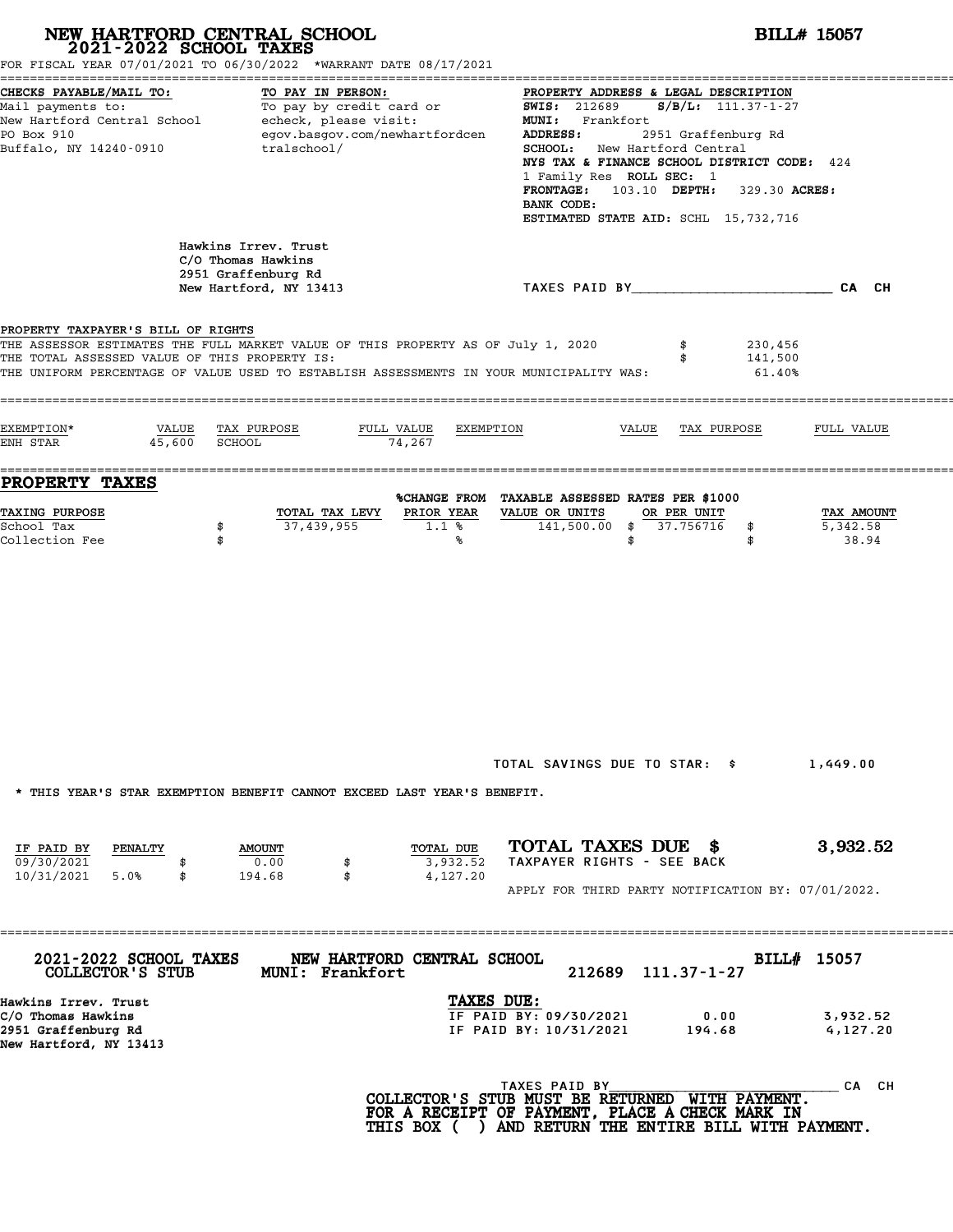|                                                                                             | NEW HARTFORD CENTRAL SCHOOL 2021-2022 SCHOOL TAXES<br>FOR FISCAL YEAR 07/01/2021 TO 06/30/2022 *WARRANT DATE 08/17/2021                                                     |                                   | <b>BILL# 15057</b>                                                                                                                                                                                                                                                                                          |                                              |                                 |  |  |
|---------------------------------------------------------------------------------------------|-----------------------------------------------------------------------------------------------------------------------------------------------------------------------------|-----------------------------------|-------------------------------------------------------------------------------------------------------------------------------------------------------------------------------------------------------------------------------------------------------------------------------------------------------------|----------------------------------------------|---------------------------------|--|--|
| CHECKS PAYABLE/MAIL TO:<br>Mail payments to:<br>PO Box 910<br>Buffalo, NY 14240-0910        | TO PAY IN PERSON:<br>Mail payments to:<br>Mail payments to:<br>New Hartford Central School echeck, please visit:<br>egov.basgov.com/newhartfordcen<br>tralschool/           |                                   | PROPERTY ADDRESS & LEGAL DESCRIPTION<br><b>SWIS: 212689</b><br>MUNI: Frankfort<br><b>ADDRESS:</b><br>SCHOOL: New Hartford Central<br>NYS TAX & FINANCE SCHOOL DISTRICT CODE: 424<br>1 Family Res ROLL SEC: 1<br>FRONTAGE: 103.10 DEPTH: 329.30 ACRES:<br>BANK CODE:<br>ESTIMATED STATE AID: SCHL 15,732,716 | $S/B/L$ : 111.37-1-27<br>2951 Graffenburg Rd |                                 |  |  |
|                                                                                             | Hawkins Irrev. Trust<br>C/O Thomas Hawkins<br>2951 Graffenburg Rd<br>New Hartford, NY 13413                                                                                 |                                   | TAXES PAID BY CAN CH                                                                                                                                                                                                                                                                                        |                                              |                                 |  |  |
| PROPERTY TAXPAYER'S BILL OF RIGHTS<br>THE TOTAL ASSESSED VALUE OF THIS PROPERTY IS:         | THE ASSESSOR ESTIMATES THE FULL MARKET VALUE OF THIS PROPERTY AS OF July 1, 2020<br>THE UNIFORM PERCENTAGE OF VALUE USED TO ESTABLISH ASSESSMENTS IN YOUR MUNICIPALITY WAS: |                                   |                                                                                                                                                                                                                                                                                                             | 230,456<br>141,500<br>$61.40\%$              |                                 |  |  |
| EXEMPTION*<br>VALUE<br>45,600<br>ENH STAR                                                   | TAX PURPOSE<br><b>SCHOOL</b>                                                                                                                                                | FULL VALUE<br>EXEMPTION<br>74,267 | VALUE                                                                                                                                                                                                                                                                                                       | TAX PURPOSE                                  | FULL VALUE                      |  |  |
| PROPERTY TAXES                                                                              |                                                                                                                                                                             |                                   | %CHANGE FROM TAXABLE ASSESSED RATES PER \$1000                                                                                                                                                                                                                                                              |                                              |                                 |  |  |
| TAXING PURPOSE<br>School Tax<br>Collection Fee                                              | TOTAL TAX LEVY<br>37,439,955<br>\$<br>\$                                                                                                                                    | PRIOR YEAR<br>1.1%<br>℁           | VALUE OR UNITS<br>141,500.00 \$ 37.756716<br>\$                                                                                                                                                                                                                                                             | OR PER UNIT<br>\$<br>\$                      | TAX AMOUNT<br>5,342.58<br>38.94 |  |  |
|                                                                                             | * THIS YEAR'S STAR EXEMPTION BENEFIT CANNOT EXCEED LAST YEAR'S BENEFIT.                                                                                                     |                                   | TOTAL SAVINGS DUE TO STAR: \$                                                                                                                                                                                                                                                                               |                                              | 1,449.00                        |  |  |
| IF PAID BY<br>PENALTY<br>09/30/2021<br>10/31/2021<br>5.0%<br>\$                             | <b>AMOUNT</b><br>0.00<br>\$<br>194.68<br>\$                                                                                                                                 | TOTAL DUE<br>3,932.52<br>4,127.20 | TOTAL TAXES DUE \$<br>TAXPAYER RIGHTS - SEE BACK<br>APPLY FOR THIRD PARTY NOTIFICATION BY: 07/01/2022.                                                                                                                                                                                                      |                                              | 3,932.52                        |  |  |
| 2021-2022 SCHOOL TAXES<br>COLLECTOR'S STUB                                                  | MUNI: Frankfort                                                                                                                                                             | NEW HARTFORD CENTRAL SCHOOL       | 212689                                                                                                                                                                                                                                                                                                      | $111.37 - 1 - 27$                            | BILL# 15057                     |  |  |
| Hawkins Irrev. Trust<br>C/O Thomas Hawkins<br>2951 Graffenburg Rd<br>New Hartford, NY 13413 |                                                                                                                                                                             | TAXES DUE:                        | IF PAID BY: 09/30/2021<br>IF PAID BY: 10/31/2021                                                                                                                                                                                                                                                            | 0.00<br>194.68                               | 3,932.52<br>4,127.20            |  |  |
|                                                                                             |                                                                                                                                                                             |                                   | TAXES PAID BY<br>COLLECTOR'S STUB MUST BE RETURNED WITH PAYMENT.<br>FOR A RECEIPT OF PAYMENT, PLACE A CHECK MARK IN                                                                                                                                                                                         |                                              | CA CH                           |  |  |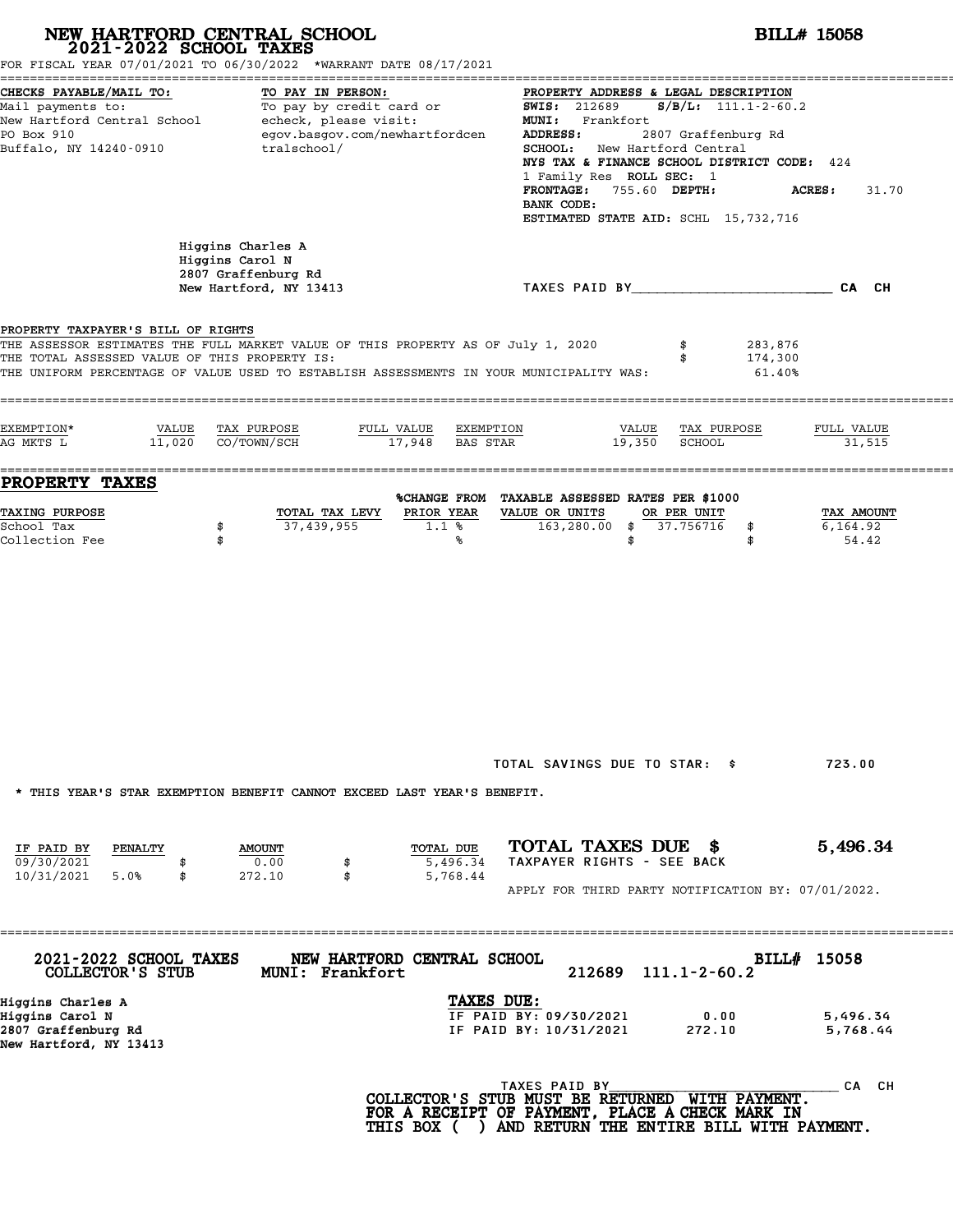|                                                                                                                                     | NEW HARTFORD CENTRAL SCHOOL 2021-2022 SCHOOL TAXES<br>FOR FISCAL YEAR 07/01/2021 TO 06/30/2022 *WARRANT DATE 08/17/2021                                                     |                                         |                                                                                                                                                  |               |                                                                                                                                                                              | <b>BILL# 15058</b>                  |
|-------------------------------------------------------------------------------------------------------------------------------------|-----------------------------------------------------------------------------------------------------------------------------------------------------------------------------|-----------------------------------------|--------------------------------------------------------------------------------------------------------------------------------------------------|---------------|------------------------------------------------------------------------------------------------------------------------------------------------------------------------------|-------------------------------------|
| CHECKS PAYABLE/MAIL TO:<br>PO Box 910<br>Buffalo, NY 14240-0910                                                                     | TO PAY IN PERSON:<br>Mail payments to: To pay by credit card or<br>New Hartford Central School echeck, please visit:<br>egov.basgov.com/newhartfordcen<br>tralschool/       |                                         | <b>SWIS: 212689</b><br>MUNI: Frankfort<br>ADDRESS:<br>SCHOOL: New Hartford Central<br>1 Family Res ROLL SEC: 1<br><b>FRONTAGE:</b><br>BANK CODE: | 755.60 DEPTH: | PROPERTY ADDRESS & LEGAL DESCRIPTION<br>$S/B/L$ : 111.1-2-60.2<br>2807 Graffenburg Rd<br>NYS TAX & FINANCE SCHOOL DISTRICT CODE: 424<br>ESTIMATED STATE AID: SCHL 15,732,716 | <b>ACRES:</b><br>31.70              |
|                                                                                                                                     | Higgins Charles A<br>Higgins Carol N<br>2807 Graffenburg Rd<br>New Hartford, NY 13413                                                                                       |                                         |                                                                                                                                                  |               | TAXES PAID BY CAN CH                                                                                                                                                         |                                     |
| PROPERTY TAXPAYER'S BILL OF RIGHTS<br>THE TOTAL ASSESSED VALUE OF THIS PROPERTY IS:                                                 | THE ASSESSOR ESTIMATES THE FULL MARKET VALUE OF THIS PROPERTY AS OF July 1, 2020<br>THE UNIFORM PERCENTAGE OF VALUE USED TO ESTABLISH ASSESSMENTS IN YOUR MUNICIPALITY WAS: |                                         |                                                                                                                                                  |               | 283,876<br>174,300<br>$61.40\%$                                                                                                                                              |                                     |
| EXEMPTION*<br>VALUE<br>AG MKTS L                                                                                                    | TAX PURPOSE<br>11,020 CO/TOWN/SCH                                                                                                                                           | FULL VALUE EXEMPTION<br>17,948 BAS STAR |                                                                                                                                                  | 19,350        | VALUE TAX PURPOSE<br>SCHOOL                                                                                                                                                  | FULL VALUE<br>31,515                |
| PROPERTY TAXES<br>TAXING PURPOSE<br>School Tax<br>Collection Fee                                                                    | TOTAL TAX LEVY<br>37,439,955<br>\$<br>\$                                                                                                                                    | PRIOR YEAR<br>1.1%<br>℁                 | %CHANGE FROM TAXABLE ASSESSED RATES PER \$1000<br>VALUE OR UNITS<br>163,280.00                                                                   | \$<br>\$      | OR PER UNIT<br>37.756716<br>\$<br>\$                                                                                                                                         | TAX AMOUNT<br>6,164.92<br>54.42     |
| IF PAID BY<br>PENALTY<br>09/30/2021                                                                                                 | * THIS YEAR'S STAR EXEMPTION BENEFIT CANNOT EXCEED LAST YEAR'S BENEFIT.<br><b>AMOUNT</b><br>0.00<br>\$                                                                      | TOTAL DUE<br>5,496.34                   | TOTAL SAVINGS DUE TO STAR: \$<br>TOTAL TAXES DUE \$<br>TAXPAYER RIGHTS - SEE BACK                                                                |               |                                                                                                                                                                              | 723.00<br>5,496.34                  |
| 10/31/2021 5.0%<br>\$                                                                                                               | 272.10<br>\$                                                                                                                                                                | 5,768.44                                |                                                                                                                                                  |               | APPLY FOR THIRD PARTY NOTIFICATION BY: 07/01/2022.                                                                                                                           |                                     |
| 2021-2022 SCHOOL TAXES<br>COLLECTOR'S STUB<br>Higgins Charles A<br>Higgins Carol N<br>2807 Graffenburg Rd<br>New Hartford, NY 13413 | NEW HARTFORD CENTRAL SCHOOL<br>MUNI: Frankfort                                                                                                                              | TAXES DUE:                              | 212689<br>IF PAID BY: 09/30/2021<br>IF PAID BY: 10/31/2021                                                                                       |               | $111.1 - 2 - 60.2$<br>0.00<br>272.10                                                                                                                                         | BILL# 15058<br>5,496.34<br>5,768.44 |
|                                                                                                                                     |                                                                                                                                                                             |                                         | TAXES PAID BY                                                                                                                                    |               | COLLECTOR'S STUB MUST BE RETURNED WITH PAYMENT.<br>FOR A RECEIPT OF PAYMENT, PLACE A CHECK MARK IN<br>THIS BOX ( ) AND RETURN THE ENTIRE BILL WITH PAYMENT.                  | CA CH                               |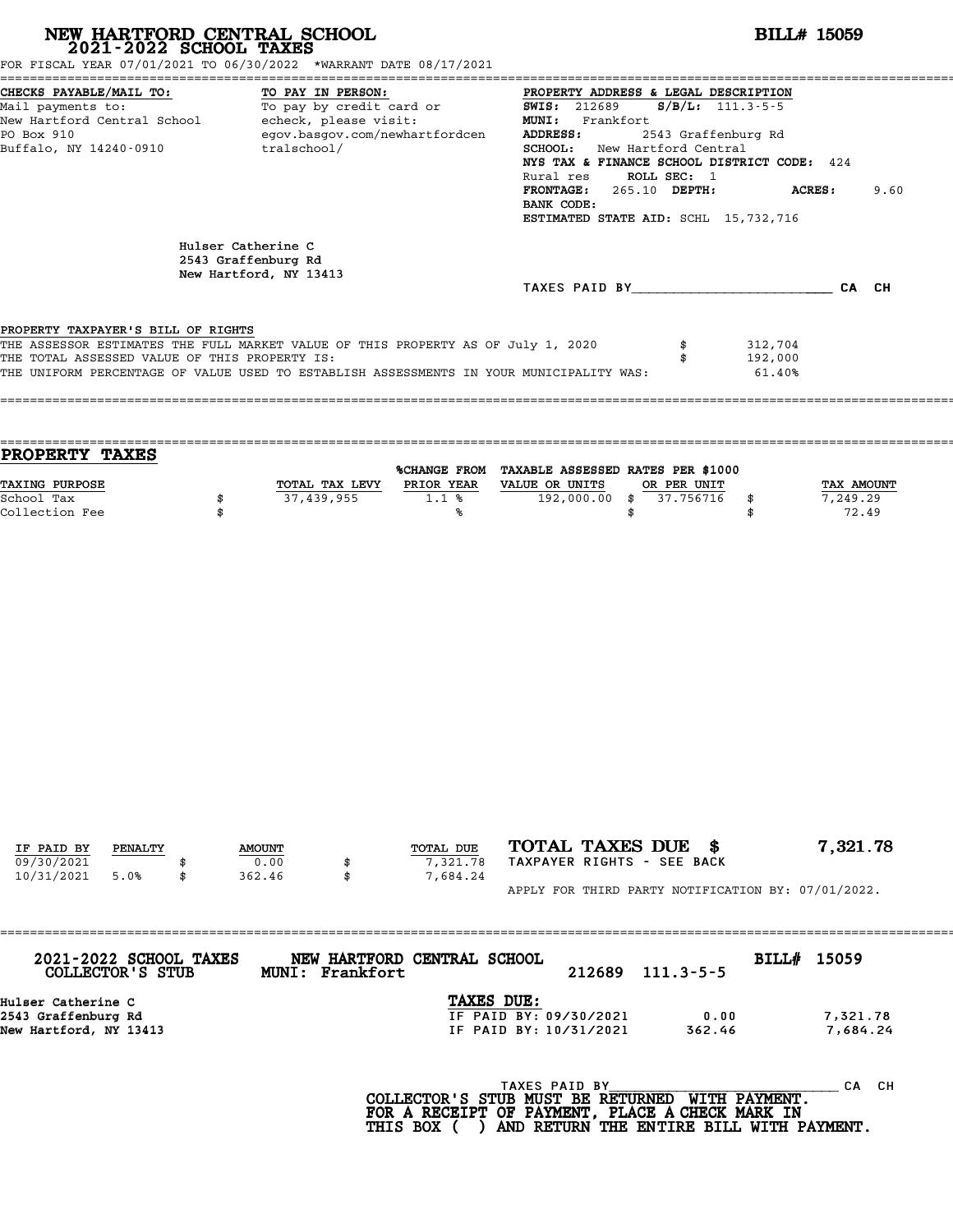| NEW HARTFORD CENTRAL SCHOOL 2021-2022 SCHOOL TAXES<br>FOR FISCAL YEAR 07/01/2021 TO 06/30/2022 *WARRANT DATE 08/17/2021                                                                                                                                            |          |                                                                     |                   |                                                                                          |                                                                  |                                                                                                                                                                                                                                                                  | <b>BILL# 15059</b>           |                                 |
|--------------------------------------------------------------------------------------------------------------------------------------------------------------------------------------------------------------------------------------------------------------------|----------|---------------------------------------------------------------------|-------------------|------------------------------------------------------------------------------------------|------------------------------------------------------------------|------------------------------------------------------------------------------------------------------------------------------------------------------------------------------------------------------------------------------------------------------------------|------------------------------|---------------------------------|
| CHECKS PAYABLE/MAIL TO:<br>Mail payments to:<br>New Hartford Central School - echeck, please visit:<br>PO Box 910<br>Buffalo, NY 14240-0910                                                                                                                        |          | tralschool/                                                         | TO PAY IN PERSON: | To pay by credit card or<br>egov.basgov.com/newhartfordcen                               | <b>SWIS: 212689</b><br>MUNI: Frankfort<br>ADDRESS:<br>BANK CODE: | PROPERTY ADDRESS & LEGAL DESCRIPTION<br>$S/B/L: 111.3 - 5 - 5$<br>2543 Graffenburg Rd<br>SCHOOL: New Hartford Central<br>NYS TAX & FINANCE SCHOOL DISTRICT CODE: 424<br>Rural res ROLL SEC: 1<br>FRONTAGE: 265.10 DEPTH:<br>ESTIMATED STATE AID: SCHL 15,732,716 |                              | ACRES:<br>9.60                  |
|                                                                                                                                                                                                                                                                    |          | Hulser Catherine C<br>2543 Graffenburg Rd<br>New Hartford, NY 13413 |                   |                                                                                          |                                                                  |                                                                                                                                                                                                                                                                  |                              |                                 |
|                                                                                                                                                                                                                                                                    |          |                                                                     |                   |                                                                                          |                                                                  | TAXES PAID BY CA CH                                                                                                                                                                                                                                              |                              |                                 |
| PROPERTY TAXPAYER'S BILL OF RIGHTS<br>THE ASSESSOR ESTIMATES THE FULL MARKET VALUE OF THIS PROPERTY AS OF July 1, 2020<br>THE TOTAL ASSESSED VALUE OF THIS PROPERTY IS:<br>THE UNIFORM PERCENTAGE OF VALUE USED TO ESTABLISH ASSESSMENTS IN YOUR MUNICIPALITY WAS: |          |                                                                     |                   |                                                                                          |                                                                  | \$                                                                                                                                                                                                                                                               | 312,704<br>192,000<br>61.40% |                                 |
| PROPERTY TAXES                                                                                                                                                                                                                                                     |          |                                                                     |                   |                                                                                          |                                                                  |                                                                                                                                                                                                                                                                  |                              |                                 |
| TAXING PURPOSE<br>School Tax<br>Collection Fee                                                                                                                                                                                                                     | \$<br>\$ |                                                                     | 37,439,955        | %CHANGE FROM TAXABLE ASSESSED RATES PER \$1000<br>TOTAL TAX LEVY PRIOR YEAR<br>1.1%<br>℁ | VALUE OR UNITS<br>192,000.00 \$                                  | \$<br>OR PER UNIT<br>37.756716                                                                                                                                                                                                                                   | \$<br>\$                     | TAX AMOUNT<br>7,249.29<br>72.49 |
|                                                                                                                                                                                                                                                                    |          |                                                                     |                   |                                                                                          |                                                                  |                                                                                                                                                                                                                                                                  |                              |                                 |
| IF PAID BY<br>PENALTY                                                                                                                                                                                                                                              |          | <b>AMOUNT</b>                                                       |                   | TOTAL DUE                                                                                |                                                                  | TOTAL TAXES DUE \$                                                                                                                                                                                                                                               |                              | 7,321.78                        |
| 09/30/2021<br>10/31/2021<br>5.0%                                                                                                                                                                                                                                   | \$       | 0.00<br>362.46                                                      | \$<br>\$          | 7,321.78<br>7,684.24                                                                     |                                                                  | TAXPAYER RIGHTS - SEE BACK                                                                                                                                                                                                                                       |                              |                                 |
|                                                                                                                                                                                                                                                                    |          | -----------------------------                                       |                   |                                                                                          |                                                                  | APPLY FOR THIRD PARTY NOTIFICATION BY: 07/01/2022.                                                                                                                                                                                                               |                              |                                 |
| 2021-2022 SCHOOL TAXES<br>COLLECTOR'S STUB                                                                                                                                                                                                                         |          |                                                                     | MUNI: Frankfort   | NEW HARTFORD CENTRAL SCHOOL                                                              |                                                                  | 212689 111.3-5-5                                                                                                                                                                                                                                                 | BILL# 15059                  |                                 |
| Hulser Catherine C<br>2543 Graffenburg Rd<br>New Hartford, NY 13413                                                                                                                                                                                                |          |                                                                     |                   | TAXES DUE:                                                                               | IF PAID BY: 09/30/2021<br>IF PAID BY: 10/31/2021                 | 0.00<br>362.46                                                                                                                                                                                                                                                   |                              | 7,321.78<br>7,684.24            |
|                                                                                                                                                                                                                                                                    |          |                                                                     |                   | COLLECTOR'S STUB MUST BE RETURNED WITH PAYMENT.                                          | TAXES PAID BY<br>FOR A RECEIPT OF PAYMENT, PLACE A CHECK MARK IN |                                                                                                                                                                                                                                                                  |                              | CA CH                           |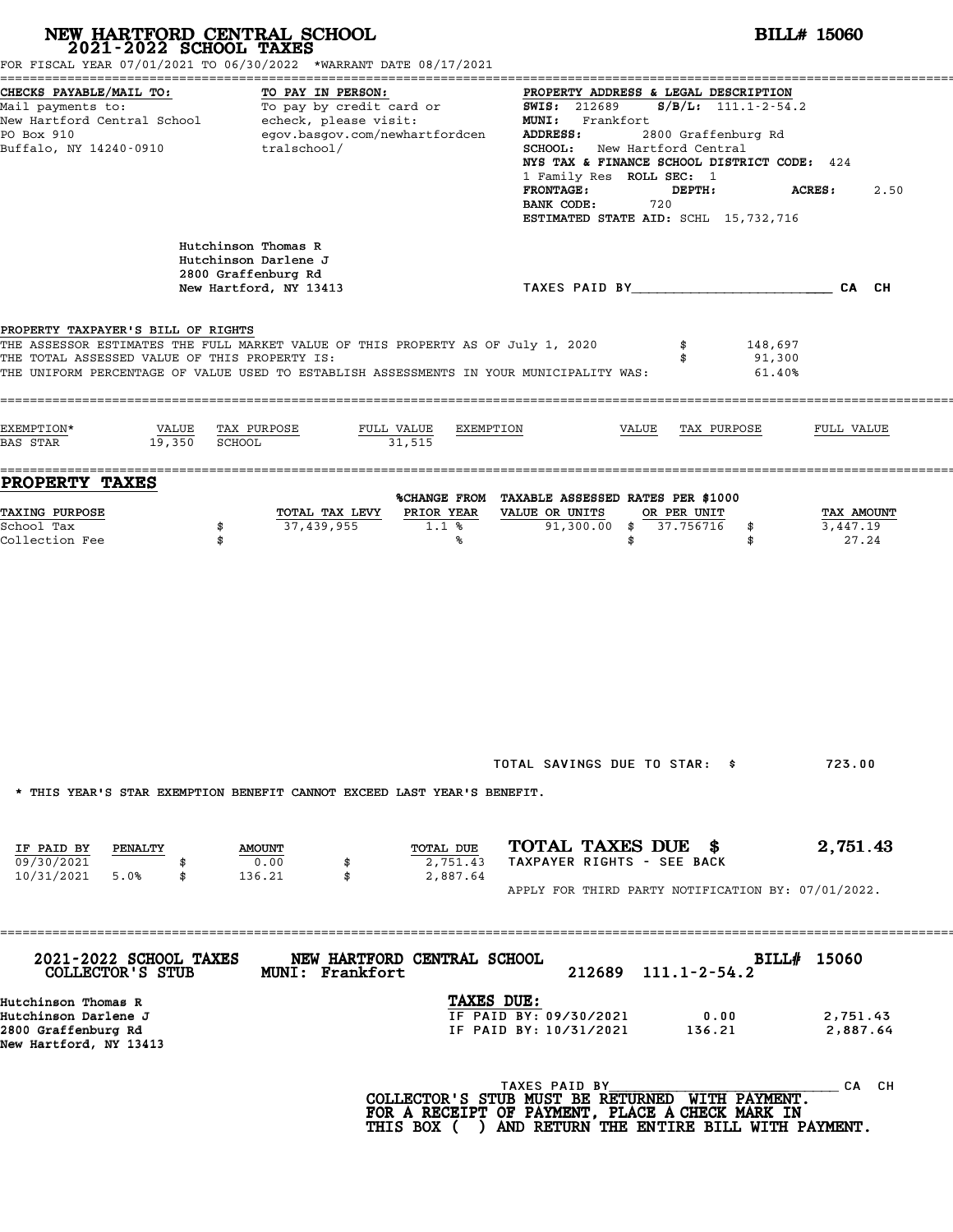|                                                                                                                                                                | NEW HARTFORD CENTRAL SCHOOL 2021-2022 SCHOOL TAXES<br>FOR FISCAL YEAR 07/01/2021 TO 06/30/2022 *WARRANT DATE 08/17/2021                                                     |                                                                                                                                                                                                                                                                                                                                                   | <b>BILL# 15060</b>              |
|----------------------------------------------------------------------------------------------------------------------------------------------------------------|-----------------------------------------------------------------------------------------------------------------------------------------------------------------------------|---------------------------------------------------------------------------------------------------------------------------------------------------------------------------------------------------------------------------------------------------------------------------------------------------------------------------------------------------|---------------------------------|
| CHECKS PAYABLE/MAIL TO:<br>Mail payments to:<br>Mail payments to:<br>New Hartford Central School echeck, please visit:<br>PO Box 910<br>Buffalo, NY 14240-0910 | TO PAY IN PERSON:<br>egov.basgov.com/newhartfordcen<br>tralschool/                                                                                                          | PROPERTY ADDRESS & LEGAL DESCRIPTION<br><b>SWIS: 212689</b><br>$S/B/L$ : 111.1-2-54.2<br>MUNI: Frankfort<br>ADDRESS:<br>2800 Graffenburg Rd<br>SCHOOL: New Hartford Central<br>NYS TAX & FINANCE SCHOOL DISTRICT CODE: 424<br>1 Family Res ROLL SEC: 1<br><b>FRONTAGE:</b><br>DEPTH:<br>720<br>BANK CODE:<br>ESTIMATED STATE AID: SCHL 15,732,716 | <b>ACRES :</b><br>2.50          |
|                                                                                                                                                                | Hutchinson Thomas R<br>Hutchinson Darlene J<br>2800 Graffenburg Rd<br>New Hartford, NY 13413                                                                                | TAXES PAID BY___________________________CA CH                                                                                                                                                                                                                                                                                                     |                                 |
| PROPERTY TAXPAYER'S BILL OF RIGHTS<br>THE TOTAL ASSESSED VALUE OF THIS PROPERTY IS:                                                                            | THE ASSESSOR ESTIMATES THE FULL MARKET VALUE OF THIS PROPERTY AS OF July 1, 2020<br>THE UNIFORM PERCENTAGE OF VALUE USED TO ESTABLISH ASSESSMENTS IN YOUR MUNICIPALITY WAS: | 148,697<br>\$<br>91,300<br>\$<br>61.40%                                                                                                                                                                                                                                                                                                           |                                 |
| EXEMPTION*<br>VALUE<br>19,350<br>BAS STAR                                                                                                                      | TAX PURPOSE<br>FULL VALUE<br>EXEMPTION<br>SCHOOL<br>31,515                                                                                                                  | VALUE<br>TAX PURPOSE                                                                                                                                                                                                                                                                                                                              | FULL VALUE                      |
| PROPERTY TAXES<br><b>TAXING PURPOSE</b><br>School Tax<br>\$<br>Collection Fee<br>\$                                                                            | PRIOR YEAR<br>TOTAL TAX LEVY<br>37,439,955<br>1.1%<br>℁                                                                                                                     | %CHANGE FROM TAXABLE ASSESSED RATES PER \$1000<br>VALUE OR UNITS<br>OR PER UNIT<br>91,300.00 \$ 37.756716<br>\$<br>\$<br>\$                                                                                                                                                                                                                       | TAX AMOUNT<br>3,447.19<br>27.24 |
|                                                                                                                                                                |                                                                                                                                                                             |                                                                                                                                                                                                                                                                                                                                                   |                                 |
|                                                                                                                                                                | * THIS YEAR'S STAR EXEMPTION BENEFIT CANNOT EXCEED LAST YEAR'S BENEFIT.                                                                                                     | TOTAL SAVINGS DUE TO STAR: \$                                                                                                                                                                                                                                                                                                                     | 723.00                          |
| IF PAID BY<br>PENALTY<br>09/30/2021<br>10/31/2021<br>5.0%<br>\$                                                                                                | TOTAL DUE<br><b>AMOUNT</b><br>0.00<br>2,751.43<br>\$<br>136.21<br>\$<br>2,887.64                                                                                            | TOTAL TAXES DUE \$<br>TAXPAYER RIGHTS - SEE BACK<br>APPLY FOR THIRD PARTY NOTIFICATION BY: 07/01/2022.                                                                                                                                                                                                                                            | 2,751.43                        |
| 2021-2022 SCHOOL TAXES<br>COLLECTOR'S STUB                                                                                                                     | NEW HARTFORD CENTRAL SCHOOL<br><b>MUNI: Frankfort</b>                                                                                                                       | $111.1 - 2 - 54.2$<br>212689                                                                                                                                                                                                                                                                                                                      | BILL# 15060                     |
| Hutchinson Thomas R<br>Hutchinson Darlene J<br>2800 Graffenburg Rd<br>New Hartford, NY 13413                                                                   | TAXES DUE:                                                                                                                                                                  | IF PAID BY: 09/30/2021<br>0.00<br>IF PAID BY: 10/31/2021<br>136.21                                                                                                                                                                                                                                                                                | 2,751.43<br>2,887.64            |
|                                                                                                                                                                |                                                                                                                                                                             |                                                                                                                                                                                                                                                                                                                                                   |                                 |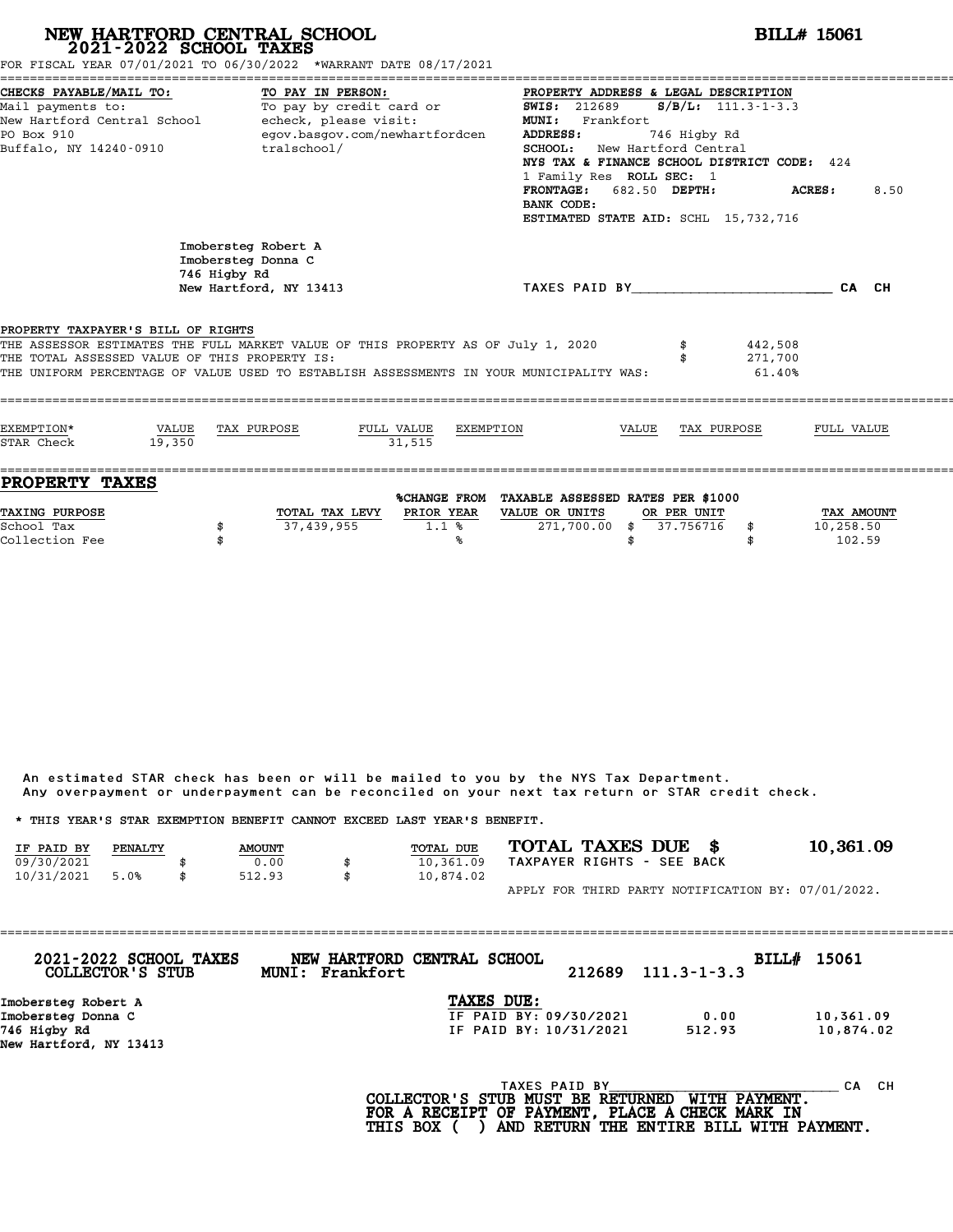| NEW HARTFORD CENTRAL SCHOOL<br>$2021 - 2022$ SCHOOL TAXES<br>FOR FISCAL YEAR 07/01/2021 TO 06/30/2022 *WARRANT DATE 08/17/2021                                                                                                                                     |                                                           |                        |                                               |           |                                                                                                                                                                                                                                                                                               |       |              |                              | <b>BILL# 15061</b> |      |
|--------------------------------------------------------------------------------------------------------------------------------------------------------------------------------------------------------------------------------------------------------------------|-----------------------------------------------------------|------------------------|-----------------------------------------------|-----------|-----------------------------------------------------------------------------------------------------------------------------------------------------------------------------------------------------------------------------------------------------------------------------------------------|-------|--------------|------------------------------|--------------------|------|
| CHECKS PAYABLE/MAIL TO:<br>Mail payments to: To pay by credit card or<br>New Hartford Central School - echeck, please visit:<br>PO Box 910<br>Buffalo, NY 14240-0910                                                                                               |                                                           | TO PAY IN PERSON:      | egov.basgov.com/newhartfordcen<br>tralschool/ |           | PROPERTY ADDRESS & LEGAL DESCRIPTION<br><b>SWIS:</b> 212689<br>MUNI: Frankfort<br><b>ADDRESS:</b><br>SCHOOL: New Hartford Central<br>NYS TAX & FINANCE SCHOOL DISTRICT CODE: 424<br>1 Family Res ROLL SEC: 1<br>FRONTAGE: 682.50 DEPTH:<br>BANK CODE:<br>ESTIMATED STATE AID: SCHL 15,732,716 |       | 746 Higby Rd | $S/B/L: 111.3 - 1 - 3.3$     | ACRES:             | 8.50 |
|                                                                                                                                                                                                                                                                    | Imobersteg Robert A<br>Imobersteg Donna C<br>746 Higby Rd | New Hartford, NY 13413 |                                               |           | TAXES PAID BY CA CH                                                                                                                                                                                                                                                                           |       |              |                              |                    |      |
| PROPERTY TAXPAYER'S BILL OF RIGHTS<br>THE ASSESSOR ESTIMATES THE FULL MARKET VALUE OF THIS PROPERTY AS OF July 1, 2020<br>THE TOTAL ASSESSED VALUE OF THIS PROPERTY IS:<br>THE UNIFORM PERCENTAGE OF VALUE USED TO ESTABLISH ASSESSMENTS IN YOUR MUNICIPALITY WAS: |                                                           |                        |                                               |           |                                                                                                                                                                                                                                                                                               |       |              | 442,508<br>271,700<br>61.40% |                    |      |
| EXEMPTION*<br>VALUE<br>STAR Check                                                                                                                                                                                                                                  | 19.350                                                    | TAX PURPOSE            | FULL VALUE<br>31.515                          | EXEMPTION |                                                                                                                                                                                                                                                                                               | VALUE | TAX PURPOSE  |                              | FULL VALUE         |      |
| <b>PROPERTY TAXES</b><br><b>TAXING PURPOSE</b>                                                                                                                                                                                                                     |                                                           |                        | TOTAL TAX LEVY PRIOR YEAR                     |           | %CHANGE FROM TAXABLE ASSESSED RATES PER \$1000<br>VALUE OR UNITS                                                                                                                                                                                                                              |       | OR PER UNIT  |                              | <b>TAX AMOUNT</b>  |      |

|                                                                         |         |               | Any overpayment or underpayment can be reconciled on your next tax return or STAR credit check. |                  |  |                            |                                                    |
|-------------------------------------------------------------------------|---------|---------------|-------------------------------------------------------------------------------------------------|------------------|--|----------------------------|----------------------------------------------------|
| * THIS YEAR'S STAR EXEMPTION BENEFIT CANNOT EXCEED LAST YEAR'S BENEFIT. |         |               |                                                                                                 |                  |  |                            |                                                    |
| IF PAID BY                                                              | PENALTY | <b>AMOUNT</b> |                                                                                                 | <b>TOTAL DUE</b> |  | TOTAL TAXES DUE \$         | 10,361.09                                          |
| 09/30/2021                                                              |         | 0.00          | \$                                                                                              | 10,361.09        |  | TAXPAYER RIGHTS - SEE BACK |                                                    |
| 10/31/2021                                                              | 5.0%    | 512.93        | \$                                                                                              | 10,874.02        |  |                            |                                                    |
|                                                                         |         |               |                                                                                                 |                  |  |                            | APPLY FOR THIRD PARTY NOTIFICATION BY: 07/01/2022. |

| 2021-2022 SCHOOL TAXES<br>COLLECTOR'S STUB | MUNI: Frankfort | NEW HARTFORD CENTRAL SCHOOL | 212689        | $111.3 - 1 - 3.3$ | BILL# 15061 |
|--------------------------------------------|-----------------|-----------------------------|---------------|-------------------|-------------|
| Imobersteg Robert A                        |                 | TAXES DUE:                  |               |                   |             |
| Imobersteg Donna C                         |                 | IF PAID BY: 09/30/2021      |               | 0.00              | 10,361.09   |
| 746 Higby Rd                               |                 | IF PAID BY: 10/31/2021      |               | 512.93            | 10,874.02   |
| New Hartford, NY 13413                     |                 |                             |               |                   |             |
|                                            |                 |                             | TAXES PAID BY |                   | CH.<br>CА   |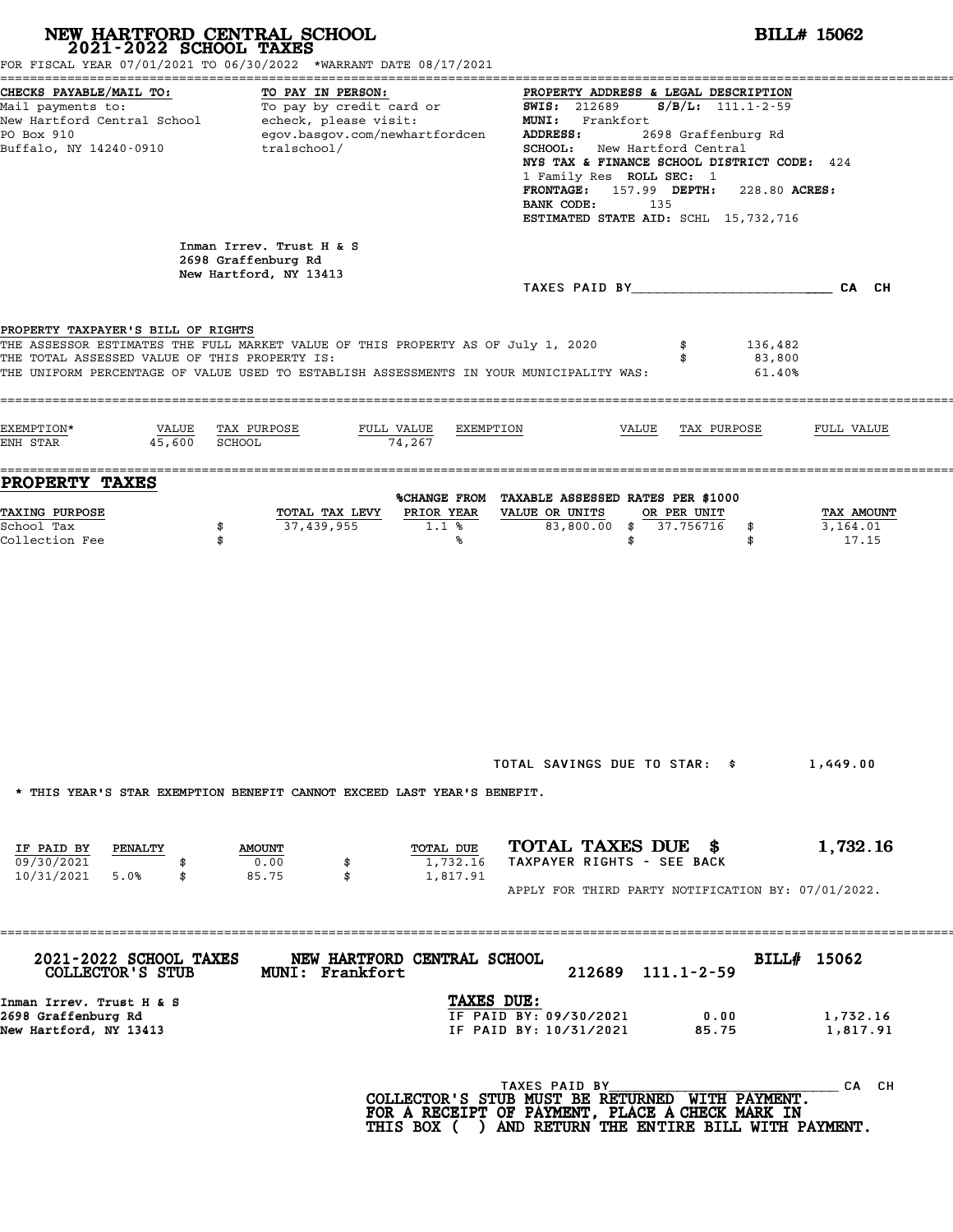| NEW HARTFORD CENTRAL SCHOOL<br>2021-2022 SCHOOL TAXES                                         | FOR FISCAL YEAR 07/01/2021 TO 06/30/2022 *WARRANT DATE 08/17/2021                                                                                                           |                                                                                                                                                                                                                                                                                                                                                                                                                                                                                     | <b>BILL# 15062</b>              |
|-----------------------------------------------------------------------------------------------|-----------------------------------------------------------------------------------------------------------------------------------------------------------------------------|-------------------------------------------------------------------------------------------------------------------------------------------------------------------------------------------------------------------------------------------------------------------------------------------------------------------------------------------------------------------------------------------------------------------------------------------------------------------------------------|---------------------------------|
| CHECKS PAYABLE/MAIL TO:<br>PO Box 910<br>Buffalo, NY 14240-0910                               | TO PAY IN PERSON:<br>egov.basgov.com/newhartfordcen<br>tralschool/                                                                                                          | PROPERTY ADDRESS & LEGAL DESCRIPTION<br>Mail payments to:<br>Mail payments to:<br>New Hartford Central School echeck, please visit: MUNI: Frankfort<br>New Hartford Central School echeck, please visit: MUNI: Frankfort<br><b>ADDRESS:</b><br>2698 Graffenburg Rd<br>SCHOOL: New Hartford Central<br>NYS TAX & FINANCE SCHOOL DISTRICT CODE: 424<br>1 Family Res ROLL SEC: 1<br>FRONTAGE: 157.99 DEPTH: 228.80 ACRES:<br>BANK CODE:<br>135<br>ESTIMATED STATE AID: SCHL 15,732,716 |                                 |
|                                                                                               | Inman Irrev. Trust H & S<br>2698 Graffenburg Rd<br>New Hartford, NY 13413                                                                                                   | TAXES PAID BY CA CH                                                                                                                                                                                                                                                                                                                                                                                                                                                                 |                                 |
| PROPERTY TAXPAYER'S BILL OF RIGHTS<br>THE TOTAL ASSESSED VALUE OF THIS PROPERTY IS:           | THE ASSESSOR ESTIMATES THE FULL MARKET VALUE OF THIS PROPERTY AS OF July 1, 2020<br>THE UNIFORM PERCENTAGE OF VALUE USED TO ESTABLISH ASSESSMENTS IN YOUR MUNICIPALITY WAS: | 136,482<br>83,800<br>61.40%                                                                                                                                                                                                                                                                                                                                                                                                                                                         |                                 |
| EXEMPTION*<br>VALUE TAX PURPOSE<br>ENH STAR 45,600 SCHOOL                                     | FULL VALUE<br>EXEMPTION<br>74,267                                                                                                                                           | VALUE TAX PURPOSE                                                                                                                                                                                                                                                                                                                                                                                                                                                                   | FULL VALUE                      |
| <b>PROPERTY TAXES</b><br><b>TAXING PURPOSE</b><br>School Tax<br>\$<br>Collection Fee<br>\$    | TOTAL TAX LEVY<br>PRIOR YEAR<br>37,439,955<br>1.1%<br>℁                                                                                                                     | %CHANGE FROM TAXABLE ASSESSED RATES PER \$1000<br>VALUE OR UNITS<br>OR PER UNIT<br>83,800.00 \$ 37.756716<br>\$<br>\$<br>\$                                                                                                                                                                                                                                                                                                                                                         | TAX AMOUNT<br>3,164.01<br>17.15 |
| IF PAID BY<br>PENALTY                                                                         | * THIS YEAR'S STAR EXEMPTION BENEFIT CANNOT EXCEED LAST YEAR'S BENEFIT.<br>TOTAL DUE<br><b>AMOUNT</b>                                                                       | TOTAL SAVINGS DUE TO STAR: \$<br>TOTAL TAXES DUE \$                                                                                                                                                                                                                                                                                                                                                                                                                                 | 1,449.00<br>1,732.16            |
| 09/30/2021<br>10/31/2021 5.0%<br>\$                                                           | 0.00<br>1,732.16<br>85.75<br>\$<br>1,817.91                                                                                                                                 | TAXPAYER RIGHTS - SEE BACK<br>APPLY FOR THIRD PARTY NOTIFICATION BY: 07/01/2022.                                                                                                                                                                                                                                                                                                                                                                                                    |                                 |
| 2021-2022 SCHOOL TAXES<br>COLLECTOR'S STUB<br>Inman Irrev. Trust H & S<br>2698 Graffenburg Rd | NEW HARTFORD CENTRAL SCHOOL<br>MUNI: Frankfort<br>TAXES DUE:                                                                                                                | 212689 111.1-2-59<br>IF PAID BY: 09/30/2021<br>0.00                                                                                                                                                                                                                                                                                                                                                                                                                                 | BILL# 15062<br>1,732.16         |
| New Hartford, NY 13413                                                                        |                                                                                                                                                                             | IF PAID BY: 10/31/2021<br>85.75<br>TAXES PAID BY<br>COLLECTOR'S STUB MUST BE RETURNED WITH PAYMENT.<br>FOR A RECEIPT OF PAYMENT, PLACE A CHECK MARK IN<br>THIS BOX ( ) AND RETURN THE ENTIRE BILL WITH PAYMENT.                                                                                                                                                                                                                                                                     | 1,817.91<br>CA CH               |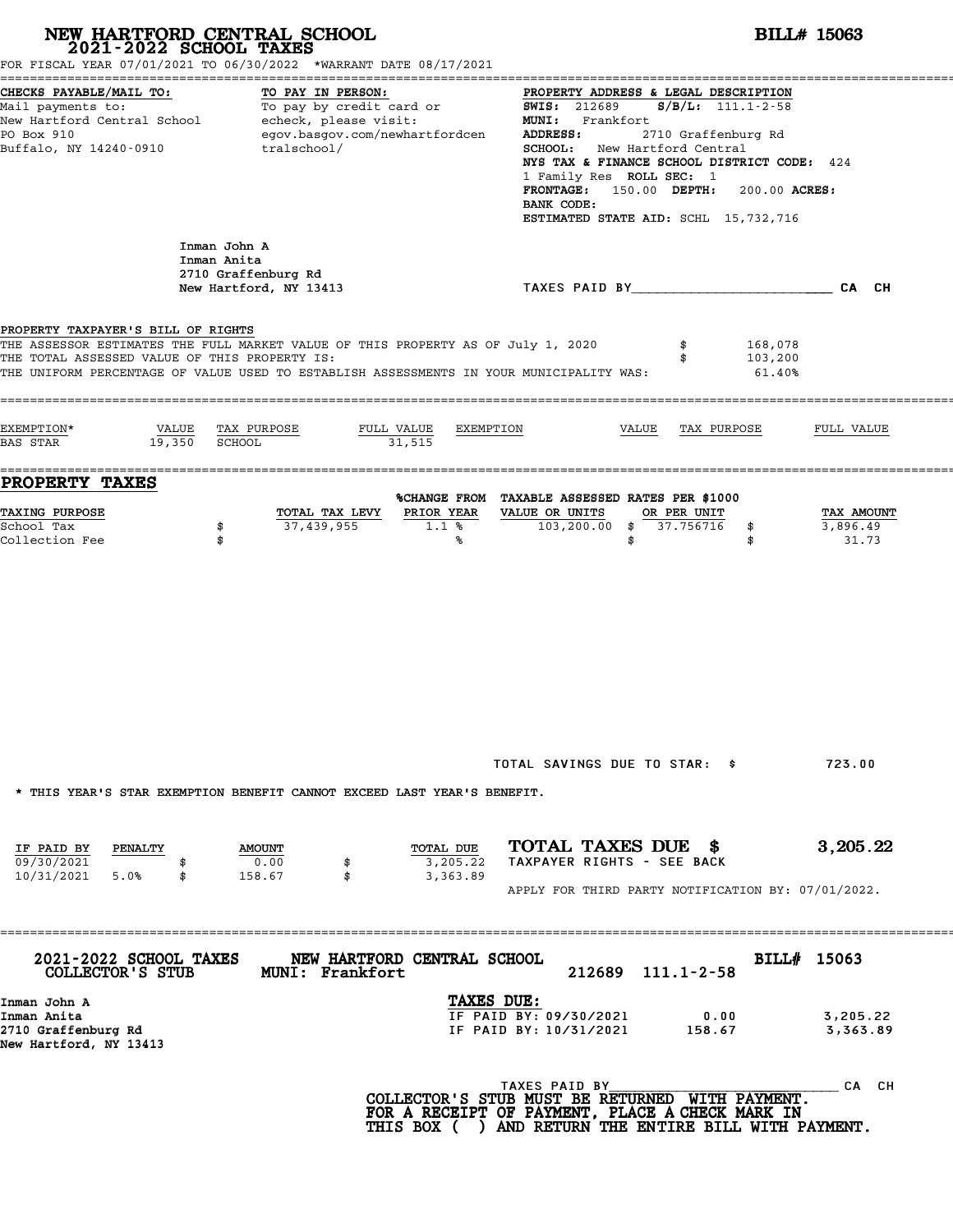| FOR FISCAL YEAR 07/01/2021 TO 06/30/2022 *WARRANT DATE 08/17/2021                                                                                                                                                                                                                                            | NEW HARTFORD CENTRAL SCHOOL<br>2021-2022 SCHOOL TAXES                        |                                   |                                                                                                                                                                                                                                                                                                                                      | <b>BILL# 15063</b>                            |
|--------------------------------------------------------------------------------------------------------------------------------------------------------------------------------------------------------------------------------------------------------------------------------------------------------------|------------------------------------------------------------------------------|-----------------------------------|--------------------------------------------------------------------------------------------------------------------------------------------------------------------------------------------------------------------------------------------------------------------------------------------------------------------------------------|-----------------------------------------------|
| CHECKS PAYABLE/MAIL TO:<br>Mail payments to: To pay by credit card or<br>New Hartford Central School echeck, please visit:<br>PO Box 910<br>Buffalo, NY 14240-0910                                                                                                                                           | TO PAY IN PERSON:<br>egov.basgov.com/newhartfordcen<br>tralschool/           |                                   | PROPERTY ADDRESS & LEGAL DESCRIPTION<br>$S/B/L: 111.1-2-58$<br><b>SWIS:</b> 212689<br>MUNI: Frankfort<br>2710 Graffenburg Rd<br>ADDRESS:<br>SCHOOL: New Hartford Central<br>NYS TAX & FINANCE SCHOOL DISTRICT CODE: 424<br>1 Family Res ROLL SEC: 1<br>FRONTAGE: 150.00 DEPTH:<br>BANK CODE:<br>ESTIMATED STATE AID: SCHL 15,732,716 | 200.00 ACRES:                                 |
|                                                                                                                                                                                                                                                                                                              | Inman John A<br>Inman Anita<br>2710 Graffenburg Rd<br>New Hartford, NY 13413 |                                   | TAXES PAID BY And All And All And All CA CH                                                                                                                                                                                                                                                                                          |                                               |
| PROPERTY TAXPAYER'S BILL OF RIGHTS<br>THE ASSESSOR ESTIMATES THE FULL MARKET VALUE OF THIS PROPERTY AS OF July 1, 2020<br>THE TOTAL ASSESSED VALUE OF THIS PROPERTY IS:<br>THE UNIFORM PERCENTAGE OF VALUE USED TO ESTABLISH ASSESSMENTS IN YOUR MUNICIPALITY WAS:<br>EXEMPTION*<br>VALUE<br><b>BAS STAR</b> | TAX PURPOSE<br>19,350 SCHOOL                                                 | FULL VALUE<br>EXEMPTION<br>31,515 | \$<br>VALUE<br>TAX PURPOSE                                                                                                                                                                                                                                                                                                           | 168,078<br>103,200<br>$61.40\%$<br>FULL VALUE |
| <b>PROPERTY TAXES</b>                                                                                                                                                                                                                                                                                        |                                                                              |                                   |                                                                                                                                                                                                                                                                                                                                      |                                               |
| TAXING PURPOSE<br>School Tax<br>Collection Fee                                                                                                                                                                                                                                                               | TOTAL TAX LEVY<br>37,439,955<br>\$<br>\$                                     | PRIOR YEAR<br>1.1%<br>℁           | %CHANGE FROM TAXABLE ASSESSED RATES PER \$1000<br>VALUE OR UNITS<br>OR PER UNIT<br>103,200.00 \$ 37.756716<br>\$<br>\$<br>\$                                                                                                                                                                                                         | TAX AMOUNT<br>3,896.49<br>31.73               |
| * THIS YEAR'S STAR EXEMPTION BENEFIT CANNOT EXCEED LAST YEAR'S BENEFIT.                                                                                                                                                                                                                                      |                                                                              |                                   | TOTAL SAVINGS DUE TO STAR: \$                                                                                                                                                                                                                                                                                                        | 723.00                                        |
| IF PAID BY<br><b>PENALTY</b><br>09/30/2021<br>10/31/2021 5.0%<br>\$                                                                                                                                                                                                                                          | <b>AMOUNT</b><br>0.00<br>\$<br>\$<br>158.67                                  | TOTAL DUE<br>3,205.22<br>3,363.89 | TOTAL TAXES DUE \$<br>TAXPAYER RIGHTS - SEE BACK<br>APPLY FOR THIRD PARTY NOTIFICATION BY: 07/01/2022.                                                                                                                                                                                                                               | 3,205.22                                      |
| 2021-2022 SCHOOL TAXES<br>COLLECTOR'S STUB                                                                                                                                                                                                                                                                   | <b>MUNI: Frankfort</b>                                                       | NEW HARTFORD CENTRAL SCHOOL       | 212689 111.1-2-58                                                                                                                                                                                                                                                                                                                    | BILL# 15063                                   |
| Inman John A<br>Inman Anita<br>2710 Graffenburg Rd<br>New Hartford, NY 13413                                                                                                                                                                                                                                 |                                                                              | TAXES DUE:                        | IF PAID BY: 09/30/2021<br>0.00<br>IF PAID BY: 10/31/2021<br>158.67                                                                                                                                                                                                                                                                   | 3,205.22<br>3,363.89                          |
|                                                                                                                                                                                                                                                                                                              |                                                                              |                                   | TAXES PAID BY<br>COLLECTOR'S STUB MUST BE RETURNED WITH PAYMENT.<br>FOR A RECEIPT OF PAYMENT, PLACE A CHECK MARK IN                                                                                                                                                                                                                  | CA CH                                         |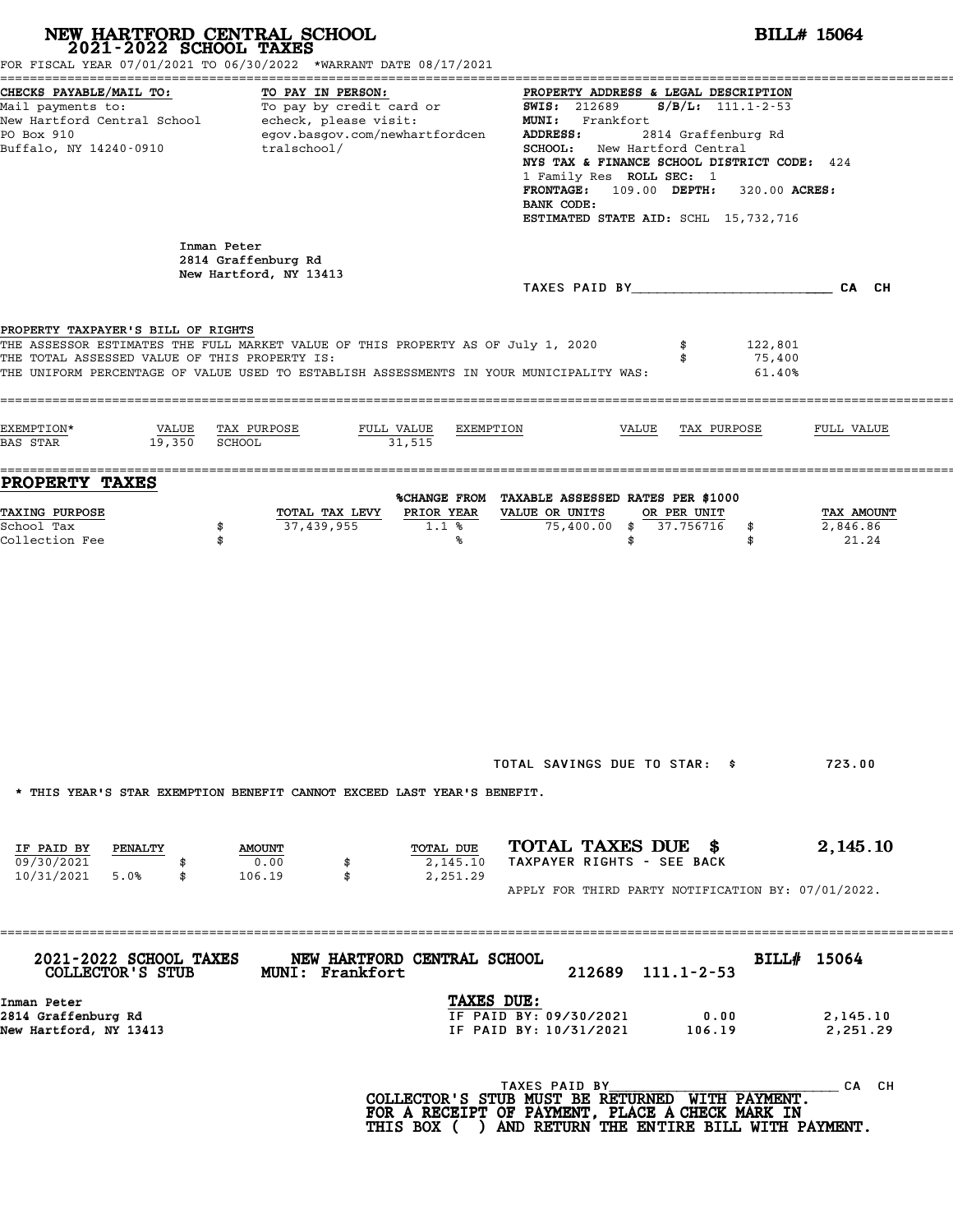|                                                                                                            | NEW HARTFORD CENTRAL SCHOOL 2021-2022 SCHOOL TAXES<br>FOR FISCAL YEAR 07/01/2021 TO 06/30/2022 *WARRANT DATE 08/17/2021                                                     |                                                                                                                                                                                                                                                                                                                                                    | <b>BILL# 15064</b>                  |
|------------------------------------------------------------------------------------------------------------|-----------------------------------------------------------------------------------------------------------------------------------------------------------------------------|----------------------------------------------------------------------------------------------------------------------------------------------------------------------------------------------------------------------------------------------------------------------------------------------------------------------------------------------------|-------------------------------------|
| CHECKS PAYABLE/MAIL TO:<br>PO Box 910<br>Buffalo, NY 14240-0910                                            | TO PAY IN PERSON:<br>Mail payments to: To pay by credit card or<br>New Hartford Central School echeck, please visit:<br>egov.basgov.com/newhartfordcen<br>tralschool/       | PROPERTY ADDRESS & LEGAL DESCRIPTION<br><b>SWIS: 212689</b><br>$S/B/L: 111.1-2-53$<br>MUNI: Frankfort<br>ADDRESS:<br>2814 Graffenburg Rd<br>SCHOOL: New Hartford Central<br>NYS TAX & FINANCE SCHOOL DISTRICT CODE: 424<br>1 Family Res ROLL SEC: 1<br>FRONTAGE: 109.00 DEPTH: 320.00 ACRES:<br>BANK CODE:<br>ESTIMATED STATE AID: SCHL 15,732,716 |                                     |
|                                                                                                            | Inman Peter<br>2814 Graffenburg Rd<br>New Hartford, NY 13413                                                                                                                | TAXES PAID BY CA CH                                                                                                                                                                                                                                                                                                                                |                                     |
| PROPERTY TAXPAYER'S BILL OF RIGHTS<br>THE TOTAL ASSESSED VALUE OF THIS PROPERTY IS:                        | THE ASSESSOR ESTIMATES THE FULL MARKET VALUE OF THIS PROPERTY AS OF July 1, 2020<br>THE UNIFORM PERCENTAGE OF VALUE USED TO ESTABLISH ASSESSMENTS IN YOUR MUNICIPALITY WAS: | \$<br>\$                                                                                                                                                                                                                                                                                                                                           | 122,801<br>75,400<br>61.40%         |
| EXEMPTION*<br>19,350 SCHOOL<br>BAS STAR                                                                    | VALUE TAX PURPOSE<br>FULL VALUE<br>31,515                                                                                                                                   | EXEMPTION<br>VALUE<br>TAX PURPOSE                                                                                                                                                                                                                                                                                                                  | FULL VALUE                          |
| PROPERTY TAXES<br><b>TAXING PURPOSE</b><br>School Tax<br>Collection Fee                                    | TOTAL TAX LEVY<br>37,439,955<br>\$<br>\$                                                                                                                                    | %CHANGE FROM TAXABLE ASSESSED RATES PER \$1000<br>PRIOR YEAR<br>VALUE OR UNITS<br>OR PER UNIT<br>$75,400.00$ \$ 37.756716<br>1.1%<br>\$<br>\$<br>℁<br>\$                                                                                                                                                                                           | TAX AMOUNT<br>2,846.86<br>21.24     |
| IF PAID BY<br>PENALTY                                                                                      | * THIS YEAR'S STAR EXEMPTION BENEFIT CANNOT EXCEED LAST YEAR'S BENEFIT.<br><b>AMOUNT</b>                                                                                    | TOTAL SAVINGS DUE TO STAR: \$<br>TOTAL TAXES DUE \$<br>TOTAL DUE                                                                                                                                                                                                                                                                                   | 723.00<br>2,145.10                  |
| 09/30/2021<br>10/31/2021<br>5.0%<br>\$                                                                     | 0.00<br>\$<br>106.19<br>\$                                                                                                                                                  | TAXPAYER RIGHTS - SEE BACK<br>2,145.10<br>2,251.29<br>APPLY FOR THIRD PARTY NOTIFICATION BY: 07/01/2022.                                                                                                                                                                                                                                           |                                     |
| 2021-2022 SCHOOL TAXES<br>COLLECTOR'S STUB<br>Inman Peter<br>2814 Graffenburg Rd<br>New Hartford, NY 13413 | NEW HARTFORD CENTRAL SCHOOL<br><b>MUNI: Frankfort</b>                                                                                                                       | 212689 111.1-2-53<br>TAXES DUE:<br>IF PAID BY: 09/30/2021<br>0.00<br>IF PAID BY: 10/31/2021<br>106.19                                                                                                                                                                                                                                              | BILL# 15064<br>2,145.10<br>2,251.29 |
|                                                                                                            |                                                                                                                                                                             | TAXES PAID BY<br>COLLECTOR'S STUB MUST BE RETURNED WITH PAYMENT.<br>FOR A RECEIPT OF PAYMENT, PLACE A CHECK MARK IN<br>THIS BOX ( ) AND RETURN THE ENTIRE BILL WITH PAYMENT.                                                                                                                                                                       | CA CH                               |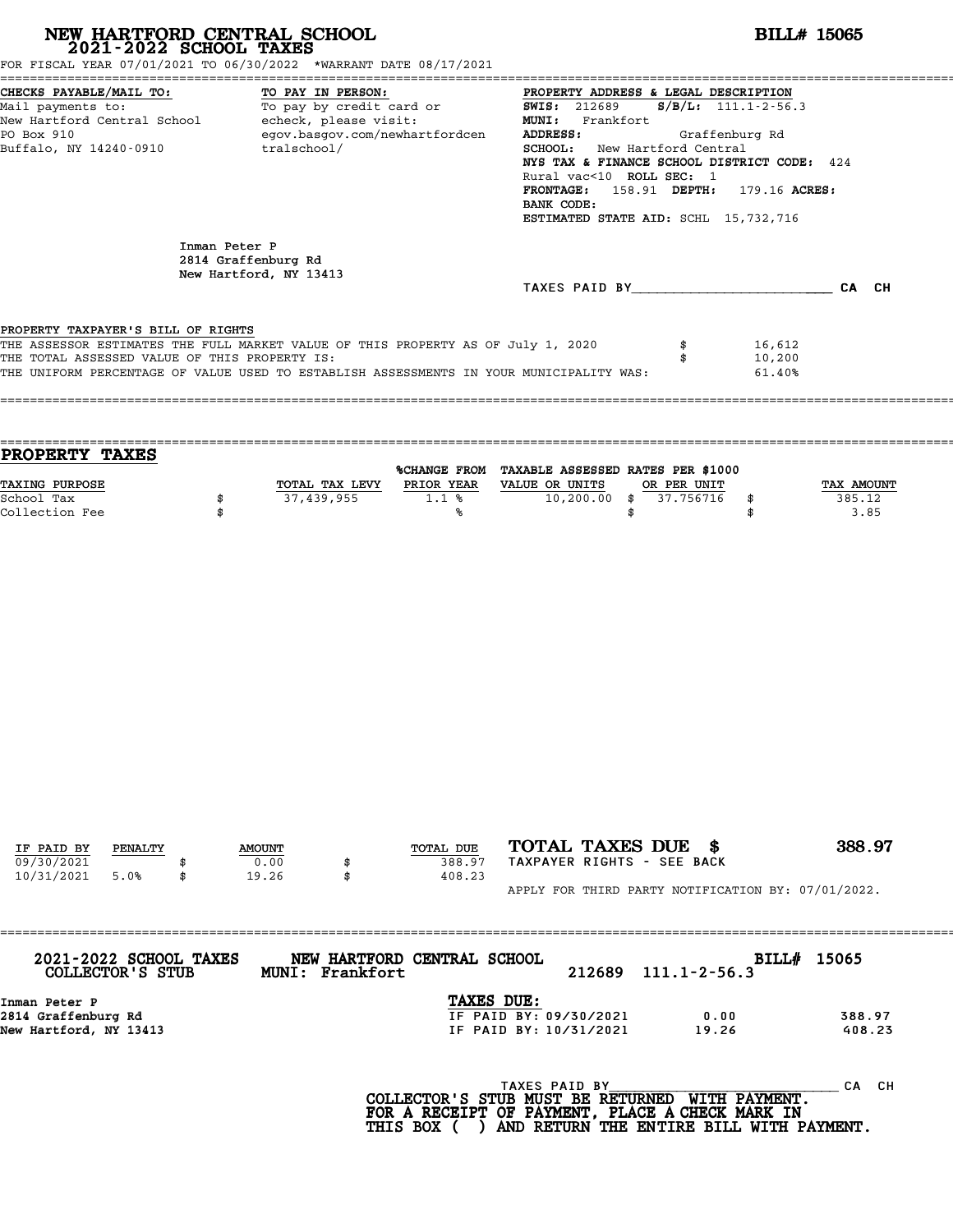| NEW HARTFORD CENTRAL SCHOOL 2021-2022 SCHOOL TAXES                                                                                          | FOR FISCAL YEAR 07/01/2021 TO 06/30/2022 *WARRANT DATE 08/17/2021                                                                                                           | <b>BILL# 15065</b>                                                                                                                                                                                                                                                                                                                                  |
|---------------------------------------------------------------------------------------------------------------------------------------------|-----------------------------------------------------------------------------------------------------------------------------------------------------------------------------|-----------------------------------------------------------------------------------------------------------------------------------------------------------------------------------------------------------------------------------------------------------------------------------------------------------------------------------------------------|
| CHECKS PAYABLE/MAIL TO:<br>Mail payments to:<br>New Hartford Central School - echeck, please visit:<br>PO Box 910<br>Buffalo, NY 14240-0910 | TO PAY IN PERSON:<br>To pay by credit card or<br>egov.basgov.com/newhartfordcen<br>tralschool/                                                                              | PROPERTY ADDRESS & LEGAL DESCRIPTION<br>$S/B/L: 111.1 - 2 - 56.3$<br><b>SWIS:</b> 212689<br>MUNI: Frankfort<br>ADDRESS:<br>Graffenburg Rd<br>SCHOOL: New Hartford Central<br>NYS TAX & FINANCE SCHOOL DISTRICT CODE: 424<br>Rural vac<10 ROLL SEC: 1<br>FRONTAGE: 158.91 DEPTH: 179.16 ACRES:<br>BANK CODE:<br>ESTIMATED STATE AID: SCHL 15,732,716 |
| Inman Peter P                                                                                                                               | 2814 Graffenburg Rd<br>New Hartford, NY 13413                                                                                                                               | TAXES PAID BY CA CH                                                                                                                                                                                                                                                                                                                                 |
| PROPERTY TAXPAYER'S BILL OF RIGHTS<br>THE TOTAL ASSESSED VALUE OF THIS PROPERTY IS:                                                         | THE ASSESSOR ESTIMATES THE FULL MARKET VALUE OF THIS PROPERTY AS OF July 1, 2020<br>THE UNIFORM PERCENTAGE OF VALUE USED TO ESTABLISH ASSESSMENTS IN YOUR MUNICIPALITY WAS: | 16,612<br>\$<br>10,200<br>\$<br>61.40%                                                                                                                                                                                                                                                                                                              |
| PROPERTY TAXES                                                                                                                              |                                                                                                                                                                             | %CHANGE FROM TAXABLE ASSESSED RATES PER \$1000                                                                                                                                                                                                                                                                                                      |
| TAXING PURPOSE<br>School Tax<br>\$<br>Collection Fee<br>\$                                                                                  | TOTAL TAX LEVY PRIOR YEAR VALUE OR UNITS<br>37,439,955<br>1.1%<br>%ร                                                                                                        | OR PER UNIT<br>TAX AMOUNT<br>$10,200.00$ \$<br>37.756716<br>385.12<br>\$<br>3.85<br>\$<br>\$                                                                                                                                                                                                                                                        |
|                                                                                                                                             |                                                                                                                                                                             |                                                                                                                                                                                                                                                                                                                                                     |
| IF PAID BY<br>PENALTY<br>09/30/2021                                                                                                         | TOTAL DUE<br><b>AMOUNT</b><br>0.00<br>388.97<br>\$                                                                                                                          | TOTAL TAXES DUE \$<br>388.97<br>TAXPAYER RIGHTS - SEE BACK                                                                                                                                                                                                                                                                                          |
| 10/31/2021<br>5.0%<br>\$                                                                                                                    | 19.26<br>408.23<br>\$                                                                                                                                                       | APPLY FOR THIRD PARTY NOTIFICATION BY: 07/01/2022.                                                                                                                                                                                                                                                                                                  |
| 2021-2022 SCHOOL TAXES<br>COLLECTOR'S STUB                                                                                                  | NEW HARTFORD CENTRAL SCHOOL<br>MUNI: Frankfort                                                                                                                              | BILL# 15065<br>212689<br>$111.1 - 2 - 56.3$                                                                                                                                                                                                                                                                                                         |
| Inman Peter P<br>2814 Graffenburg Rd<br>New Hartford, NY 13413                                                                              | TAXES DUE:                                                                                                                                                                  | IF PAID BY: 09/30/2021<br>0.00<br>388.97<br>IF PAID BY: 10/31/2021<br>19.26<br>408.23                                                                                                                                                                                                                                                               |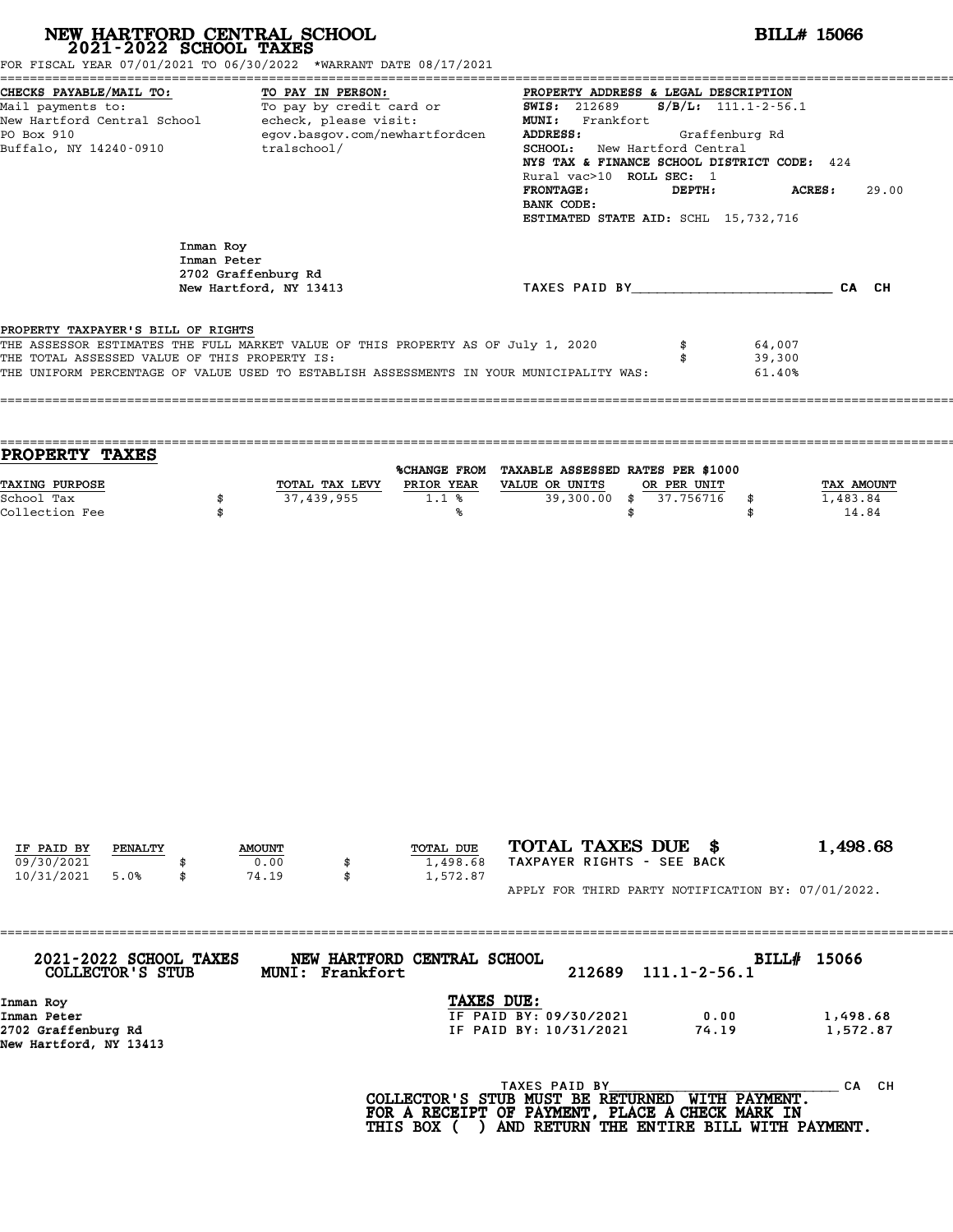| NEW HARTFORD CENTRAL SCHOOL 2021-2022 SCHOOL TAXES<br>FOR FISCAL YEAR 07/01/2021 TO 06/30/2022 *WARRANT DATE 08/17/2021                                                                                                                                                   |                                                                    |           |                                                                                                                                                                                                                                       |                                                   |                            |                                 |  |  |
|---------------------------------------------------------------------------------------------------------------------------------------------------------------------------------------------------------------------------------------------------------------------------|--------------------------------------------------------------------|-----------|---------------------------------------------------------------------------------------------------------------------------------------------------------------------------------------------------------------------------------------|---------------------------------------------------|----------------------------|---------------------------------|--|--|
| CHECKS PAYABLE/MAIL TO:<br>CHECKS PAYABLE/MAIL TO: TO PAY IN PERSON: TO PAY IN PROPERTY ADDRESS &<br>Mail payments to: To pay by credit card or SWIS: 212689<br>New Hartford Central School echeck, please visit: MUNI: Frankfort<br>PO Box 910<br>Buffalo, NY 14240-0910 | TO PAY IN PERSON:<br>egov.basgov.com/newhartfordcen<br>tralschool/ |           | PROPERTY ADDRESS & LEGAL DESCRIPTION<br>ADDRESS:<br>SCHOOL: New Hartford Central<br>NYS TAX & FINANCE SCHOOL DISTRICT CODE: 424<br>Rural vac>10 ROLL SEC: 1<br><b>FRONTAGE:</b><br>BANK CODE:<br>ESTIMATED STATE AID: SCHL 15,732,716 | $S/B/L: 111.1-2-56.1$<br>Graffenburg Rd<br>DEPTH: |                            | <b>ACRES :</b><br>29.00         |  |  |
| Inman Roy<br>Inman Peter                                                                                                                                                                                                                                                  | 2702 Graffenburg Rd<br>New Hartford, NY 13413                      |           | TAXES PAID BY _________________________________CA CH                                                                                                                                                                                  |                                                   |                            |                                 |  |  |
| PROPERTY TAXPAYER'S BILL OF RIGHTS<br>THE ASSESSOR ESTIMATES THE FULL MARKET VALUE OF THIS PROPERTY AS OF July 1, 2020<br>THE TOTAL ASSESSED VALUE OF THIS PROPERTY IS:<br>THE UNIFORM PERCENTAGE OF VALUE USED TO ESTABLISH ASSESSMENTS IN YOUR MUNICIPALITY WAS:        |                                                                    |           |                                                                                                                                                                                                                                       | \$                                                | 64,007<br>39,300<br>61.40% |                                 |  |  |
|                                                                                                                                                                                                                                                                           |                                                                    |           |                                                                                                                                                                                                                                       |                                                   |                            |                                 |  |  |
| PROPERTY TAXES<br>TAXING PURPOSE<br>School Tax<br>\$<br>Collection Fee<br>\$                                                                                                                                                                                              | TOTAL TAX LEVY<br>37,439,955                                       | 1.1%<br>℁ | %CHANGE FROM TAXABLE ASSESSED RATES PER \$1000<br>PRIOR YEAR VALUE OR UNITS<br>\$                                                                                                                                                     | OR PER UNIT<br>39,300.00 \$ 37.756716             | \$<br>\$                   | TAX AMOUNT<br>1,483.84<br>14.84 |  |  |
|                                                                                                                                                                                                                                                                           |                                                                    |           |                                                                                                                                                                                                                                       |                                                   |                            |                                 |  |  |

| 2021-2022 SCHOOL TAXES<br>COLLECTOR'S STUB    | NEW HARTFORD CENTRAL SCHOOL<br><b>MUNI: Frankfort</b> | 212689 | BllLl#<br>$111.1 - 2 - 56.1$ | 15000    |
|-----------------------------------------------|-------------------------------------------------------|--------|------------------------------|----------|
| Inman Roy                                     | TAXES DUE:                                            |        |                              |          |
| Inman Peter                                   | IF PAID BY: 09/30/2021                                |        | 0.00                         | 1,498.68 |
| 2702 Graffenburg Rd<br>New Hartford, NY 13413 | IF PAID BY: 10/31/2021                                |        | 74.19                        | 1,572.87 |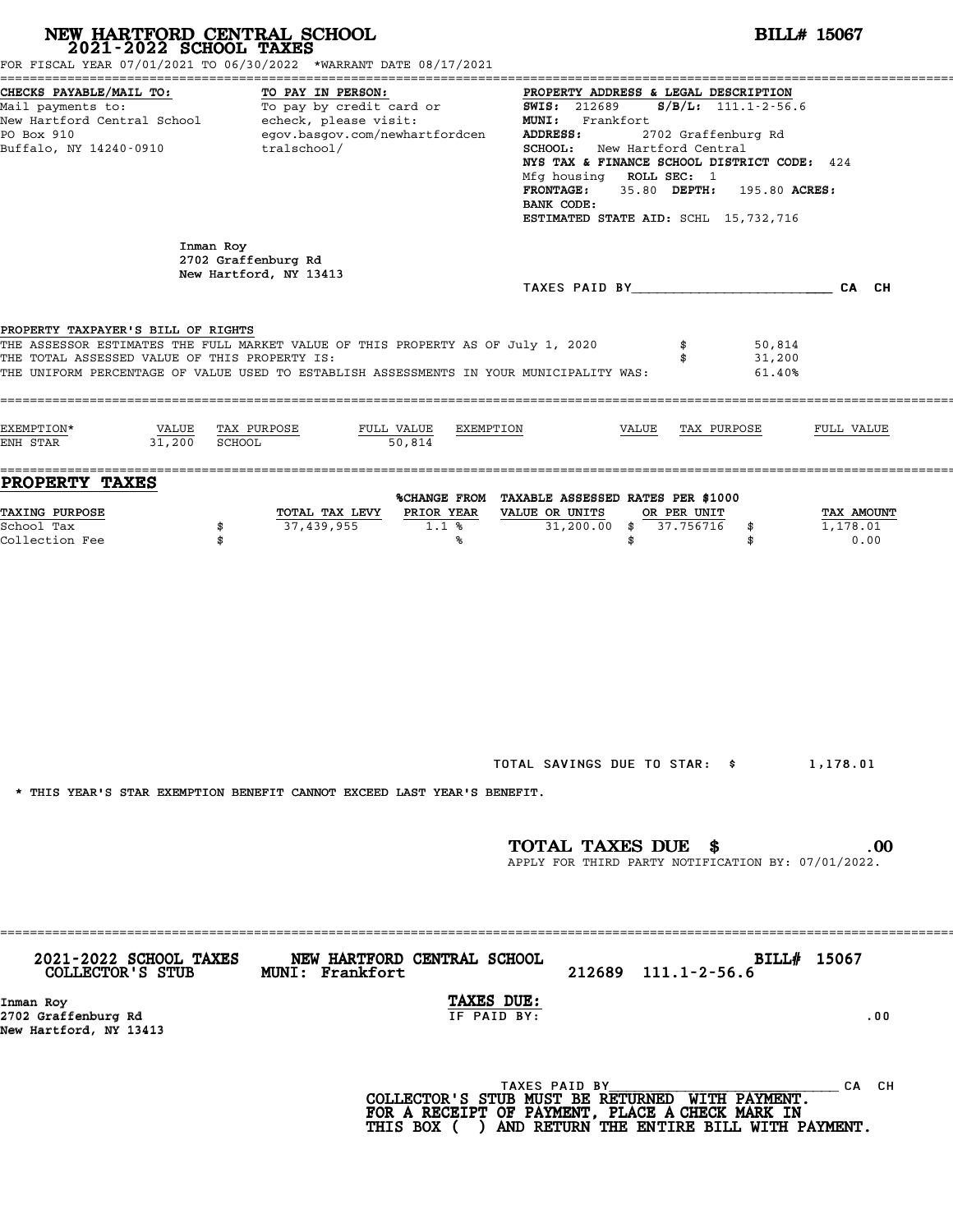| NEW HARTFORD CENTRAL SCHOOL 2021-2022 SCHOOL TAXES                                                                                                             | FOR FISCAL YEAR 07/01/2021 TO 06/30/2022 *WARRANT DATE 08/17/2021                                                                                                           |                                                                                                                                                                                                                                                                                                                                                                  | <b>BILL# 15067</b>             |  |  |  |
|----------------------------------------------------------------------------------------------------------------------------------------------------------------|-----------------------------------------------------------------------------------------------------------------------------------------------------------------------------|------------------------------------------------------------------------------------------------------------------------------------------------------------------------------------------------------------------------------------------------------------------------------------------------------------------------------------------------------------------|--------------------------------|--|--|--|
| CHECKS PAYABLE/MAIL TO:<br>Mail payments to:<br>Mail payments to:<br>New Hartford Central School echeck, please visit:<br>PO Box 910<br>Buffalo, NY 14240-0910 | TO PAY IN PERSON:<br>egov.basgov.com/newhartfordcen<br>tralschool/                                                                                                          | PROPERTY ADDRESS & LEGAL DESCRIPTION<br><b>SWIS: 212689</b><br>$S/B/L$ : 111.1-2-56.6<br>MUNI: Frankfort<br>2702 Graffenburg Rd<br>ADDRESS:<br>SCHOOL: New Hartford Central<br>NYS TAX & FINANCE SCHOOL DISTRICT CODE: 424<br>Mfg housing ROLL SEC: 1<br>35.80 DEPTH:<br><b>FRONTAGE:</b><br>195.80 ACRES:<br>BANK CODE:<br>ESTIMATED STATE AID: SCHL 15,732,716 |                                |  |  |  |
| Inman Roy                                                                                                                                                      | 2702 Graffenburg Rd<br>New Hartford, NY 13413                                                                                                                               |                                                                                                                                                                                                                                                                                                                                                                  |                                |  |  |  |
| PROPERTY TAXPAYER'S BILL OF RIGHTS<br>THE TOTAL ASSESSED VALUE OF THIS PROPERTY IS:                                                                            | THE ASSESSOR ESTIMATES THE FULL MARKET VALUE OF THIS PROPERTY AS OF July 1, 2020<br>THE UNIFORM PERCENTAGE OF VALUE USED TO ESTABLISH ASSESSMENTS IN YOUR MUNICIPALITY WAS: | 50,814<br>\$<br>31,200<br>\$<br>61.40%                                                                                                                                                                                                                                                                                                                           |                                |  |  |  |
| EXEMPTION*<br>VALUE<br>31,200<br>ENH STAR                                                                                                                      | TAX PURPOSE<br>FULL VALUE<br>EXEMPTION<br>SCHOOL<br>50,814                                                                                                                  | VALUE<br>TAX PURPOSE                                                                                                                                                                                                                                                                                                                                             | FULL VALUE                     |  |  |  |
| <b>PROPERTY TAXES</b><br>TAXING PURPOSE<br>School Tax<br>\$<br>Collection Fee<br>\$                                                                            | PRIOR YEAR<br>TOTAL TAX LEVY<br>37,439,955<br>1.1%<br>℁                                                                                                                     | %CHANGE FROM TAXABLE ASSESSED RATES PER \$1000<br>VALUE OR UNITS<br>OR PER UNIT<br>$31,200.00$ \$<br>37.756716<br>\$<br>\$<br>\$                                                                                                                                                                                                                                 | TAX AMOUNT<br>1,178.01<br>0.00 |  |  |  |
|                                                                                                                                                                | * THIS YEAR'S STAR EXEMPTION BENEFIT CANNOT EXCEED LAST YEAR'S BENEFIT.                                                                                                     | TOTAL SAVINGS DUE TO STAR: \$1,178.01<br>TOTAL TAXES DUE \$<br>APPLY FOR THIRD PARTY NOTIFICATION BY: 07/01/2022.                                                                                                                                                                                                                                                | $.00 \,$                       |  |  |  |
|                                                                                                                                                                |                                                                                                                                                                             |                                                                                                                                                                                                                                                                                                                                                                  |                                |  |  |  |
| COLLECTOR'S STUB MUNI: Frankfort<br>Inman Roy<br>2702 Graffenburg Rd<br>New Hartford, NY 13413                                                                 | 2021-2022 SCHOOL TAXES NEW HARTFORD CENTRAL SCHOOL<br>TAXES DUE:<br>IF PAID BY:                                                                                             | 212689 111.1-2-56.6                                                                                                                                                                                                                                                                                                                                              | BILL# 15067<br>.00             |  |  |  |
|                                                                                                                                                                |                                                                                                                                                                             | TAXES PAID BY<br>COLLECTOR'S STUB MUST BE RETURNED WITH PAYMENT.<br>FOR A RECEIPT OF PAYMENT, PLACE A CHECK MARK IN<br>THIS BOX ( ) AND RETURN THE ENTIRE BILL WITH PAYMENT.                                                                                                                                                                                     | CA CH                          |  |  |  |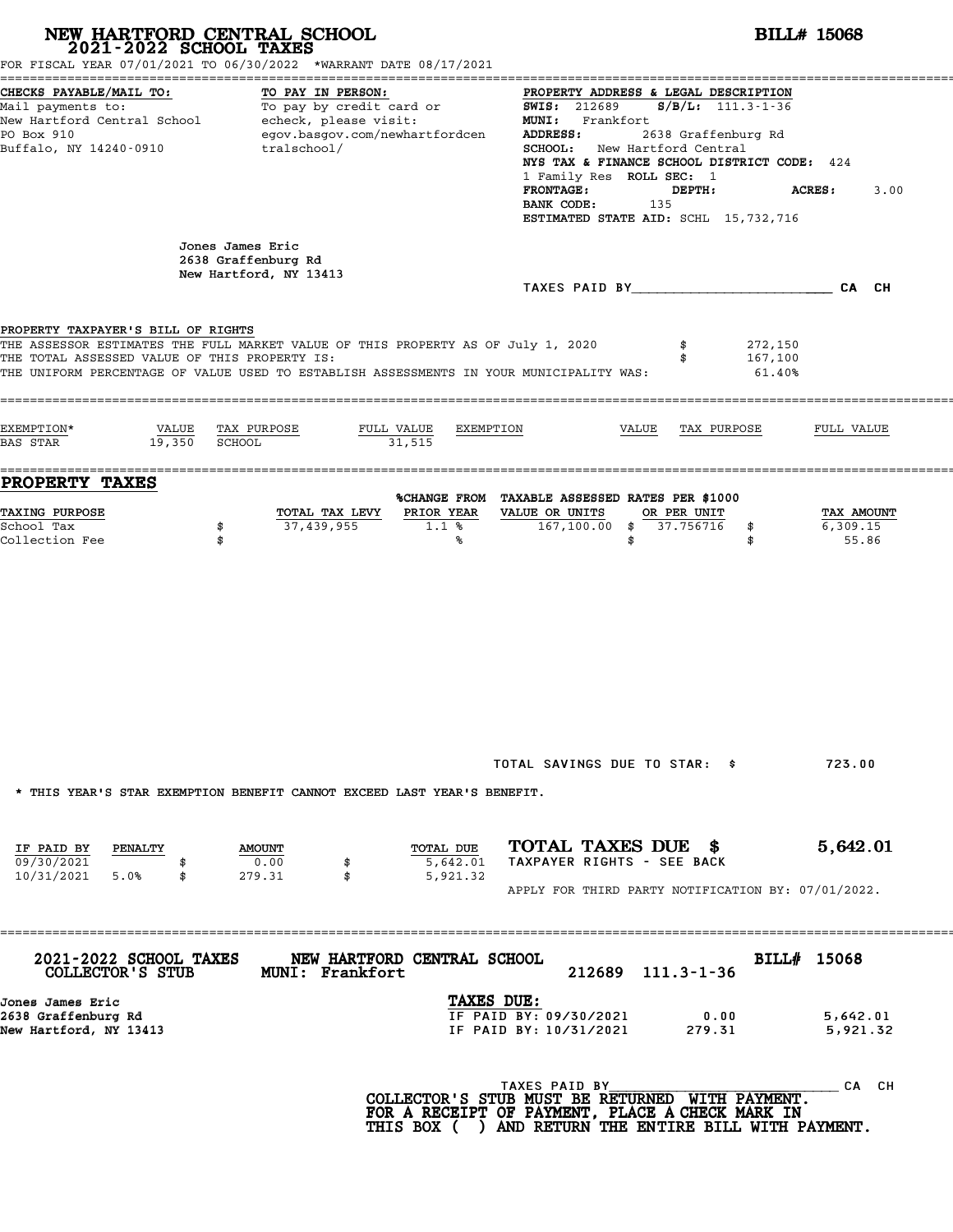# **NEW HARTFORD CENTRAL SCHOOL**<br>
2021-2022 SCHOOL TAXES<br>
FOR FISCAL YEAR 07/01/2021 TO 06/30/2022 \*WARRANT DATE 08/17/2021<br> **POR FISCAL YEAR 07/01/2021 TO 06/30/2022** \*WARRANT DATE 08/17/2021

|                                                                                                                     | FOR FISCAL YEAR 07/01/2021 TO 06/30/2022 *WARRANT DATE 08/17/2021                                                                                                           |                                                                                |                                                                                                                                                                                                                                                                                                                               |                      |  |  |  |
|---------------------------------------------------------------------------------------------------------------------|-----------------------------------------------------------------------------------------------------------------------------------------------------------------------------|--------------------------------------------------------------------------------|-------------------------------------------------------------------------------------------------------------------------------------------------------------------------------------------------------------------------------------------------------------------------------------------------------------------------------|----------------------|--|--|--|
| CHECKS PAYABLE/MAIL TO:<br>Mail payments to:<br>New Hartford Central School<br>PO Box 910<br>Buffalo, NY 14240-0910 | TO PAY IN PERSON:<br>To pay by credit card or<br>echeck, please visit:<br>egov.basgov.com/newhartfordcen<br>tralschool/                                                     | ADDRESS:<br><b>FRONTAGE:</b><br>BANK CODE:                                     | PROPERTY ADDRESS & LEGAL DESCRIPTION<br><b>SWIS: 212689</b><br>$S/B/L: 111.3 - 1 - 36$<br>MUNI: Frankfort<br>2638 Graffenburg Rd<br><b>SCHOOL:</b> New Hartford Central<br>NYS TAX & FINANCE SCHOOL DISTRICT CODE: 424<br>1 Family Res ROLL SEC: 1<br>ACRES:<br>3.00<br>DEPTH:<br>135<br>ESTIMATED STATE AID: SCHL 15,732,716 |                      |  |  |  |
|                                                                                                                     | Jones James Eric<br>2638 Graffenburg Rd<br>New Hartford, NY 13413                                                                                                           |                                                                                | TAXES PAID BY CA CH                                                                                                                                                                                                                                                                                                           |                      |  |  |  |
| PROPERTY TAXPAYER'S BILL OF RIGHTS                                                                                  |                                                                                                                                                                             |                                                                                |                                                                                                                                                                                                                                                                                                                               |                      |  |  |  |
| THE TOTAL ASSESSED VALUE OF THIS PROPERTY IS:                                                                       | THE ASSESSOR ESTIMATES THE FULL MARKET VALUE OF THIS PROPERTY AS OF July 1, 2020<br>THE UNIFORM PERCENTAGE OF VALUE USED TO ESTABLISH ASSESSMENTS IN YOUR MUNICIPALITY WAS: |                                                                                | 272,150<br>167,100<br>61.40%                                                                                                                                                                                                                                                                                                  |                      |  |  |  |
| EXEMPTION*<br>VALUE<br>19,350<br>BAS STAR                                                                           | TAX PURPOSE<br>FULL VALUE<br>SCHOOL<br>31,515                                                                                                                               | EXEMPTION                                                                      | VALUE<br>TAX PURPOSE                                                                                                                                                                                                                                                                                                          | FULL VALUE           |  |  |  |
| =====<br><b>PROPERTY TAXES</b>                                                                                      |                                                                                                                                                                             |                                                                                | =============================                                                                                                                                                                                                                                                                                                 |                      |  |  |  |
| <b>TAXING PURPOSE</b>                                                                                               | TOTAL TAX LEVY                                                                                                                                                              | %CHANGE FROM TAXABLE ASSESSED RATES PER \$1000<br>PRIOR YEAR<br>VALUE OR UNITS | OR PER UNIT                                                                                                                                                                                                                                                                                                                   | TAX AMOUNT           |  |  |  |
| School Tax<br>Collection Fee                                                                                        | 37,439,955<br>\$<br>\$                                                                                                                                                      | 167,100.00 \$<br>$1.1$ %<br>℁                                                  | 37.756716<br>\$<br>\$<br>\$                                                                                                                                                                                                                                                                                                   | 6,309.15<br>55.86    |  |  |  |
|                                                                                                                     |                                                                                                                                                                             |                                                                                | TOTAL SAVINGS DUE TO STAR: \$                                                                                                                                                                                                                                                                                                 | 723.00               |  |  |  |
|                                                                                                                     | * THIS YEAR'S STAR EXEMPTION BENEFIT CANNOT EXCEED LAST YEAR'S BENEFIT.                                                                                                     |                                                                                |                                                                                                                                                                                                                                                                                                                               |                      |  |  |  |
| IF PAID BY<br>PENALTY<br>09/30/2021<br>10/31/2021 5.0%<br>\$                                                        | <b>AMOUNT</b><br>0.00<br>279.31<br>\$                                                                                                                                       | TOTAL DUE<br>5,642.01<br>5,921.32                                              | TOTAL TAXES DUE \$<br>TAXPAYER RIGHTS - SEE BACK<br>APPLY FOR THIRD PARTY NOTIFICATION BY: 07/01/2022.                                                                                                                                                                                                                        | 5,642.01             |  |  |  |
| <b>2021-2022 SCHOOL TAXES</b><br>COLLECTOR'S STUB                                                                   | NEW HARTFORD CENTRAL SCHOOL<br><b>MUNI: Frankfort</b>                                                                                                                       |                                                                                | 212689 111.3-1-36                                                                                                                                                                                                                                                                                                             | BILL# 15068          |  |  |  |
| Jones James Eric<br>2638 Graffenburg Rd<br>New Hartford, NY 13413                                                   |                                                                                                                                                                             | TAXES DUE:<br>IF PAID BY: 09/30/2021<br>IF PAID BY: 10/31/2021                 | 0.00<br>279.31                                                                                                                                                                                                                                                                                                                | 5,642.01<br>5,921.32 |  |  |  |
|                                                                                                                     |                                                                                                                                                                             | TAXES PAID BY                                                                  | COLLECTOR'S STUB MUST BE RETURNED WITH PAYMENT.<br>FOR A RECEIPT OF PAYMENT, PLACE A CHECK MARK IN<br>THIS BOX ( ) AND RETURN THE ENTIRE BILL WITH PAYMENT.                                                                                                                                                                   | _CA CH               |  |  |  |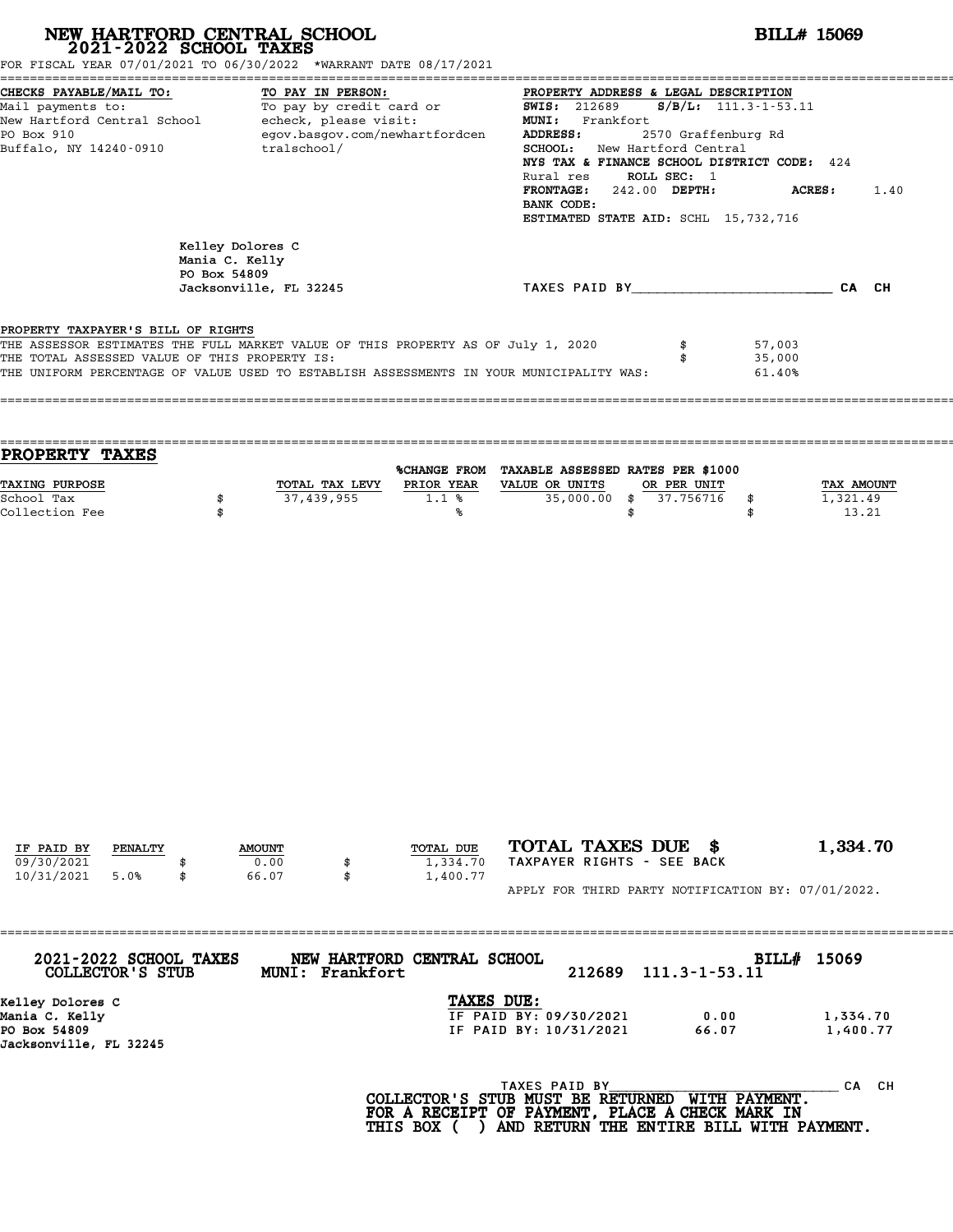| FOR FISCAL YEAR 07/01/2021 TO 06/30/2022 *WARRANT DATE 08/17/2021                                                                                                                                                                                                  | NEW HARTFORD CENTRAL SCHOOL 2021-2022 SCHOOL TAXES                                                                  |                      |                                                                                                                                                                                                                                                                                                                                                                    | <b>BILL# 15069</b>                     |                                        |
|--------------------------------------------------------------------------------------------------------------------------------------------------------------------------------------------------------------------------------------------------------------------|---------------------------------------------------------------------------------------------------------------------|----------------------|--------------------------------------------------------------------------------------------------------------------------------------------------------------------------------------------------------------------------------------------------------------------------------------------------------------------------------------------------------------------|----------------------------------------|----------------------------------------|
| CHECKS PAYABLE/MAIL TO:<br>Mail payments to:<br>New Hartford Central School echeck, please visit:<br>PO Box 910<br>Buffalo, NY 14240-0910                                                                                                                          | TO PAY IN PERSON:<br>TO PAY IN PERSON:<br>To pay by credit card or<br>egov.basgov.com/newhartfordcen<br>tralschool/ |                      | PROPERTY ADDRESS & LEGAL DESCRIPTION<br><b>SWIS: 212689</b><br>$S/B/L: 111.3 - 1 - 53.11$<br>MUNI: Frankfort<br>ADDRESS:<br>2570 Graffenburg Rd<br>SCHOOL: New Hartford Central<br>NYS TAX & FINANCE SCHOOL DISTRICT CODE: 424<br>Rural res ROLL SEC: 1<br>FRONTAGE: 242.00 DEPTH:<br><b>ACRES :</b><br>1.40<br>BANK CODE:<br>ESTIMATED STATE AID: SCHL 15,732,716 |                                        |                                        |
|                                                                                                                                                                                                                                                                    | Kelley Dolores C<br>Mania C. Kelly<br>PO Box 54809<br>Jacksonville, FL 32245                                        |                      | TAXES PAID BY CAN CH                                                                                                                                                                                                                                                                                                                                               |                                        |                                        |
| PROPERTY TAXPAYER'S BILL OF RIGHTS<br>THE ASSESSOR ESTIMATES THE FULL MARKET VALUE OF THIS PROPERTY AS OF July 1, 2020<br>THE TOTAL ASSESSED VALUE OF THIS PROPERTY IS:<br>THE UNIFORM PERCENTAGE OF VALUE USED TO ESTABLISH ASSESSMENTS IN YOUR MUNICIPALITY WAS: |                                                                                                                     |                      |                                                                                                                                                                                                                                                                                                                                                                    | \$<br>57,003<br>35,000<br>\$<br>61.40% |                                        |
| PROPERTY TAXES                                                                                                                                                                                                                                                     |                                                                                                                     |                      |                                                                                                                                                                                                                                                                                                                                                                    |                                        |                                        |
| TAXING PURPOSE<br>School Tax<br>Collection Fee                                                                                                                                                                                                                     | TOTAL TAX LEVY PRIOR YEAR VALUE OR UNITS<br>37,439,955<br>\$<br>\$                                                  | 1.1%<br>℁            | %CHANGE FROM TAXABLE ASSESSED RATES PER \$1000<br>$35,000.00$ \$<br>\$                                                                                                                                                                                                                                                                                             | OR PER UNIT<br>37.756716<br>\$<br>\$   | <b>TAX AMOUNT</b><br>1,321.49<br>13.21 |
|                                                                                                                                                                                                                                                                    |                                                                                                                     | TOTAL DUE            | TOTAL TAXES DUE \$                                                                                                                                                                                                                                                                                                                                                 |                                        | 1,334.70                               |
| IF PAID BY<br>PENALTY<br>09/30/2021<br>10/31/2021<br>5.0%                                                                                                                                                                                                          | <b>AMOUNT</b><br>0.00<br>66.07<br>\$                                                                                | 1,334.70<br>1,400.77 | TAXPAYER RIGHTS - SEE BACK<br>APPLY FOR THIRD PARTY NOTIFICATION BY: 07/01/2022.                                                                                                                                                                                                                                                                                   |                                        |                                        |
| 2021-2022 SCHOOL TAXES<br>COLLECTOR'S STUB                                                                                                                                                                                                                         | NEW HARTFORD CENTRAL SCHOOL<br>MUNI: Frankfort                                                                      |                      | 212689                                                                                                                                                                                                                                                                                                                                                             | BILL# 15069<br>$111.3 - 1 - 53.11$     |                                        |
| Kelley Dolores C<br>Mania C. Kelly<br>PO Box 54809<br>Jacksonville, FL 32245                                                                                                                                                                                       |                                                                                                                     | TAXES DUE:           | IF PAID BY: 09/30/2021<br>IF PAID BY: 10/31/2021                                                                                                                                                                                                                                                                                                                   | 0.00<br>66.07                          | 1,334.70<br>1,400.77                   |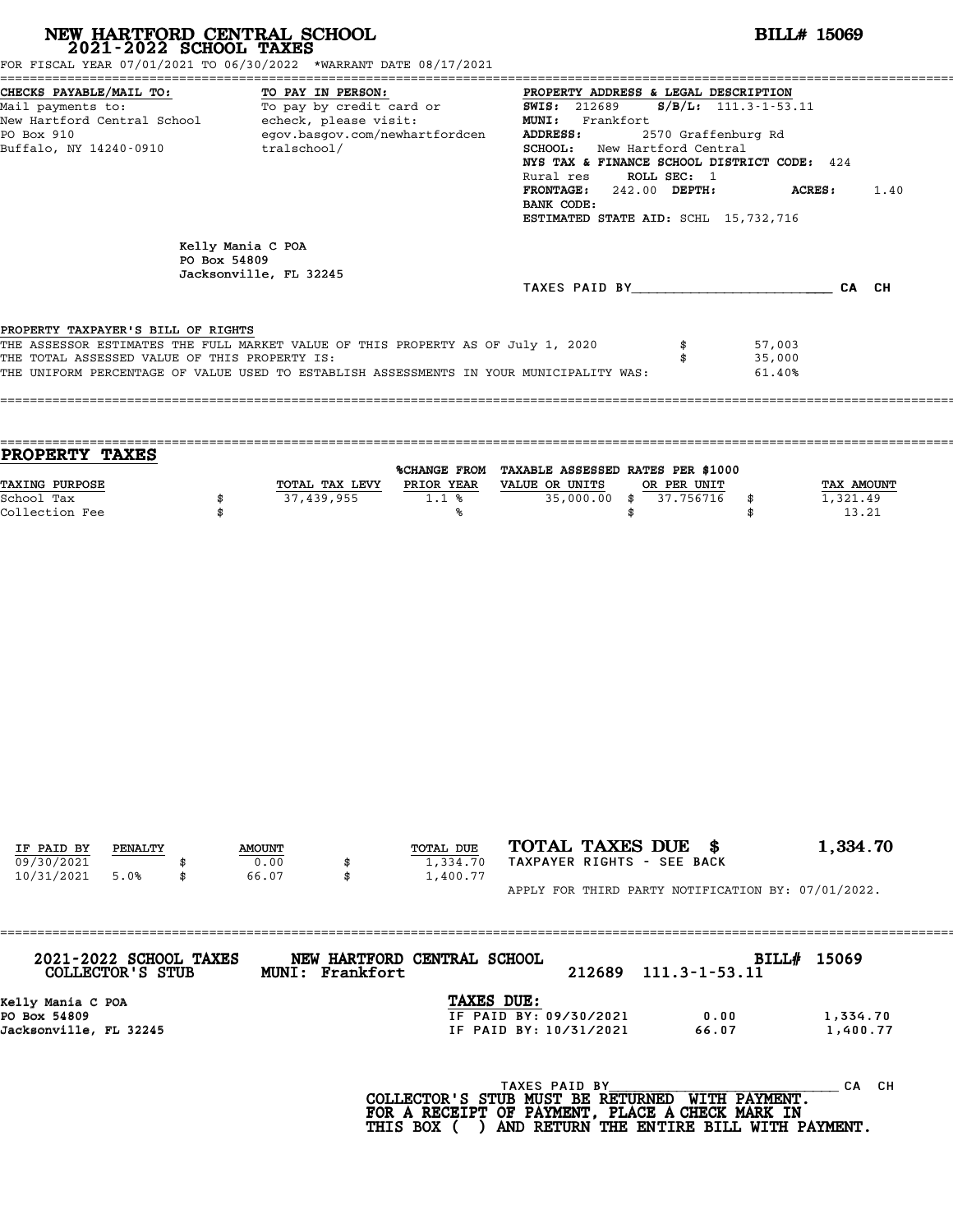| NEW HARTFORD CENTRAL SCHOOL 2021-2022 SCHOOL TAXES<br>FOR FISCAL YEAR 07/01/2021 TO 06/30/2022 *WARRANT DATE 08/17/2021                                                                                                                                            |              |                                             |                                                                                                                                                                                                                                                                                                                                                            |                                                                                                    |                                                    | <b>BILL# 15069</b> |                          |                            |                                 |  |
|--------------------------------------------------------------------------------------------------------------------------------------------------------------------------------------------------------------------------------------------------------------------|--------------|---------------------------------------------|------------------------------------------------------------------------------------------------------------------------------------------------------------------------------------------------------------------------------------------------------------------------------------------------------------------------------------------------------------|----------------------------------------------------------------------------------------------------|----------------------------------------------------|--------------------|--------------------------|----------------------------|---------------------------------|--|
| CHECKS PAYABLE/MAIL TO:<br>TO PAY IN PERSON:<br>To pay by credit card or<br>Mail payments to:<br>New Hartford Central School - echeck, please visit:<br>egov.basgov.com/newhartfordcen<br>PO Box 910<br>Buffalo, NY 14240-0910<br>tralschool/                      |              |                                             | PROPERTY ADDRESS & LEGAL DESCRIPTION<br>$S/B/L: 111.3 - 1 - 53.11$<br><b>SWIS: 212689</b><br>MUNI: Frankfort<br>ADDRESS:<br>2570 Graffenburg Rd<br>SCHOOL: New Hartford Central<br>NYS TAX & FINANCE SCHOOL DISTRICT CODE: 424<br>Rural res ROLL SEC: 1<br>FRONTAGE: 242.00 DEPTH:<br>ACRES:<br>1.40<br>BANK CODE:<br>ESTIMATED STATE AID: SCHL 15,732,716 |                                                                                                    |                                                    |                    |                          |                            |                                 |  |
|                                                                                                                                                                                                                                                                    | PO Box 54809 | Kelly Mania C POA<br>Jacksonville, FL 32245 |                                                                                                                                                                                                                                                                                                                                                            |                                                                                                    |                                                    |                    |                          |                            |                                 |  |
|                                                                                                                                                                                                                                                                    |              |                                             |                                                                                                                                                                                                                                                                                                                                                            |                                                                                                    |                                                    |                    |                          | TAXES PAID BY CA CH        |                                 |  |
| PROPERTY TAXPAYER'S BILL OF RIGHTS<br>THE ASSESSOR ESTIMATES THE FULL MARKET VALUE OF THIS PROPERTY AS OF July 1, 2020<br>THE TOTAL ASSESSED VALUE OF THIS PROPERTY IS:<br>THE UNIFORM PERCENTAGE OF VALUE USED TO ESTABLISH ASSESSMENTS IN YOUR MUNICIPALITY WAS: |              |                                             |                                                                                                                                                                                                                                                                                                                                                            |                                                                                                    |                                                    |                    | \$                       | 57,003<br>35,000<br>61.40% |                                 |  |
| PROPERTY TAXES                                                                                                                                                                                                                                                     |              |                                             |                                                                                                                                                                                                                                                                                                                                                            | %CHANGE FROM TAXABLE ASSESSED RATES PER \$1000                                                     |                                                    |                    |                          |                            |                                 |  |
| TAXING PURPOSE<br>School Tax<br>Collection Fee                                                                                                                                                                                                                     | \$<br>\$     | 37,439,955                                  |                                                                                                                                                                                                                                                                                                                                                            | TOTAL TAX LEVY PRIOR YEAR VALUE OR UNITS<br>1.1%<br>%ร                                             | $\overline{35,000.00}$ \$                          | \$                 | OR PER UNIT<br>37.756716 | \$<br>\$                   | TAX AMOUNT<br>1,321.49<br>13.21 |  |
|                                                                                                                                                                                                                                                                    |              |                                             |                                                                                                                                                                                                                                                                                                                                                            |                                                                                                    |                                                    |                    |                          |                            |                                 |  |
| IF PAID BY<br>PENALTY<br>09/30/2021<br>10/31/2021<br>5.0%                                                                                                                                                                                                          | \$           | <b>AMOUNT</b><br>0.00<br>66.07              | \$<br>\$                                                                                                                                                                                                                                                                                                                                                   | TOTAL DUE<br>1,334.70<br>1,400.77                                                                  | TOTAL TAXES DUE \$<br>TAXPAYER RIGHTS - SEE BACK   |                    |                          |                            | 1,334.70                        |  |
|                                                                                                                                                                                                                                                                    |              |                                             |                                                                                                                                                                                                                                                                                                                                                            |                                                                                                    | APPLY FOR THIRD PARTY NOTIFICATION BY: 07/01/2022. |                    |                          |                            |                                 |  |
| 2021-2022 SCHOOL TAXES<br>COLLECTOR'S STUB                                                                                                                                                                                                                         |              |                                             | MUNI: Frankfort                                                                                                                                                                                                                                                                                                                                            | NEW HARTFORD CENTRAL SCHOOL                                                                        |                                                    | 212689             | 111.3-1-53.11            | BILL# 15069                |                                 |  |
| Kelly Mania C POA<br>PO Box 54809<br>Jacksonville, FL 32245                                                                                                                                                                                                        |              |                                             |                                                                                                                                                                                                                                                                                                                                                            | TAXES DUE:                                                                                         | IF PAID BY: 09/30/2021<br>IF PAID BY: 10/31/2021   |                    | 0.00<br>66.07            |                            | 1,334.70<br>1,400.77            |  |
|                                                                                                                                                                                                                                                                    |              |                                             |                                                                                                                                                                                                                                                                                                                                                            | COLLECTOR'S STUB MUST BE RETURNED WITH PAYMENT.<br>FOR A RECEIPT OF PAYMENT, PLACE A CHECK MARK IN | TAXES PAID BY                                      |                    |                          |                            | CA CH                           |  |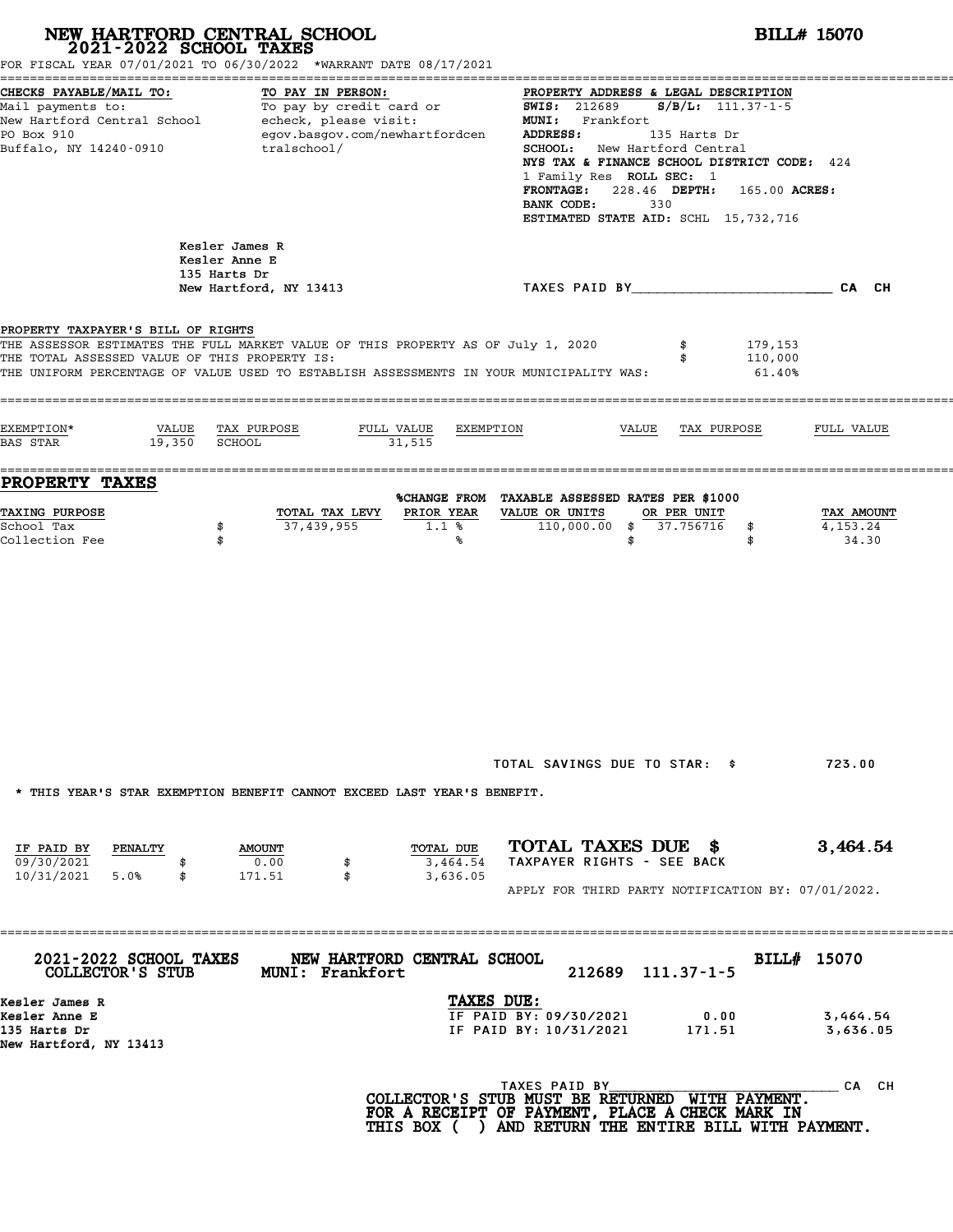# **NEW HARTFORD CENTRAL SCHOOL**<br>
2021-2022 SCHOOL TAXES<br>
FOR FISCAL YEAR 07/01/2021 TO 06/30/2022 \*WARRANT DATE 08/17/2021<br> **POR FISCAL YEAR 07/01/2021** TO 06/30/2022 \*WARRANT DATE 08/17/2021

|                                                                                                                                                                                                                                                | FOR FISCAL YEAR 07/01/2021 TO 06/30/2022 *WARRANT DATE 08/17/2021                                                                                                           |                                                                                                                                                                              |                                                                                                                                                                                                                                                                                                   |                                 |
|------------------------------------------------------------------------------------------------------------------------------------------------------------------------------------------------------------------------------------------------|-----------------------------------------------------------------------------------------------------------------------------------------------------------------------------|------------------------------------------------------------------------------------------------------------------------------------------------------------------------------|---------------------------------------------------------------------------------------------------------------------------------------------------------------------------------------------------------------------------------------------------------------------------------------------------|---------------------------------|
| CHECKS PAYABLE/MAIL TO:<br>TO PAY IN PERSON:<br>To pay by credit card or<br>Mail payments to:<br>New Hartford Central School<br>echeck, please visit:<br>PO Box 910<br>egov.basgov.com/newhartfordcen<br>Buffalo, NY 14240-0910<br>tralschool/ |                                                                                                                                                                             | <b>SWIS:</b> 212689<br>ADDRESS:<br><b>FRONTAGE:</b><br>BANK CODE:                                                                                                            | PROPERTY ADDRESS & LEGAL DESCRIPTION<br>$S/B/L: 111.37-1-5$<br>MUNI: Frankfort<br>135 Harts Dr<br><b>SCHOOL:</b> New Hartford Central<br>NYS TAX & FINANCE SCHOOL DISTRICT CODE: 424<br>1 Family Res ROLL SEC: 1<br>228.46 DEPTH:<br>165.00 ACRES:<br>330<br>ESTIMATED STATE AID: SCHL 15,732,716 |                                 |
|                                                                                                                                                                                                                                                | Kesler James R<br>Kesler Anne E<br>135 Harts Dr<br>New Hartford, NY 13413                                                                                                   |                                                                                                                                                                              |                                                                                                                                                                                                                                                                                                   | CA CH                           |
| PROPERTY TAXPAYER'S BILL OF RIGHTS<br>THE TOTAL ASSESSED VALUE OF THIS PROPERTY IS:                                                                                                                                                            | THE ASSESSOR ESTIMATES THE FULL MARKET VALUE OF THIS PROPERTY AS OF July 1, 2020<br>THE UNIFORM PERCENTAGE OF VALUE USED TO ESTABLISH ASSESSMENTS IN YOUR MUNICIPALITY WAS: |                                                                                                                                                                              | 179,153<br>110,000<br>61.40%                                                                                                                                                                                                                                                                      |                                 |
| EXEMPTION*<br>VALUE<br>19,350<br>BAS STAR                                                                                                                                                                                                      | TAX PURPOSE<br>FULL VALUE<br><b>SCHOOL</b>                                                                                                                                  | EXEMPTION<br>31,515                                                                                                                                                          | VALUE<br>TAX PURPOSE                                                                                                                                                                                                                                                                              | FULL VALUE                      |
| PROPERTY TAXES<br>TAXING PURPOSE<br>School Tax<br>Collection Fee                                                                                                                                                                               | TOTAL TAX LEVY<br>37,439,955<br>\$<br>\$                                                                                                                                    | %CHANGE FROM TAXABLE ASSESSED RATES PER \$1000<br>VALUE OR UNITS<br>PRIOR YEAR<br>110,000.00<br>1.1%<br>℁                                                                    | OR PER UNIT<br>37.756716<br>\$<br>\$<br>\$<br>\$                                                                                                                                                                                                                                                  | TAX AMOUNT<br>4,153.24<br>34.30 |
|                                                                                                                                                                                                                                                | * THIS YEAR'S STAR EXEMPTION BENEFIT CANNOT EXCEED LAST YEAR'S BENEFIT.                                                                                                     | TOTAL SAVINGS DUE TO STAR: \$                                                                                                                                                |                                                                                                                                                                                                                                                                                                   | 723.00                          |
| IF PAID BY<br>PENALTY<br>09/30/2021<br>$10/31/2021$ 5.0%<br>\$                                                                                                                                                                                 | <b>AMOUNT</b><br>0.00<br>\$<br>\$<br>171.51                                                                                                                                 | TOTAL TAXES DUE \$<br>TOTAL DUE<br>TAXPAYER RIGHTS - SEE BACK<br>3,464.54<br>3,636.05                                                                                        | APPLY FOR THIRD PARTY NOTIFICATION BY: 07/01/2022.                                                                                                                                                                                                                                                | 3,464.54                        |
| 2021-2022 SCHOOL TAXES<br>COLLECTOR'S STUB                                                                                                                                                                                                     | ===========================<br><b>MUNI: Frankfort</b>                                                                                                                       | NEW HARTFORD CENTRAL SCHOOL                                                                                                                                                  | 212689 111.37-1-5                                                                                                                                                                                                                                                                                 | BILL# 15070                     |
| Kesler James R<br>Kesler Anne E<br>135 Harts Dr<br>New Hartford, NY 13413                                                                                                                                                                      |                                                                                                                                                                             | TAXES DUE:<br>IF PAID BY: 09/30/2021<br>IF PAID BY: 10/31/2021                                                                                                               | 0.00<br>171.51                                                                                                                                                                                                                                                                                    | 3,464.54<br>3,636.05            |
|                                                                                                                                                                                                                                                |                                                                                                                                                                             | TAXES PAID BY<br>COLLECTOR'S STUB MUST BE RETURNED WITH PAYMENT.<br>FOR A RECEIPT OF PAYMENT, PLACE A CHECK MARK IN<br>THIS BOX ( ) AND RETURN THE ENTIRE BILL WITH PAYMENT. |                                                                                                                                                                                                                                                                                                   | CA CH                           |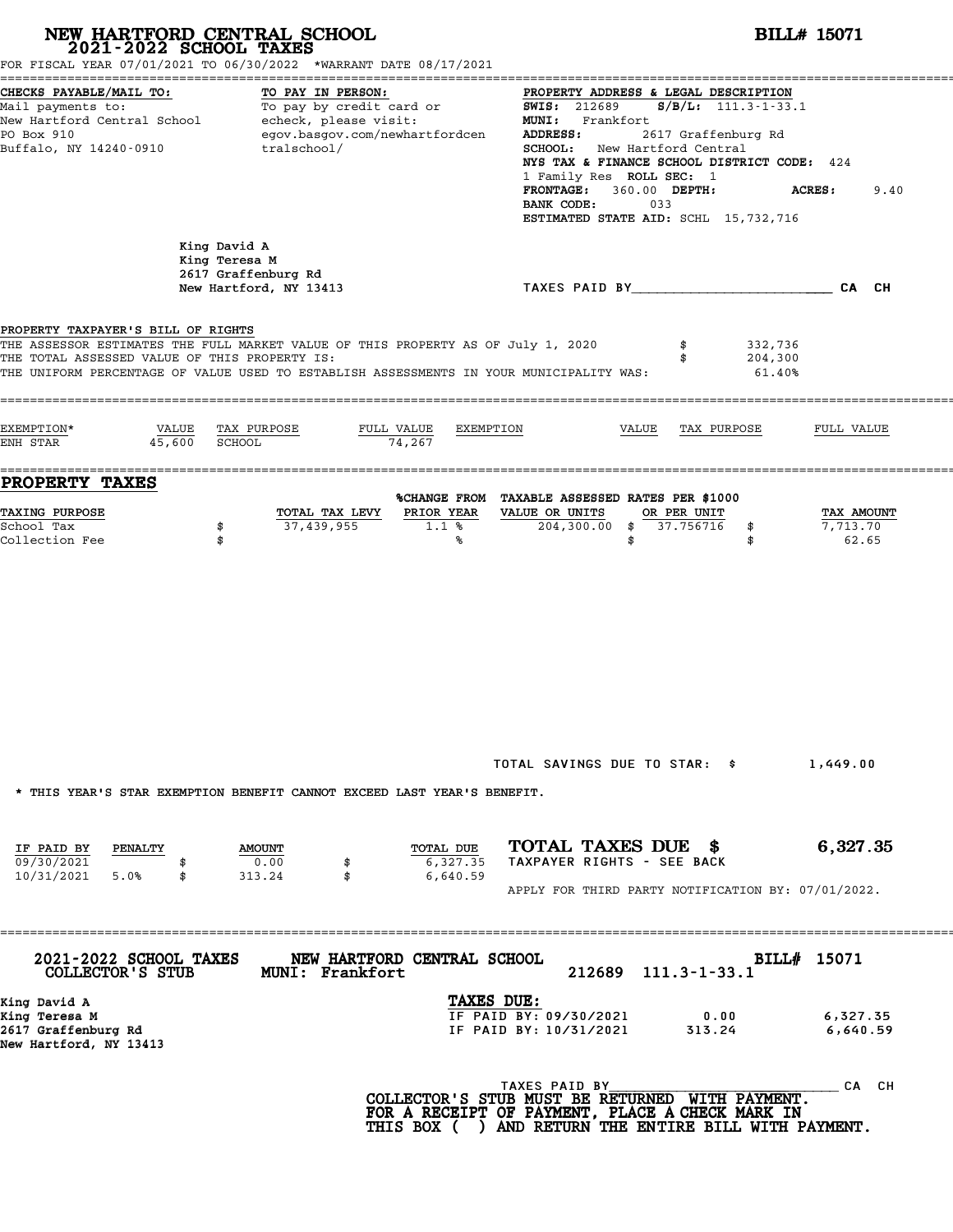|                                                                                     | NEW HARTFORD CENTRAL SCHOOL<br>2021-2022 SCHOOL TAXES<br>FOR FISCAL YEAR 07/01/2021 TO 06/30/2022 *WARRANT DATE 08/17/2021                                                  | <b>BILL# 15071</b>                                                                                                                                                                                                                                                                                                                             |                                 |  |  |  |  |
|-------------------------------------------------------------------------------------|-----------------------------------------------------------------------------------------------------------------------------------------------------------------------------|------------------------------------------------------------------------------------------------------------------------------------------------------------------------------------------------------------------------------------------------------------------------------------------------------------------------------------------------|---------------------------------|--|--|--|--|
| CHECKS PAYABLE/MAIL TO:<br>PO Box 910<br>Buffalo, NY 14240-0910                     | TO PAY IN PERSON:<br>Mail payments to:<br>Mail payments to:<br>New Hartford Central School echeck, please visit:<br>egov.basgov.com/newhartfordcen<br>tralschool/           | PROPERTY ADDRESS & LEGAL DESCRIPTION<br>$S/B/L$ : 111.3-1-33.1<br><b>SWIS: 212689</b><br>MUNI: Frankfort<br>2617 Graffenburg Rd<br>ADDRESS:<br>SCHOOL: New Hartford Central<br>NYS TAX & FINANCE SCHOOL DISTRICT CODE: 424<br>1 Family Res ROLL SEC: 1<br>FRONTAGE: 360.00 DEPTH:<br>BANK CODE:<br>033<br>ESTIMATED STATE AID: SCHL 15,732,716 | <b>ACRES:</b><br>9.40           |  |  |  |  |
|                                                                                     | King David A<br>King Teresa M<br>2617 Graffenburg Rd<br>New Hartford, NY 13413                                                                                              | TAXES PAID BY CAN CHE CAN CH                                                                                                                                                                                                                                                                                                                   |                                 |  |  |  |  |
| PROPERTY TAXPAYER'S BILL OF RIGHTS<br>THE TOTAL ASSESSED VALUE OF THIS PROPERTY IS: | THE ASSESSOR ESTIMATES THE FULL MARKET VALUE OF THIS PROPERTY AS OF July 1, 2020<br>THE UNIFORM PERCENTAGE OF VALUE USED TO ESTABLISH ASSESSMENTS IN YOUR MUNICIPALITY WAS: | 332,736<br>\$<br>204,300<br>\$<br>61.40%                                                                                                                                                                                                                                                                                                       |                                 |  |  |  |  |
| EXEMPTION*<br>VALUE<br>45,600<br>ENH STAR                                           | TAX PURPOSE<br>FULL VALUE<br>EXEMPTION<br>SCHOOL<br>74,267                                                                                                                  | VALUE<br>TAX PURPOSE                                                                                                                                                                                                                                                                                                                           | FULL VALUE                      |  |  |  |  |
| PROPERTY TAXES<br>TAXING PURPOSE<br>School Tax<br>Collection Fee                    | PRIOR YEAR<br>TOTAL TAX LEVY<br>37,439,955<br>\$<br>$1.1$ %<br>\$<br>℁                                                                                                      | %CHANGE FROM TAXABLE ASSESSED RATES PER \$1000<br>VALUE OR UNITS<br>OR PER UNIT<br>$204,300.00$ \$<br>37.756716<br>\$<br>\$<br>\$                                                                                                                                                                                                              | TAX AMOUNT<br>7,713.70<br>62.65 |  |  |  |  |
| IF PAID BY<br>PENALTY                                                               | * THIS YEAR'S STAR EXEMPTION BENEFIT CANNOT EXCEED LAST YEAR'S BENEFIT.<br>TOTAL DUE<br><b>AMOUNT</b>                                                                       | TOTAL SAVINGS DUE TO STAR: \$<br>TOTAL TAXES DUE \$                                                                                                                                                                                                                                                                                            | 1,449.00<br>6,327.35            |  |  |  |  |
| 09/30/2021<br>10/31/2021<br>5.0%<br>\$                                              | 0.00<br>6,327.35<br>\$<br>313.24<br>\$<br>6,640.59                                                                                                                          | TAXPAYER RIGHTS - SEE BACK<br>APPLY FOR THIRD PARTY NOTIFICATION BY: 07/01/2022.                                                                                                                                                                                                                                                               |                                 |  |  |  |  |
| 2021-2022 SCHOOL TAXES<br>COLLECTOR'S STUB                                          | NEW HARTFORD CENTRAL SCHOOL<br>MUNI: Frankfort                                                                                                                              | 212689<br>$111.3 - 1 - 33.1$<br>TAXES DUE:                                                                                                                                                                                                                                                                                                     | BILL# 15071                     |  |  |  |  |
| King David A<br>King Teresa M<br>2617 Graffenburg Rd<br>New Hartford, NY 13413      |                                                                                                                                                                             | IF PAID BY: 09/30/2021<br>0.00<br>IF PAID BY: 10/31/2021<br>313.24                                                                                                                                                                                                                                                                             | 6,327.35<br>6,640.59            |  |  |  |  |
|                                                                                     |                                                                                                                                                                             | TAXES PAID BY                                                                                                                                                                                                                                                                                                                                  | CA CH                           |  |  |  |  |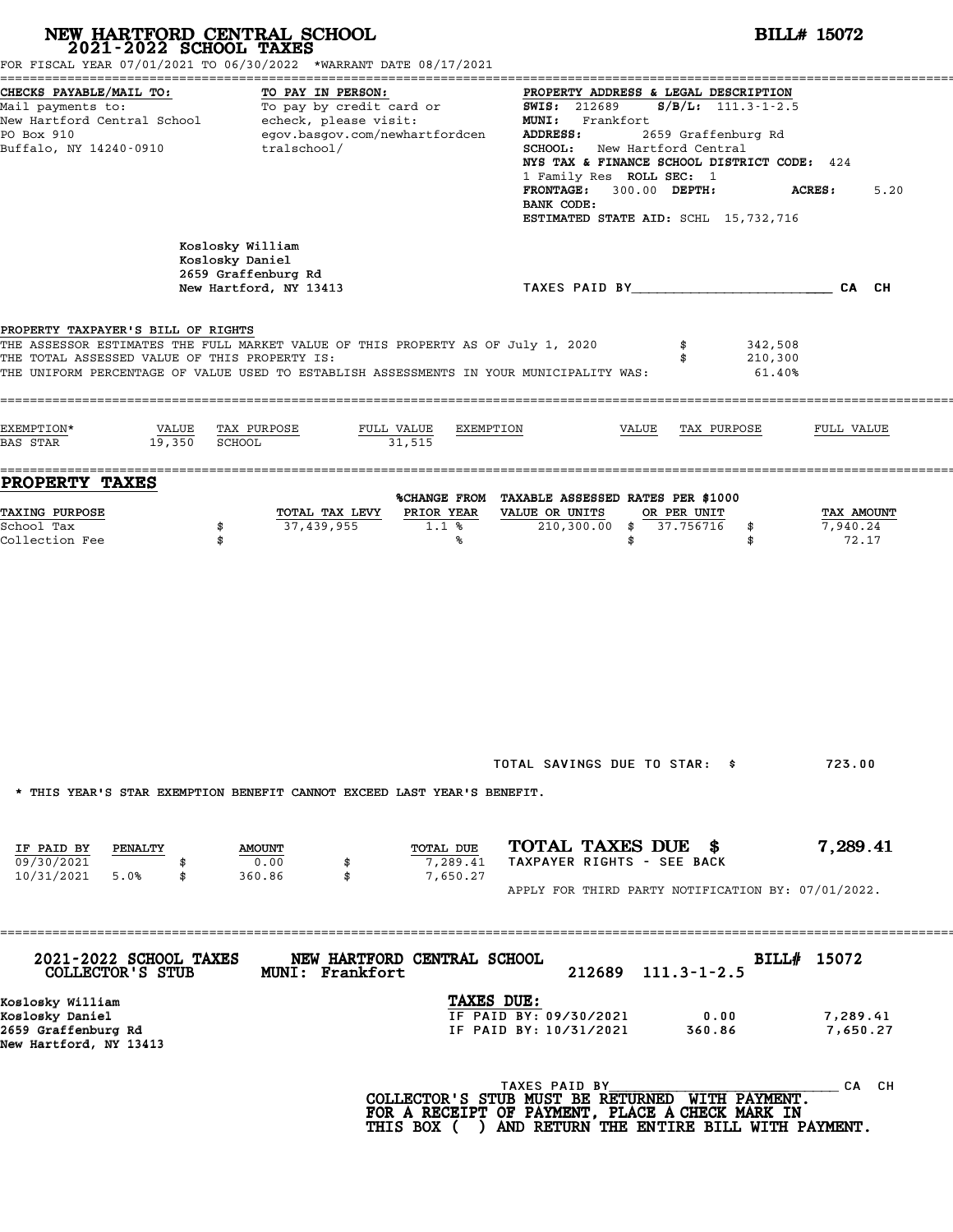| FOR FISCAL YEAR 07/01/2021 TO 06/30/2022 *WARRANT DATE 08/17/2021                                                                                                                                                                                                  | NEW HARTFORD CENTRAL SCHOOL<br>2021-2022 SCHOOL TAXES                                                                   |                                   | <b>BILL# 15072</b>                                                                                                                                                                                                                                                                                                                   |                              |                                 |  |  |  |
|--------------------------------------------------------------------------------------------------------------------------------------------------------------------------------------------------------------------------------------------------------------------|-------------------------------------------------------------------------------------------------------------------------|-----------------------------------|--------------------------------------------------------------------------------------------------------------------------------------------------------------------------------------------------------------------------------------------------------------------------------------------------------------------------------------|------------------------------|---------------------------------|--|--|--|
| CHECKS PAYABLE/MAIL TO:<br>Mail payments to:<br>New Hartford Central School<br>PO Box 910<br>Buffalo, NY 14240-0910                                                                                                                                                | TO PAY IN PERSON:<br>To pay by credit card or<br>echeck, please visit:<br>egov.basgov.com/newhartfordcen<br>tralschool/ |                                   | PROPERTY ADDRESS & LEGAL DESCRIPTION<br><b>SWIS:</b> 212689<br><b>MUNI:</b><br>Frankfort<br>2659 Graffenburg Rd<br>ADDRESS:<br>New Hartford Central<br>SCHOOL:<br>NYS TAX & FINANCE SCHOOL DISTRICT CODE: 424<br>1 Family Res ROLL SEC: 1<br>300.00 DEPTH:<br><b>FRONTAGE:</b><br>BANK CODE:<br>ESTIMATED STATE AID: SCHL 15,732,716 | $S/B/L$ : 111.3-1-2.5        | 5.20<br><b>ACRES:</b>           |  |  |  |
|                                                                                                                                                                                                                                                                    | Koslosky William<br>Koslosky Daniel<br>2659 Graffenburg Rd<br>New Hartford, NY 13413                                    |                                   | TAXES PAID BY                                                                                                                                                                                                                                                                                                                        |                              | CA CH                           |  |  |  |
| PROPERTY TAXPAYER'S BILL OF RIGHTS<br>THE ASSESSOR ESTIMATES THE FULL MARKET VALUE OF THIS PROPERTY AS OF July 1, 2020<br>THE TOTAL ASSESSED VALUE OF THIS PROPERTY IS:<br>THE UNIFORM PERCENTAGE OF VALUE USED TO ESTABLISH ASSESSMENTS IN YOUR MUNICIPALITY WAS: |                                                                                                                         |                                   | \$<br>\$                                                                                                                                                                                                                                                                                                                             | 342,508<br>210,300<br>61.40% |                                 |  |  |  |
| EXEMPTION*<br>VALUE<br>19,350<br><b>BAS STAR</b>                                                                                                                                                                                                                   | TAX PURPOSE<br><b>SCHOOL</b>                                                                                            | FULL VALUE<br>EXEMPTION<br>31,515 | VALUE<br>TAX PURPOSE                                                                                                                                                                                                                                                                                                                 |                              | FULL VALUE                      |  |  |  |
| <b>PROPERTY TAXES</b>                                                                                                                                                                                                                                              |                                                                                                                         |                                   | %CHANGE FROM TAXABLE ASSESSED RATES PER \$1000                                                                                                                                                                                                                                                                                       |                              |                                 |  |  |  |
| TAXING PURPOSE<br>School Tax<br>Collection Fee                                                                                                                                                                                                                     | TOTAL TAX LEVY<br>37,439,955<br>\$<br>\$                                                                                | PRIOR YEAR<br>1.1%<br>℁           | VALUE OR UNITS<br>OR PER UNIT<br>$210,300.00$ \$<br>37.756716<br>\$                                                                                                                                                                                                                                                                  | \$<br>\$                     | TAX AMOUNT<br>7,940.24<br>72.17 |  |  |  |
|                                                                                                                                                                                                                                                                    |                                                                                                                         |                                   |                                                                                                                                                                                                                                                                                                                                      |                              |                                 |  |  |  |
| * THIS YEAR'S STAR EXEMPTION BENEFIT CANNOT EXCEED LAST YEAR'S BENEFIT.<br>IF PAID BY<br>PENALTY<br>09/30/2021<br>10/31/2021<br>5.0%<br>\$                                                                                                                         | <b>AMOUNT</b><br>0.00<br>\$<br>\$<br>360.86                                                                             | TOTAL DUE<br>7,289.41<br>7,650.27 | TOTAL SAVINGS DUE TO STAR: \$<br>TOTAL TAXES DUE \$<br>TAXPAYER RIGHTS - SEE BACK<br>APPLY FOR THIRD PARTY NOTIFICATION BY: 07/01/2022.                                                                                                                                                                                              |                              | 723.00<br>7,289.41              |  |  |  |
| 2021-2022 SCHOOL TAXES<br>COLLECTOR'S STUB                                                                                                                                                                                                                         | MUNI: Frankfort                                                                                                         | NEW HARTFORD CENTRAL SCHOOL       | 212689<br>$111.3 - 1 - 2.5$                                                                                                                                                                                                                                                                                                          | BILL# 15072                  |                                 |  |  |  |
| Koslosky William<br>Koslosky Daniel<br>2659 Graffenburg Rd<br>New Hartford, NY 13413                                                                                                                                                                               |                                                                                                                         | TAXES DUE:                        | IF PAID BY: 09/30/2021<br>0.00<br>IF PAID BY: 10/31/2021<br>360.86                                                                                                                                                                                                                                                                   |                              | 7,289.41<br>7,650.27            |  |  |  |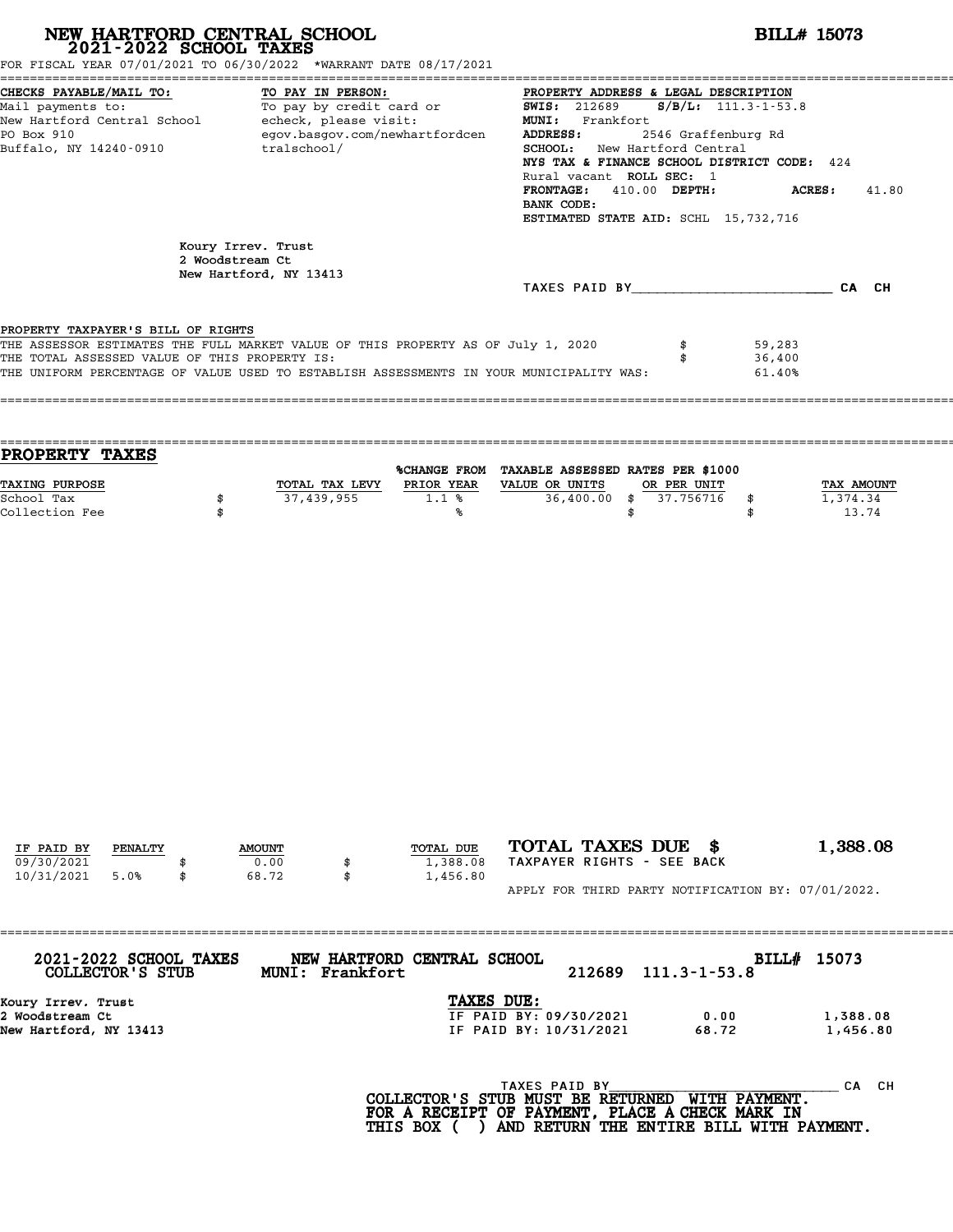| NEW HARTFORD CENTRAL SCHOOL 2021-2022 SCHOOL TAXES<br>FOR FISCAL YEAR 07/01/2021 TO 06/30/2022 *WARRANT DATE 08/17/2021                                                                                                                                            |          |                                       |                   |                                   |                                                                                                                                                                                                                                                                                                                                        |                                       | <b>BILL# 15073</b>         |                                        |  |
|--------------------------------------------------------------------------------------------------------------------------------------------------------------------------------------------------------------------------------------------------------------------|----------|---------------------------------------|-------------------|-----------------------------------|----------------------------------------------------------------------------------------------------------------------------------------------------------------------------------------------------------------------------------------------------------------------------------------------------------------------------------------|---------------------------------------|----------------------------|----------------------------------------|--|
| CHECKS PAYABLE/MAIL TO:<br>L TO: TO PAY IN PERSON: PROPERTY ADDRE<br>To pay by credit card or SWIS: 212689<br>Mail payments to:<br>New Hartford Central School echeck, please visit:<br>PO Box 910<br>Buffalo, NY 14240-0910 tralschool/                           |          |                                       | TO PAY IN PERSON: | egov.basgov.com/newhartfordcen    | PROPERTY ADDRESS & LEGAL DESCRIPTION<br>$S/B/L: 111.3 - 1 - 53.8$<br>MUNI: Frankfort<br>ADDRESS:<br>2546 Graffenburg Rd<br>SCHOOL: New Hartford Central<br>NYS TAX & FINANCE SCHOOL DISTRICT CODE: 424<br>Rural vacant ROLL SEC: 1<br>FRONTAGE: 410.00 DEPTH:<br>ACRES:<br>41.80<br>BANK CODE:<br>ESTIMATED STATE AID: SCHL 15,732,716 |                                       |                            |                                        |  |
|                                                                                                                                                                                                                                                                    |          | Koury Irrev. Trust<br>2 Woodstream Ct |                   |                                   |                                                                                                                                                                                                                                                                                                                                        |                                       |                            |                                        |  |
|                                                                                                                                                                                                                                                                    |          | New Hartford, NY 13413                |                   |                                   | TAXES PAID BY CA CH                                                                                                                                                                                                                                                                                                                    |                                       |                            |                                        |  |
|                                                                                                                                                                                                                                                                    |          |                                       |                   |                                   |                                                                                                                                                                                                                                                                                                                                        |                                       |                            |                                        |  |
| PROPERTY TAXPAYER'S BILL OF RIGHTS<br>THE ASSESSOR ESTIMATES THE FULL MARKET VALUE OF THIS PROPERTY AS OF July 1, 2020<br>THE TOTAL ASSESSED VALUE OF THIS PROPERTY IS:<br>THE UNIFORM PERCENTAGE OF VALUE USED TO ESTABLISH ASSESSMENTS IN YOUR MUNICIPALITY WAS: |          |                                       |                   |                                   |                                                                                                                                                                                                                                                                                                                                        | \$<br>\$                              | 59,283<br>36,400<br>61.40% |                                        |  |
| PROPERTY TAXES                                                                                                                                                                                                                                                     |          |                                       |                   |                                   | %CHANGE FROM TAXABLE ASSESSED RATES PER \$1000                                                                                                                                                                                                                                                                                         |                                       |                            |                                        |  |
| TAXING PURPOSE<br>School Tax<br>Collection Fee                                                                                                                                                                                                                     | \$<br>\$ |                                       | 37,439,955        | 1.1%<br>℁                         | TOTAL TAX LEVY PRIOR YEAR VALUE OR UNITS<br>\$                                                                                                                                                                                                                                                                                         | OR PER UNIT<br>36,400.00 \$ 37.756716 | \$<br>\$                   | <b>TAX AMOUNT</b><br>1,374.34<br>13.74 |  |
|                                                                                                                                                                                                                                                                    |          |                                       |                   |                                   |                                                                                                                                                                                                                                                                                                                                        |                                       |                            |                                        |  |
| IF PAID BY<br>PENALTY<br>09/30/2021<br>10/31/2021<br>5.0%                                                                                                                                                                                                          | \$       | <b>AMOUNT</b><br>0.00<br>68.72        | \$<br>\$          | TOTAL DUE<br>1,388.08<br>1,456.80 | TOTAL TAXES DUE \$<br>TAXPAYER RIGHTS - SEE BACK                                                                                                                                                                                                                                                                                       |                                       |                            | 1,388.08                               |  |
|                                                                                                                                                                                                                                                                    |          |                                       |                   |                                   | APPLY FOR THIRD PARTY NOTIFICATION BY: 07/01/2022.                                                                                                                                                                                                                                                                                     |                                       |                            |                                        |  |
| 2021-2022 SCHOOL TAXES<br>COLLECTOR'S STUB                                                                                                                                                                                                                         |          |                                       | MUNI: Frankfort   | NEW HARTFORD CENTRAL SCHOOL       | 212689                                                                                                                                                                                                                                                                                                                                 | $111.3 - 1 - 53.8$                    | BILL# 15073                |                                        |  |
| Koury Irrev. Trust<br>2 Woodstream Ct<br>New Hartford, NY 13413                                                                                                                                                                                                    |          |                                       |                   | TAXES DUE:                        | IF PAID BY: 09/30/2021<br>IF PAID BY: 10/31/2021                                                                                                                                                                                                                                                                                       | 0.00<br>68.72                         |                            | 1,388.08<br>1,456.80                   |  |
|                                                                                                                                                                                                                                                                    |          |                                       |                   |                                   | TAXES PAID BY<br>COLLECTOR'S STUB MUST BE RETURNED WITH PAYMENT.<br>FOR A RECEIPT OF PAYMENT, PLACE A CHECK MARK IN<br>THIS BOX ( ) AND RETURN THE ENTIRE BILL WITH PAYMENT.                                                                                                                                                           |                                       |                            | CA CH                                  |  |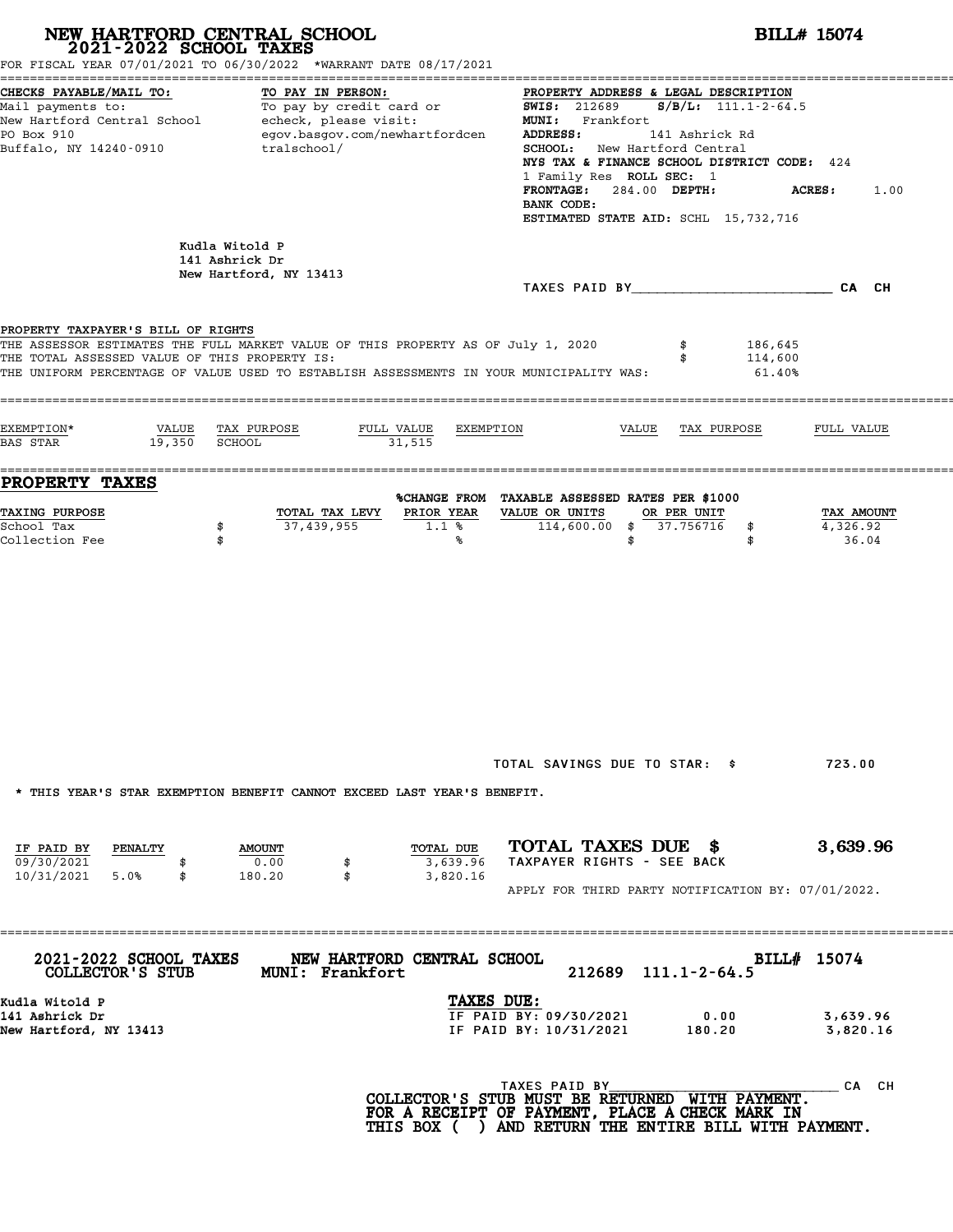| 2021-2022 SCHOOL TAXES                                                                            | NEW HARTFORD CENTRAL SCHOOL<br>FOR FISCAL YEAR 07/01/2021 TO 06/30/2022 *WARRANT DATE 08/17/2021                                                                                                               | <b>BILL# 15074</b>                                                                                                                                                                                                                                                                                                                                                                                                                                                                                       |
|---------------------------------------------------------------------------------------------------|----------------------------------------------------------------------------------------------------------------------------------------------------------------------------------------------------------------|----------------------------------------------------------------------------------------------------------------------------------------------------------------------------------------------------------------------------------------------------------------------------------------------------------------------------------------------------------------------------------------------------------------------------------------------------------------------------------------------------------|
| CHECKS PAYABLE/MAIL TO:<br>PO Box 910<br>Buffalo, NY 14240-0910                                   | TO PAY IN PERSON:<br>egov.basgov.com/newhartfordcen<br>tralschool/                                                                                                                                             | PROPERTY ADDRESS & LEGAL DESCRIPTION<br>Mail payments to:<br>Mail payments to:<br>New Hartford Central School echeck, please visit:<br>New Hartford Central School echeck, please visit:<br>NEW MI: Frankfort<br>Frankfort (1412) is also been<br><b>ADDRESS:</b><br>141 Ashrick Rd<br>SCHOOL: New Hartford Central<br>NYS TAX & FINANCE SCHOOL DISTRICT CODE: 424<br>1 Family Res ROLL SEC: 1<br>FRONTAGE: 284.00 DEPTH:<br><b>ACRES:</b><br>1.00<br>BANK CODE:<br>ESTIMATED STATE AID: SCHL 15,732,716 |
|                                                                                                   | Kudla Witold P<br>141 Ashrick Dr<br>New Hartford, NY 13413                                                                                                                                                     |                                                                                                                                                                                                                                                                                                                                                                                                                                                                                                          |
| PROPERTY TAXPAYER'S BILL OF RIGHTS<br>THE TOTAL ASSESSED VALUE OF THIS PROPERTY IS:<br>EXEMPTION* | THE ASSESSOR ESTIMATES THE FULL MARKET VALUE OF THIS PROPERTY AS OF July 1, 2020<br>THE UNIFORM PERCENTAGE OF VALUE USED TO ESTABLISH ASSESSMENTS IN YOUR MUNICIPALITY WAS:<br>VALUE TAX PURPOSE<br>FULL VALUE | 186,645<br>114,600<br>61.40%<br>EXEMPTION<br>VALUE TAX PURPOSE<br>FULL VALUE                                                                                                                                                                                                                                                                                                                                                                                                                             |
| $19,350$ SCHOOL<br><b>BAS STAR</b><br><b>PROPERTY TAXES</b>                                       | 31,515                                                                                                                                                                                                         |                                                                                                                                                                                                                                                                                                                                                                                                                                                                                                          |
| <b>TAXING PURPOSE</b><br>School Tax<br>Collection Fee                                             | TOTAL TAX LEVY<br>PRIOR YEAR<br>37,439,955<br>1.1%<br>\$<br>\$<br>℁                                                                                                                                            | %CHANGE FROM TAXABLE ASSESSED RATES PER \$1000<br>VALUE OR UNITS<br>OR PER UNIT<br>TAX AMOUNT<br>$114,600.00$ \$ 37.756716<br>4,326.92<br>\$<br>36.04<br>\$<br>\$                                                                                                                                                                                                                                                                                                                                        |
|                                                                                                   |                                                                                                                                                                                                                | TOTAL SAVINGS DUE TO STAR: \$<br>723.00                                                                                                                                                                                                                                                                                                                                                                                                                                                                  |
|                                                                                                   | * THIS YEAR'S STAR EXEMPTION BENEFIT CANNOT EXCEED LAST YEAR'S BENEFIT.                                                                                                                                        |                                                                                                                                                                                                                                                                                                                                                                                                                                                                                                          |
| IF PAID BY PENALTY<br>09/30/2021<br>10/31/2021 5.0%<br>\$                                         | TOTAL DUE<br><b>AMOUNT</b><br>0.00<br>3,639.96<br>180.20<br>\$<br>3,820.16                                                                                                                                     | TOTAL TAXES DUE \$<br>3,639.96<br>TAXPAYER RIGHTS - SEE BACK<br>APPLY FOR THIRD PARTY NOTIFICATION BY: 07/01/2022.                                                                                                                                                                                                                                                                                                                                                                                       |
| <b>2021-2022 SCHOOL TAXES</b><br>COLLECTOR'S STUB                                                 | NEW HARTFORD CENTRAL SCHOOL<br><b>MUNI: Frankfort</b>                                                                                                                                                          | BILL# 15074<br>212689 111.1-2-64.5                                                                                                                                                                                                                                                                                                                                                                                                                                                                       |
| Kudla Witold P<br>141 Ashrick Dr<br>New Hartford, NY 13413                                        |                                                                                                                                                                                                                | TAXES DUE:<br>IF PAID BY: 09/30/2021<br>0.00<br>3,639.96<br>IF PAID BY: 10/31/2021 180.20<br>3,820.16                                                                                                                                                                                                                                                                                                                                                                                                    |
|                                                                                                   |                                                                                                                                                                                                                | TAXES PAID BY<br>CA CH<br>COLLECTOR'S STUB MUST BE RETURNED WITH PAYMENT.<br>FOR A RECEIPT OF PAYMENT, PLACE A CHECK MARK IN<br>THIS BOX ( ) AND RETURN THE ENTIRE BILL WITH PAYMENT.                                                                                                                                                                                                                                                                                                                    |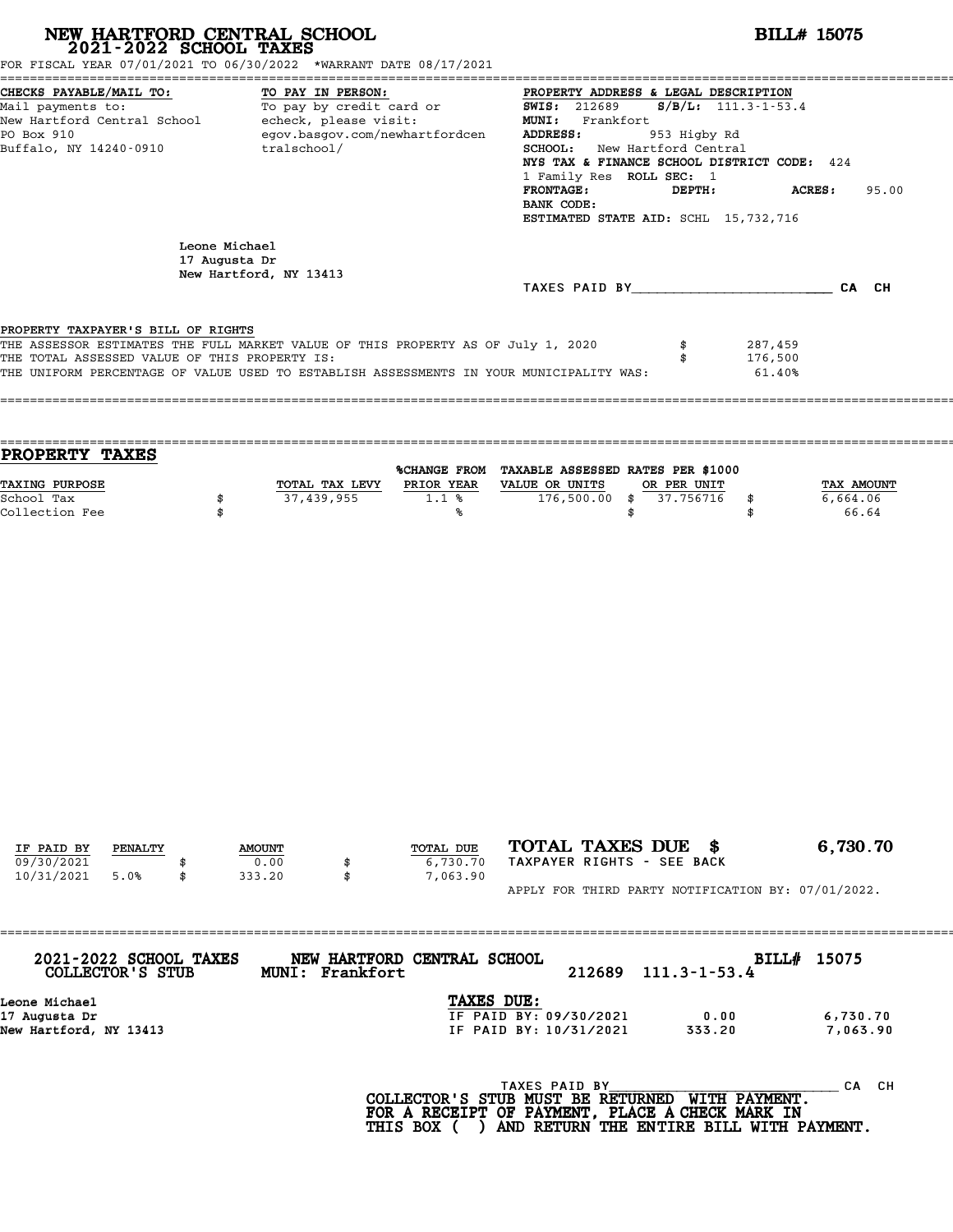| NEW HARTFORD CENTRAL SCHOOL 2021-2022 SCHOOL TAXES<br>FOR FISCAL YEAR 07/01/2021 TO 06/30/2022 *WARRANT DATE 08/17/2021                                                                                                                                            |          |                                         |                   |                                |                                                                                                                                                                                                                                                                                                                                             |                    | <b>BILL# 15075</b>           |                      |  |
|--------------------------------------------------------------------------------------------------------------------------------------------------------------------------------------------------------------------------------------------------------------------|----------|-----------------------------------------|-------------------|--------------------------------|---------------------------------------------------------------------------------------------------------------------------------------------------------------------------------------------------------------------------------------------------------------------------------------------------------------------------------------------|--------------------|------------------------------|----------------------|--|
| CHECKS PAYABLE/MAIL TO:<br>Mail payments to:<br>New Hartford Central School - echeck, please visit:<br>PO Box 910<br>Buffalo, NY 14240-0910                                                                                                                        |          | To pay by credit card or<br>tralschool/ | TO PAY IN PERSON: | egov.basgov.com/newhartfordcen | PROPERTY ADDRESS & LEGAL DESCRIPTION<br>$S/B/L: 111.3 - 1 - 53.4$<br>SWIS: 212689<br>MUNI: Frankfort<br>ADDRESS:<br>953 Higby Rd<br>SCHOOL: New Hartford Central<br>NYS TAX & FINANCE SCHOOL DISTRICT CODE: 424<br>1 Family Res ROLL SEC: 1<br>FRONTAGE:<br>DEPTH:<br>ACRES:<br>95.00<br>BANK CODE:<br>ESTIMATED STATE AID: SCHL 15,732,716 |                    |                              |                      |  |
|                                                                                                                                                                                                                                                                    |          | Leone Michael<br>17 Augusta Dr          |                   |                                |                                                                                                                                                                                                                                                                                                                                             |                    |                              |                      |  |
|                                                                                                                                                                                                                                                                    |          | New Hartford, NY 13413                  |                   |                                | TAXES PAID BY CA CH                                                                                                                                                                                                                                                                                                                         |                    |                              |                      |  |
| PROPERTY TAXPAYER'S BILL OF RIGHTS<br>THE ASSESSOR ESTIMATES THE FULL MARKET VALUE OF THIS PROPERTY AS OF July 1, 2020<br>THE TOTAL ASSESSED VALUE OF THIS PROPERTY IS:<br>THE UNIFORM PERCENTAGE OF VALUE USED TO ESTABLISH ASSESSMENTS IN YOUR MUNICIPALITY WAS: |          |                                         |                   |                                |                                                                                                                                                                                                                                                                                                                                             | \$<br>\$           | 287,459<br>176,500<br>61.40% |                      |  |
| PROPERTY TAXES<br>TAXING PURPOSE                                                                                                                                                                                                                                   |          |                                         |                   |                                | %CHANGE FROM TAXABLE ASSESSED RATES PER \$1000<br>TOTAL TAX LEVY PRIOR YEAR VALUE OR UNITS                                                                                                                                                                                                                                                  | OR PER UNIT        |                              | TAX AMOUNT           |  |
| School Tax<br>Collection Fee                                                                                                                                                                                                                                       | \$<br>\$ |                                         | 37,439,955        | 1.1%<br>℁                      | $176,500.00$ \$                                                                                                                                                                                                                                                                                                                             | 37.756716<br>\$    | \$<br>\$                     | 6,664.06<br>66.64    |  |
|                                                                                                                                                                                                                                                                    |          |                                         |                   |                                |                                                                                                                                                                                                                                                                                                                                             |                    |                              |                      |  |
| IF PAID BY<br>PENALTY<br>09/30/2021                                                                                                                                                                                                                                |          | <b>AMOUNT</b><br>0.00                   |                   | TOTAL DUE<br>6,730.70          | TOTAL TAXES DUE \$<br>TAXPAYER RIGHTS - SEE BACK                                                                                                                                                                                                                                                                                            |                    |                              | 6,730.70             |  |
| 10/31/2021<br>5.0%                                                                                                                                                                                                                                                 | \$       | 333.20                                  | \$                | 7,063.90                       | APPLY FOR THIRD PARTY NOTIFICATION BY: 07/01/2022.                                                                                                                                                                                                                                                                                          |                    |                              |                      |  |
| 2021-2022 SCHOOL TAXES<br>COLLECTOR'S STUB                                                                                                                                                                                                                         |          |                                         | MUNI: Frankfort   | NEW HARTFORD CENTRAL SCHOOL    | 212689                                                                                                                                                                                                                                                                                                                                      | $111.3 - 1 - 53.4$ | BILL# 15075                  |                      |  |
| Leone Michael<br>17 Augusta Dr<br>New Hartford, NY 13413                                                                                                                                                                                                           |          |                                         |                   | TAXES DUE:                     | IF PAID BY: 09/30/2021<br>IF PAID BY: 10/31/2021                                                                                                                                                                                                                                                                                            | 0.00<br>333.20     |                              | 6,730.70<br>7,063.90 |  |
|                                                                                                                                                                                                                                                                    |          |                                         |                   |                                | TAXES PAID BY<br>COLLECTOR'S STUB MUST BE RETURNED WITH PAYMENT.<br>FOR A RECEIPT OF PAYMENT, PLACE A CHECK MARK IN                                                                                                                                                                                                                         |                    |                              | CA CH                |  |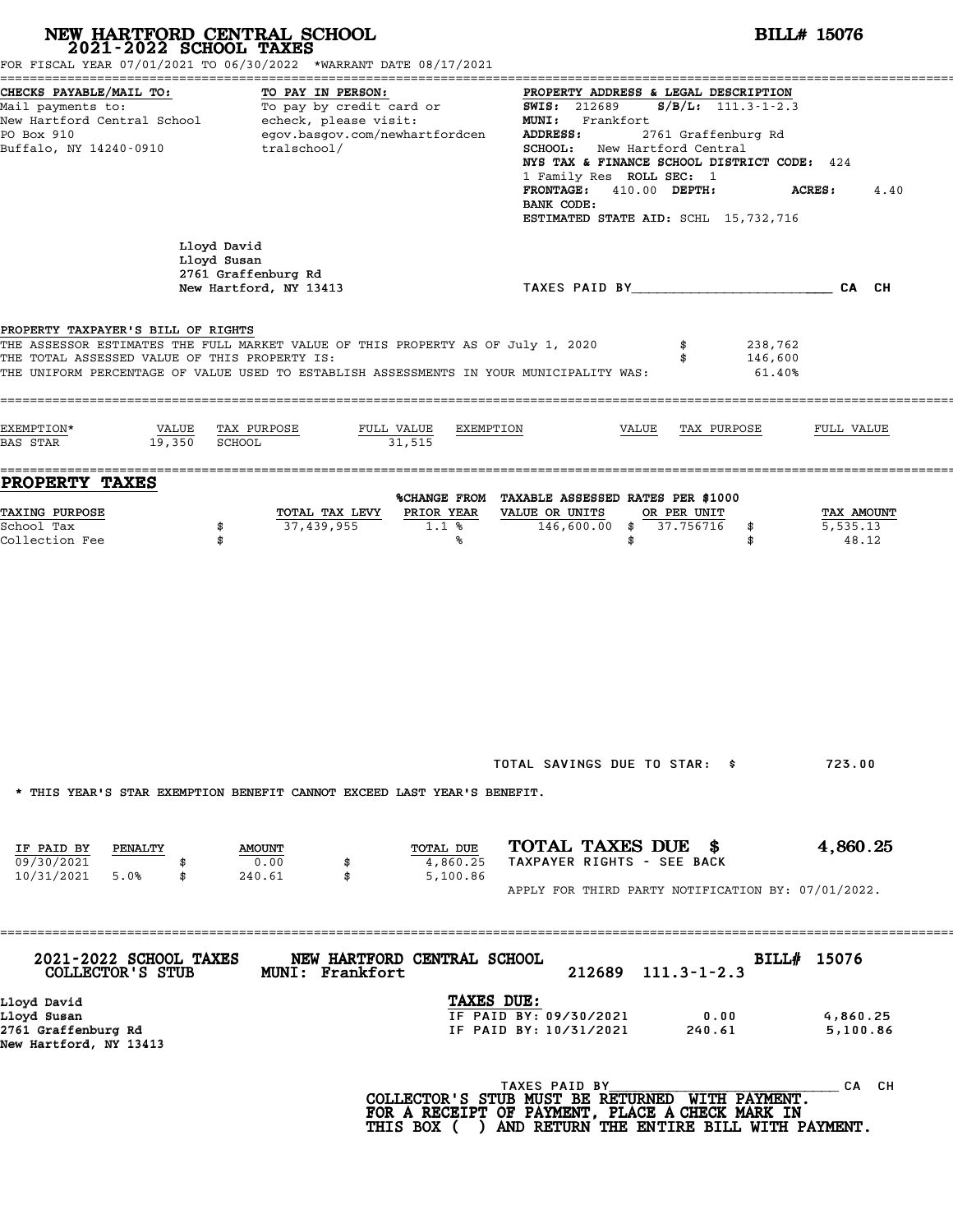|                                                                                                                                         | NEW HARTFORD CENTRAL SCHOOL<br>2021-2022 SCHOOL TAXES<br>FOR FISCAL YEAR 07/01/2021 TO 06/30/2022 *WARRANT DATE 08/17/2021                                                                                                   |                                                                                                                                                                   | <b>BILL# 15076</b>                                                                                                                                                                                   |  |  |  |  |  |
|-----------------------------------------------------------------------------------------------------------------------------------------|------------------------------------------------------------------------------------------------------------------------------------------------------------------------------------------------------------------------------|-------------------------------------------------------------------------------------------------------------------------------------------------------------------|------------------------------------------------------------------------------------------------------------------------------------------------------------------------------------------------------|--|--|--|--|--|
| CHECKS PAYABLE/MAIL TO:<br>Mail payments to:<br>New Hartford Central School<br>PO Box 910<br>Buffalo, NY 14240-0910                     | TO PAY IN PERSON:<br>To pay by credit card or<br>echeck, please visit:<br>egov.basgov.com/newhartfordcen<br>tralschool/                                                                                                      | <b>SWIS: 212689</b><br>MUNI: Frankfort<br>ADDRESS:<br>SCHOOL: New Hartford Central<br>1 Family Res ROLL SEC: 1<br>410.00 DEPTH:<br><b>FRONTAGE:</b><br>BANK CODE: | PROPERTY ADDRESS & LEGAL DESCRIPTION<br>$S/B/L$ : 111.3-1-2.3<br>2761 Graffenburg Rd<br>NYS TAX & FINANCE SCHOOL DISTRICT CODE: 424<br><b>ACRES:</b><br>4.40<br>ESTIMATED STATE AID: SCHL 15,732,716 |  |  |  |  |  |
|                                                                                                                                         | Lloyd David<br>Lloyd Susan<br>2761 Graffenburg Rd<br>New Hartford, NY 13413                                                                                                                                                  | TAXES PAID BY TAND AND TAXES PAID BY                                                                                                                              |                                                                                                                                                                                                      |  |  |  |  |  |
| PROPERTY TAXPAYER'S BILL OF RIGHTS<br>THE TOTAL ASSESSED VALUE OF THIS PROPERTY IS:<br>EXEMPTION*<br>VALUE<br>19,350<br><b>BAS STAR</b> | THE ASSESSOR ESTIMATES THE FULL MARKET VALUE OF THIS PROPERTY AS OF July 1, 2020<br>THE UNIFORM PERCENTAGE OF VALUE USED TO ESTABLISH ASSESSMENTS IN YOUR MUNICIPALITY WAS:<br>TAX PURPOSE<br>FULL VALUE<br>SCHOOL<br>31,515 | \$<br>\$<br>EXEMPTION<br>VALUE<br>TAX PURPOSE                                                                                                                     | 238,762<br>146,600<br>61.40%<br>FULL VALUE                                                                                                                                                           |  |  |  |  |  |
| <b>PROPERTY TAXES</b>                                                                                                                   |                                                                                                                                                                                                                              |                                                                                                                                                                   |                                                                                                                                                                                                      |  |  |  |  |  |
| TAXING PURPOSE<br>School Tax<br>Collection Fee                                                                                          | TOTAL TAX LEVY<br>37,439,955<br>\$<br>\$                                                                                                                                                                                     | %CHANGE FROM TAXABLE ASSESSED RATES PER \$1000<br>PRIOR YEAR<br>VALUE OR UNITS<br>OR PER UNIT<br>$146,600.00$ \$<br>37.756716<br>1.1%<br>\$<br>\$<br>℁<br>\$      | TAX AMOUNT<br>5,535.13<br>48.12                                                                                                                                                                      |  |  |  |  |  |
|                                                                                                                                         |                                                                                                                                                                                                                              |                                                                                                                                                                   |                                                                                                                                                                                                      |  |  |  |  |  |
|                                                                                                                                         | * THIS YEAR'S STAR EXEMPTION BENEFIT CANNOT EXCEED LAST YEAR'S BENEFIT.                                                                                                                                                      | TOTAL SAVINGS DUE TO STAR: \$                                                                                                                                     | 723.00                                                                                                                                                                                               |  |  |  |  |  |
| IF PAID BY<br>PENALTY<br>09/30/2021<br>10/31/2021<br>5.0%<br>\$                                                                         | <b>AMOUNT</b><br>0.00<br>\$<br>\$<br>240.61                                                                                                                                                                                  | TOTAL TAXES DUE \$<br>TOTAL DUE<br>TAXPAYER RIGHTS - SEE BACK<br>4,860.25<br>5,100.86<br>APPLY FOR THIRD PARTY NOTIFICATION BY: 07/01/2022.                       | 4,860.25                                                                                                                                                                                             |  |  |  |  |  |
| 2021-2022 SCHOOL TAXES<br>COLLECTOR'S STUB                                                                                              | NEW HARTFORD CENTRAL SCHOOL<br>MUNI: Frankfort                                                                                                                                                                               | 212689<br>$111.3 - 1 - 2.3$                                                                                                                                       | BILL# 15076                                                                                                                                                                                          |  |  |  |  |  |
| Lloyd David<br>Lloyd Susan<br>2761 Graffenburg Rd<br>New Hartford, NY 13413                                                             |                                                                                                                                                                                                                              | TAXES DUE:<br>IF PAID BY: 09/30/2021<br>0.00<br>IF PAID BY: 10/31/2021<br>240.61                                                                                  | 4,860.25<br>5,100.86                                                                                                                                                                                 |  |  |  |  |  |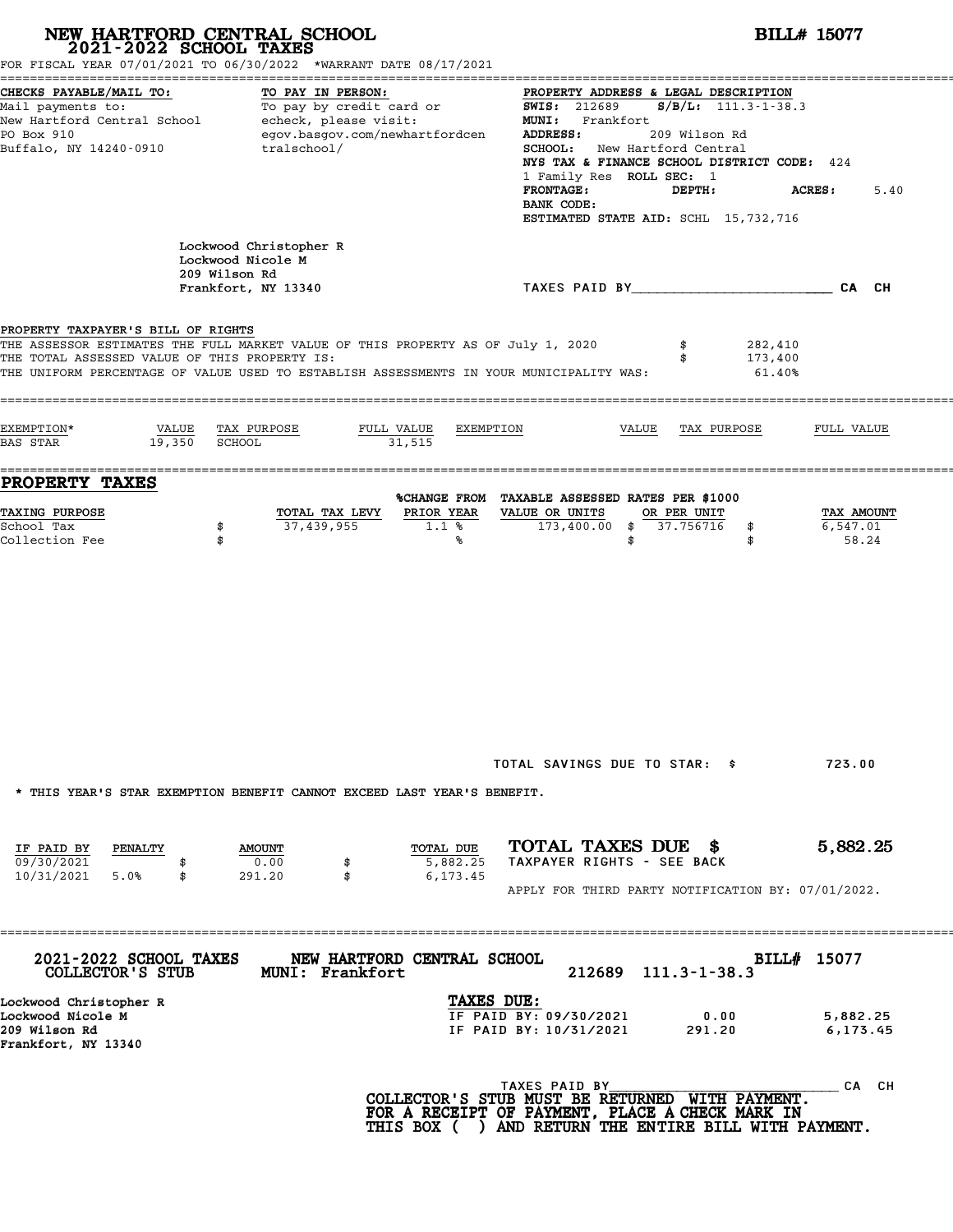|                                                                                     | NEW HARTFORD CENTRAL SCHOOL 2021-2022 SCHOOL TAXES<br>FOR FISCAL YEAR 07/01/2021 TO 06/30/2022 *WARRANT DATE 08/17/2021                                                     | <b>BILL# 15077</b>                                                                                                                                                                                                                                                                                                                                                    |
|-------------------------------------------------------------------------------------|-----------------------------------------------------------------------------------------------------------------------------------------------------------------------------|-----------------------------------------------------------------------------------------------------------------------------------------------------------------------------------------------------------------------------------------------------------------------------------------------------------------------------------------------------------------------|
| CHECKS PAYABLE/MAIL TO:<br>PO Box 910<br>Buffalo, NY 14240-0910                     | TO PAY IN PERSON:<br>Mail payments to:<br>Mail payments to:<br>New Hartford Central School echeck, please visit:<br>egov.basgov.com/newhartfordcen<br>tralschool/           | PROPERTY ADDRESS & LEGAL DESCRIPTION<br><b>SWIS: 212689</b><br>$S/B/L$ : 111.3-1-38.3<br>MUNI: Frankfort<br>ADDRESS:<br>209 Wilson Rd<br><b>SCHOOL:</b> New Hartford Central<br>NYS TAX & FINANCE SCHOOL DISTRICT CODE: 424<br>1 Family Res ROLL SEC: 1<br><b>FRONTAGE:</b><br>DEPTH:<br><b>ACRES :</b><br>5.40<br>BANK CODE:<br>ESTIMATED STATE AID: SCHL 15,732,716 |
|                                                                                     | Lockwood Christopher R<br>Lockwood Nicole M<br>209 Wilson Rd<br>Frankfort, NY 13340                                                                                         | TAXES PAID BY TAND AND TAXES PAID BY                                                                                                                                                                                                                                                                                                                                  |
| PROPERTY TAXPAYER'S BILL OF RIGHTS<br>THE TOTAL ASSESSED VALUE OF THIS PROPERTY IS: | THE ASSESSOR ESTIMATES THE FULL MARKET VALUE OF THIS PROPERTY AS OF July 1, 2020<br>THE UNIFORM PERCENTAGE OF VALUE USED TO ESTABLISH ASSESSMENTS IN YOUR MUNICIPALITY WAS: | 282,410<br>\$<br>173,400<br>\$<br>61.40%                                                                                                                                                                                                                                                                                                                              |
| EXEMPTION*<br>VALUE<br>19,350 SCHOOL<br>BAS STAR                                    | TAX PURPOSE<br>FULL VALUE<br>31,515                                                                                                                                         | EXEMPTION<br>VALUE<br>TAX PURPOSE<br>FULL VALUE                                                                                                                                                                                                                                                                                                                       |
| PROPERTY TAXES<br><b>TAXING PURPOSE</b><br>School Tax<br>Collection Fee             | TOTAL TAX LEVY<br>37,439,955<br>\$<br>\$                                                                                                                                    | %CHANGE FROM TAXABLE ASSESSED RATES PER \$1000<br>PRIOR YEAR<br>VALUE OR UNITS<br>OR PER UNIT<br>TAX AMOUNT<br>$173,400.00$ \$ 37.756716<br>6,547.01<br>$1.1$ %<br>\$<br>58.24<br>\$<br>℁<br>\$                                                                                                                                                                       |
| IF PAID BY<br>PENALTY                                                               | * THIS YEAR'S STAR EXEMPTION BENEFIT CANNOT EXCEED LAST YEAR'S BENEFIT.<br><b>AMOUNT</b>                                                                                    | TOTAL SAVINGS DUE TO STAR: \$<br>723.00<br>TOTAL TAXES DUE \$<br>5,882.25<br>TOTAL DUE                                                                                                                                                                                                                                                                                |
| 09/30/2021<br>5.0%<br>10/31/2021<br>\$                                              | 0.00<br>\$<br>291.20<br>\$                                                                                                                                                  | TAXPAYER RIGHTS - SEE BACK<br>5,882.25<br>6,173.45<br>APPLY FOR THIRD PARTY NOTIFICATION BY: 07/01/2022.                                                                                                                                                                                                                                                              |
| 2021-2022 SCHOOL TAXES<br>COLLECTOR'S STUB                                          | NEW HARTFORD CENTRAL SCHOOL<br>MUNI: Frankfort                                                                                                                              | BILL# 15077<br>212689<br>$111.3 - 1 - 38.3$                                                                                                                                                                                                                                                                                                                           |
| Lockwood Christopher R<br>Lockwood Nicole M<br>209 Wilson Rd<br>Frankfort, NY 13340 |                                                                                                                                                                             | TAXES DUE:<br>IF PAID BY: 09/30/2021<br>0.00<br>5,882.25<br>IF PAID BY: 10/31/2021<br>291.20<br>6,173.45                                                                                                                                                                                                                                                              |
|                                                                                     |                                                                                                                                                                             | TAXES PAID BY<br>CA CH<br>COLLECTOR'S STUB MUST BE RETURNED WITH PAYMENT.<br>FOR A RECEIPT OF PAYMENT, PLACE A CHECK MARK IN<br>THIS BOX ( ) AND RETURN THE ENTIRE BILL WITH PAYMENT.                                                                                                                                                                                 |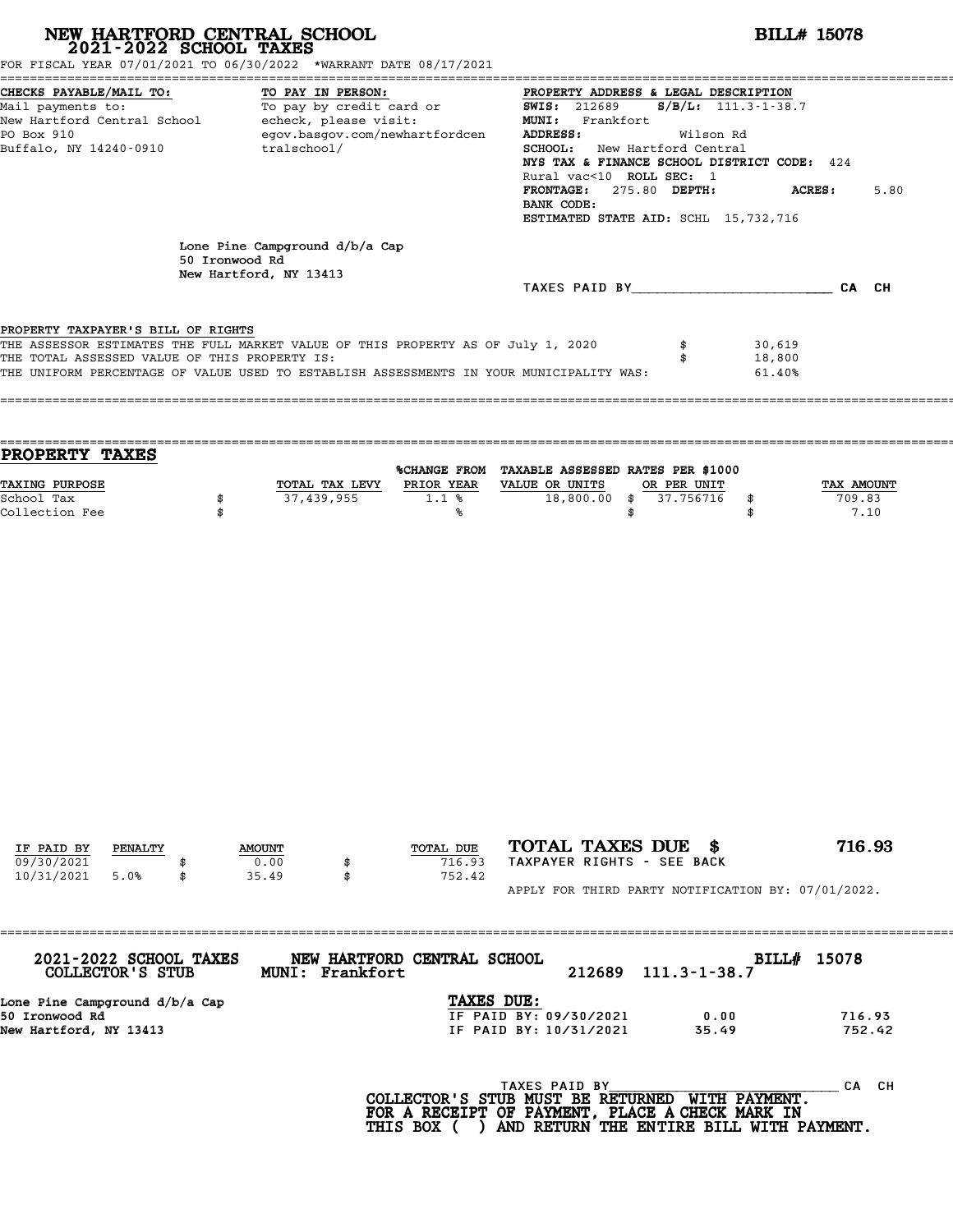| NEW HARTFORD CENTRAL SCHOOL 2021-2022 SCHOOL TAXES                                                                                                                                                                                                                                                                                    |                |                                |                                                                                                                                                                                                                                                                                                                                                                   |                             |                                                                                                                          |                          |                            | <b>BILL# 15078</b>   |
|---------------------------------------------------------------------------------------------------------------------------------------------------------------------------------------------------------------------------------------------------------------------------------------------------------------------------------------|----------------|--------------------------------|-------------------------------------------------------------------------------------------------------------------------------------------------------------------------------------------------------------------------------------------------------------------------------------------------------------------------------------------------------------------|-----------------------------|--------------------------------------------------------------------------------------------------------------------------|--------------------------|----------------------------|----------------------|
| FOR FISCAL YEAR 07/01/2021 TO 06/30/2022 *WARRANT DATE 08/17/2021<br>CHECKS PAYABLE/MAIL TO:<br>TO PAY IN PERSON:<br>TO PAY IN PERSON:<br>To pay by credit card or<br>Mail payments to:<br>New Hartford Central School echeck, please visit:<br>egov.basgov.com/newhartfordcen<br>PO Box 910<br>Buffalo, NY 14240-0910<br>tralschool/ |                |                                | PROPERTY ADDRESS & LEGAL DESCRIPTION<br><b>SWIS:</b> 212689<br>$S/B/L: 111.3 - 1 - 38.7$<br>MUNI: Frankfort<br>ADDRESS:<br>Wilson Rd<br><b>SCHOOL:</b> New Hartford Central<br>NYS TAX & FINANCE SCHOOL DISTRICT CODE: 424<br>Rural vac<10 ROLL SEC: 1<br>FRONTAGE: 275.80 DEPTH:<br><b>ACRES :</b><br>5.80<br>BANK CODE:<br>ESTIMATED STATE AID: SCHL 15,732,716 |                             |                                                                                                                          |                          |                            |                      |
|                                                                                                                                                                                                                                                                                                                                       | 50 Ironwood Rd | Lone Pine Campground d/b/a Cap |                                                                                                                                                                                                                                                                                                                                                                   |                             |                                                                                                                          |                          |                            |                      |
|                                                                                                                                                                                                                                                                                                                                       |                | New Hartford, NY 13413         |                                                                                                                                                                                                                                                                                                                                                                   |                             | TAXES PAID BY CA CH                                                                                                      |                          |                            |                      |
| PROPERTY TAXPAYER'S BILL OF RIGHTS<br>THE ASSESSOR ESTIMATES THE FULL MARKET VALUE OF THIS PROPERTY AS OF July 1, 2020<br>THE TOTAL ASSESSED VALUE OF THIS PROPERTY IS:<br>THE UNIFORM PERCENTAGE OF VALUE USED TO ESTABLISH ASSESSMENTS IN YOUR MUNICIPALITY WAS:                                                                    |                |                                |                                                                                                                                                                                                                                                                                                                                                                   |                             |                                                                                                                          | \$<br>\$                 | 30,619<br>18,800<br>61.40% |                      |
| PROPERTY TAXES<br>TAXING PURPOSE<br>School Tax                                                                                                                                                                                                                                                                                        | \$             |                                | TOTAL TAX LEVY<br>37,439,955                                                                                                                                                                                                                                                                                                                                      | 1.1%                        | %CHANGE FROM TAXABLE ASSESSED RATES PER \$1000<br>PRIOR YEAR VALUE OR UNITS<br>18,800.00 \$                              | OR PER UNIT<br>37.756716 |                            | TAX AMOUNT<br>709.83 |
|                                                                                                                                                                                                                                                                                                                                       |                |                                |                                                                                                                                                                                                                                                                                                                                                                   |                             |                                                                                                                          |                          |                            |                      |
| IF PAID BY<br>PENALTY                                                                                                                                                                                                                                                                                                                 |                | <b>AMOUNT</b>                  |                                                                                                                                                                                                                                                                                                                                                                   | TOTAL DUE                   | TOTAL TAXES DUE \$                                                                                                       |                          |                            | 716.93               |
| 09/30/2021<br>10/31/2021<br>5.0%                                                                                                                                                                                                                                                                                                      |                | 0.00<br>35.49                  | \$<br>\$                                                                                                                                                                                                                                                                                                                                                          | 716.93<br>752.42            | TAXPAYER RIGHTS - SEE BACK<br>APPLY FOR THIRD PARTY NOTIFICATION BY: 07/01/2022.                                         |                          |                            |                      |
|                                                                                                                                                                                                                                                                                                                                       |                |                                |                                                                                                                                                                                                                                                                                                                                                                   |                             |                                                                                                                          |                          |                            |                      |
| 2021-2022 SCHOOL TAXES<br><b>COLLECTOR'S STUB</b>                                                                                                                                                                                                                                                                                     |                |                                | MUNI: Frankfort                                                                                                                                                                                                                                                                                                                                                   | NEW HARTFORD CENTRAL SCHOOL | 212689                                                                                                                   | $111.3 - 1 - 38.7$       |                            | BILL# 15078          |
| Lone Pine Campground d/b/a Cap<br>50 Ironwood Rd<br>New Hartford, NY 13413                                                                                                                                                                                                                                                            |                |                                |                                                                                                                                                                                                                                                                                                                                                                   | TAXES DUE:                  | IF PAID BY: 09/30/2021<br>IF PAID BY: 10/31/2021                                                                         |                          | 0.00<br>35.49              | 716.93<br>752.42     |
|                                                                                                                                                                                                                                                                                                                                       |                |                                |                                                                                                                                                                                                                                                                                                                                                                   |                             | TAXES PAID BY TAND BY COLLECTOR'S STUB MUST BE RETURNED WITH PAYMENT.<br>FOR A RECEIPT OF PAYMENT, PLACE A CHECK MARK IN |                          |                            | CA CH                |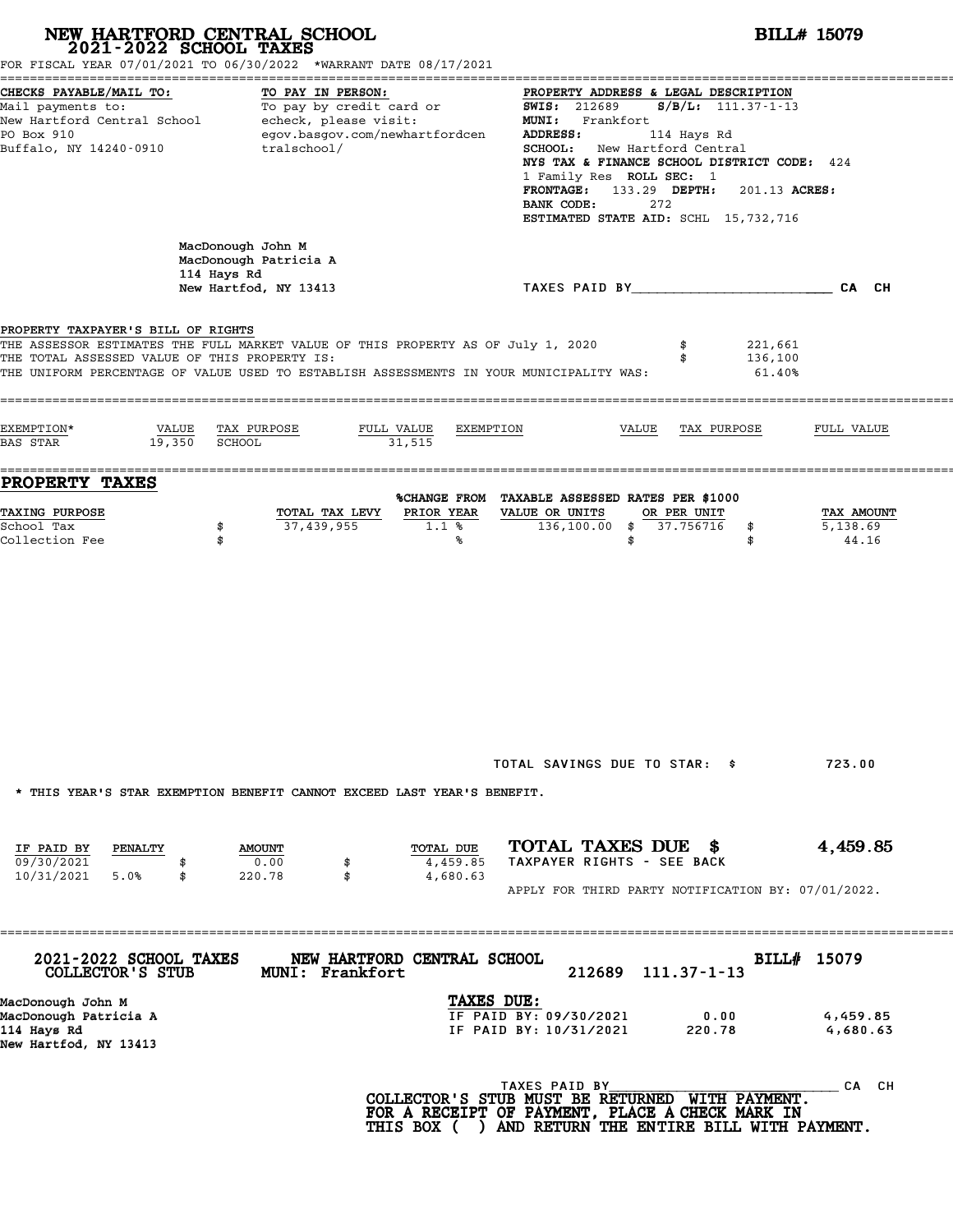|                                                                                                         | NEW HARTFORD CENTRAL SCHOOL<br>2021-2022 SCHOOL TAXES<br>FOR FISCAL YEAR 07/01/2021 TO 06/30/2022 *WARRANT DATE 08/17/2021                                            |                                                                                                                                                   | <b>BILL# 15079</b>                                                                                                                                                                                                          |  |  |  |  |
|---------------------------------------------------------------------------------------------------------|-----------------------------------------------------------------------------------------------------------------------------------------------------------------------|---------------------------------------------------------------------------------------------------------------------------------------------------|-----------------------------------------------------------------------------------------------------------------------------------------------------------------------------------------------------------------------------|--|--|--|--|
| CHECKS PAYABLE/MAIL TO:<br>PO Box 910<br>Buffalo, NY 14240-0910                                         | TO PAY IN PERSON:<br>Mail payments to: To pay by credit card or<br>New Hartford Central School echeck, please visit:<br>egov.basgov.com/newhartfordcen<br>tralschool/ | <b>SWIS: 212689</b><br>MUNI: Frankfort<br>ADDRESS:<br>SCHOOL:<br>272<br>BANK CODE:<br>ESTIMATED STATE AID: SCHL 15,732,716                        | PROPERTY ADDRESS & LEGAL DESCRIPTION<br>$S/B/L$ : 111.37-1-13<br>114 Hays Rd<br>New Hartford Central<br>NYS TAX & FINANCE SCHOOL DISTRICT CODE: 424<br>1 Family Res ROLL SEC: 1<br>FRONTAGE: 133.29 DEPTH:<br>201.13 ACRES: |  |  |  |  |
|                                                                                                         | MacDonough John M<br>MacDonough Patricia A<br>114 Hays Rd<br>New Hartfod, NY 13413                                                                                    | TAXES PAID BY CONTROLL CAN CH                                                                                                                     |                                                                                                                                                                                                                             |  |  |  |  |
| PROPERTY TAXPAYER'S BILL OF RIGHTS<br>THE TOTAL ASSESSED VALUE OF THIS PROPERTY IS:                     | THE ASSESSOR ESTIMATES THE FULL MARKET VALUE OF THIS PROPERTY AS OF July 1, 2020                                                                                      | THE UNIFORM PERCENTAGE OF VALUE USED TO ESTABLISH ASSESSMENTS IN YOUR MUNICIPALITY WAS:                                                           | 221,661<br>136,100<br>61.40%                                                                                                                                                                                                |  |  |  |  |
| EXEMPTION*<br>VALUE<br>19,350<br><b>BAS STAR</b>                                                        | TAX PURPOSE<br>FULL VALUE<br><b>SCHOOL</b><br>31,515                                                                                                                  | EXEMPTION<br>VALUE                                                                                                                                | TAX PURPOSE<br>FULL VALUE                                                                                                                                                                                                   |  |  |  |  |
| PROPERTY TAXES<br>TAXING PURPOSE<br>School Tax<br>Collection Fee                                        | TOTAL TAX LEVY<br>37,439,955<br>\$<br>\$                                                                                                                              | %CHANGE FROM TAXABLE ASSESSED RATES PER \$1000<br>PRIOR YEAR<br>VALUE OR UNITS<br>OR PER UNIT<br>$136, 100.00$ \$<br>37.756716<br>1.1%<br>℁<br>\$ | TAX AMOUNT<br>5,138.69<br>\$<br>44.16<br>\$                                                                                                                                                                                 |  |  |  |  |
| IF PAID BY<br>PENALTY                                                                                   | * THIS YEAR'S STAR EXEMPTION BENEFIT CANNOT EXCEED LAST YEAR'S BENEFIT.<br><b>AMOUNT</b>                                                                              | TOTAL SAVINGS DUE TO STAR: \$<br>TOTAL TAXES DUE \$<br>TOTAL DUE                                                                                  | 723.00<br>4,459.85                                                                                                                                                                                                          |  |  |  |  |
| 09/30/2021<br>10/31/2021<br>5.0%<br>\$                                                                  | 0.00<br>\$<br>\$<br>220.78                                                                                                                                            | TAXPAYER RIGHTS - SEE BACK<br>4,459.85<br>4,680.63<br>APPLY FOR THIRD PARTY NOTIFICATION BY: 07/01/2022.                                          |                                                                                                                                                                                                                             |  |  |  |  |
| 2021-2022 SCHOOL TAXES<br>COLLECTOR'S STUB<br>MacDonough John M<br>MacDonough Patricia A<br>114 Hays Rd | NEW HARTFORD CENTRAL SCHOOL<br>MUNI: Frankfort                                                                                                                        | 212689<br>$111.37 - 1 - 13$<br>TAXES DUE:<br>IF PAID BY: 09/30/2021<br>IF PAID BY: 10/31/2021                                                     | BILL# 15079<br>0.00<br>4,459.85<br>220.78<br>4,680.63                                                                                                                                                                       |  |  |  |  |
| New Hartfod, NY 13413                                                                                   |                                                                                                                                                                       | TAXES PAID BY<br>COLLECTOR'S STUB MUST BE RETURNED WITH PAYMENT.<br>FOR A RECEIPT OF PAYMENT, PLACE A CHECK MARK IN                               | CA CH                                                                                                                                                                                                                       |  |  |  |  |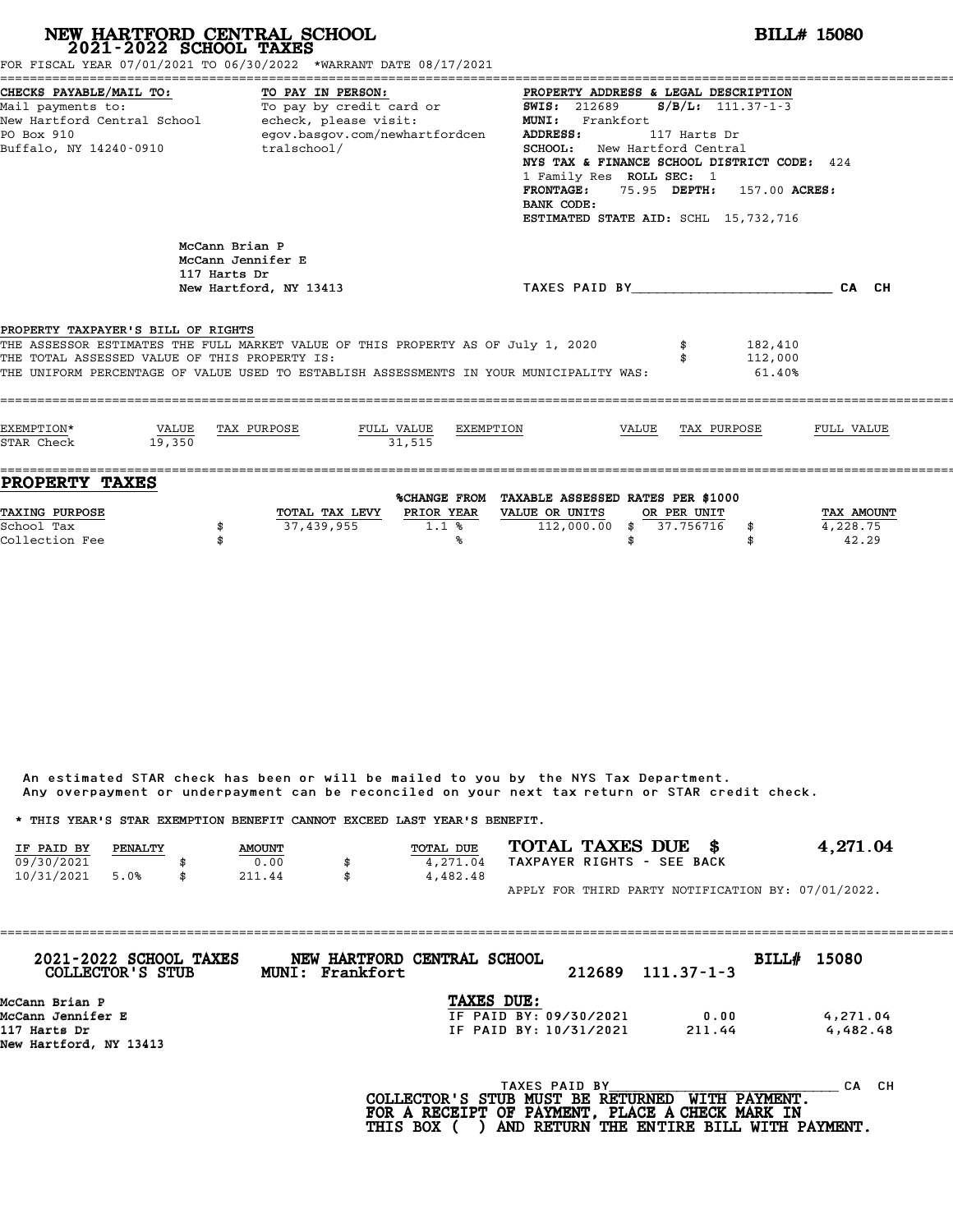| NEW HARTFORD CENTRAL SCHOOL 2021-2022 SCHOOL TAXES<br>FOR FISCAL YEAR 07/01/2021 TO 06/30/2022 *WARRANT DATE 08/17/2021                                                                                                                                            |                                                                                                                                                                                                                                                                                                                                                                                                                                          | <b>BILL# 15080</b>                                            |                           |           |                                                                                     |       |                          |                              |                                 |
|--------------------------------------------------------------------------------------------------------------------------------------------------------------------------------------------------------------------------------------------------------------------|------------------------------------------------------------------------------------------------------------------------------------------------------------------------------------------------------------------------------------------------------------------------------------------------------------------------------------------------------------------------------------------------------------------------------------------|---------------------------------------------------------------|---------------------------|-----------|-------------------------------------------------------------------------------------|-------|--------------------------|------------------------------|---------------------------------|
| CHECKS PAYABLE/MAIL TO:<br>Mail payments to:<br>New Hartford Central School - echeck, please visit:<br>PO Box 910<br>Buffalo, NY 14240-0910                                                                                                                        | PROPERTY ADDRESS & LEGAL DESCRIPTION<br>To pay by credit card or<br>$S/B/L: 111.37-1-3$<br><b>SWIS: 212689</b><br>MUNI: Frankfort<br>echeck, please visit:<br>egov.basgov.com/newhartfordcen<br><b>ADDRESS:</b><br>117 Harts Dr<br>SCHOOL: New Hartford Central<br>NYS TAX & FINANCE SCHOOL DISTRICT CODE: 424<br>1 Family Res ROLL SEC: 1<br>FRONTAGE: 75.95 DEPTH: 157.00 ACRES:<br>BANK CODE:<br>ESTIMATED STATE AID: SCHL 15,732,716 |                                                               |                           |           |                                                                                     |       |                          |                              |                                 |
|                                                                                                                                                                                                                                                                    | 117 Harts Dr                                                                                                                                                                                                                                                                                                                                                                                                                             | McCann Brian P<br>McCann Jennifer E<br>New Hartford, NY 13413 |                           |           |                                                                                     |       |                          | TAXES PAID BY CAN CHE CAN CH |                                 |
| PROPERTY TAXPAYER'S BILL OF RIGHTS<br>THE ASSESSOR ESTIMATES THE FULL MARKET VALUE OF THIS PROPERTY AS OF July 1, 2020<br>THE TOTAL ASSESSED VALUE OF THIS PROPERTY IS:<br>THE UNIFORM PERCENTAGE OF VALUE USED TO ESTABLISH ASSESSMENTS IN YOUR MUNICIPALITY WAS: |                                                                                                                                                                                                                                                                                                                                                                                                                                          |                                                               |                           |           |                                                                                     |       |                          | 182,410<br>112,000<br>61.40% |                                 |
| EXEMPTION*<br>STAR Check                                                                                                                                                                                                                                           | VALUE<br>19.350                                                                                                                                                                                                                                                                                                                                                                                                                          | TAX PURPOSE                                                   | FULL VALUE<br>31,515      | EXEMPTION |                                                                                     | VALUE |                          | TAX PURPOSE                  | FULL VALUE                      |
| <b>PROPERTY TAXES</b><br>TAXING PURPOSE<br>School Tax<br>Collection Fee                                                                                                                                                                                            | \$                                                                                                                                                                                                                                                                                                                                                                                                                                       | 37,439,955                                                    | TOTAL TAX LEVY PRIOR YEAR | 1.1%<br>℁ | %CHANGE FROM TAXABLE ASSESSED RATES PER \$1000<br>VALUE OR UNITS<br>$112,000.00$ \$ | \$    | OR PER UNIT<br>37.756716 | \$<br>\$                     | TAX AMOUNT<br>4,228.75<br>42.29 |

|            |         |               |                                                                         | Any overpayment or underpayment can be reconciled on your next tax return or STAR credit check. |                                                    |
|------------|---------|---------------|-------------------------------------------------------------------------|-------------------------------------------------------------------------------------------------|----------------------------------------------------|
|            |         |               | * THIS YEAR'S STAR EXEMPTION BENEFIT CANNOT EXCEED LAST YEAR'S BENEFIT. |                                                                                                 |                                                    |
| IF PAID BY | PENALTY | <b>AMOUNT</b> | <b>TOTAL DUE</b>                                                        | TOTAL TAXES DUE \$                                                                              | 4,271.04                                           |
| 09/30/2021 |         | 0.00          | 4,271.04                                                                | TAXPAYER RIGHTS - SEE BACK                                                                      |                                                    |
| 10/31/2021 | 5.0%    | \$<br>211.44  | \$<br>4,482.48                                                          |                                                                                                 |                                                    |
|            |         |               |                                                                         |                                                                                                 | APPLY FOR THIRD PARTY NOTIFICATION BY: 07/01/2022. |

| 2021-2022 SCHOOL TAXES<br>COLLECTOR'S STUB | NEW HARTFORD CENTRAL SCHOOL<br>MUNI: Frankfort |                        | 212689        | $111.37 - 1 - 3$ | <b>BILL# 15080</b> |           |
|--------------------------------------------|------------------------------------------------|------------------------|---------------|------------------|--------------------|-----------|
| McCann Brian P                             |                                                | TAXES DUE:             |               |                  |                    |           |
| McCann Jennifer E                          |                                                | IF PAID BY: 09/30/2021 |               | 0.00             |                    | 4,271.04  |
| 117 Harts Dr                               |                                                | IF PAID BY: 10/31/2021 |               | 211.44           |                    | 4,482.48  |
| New Hartford, NY 13413                     |                                                |                        |               |                  |                    |           |
|                                            |                                                |                        | TAXES PAID BY |                  |                    | CH.<br>CА |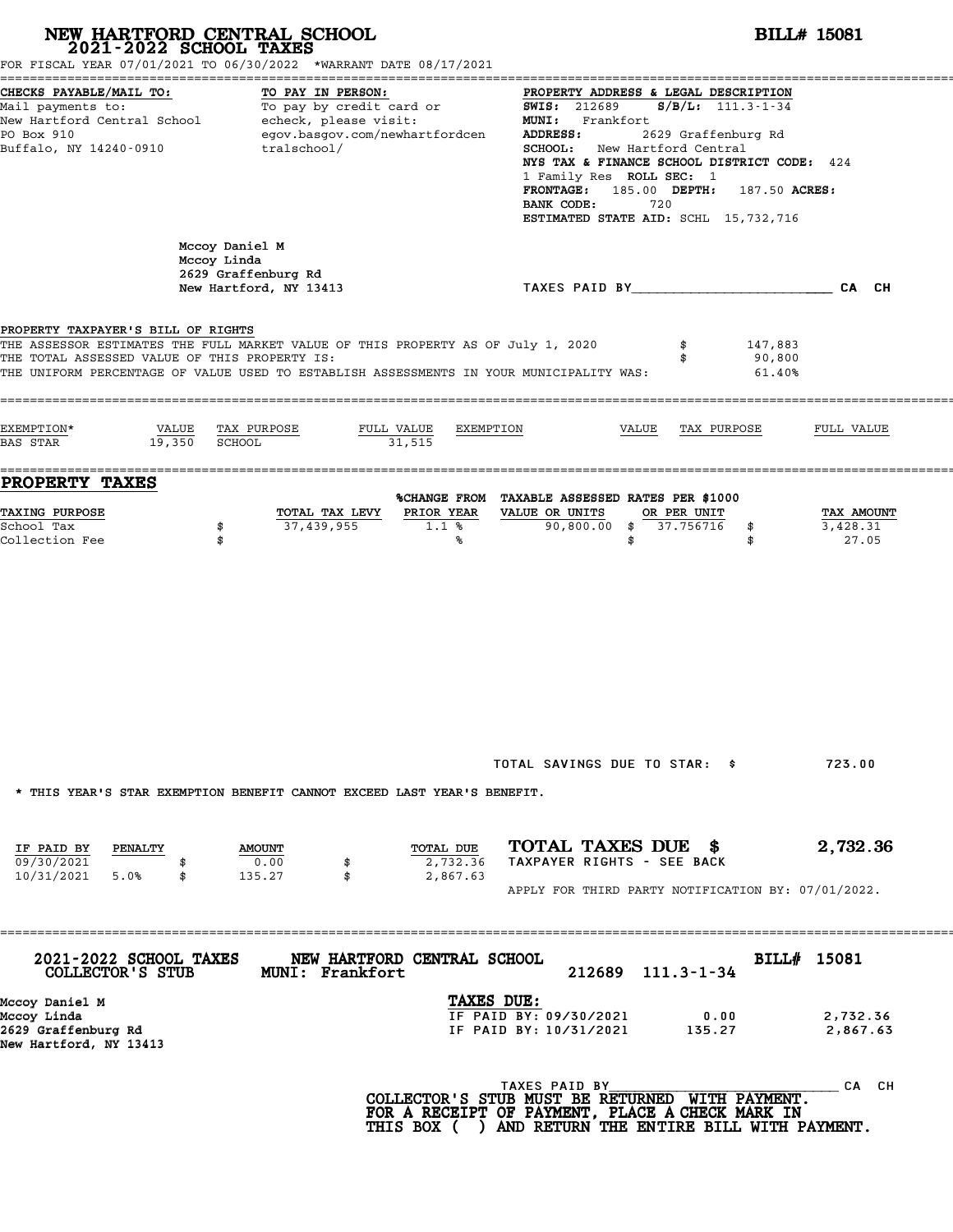# **NEW HARTFORD CENTRAL SCHOOL**<br>
2021-2022 SCHOOL TAXES<br>
FOR FISCAL YEAR 07/01/2021 TO 06/30/2022 \*WARRANT DATE 08/17/2021<br> **POR FISCAL YEAR 07/01/2021 TO 06/30/2022** \*WARRANT DATE 08/17/2021

| FOR FISCAL YEAR 07/01/2021 TO 06/30/2022 *WARRANT DATE 08/17/2021                                                       |                                                                                                                                                                                                                                                                                                                                                                                |                                                                                                                                                                                                                                                                                                                                                                                                                                                                                                                                                                                                                                                                                                                                         |
|-------------------------------------------------------------------------------------------------------------------------|--------------------------------------------------------------------------------------------------------------------------------------------------------------------------------------------------------------------------------------------------------------------------------------------------------------------------------------------------------------------------------|-----------------------------------------------------------------------------------------------------------------------------------------------------------------------------------------------------------------------------------------------------------------------------------------------------------------------------------------------------------------------------------------------------------------------------------------------------------------------------------------------------------------------------------------------------------------------------------------------------------------------------------------------------------------------------------------------------------------------------------------|
| TO PAY IN PERSON:<br>To pay by credit card or<br>echeck, please visit:<br>egov.basgov.com/newhartfordcen<br>tralschool/ | PROPERTY ADDRESS & LEGAL DESCRIPTION<br>$S/B/L$ : 111.3-1-34<br><b>SWIS: 212689</b><br>MUNI: Frankfort<br>ADDRESS:<br>2629 Graffenburg Rd<br><b>SCHOOL:</b> New Hartford Central<br>NYS TAX & FINANCE SCHOOL DISTRICT CODE: 424<br>1 Family Res ROLL SEC: 1<br><b>FRONTAGE:</b><br>185.00 DEPTH:<br>187.50 ACRES:<br>BANK CODE:<br>720<br>ESTIMATED STATE AID: SCHL 15,732,716 |                                                                                                                                                                                                                                                                                                                                                                                                                                                                                                                                                                                                                                                                                                                                         |
| Mccoy Daniel M<br>Mccoy Linda<br>2629 Graffenburg Rd<br>New Hartford, NY 13413                                          | TAXES PAID BY And All And All And All And All And All And All And All And All And All And All And All And All                                                                                                                                                                                                                                                                  | CA CH                                                                                                                                                                                                                                                                                                                                                                                                                                                                                                                                                                                                                                                                                                                                   |
| PROPERTY TAXPAYER'S BILL OF RIGHTS<br>THE TOTAL ASSESSED VALUE OF THIS PROPERTY IS:                                     | 147,883<br>90,800<br>61.40%                                                                                                                                                                                                                                                                                                                                                    |                                                                                                                                                                                                                                                                                                                                                                                                                                                                                                                                                                                                                                                                                                                                         |
| TAX PURPOSE<br>FULL VALUE<br><b>SCHOOL</b><br>31,515                                                                    | VALUE<br>TAX PURPOSE                                                                                                                                                                                                                                                                                                                                                           | FULL VALUE                                                                                                                                                                                                                                                                                                                                                                                                                                                                                                                                                                                                                                                                                                                              |
| TOTAL TAX LEVY<br>PRIOR YEAR                                                                                            | OR PER UNIT                                                                                                                                                                                                                                                                                                                                                                    | TAX AMOUNT                                                                                                                                                                                                                                                                                                                                                                                                                                                                                                                                                                                                                                                                                                                              |
|                                                                                                                         |                                                                                                                                                                                                                                                                                                                                                                                | 27.05                                                                                                                                                                                                                                                                                                                                                                                                                                                                                                                                                                                                                                                                                                                                   |
|                                                                                                                         |                                                                                                                                                                                                                                                                                                                                                                                | 723.00                                                                                                                                                                                                                                                                                                                                                                                                                                                                                                                                                                                                                                                                                                                                  |
| TOTAL DUE<br><b>AMOUNT</b><br>0.00<br>2,732.36<br>\$<br>\$<br>2,867.63<br>135.27                                        |                                                                                                                                                                                                                                                                                                                                                                                | 2,732.36                                                                                                                                                                                                                                                                                                                                                                                                                                                                                                                                                                                                                                                                                                                                |
| .============================                                                                                           | BILL# 15081                                                                                                                                                                                                                                                                                                                                                                    |                                                                                                                                                                                                                                                                                                                                                                                                                                                                                                                                                                                                                                                                                                                                         |
|                                                                                                                         | 0.00<br>135.27                                                                                                                                                                                                                                                                                                                                                                 | 2,732.36<br>2,867.63                                                                                                                                                                                                                                                                                                                                                                                                                                                                                                                                                                                                                                                                                                                    |
|                                                                                                                         |                                                                                                                                                                                                                                                                                                                                                                                | CA CH                                                                                                                                                                                                                                                                                                                                                                                                                                                                                                                                                                                                                                                                                                                                   |
|                                                                                                                         | 37,439,955<br>1.1%<br>℁<br><b>MUNI: Frankfort</b>                                                                                                                                                                                                                                                                                                                              | THE ASSESSOR ESTIMATES THE FULL MARKET VALUE OF THIS PROPERTY AS OF July 1, 2020<br>THE UNIFORM PERCENTAGE OF VALUE USED TO ESTABLISH ASSESSMENTS IN YOUR MUNICIPALITY WAS:<br>EXEMPTION<br>%CHANGE FROM TAXABLE ASSESSED RATES PER \$1000<br>VALUE OR UNITS<br>90,800.00<br>37.756716<br>\$<br>\$<br>\$<br>\$<br>TOTAL SAVINGS DUE TO STAR: \$<br>* THIS YEAR'S STAR EXEMPTION BENEFIT CANNOT EXCEED LAST YEAR'S BENEFIT.<br>TOTAL TAXES DUE \$<br>TAXPAYER RIGHTS - SEE BACK<br>APPLY FOR THIRD PARTY NOTIFICATION BY: 07/01/2022.<br>NEW HARTFORD CENTRAL SCHOOL<br>$111.3 - 1 - 34$<br>212689<br>TAXES DUE:<br>IF PAID BY: 09/30/2021<br>IF PAID BY: 10/31/2021<br>TAXES PAID BY<br>COLLECTOR'S STUB MUST BE RETURNED WITH PAYMENT. |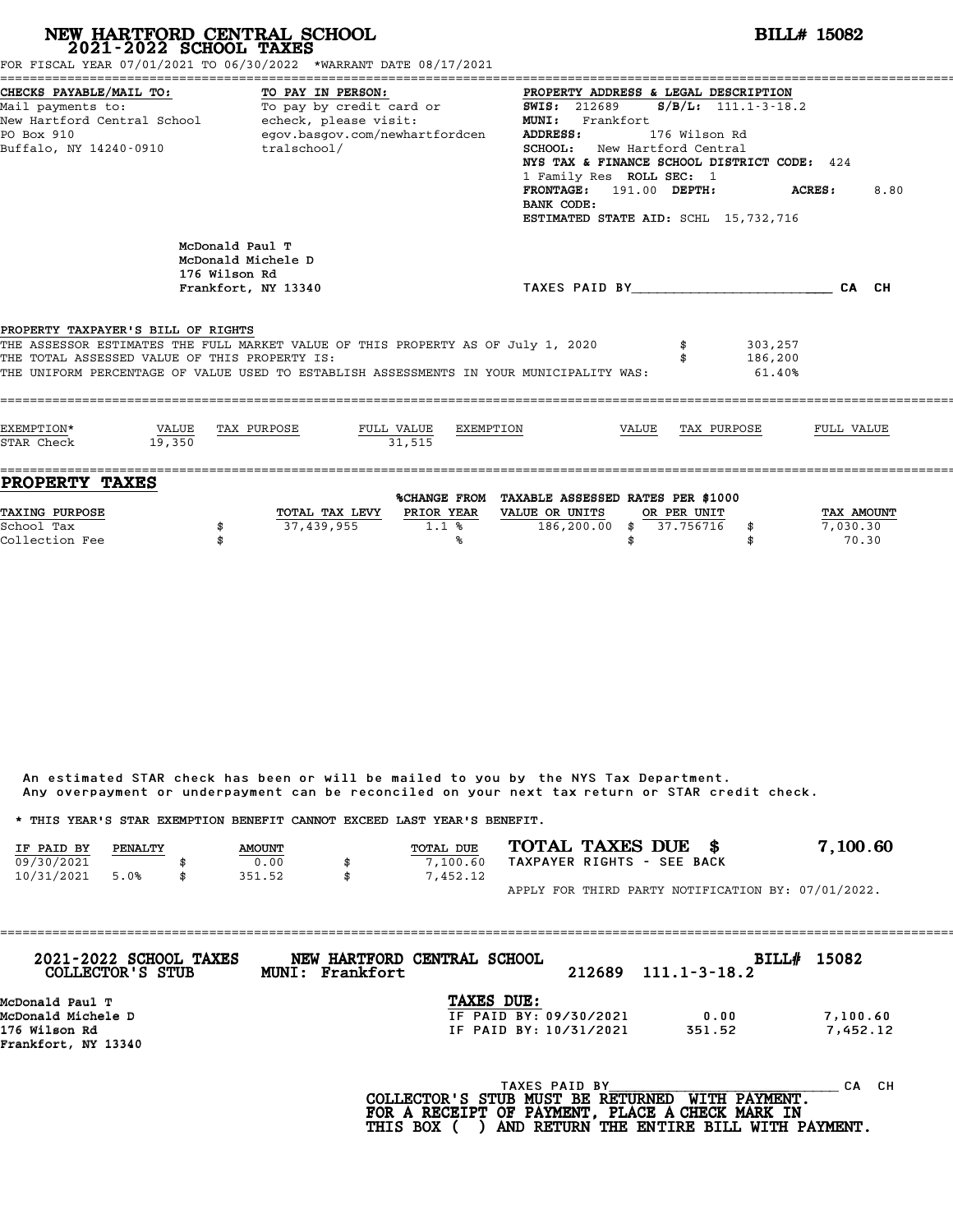# **NEW HARTFORD CENTRAL SCHOOL**<br>
2021-2022 SCHOOL TAXES<br>
FOR FISCAL YEAR 07/01/2021 TO 06/30/2022 \*WARRANT DATE 08/17/2021<br> **POR FISCAL YEAR 07/01/2021 TO 06/30/2022** \*WARRANT DATE 08/17/2021

|                                                                                 | FOR FISCAL YEAR 07/01/2021 TO 06/30/2022 *WARRANT DATE 08/17/2021                                                                                                       |                                                                                                                                                                                                                                                                                                                                           |                       |
|---------------------------------------------------------------------------------|-------------------------------------------------------------------------------------------------------------------------------------------------------------------------|-------------------------------------------------------------------------------------------------------------------------------------------------------------------------------------------------------------------------------------------------------------------------------------------------------------------------------------------|-----------------------|
| CHECKS PAYABLE/MAIL TO:<br>PO Box 910<br>Buffalo, NY 14240-0910                 | TO PAY IN PERSON:<br>Mail payments to: To pay by credit card or<br>New Hartford Central School - echeck, please visit:<br>egov.basgov.com/newhartfordcen<br>tralschool/ | PROPERTY ADDRESS & LEGAL DESCRIPTION<br>SWIS: $212689$ S/B/L: $111.1-3-18.2$<br><b>MUNI:</b><br>Frankfort<br><b>ADDRESS:</b><br>176 Wilson Rd<br>SCHOOL: New Hartford Central<br>NYS TAX & FINANCE SCHOOL DISTRICT CODE: 424<br>1 Family Res ROLL SEC: 1<br>FRONTAGE: 191.00 DEPTH:<br>BANK CODE:<br>ESTIMATED STATE AID: SCHL 15,732,716 | 8.80<br><b>ACRES:</b> |
| PROPERTY TAXPAYER'S BILL OF RIGHTS                                              | McDonald Paul T<br>McDonald Michele D<br>176 Wilson Rd<br>Frankfort, NY 13340<br>THE ASSESSOR ESTIMATES THE FULL MARKET VALUE OF THIS PROPERTY AS OF July 1, 2020       | TAXES PAID BY CA CH<br>303,257                                                                                                                                                                                                                                                                                                            |                       |
| THE TOTAL ASSESSED VALUE OF THIS PROPERTY IS:                                   | THE UNIFORM PERCENTAGE OF VALUE USED TO ESTABLISH ASSESSMENTS IN YOUR MUNICIPALITY WAS:                                                                                 | 186,200<br>61.40%                                                                                                                                                                                                                                                                                                                         |                       |
| EXEMPTION*<br>STAR Check<br>19,350                                              | VALUE TAX PURPOSE<br>FULL VALUE EXEMPTION<br>31.515                                                                                                                     | VALUE TAX PURPOSE                                                                                                                                                                                                                                                                                                                         | FULL VALUE            |
| ------------------------------------<br><b>PROPERTY TAXES</b><br>TAXING PURPOSE | TOTAL TAX LEVY PRIOR YEAR                                                                                                                                               | %CHANGE FROM TAXABLE ASSESSED RATES PER \$1000<br>VALUE OR UNITS<br>OR PER UNIT                                                                                                                                                                                                                                                           | TAX AMOUNT            |
| School Tax<br>Collection Fee                                                    | 37,439,955<br>1.1%<br>℁                                                                                                                                                 | 186,200.00 \$ 37.756716 \$<br>\$                                                                                                                                                                                                                                                                                                          | 7,030.30<br>70.30     |

An estimated STAR check has been or will be mailed to you by the NYS Tax Department. An estimated STAR check has been or will be mailed to you by the NYS Tax Department.<br>Any overpayment or underpayment can be reconciled on your next tax return or STAR credit check.

|                                                                         |         |               | Any overpayment or underpayment can be reconciled on your next tax return or STAR credit check. |           |                            |  |  |                                                    |
|-------------------------------------------------------------------------|---------|---------------|-------------------------------------------------------------------------------------------------|-----------|----------------------------|--|--|----------------------------------------------------|
| * THIS YEAR'S STAR EXEMPTION BENEFIT CANNOT EXCEED LAST YEAR'S BENEFIT. |         |               |                                                                                                 |           |                            |  |  |                                                    |
| IF PAID BY                                                              | PENALTY | <b>AMOUNT</b> |                                                                                                 | TOTAL DUE | TOTAL TAXES DUE \$         |  |  | 7,100.60                                           |
| 09/30/2021                                                              |         | 0.00          |                                                                                                 | 7,100.60  | TAXPAYER RIGHTS - SEE BACK |  |  |                                                    |
| 10/31/2021                                                              | 5.0%    | \$<br>351.52  | \$                                                                                              | 7,452.12  |                            |  |  |                                                    |
|                                                                         |         |               |                                                                                                 |           |                            |  |  | APPLY FOR THIRD PARTY NOTIFICATION BY: 07/01/2022. |

| TAXES DUE:<br>McDonald Paul T<br>McDonald Michele D<br>IF PAID BY: 09/30/2021<br>0.00<br>176 Wilson Rd | 7,100.60<br>7,452.12<br>IF PAID BY: 10/31/2021<br>351.52 |
|--------------------------------------------------------------------------------------------------------|----------------------------------------------------------|
|                                                                                                        |                                                          |
|                                                                                                        |                                                          |
| Frankfort, NY 13340                                                                                    |                                                          |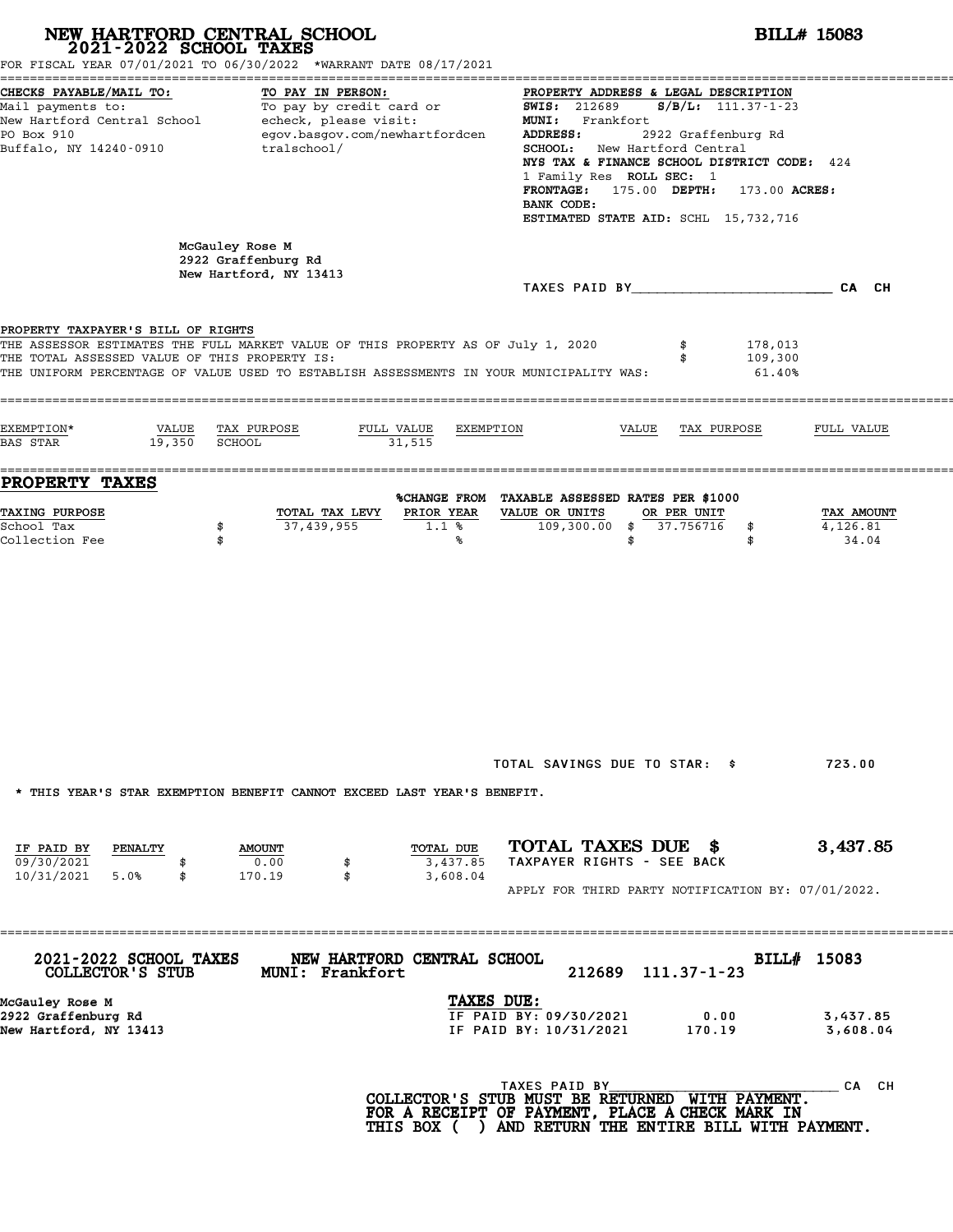|                                                                                                                     | NEW HARTFORD CENTRAL SCHOOL<br>2021-2022 SCHOOL TAXES<br>FOR FISCAL YEAR 07/01/2021 TO 06/30/2022 *WARRANT DATE 08/17/2021                                                  |                                                                                                                                                                                                                                                                                                                                                                      | <b>BILL# 15083</b>              |  |  |  |  |  |  |
|---------------------------------------------------------------------------------------------------------------------|-----------------------------------------------------------------------------------------------------------------------------------------------------------------------------|----------------------------------------------------------------------------------------------------------------------------------------------------------------------------------------------------------------------------------------------------------------------------------------------------------------------------------------------------------------------|---------------------------------|--|--|--|--|--|--|
| CHECKS PAYABLE/MAIL TO:<br>Mail payments to:<br>New Hartford Central School<br>PO Box 910<br>Buffalo, NY 14240-0910 | TO PAY IN PERSON:<br>To pay by credit card or<br>echeck, please visit:<br>egov.basgov.com/newhartfordcen<br>tralschool/                                                     | PROPERTY ADDRESS & LEGAL DESCRIPTION<br>$S/B/L$ : 111.37-1-23<br><b>SWIS: 212689</b><br><b>MUNI:</b><br>Frankfort<br>2922 Graffenburg Rd<br>ADDRESS:<br>New Hartford Central<br>SCHOOL:<br>NYS TAX & FINANCE SCHOOL DISTRICT CODE: 424<br>1 Family Res ROLL SEC: 1<br>FRONTAGE: 175.00 DEPTH:<br>173.00 ACRES:<br>BANK CODE:<br>ESTIMATED STATE AID: SCHL 15,732,716 |                                 |  |  |  |  |  |  |
|                                                                                                                     | McGauley Rose M<br>2922 Graffenburg Rd<br>New Hartford, NY 13413                                                                                                            | TAXES PAID BY TAXES PAID BY                                                                                                                                                                                                                                                                                                                                          | CA CH                           |  |  |  |  |  |  |
| PROPERTY TAXPAYER'S BILL OF RIGHTS<br>THE TOTAL ASSESSED VALUE OF THIS PROPERTY IS:                                 | THE ASSESSOR ESTIMATES THE FULL MARKET VALUE OF THIS PROPERTY AS OF July 1, 2020<br>THE UNIFORM PERCENTAGE OF VALUE USED TO ESTABLISH ASSESSMENTS IN YOUR MUNICIPALITY WAS: | 178,013<br>\$<br>109,300<br>\$<br>61.40%                                                                                                                                                                                                                                                                                                                             |                                 |  |  |  |  |  |  |
| EXEMPTION*<br>VALUE<br>19,350<br><b>BAS STAR</b>                                                                    | TAX PURPOSE<br>FULL VALUE<br>SCHOOL<br>31,515                                                                                                                               | EXEMPTION<br>VALUE<br>TAX PURPOSE                                                                                                                                                                                                                                                                                                                                    | FULL VALUE                      |  |  |  |  |  |  |
| <b>PROPERTY TAXES</b><br>TAXING PURPOSE<br>School Tax<br>Collection Fee                                             | PRIOR YEAR<br>TOTAL TAX LEVY<br>37,439,955<br>\$<br>1.1%<br>\$<br>℁                                                                                                         | %CHANGE FROM TAXABLE ASSESSED RATES PER \$1000<br>VALUE OR UNITS<br>OR PER UNIT<br>$109,300.00$ \$<br>37.756716<br>\$<br>\$<br>\$                                                                                                                                                                                                                                    | TAX AMOUNT<br>4,126.81<br>34.04 |  |  |  |  |  |  |
|                                                                                                                     | * THIS YEAR'S STAR EXEMPTION BENEFIT CANNOT EXCEED LAST YEAR'S BENEFIT.                                                                                                     | TOTAL SAVINGS DUE TO STAR: \$<br>TOTAL TAXES DUE \$                                                                                                                                                                                                                                                                                                                  | 723.00<br>3,437.85              |  |  |  |  |  |  |
| IF PAID BY<br>PENALTY<br>09/30/2021<br>10/31/2021<br>5.0%<br>\$                                                     | TOTAL DUE<br><b>AMOUNT</b><br>0.00<br>3,437.85<br>\$<br>170.19<br>\$<br>3,608.04                                                                                            | TAXPAYER RIGHTS - SEE BACK<br>APPLY FOR THIRD PARTY NOTIFICATION BY: 07/01/2022.                                                                                                                                                                                                                                                                                     |                                 |  |  |  |  |  |  |
| 2021-2022 SCHOOL TAXES<br>COLLECTOR'S STUB                                                                          | ================<br>NEW HARTFORD CENTRAL SCHOOL<br>MUNI: Frankfort                                                                                                          | 212689<br>$111.37 - 1 - 23$                                                                                                                                                                                                                                                                                                                                          | BILL# 15083                     |  |  |  |  |  |  |
| McGauley Rose M<br>2922 Graffenburg Rd<br>New Hartford, NY 13413                                                    |                                                                                                                                                                             | TAXES DUE:<br>IF PAID BY: 09/30/2021<br>0.00<br>IF PAID BY: 10/31/2021<br>170.19                                                                                                                                                                                                                                                                                     | 3,437.85<br>3,608.04            |  |  |  |  |  |  |
|                                                                                                                     |                                                                                                                                                                             | TAXES PAID BY<br>COLLECTOR'S STUB MUST BE RETURNED WITH PAYMENT.<br>FOR A RECEIPT OF PAYMENT, PLACE A CHECK MARK IN<br>THIS BOX ( ) AND RETURN THE ENTIRE BILL WITH PAYMENT.                                                                                                                                                                                         | CA CH                           |  |  |  |  |  |  |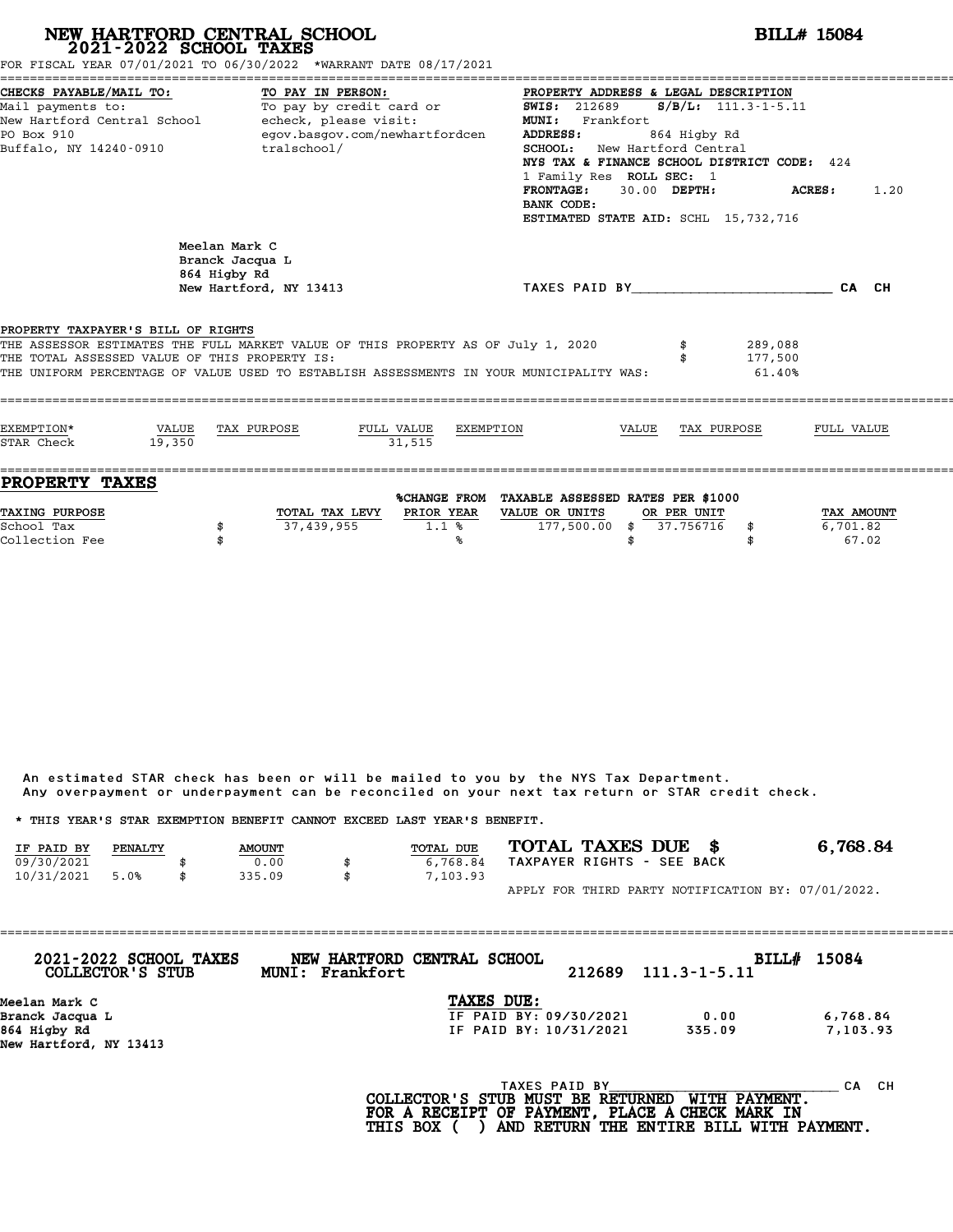|                                                                                                                                             |                 | NEW HARTFORD CENTRAL SCHOOL<br>2021-2022 SCHOOL TAXES                      | FOR FISCAL YEAR 07/01/2021 TO 06/30/2022 *WARRANT DATE 08/17/2021                                                                                                           |                                                     |                                                                                                                                                                                                                                                                                 |              |                          |                              | <b>BILL# 15084</b>              |      |
|---------------------------------------------------------------------------------------------------------------------------------------------|-----------------|----------------------------------------------------------------------------|-----------------------------------------------------------------------------------------------------------------------------------------------------------------------------|-----------------------------------------------------|---------------------------------------------------------------------------------------------------------------------------------------------------------------------------------------------------------------------------------------------------------------------------------|--------------|--------------------------|------------------------------|---------------------------------|------|
| CHECKS PAYABLE/MAIL TO:<br>Mail payments to:<br>New Hartford Central School - echeck, please visit:<br>PO Box 910<br>Buffalo, NY 14240-0910 |                 | TO PAY IN PERSON:<br>tralschool/                                           | To pay by credit card or<br>egov.basgov.com/newhartfordcen                                                                                                                  |                                                     | PROPERTY ADDRESS & LEGAL DESCRIPTION<br><b>SWIS: 212689</b><br>MUNI: Frankfort<br>ADDRESS:<br>SCHOOL: New Hartford Central<br>NYS TAX & FINANCE SCHOOL DISTRICT CODE: 424<br>1 Family Res ROLL SEC: 1<br><b>FRONTAGE:</b><br>BANK CODE:<br>ESTIMATED STATE AID: SCHL 15,732,716 | 30.00 DEPTH: | 864 Higby Rd             | $S/B/L$ : 111.3-1-5.11       | <b>ACRES:</b>                   | 1.20 |
|                                                                                                                                             |                 | Meelan Mark C<br>Branck Jacqua L<br>864 Higby Rd<br>New Hartford, NY 13413 |                                                                                                                                                                             |                                                     | TAXES PAID BY CALCH                                                                                                                                                                                                                                                             |              |                          |                              |                                 |      |
| PROPERTY TAXPAYER'S BILL OF RIGHTS<br>THE TOTAL ASSESSED VALUE OF THIS PROPERTY IS:                                                         |                 |                                                                            | THE ASSESSOR ESTIMATES THE FULL MARKET VALUE OF THIS PROPERTY AS OF July 1, 2020<br>THE UNIFORM PERCENTAGE OF VALUE USED TO ESTABLISH ASSESSMENTS IN YOUR MUNICIPALITY WAS: |                                                     |                                                                                                                                                                                                                                                                                 |              |                          | 289,088<br>177,500<br>61.40% |                                 |      |
| EXEMPTION*<br>STAR Check                                                                                                                    | VALUE<br>19,350 | TAX PURPOSE                                                                | FULL VALUE<br>31.515                                                                                                                                                        | EXEMPTION                                           |                                                                                                                                                                                                                                                                                 | VALUE        | TAX PURPOSE              |                              | FULL VALUE                      |      |
| PROPERTY TAXES<br>TAXING PURPOSE<br>School Tax<br>Collection Fee                                                                            |                 | 37,439,955<br>\$<br>\$                                                     | TOTAL TAX LEVY PRIOR YEAR<br>1.1%                                                                                                                                           | %CHANGE FROM TAXABLE ASSESSED RATES PER \$1000<br>℁ | VALUE OR UNITS<br>$177,500.00$ \$                                                                                                                                                                                                                                               | \$           | OR PER UNIT<br>37.756716 | \$<br>\$                     | TAX AMOUNT<br>6,701.82<br>67.02 |      |

|                                                                         |         |               | Any overpayment or underpayment can be reconciled on your next tax return or STAR credit check. |                  |                    |                            |  |                                                    |
|-------------------------------------------------------------------------|---------|---------------|-------------------------------------------------------------------------------------------------|------------------|--------------------|----------------------------|--|----------------------------------------------------|
| * THIS YEAR'S STAR EXEMPTION BENEFIT CANNOT EXCEED LAST YEAR'S BENEFIT. |         |               |                                                                                                 |                  |                    |                            |  |                                                    |
| IF PAID BY                                                              | PENALTY | <b>AMOUNT</b> |                                                                                                 | <b>TOTAL DUE</b> | TOTAL TAXES DUE \$ |                            |  | 6,768.84                                           |
| 09/30/2021                                                              |         | 0.00          | \$                                                                                              | 6,768.84         |                    | TAXPAYER RIGHTS - SEE BACK |  |                                                    |
| 10/31/2021                                                              | 5.0%    | 335.09        | \$                                                                                              | 7,103.93         |                    |                            |  |                                                    |
|                                                                         |         |               |                                                                                                 |                  |                    |                            |  | APPLY FOR THIRD PARTY NOTIFICATION BY: 07/01/2022. |

| 2021-2022 SCHOOL TAXES<br>COLLECTOR'S STUB | NEW HARTFORD CENTRAL SCHOOL<br>MUNI: Frankfort |                        | 212689 | $111.3 - 1 - 5.11$ | BILL# 15084 |
|--------------------------------------------|------------------------------------------------|------------------------|--------|--------------------|-------------|
| Meelan Mark C                              |                                                | TAXES DUE:             |        |                    |             |
| Branck Jacqua L                            |                                                | IF PAID BY: 09/30/2021 |        | 0.00               | 6,768.84    |
| 864 Higby Rd                               |                                                | IF PAID BY: 10/31/2021 |        | 335.09             | 7,103.93    |
| New Hartford, NY 13413                     |                                                |                        |        |                    |             |
|                                            |                                                | TAXES PAID BY          |        |                    | CH.<br>CА   |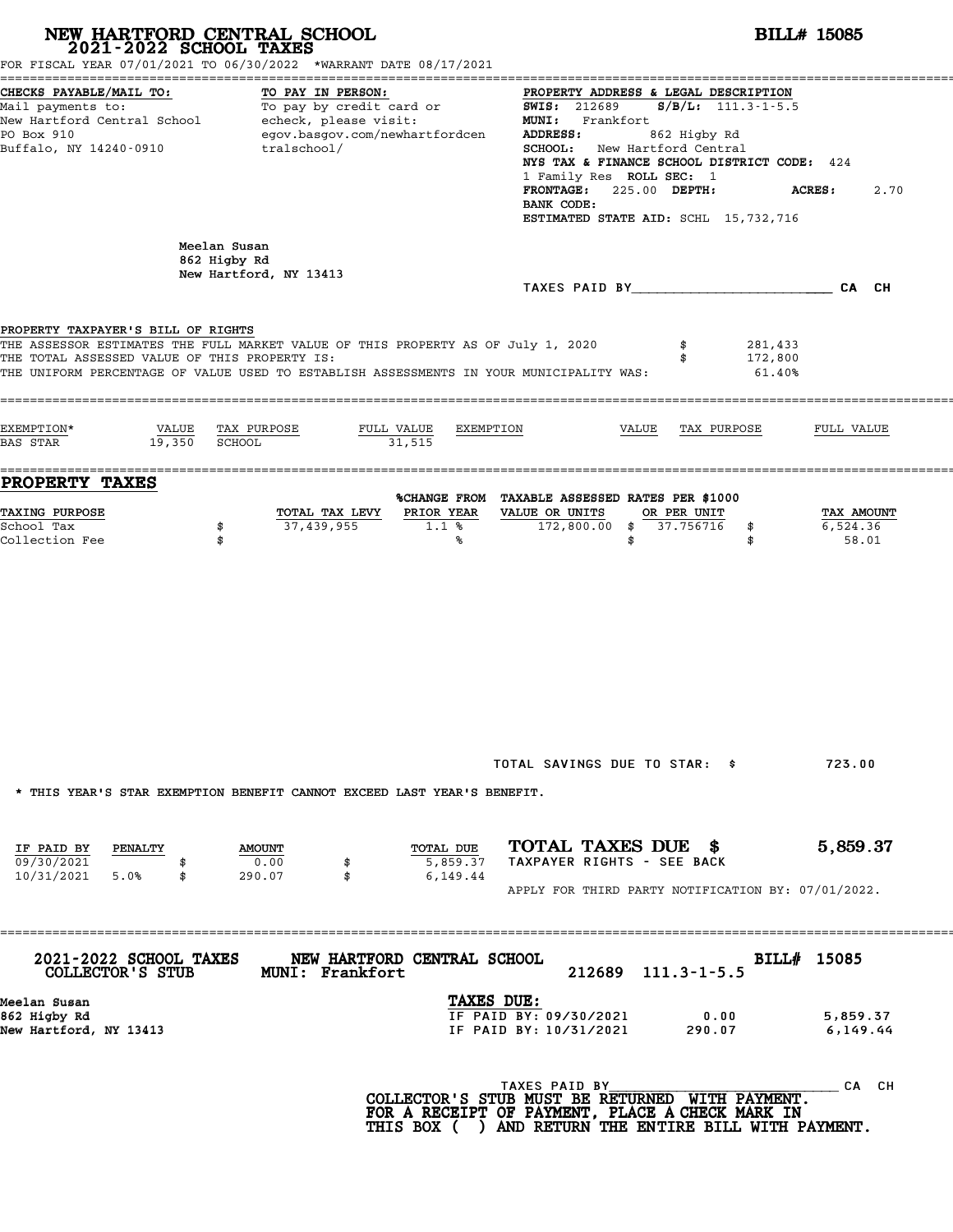| NEW HARTFORD CENTRAL SCHOOL<br>2021-2022 SCHOOL TAXES                                                                                       | FOR FISCAL YEAR 07/01/2021 TO 06/30/2022 *WARRANT DATE 08/17/2021                                                                                                           |                                                                                                                                                                                                                                                                                                                                                        | <b>BILL# 15085</b>                  |
|---------------------------------------------------------------------------------------------------------------------------------------------|-----------------------------------------------------------------------------------------------------------------------------------------------------------------------------|--------------------------------------------------------------------------------------------------------------------------------------------------------------------------------------------------------------------------------------------------------------------------------------------------------------------------------------------------------|-------------------------------------|
| CHECKS PAYABLE/MAIL TO:<br>Mail payments to:<br>New Hartford Central School - echeck, please visit:<br>PO Box 910<br>Buffalo, NY 14240-0910 | TO PAY IN PERSON:<br>To pay by credit card or<br>egov.basgov.com/newhartfordcen<br>tralschool/                                                                              | PROPERTY ADDRESS & LEGAL DESCRIPTION<br>$S/B/L$ : 111.3-1-5.5<br><b>SWIS: 212689</b><br><b>MUNI:</b><br>Frankfort<br>ADDRESS:<br>862 Higby Rd<br>SCHOOL:<br>New Hartford Central<br>NYS TAX & FINANCE SCHOOL DISTRICT CODE: 424<br>1 Family Res ROLL SEC: 1<br>225.00 DEPTH:<br><b>FRONTAGE:</b><br>BANK CODE:<br>ESTIMATED STATE AID: SCHL 15,732,716 | 2.70<br><b>ACRES:</b>               |
|                                                                                                                                             | Meelan Susan<br>862 Higby Rd<br>New Hartford, NY 13413                                                                                                                      |                                                                                                                                                                                                                                                                                                                                                        |                                     |
| PROPERTY TAXPAYER'S BILL OF RIGHTS<br>THE TOTAL ASSESSED VALUE OF THIS PROPERTY IS:                                                         | THE ASSESSOR ESTIMATES THE FULL MARKET VALUE OF THIS PROPERTY AS OF July 1, 2020<br>THE UNIFORM PERCENTAGE OF VALUE USED TO ESTABLISH ASSESSMENTS IN YOUR MUNICIPALITY WAS: | 281,433<br>\$<br>172,800<br>\$<br>61.40%                                                                                                                                                                                                                                                                                                               |                                     |
| EXEMPTION*<br>VALUE<br>19,350<br><b>BAS STAR</b>                                                                                            | TAX PURPOSE<br>FULL VALUE<br>EXEMPTION<br>SCHOOL<br>31,515                                                                                                                  | VALUE<br>TAX PURPOSE                                                                                                                                                                                                                                                                                                                                   | FULL VALUE                          |
| <b>PROPERTY TAXES</b><br>TAXING PURPOSE<br>School Tax<br>Collection Fee                                                                     | PRIOR YEAR<br>TOTAL TAX LEVY<br>37,439,955<br>\$<br>1.1%<br>\$<br>℁                                                                                                         | %CHANGE FROM TAXABLE ASSESSED RATES PER \$1000<br>VALUE OR UNITS<br>OR PER UNIT<br>$172,800.00$ \$<br>37.756716<br>\$<br>\$<br>\$                                                                                                                                                                                                                      | TAX AMOUNT<br>6,524.36<br>58.01     |
| IF PAID BY<br><b>PENALTY</b>                                                                                                                | * THIS YEAR'S STAR EXEMPTION BENEFIT CANNOT EXCEED LAST YEAR'S BENEFIT.<br>TOTAL DUE<br><b>AMOUNT</b>                                                                       | TOTAL SAVINGS DUE TO STAR: \$<br>TOTAL TAXES DUE \$                                                                                                                                                                                                                                                                                                    | 723.00<br>5,859.37                  |
| 09/30/2021<br>10/31/2021 5.0%<br>\$                                                                                                         | 0.00<br>5,859.37<br>\$<br>290.07<br>\$<br>6,149.44                                                                                                                          | TAXPAYER RIGHTS - SEE BACK<br>APPLY FOR THIRD PARTY NOTIFICATION BY: 07/01/2022.                                                                                                                                                                                                                                                                       |                                     |
| 2021-2022 SCHOOL TAXES<br>COLLECTOR'S STUB<br>Meelan Susan<br>862 Higby Rd<br>New Hartford, NY 13413                                        | NEW HARTFORD CENTRAL SCHOOL<br><b>MUNI: Frankfort</b><br>TAXES DUE:                                                                                                         | 212689<br>$111.3 - 1 - 5.5$<br>IF PAID BY: 09/30/2021<br>0.00<br>IF PAID BY: 10/31/2021<br>290.07                                                                                                                                                                                                                                                      | BILL# 15085<br>5,859.37<br>6,149.44 |
|                                                                                                                                             |                                                                                                                                                                             | TAXES PAID BY<br>COLLECTOR'S STUB MUST BE RETURNED WITH PAYMENT.<br>FOR A RECEIPT OF PAYMENT, PLACE A CHECK MARK IN<br>THIS BOX ( ) AND RETURN THE ENTIRE BILL WITH PAYMENT.                                                                                                                                                                           | CA CH                               |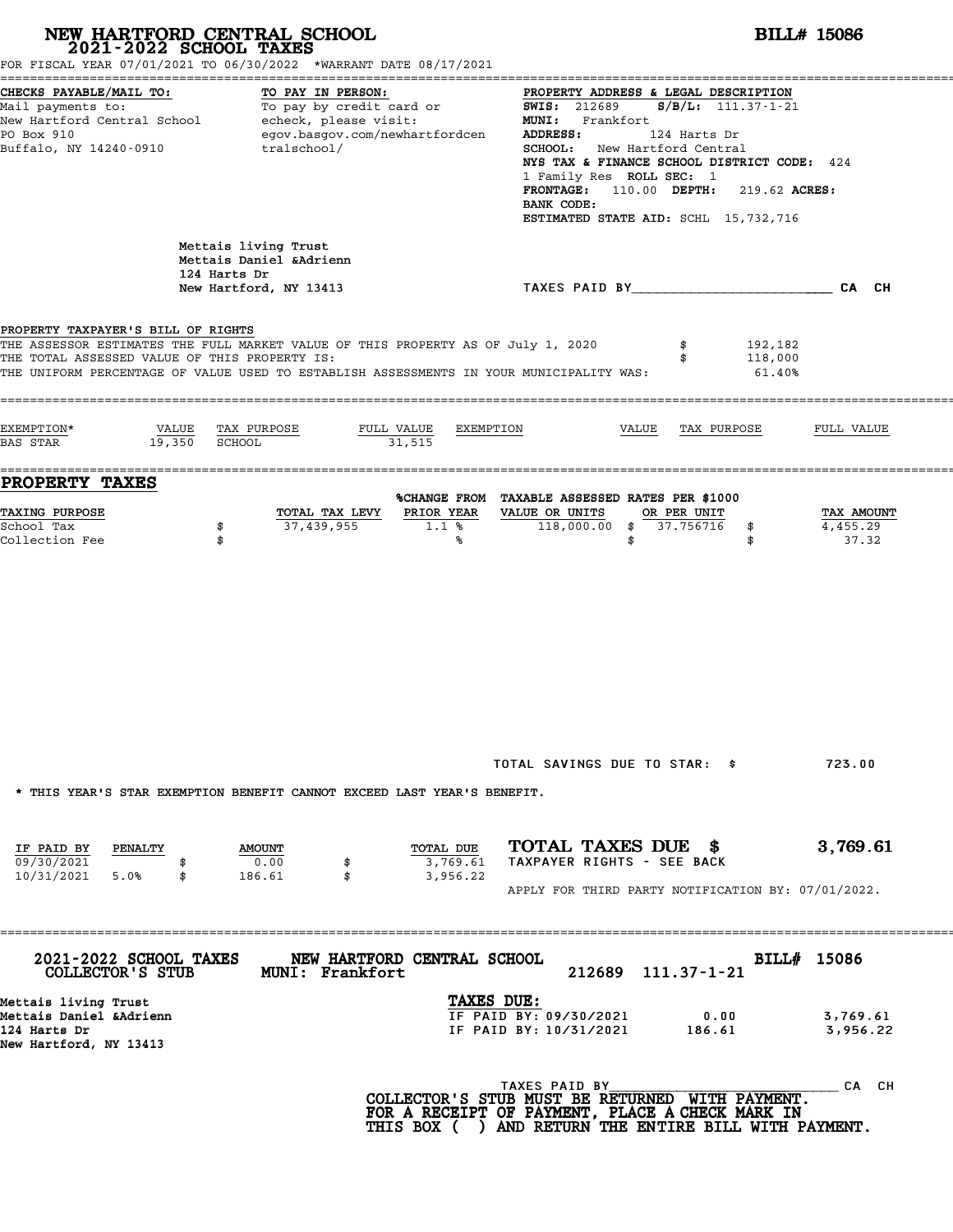| NEW HARTFORD CENTRAL SCHOOL 2021-2022 SCHOOL TAXES                                        | FOR FISCAL YEAR 07/01/2021 TO 06/30/2022 *WARRANT DATE 08/17/2021                                                                                                                          | <b>BILL# 15086</b>                                                                                                                                                                                                                                                                                                                                  |                                 |  |  |  |  |  |
|-------------------------------------------------------------------------------------------|--------------------------------------------------------------------------------------------------------------------------------------------------------------------------------------------|-----------------------------------------------------------------------------------------------------------------------------------------------------------------------------------------------------------------------------------------------------------------------------------------------------------------------------------------------------|---------------------------------|--|--|--|--|--|
| CHECKS PAYABLE/MAIL TO:<br>PO Box 910<br>Buffalo, NY 14240-0910                           | TO PAY IN PERSON:<br>Mail payments to:<br>Mail payments to: To pay by credit card or<br>New Hartford Central School echeck, please visit:<br>egov.basgov.com/newhartfordcen<br>tralschool/ | PROPERTY ADDRESS & LEGAL DESCRIPTION<br>$S/B/L: 111.37-1-21$<br><b>SWIS:</b> 212689<br>MUNI: Frankfort<br>ADDRESS:<br>124 Harts Dr<br><b>SCHOOL:</b> New Hartford Central<br>NYS TAX & FINANCE SCHOOL DISTRICT CODE: 424<br>1 Family Res ROLL SEC: 1<br>FRONTAGE: 110.00 DEPTH: 219.62 ACRES:<br>BANK CODE:<br>ESTIMATED STATE AID: SCHL 15,732,716 |                                 |  |  |  |  |  |
|                                                                                           | Mettais living Trust<br>Mettais Daniel & Adrienn<br>124 Harts Dr<br>New Hartford, NY 13413                                                                                                 | TAXES PAID BY___________________________CA CH                                                                                                                                                                                                                                                                                                       |                                 |  |  |  |  |  |
| PROPERTY TAXPAYER'S BILL OF RIGHTS<br>THE TOTAL ASSESSED VALUE OF THIS PROPERTY IS:       | THE ASSESSOR ESTIMATES THE FULL MARKET VALUE OF THIS PROPERTY AS OF July 1, 2020<br>THE UNIFORM PERCENTAGE OF VALUE USED TO ESTABLISH ASSESSMENTS IN YOUR MUNICIPALITY WAS:                | 192,182<br>\$<br>118,000<br>\$<br>$61.40\%$                                                                                                                                                                                                                                                                                                         |                                 |  |  |  |  |  |
| EXEMPTION*<br>19,350 SCHOOL<br>BAS STAR                                                   | VALUE TAX PURPOSE<br>FULL VALUE<br>31,515                                                                                                                                                  | EXEMPTION<br>VALUE<br>TAX PURPOSE                                                                                                                                                                                                                                                                                                                   | FULL VALUE                      |  |  |  |  |  |
| <b>PROPERTY TAXES</b>                                                                     |                                                                                                                                                                                            | %CHANGE FROM TAXABLE ASSESSED RATES PER \$1000                                                                                                                                                                                                                                                                                                      |                                 |  |  |  |  |  |
| TAXING PURPOSE<br>School Tax<br>Collection Fee                                            | PRIOR YEAR<br>TOTAL TAX LEVY<br>37,439,955<br>\$<br>$1.1$ %<br>\$<br>℁                                                                                                                     | VALUE OR UNITS<br>OR PER UNIT<br>118,000.00 \$ 37.756716<br>\$<br>\$<br>\$                                                                                                                                                                                                                                                                          | TAX AMOUNT<br>4,455.29<br>37.32 |  |  |  |  |  |
| IF PAID BY<br><b>PENALTY</b><br>09/30/2021                                                | * THIS YEAR'S STAR EXEMPTION BENEFIT CANNOT EXCEED LAST YEAR'S BENEFIT.<br>TOTAL DUE<br><b>AMOUNT</b><br>0.00<br>3,769.61<br>\$                                                            | TOTAL SAVINGS DUE TO STAR: \$<br>TOTAL TAXES DUE \$<br>TAXPAYER RIGHTS - SEE BACK                                                                                                                                                                                                                                                                   | 723.00<br>3,769.61              |  |  |  |  |  |
| 10/31/2021 5.0%<br>\$                                                                     | 186.61<br>\$<br>3,956.22                                                                                                                                                                   | APPLY FOR THIRD PARTY NOTIFICATION BY: 07/01/2022.                                                                                                                                                                                                                                                                                                  |                                 |  |  |  |  |  |
| 2021-2022 SCHOOL TAXES<br>COLLECTOR'S STUB                                                | NEW HARTFORD CENTRAL SCHOOL<br>MUNI: Frankfort                                                                                                                                             | 212689 111.37-1-21                                                                                                                                                                                                                                                                                                                                  | BILL# 15086                     |  |  |  |  |  |
| Mettais living Trust<br>Mettais Daniel &Adrienn<br>124 Harts Dr<br>New Hartford, NY 13413 |                                                                                                                                                                                            | TAXES DUE:<br>IF PAID BY: 09/30/2021<br>0.00<br>IF PAID BY: 10/31/2021<br>186.61                                                                                                                                                                                                                                                                    | 3,769.61<br>3,956.22            |  |  |  |  |  |
|                                                                                           |                                                                                                                                                                                            |                                                                                                                                                                                                                                                                                                                                                     |                                 |  |  |  |  |  |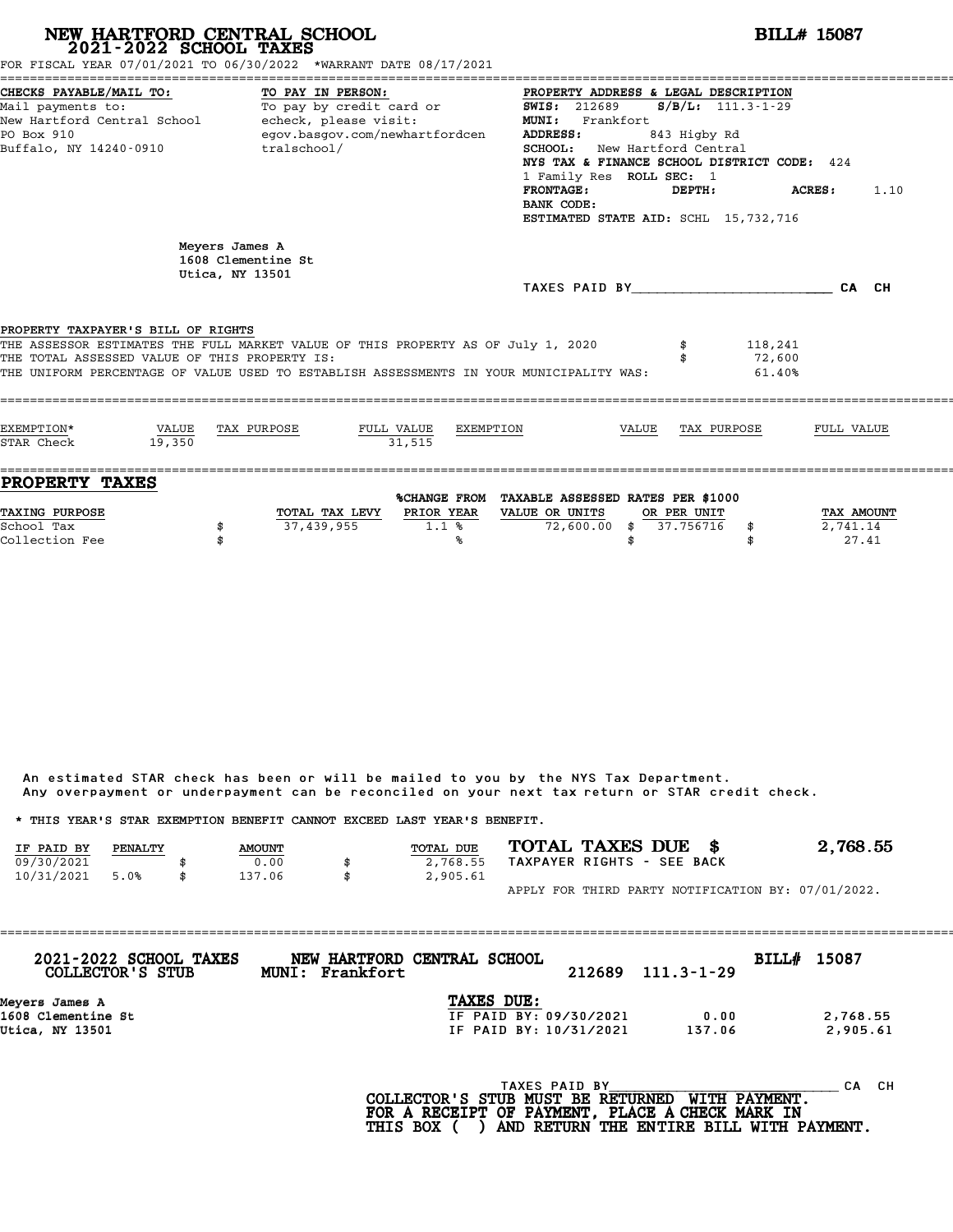| FOR FISCAL YEAR 07/01/2021 TO 06/30/2022 *WARRANT DATE 08/17/2021                                                                                                                                                                                                  |                 | NEW HARTFORD CENTRAL SCHOOL<br>2021-2022 SCHOOL TAXES   |                                               |                                                |                                                                                                                                                                                                                                                                                        |       |                        |                             | <b>BILL# 15087</b>            |      |
|--------------------------------------------------------------------------------------------------------------------------------------------------------------------------------------------------------------------------------------------------------------------|-----------------|---------------------------------------------------------|-----------------------------------------------|------------------------------------------------|----------------------------------------------------------------------------------------------------------------------------------------------------------------------------------------------------------------------------------------------------------------------------------------|-------|------------------------|-----------------------------|-------------------------------|------|
| CHECKS PAYABLE/MAIL TO:<br>Mail payments to: To pay by credit card or<br>New Hartford Central School - echeck, please visit:<br>PO Box 910<br>Buffalo, NY 14240-0910                                                                                               |                 | TO PAY IN PERSON:                                       | egov.basgov.com/newhartfordcen<br>tralschool/ |                                                | PROPERTY ADDRESS & LEGAL DESCRIPTION<br><b>SWIS:</b> 212689<br>MUNI: Frankfort<br><b>ADDRESS:</b><br>SCHOOL: New Hartford Central<br>NYS TAX & FINANCE SCHOOL DISTRICT CODE: 424<br>1 Family Res ROLL SEC: 1<br><b>FRONTAGE:</b><br>BANK CODE:<br>ESTIMATED STATE AID: SCHL 15,732,716 |       | 843 Higby Rd<br>DEPTH: | $S/B/L$ : 111.3-1-29        | ACRES :                       | 1.10 |
|                                                                                                                                                                                                                                                                    |                 | Meyers James A<br>1608 Clementine St<br>Utica, NY 13501 |                                               |                                                | TAXES PAID BY CA CH                                                                                                                                                                                                                                                                    |       |                        |                             |                               |      |
| PROPERTY TAXPAYER'S BILL OF RIGHTS<br>THE ASSESSOR ESTIMATES THE FULL MARKET VALUE OF THIS PROPERTY AS OF July 1, 2020<br>THE TOTAL ASSESSED VALUE OF THIS PROPERTY IS:<br>THE UNIFORM PERCENTAGE OF VALUE USED TO ESTABLISH ASSESSMENTS IN YOUR MUNICIPALITY WAS: |                 |                                                         |                                               |                                                |                                                                                                                                                                                                                                                                                        |       |                        | 118,241<br>72,600<br>61.40% |                               |      |
| EXEMPTION*<br>STAR Check                                                                                                                                                                                                                                           | VALUE<br>19.350 | TAX PURPOSE                                             | FULL VALUE<br>31.515                          | EXEMPTION                                      |                                                                                                                                                                                                                                                                                        | VALUE | TAX PURPOSE            |                             | FULL VALUE                    |      |
| <b>PROPERTY TAXES</b><br><b>TAXING PURPOSE</b><br>School Tax                                                                                                                                                                                                       | \$              | 37,439,955                                              | TOTAL TAX LEVY PRIOR YEAR<br>1.1%             | %CHANGE FROM TAXABLE ASSESSED RATES PER \$1000 | VALUE OR UNITS<br>72,600.00 \$ 37.756716                                                                                                                                                                                                                                               |       | OR PER UNIT            | \$                          | <b>TAX AMOUNT</b><br>2,741.14 |      |

|            |         |               | Any overpayment or underpayment can be reconciled on your next tax return or STAR credit check. |                            |                                                    |
|------------|---------|---------------|-------------------------------------------------------------------------------------------------|----------------------------|----------------------------------------------------|
|            |         |               | * THIS YEAR'S STAR EXEMPTION BENEFIT CANNOT EXCEED LAST YEAR'S BENEFIT.                         |                            |                                                    |
| IF PAID BY | PENALTY | <b>AMOUNT</b> | <b>TOTAL DUE</b>                                                                                | TOTAL TAXES DUE \$         | 2,768.55                                           |
| 09/30/2021 |         | 0.00          | 2,768.55                                                                                        | TAXPAYER RIGHTS - SEE BACK |                                                    |
| 10/31/2021 | 5.0%    | \$<br>137.06  | \$<br>2,905.61                                                                                  |                            |                                                    |
|            |         |               |                                                                                                 |                            | APPLY FOR THIRD PARTY NOTIFICATION BY: 07/01/2022. |

| 2021-2022 SCHOOL TAXES<br>COLLECTOR'S STUB | NEW HARTFORD CENTRAL SCHOOL<br>MUNI: Frankfort | 212689 | 111.3-1-29 | <b>BILL# 15087</b> |          |
|--------------------------------------------|------------------------------------------------|--------|------------|--------------------|----------|
| Meyers James A                             | TAXES DUE:                                     |        |            |                    |          |
| 1608 Clementine St                         | IF PAID BY: 09/30/2021                         |        | 0.00       |                    | 2,768.55 |
| Utica, NY 13501                            | IF PAID BY: 10/31/2021                         |        | 137.06     |                    | 2,905.61 |
|                                            |                                                |        |            |                    |          |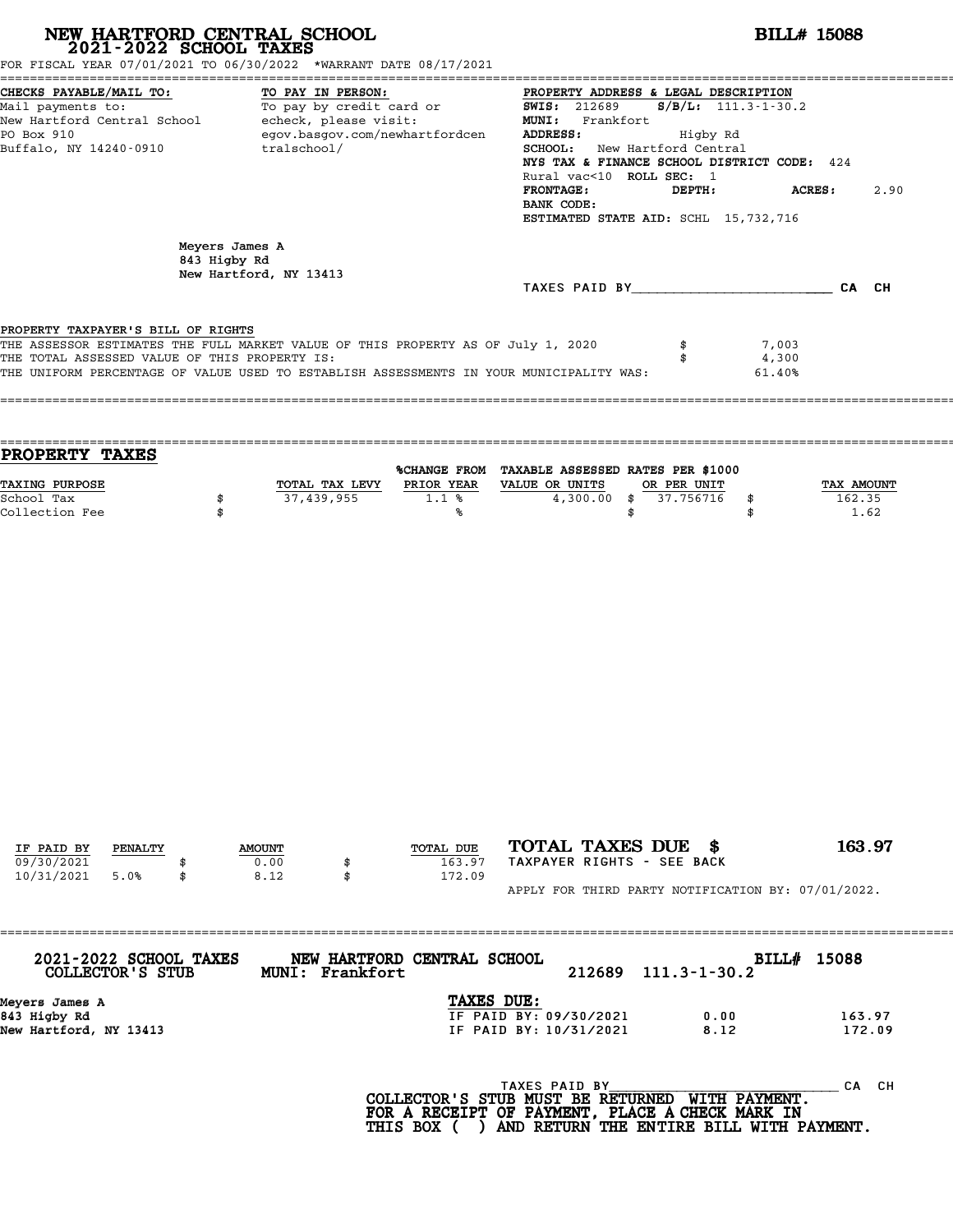| FOR FISCAL YEAR 07/01/2021 TO 06/30/2022 *WARRANT DATE 08/17/2021<br>TO PAY IN PERSON:<br>TO PAY IN PERSON!<br>To pay by credit card or TO SWIS: 212689 |                               |                                                                                                       |                                                                                                                                                                                                                                                                                                                                                                                                                                                                                                                                                                                                                                          |
|---------------------------------------------------------------------------------------------------------------------------------------------------------|-------------------------------|-------------------------------------------------------------------------------------------------------|------------------------------------------------------------------------------------------------------------------------------------------------------------------------------------------------------------------------------------------------------------------------------------------------------------------------------------------------------------------------------------------------------------------------------------------------------------------------------------------------------------------------------------------------------------------------------------------------------------------------------------------|
| New Hartford Central School - echeck, please visit:<br>tralschool/<br>Buffalo, NY 14240-0910                                                            |                               | PROPERTY ADDRESS & LEGAL DESCRIPTION<br>MUNI: Frankfort<br>ADDRESS:<br><b>FRONTAGE:</b><br>BANK CODE: | $S/B/L: 111.3 - 1 - 30.2$<br><b>ACRES:</b><br>2.90                                                                                                                                                                                                                                                                                                                                                                                                                                                                                                                                                                                       |
| Meyers James A<br>843 Higby Rd<br>New Hartford, NY 13413                                                                                                |                               |                                                                                                       |                                                                                                                                                                                                                                                                                                                                                                                                                                                                                                                                                                                                                                          |
| PROPERTY TAXPAYER'S BILL OF RIGHTS<br>THE TOTAL ASSESSED VALUE OF THIS PROPERTY IS:                                                                     |                               | \$<br>\$                                                                                              | 7,003<br>4,300<br>61.40%                                                                                                                                                                                                                                                                                                                                                                                                                                                                                                                                                                                                                 |
| 37,439,955<br>\$<br>\$                                                                                                                                  | 1.1%                          | $4,300.00$ \$                                                                                         | TAX AMOUNT<br>162.35<br>\$<br>1.62<br>\$                                                                                                                                                                                                                                                                                                                                                                                                                                                                                                                                                                                                 |
|                                                                                                                                                         |                               |                                                                                                       |                                                                                                                                                                                                                                                                                                                                                                                                                                                                                                                                                                                                                                          |
|                                                                                                                                                         |                               |                                                                                                       |                                                                                                                                                                                                                                                                                                                                                                                                                                                                                                                                                                                                                                          |
|                                                                                                                                                         |                               |                                                                                                       |                                                                                                                                                                                                                                                                                                                                                                                                                                                                                                                                                                                                                                          |
| <b>AMOUNT</b><br>0.00<br>8.12<br>\$                                                                                                                     | TOTAL DUE<br>163.97<br>172.09 |                                                                                                       | 163.97                                                                                                                                                                                                                                                                                                                                                                                                                                                                                                                                                                                                                                   |
|                                                                                                                                                         |                               | TOTAL TAX LEVY<br>℁                                                                                   | egov.basgov.com/newhartfordcen<br>Higby Rd<br>SCHOOL: New Hartford Central<br>NYS TAX & FINANCE SCHOOL DISTRICT CODE: 424<br>Rural vac<10 ROLL SEC: 1<br>DEPTH:<br>ESTIMATED STATE AID: SCHL 15,732,716<br>TAXES PAID BY CA CH<br>THE ASSESSOR ESTIMATES THE FULL MARKET VALUE OF THIS PROPERTY AS OF July 1, 2020<br>THE UNIFORM PERCENTAGE OF VALUE USED TO ESTABLISH ASSESSMENTS IN YOUR MUNICIPALITY WAS:<br>%CHANGE FROM TAXABLE ASSESSED RATES PER \$1000<br>PRIOR YEAR VALUE OR UNITS<br>OR PER UNIT<br>37.756716<br>\$<br>TOTAL TAXES DUE \$<br>TAXPAYER RIGHTS - SEE BACK<br>APPLY FOR THIRD PARTY NOTIFICATION BY: 07/01/2022. |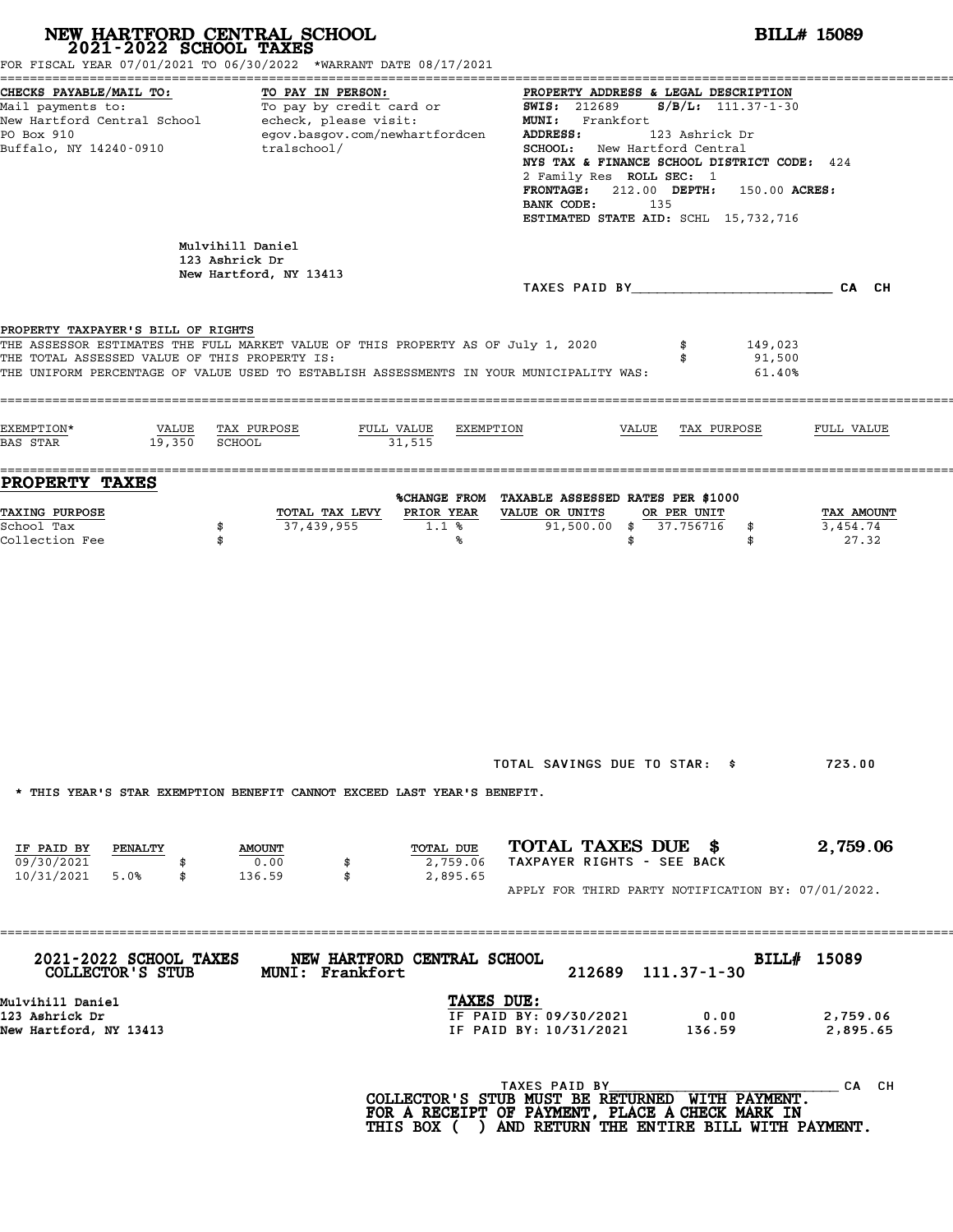| 2021-2022 SCHOOL TAXES                                                                            | NEW HARTFORD CENTRAL SCHOOL<br>FOR FISCAL YEAR 07/01/2021 TO 06/30/2022 *WARRANT DATE 08/17/2021                                                                                                               |                                                                                                                                                                                                                                                                                                                                                                                                                                                         | <b>BILL# 15089</b>                                                                   |  |  |  |  |
|---------------------------------------------------------------------------------------------------|----------------------------------------------------------------------------------------------------------------------------------------------------------------------------------------------------------------|---------------------------------------------------------------------------------------------------------------------------------------------------------------------------------------------------------------------------------------------------------------------------------------------------------------------------------------------------------------------------------------------------------------------------------------------------------|--------------------------------------------------------------------------------------|--|--|--|--|
| CHECKS PAYABLE/MAIL TO:<br>PO Box 910<br>Buffalo, NY 14240-0910                                   | TO PAY IN PERSON:<br>egov.basgov.com/newhartfordcen<br>tralschool/                                                                                                                                             | PROPERTY ADDRESS & LEGAL DESCRIPTION<br>Nail payments to:<br>Mail payments to:<br>New Hartford Central School echeck, please visit: 1993 MIS: 212689 S/B/L: 111.37-1-30<br>New Hartford Central School echeck, please visit: Frankfort<br>MINI: Frankfort<br>MINI: Frankfort<br>MI<br><b>ADDRESS:</b><br>123 Ashrick Dr<br><b>SCHOOL:</b> New Hartford Central<br>2 Family Res ROLL SEC: 1<br>BANK CODE:<br>135<br>ESTIMATED STATE AID: SCHL 15,732,716 | NYS TAX & FINANCE SCHOOL DISTRICT CODE: 424<br>FRONTAGE: 212.00 DEPTH: 150.00 ACRES: |  |  |  |  |
|                                                                                                   | Mulvihill Daniel<br>123 Ashrick Dr<br>New Hartford, NY 13413                                                                                                                                                   | TAXES PAID BY CA CH                                                                                                                                                                                                                                                                                                                                                                                                                                     |                                                                                      |  |  |  |  |
| PROPERTY TAXPAYER'S BILL OF RIGHTS<br>THE TOTAL ASSESSED VALUE OF THIS PROPERTY IS:<br>EXEMPTION* | THE ASSESSOR ESTIMATES THE FULL MARKET VALUE OF THIS PROPERTY AS OF July 1, 2020<br>THE UNIFORM PERCENTAGE OF VALUE USED TO ESTABLISH ASSESSMENTS IN YOUR MUNICIPALITY WAS:<br>VALUE TAX PURPOSE<br>FULL VALUE | 149,023<br>91,500<br>61.40%<br>EXEMPTION<br>VALUE TAX PURPOSE                                                                                                                                                                                                                                                                                                                                                                                           | FULL VALUE                                                                           |  |  |  |  |
| BAS STAR 19,350 SCHOOL<br><b>PROPERTY TAXES</b>                                                   | 31,515                                                                                                                                                                                                         |                                                                                                                                                                                                                                                                                                                                                                                                                                                         |                                                                                      |  |  |  |  |
| <b>TAXING PURPOSE</b><br>School Tax<br>Collection Fee                                             | TOTAL TAX LEVY<br>PRIOR YEAR<br>37,439,955<br>1.1%<br>\$<br>\$<br>℁                                                                                                                                            | %CHANGE FROM TAXABLE ASSESSED RATES PER \$1000<br>VALUE OR UNITS<br>OR PER UNIT<br>$91,500.00$ \$ 37.756716 \$<br>\$<br>\$                                                                                                                                                                                                                                                                                                                              | TAX AMOUNT<br>3,454.74<br>27.32                                                      |  |  |  |  |
|                                                                                                   |                                                                                                                                                                                                                |                                                                                                                                                                                                                                                                                                                                                                                                                                                         |                                                                                      |  |  |  |  |
|                                                                                                   | * THIS YEAR'S STAR EXEMPTION BENEFIT CANNOT EXCEED LAST YEAR'S BENEFIT.                                                                                                                                        | TOTAL SAVINGS DUE TO STAR: \$                                                                                                                                                                                                                                                                                                                                                                                                                           | 723.00                                                                               |  |  |  |  |
| IF PAID BY PENALTY<br>09/30/2021<br>10/31/2021 5.0%<br>\$                                         | TOTAL DUE<br><b>AMOUNT</b><br>0.00<br>2,759.06<br>\$<br>136.59<br>\$<br>2,895.65                                                                                                                               | TOTAL TAXES DUE \$<br>TAXPAYER RIGHTS - SEE BACK<br>APPLY FOR THIRD PARTY NOTIFICATION BY: 07/01/2022.                                                                                                                                                                                                                                                                                                                                                  | 2,759.06                                                                             |  |  |  |  |
| 2021-2022 SCHOOL TAXES<br>COLLECTOR'S STUB                                                        | NEW HARTFORD CENTRAL SCHOOL<br><b>MUNI: Frankfort</b>                                                                                                                                                          | 212689 111.37-1-30                                                                                                                                                                                                                                                                                                                                                                                                                                      | BILL# 15089                                                                          |  |  |  |  |
| Mulvihill Daniel<br>123 Ashrick Dr<br>New Hartford, NY 13413                                      |                                                                                                                                                                                                                | TAXES DUE:<br>IF PAID BY: 09/30/2021<br>0.00<br>IF PAID BY: 10/31/2021 136.59                                                                                                                                                                                                                                                                                                                                                                           | 2,759.06<br>2,895.65                                                                 |  |  |  |  |
|                                                                                                   |                                                                                                                                                                                                                | TAXES PAID BY<br>COLLECTOR'S STUB MUST BE RETURNED WITH PAYMENT.<br>FOR A RECEIPT OF PAYMENT, PLACE A CHECK MARK IN<br>THIS BOX ( ) AND RETURN THE ENTIRE BILL WITH PAYMENT.                                                                                                                                                                                                                                                                            | _ CA CH                                                                              |  |  |  |  |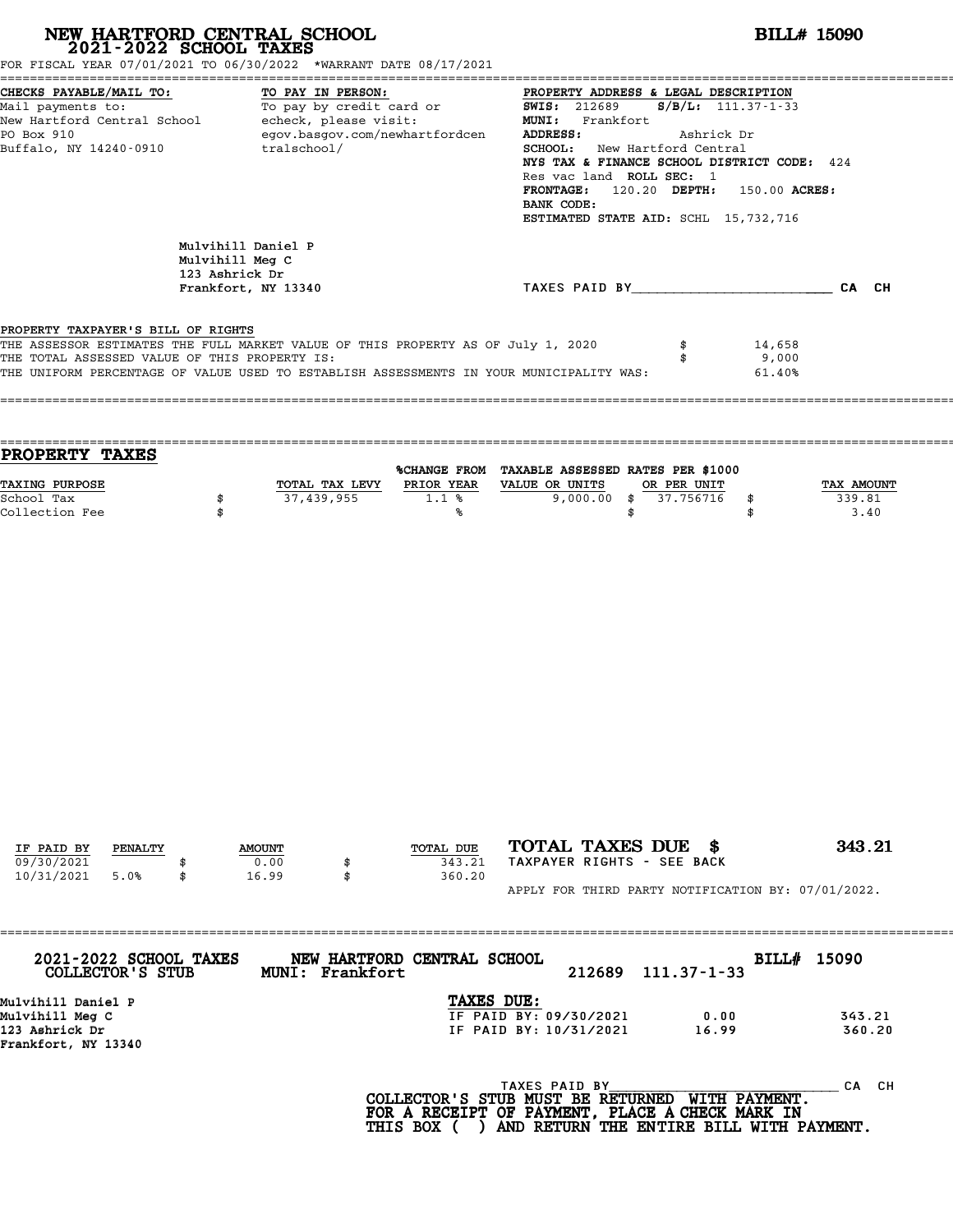| FOR FISCAL YEAR 07/01/2021 TO 06/30/2022 *WARRANT DATE 08/17/2021                                                                                                                                                                                                  |                | NEW HARTFORD CENTRAL SCHOOL 2021-2022 SCHOOL TAXES           |                                          |                                                  |                                                                                                                                                                                                                                                                                                                                                                                                               | <b>BILL# 15090</b>        |  |  |  |
|--------------------------------------------------------------------------------------------------------------------------------------------------------------------------------------------------------------------------------------------------------------------|----------------|--------------------------------------------------------------|------------------------------------------|--------------------------------------------------|---------------------------------------------------------------------------------------------------------------------------------------------------------------------------------------------------------------------------------------------------------------------------------------------------------------------------------------------------------------------------------------------------------------|---------------------------|--|--|--|
| CHECKS PAYABLE/MAIL TO:<br>TO PAY IN PERSON:<br>Mail payments to:<br>New Hartford Central School - echeck, please visit:<br>egov.basgov.com/newhartfordcen<br>PO Box 910<br>Buffalo, NY 14240-0910 tralschool/                                                     |                |                                                              |                                          | ADDRESS:<br>BANK CODE:                           | PROPERTY ADDRESS & LEGAL DESCRIPTION<br>TO: TO PAY IN PERSON: TO PAY IN PERSON: PROPERTY ADDRESS & LEGAL DESCRIPTION<br>To pay by credit card or TWIS: 212689 S/B/L: 111.37-1-33<br>MUNI: Frankfort<br>Ashrick Dr<br>SCHOOL: New Hartford Central<br>NYS TAX & FINANCE SCHOOL DISTRICT CODE: 424<br>Res vac land ROLL SEC: 1<br>FRONTAGE: 120.20 DEPTH: 150.00 ACRES:<br>ESTIMATED STATE AID: SCHL 15,732,716 |                           |  |  |  |
|                                                                                                                                                                                                                                                                    | 123 Ashrick Dr | Mulvihill Daniel P<br>Mulvihill Meg C<br>Frankfort, NY 13340 |                                          |                                                  | TAXES PAID BY CAN CH                                                                                                                                                                                                                                                                                                                                                                                          |                           |  |  |  |
| PROPERTY TAXPAYER'S BILL OF RIGHTS<br>THE ASSESSOR ESTIMATES THE FULL MARKET VALUE OF THIS PROPERTY AS OF July 1, 2020<br>THE TOTAL ASSESSED VALUE OF THIS PROPERTY IS:<br>THE UNIFORM PERCENTAGE OF VALUE USED TO ESTABLISH ASSESSMENTS IN YOUR MUNICIPALITY WAS: |                |                                                              |                                          |                                                  | \$<br>\$                                                                                                                                                                                                                                                                                                                                                                                                      | 14,658<br>9,000<br>61.40% |  |  |  |
| PROPERTY TAXES<br>TAXING PURPOSE                                                                                                                                                                                                                                   |                |                                                              | TOTAL TAX LEVY PRIOR YEAR VALUE OR UNITS | %CHANGE FROM TAXABLE ASSESSED RATES PER \$1000   | OR PER UNIT                                                                                                                                                                                                                                                                                                                                                                                                   | TAX AMOUNT                |  |  |  |
| School Tax<br>Collection Fee                                                                                                                                                                                                                                       | \$<br>\$       |                                                              | $\overline{37,439,955}$ 1.1 %<br>℁       |                                                  | 9,000.00 \$ 37.756716<br>\$<br>\$<br>\$                                                                                                                                                                                                                                                                                                                                                                       | 339.81<br>3.40            |  |  |  |
|                                                                                                                                                                                                                                                                    |                |                                                              |                                          |                                                  |                                                                                                                                                                                                                                                                                                                                                                                                               |                           |  |  |  |
|                                                                                                                                                                                                                                                                    |                |                                                              |                                          |                                                  |                                                                                                                                                                                                                                                                                                                                                                                                               |                           |  |  |  |
| IF PAID BY<br>PENALTY<br>09/30/2021                                                                                                                                                                                                                                |                | <b>AMOUNT</b><br>0.00                                        | TOTAL DUE<br>343.21                      | TOTAL TAXES DUE \$<br>TAXPAYER RIGHTS - SEE BACK |                                                                                                                                                                                                                                                                                                                                                                                                               | 343.21                    |  |  |  |
| 10/31/2021<br>5.0%<br>2021-2022 SCHOOL TAXES                                                                                                                                                                                                                       |                | 16.99<br>\$                                                  | 360.20<br>NEW HARTFORD CENTRAL SCHOOL    |                                                  | APPLY FOR THIRD PARTY NOTIFICATION BY: 07/01/2022.                                                                                                                                                                                                                                                                                                                                                            | BILL# 15090               |  |  |  |
| COLLECTOR'S STUB<br>Mulvihill Daniel P                                                                                                                                                                                                                             |                | MUNI: Frankfort                                              | TAXES DUE:                               | 212689                                           | $111.37 - 1 - 33$                                                                                                                                                                                                                                                                                                                                                                                             |                           |  |  |  |
| Mulvihill Meg C<br>123 Ashrick Dr<br>$F_{\text{random}}$ $F_{\text{out}}$ $N V$ 12240                                                                                                                                                                              |                |                                                              |                                          | IF PAID BY: 09/30/2021<br>IF PAID BY: 10/31/2021 | 0.00<br>16.99                                                                                                                                                                                                                                                                                                                                                                                                 | 343.21<br>360.20          |  |  |  |

123 Ashrick Dr<br>Frankfort, NY 13340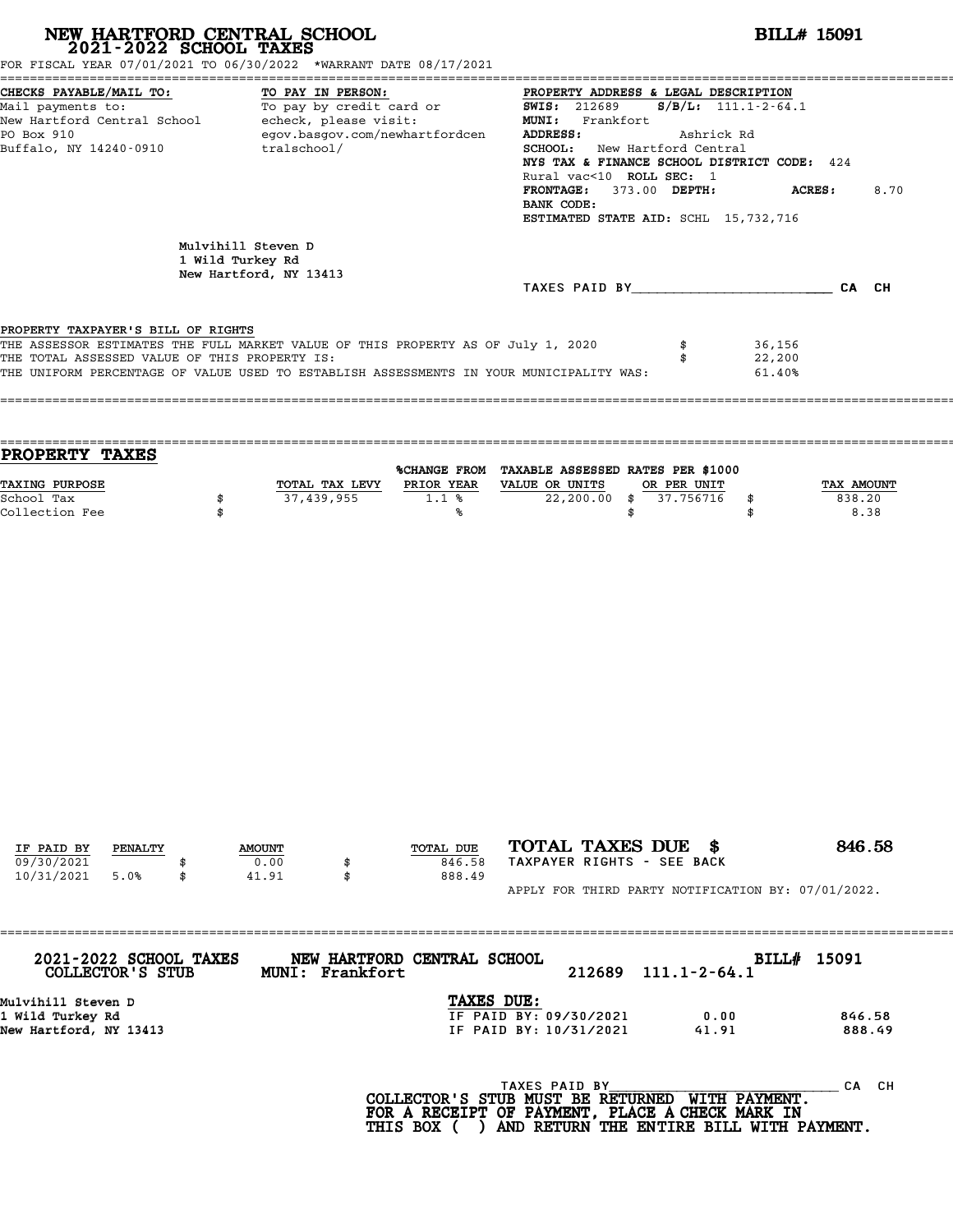| NEW HARTFORD CENTRAL SCHOOL 2021-2022 SCHOOL TAXES<br>FOR FISCAL YEAR 07/01/2021 TO 06/30/2022 *WARRANT DATE 08/17/2021                                                                                                                                            |    |                                                                  |             |                   |                                |                                                                                                                                                                              |                                                                                                                                                                                                                                                                                                                                                   |                          | <b>BILL# 15091</b>         |                      |                  |
|--------------------------------------------------------------------------------------------------------------------------------------------------------------------------------------------------------------------------------------------------------------------|----|------------------------------------------------------------------|-------------|-------------------|--------------------------------|------------------------------------------------------------------------------------------------------------------------------------------------------------------------------|---------------------------------------------------------------------------------------------------------------------------------------------------------------------------------------------------------------------------------------------------------------------------------------------------------------------------------------------------|--------------------------|----------------------------|----------------------|------------------|
| CHECKS PAYABLE/MAIL TO:<br>Mail payments to:<br>New Hartford Central School - echeck, please visit:<br>PO Box 910<br>Buffalo, NY 14240-0910                                                                                                                        |    |                                                                  | tralschool/ | TO PAY IN PERSON: | egov.basgov.com/newhartfordcen | ADDRESS:<br>BANK CODE:                                                                                                                                                       | PROPERTY ADDRESS & LEGAL DESCRIPTION<br>TU: TO PAY IN PERSON: TO PROPERTY ADDRE<br>$S/B/L: 111.1-2-64.1$<br>MUNI: Frankfort<br>Ashrick Rd<br>SCHOOL: New Hartford Central<br>NYS TAX & FINANCE SCHOOL DISTRICT CODE: 424<br>Rural vac<10 ROLL SEC: 1<br>FRONTAGE: 373.00 DEPTH:<br>8.70<br><b>ACRES :</b><br>ESTIMATED STATE AID: SCHL 15,732,716 |                          |                            |                      |                  |
|                                                                                                                                                                                                                                                                    |    | Mulvihill Steven D<br>1 Wild Turkey Rd<br>New Hartford, NY 13413 |             |                   |                                | TAXES PAID BY CA CH                                                                                                                                                          |                                                                                                                                                                                                                                                                                                                                                   |                          |                            |                      |                  |
|                                                                                                                                                                                                                                                                    |    |                                                                  |             |                   |                                |                                                                                                                                                                              |                                                                                                                                                                                                                                                                                                                                                   |                          |                            |                      |                  |
| PROPERTY TAXPAYER'S BILL OF RIGHTS<br>THE ASSESSOR ESTIMATES THE FULL MARKET VALUE OF THIS PROPERTY AS OF July 1, 2020<br>THE TOTAL ASSESSED VALUE OF THIS PROPERTY IS:<br>THE UNIFORM PERCENTAGE OF VALUE USED TO ESTABLISH ASSESSMENTS IN YOUR MUNICIPALITY WAS: |    |                                                                  |             |                   |                                |                                                                                                                                                                              |                                                                                                                                                                                                                                                                                                                                                   | \$<br>\$                 | 36,156<br>22,200<br>61.40% |                      |                  |
| <b>PROPERTY TAXES</b>                                                                                                                                                                                                                                              |    |                                                                  |             |                   |                                |                                                                                                                                                                              |                                                                                                                                                                                                                                                                                                                                                   |                          |                            |                      |                  |
| TAXING PURPOSE<br>School Tax<br>Collection Fee                                                                                                                                                                                                                     |    | \$<br>\$                                                         |             | 37,439,955        | 1.1%<br>℁                      | %CHANGE FROM TAXABLE ASSESSED RATES PER \$1000<br>TOTAL TAX LEVY PRIOR YEAR VALUE OR UNITS<br>$22,200.00$ \$                                                                 | \$                                                                                                                                                                                                                                                                                                                                                | OR PER UNIT<br>37.756716 | \$<br>\$                   | TAX AMOUNT<br>838.20 | 8.38             |
| IF PAID BY<br>PENALTY                                                                                                                                                                                                                                              |    | <b>AMOUNT</b>                                                    |             |                   | TOTAL DUE                      | TOTAL TAXES DUE \$                                                                                                                                                           |                                                                                                                                                                                                                                                                                                                                                   |                          |                            | 846.58               |                  |
| 09/30/2021<br>10/31/2021<br>5.0%                                                                                                                                                                                                                                   | \$ | 41.91                                                            | 0.00        | \$<br>\$          | 846.58<br>888.49               | TAXPAYER RIGHTS - SEE BACK                                                                                                                                                   |                                                                                                                                                                                                                                                                                                                                                   |                          |                            |                      |                  |
|                                                                                                                                                                                                                                                                    |    |                                                                  |             |                   |                                | APPLY FOR THIRD PARTY NOTIFICATION BY: 07/01/2022.                                                                                                                           |                                                                                                                                                                                                                                                                                                                                                   |                          |                            |                      |                  |
| 2021-2022 SCHOOL TAXES<br>COLLECTOR'S STUB                                                                                                                                                                                                                         |    |                                                                  |             | MUNI: Frankfort   | NEW HARTFORD CENTRAL SCHOOL    | 212689                                                                                                                                                                       |                                                                                                                                                                                                                                                                                                                                                   | $111.1 - 2 - 64.1$       | BILL# 15091                |                      |                  |
| Mulvihill Steven D<br>1 Wild Turkey Rd<br>New Hartford, NY 13413                                                                                                                                                                                                   |    |                                                                  |             |                   | TAXES DUE:                     | IF PAID BY: 09/30/2021<br>IF PAID BY: 10/31/2021                                                                                                                             |                                                                                                                                                                                                                                                                                                                                                   | 0.00<br>41.91            |                            |                      | 846.58<br>888.49 |
|                                                                                                                                                                                                                                                                    |    |                                                                  |             |                   |                                | TAXES PAID BY<br>COLLECTOR'S STUB MUST BE RETURNED WITH PAYMENT.<br>FOR A RECEIPT OF PAYMENT, PLACE A CHECK MARK IN<br>THIS BOX ( ) AND RETURN THE ENTIRE BILL WITH PAYMENT. |                                                                                                                                                                                                                                                                                                                                                   |                          |                            |                      | CA CH            |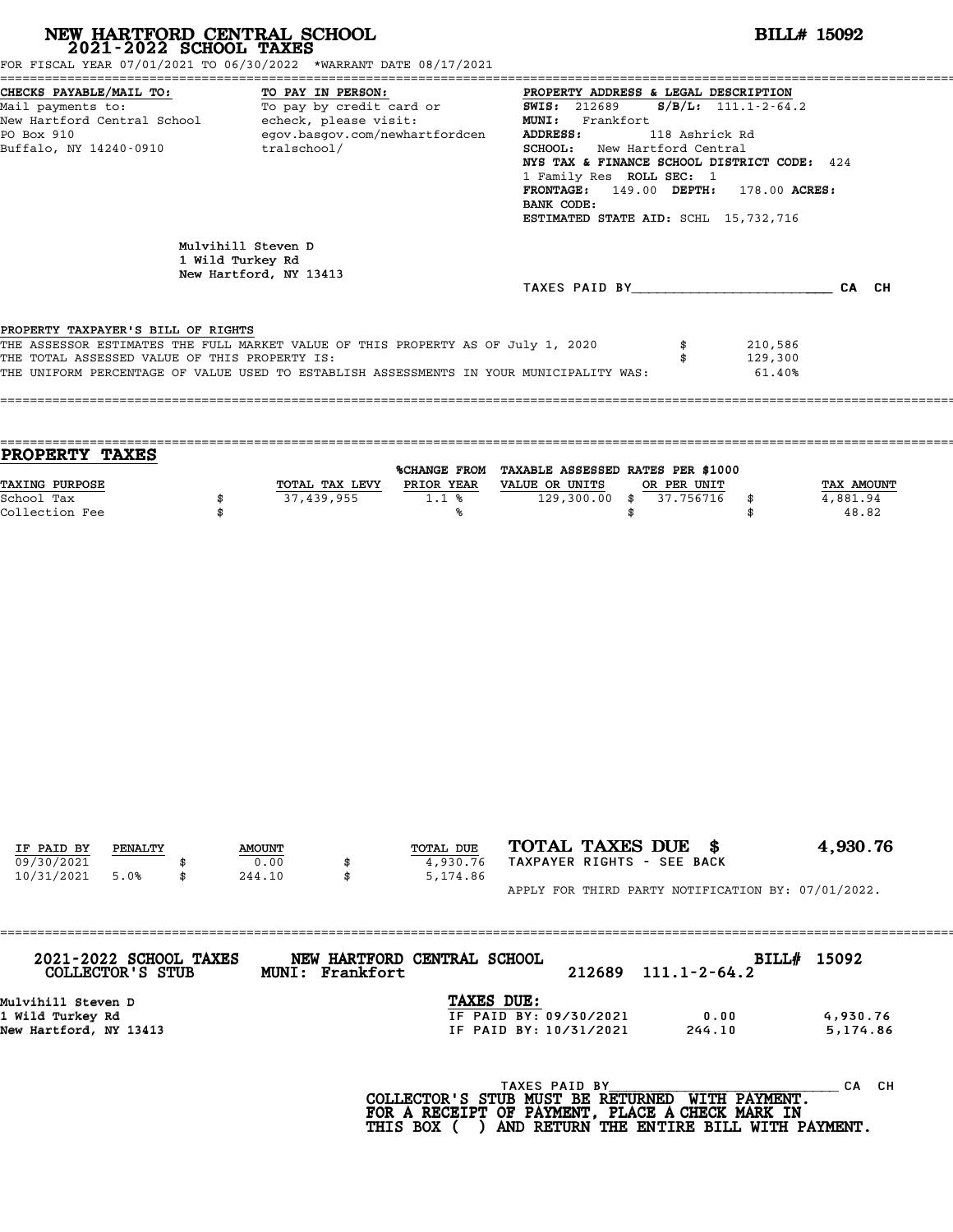| NEW HARTFORD CENTRAL SCHOOL 2021-2022 SCHOOL TAXES                                                                                                                                                                                                                               |         |          |                                        |                                |                                                        |                                                                                                                                                                                                                                                                                                                           |                                | <b>BILL# 15092</b>           |                                 |  |
|----------------------------------------------------------------------------------------------------------------------------------------------------------------------------------------------------------------------------------------------------------------------------------|---------|----------|----------------------------------------|--------------------------------|--------------------------------------------------------|---------------------------------------------------------------------------------------------------------------------------------------------------------------------------------------------------------------------------------------------------------------------------------------------------------------------------|--------------------------------|------------------------------|---------------------------------|--|
| FOR FISCAL YEAR 07/01/2021 TO 06/30/2022 *WARRANT DATE 08/17/2021<br>CHECKS PAYABLE/MAIL TO:<br>TO PAY IN PERSON:<br>To pay by credit card or<br>Mail payments to:<br>New Hartford Central School - echeck, please visit:<br>PO Box 910<br>Buffalo, NY 14240-0910<br>tralschool/ |         |          |                                        | egov.basgov.com/newhartfordcen | ADDRESS:<br>BANK CODE:                                 | PROPERTY ADDRESS & LEGAL DESCRIPTION<br>$S/B/L: 111.1 - 2 - 64.2$<br><b>SWIS: 212689</b><br>MUNI: Frankfort<br>118 Ashrick Rd<br>SCHOOL: New Hartford Central<br>NYS TAX & FINANCE SCHOOL DISTRICT CODE: 424<br>1 Family Res ROLL SEC: 1<br>FRONTAGE: 149.00 DEPTH: 178.00 ACRES:<br>ESTIMATED STATE AID: SCHL 15,732,716 |                                |                              |                                 |  |
|                                                                                                                                                                                                                                                                                  |         |          | Mulvihill Steven D<br>1 Wild Turkey Rd | New Hartford, NY 13413         |                                                        |                                                                                                                                                                                                                                                                                                                           |                                |                              |                                 |  |
|                                                                                                                                                                                                                                                                                  |         |          |                                        |                                |                                                        | TAXES PAID BY CA CH                                                                                                                                                                                                                                                                                                       |                                |                              |                                 |  |
| PROPERTY TAXPAYER'S BILL OF RIGHTS<br>THE ASSESSOR ESTIMATES THE FULL MARKET VALUE OF THIS PROPERTY AS OF July 1, 2020<br>THE TOTAL ASSESSED VALUE OF THIS PROPERTY IS:                                                                                                          |         |          |                                        |                                |                                                        | THE UNIFORM PERCENTAGE OF VALUE USED TO ESTABLISH ASSESSMENTS IN YOUR MUNICIPALITY WAS:                                                                                                                                                                                                                                   | \$<br>\$                       | 210,586<br>129,300<br>61.40% |                                 |  |
| <b>PROPERTY TAXES</b>                                                                                                                                                                                                                                                            |         |          |                                        |                                |                                                        |                                                                                                                                                                                                                                                                                                                           |                                |                              |                                 |  |
| <b>TAXING PURPOSE</b><br>School Tax<br>Collection Fee                                                                                                                                                                                                                            |         | \$<br>\$ |                                        | 37,439,955                     | TOTAL TAX LEVY PRIOR YEAR VALUE OR UNITS<br>1.1%<br>%ร | %CHANGE FROM TAXABLE ASSESSED RATES PER \$1000<br>$129,300.00$ \$                                                                                                                                                                                                                                                         | OR PER UNIT<br>37.756716<br>\$ | \$<br>\$                     | TAX AMOUNT<br>4,881.94<br>48.82 |  |
|                                                                                                                                                                                                                                                                                  |         |          |                                        |                                |                                                        |                                                                                                                                                                                                                                                                                                                           |                                |                              |                                 |  |
| IF PAID BY                                                                                                                                                                                                                                                                       | PENALTY |          | <b>AMOUNT</b>                          |                                | TOTAL DUE                                              | TOTAL TAXES DUE \$                                                                                                                                                                                                                                                                                                        |                                |                              | 4,930.76                        |  |
| 09/30/2021<br>10/31/2021<br>5.0%                                                                                                                                                                                                                                                 | \$      |          | 0.00<br>244.10                         | \$<br>\$                       | 4,930.76<br>5,174.86                                   | TAXPAYER RIGHTS - SEE BACK<br>APPLY FOR THIRD PARTY NOTIFICATION BY: 07/01/2022.                                                                                                                                                                                                                                          |                                |                              |                                 |  |
|                                                                                                                                                                                                                                                                                  |         |          |                                        |                                |                                                        |                                                                                                                                                                                                                                                                                                                           |                                |                              |                                 |  |
| 2021-2022 SCHOOL TAXES<br>COLLECTOR'S STUB                                                                                                                                                                                                                                       |         |          |                                        | MUNI: Frankfort                | NEW HARTFORD CENTRAL SCHOOL                            | 212689                                                                                                                                                                                                                                                                                                                    | $111.1 - 2 - 64.2$             | BILL# 15092                  |                                 |  |
| Mulvihill Steven D<br>1 Wild Turkey Rd<br>New Hartford, NY 13413                                                                                                                                                                                                                 |         |          |                                        |                                | TAXES DUE:                                             | IF PAID BY: 09/30/2021<br>IF PAID BY: 10/31/2021                                                                                                                                                                                                                                                                          |                                | 0.00<br>244.10               | 4,930.76<br>5,174.86            |  |
|                                                                                                                                                                                                                                                                                  |         |          |                                        |                                | FOR A RECEIPT OF PAYMENT, PLACE A CHECK MARK IN        | TAXES PAID BY<br>COLLECTOR'S STUB MUST BE RETURNED WITH PAYMENT.                                                                                                                                                                                                                                                          |                                |                              | CA CH                           |  |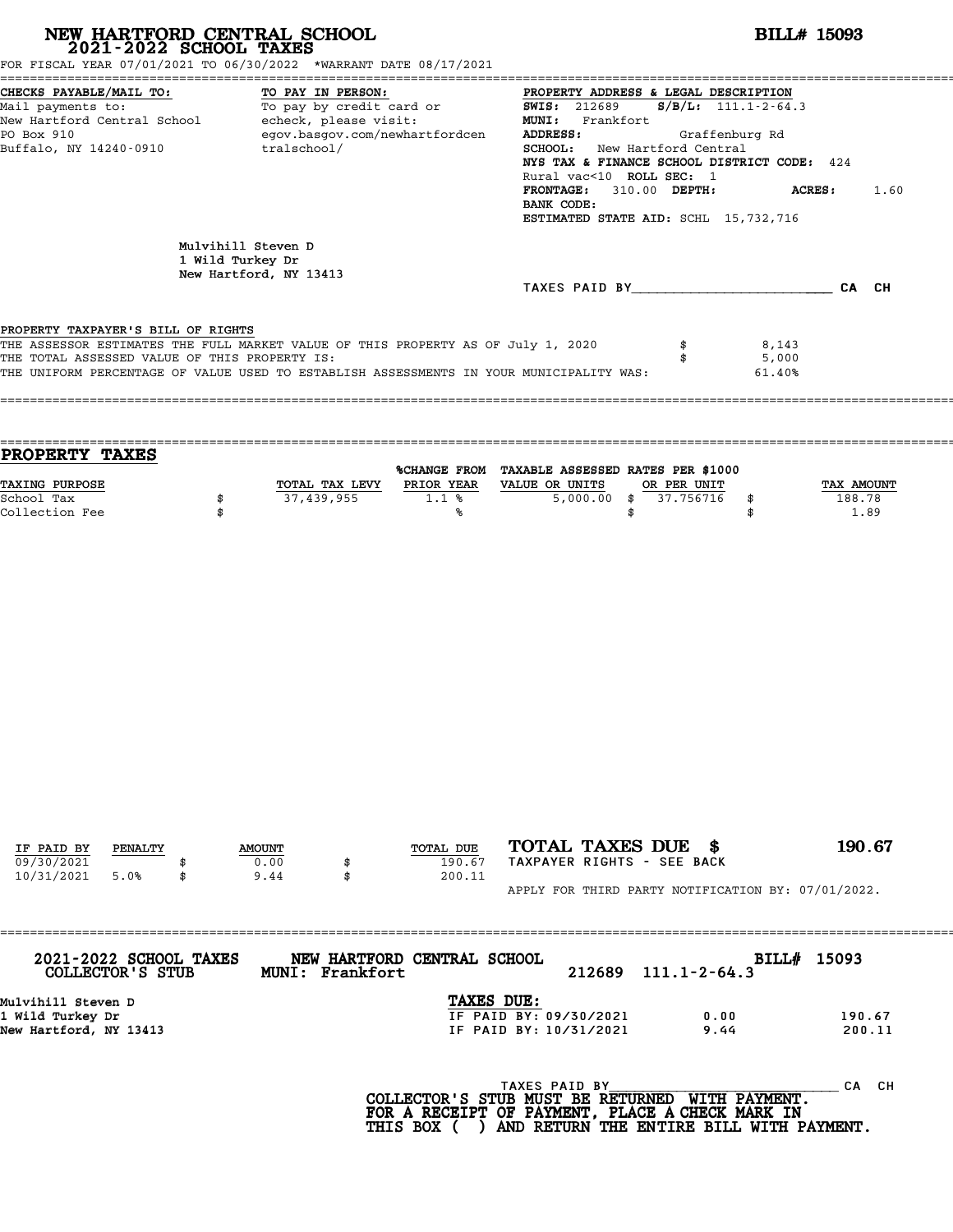| NEW HARTFORD CENTRAL SCHOOL 2021-2022 SCHOOL TAXES                                                                                                                                                                                                                                                                                                                      |    |                                        |                 |                                                                                                                                                                                                                                                                                                                                          |                                                                                                                     |                    | <b>BILL# 15093</b>       |                  |
|-------------------------------------------------------------------------------------------------------------------------------------------------------------------------------------------------------------------------------------------------------------------------------------------------------------------------------------------------------------------------|----|----------------------------------------|-----------------|------------------------------------------------------------------------------------------------------------------------------------------------------------------------------------------------------------------------------------------------------------------------------------------------------------------------------------------|---------------------------------------------------------------------------------------------------------------------|--------------------|--------------------------|------------------|
| FOR FISCAL YEAR 07/01/2021 TO 06/30/2022 *WARRANT DATE 08/17/2021<br>CHECKS PAYABLE/MAIL TO:<br>TO PAY IN PERSON:<br>TO: TO PAY IN PERSON: TO PAY IN PERSON:<br>To pay by credit card or TO 212689<br>Mail payments to:<br>New Hartford Central School - echeck, please visit:<br>PO Box 910<br>egov.basgov.com/newhartfordcen<br>Buffalo, NY 14240-0910<br>tralschool/ |    |                                        |                 | PROPERTY ADDRESS & LEGAL DESCRIPTION<br>$S/B/L: 111.1 - 2 - 64.3$<br>MUNI: Frankfort<br>ADDRESS:<br>Graffenburg Rd<br>SCHOOL: New Hartford Central<br>NYS TAX & FINANCE SCHOOL DISTRICT CODE: 424<br>Rural vac<10 ROLL SEC: 1<br>FRONTAGE: 310.00 DEPTH:<br><b>ACRES :</b><br>1.60<br>BANK CODE:<br>ESTIMATED STATE AID: SCHL 15,732,716 |                                                                                                                     |                    |                          |                  |
|                                                                                                                                                                                                                                                                                                                                                                         |    | Mulvihill Steven D<br>1 Wild Turkey Dr |                 |                                                                                                                                                                                                                                                                                                                                          |                                                                                                                     |                    |                          |                  |
|                                                                                                                                                                                                                                                                                                                                                                         |    | New Hartford, NY 13413                 |                 |                                                                                                                                                                                                                                                                                                                                          | TAXES PAID BY CA CH                                                                                                 |                    |                          |                  |
| PROPERTY TAXPAYER'S BILL OF RIGHTS<br>THE ASSESSOR ESTIMATES THE FULL MARKET VALUE OF THIS PROPERTY AS OF July 1, 2020<br>THE TOTAL ASSESSED VALUE OF THIS PROPERTY IS:<br>THE UNIFORM PERCENTAGE OF VALUE USED TO ESTABLISH ASSESSMENTS IN YOUR MUNICIPALITY WAS:                                                                                                      |    |                                        |                 |                                                                                                                                                                                                                                                                                                                                          |                                                                                                                     | \$<br>\$           | 8,143<br>5,000<br>61.40% |                  |
| <b>PROPERTY TAXES</b><br>TAXING PURPOSE                                                                                                                                                                                                                                                                                                                                 |    |                                        | 37,439,955      |                                                                                                                                                                                                                                                                                                                                          | %CHANGE FROM TAXABLE ASSESSED RATES PER \$1000<br>TOTAL TAX LEVY PRIOR YEAR VALUE OR UNITS<br>$5,000.00$ \$         | OR PER UNIT        |                          | TAX AMOUNT       |
| Collection Fee                                                                                                                                                                                                                                                                                                                                                          | \$ |                                        |                 | ℁                                                                                                                                                                                                                                                                                                                                        |                                                                                                                     | \$                 | \$                       | 1.89             |
| IF PAID BY<br>PENALTY                                                                                                                                                                                                                                                                                                                                                   |    | <b>AMOUNT</b>                          |                 | TOTAL DUE                                                                                                                                                                                                                                                                                                                                | TOTAL TAXES DUE \$                                                                                                  |                    |                          | 190.67           |
| 09/30/2021<br>10/31/2021<br>5.0%                                                                                                                                                                                                                                                                                                                                        | \$ | 0.00<br>9.44                           | \$<br>\$        | 190.67<br>200.11                                                                                                                                                                                                                                                                                                                         | TAXPAYER RIGHTS - SEE BACK<br>APPLY FOR THIRD PARTY NOTIFICATION BY: 07/01/2022.                                    |                    |                          |                  |
| 2021-2022 SCHOOL TAXES<br>COLLECTOR'S STUB                                                                                                                                                                                                                                                                                                                              |    |                                        | MUNI: Frankfort | NEW HARTFORD CENTRAL SCHOOL                                                                                                                                                                                                                                                                                                              | 212689                                                                                                              | $111.1 - 2 - 64.3$ | BILL# 15093              |                  |
| Mulvihill Steven D<br>1 Wild Turkey Dr<br>New Hartford, NY 13413                                                                                                                                                                                                                                                                                                        |    |                                        |                 | TAXES DUE:                                                                                                                                                                                                                                                                                                                               | IF PAID BY: 09/30/2021<br>IF PAID BY: 10/31/2021                                                                    |                    | 0.00<br>9.44             | 190.67<br>200.11 |
|                                                                                                                                                                                                                                                                                                                                                                         |    |                                        |                 |                                                                                                                                                                                                                                                                                                                                          | TAXES PAID BY<br>COLLECTOR'S STUB MUST BE RETURNED WITH PAYMENT.<br>FOR A RECEIPT OF PAYMENT, PLACE A CHECK MARK IN |                    |                          | CA CH            |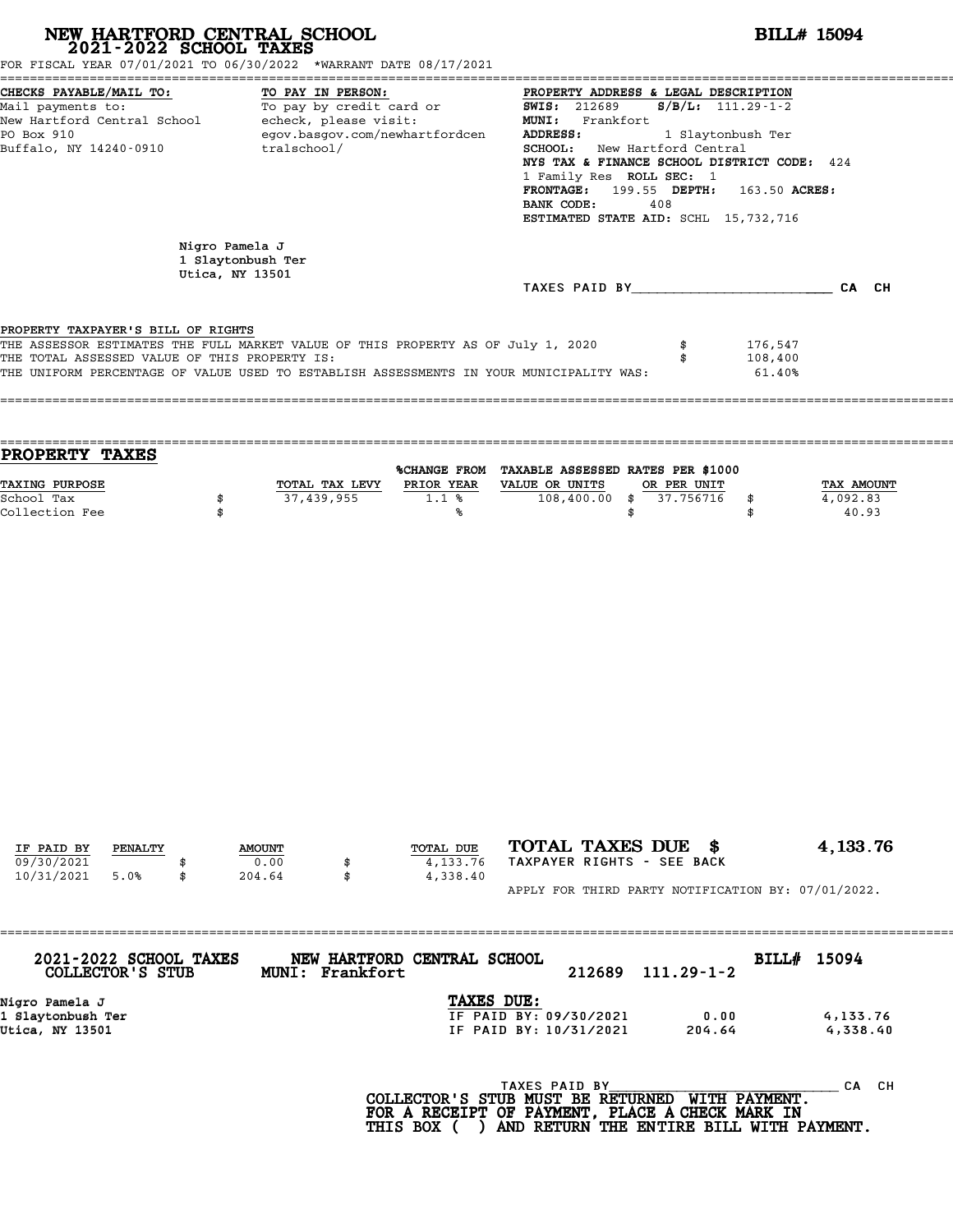| NEW HARTFORD CENTRAL SCHOOL 2021-2022 SCHOOL TAXES                                  | FOR FISCAL YEAR 07/01/2021 TO 06/30/2022 *WARRANT DATE 08/17/2021                                                                                                           |                                                                                                                                                                                                                                                                                                                                                                 | <b>BILL# 15094</b>              |  |  |  |  |  |
|-------------------------------------------------------------------------------------|-----------------------------------------------------------------------------------------------------------------------------------------------------------------------------|-----------------------------------------------------------------------------------------------------------------------------------------------------------------------------------------------------------------------------------------------------------------------------------------------------------------------------------------------------------------|---------------------------------|--|--|--|--|--|
| CHECKS PAYABLE/MAIL TO:<br>PO Box 910<br>Buffalo, NY 14240-0910                     | TO PAY IN PERSON:<br>Mail payments to:<br>New Hartford Central School echeck, please visit:<br>egov.basgov.com/newhartfordcen<br>tralschool/                                | PROPERTY ADDRESS & LEGAL DESCRIPTION<br><b>SWIS: 212689</b><br>$S/B/L$ : 111.29-1-2<br>MUNI: Frankfort<br>ADDRESS:<br>1 Slaytonbush Ter<br>SCHOOL: New Hartford Central<br>NYS TAX & FINANCE SCHOOL DISTRICT CODE: 424<br>1 Family Res ROLL SEC: 1<br><b>FRONTAGE:</b> 199.55 DEPTH: 163.50 ACRES:<br>BANK CODE:<br>408<br>ESTIMATED STATE AID: SCHL 15,732,716 |                                 |  |  |  |  |  |
|                                                                                     | Nigro Pamela J<br>1 Slaytonbush Ter                                                                                                                                         |                                                                                                                                                                                                                                                                                                                                                                 |                                 |  |  |  |  |  |
|                                                                                     | Utica, NY 13501                                                                                                                                                             | TAXES PAID BY CA CH                                                                                                                                                                                                                                                                                                                                             |                                 |  |  |  |  |  |
| PROPERTY TAXPAYER'S BILL OF RIGHTS<br>THE TOTAL ASSESSED VALUE OF THIS PROPERTY IS: | THE ASSESSOR ESTIMATES THE FULL MARKET VALUE OF THIS PROPERTY AS OF July 1, 2020<br>THE UNIFORM PERCENTAGE OF VALUE USED TO ESTABLISH ASSESSMENTS IN YOUR MUNICIPALITY WAS: | \$<br>176,547<br>108,400<br>\$<br>61.40%                                                                                                                                                                                                                                                                                                                        |                                 |  |  |  |  |  |
| <b>PROPERTY TAXES</b>                                                               |                                                                                                                                                                             |                                                                                                                                                                                                                                                                                                                                                                 |                                 |  |  |  |  |  |
| TAXING PURPOSE<br>School Tax<br>\$<br>Collection Fee                                | TOTAL TAX LEVY PRIOR YEAR VALUE OR UNITS<br>37,439,955<br>1.1%<br>%                                                                                                         | %CHANGE FROM TAXABLE ASSESSED RATES PER \$1000<br>OR PER UNIT<br>$\overline{108,400.00}$ \$<br>37.756716<br>\$<br>\$<br>\$                                                                                                                                                                                                                                      | TAX AMOUNT<br>4,092.83<br>40.93 |  |  |  |  |  |
|                                                                                     |                                                                                                                                                                             |                                                                                                                                                                                                                                                                                                                                                                 |                                 |  |  |  |  |  |
| IF PAID BY<br>PENALTY                                                               | TOTAL DUE<br><b>AMOUNT</b>                                                                                                                                                  | TOTAL TAXES DUE \$                                                                                                                                                                                                                                                                                                                                              | 4, 133.76                       |  |  |  |  |  |
| 09/30/2021<br>10/31/2021<br>5.0%<br>\$                                              | 0.00<br>4,133.76<br>\$<br>204.64<br>4,338.40<br>\$                                                                                                                          | TAXPAYER RIGHTS - SEE BACK<br>APPLY FOR THIRD PARTY NOTIFICATION BY: 07/01/2022.                                                                                                                                                                                                                                                                                |                                 |  |  |  |  |  |
|                                                                                     |                                                                                                                                                                             |                                                                                                                                                                                                                                                                                                                                                                 |                                 |  |  |  |  |  |
| 2021-2022 SCHOOL TAXES<br>COLLECTOR'S STUB                                          | NEW HARTFORD CENTRAL SCHOOL<br>MUNI: Frankfort                                                                                                                              | BILL# 15094<br>$111.29 - 1 - 2$<br>212689                                                                                                                                                                                                                                                                                                                       |                                 |  |  |  |  |  |
| Nigro Pamela J<br>1 Slaytonbush Ter<br>Utica, NY 13501                              |                                                                                                                                                                             | TAXES DUE:<br>IF PAID BY: 09/30/2021<br>0.00<br>IF PAID BY: 10/31/2021<br>204.64                                                                                                                                                                                                                                                                                | 4,133.76<br>4,338.40            |  |  |  |  |  |
|                                                                                     |                                                                                                                                                                             | TAXES PAID BY<br>COLLECTOR'S STUB MUST BE RETURNED WITH PAYMENT.<br>FOR A RECEIPT OF PAYMENT, PLACE A CHECK MARK IN                                                                                                                                                                                                                                             | CA CH                           |  |  |  |  |  |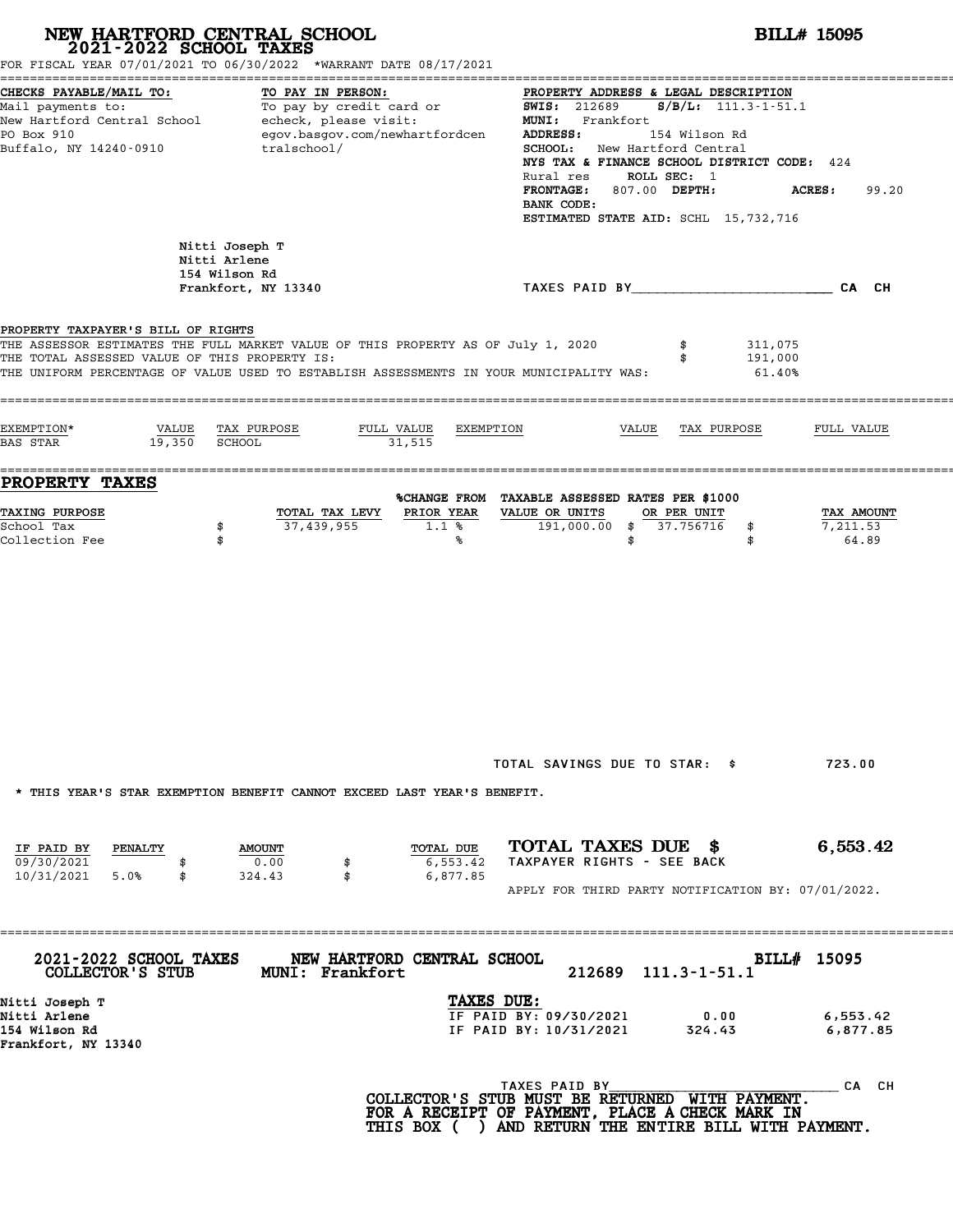| NEW HARTFORD CENTRAL SCHOOL 2021-2022 SCHOOL TAXES                                  | FOR FISCAL YEAR 07/01/2021 TO 06/30/2022 *WARRANT DATE 08/17/2021                                                                                                           |                                                                                                                                                                                                                                                                                                                                                                    | <b>BILL# 15095</b>              |  |  |  |
|-------------------------------------------------------------------------------------|-----------------------------------------------------------------------------------------------------------------------------------------------------------------------------|--------------------------------------------------------------------------------------------------------------------------------------------------------------------------------------------------------------------------------------------------------------------------------------------------------------------------------------------------------------------|---------------------------------|--|--|--|
| CHECKS PAYABLE/MAIL TO:<br>PO Box 910<br>Buffalo, NY 14240-0910                     | TO PAY IN PERSON:<br>Mail payments to: To pay by credit card or<br>New Hartford Central School echeck, please visit:<br>egov.basgov.com/newhartfordcen<br>tralschool/       | PROPERTY ADDRESS & LEGAL DESCRIPTION<br><b>SWIS: 212689</b><br>$S/B/L$ : 111.3-1-51.1<br>MUNI: Frankfort<br>ADDRESS:<br>154 Wilson Rd<br><b>SCHOOL:</b> New Hartford Central<br>NYS TAX & FINANCE SCHOOL DISTRICT CODE: 424<br>ROLL SEC: 1<br>Rural res<br>FRONTAGE: 807.00 DEPTH:<br><b>ACRES:</b><br>99.20<br>BANK CODE:<br>ESTIMATED STATE AID: SCHL 15,732,716 |                                 |  |  |  |
|                                                                                     | Nitti Joseph T<br>Nitti Arlene<br>154 Wilson Rd<br>Frankfort, NY 13340                                                                                                      | TAXES PAID BY CONTROLL CAN CH                                                                                                                                                                                                                                                                                                                                      |                                 |  |  |  |
| PROPERTY TAXPAYER'S BILL OF RIGHTS<br>THE TOTAL ASSESSED VALUE OF THIS PROPERTY IS: | THE ASSESSOR ESTIMATES THE FULL MARKET VALUE OF THIS PROPERTY AS OF July 1, 2020<br>THE UNIFORM PERCENTAGE OF VALUE USED TO ESTABLISH ASSESSMENTS IN YOUR MUNICIPALITY WAS: | 311,075<br>\$<br>191,000<br>\$<br>61.40%                                                                                                                                                                                                                                                                                                                           |                                 |  |  |  |
| EXEMPTION*<br>19,350 SCHOOL<br>BAS STAR                                             | VALUE TAX PURPOSE<br>FULL VALUE<br>EXEMPTION<br>31,515                                                                                                                      | VALUE<br>TAX PURPOSE                                                                                                                                                                                                                                                                                                                                               | FULL VALUE                      |  |  |  |
| PROPERTY TAXES<br><b>TAXING PURPOSE</b><br>School Tax<br>Collection Fee             | PRIOR YEAR<br>TOTAL TAX LEVY<br>37,439,955<br>1.1%<br>\$<br>\$<br>℁                                                                                                         | %CHANGE FROM TAXABLE ASSESSED RATES PER \$1000<br>VALUE OR UNITS<br>OR PER UNIT<br>191,000.00 \$ 37.756716<br>\$<br>\$<br>\$                                                                                                                                                                                                                                       | TAX AMOUNT<br>7,211.53<br>64.89 |  |  |  |
|                                                                                     | * THIS YEAR'S STAR EXEMPTION BENEFIT CANNOT EXCEED LAST YEAR'S BENEFIT.                                                                                                     | TOTAL SAVINGS DUE TO STAR: \$                                                                                                                                                                                                                                                                                                                                      | 723.00                          |  |  |  |
| IF PAID BY<br>PENALTY<br>09/30/2021<br>5.0%<br>10/31/2021<br>\$                     | TOTAL DUE<br><b>AMOUNT</b><br>0.00<br>6,553.42<br>\$<br>\$<br>6,877.85<br>324.43                                                                                            | TOTAL TAXES DUE \$<br>TAXPAYER RIGHTS - SEE BACK<br>APPLY FOR THIRD PARTY NOTIFICATION BY: 07/01/2022.                                                                                                                                                                                                                                                             | 6,553.42                        |  |  |  |
| 2021-2022 SCHOOL TAXES<br>COLLECTOR'S STUB                                          | NEW HARTFORD CENTRAL SCHOOL<br>MUNI: Frankfort                                                                                                                              | 212689 111.3-1-51.1                                                                                                                                                                                                                                                                                                                                                | BILL# 15095                     |  |  |  |
| Nitti Joseph T<br>Nitti Arlene<br>154 Wilson Rd<br>Frankfort, NY 13340              | TAXES DUE:                                                                                                                                                                  | IF PAID BY: 09/30/2021<br>0.00<br>IF PAID BY: 10/31/2021<br>324.43                                                                                                                                                                                                                                                                                                 | 6,553.42<br>6,877.85            |  |  |  |
|                                                                                     |                                                                                                                                                                             | TAXES PAID BY<br>COLLECTOR'S STUB MUST BE RETURNED WITH PAYMENT.<br>FOR A RECEIPT OF PAYMENT, PLACE A CHECK MARK IN<br>THIS BOX ( ) AND RETURN THE ENTIRE BILL WITH PAYMENT.                                                                                                                                                                                       | CA CH                           |  |  |  |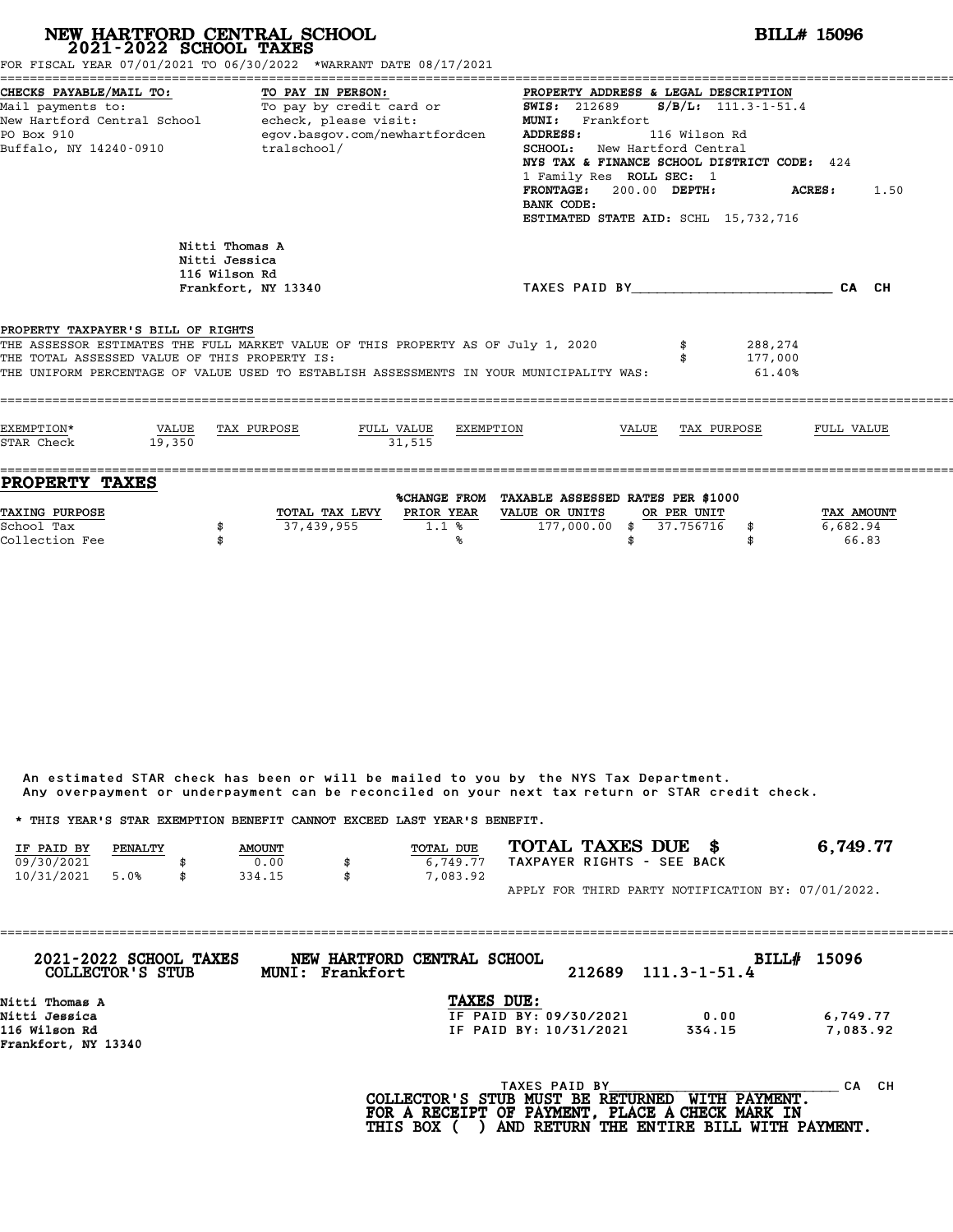|                                                                                                                                             |                          | NEW HARTFORD CENTRAL SCHOOL 2021-2022 SCHOOL TAXES<br>FOR FISCAL YEAR 07/01/2021 TO 06/30/2022 *WARRANT DATE 08/17/2021                                                     |                                                                                                                                                                                                                                                                                                                                     |                                                                                   |       |                          |                              | <b>BILL# 15096</b>     |
|---------------------------------------------------------------------------------------------------------------------------------------------|--------------------------|-----------------------------------------------------------------------------------------------------------------------------------------------------------------------------|-------------------------------------------------------------------------------------------------------------------------------------------------------------------------------------------------------------------------------------------------------------------------------------------------------------------------------------|-----------------------------------------------------------------------------------|-------|--------------------------|------------------------------|------------------------|
| CHECKS PAYABLE/MAIL TO:<br>Mail payments to:<br>New Hartford Central School - echeck, please visit:<br>PO Box 910<br>Buffalo, NY 14240-0910 | To pay by credit card or | egov.basgov.com/newhartfordcen<br>tralschool/<br><b>ADDRESS:</b><br>BANK CODE:                                                                                              | PROPERTY ADDRESS & LEGAL DESCRIPTION<br>$S/B/L: 111.3-1-51.4$<br><b>SWIS: 212689</b><br>MUNI: Frankfort<br>116 Wilson Rd<br><b>SCHOOL:</b> New Hartford Central<br>NYS TAX & FINANCE SCHOOL DISTRICT CODE: 424<br>1 Family Res ROLL SEC: 1<br>FRONTAGE: 200.00 DEPTH:<br><b>ACRES:</b> 1.50<br>ESTIMATED STATE AID: SCHL 15,732,716 |                                                                                   |       |                          |                              |                        |
|                                                                                                                                             |                          | Nitti Thomas A<br>Nitti Jessica<br>116 Wilson Rd<br>Frankfort, NY 13340                                                                                                     |                                                                                                                                                                                                                                                                                                                                     | TAXES PAID BY CALCULATE CALCH                                                     |       |                          |                              |                        |
| PROPERTY TAXPAYER'S BILL OF RIGHTS<br>THE TOTAL ASSESSED VALUE OF THIS PROPERTY IS:                                                         |                          | THE ASSESSOR ESTIMATES THE FULL MARKET VALUE OF THIS PROPERTY AS OF July 1, 2020<br>THE UNIFORM PERCENTAGE OF VALUE USED TO ESTABLISH ASSESSMENTS IN YOUR MUNICIPALITY WAS: |                                                                                                                                                                                                                                                                                                                                     |                                                                                   |       |                          | 288,274<br>177,000<br>61.40% |                        |
| EXEMPTION*<br>STAR Check                                                                                                                    | VALUE<br>19.350          | TAX PURPOSE                                                                                                                                                                 | FULL VALUE<br>EXEMPTION<br>31.515                                                                                                                                                                                                                                                                                                   |                                                                                   | VALUE | TAX PURPOSE              |                              | FULL VALUE             |
| <b>PROPERTY TAXES</b><br>TAXING PURPOSE<br>School Tax                                                                                       | \$                       | TOTAL TAX LEVY PRIOR YEAR<br>37,439,955                                                                                                                                     | $1.1*$                                                                                                                                                                                                                                                                                                                              | %CHANGE FROM TAXABLE ASSESSED RATES PER \$1000<br>VALUE OR UNITS<br>177,000.00 \$ |       | OR PER UNIT<br>37.756716 | \$                           | TAX AMOUNT<br>6,682.94 |

|            |         |               | Any overpayment or underpayment can be reconciled on your next tax return or STAR credit check. |                            |                                                    |
|------------|---------|---------------|-------------------------------------------------------------------------------------------------|----------------------------|----------------------------------------------------|
|            |         |               | * THIS YEAR'S STAR EXEMPTION BENEFIT CANNOT EXCEED LAST YEAR'S BENEFIT.                         |                            |                                                    |
| IF PAID BY | PENALTY | <b>AMOUNT</b> | <b>TOTAL DUE</b>                                                                                | TOTAL TAXES DUE \$         | 6,749.77                                           |
| 09/30/2021 |         | 0.00          | 6,749.77                                                                                        | TAXPAYER RIGHTS - SEE BACK |                                                    |
| 10/31/2021 | 5.0%    | \$<br>334.15  | \$<br>7,083.92                                                                                  |                            |                                                    |
|            |         |               |                                                                                                 |                            | APPLY FOR THIRD PARTY NOTIFICATION BY: 07/01/2022. |

| 2021-2022 SCHOOL TAXES<br>COLLECTOR'S STUB | MUNI: Frankfort | NEW HARTFORD CENTRAL SCHOOL | 212689 | $111.3 - 1 - 51.4$ | BILL# 15096 |
|--------------------------------------------|-----------------|-----------------------------|--------|--------------------|-------------|
| Nitti Thomas A                             |                 | <b>TAXES DUE:</b>           |        |                    |             |
| Nitti Jessica                              |                 | IF PAID BY: 09/30/2021      |        | 0.00               | 6,749.77    |
| 116 Wilson Rd                              |                 | IF PAID BY: 10/31/2021      |        | 334.15             | 7,083.92    |
| Frankfort, NY 13340                        |                 |                             |        |                    |             |
|                                            |                 | TAXES PAID BY               |        |                    | CH.<br>CА   |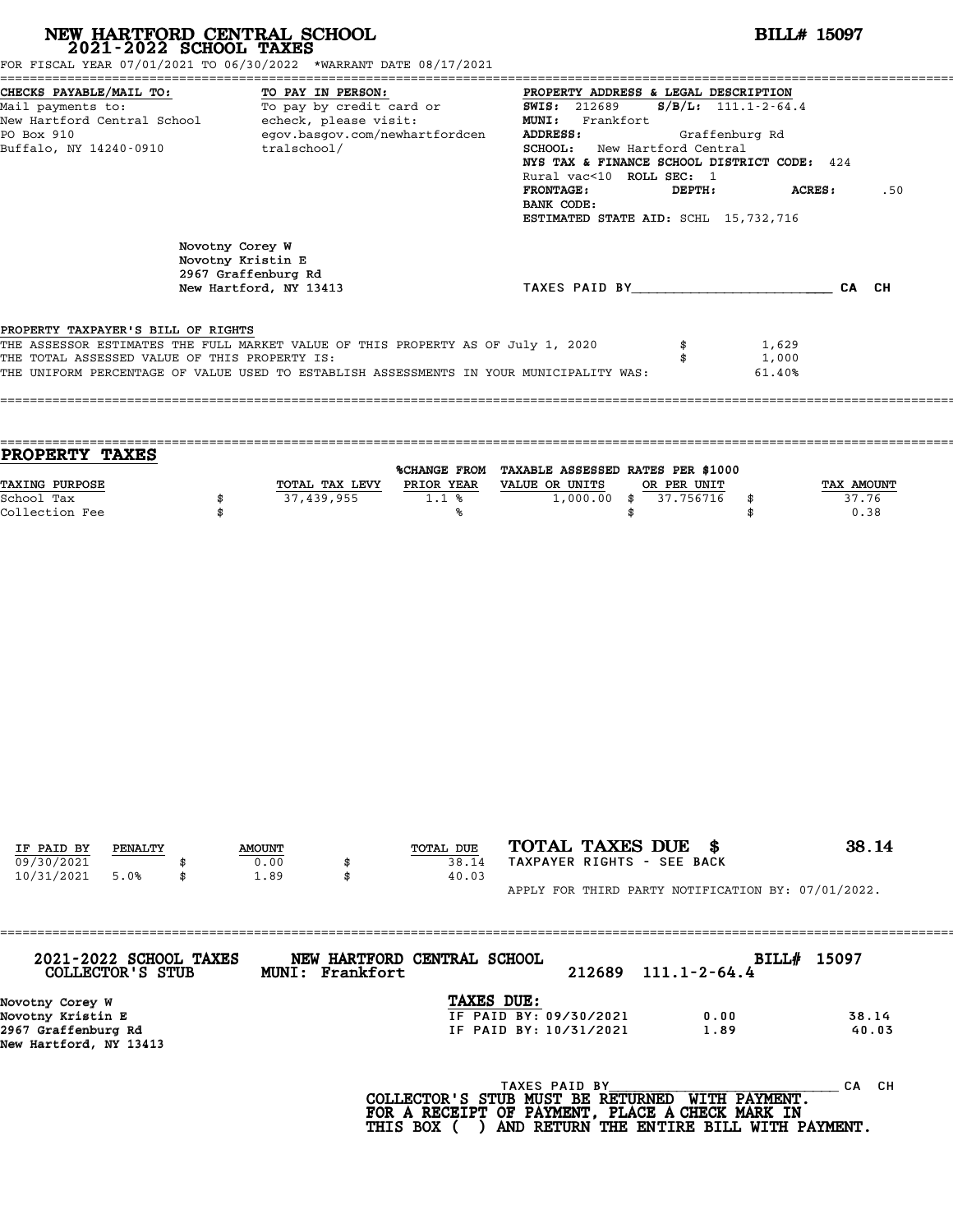| FOR FISCAL YEAR 07/01/2021 TO 06/30/2022 *WARRANT DATE 08/17/2021                                                                                                                                                                                                  |                                      | NEW HARTFORD CENTRAL SCHOOL 2021-2022 SCHOOL TAXES                                                                                                        |                             |                                                                                           |                                                                                                                                                                                                                  | <b>BILL# 15097</b>          |
|--------------------------------------------------------------------------------------------------------------------------------------------------------------------------------------------------------------------------------------------------------------------|--------------------------------------|-----------------------------------------------------------------------------------------------------------------------------------------------------------|-----------------------------|-------------------------------------------------------------------------------------------|------------------------------------------------------------------------------------------------------------------------------------------------------------------------------------------------------------------|-----------------------------|
| CHECKS PAYABLE/MAIL TO:<br>Mail payments to:<br>New Hartford Central School - echeck, please visit:<br>PO Box 910<br>Buffalo, NY 14240-0910                                                                                                                        |                                      | TO PAY IN PERSON:<br>TO: TO PAY IN PERSON: TO PAY IN PERSON:<br>To pay by credit card or TO SWIS: 212689<br>egov.basgov.com/newhartfordcen<br>tralschool/ |                             | MUNI: Frankfort<br>ADDRESS:<br>Rural vac<10 ROLL SEC: 1<br><b>FRONTAGE:</b><br>BANK CODE: | PROPERTY ADDRESS & LEGAL DESCRIPTION<br>$S/B/L: 111.1-2-64.4$<br>Graffenburg Rd<br>SCHOOL: New Hartford Central<br>NYS TAX & FINANCE SCHOOL DISTRICT CODE: 424<br>DEPTH:<br>ESTIMATED STATE AID: SCHL 15,732,716 | <b>ACRES :</b><br>.50       |
|                                                                                                                                                                                                                                                                    | Novotny Corey W<br>Novotny Kristin E | 2967 Graffenburg Rd<br>New Hartford, NY 13413                                                                                                             |                             |                                                                                           | TAXES PAID BY CAN CH                                                                                                                                                                                             |                             |
| PROPERTY TAXPAYER'S BILL OF RIGHTS<br>THE ASSESSOR ESTIMATES THE FULL MARKET VALUE OF THIS PROPERTY AS OF July 1, 2020<br>THE TOTAL ASSESSED VALUE OF THIS PROPERTY IS:<br>THE UNIFORM PERCENTAGE OF VALUE USED TO ESTABLISH ASSESSMENTS IN YOUR MUNICIPALITY WAS: |                                      |                                                                                                                                                           |                             |                                                                                           | \$<br>1,629<br>\$<br>1,000<br>61.40%                                                                                                                                                                             |                             |
| <b>PROPERTY TAXES</b>                                                                                                                                                                                                                                              |                                      |                                                                                                                                                           |                             | %CHANGE FROM TAXABLE ASSESSED RATES PER \$1000                                            |                                                                                                                                                                                                                  |                             |
| TAXING PURPOSE<br>School Tax<br>Collection Fee                                                                                                                                                                                                                     | \$<br>\$                             | TOTAL TAX LEVY PRIOR YEAR VALUE OR UNITS<br>37,439,955                                                                                                    | 1.1%<br>℁                   | $1,000.00$ \$<br>\$                                                                       | OR PER UNIT<br>37.756716<br>\$<br>\$                                                                                                                                                                             | TAX AMOUNT<br>37.76<br>0.38 |
|                                                                                                                                                                                                                                                                    |                                      |                                                                                                                                                           |                             |                                                                                           |                                                                                                                                                                                                                  |                             |
|                                                                                                                                                                                                                                                                    |                                      |                                                                                                                                                           |                             |                                                                                           |                                                                                                                                                                                                                  |                             |
| IF PAID BY<br>PENALTY<br>09/30/2021<br>10/31/2021<br>5.0%                                                                                                                                                                                                          | \$                                   | <b>AMOUNT</b><br>0.00<br>\$<br>1.89<br>\$                                                                                                                 | TOTAL DUE<br>38.14<br>40.03 | TOTAL TAXES DUE \$<br>TAXPAYER RIGHTS - SEE BACK                                          |                                                                                                                                                                                                                  | 38.14                       |
|                                                                                                                                                                                                                                                                    |                                      |                                                                                                                                                           |                             |                                                                                           | APPLY FOR THIRD PARTY NOTIFICATION BY: 07/01/2022.                                                                                                                                                               |                             |
| 2021-2022 SCHOOL TAXES<br>COLLECTOR'S STUB                                                                                                                                                                                                                         |                                      | MUNI: Frankfort                                                                                                                                           | NEW HARTFORD CENTRAL SCHOOL | 212689                                                                                    | $111.1 - 2 - 64.4$                                                                                                                                                                                               | BILL# 15097                 |
| Novotny Corey W<br>Novotny Kristin E<br>2967 Graffenburg Rd<br>New Hartford, NY 13413                                                                                                                                                                              |                                      |                                                                                                                                                           | TAXES DUE:                  | IF PAID BY: 09/30/2021<br>IF PAID BY: 10/31/2021                                          | 0.00<br>1.89                                                                                                                                                                                                     | 38.14<br>40.03              |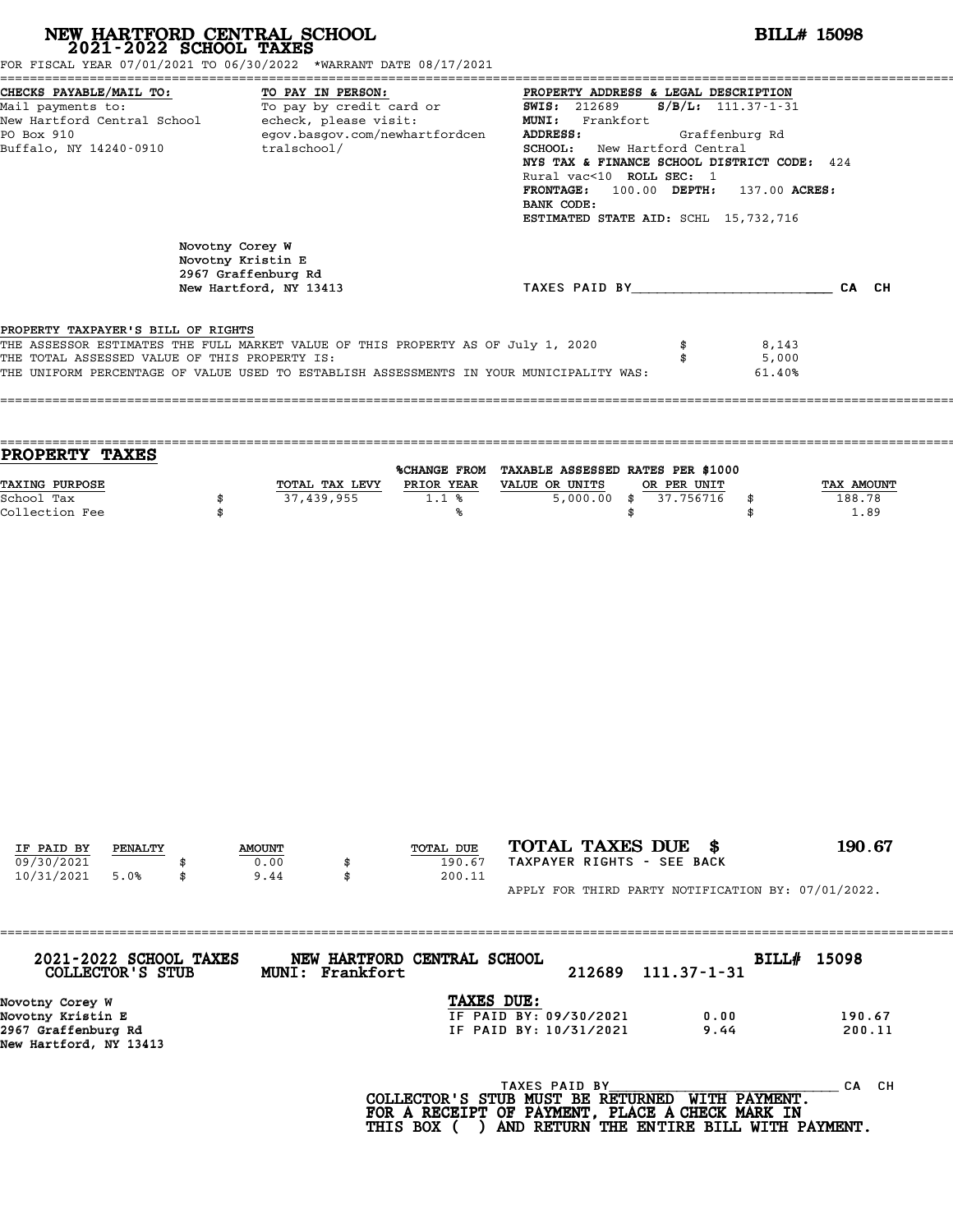| FOR FISCAL YEAR 07/01/2021 TO 06/30/2022 *WARRANT DATE 08/17/2021                                                                                                       |          | NEW HARTFORD CENTRAL SCHOOL 2021-2022 SCHOOL TAXES                                                                                                                |                                                       |                                                                                                                                                                                                                                                                               | <b>BILL# 15098</b>                      |                              |
|-------------------------------------------------------------------------------------------------------------------------------------------------------------------------|----------|-------------------------------------------------------------------------------------------------------------------------------------------------------------------|-------------------------------------------------------|-------------------------------------------------------------------------------------------------------------------------------------------------------------------------------------------------------------------------------------------------------------------------------|-----------------------------------------|------------------------------|
| CHECKS PAYABLE/MAIL TO:<br>Mail payments to:<br>New Hartford Central School - echeck, please visit:<br>PO Box 910<br>Buffalo, NY 14240-0910                             |          | TO PAY IN PERSON:<br><u>ro:</u> To PAY IN PERSON: The SECPERTY ADDRE<br>To pay by credit card or To SWIS: 212689<br>egov.basgov.com/newhartfordcen<br>tralschool/ |                                                       | PROPERTY ADDRESS & LEGAL DESCRIPTION<br>MUNI: Frankfort<br>ADDRESS:<br>SCHOOL: New Hartford Central<br>NYS TAX & FINANCE SCHOOL DISTRICT CODE: 424<br>Rural vac<10 ROLL SEC: 1<br>FRONTAGE: 100.00 DEPTH: 137.00 ACRES:<br>BANK CODE:<br>ESTIMATED STATE AID: SCHL 15,732,716 | $S/B/L$ : 111.37-1-31<br>Graffenburg Rd |                              |
|                                                                                                                                                                         |          | Novotny Corey W<br>Novotny Kristin E<br>2967 Graffenburg Rd<br>New Hartford, NY 13413                                                                             |                                                       | TAXES PAID BY____________________________CA CH                                                                                                                                                                                                                                |                                         |                              |
| PROPERTY TAXPAYER'S BILL OF RIGHTS<br>THE ASSESSOR ESTIMATES THE FULL MARKET VALUE OF THIS PROPERTY AS OF July 1, 2020<br>THE TOTAL ASSESSED VALUE OF THIS PROPERTY IS: |          |                                                                                                                                                                   |                                                       | \$<br>THE UNIFORM PERCENTAGE OF VALUE USED TO ESTABLISH ASSESSMENTS IN YOUR MUNICIPALITY WAS:                                                                                                                                                                                 | 8,143<br>5,000<br>61.40%                |                              |
| PROPERTY TAXES                                                                                                                                                          |          |                                                                                                                                                                   |                                                       | %CHANGE FROM TAXABLE ASSESSED RATES PER \$1000                                                                                                                                                                                                                                |                                         |                              |
| TAXING PURPOSE<br>School Tax<br>Collection Fee                                                                                                                          | \$<br>\$ | 37,439,955                                                                                                                                                        | TOTAL TAX LEVY PRIOR YEAR VALUE OR UNITS<br>1.1%<br>℁ | OR PER UNIT<br>$5,000.00$ \$ 37.756716<br>\$                                                                                                                                                                                                                                  | \$<br>\$                                | TAX AMOUNT<br>188.78<br>1.89 |
|                                                                                                                                                                         |          |                                                                                                                                                                   |                                                       |                                                                                                                                                                                                                                                                               |                                         |                              |
|                                                                                                                                                                         |          |                                                                                                                                                                   |                                                       |                                                                                                                                                                                                                                                                               |                                         |                              |
|                                                                                                                                                                         |          |                                                                                                                                                                   |                                                       |                                                                                                                                                                                                                                                                               |                                         |                              |
| IF PAID BY<br>PENALTY<br>09/30/2021<br>10/31/2021<br>5.0%                                                                                                               | \$       | <b>AMOUNT</b><br>0.00<br>9.44<br>\$                                                                                                                               | TOTAL DUE<br>190.67<br>200.11                         | TOTAL TAXES DUE \$<br>TAXPAYER RIGHTS - SEE BACK<br>APPLY FOR THIRD PARTY NOTIFICATION BY: 07/01/2022.                                                                                                                                                                        |                                         | 190.67                       |
| 2021-2022 SCHOOL TAXES<br>COLLECTOR'S STUB                                                                                                                              |          | MUNI: Frankfort                                                                                                                                                   | NEW HARTFORD CENTRAL SCHOOL                           | 212689<br>$111.37 - 1 - 31$                                                                                                                                                                                                                                                   | BILL# 15098                             |                              |
| Novotny Corey W<br>Novotny Kristin E<br>$2067$ Craffonburg $DA$                                                                                                         |          |                                                                                                                                                                   | TAXES DUE:                                            | IF PAID BY: 09/30/2021<br>0.00<br>$Q \sim 66$<br><b>TE DATN RV, 10/31/2021</b>                                                                                                                                                                                                |                                         | 190.67<br>20011              |

2967 Graffenburg Rd IF PAID BY: 10/31/2021 9.44 200.11 Novotny Corey W<br>Novotny Kristin E<br>2967 Graffenburg Rd<br>New Hartford, NY 13413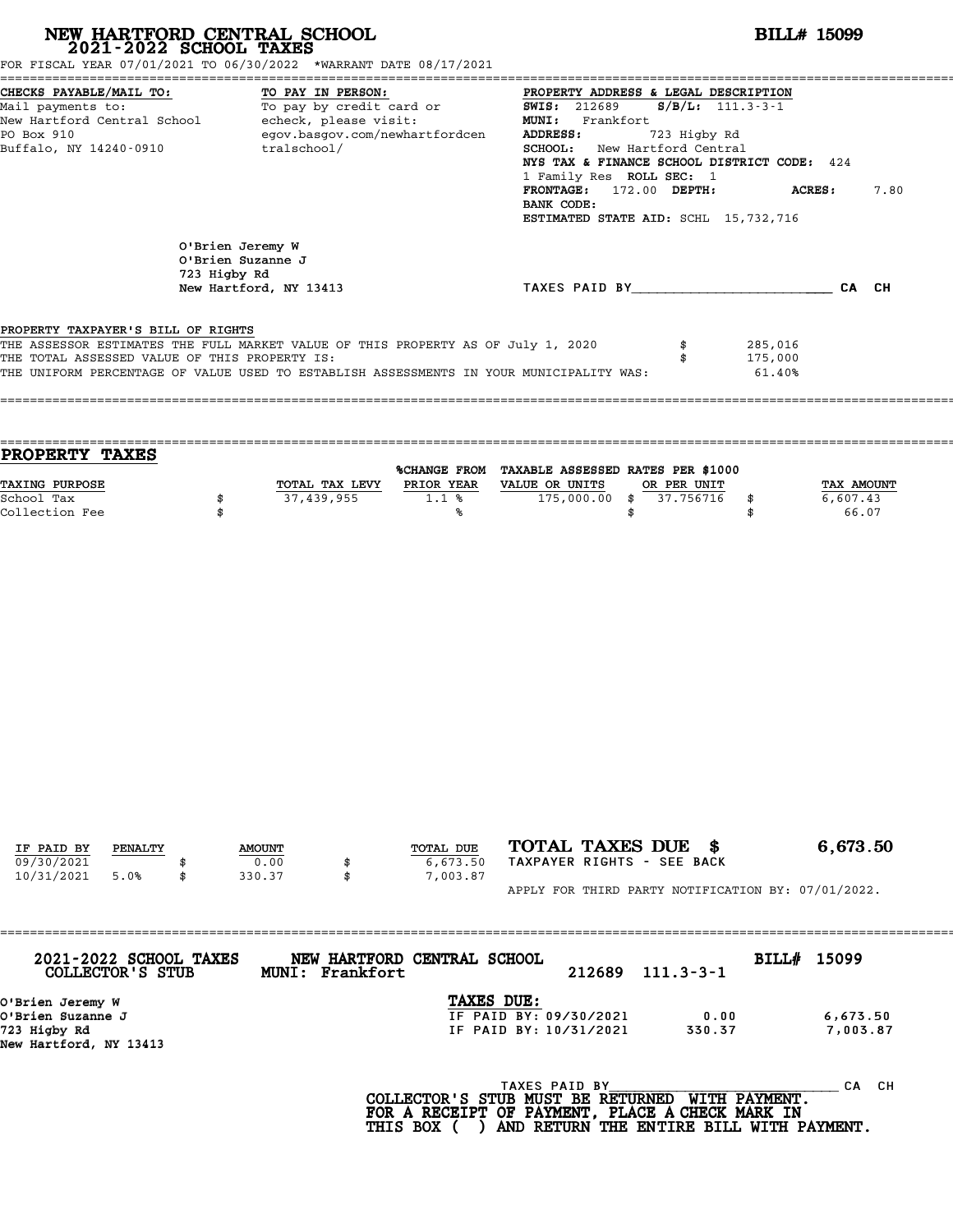| NEW HARTFORD CENTRAL SCHOOL<br>2021-2022 SCHOOL TAXES<br>FOR FISCAL YEAR 07/01/2021 TO 06/30/2022 *WARRANT DATE 08/17/2021                                                                                                                                         |          |                                                                                 |                   |                                                                                                    |                                                                |                                                                                         |                                                                                                            | <b>BILL# 15099</b>                                                                  |                                                                |
|--------------------------------------------------------------------------------------------------------------------------------------------------------------------------------------------------------------------------------------------------------------------|----------|---------------------------------------------------------------------------------|-------------------|----------------------------------------------------------------------------------------------------|----------------------------------------------------------------|-----------------------------------------------------------------------------------------|------------------------------------------------------------------------------------------------------------|-------------------------------------------------------------------------------------|----------------------------------------------------------------|
| CHECKS PAYABLE/MAIL TO:<br>Mail payments to:<br>New Hartford Central School - echeck, please visit:<br>PO Box 910<br>Buffalo, NY 14240-0910                                                                                                                        |          | tralschool/                                                                     | TO PAY IN PERSON: | To pay by credit card or<br>egov.basgov.com/newhartfordcen                                         | <b>MUNI:</b><br>ADDRESS:<br>BANK CODE:                         | <b>SWIS: 212689</b><br>Frankfort<br>1 Family Res ROLL SEC: 1<br>FRONTAGE: 172.00 DEPTH: | PROPERTY ADDRESS & LEGAL DESCRIPTION<br>$S/B/L: 111.3-3-1$<br>723 Higby Rd<br>SCHOOL: New Hartford Central | NYS TAX & FINANCE SCHOOL DISTRICT CODE: 424<br>ESTIMATED STATE AID: SCHL 15,732,716 | <b>ACRES:</b><br>7.80                                          |
|                                                                                                                                                                                                                                                                    |          | O'Brien Jeremy W<br>O'Brien Suzanne J<br>723 Higby Rd<br>New Hartford, NY 13413 |                   |                                                                                                    |                                                                |                                                                                         |                                                                                                            |                                                                                     | TAXES PAID BY CAN CHE CAN CH                                   |
| PROPERTY TAXPAYER'S BILL OF RIGHTS<br>THE ASSESSOR ESTIMATES THE FULL MARKET VALUE OF THIS PROPERTY AS OF July 1, 2020<br>THE TOTAL ASSESSED VALUE OF THIS PROPERTY IS:<br>THE UNIFORM PERCENTAGE OF VALUE USED TO ESTABLISH ASSESSMENTS IN YOUR MUNICIPALITY WAS: |          |                                                                                 |                   |                                                                                                    |                                                                |                                                                                         | \$<br>\$                                                                                                   | 285,016<br>175,000<br>61.40%                                                        |                                                                |
| PROPERTY TAXES                                                                                                                                                                                                                                                     |          |                                                                                 |                   |                                                                                                    |                                                                |                                                                                         |                                                                                                            |                                                                                     |                                                                |
| TAXING PURPOSE<br>School Tax<br>Collection Fee                                                                                                                                                                                                                     | \$<br>\$ |                                                                                 | 37,439,955        | %CHANGE FROM TAXABLE ASSESSED RATES PER \$1000<br>TOTAL TAX LEVY PRIOR YEAR<br>1.1%<br>%ร          | VALUE OR UNITS                                                 | $175,000.00$ \$                                                                         | \$<br>OR PER UNIT<br>37.756716                                                                             | \$<br>\$                                                                            | TAX AMOUNT<br>6,607.43<br>66.07                                |
| IF PAID BY<br><b>PENALTY</b><br>09/30/2021<br>10/31/2021<br>5.0%                                                                                                                                                                                                   | \$       | <b>AMOUNT</b><br>0.00<br>330.37                                                 | \$                | <b>TOTAL DUE</b><br>6,673.50<br>7,003.87                                                           | TOTAL TAXES DUE \$<br>TAXPAYER RIGHTS - SEE BACK               |                                                                                         |                                                                                                            |                                                                                     | 6,673.50<br>APPLY FOR THIRD PARTY NOTIFICATION BY: 07/01/2022. |
| 2021-2022 SCHOOL TAXES                                                                                                                                                                                                                                             |          |                                                                                 |                   | NEW HARTFORD CENTRAL SCHOOL                                                                        |                                                                |                                                                                         |                                                                                                            | BILL# 15099                                                                         |                                                                |
| COLLECTOR'S STUB<br>O'Brien Jeremy W<br>O'Brien Suzanne J<br>723 Higby Rd<br>New Hartford, NY 13413                                                                                                                                                                |          |                                                                                 | MUNI: Frankfort   |                                                                                                    | TAXES DUE:<br>IF PAID BY: 09/30/2021<br>IF PAID BY: 10/31/2021 | 212689                                                                                  | $111.3 - 3 - 1$<br>0.00<br>330.37                                                                          |                                                                                     | 6,673.50<br>7,003.87                                           |
|                                                                                                                                                                                                                                                                    |          |                                                                                 |                   | COLLECTOR'S STUB MUST BE RETURNED WITH PAYMENT.<br>FOR A RECEIPT OF PAYMENT, PLACE A CHECK MARK IN | TAXES PAID BY                                                  |                                                                                         |                                                                                                            |                                                                                     | CA CH                                                          |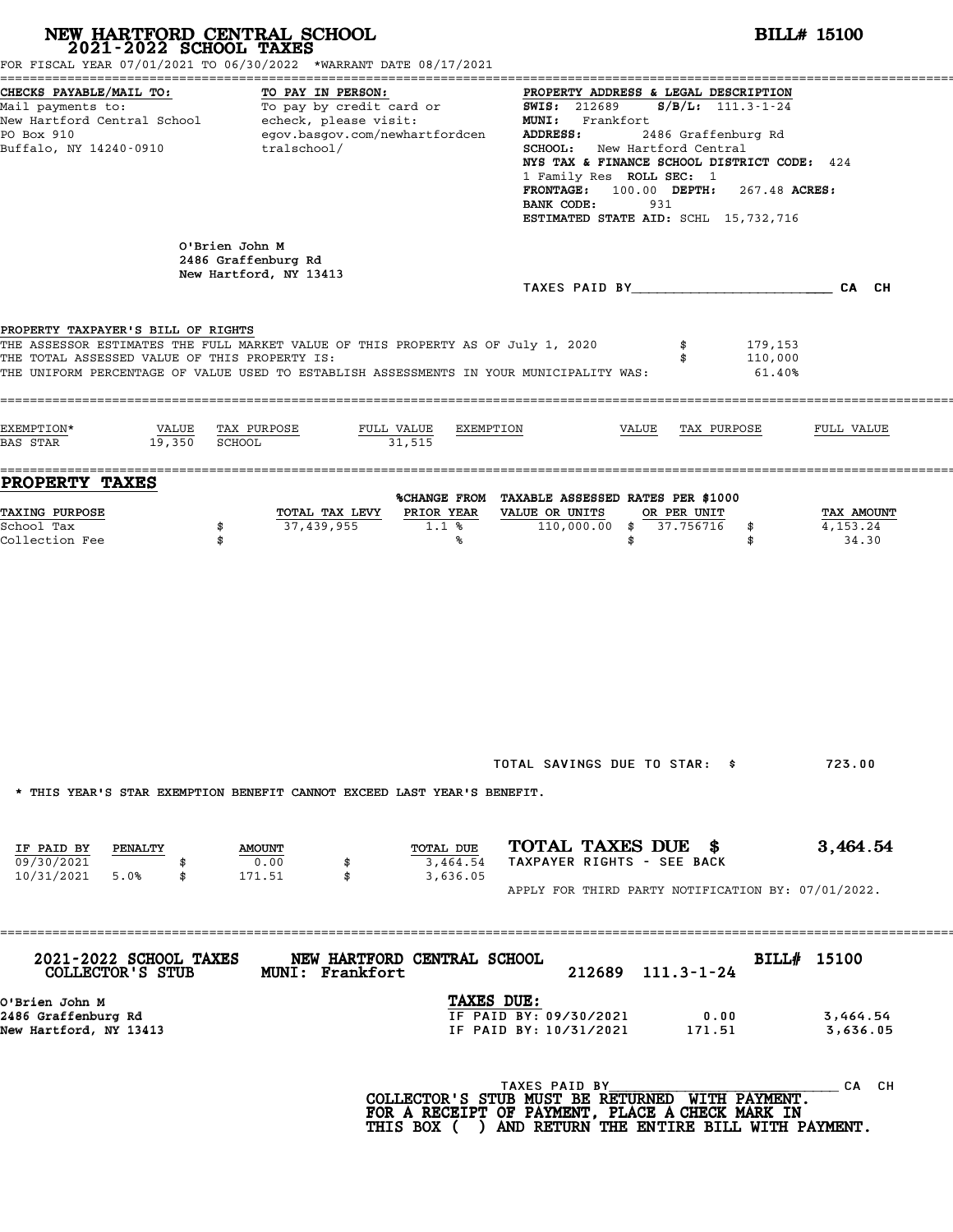|                                                                                     | NEW HARTFORD CENTRAL SCHOOL<br>2021-2022 SCHOOL TAXES<br>FOR FISCAL YEAR 07/01/2021 TO 06/30/2022 *WARRANT DATE 08/17/2021                                                  |                                                                                                                                                             |                                                                                                                                                                                                                                                                                                                                                                                                                                                                                    |                   |                              | <b>BILL# 15100</b>                |  |  |
|-------------------------------------------------------------------------------------|-----------------------------------------------------------------------------------------------------------------------------------------------------------------------------|-------------------------------------------------------------------------------------------------------------------------------------------------------------|------------------------------------------------------------------------------------------------------------------------------------------------------------------------------------------------------------------------------------------------------------------------------------------------------------------------------------------------------------------------------------------------------------------------------------------------------------------------------------|-------------------|------------------------------|-----------------------------------|--|--|
| CHECKS PAYABLE/MAIL TO:<br>PO Box 910<br>Buffalo, NY 14240-0910                     | TO PAY IN PERSON:<br>egov.basgov.com/newhartfordcen<br>tralschool/                                                                                                          |                                                                                                                                                             | PROPERTY ADDRESS & LEGAL DESCRIPTION<br>Mail payments to:<br>Mail payments to:<br>New Hartford Central School echeck, please visit:<br>New Hartford Central School echeck, please visit:<br>NEW MI: Frankfort Frankfort<br><b>ADDRESS:</b><br>2486 Graffenburg Rd<br>SCHOOL: New Hartford Central<br>NYS TAX & FINANCE SCHOOL DISTRICT CODE: 424<br>1 Family Res ROLL SEC: 1<br>FRONTAGE: 100.00 DEPTH: 267.48 ACRES:<br>BANK CODE:<br>931<br>ESTIMATED STATE AID: SCHL 15,732,716 |                   |                              |                                   |  |  |
|                                                                                     | O'Brien John M<br>2486 Graffenburg Rd<br>New Hartford, NY 13413                                                                                                             |                                                                                                                                                             |                                                                                                                                                                                                                                                                                                                                                                                                                                                                                    |                   |                              |                                   |  |  |
| PROPERTY TAXPAYER'S BILL OF RIGHTS<br>THE TOTAL ASSESSED VALUE OF THIS PROPERTY IS: | THE ASSESSOR ESTIMATES THE FULL MARKET VALUE OF THIS PROPERTY AS OF July 1, 2020<br>THE UNIFORM PERCENTAGE OF VALUE USED TO ESTABLISH ASSESSMENTS IN YOUR MUNICIPALITY WAS: |                                                                                                                                                             |                                                                                                                                                                                                                                                                                                                                                                                                                                                                                    |                   | 179,153<br>110,000<br>61.40% |                                   |  |  |
| EXEMPTION*<br>$19,350$ SCHOOL<br><b>BAS STAR</b>                                    | VALUE TAX PURPOSE<br>FULL VALUE<br>31,515                                                                                                                                   | EXEMPTION                                                                                                                                                   |                                                                                                                                                                                                                                                                                                                                                                                                                                                                                    | VALUE TAX PURPOSE |                              | FULL VALUE                        |  |  |
| <b>PROPERTY TAXES</b><br><b>TAXING PURPOSE</b><br>School Tax<br>Collection Fee      | TOTAL TAX LEVY<br>37,439,955<br>\$<br>\$                                                                                                                                    | %CHANGE FROM TAXABLE ASSESSED RATES PER \$1000<br>PRIOR YEAR<br>1.1%<br>℁                                                                                   | VALUE OR UNITS<br>110,000.00 \$ 37.756716                                                                                                                                                                                                                                                                                                                                                                                                                                          | OR PER UNIT<br>\$ | \$<br>\$                     | TAX AMOUNT<br>4, 153. 24<br>34.30 |  |  |
| IF PAID BY<br>PENALTY                                                               | * THIS YEAR'S STAR EXEMPTION BENEFIT CANNOT EXCEED LAST YEAR'S BENEFIT.<br><b>AMOUNT</b>                                                                                    | TOTAL DUE                                                                                                                                                   | TOTAL SAVINGS DUE TO STAR: \$<br>TOTAL TAXES DUE \$                                                                                                                                                                                                                                                                                                                                                                                                                                |                   |                              | 723.00<br>3,464.54                |  |  |
| 09/30/2021<br>\$<br>10/31/2021 5.0%<br>\$                                           | 0.00<br>\$<br>\$<br>171.51                                                                                                                                                  | 3,464.54<br>3,636.05                                                                                                                                        | TAXPAYER RIGHTS - SEE BACK<br>APPLY FOR THIRD PARTY NOTIFICATION BY: 07/01/2022.                                                                                                                                                                                                                                                                                                                                                                                                   |                   |                              |                                   |  |  |
| 2021-2022 SCHOOL TAXES<br>COLLECTOR'S STUB                                          | NEW HARTFORD CENTRAL SCHOOL<br><b>MUNI: Frankfort</b>                                                                                                                       |                                                                                                                                                             |                                                                                                                                                                                                                                                                                                                                                                                                                                                                                    | 212689 111.3-1-24 |                              | BILL# 15100                       |  |  |
| O'Brien John M<br>2486 Graffenburg Rd<br>New Hartford, NY 13413                     |                                                                                                                                                                             | TAXES DUE:                                                                                                                                                  | IF PAID BY: 09/30/2021<br>IF PAID BY: 10/31/2021                                                                                                                                                                                                                                                                                                                                                                                                                                   |                   | 0.00<br>171.51               | 3,464.54<br>3,636.05              |  |  |
|                                                                                     |                                                                                                                                                                             | COLLECTOR'S STUB MUST BE RETURNED WITH PAYMENT.<br>FOR A RECEIPT OF PAYMENT, PLACE A CHECK MARK IN<br>THIS BOX ( ) AND RETURN THE ENTIRE BILL WITH PAYMENT. | TAXES PAID BY                                                                                                                                                                                                                                                                                                                                                                                                                                                                      |                   |                              | CA CH                             |  |  |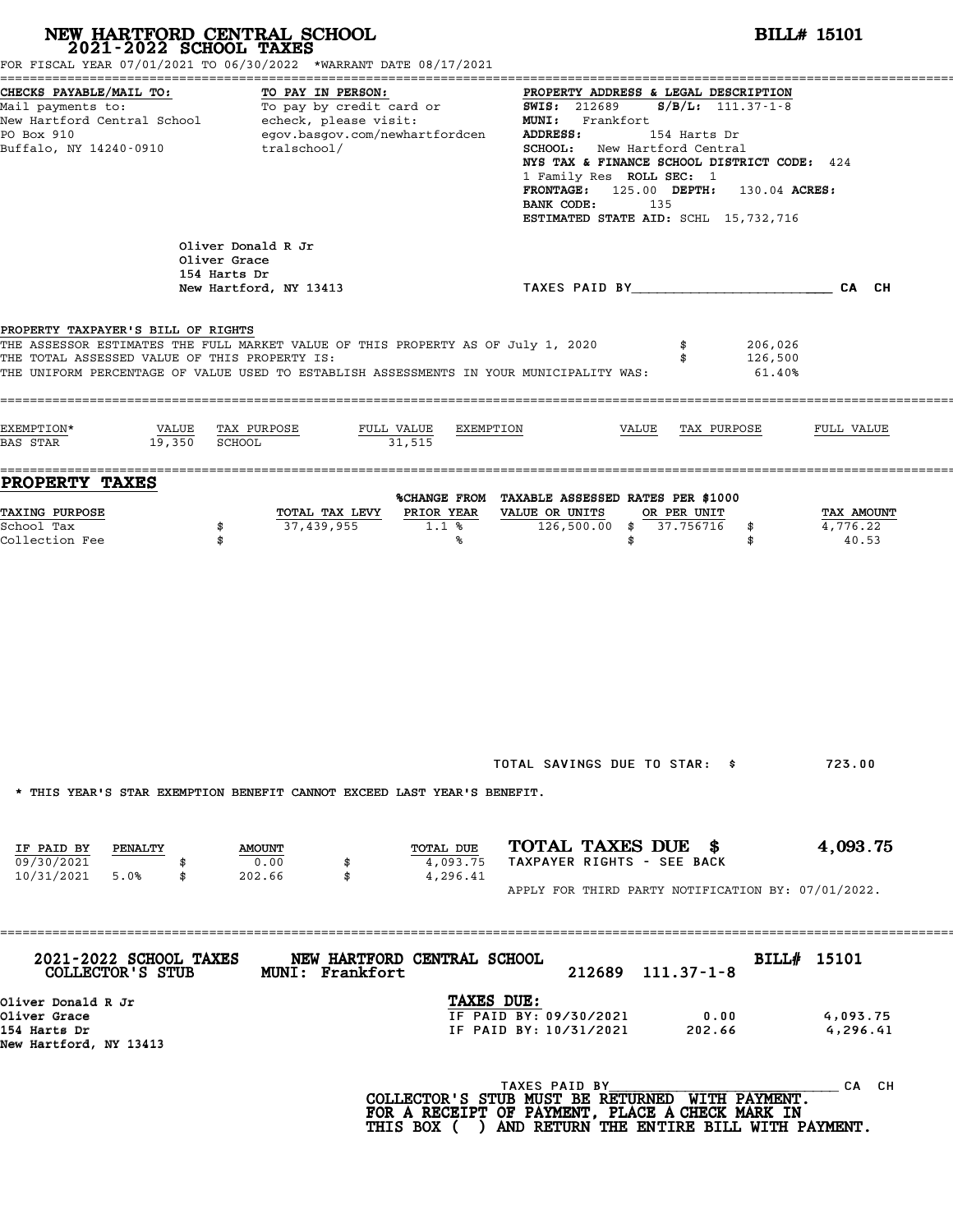|                                                                                     | NEW HARTFORD CENTRAL SCHOOL 2021-2022 SCHOOL TAXES<br>FOR FISCAL YEAR 07/01/2021 TO 06/30/2022 *WARRANT DATE 08/17/2021                                                     |                                                                                                                                                                                                                                                                                                                                                        | <b>BILL# 15101</b>              |
|-------------------------------------------------------------------------------------|-----------------------------------------------------------------------------------------------------------------------------------------------------------------------------|--------------------------------------------------------------------------------------------------------------------------------------------------------------------------------------------------------------------------------------------------------------------------------------------------------------------------------------------------------|---------------------------------|
| CHECKS PAYABLE/MAIL TO:<br>PO Box 910<br>Buffalo, NY 14240-0910                     | TO PAY IN PERSON:<br>Mail payments to:<br>Mail payments to:<br>New Hartford Central School echeck, please visit:<br>egov.basgov.com/newhartfordcen<br>tralschool/           | PROPERTY ADDRESS & LEGAL DESCRIPTION<br>SWIS: 212689<br>$S/B/L: 111.37 - 1 - 8$<br>MUNI: Frankfort<br>ADDRESS:<br>154 Harts Dr<br><b>SCHOOL:</b> New Hartford Central<br>NYS TAX & FINANCE SCHOOL DISTRICT CODE: 424<br>1 Family Res ROLL SEC: 1<br>FRONTAGE: 125.00 DEPTH: 130.04 ACRES:<br>BANK CODE:<br>135<br>ESTIMATED STATE AID: SCHL 15,732,716 |                                 |
|                                                                                     | Oliver Donald R Jr<br>Oliver Grace<br>154 Harts Dr<br>New Hartford, NY 13413                                                                                                | TAXES PAID BY And All And All And CA CH                                                                                                                                                                                                                                                                                                                |                                 |
| PROPERTY TAXPAYER'S BILL OF RIGHTS<br>THE TOTAL ASSESSED VALUE OF THIS PROPERTY IS: | THE ASSESSOR ESTIMATES THE FULL MARKET VALUE OF THIS PROPERTY AS OF July 1, 2020<br>THE UNIFORM PERCENTAGE OF VALUE USED TO ESTABLISH ASSESSMENTS IN YOUR MUNICIPALITY WAS: | 206,026<br>\$<br>126,500<br>$61.40\%$                                                                                                                                                                                                                                                                                                                  |                                 |
| EXEMPTION*<br>19,350 SCHOOL<br><b>BAS STAR</b>                                      | VALUE TAX PURPOSE<br>FULL VALUE<br>EXEMPTION<br>31,515                                                                                                                      | VALUE<br>TAX PURPOSE                                                                                                                                                                                                                                                                                                                                   | FULL VALUE                      |
| <b>PROPERTY TAXES</b><br>TAXING PURPOSE<br>School Tax<br>Collection Fee             | PRIOR YEAR<br>TOTAL TAX LEVY<br>37,439,955<br>\$<br>$1.1$ %<br>\$<br>℁                                                                                                      | %CHANGE FROM TAXABLE ASSESSED RATES PER \$1000<br>VALUE OR UNITS<br>OR PER UNIT<br>126,500.00 \$ 37.756716<br>\$<br>\$<br>\$                                                                                                                                                                                                                           | TAX AMOUNT<br>4,776.22<br>40.53 |
|                                                                                     | * THIS YEAR'S STAR EXEMPTION BENEFIT CANNOT EXCEED LAST YEAR'S BENEFIT.                                                                                                     | TOTAL SAVINGS DUE TO STAR: \$<br>TOTAL TAXES DUE \$                                                                                                                                                                                                                                                                                                    | 723.00                          |
| IF PAID BY<br><b>PENALTY</b><br>09/30/2021<br>10/31/2021 5.0%<br>\$                 | TOTAL DUE<br><b>AMOUNT</b><br>0.00<br>4,093.75<br>\$<br>202.66<br>\$<br>4,296.41                                                                                            | TAXPAYER RIGHTS - SEE BACK<br>APPLY FOR THIRD PARTY NOTIFICATION BY: 07/01/2022.                                                                                                                                                                                                                                                                       | 4,093.75                        |
| 2021-2022 SCHOOL TAXES<br>COLLECTOR'S STUB                                          | =================<br>NEW HARTFORD CENTRAL SCHOOL<br><b>MUNI: Frankfort</b>                                                                                                  | 212689 111.37-1-8                                                                                                                                                                                                                                                                                                                                      | BILL# 15101                     |
| Oliver Donald R Jr<br>Oliver Grace<br>154 Harts Dr<br>New Hartford, NY 13413        |                                                                                                                                                                             | TAXES DUE:<br>IF PAID BY: 09/30/2021<br>0.00<br>IF PAID BY: 10/31/2021<br>202.66                                                                                                                                                                                                                                                                       | 4,093.75<br>4,296.41            |
|                                                                                     |                                                                                                                                                                             | TAXES PAID BY<br>COLLECTOR'S STUB MUST BE RETURNED WITH PAYMENT.<br>FOR A RECEIPT OF PAYMENT, PLACE A CHECK MARK IN<br>THIS BOX ( ) AND RETURN THE ENTIRE BILL WITH PAYMENT.                                                                                                                                                                           | CA CH                           |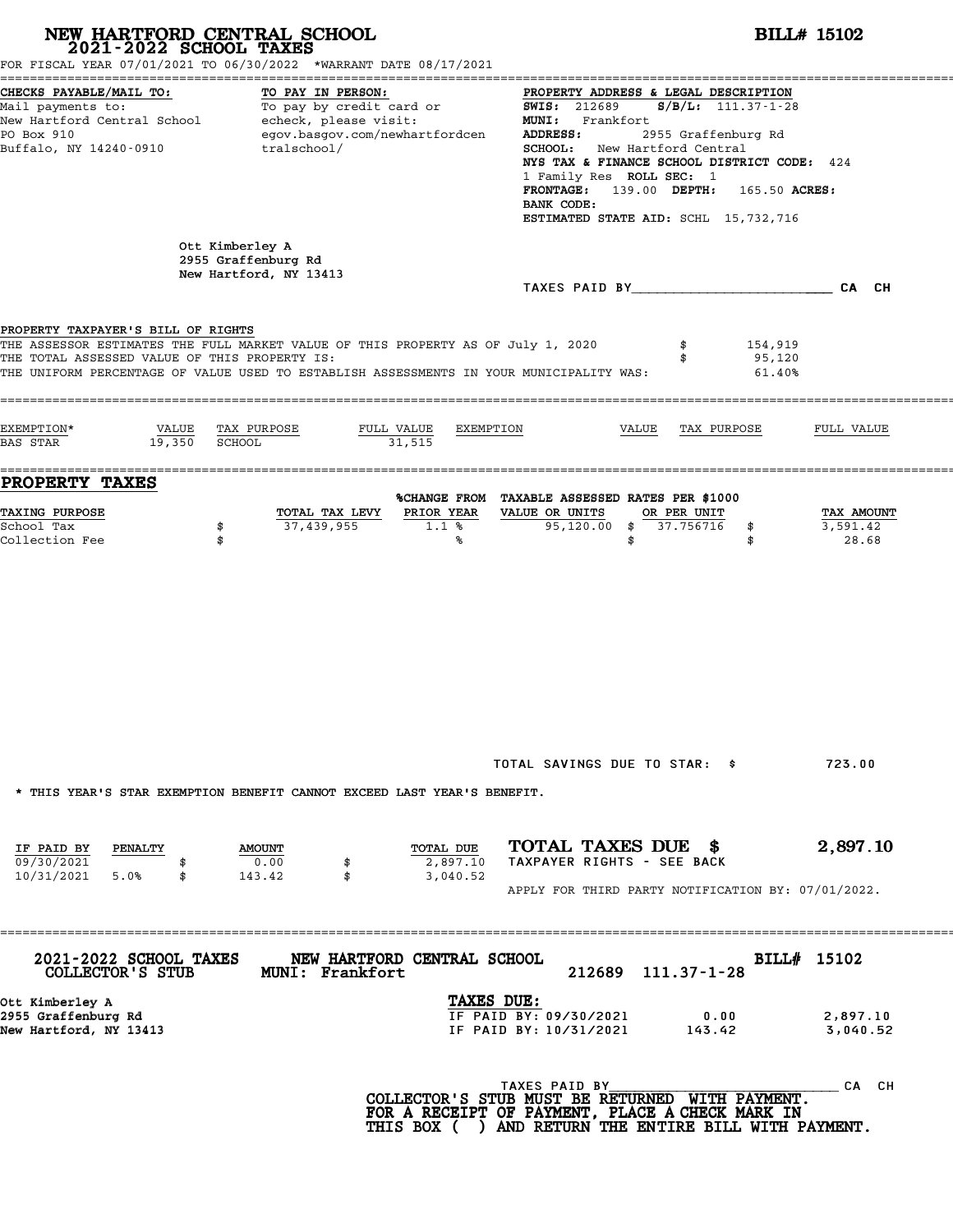|                                                                                                   | NEW HARTFORD CENTRAL SCHOOL 2021-2022 SCHOOL TAXES<br>FOR FISCAL YEAR 07/01/2021 TO 06/30/2022 *WARRANT DATE 08/17/2021                                                                                        |                                                                                                                                                                              |                                                                                                                                                                                                                                                                                                                               | <b>BILL# 15102</b>              |  |  |  |  |
|---------------------------------------------------------------------------------------------------|----------------------------------------------------------------------------------------------------------------------------------------------------------------------------------------------------------------|------------------------------------------------------------------------------------------------------------------------------------------------------------------------------|-------------------------------------------------------------------------------------------------------------------------------------------------------------------------------------------------------------------------------------------------------------------------------------------------------------------------------|---------------------------------|--|--|--|--|
| CHECKS PAYABLE/MAIL TO:<br>PO Box 910<br>Buffalo, NY 14240-0910                                   | TO PAY IN PERSON:<br>Mail payments to: To pay by credit card or<br>New Hartford Central School echeck, please visit:<br>egov.basgov.com/newhartfordcen<br>tralschool/                                          | ADDRESS:<br>BANK CODE:                                                                                                                                                       | PROPERTY ADDRESS & LEGAL DESCRIPTION<br><b>SWIS: 212689</b><br>$S/B/L: 111.37 - 1 - 28$<br>MUNI: Frankfort<br>2955 Graffenburg Rd<br>SCHOOL: New Hartford Central<br>NYS TAX & FINANCE SCHOOL DISTRICT CODE: 424<br>1 Family Res ROLL SEC: 1<br>FRONTAGE: 139.00 DEPTH: 165.50 ACRES:<br>ESTIMATED STATE AID: SCHL 15,732,716 |                                 |  |  |  |  |
|                                                                                                   | Ott Kimberley A<br>2955 Graffenburg Rd<br>New Hartford, NY 13413                                                                                                                                               |                                                                                                                                                                              |                                                                                                                                                                                                                                                                                                                               |                                 |  |  |  |  |
| PROPERTY TAXPAYER'S BILL OF RIGHTS<br>THE TOTAL ASSESSED VALUE OF THIS PROPERTY IS:<br>EXEMPTION* | THE ASSESSOR ESTIMATES THE FULL MARKET VALUE OF THIS PROPERTY AS OF July 1, 2020<br>THE UNIFORM PERCENTAGE OF VALUE USED TO ESTABLISH ASSESSMENTS IN YOUR MUNICIPALITY WAS:<br>VALUE TAX PURPOSE<br>FULL VALUE | EXEMPTION                                                                                                                                                                    | \$<br>154,919<br>95,120<br>\$<br>61.40%<br>VALUE<br>TAX PURPOSE                                                                                                                                                                                                                                                               | FULL VALUE                      |  |  |  |  |
| 19,350 SCHOOL<br>BAS STAR                                                                         | 31,515                                                                                                                                                                                                         |                                                                                                                                                                              |                                                                                                                                                                                                                                                                                                                               |                                 |  |  |  |  |
| PROPERTY TAXES<br><b>TAXING PURPOSE</b><br>School Tax<br>Collection Fee                           | TOTAL TAX LEVY<br>37,439,955<br>\$<br>\$                                                                                                                                                                       | %CHANGE FROM TAXABLE ASSESSED RATES PER \$1000<br>PRIOR YEAR<br>VALUE OR UNITS<br>1.1%<br>℁                                                                                  | OR PER UNIT<br>95,120.00 \$ 37.756716<br>\$<br>\$<br>\$                                                                                                                                                                                                                                                                       | TAX AMOUNT<br>3,591.42<br>28.68 |  |  |  |  |
|                                                                                                   | * THIS YEAR'S STAR EXEMPTION BENEFIT CANNOT EXCEED LAST YEAR'S BENEFIT.                                                                                                                                        |                                                                                                                                                                              | TOTAL SAVINGS DUE TO STAR: \$                                                                                                                                                                                                                                                                                                 | 723.00                          |  |  |  |  |
| IF PAID BY<br>PENALTY<br>09/30/2021<br>10/31/2021<br>5.0%<br>\$                                   | <b>AMOUNT</b><br>0.00<br>\$<br>143.42<br>\$                                                                                                                                                                    | TOTAL DUE<br>2,897.10<br>3,040.52                                                                                                                                            | TOTAL TAXES DUE \$<br>TAXPAYER RIGHTS - SEE BACK<br>APPLY FOR THIRD PARTY NOTIFICATION BY: 07/01/2022.                                                                                                                                                                                                                        | 2,897.10                        |  |  |  |  |
| 2021-2022 SCHOOL TAXES<br>COLLECTOR'S STUB                                                        | ================<br>NEW HARTFORD CENTRAL SCHOOL<br>MUNI: Frankfort                                                                                                                                             | 212689                                                                                                                                                                       | $111.37 - 1 - 28$                                                                                                                                                                                                                                                                                                             | BILL# 15102                     |  |  |  |  |
| Ott Kimberley A<br>2955 Graffenburg Rd<br>New Hartford, NY 13413                                  |                                                                                                                                                                                                                | TAXES DUE:<br>IF PAID BY: 09/30/2021<br>IF PAID BY: 10/31/2021                                                                                                               | 0.00<br>143.42                                                                                                                                                                                                                                                                                                                | 2,897.10<br>3,040.52            |  |  |  |  |
|                                                                                                   |                                                                                                                                                                                                                | TAXES PAID BY<br>COLLECTOR'S STUB MUST BE RETURNED WITH PAYMENT.<br>FOR A RECEIPT OF PAYMENT, PLACE A CHECK MARK IN<br>THIS BOX ( ) AND RETURN THE ENTIRE BILL WITH PAYMENT. |                                                                                                                                                                                                                                                                                                                               | CA CH                           |  |  |  |  |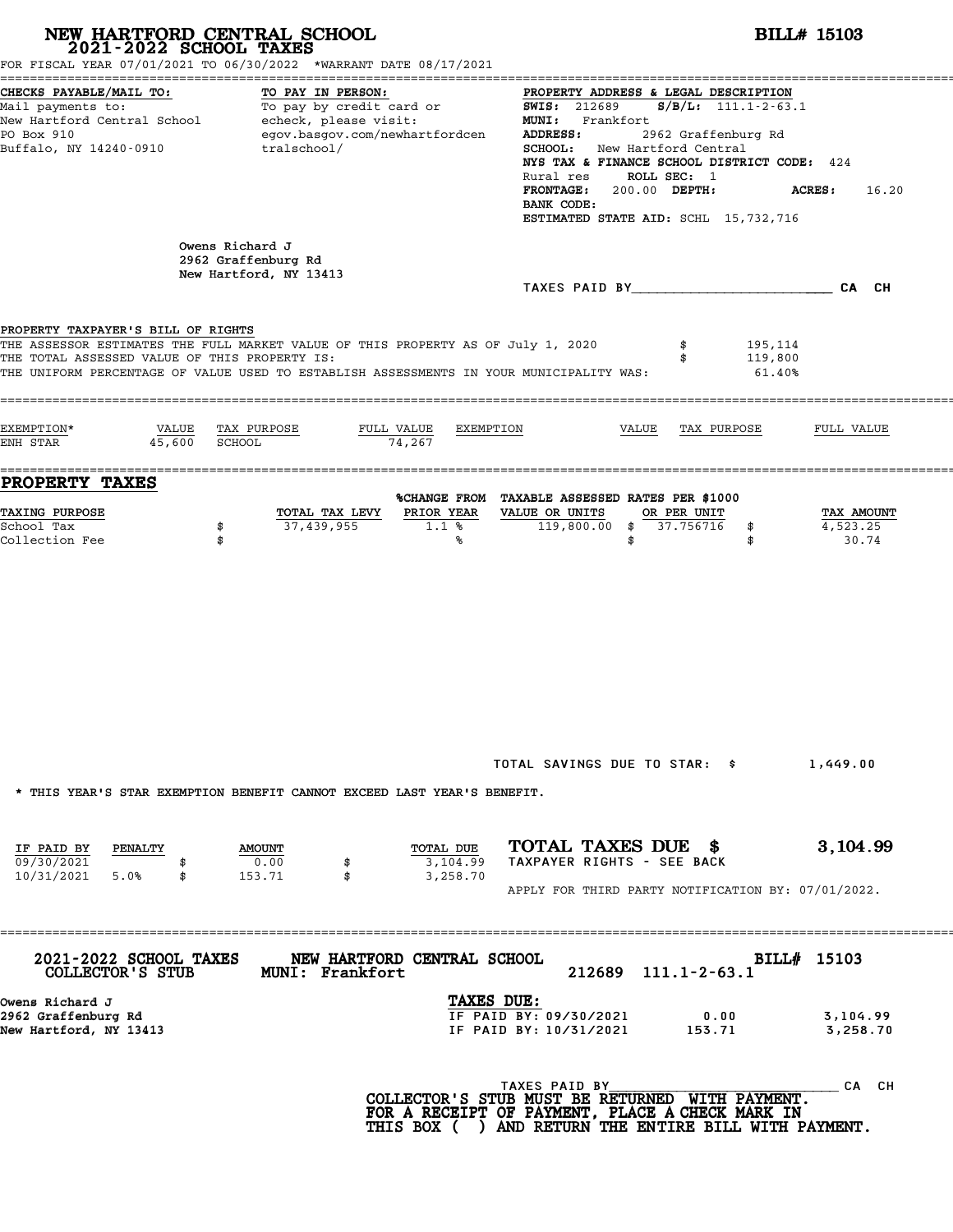|                                                                                     | NEW HARTFORD CENTRAL SCHOOL<br>2021-2022 SCHOOL TAXES<br>FOR FISCAL YEAR 07/01/2021 TO 06/30/2022 *WARRANT DATE 08/17/2021                                                  | <b>BILL# 15103</b>                                                                                                                                                                                                                                                                                                                                       |                                 |
|-------------------------------------------------------------------------------------|-----------------------------------------------------------------------------------------------------------------------------------------------------------------------------|----------------------------------------------------------------------------------------------------------------------------------------------------------------------------------------------------------------------------------------------------------------------------------------------------------------------------------------------------------|---------------------------------|
| CHECKS PAYABLE/MAIL TO:<br>PO Box 910<br>Buffalo, NY 14240-0910                     | TO PAY IN PERSON:<br>Mail payments to:<br>Mail payments to:<br>New Hartford Central School echeck, please visit:<br>egov.basgov.com/newhartfordcen<br>tralschool/           | PROPERTY ADDRESS & LEGAL DESCRIPTION<br>$S/B/L$ : 111.1-2-63.1<br><b>SWIS: 212689</b><br>MUNI: Frankfort<br>2962 Graffenburg Rd<br>ADDRESS:<br>SCHOOL: New Hartford Central<br>NYS TAX & FINANCE SCHOOL DISTRICT CODE: 424<br>ROLL SEC: 1<br>Rural res<br>FRONTAGE: 200.00 DEPTH:<br><b>ACRES:</b><br>BANK CODE:<br>ESTIMATED STATE AID: SCHL 15,732,716 | 16.20                           |
|                                                                                     | Owens Richard J<br>2962 Graffenburg Rd<br>New Hartford, NY 13413                                                                                                            | TAXES PAID BY CA CH                                                                                                                                                                                                                                                                                                                                      |                                 |
| PROPERTY TAXPAYER'S BILL OF RIGHTS<br>THE TOTAL ASSESSED VALUE OF THIS PROPERTY IS: | THE ASSESSOR ESTIMATES THE FULL MARKET VALUE OF THIS PROPERTY AS OF July 1, 2020<br>THE UNIFORM PERCENTAGE OF VALUE USED TO ESTABLISH ASSESSMENTS IN YOUR MUNICIPALITY WAS: | 195,114<br>\$<br>119,800<br>\$<br>61.40%                                                                                                                                                                                                                                                                                                                 |                                 |
| EXEMPTION*<br>VALUE<br>45,600<br>ENH STAR                                           | TAX PURPOSE<br>FULL VALUE<br>EXEMPTION<br>SCHOOL<br>74,267                                                                                                                  | VALUE<br>TAX PURPOSE                                                                                                                                                                                                                                                                                                                                     | FULL VALUE                      |
| PROPERTY TAXES                                                                      |                                                                                                                                                                             | %CHANGE FROM TAXABLE ASSESSED RATES PER \$1000                                                                                                                                                                                                                                                                                                           |                                 |
| TAXING PURPOSE<br>School Tax<br>Collection Fee                                      | PRIOR YEAR<br>TOTAL TAX LEVY<br>37,439,955<br>\$<br>$1.1$ %<br>\$<br>℁                                                                                                      | VALUE OR UNITS<br>OR PER UNIT<br>119,800.00 \$ 37.756716<br>\$<br>\$<br>\$                                                                                                                                                                                                                                                                               | TAX AMOUNT<br>4,523.25<br>30.74 |
| IF PAID BY<br><b>PENALTY</b>                                                        | * THIS YEAR'S STAR EXEMPTION BENEFIT CANNOT EXCEED LAST YEAR'S BENEFIT.<br>TOTAL DUE<br><b>AMOUNT</b>                                                                       | TOTAL SAVINGS DUE TO STAR: \$<br>TOTAL TAXES DUE \$                                                                                                                                                                                                                                                                                                      | 1,449.00<br>3,104.99            |
| 09/30/2021<br>10/31/2021 5.0%<br>\$                                                 | 0.00<br>3,104.99<br>\$<br>153.71<br>\$<br>3,258.70                                                                                                                          | TAXPAYER RIGHTS - SEE BACK<br>APPLY FOR THIRD PARTY NOTIFICATION BY: 07/01/2022.                                                                                                                                                                                                                                                                         |                                 |
| 2021-2022 SCHOOL TAXES<br>COLLECTOR'S STUB                                          | ================<br>NEW HARTFORD CENTRAL SCHOOL<br><b>MUNI: Frankfort</b>                                                                                                   | BILL# 15103<br>212689<br>$111.1 - 2 - 63.1$                                                                                                                                                                                                                                                                                                              |                                 |
| Owens Richard J<br>2962 Graffenburg Rd<br>New Hartford, NY 13413                    | TAXES DUE:                                                                                                                                                                  | IF PAID BY: 09/30/2021<br>0.00<br>IF PAID BY: 10/31/2021<br>153.71                                                                                                                                                                                                                                                                                       | 3,104.99<br>3,258.70            |
|                                                                                     |                                                                                                                                                                             | TAXES PAID BY<br>COLLECTOR'S STUB MUST BE RETURNED WITH PAYMENT.<br>FOR A RECEIPT OF PAYMENT, PLACE A CHECK MARK IN<br>THIS BOX ( ) AND RETURN THE ENTIRE BILL WITH PAYMENT.                                                                                                                                                                             | CA CH                           |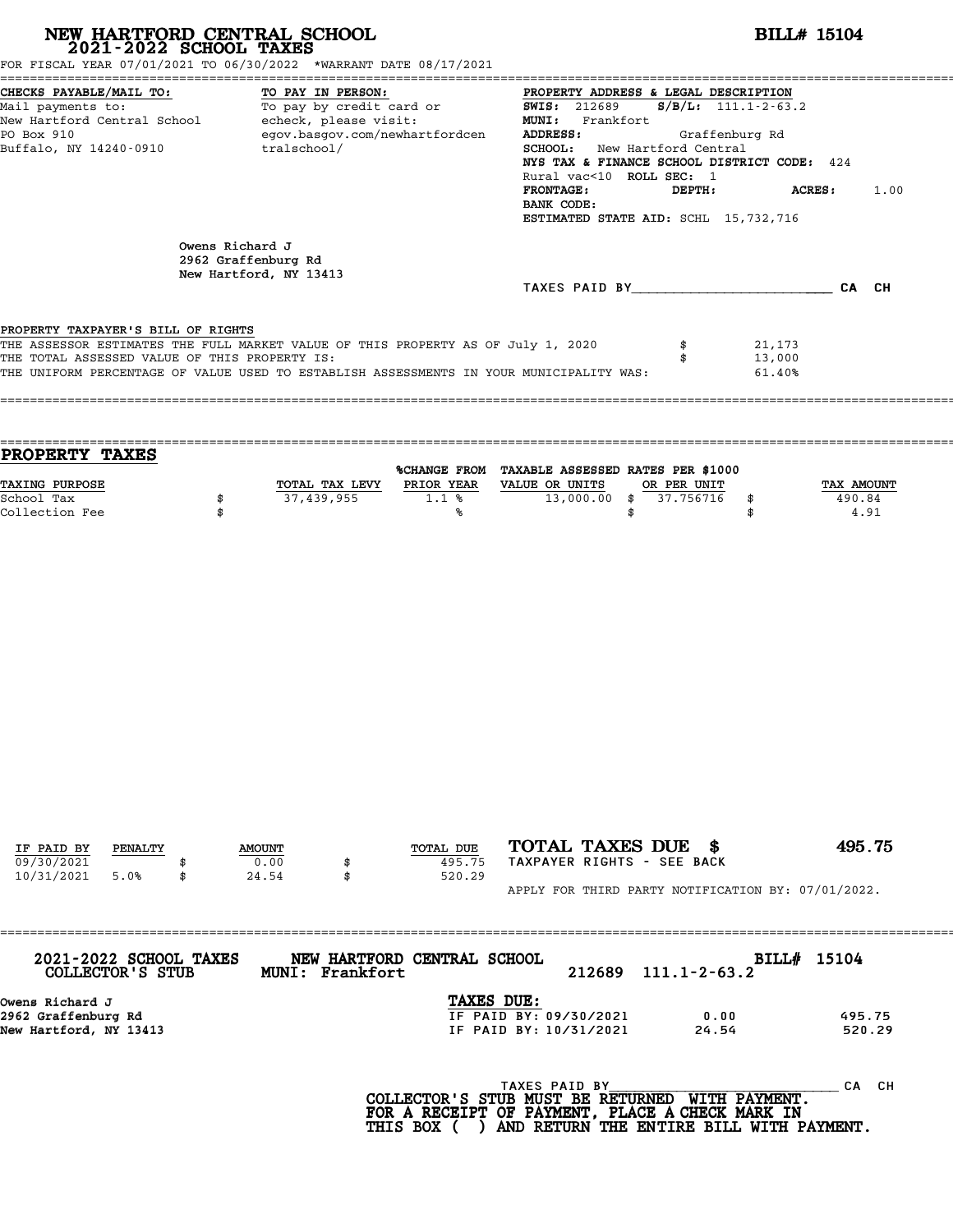| NEW HARTFORD CENTRAL SCHOOL 2021-2022 SCHOOL TAXES                                                                                          | FOR FISCAL YEAR 07/01/2021 TO 06/30/2022 *WARRANT DATE 08/17/2021                                                                                                           | <b>BILL# 15104</b>                                                                                                                                                                                                                                                                                                                       |
|---------------------------------------------------------------------------------------------------------------------------------------------|-----------------------------------------------------------------------------------------------------------------------------------------------------------------------------|------------------------------------------------------------------------------------------------------------------------------------------------------------------------------------------------------------------------------------------------------------------------------------------------------------------------------------------|
| CHECKS PAYABLE/MAIL TO:<br>Mail payments to:<br>New Hartford Central School - echeck, please visit:<br>PO Box 910<br>Buffalo, NY 14240-0910 | TO PAY IN PERSON:<br>TO: TO PAY IN PERSON: PROPERTY ADDRE<br>egov.basgov.com/newhartfordcen<br>tralschool/                                                                  | PROPERTY ADDRESS & LEGAL DESCRIPTION<br>$S/B/L$ : 111.1-2-63.2<br>MUNI: Frankfort<br>ADDRESS:<br>Graffenburg Rd<br>SCHOOL: New Hartford Central<br>NYS TAX & FINANCE SCHOOL DISTRICT CODE: 424<br>Rural vac<10 ROLL SEC: 1<br><b>FRONTAGE:</b><br>DEPTH:<br><b>ACRES :</b><br>1.00<br>BANK CODE:<br>ESTIMATED STATE AID: SCHL 15,732,716 |
|                                                                                                                                             | Owens Richard J<br>2962 Graffenburg Rd<br>New Hartford, NY 13413                                                                                                            | TAXES PAID BY CA CH                                                                                                                                                                                                                                                                                                                      |
| PROPERTY TAXPAYER'S BILL OF RIGHTS<br>THE TOTAL ASSESSED VALUE OF THIS PROPERTY IS:                                                         | THE ASSESSOR ESTIMATES THE FULL MARKET VALUE OF THIS PROPERTY AS OF July 1, 2020<br>THE UNIFORM PERCENTAGE OF VALUE USED TO ESTABLISH ASSESSMENTS IN YOUR MUNICIPALITY WAS: | \$<br>21,173<br>\$<br>13,000<br>61.40%                                                                                                                                                                                                                                                                                                   |
| <b>PROPERTY TAXES</b>                                                                                                                       |                                                                                                                                                                             |                                                                                                                                                                                                                                                                                                                                          |
| TAXING PURPOSE<br>School Tax<br>\$<br>Collection Fee<br>\$                                                                                  | TOTAL TAX LEVY PRIOR YEAR VALUE OR UNITS<br>37,439,955<br>1.1%<br>℁                                                                                                         | %CHANGE FROM TAXABLE ASSESSED RATES PER \$1000<br>OR PER UNIT<br>TAX AMOUNT<br>$13,000.00$ \$<br>37.756716<br>\$<br>490.84<br>4.91<br>\$<br>\$                                                                                                                                                                                           |
| IF PAID BY<br>PENALTY<br>09/30/2021                                                                                                         | TOTAL DUE<br><b>AMOUNT</b><br>0.00<br>495.75                                                                                                                                | TOTAL TAXES DUE \$<br>495.75<br>TAXPAYER RIGHTS - SEE BACK                                                                                                                                                                                                                                                                               |
| 10/31/2021<br>5.0%                                                                                                                          | 24.54<br>520.29<br>\$                                                                                                                                                       | APPLY FOR THIRD PARTY NOTIFICATION BY: 07/01/2022.                                                                                                                                                                                                                                                                                       |
| 2021-2022 SCHOOL TAXES<br>COLLECTOR'S STUB                                                                                                  | NEW HARTFORD CENTRAL SCHOOL<br>MUNI: Frankfort                                                                                                                              | BILL# 15104<br>212689<br>$111.1 - 2 - 63.2$                                                                                                                                                                                                                                                                                              |
| Owens Richard J<br>2962 Graffenburg Rd<br>New Hartford, NY 13413                                                                            | TAXES DUE:                                                                                                                                                                  | IF PAID BY: 09/30/2021<br>0.00<br>495.75<br>IF PAID BY: 10/31/2021<br>24.54<br>520.29                                                                                                                                                                                                                                                    |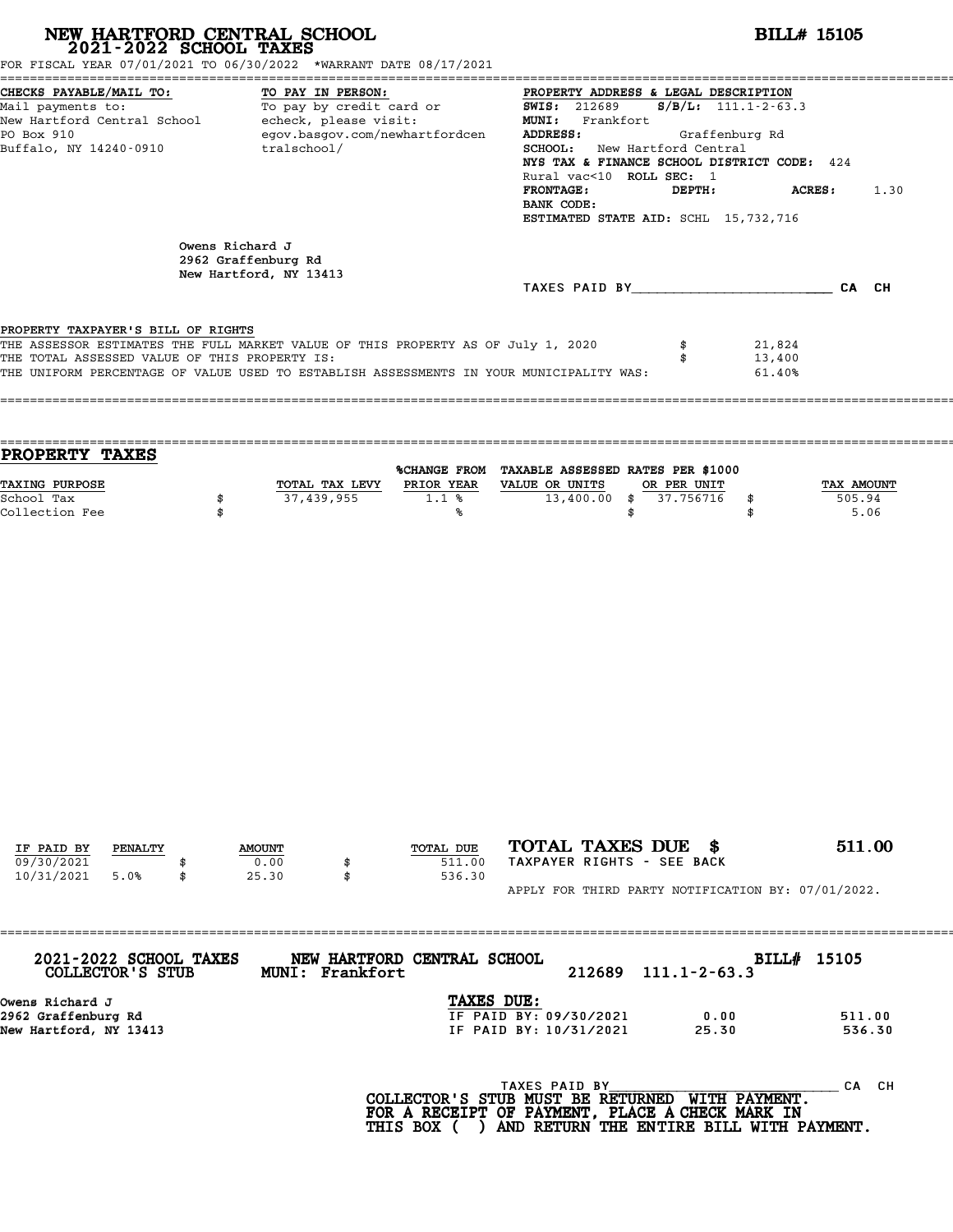| FOR FISCAL YEAR 07/01/2021 TO 06/30/2022 *WARRANT DATE 08/17/2021<br>CHECKS PAYABLE/MAIL TO:<br>TO PAY IN PERSON:<br>PROPERTY ADDRESS & LEGAL DESCRIPTION<br>The contract of the contract of the contract of the contract of the contract of the contract of the contract of the contract of the contract of the contract of the contract of the contract of the contract of the contract o<br><b>SWIS: 212689</b><br>$S/B/L: 111.1 - 2 - 63.3$<br>Mail payments to:<br>New Hartford Central School - echeck, please visit:<br>MUNI: Frankfort<br>PO Box 910<br>egov.basgov.com/newhartfordcen<br>ADDRESS:<br>Graffenburg Rd<br>Buffalo, NY 14240-0910<br>SCHOOL: New Hartford Central<br>tralschool/<br>NYS TAX & FINANCE SCHOOL DISTRICT CODE: 424<br>Rural vac<10 ROLL SEC: 1<br><b>FRONTAGE:</b><br>DEPTH:<br>ACRES:<br>1.30<br>BANK CODE:<br>ESTIMATED STATE AID: SCHL 15,732,716<br>Owens Richard J<br>2962 Graffenburg Rd<br>New Hartford, NY 13413<br>TAXES PAID BY CA CH<br>PROPERTY TAXPAYER'S BILL OF RIGHTS<br>THE ASSESSOR ESTIMATES THE FULL MARKET VALUE OF THIS PROPERTY AS OF July 1, 2020<br>\$<br>21,824<br>THE TOTAL ASSESSED VALUE OF THIS PROPERTY IS:<br>13,400<br>\$<br>THE UNIFORM PERCENTAGE OF VALUE USED TO ESTABLISH ASSESSMENTS IN YOUR MUNICIPALITY WAS:<br>61.40%<br>PROPERTY TAXES<br>%CHANGE FROM TAXABLE ASSESSED RATES PER \$1000<br>TAXING PURPOSE<br>TOTAL TAX LEVY PRIOR YEAR VALUE OR UNITS<br>OR PER UNIT<br>TAX AMOUNT<br>$13,400.00$ \$<br>37,439,955<br>1.1%<br>37.756716<br>505.94<br>School Tax<br>\$<br>\$<br>Collection Fee<br>5.06<br>\$<br>\$<br>℁<br>\$<br>TOTAL TAXES DUE \$<br>511.00<br>TOTAL DUE<br>IF PAID BY<br>PENALTY<br><b>AMOUNT</b><br>TAXPAYER RIGHTS - SEE BACK<br>09/30/2021<br>0.00<br>511.00<br>\$<br>10/31/2021<br>25.30<br>536.30<br>5.0%<br>\$<br>\$<br>APPLY FOR THIRD PARTY NOTIFICATION BY: 07/01/2022. | NEW HARTFORD CENTRAL SCHOOL 2021-2022 SCHOOL TAXES |  |  |                                                                                                                                                                              | <b>BILL# 15105</b> |                  |
|----------------------------------------------------------------------------------------------------------------------------------------------------------------------------------------------------------------------------------------------------------------------------------------------------------------------------------------------------------------------------------------------------------------------------------------------------------------------------------------------------------------------------------------------------------------------------------------------------------------------------------------------------------------------------------------------------------------------------------------------------------------------------------------------------------------------------------------------------------------------------------------------------------------------------------------------------------------------------------------------------------------------------------------------------------------------------------------------------------------------------------------------------------------------------------------------------------------------------------------------------------------------------------------------------------------------------------------------------------------------------------------------------------------------------------------------------------------------------------------------------------------------------------------------------------------------------------------------------------------------------------------------------------------------------------------------------------------------------------------------------------------------------------------------------------------------------------------------------------------------------------|----------------------------------------------------|--|--|------------------------------------------------------------------------------------------------------------------------------------------------------------------------------|--------------------|------------------|
|                                                                                                                                                                                                                                                                                                                                                                                                                                                                                                                                                                                                                                                                                                                                                                                                                                                                                                                                                                                                                                                                                                                                                                                                                                                                                                                                                                                                                                                                                                                                                                                                                                                                                                                                                                                                                                                                                  |                                                    |  |  |                                                                                                                                                                              |                    |                  |
|                                                                                                                                                                                                                                                                                                                                                                                                                                                                                                                                                                                                                                                                                                                                                                                                                                                                                                                                                                                                                                                                                                                                                                                                                                                                                                                                                                                                                                                                                                                                                                                                                                                                                                                                                                                                                                                                                  |                                                    |  |  |                                                                                                                                                                              |                    |                  |
|                                                                                                                                                                                                                                                                                                                                                                                                                                                                                                                                                                                                                                                                                                                                                                                                                                                                                                                                                                                                                                                                                                                                                                                                                                                                                                                                                                                                                                                                                                                                                                                                                                                                                                                                                                                                                                                                                  |                                                    |  |  |                                                                                                                                                                              |                    |                  |
|                                                                                                                                                                                                                                                                                                                                                                                                                                                                                                                                                                                                                                                                                                                                                                                                                                                                                                                                                                                                                                                                                                                                                                                                                                                                                                                                                                                                                                                                                                                                                                                                                                                                                                                                                                                                                                                                                  |                                                    |  |  |                                                                                                                                                                              |                    |                  |
|                                                                                                                                                                                                                                                                                                                                                                                                                                                                                                                                                                                                                                                                                                                                                                                                                                                                                                                                                                                                                                                                                                                                                                                                                                                                                                                                                                                                                                                                                                                                                                                                                                                                                                                                                                                                                                                                                  |                                                    |  |  |                                                                                                                                                                              |                    |                  |
|                                                                                                                                                                                                                                                                                                                                                                                                                                                                                                                                                                                                                                                                                                                                                                                                                                                                                                                                                                                                                                                                                                                                                                                                                                                                                                                                                                                                                                                                                                                                                                                                                                                                                                                                                                                                                                                                                  |                                                    |  |  |                                                                                                                                                                              |                    |                  |
|                                                                                                                                                                                                                                                                                                                                                                                                                                                                                                                                                                                                                                                                                                                                                                                                                                                                                                                                                                                                                                                                                                                                                                                                                                                                                                                                                                                                                                                                                                                                                                                                                                                                                                                                                                                                                                                                                  |                                                    |  |  |                                                                                                                                                                              |                    |                  |
|                                                                                                                                                                                                                                                                                                                                                                                                                                                                                                                                                                                                                                                                                                                                                                                                                                                                                                                                                                                                                                                                                                                                                                                                                                                                                                                                                                                                                                                                                                                                                                                                                                                                                                                                                                                                                                                                                  | Owens Richard J<br>2962 Graffenburg Rd             |  |  |                                                                                                                                                                              |                    | 511.00<br>536.30 |
| TAXES DUE:<br>IF PAID BY: 09/30/2021<br>0.00<br>IF PAID BY: 10/31/2021<br>25.30<br>New Hartford, NY 13413                                                                                                                                                                                                                                                                                                                                                                                                                                                                                                                                                                                                                                                                                                                                                                                                                                                                                                                                                                                                                                                                                                                                                                                                                                                                                                                                                                                                                                                                                                                                                                                                                                                                                                                                                                        |                                                    |  |  | TAXES PAID BY<br>COLLECTOR'S STUB MUST BE RETURNED WITH PAYMENT.<br>FOR A RECEIPT OF PAYMENT, PLACE A CHECK MARK IN<br>THIS BOX ( ) AND RETURN THE ENTIRE BILL WITH PAYMENT. |                    | CA CH            |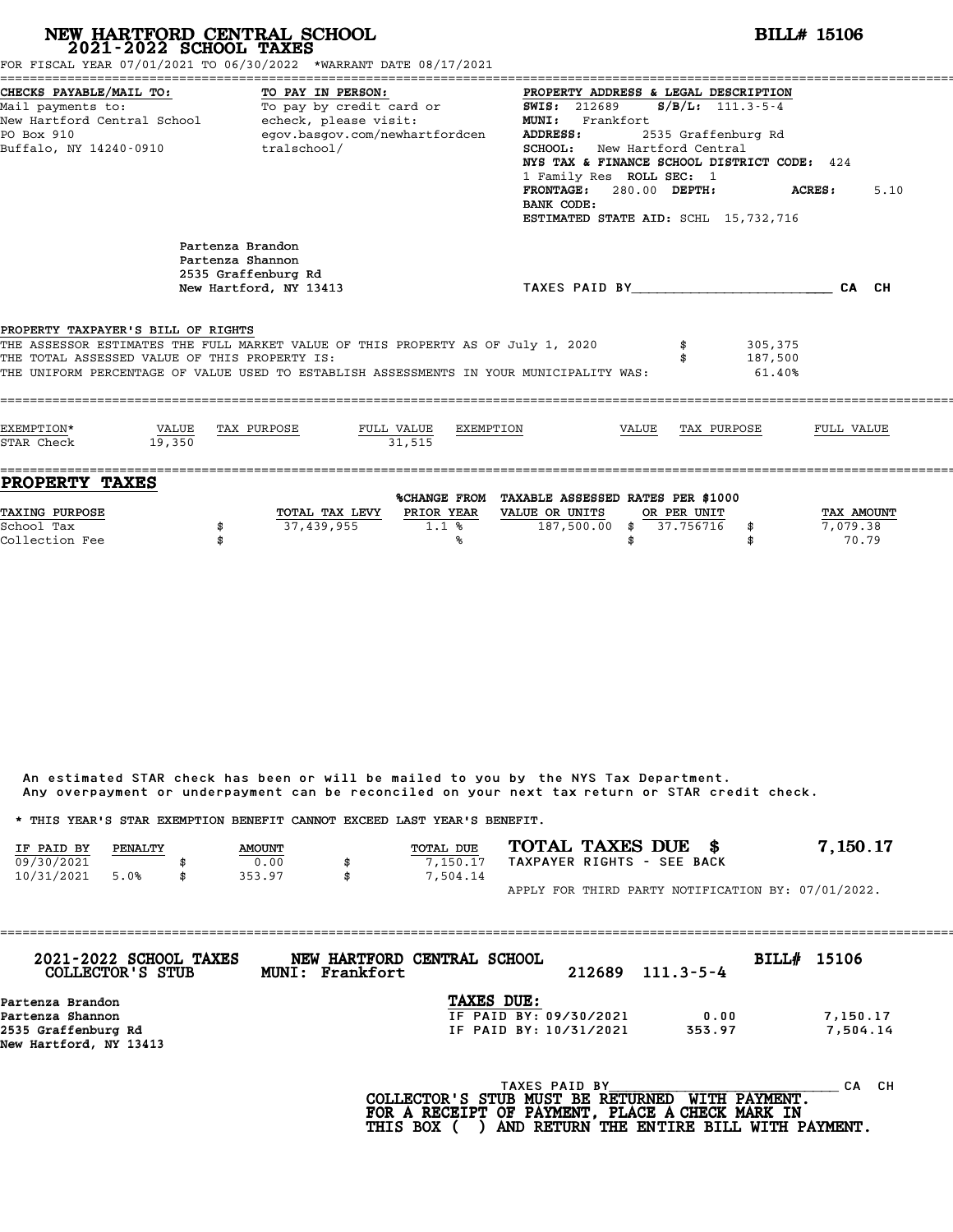# **NEW HARTFORD CENTRAL SCHOOL**<br>
2021-2022 SCHOOL TAXES<br>
FOR FISCAL YEAR 07/01/2021 TO 06/30/2022 \*WARRANT DATE 08/17/2021<br> **POR FISCAL YEAR 07/01/2021 TO 06/30/2022** \*WARRANT DATE 08/17/2021

|                                                                                                                                            | FOR FISCAL YEAR 07/01/2021 TO 06/30/2022 *WARRANT DATE 08/17/2021                                                                                                                                                                                                    |                                                                                                                                                                                                                                                                                                                                                       |                                 |
|--------------------------------------------------------------------------------------------------------------------------------------------|----------------------------------------------------------------------------------------------------------------------------------------------------------------------------------------------------------------------------------------------------------------------|-------------------------------------------------------------------------------------------------------------------------------------------------------------------------------------------------------------------------------------------------------------------------------------------------------------------------------------------------------|---------------------------------|
| CHECKS PAYABLE/MAIL TO:<br>Mail payments to:<br>New Hartford Central School (echeck, please visit:<br>PO Box 910<br>Buffalo, NY 14240-0910 | TO PAY IN PERSON:<br>To pay by credit card or<br>egov.basgov.com/newhartfordcen<br>tralschool/                                                                                                                                                                       | PROPERTY ADDRESS & LEGAL DESCRIPTION<br>$S/B/L$ : 111.3-5-4<br><b>SWIS:</b> 212689<br><b>MUNI:</b><br>Frankfort<br>ADDRESS:<br>2535 Graffenburg Rd<br><b>SCHOOL:</b> New Hartford Central<br>NYS TAX & FINANCE SCHOOL DISTRICT CODE: 424<br>1 Family Res ROLL SEC: 1<br>FRONTAGE: 280.00 DEPTH:<br>BANK CODE:<br>ESTIMATED STATE AID: SCHL 15,732,716 | 5.10<br><b>ACRES:</b>           |
| PROPERTY TAXPAYER'S BILL OF RIGHTS<br>THE TOTAL ASSESSED VALUE OF THIS PROPERTY IS:                                                        | Partenza Brandon<br>Partenza Shannon<br>2535 Graffenburg Rd<br>New Hartford, NY 13413<br>THE ASSESSOR ESTIMATES THE FULL MARKET VALUE OF THIS PROPERTY AS OF July 1, 2020<br>THE UNIFORM PERCENTAGE OF VALUE USED TO ESTABLISH ASSESSMENTS IN YOUR MUNICIPALITY WAS: | TAXES PAID BY CA CH<br>305,375<br>187,500<br>61.40%                                                                                                                                                                                                                                                                                                   |                                 |
| EXEMPTION*<br>VALUE TAX PURPOSE<br>STAR Check<br>19,350                                                                                    | FULL VALUE EXEMPTION<br>31.515                                                                                                                                                                                                                                       | VALUE TAX PURPOSE                                                                                                                                                                                                                                                                                                                                     | FULL VALUE                      |
| ------------------------------------<br><b>PROPERTY TAXES</b><br>TAXING PURPOSE<br>School Tax<br>Collection Fee                            | PRIOR YEAR<br>TOTAL TAX LEVY<br>37,439,955<br>1.1%<br>℁                                                                                                                                                                                                              | %CHANGE FROM TAXABLE ASSESSED RATES PER \$1000<br>VALUE OR UNITS<br>OR PER UNIT<br>187,500.00 \$ 37.756716 \$<br>\$                                                                                                                                                                                                                                   | TAX AMOUNT<br>7,079.38<br>70.79 |

An estimated STAR check has been or will be mailed to you by the NYS Tax Department. An estimated STAR check has been or will be mailed to you by the NYS Tax Department.<br>Any overpayment or underpayment can be reconciled on your next tax return or STAR credit check.

|                                                                         |         |               | Any overpayment or underpayment can be reconciled on your next tax return or STAR credit check. |                  |                            |  |                                                    |
|-------------------------------------------------------------------------|---------|---------------|-------------------------------------------------------------------------------------------------|------------------|----------------------------|--|----------------------------------------------------|
| * THIS YEAR'S STAR EXEMPTION BENEFIT CANNOT EXCEED LAST YEAR'S BENEFIT. |         |               |                                                                                                 |                  |                            |  |                                                    |
| IF PAID BY                                                              | PENALTY | <b>AMOUNT</b> |                                                                                                 | <b>TOTAL DUE</b> | TOTAL TAXES DUE \$         |  | 7,150.17                                           |
| 09/30/2021                                                              |         | 0.00          | \$                                                                                              | 7.150.17         | TAXPAYER RIGHTS - SEE BACK |  |                                                    |
| 10/31/2021                                                              | 5.0%    | 353.97        | \$                                                                                              | 7,504.14         |                            |  |                                                    |
|                                                                         |         |               |                                                                                                 |                  |                            |  | APPLY FOR THIRD PARTY NOTIFICATION BY: 07/01/2022. |

| 2021-2022 SCHOOL TAXES<br>COLLECTOR'S STUB    | MUNI: Frankfort | NEW HARTFORD CENTRAL SCHOOL                            | 212689 | $111.3 - 5 - 4$ | BILL# 15106         |           |
|-----------------------------------------------|-----------------|--------------------------------------------------------|--------|-----------------|---------------------|-----------|
| Partenza Brandon                              |                 | <b>TAXES DUE:</b>                                      |        |                 |                     |           |
| Partenza Shannon                              |                 | IF PAID BY: 09/30/2021                                 |        | 0.00            |                     | 7,150.17  |
| 2535 Graffenburg Rd<br>New Hartford, NY 13413 |                 | IF PAID BY: 10/31/2021                                 |        | 353.97          |                     | 7,504.14  |
|                                               |                 |                                                        |        |                 |                     |           |
|                                               |                 | TAXES PAID BY<br>$COT$ הקווסזוייקס קס ישטווא מזויים וכ |        |                 | <b>MTTU DAVMPNT</b> | CH.<br>CА |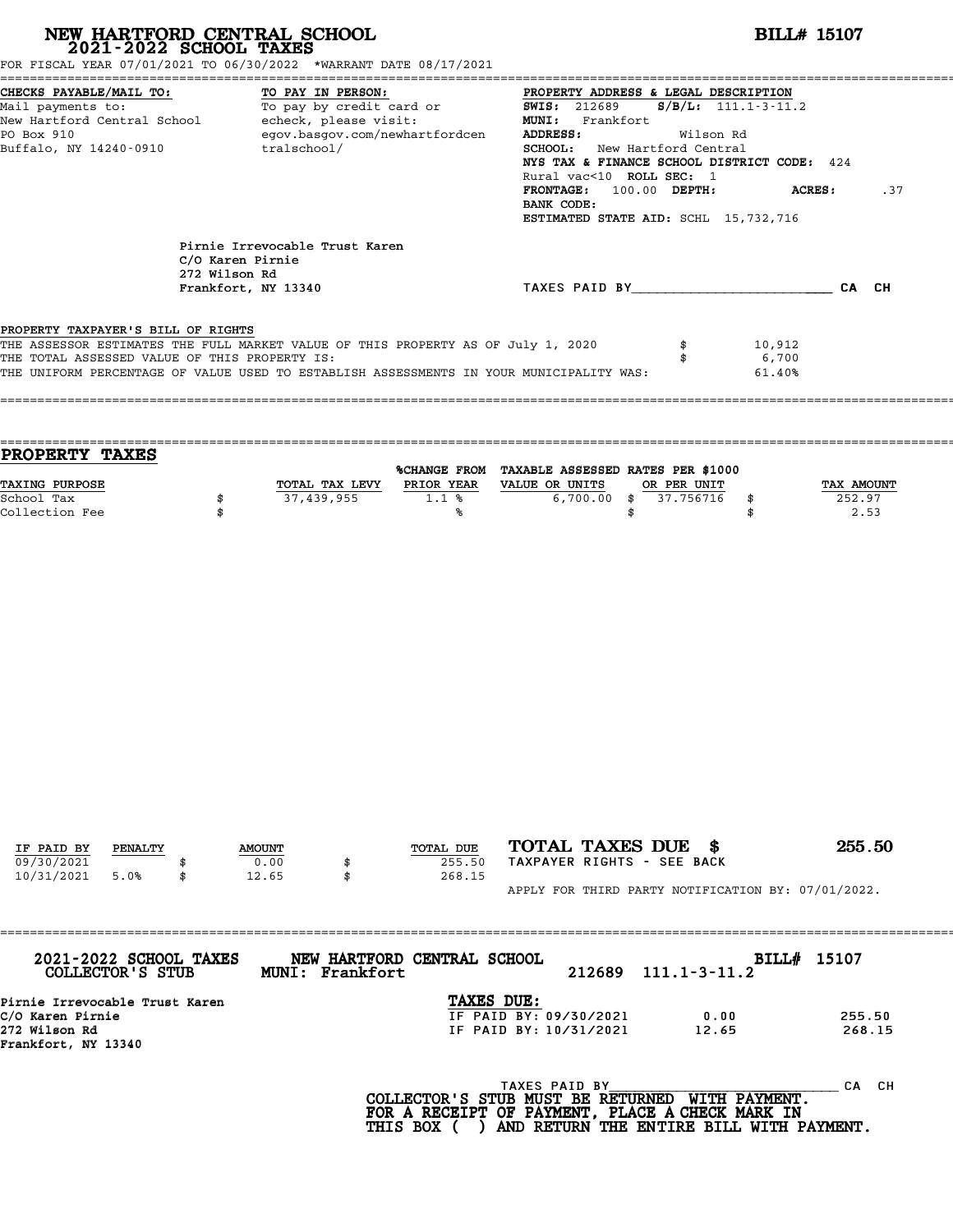| NEW HARTFORD CENTRAL SCHOOL 2021-2022 SCHOOL TAXES<br>FOR FISCAL YEAR 07/01/2021 TO 06/30/2022 *WARRANT DATE 08/17/2021                                                                                                                                            |          |                                                    |                   |                                |                                                                                                                                                                                                                                                                                                                                               |                                                  | <b>BILL# 15107</b>           |
|--------------------------------------------------------------------------------------------------------------------------------------------------------------------------------------------------------------------------------------------------------------------|----------|----------------------------------------------------|-------------------|--------------------------------|-----------------------------------------------------------------------------------------------------------------------------------------------------------------------------------------------------------------------------------------------------------------------------------------------------------------------------------------------|--------------------------------------------------|------------------------------|
| CHECKS PAYABLE/MAIL TO:<br>Mail payments to:<br>New Hartford Central School echeck, please visit:<br>PO Box 910<br>Buffalo, NY 14240-0910 tralschool/                                                                                                              |          |                                                    | TO PAY IN PERSON: | egov.basgov.com/newhartfordcen | PROPERTY ADDRESS & LEGAL DESCRIPTION<br><u>ro:</u><br>To pay by credit card or TO SANS: 212689 S/B/L: 111.1-3-11.2<br>MUNI: Frankfort<br>ADDRESS:<br>SCHOOL: New Hartford Central<br>NYS TAX & FINANCE SCHOOL DISTRICT CODE: 424<br>Rural vac<10 ROLL SEC: 1<br>FRONTAGE: 100.00 DEPTH:<br>BANK CODE:<br>ESTIMATED STATE AID: SCHL 15,732,716 | Wilson Rd                                        | <b>ACRES:</b><br>.37         |
|                                                                                                                                                                                                                                                                    |          | Pirnie Irrevocable Trust Karen<br>C/O Karen Pirnie |                   |                                |                                                                                                                                                                                                                                                                                                                                               |                                                  |                              |
|                                                                                                                                                                                                                                                                    |          | 272 Wilson Rd<br>Frankfort, NY 13340               |                   |                                | TAXES PAID BY____________________________CA CH                                                                                                                                                                                                                                                                                                |                                                  |                              |
| PROPERTY TAXPAYER'S BILL OF RIGHTS<br>THE ASSESSOR ESTIMATES THE FULL MARKET VALUE OF THIS PROPERTY AS OF July 1, 2020<br>THE TOTAL ASSESSED VALUE OF THIS PROPERTY IS:<br>THE UNIFORM PERCENTAGE OF VALUE USED TO ESTABLISH ASSESSMENTS IN YOUR MUNICIPALITY WAS: |          |                                                    |                   |                                |                                                                                                                                                                                                                                                                                                                                               | \$<br>\$                                         | 10,912<br>6,700<br>61.40%    |
| PROPERTY TAXES                                                                                                                                                                                                                                                     |          |                                                    |                   |                                | %CHANGE FROM TAXABLE ASSESSED RATES PER \$1000                                                                                                                                                                                                                                                                                                |                                                  |                              |
| TAXING PURPOSE<br>School Tax<br>Collection Fee                                                                                                                                                                                                                     | \$<br>\$ |                                                    | 37,439,955        | 1.1%<br>℁                      | TOTAL TAX LEVY PRIOR YEAR VALUE OR UNITS<br>\$                                                                                                                                                                                                                                                                                                | OR PER UNIT<br>6,700.00 \$ 37.756716<br>\$<br>\$ | TAX AMOUNT<br>252.97<br>2.53 |
| IF PAID BY<br>PENALTY<br>09/30/2021<br>10/31/2021<br>5.0%                                                                                                                                                                                                          | \$       | <b>AMOUNT</b><br>0.00<br>12.65                     | \$                | TOTAL DUE<br>255.50<br>268.15  | TOTAL TAXES DUE \$<br>TAXPAYER RIGHTS - SEE BACK                                                                                                                                                                                                                                                                                              |                                                  | 255.50                       |
|                                                                                                                                                                                                                                                                    |          |                                                    |                   |                                | APPLY FOR THIRD PARTY NOTIFICATION BY: 07/01/2022.                                                                                                                                                                                                                                                                                            |                                                  |                              |
| 2021-2022 SCHOOL TAXES<br>COLLECTOR'S STUB                                                                                                                                                                                                                         |          |                                                    | MUNI: Frankfort   | NEW HARTFORD CENTRAL SCHOOL    | 212689                                                                                                                                                                                                                                                                                                                                        | $111.1 - 3 - 11.2$                               | BILL# 15107                  |
| Pirnie Irrevocable Trust Karen<br>C/O Karen Pirnie<br>272 Wilson Rd<br>Frankfort, NY 13340                                                                                                                                                                         |          |                                                    |                   | TAXES DUE:                     | IF PAID BY: 09/30/2021<br>IF PAID BY: 10/31/2021                                                                                                                                                                                                                                                                                              | 0.00<br>12.65                                    | 255.50<br>268.15             |
|                                                                                                                                                                                                                                                                    |          |                                                    |                   |                                | TAXES PAID BY TAND TAXES PAID BY THE PAYMENT.<br>FOR A RECEIPT OF PAYMENT, PLACE A CHECK MARK IN<br>THIS BOX ( ) AND RETURN THE ENTIRE BILL WITH PAYMENT.                                                                                                                                                                                     |                                                  | CA CH                        |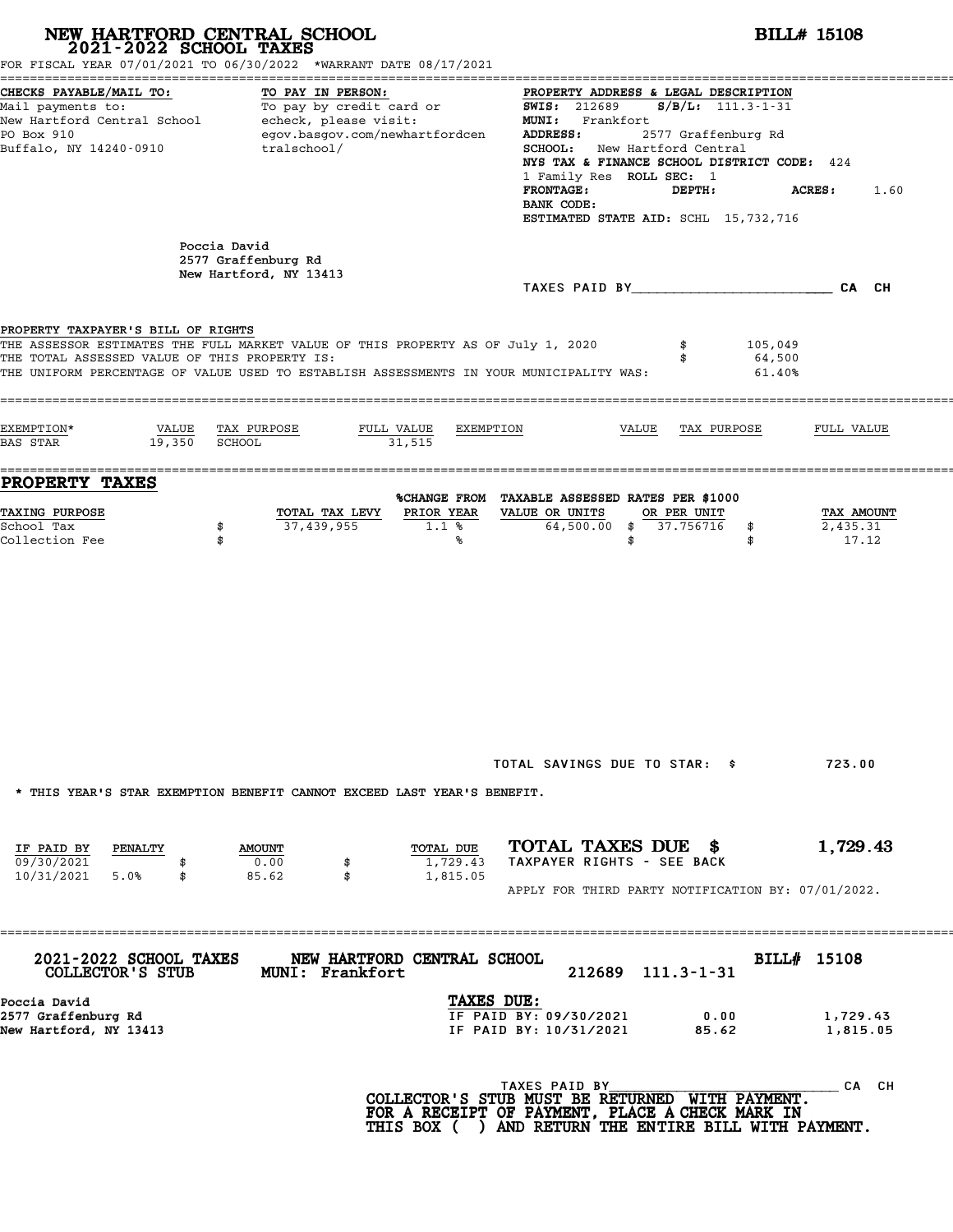| 2021-2022 SCHOOL TAXES                                                              | NEW HARTFORD CENTRAL SCHOOL<br>FOR FISCAL YEAR 07/01/2021 TO 06/30/2022 *WARRANT DATE 08/17/2021                                                                            |                                                                                                                                                                                                                                                                                                                                                                                                                                                                                                                                                                    | <b>BILL# 15108</b>              |
|-------------------------------------------------------------------------------------|-----------------------------------------------------------------------------------------------------------------------------------------------------------------------------|--------------------------------------------------------------------------------------------------------------------------------------------------------------------------------------------------------------------------------------------------------------------------------------------------------------------------------------------------------------------------------------------------------------------------------------------------------------------------------------------------------------------------------------------------------------------|---------------------------------|
| CHECKS PAYABLE/MAIL TO:<br>PO Box 910<br>Buffalo, NY 14240-0910                     | TO PAY IN PERSON:<br>egov.basgov.com/newhartfordcen<br>tralschool/                                                                                                          | PROPERTY ADDRESS & LEGAL DESCRIPTION<br>Mail payments to:<br>Mail payments to: To pay by credit card or $\frac{1000 \text{ m} \cdot \text{m} \cdot \text{m} \cdot \text{m} \cdot \text{m} \cdot \text{m} \cdot \text{m}}{111.3 \cdot 1 \cdot 31}$<br>New Hartford Central School echeck, please visit: MUNI: Frankfort Frankfort<br>ADDRESS:<br>2577 Graffenburg Rd<br>SCHOOL: New Hartford Central<br>NYS TAX & FINANCE SCHOOL DISTRICT CODE: 424<br>1 Family Res ROLL SEC: 1<br><b>FRONTAGE:</b><br>DEPTH:<br>BANK CODE:<br>ESTIMATED STATE AID: SCHL 15,732,716 | <b>ACRES:</b><br>1.60           |
| Poccia David                                                                        | 2577 Graffenburg Rd<br>New Hartford, NY 13413                                                                                                                               |                                                                                                                                                                                                                                                                                                                                                                                                                                                                                                                                                                    |                                 |
| PROPERTY TAXPAYER'S BILL OF RIGHTS<br>THE TOTAL ASSESSED VALUE OF THIS PROPERTY IS: | THE ASSESSOR ESTIMATES THE FULL MARKET VALUE OF THIS PROPERTY AS OF July 1, 2020<br>THE UNIFORM PERCENTAGE OF VALUE USED TO ESTABLISH ASSESSMENTS IN YOUR MUNICIPALITY WAS: | 105,049<br>64,500<br>61.40%                                                                                                                                                                                                                                                                                                                                                                                                                                                                                                                                        |                                 |
| EXEMPTION*<br>VALUE TAX PURPOSE<br>19,350 SCHOOL<br><b>BAS STAR</b>                 | FULL VALUE<br>EXEMPTION<br>31,515                                                                                                                                           | VALUE TAX PURPOSE                                                                                                                                                                                                                                                                                                                                                                                                                                                                                                                                                  | FULL VALUE                      |
| <b>PROPERTY TAXES</b>                                                               |                                                                                                                                                                             |                                                                                                                                                                                                                                                                                                                                                                                                                                                                                                                                                                    |                                 |
| <b>TAXING PURPOSE</b><br>School Tax<br>\$<br>Collection Fee<br>\$                   | TOTAL TAX LEVY<br>PRIOR YEAR<br>37,439,955<br>1.1%<br>%                                                                                                                     | %CHANGE FROM TAXABLE ASSESSED RATES PER \$1000<br>VALUE OR UNITS<br>OR PER UNIT<br>64,500.00 \$ 37.756716<br>\$<br>\$<br>\$                                                                                                                                                                                                                                                                                                                                                                                                                                        | TAX AMOUNT<br>2,435.31<br>17.12 |
|                                                                                     | * THIS YEAR'S STAR EXEMPTION BENEFIT CANNOT EXCEED LAST YEAR'S BENEFIT.                                                                                                     | TOTAL SAVINGS DUE TO STAR: \$                                                                                                                                                                                                                                                                                                                                                                                                                                                                                                                                      | 723.00                          |
| IF PAID BY<br>PENALTY<br>09/30/2021<br>\$<br>10/31/2021 5.0%<br>\$                  | TOTAL DUE<br><b>AMOUNT</b><br>0.00<br>1,729.43<br>\$<br>85.62<br>\$<br>1,815.05                                                                                             | TOTAL TAXES DUE \$<br>TAXPAYER RIGHTS - SEE BACK                                                                                                                                                                                                                                                                                                                                                                                                                                                                                                                   | 1,729.43                        |
|                                                                                     |                                                                                                                                                                             | APPLY FOR THIRD PARTY NOTIFICATION BY: 07/01/2022.                                                                                                                                                                                                                                                                                                                                                                                                                                                                                                                 |                                 |
| 2021-2022 SCHOOL TAXES<br>COLLECTOR'S STUB                                          | NEW HARTFORD CENTRAL SCHOOL<br><b>MUNI: Frankfort</b>                                                                                                                       | 212689 111.3-1-31                                                                                                                                                                                                                                                                                                                                                                                                                                                                                                                                                  | BILL# 15108                     |
| Poccia David<br>2577 Graffenburg Rd<br>New Hartford, NY 13413                       | TAXES DUE:                                                                                                                                                                  | IF PAID BY: 09/30/2021<br>0.00<br>IF PAID BY: 10/31/2021<br>85.62                                                                                                                                                                                                                                                                                                                                                                                                                                                                                                  | 1,729.43<br>1,815.05            |
|                                                                                     |                                                                                                                                                                             | TAXES PAID BY<br>COLLECTOR'S STUB MUST BE RETURNED WITH PAYMENT.<br>FOR A RECEIPT OF PAYMENT, PLACE A CHECK MARK IN<br>THIS BOX ( ) AND RETURN THE ENTIRE BILL WITH PAYMENT.                                                                                                                                                                                                                                                                                                                                                                                       | CA CH                           |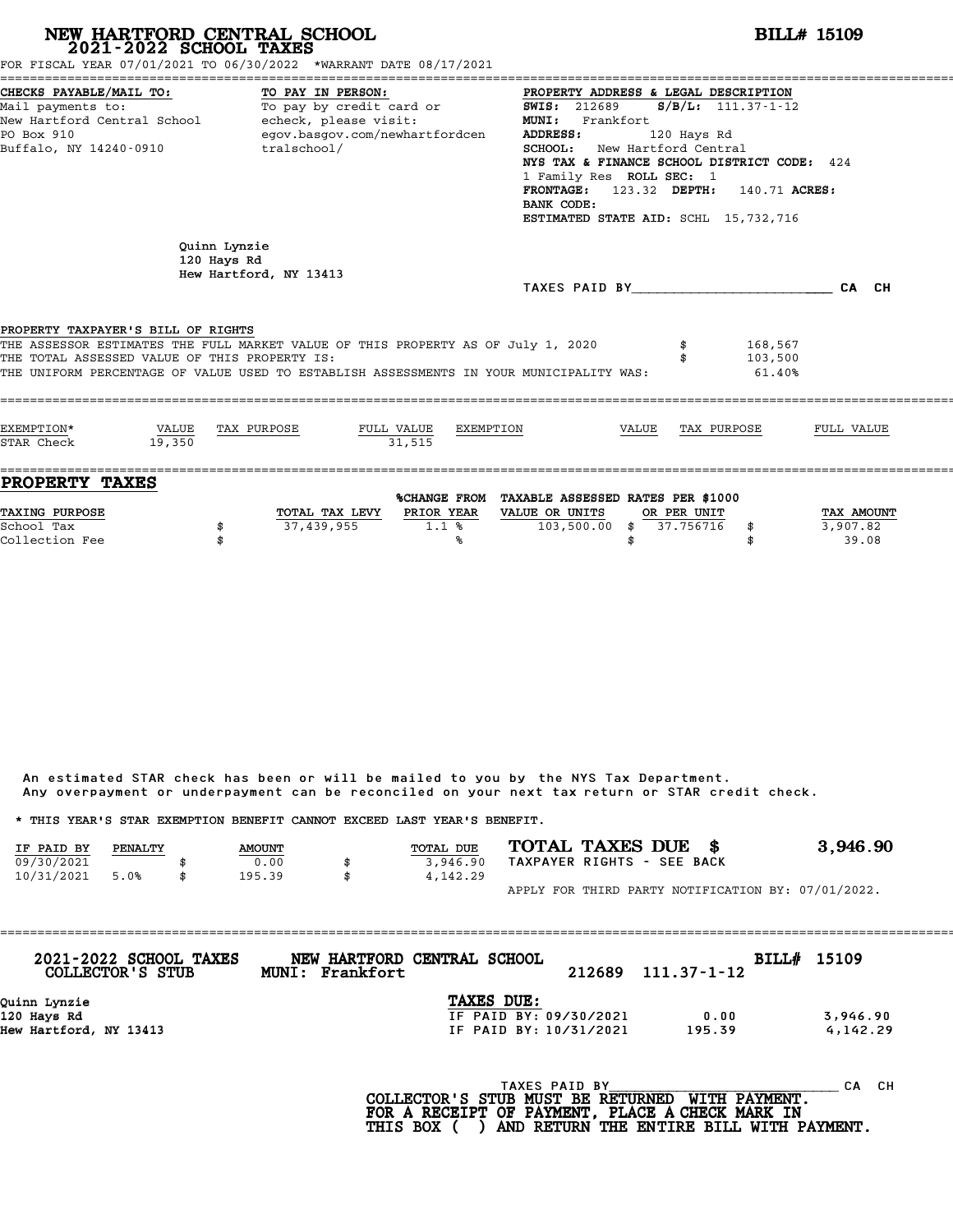| NEW HARTFORD CENTRAL SCHOOL<br>2021-2022 SCHOOL TAXES                                                                                                                                                                                                              |                 |                                                       |                                                                                 |                         |                                                                                |                                                          |                          |                                                                                                                                                                                                  | <b>BILL# 15109</b>              |
|--------------------------------------------------------------------------------------------------------------------------------------------------------------------------------------------------------------------------------------------------------------------|-----------------|-------------------------------------------------------|---------------------------------------------------------------------------------|-------------------------|--------------------------------------------------------------------------------|----------------------------------------------------------|--------------------------|--------------------------------------------------------------------------------------------------------------------------------------------------------------------------------------------------|---------------------------------|
| FOR FISCAL YEAR 07/01/2021 TO 06/30/2022 *WARRANT DATE 08/17/2021<br>CHECKS PAYABLE/MAIL TO:<br>Mail payments to:<br>New Hartford Central School - echeck, please visit:<br>PO Box 910<br>Buffalo, NY 14240-0910                                                   |                 | tralschool/                                           | TO PAY IN PERSON:<br>To pay by credit card or<br>egov.basgov.com/newhartfordcen |                         | <b>SWIS: 212689</b><br>MUNI: Frankfort<br><b>ADDRESS:</b><br>BANK CODE:        | SCHOOL: New Hartford Central<br>1 Family Res ROLL SEC: 1 | 120 Hays Rd              | PROPERTY ADDRESS & LEGAL DESCRIPTION<br>$S/B/L: 111.37 - 1 - 12$<br>NYS TAX & FINANCE SCHOOL DISTRICT CODE: 424<br>FRONTAGE: 123.32 DEPTH: 140.71 ACRES:<br>ESTIMATED STATE AID: SCHL 15,732,716 |                                 |
|                                                                                                                                                                                                                                                                    |                 | Quinn Lynzie<br>120 Hays Rd<br>Hew Hartford, NY 13413 |                                                                                 |                         |                                                                                |                                                          |                          | TAXES PAID BY CA CH                                                                                                                                                                              |                                 |
| PROPERTY TAXPAYER'S BILL OF RIGHTS<br>THE ASSESSOR ESTIMATES THE FULL MARKET VALUE OF THIS PROPERTY AS OF July 1, 2020<br>THE TOTAL ASSESSED VALUE OF THIS PROPERTY IS:<br>THE UNIFORM PERCENTAGE OF VALUE USED TO ESTABLISH ASSESSMENTS IN YOUR MUNICIPALITY WAS: |                 |                                                       |                                                                                 |                         |                                                                                |                                                          |                          | 168,567<br>103,500<br>61.40%                                                                                                                                                                     |                                 |
| EXEMPTION*<br>STAR Check                                                                                                                                                                                                                                           | VALUE<br>19.350 | TAX PURPOSE                                           | FULL VALUE                                                                      | 31.515                  | EXEMPTION                                                                      | VALUE                                                    |                          | TAX PURPOSE                                                                                                                                                                                      | FULL VALUE                      |
| <b>PROPERTY TAXES</b><br>TAXING PURPOSE<br>School Tax<br>Collection Fee                                                                                                                                                                                            |                 | \$                                                    | TOTAL TAX LEVY<br>37,439,955                                                    | PRIOR YEAR<br>1.1%<br>℁ | %CHANGE FROM TAXABLE ASSESSED RATES PER \$1000<br>VALUE OR UNITS<br>103,500.00 | \$<br>\$                                                 | OR PER UNIT<br>37.756716 | \$<br>\$                                                                                                                                                                                         | TAX AMOUNT<br>3,907.82<br>39.08 |

An estimated STAR check has been or will be mailed to you by the NYS Tax Department. An estimated STAR check has been or will be mailed to you by the NYS Tax Department.<br>Any overpayment or underpayment can be reconciled on your next tax return or STAR credit check.

|            |         |               | Any overpayment or underpayment can be reconciled on your next tax return or STAR credit check. |                            |                                                    |
|------------|---------|---------------|-------------------------------------------------------------------------------------------------|----------------------------|----------------------------------------------------|
|            |         |               | * THIS YEAR'S STAR EXEMPTION BENEFIT CANNOT EXCEED LAST YEAR'S BENEFIT.                         |                            |                                                    |
| IF PAID BY | PENALTY | <b>AMOUNT</b> | <b>TOTAL DUE</b>                                                                                | TOTAL TAXES DUE \$         | 3,946.90                                           |
| 09/30/2021 |         | 0.00          | 3,946.90                                                                                        | TAXPAYER RIGHTS - SEE BACK |                                                    |
| 10/31/2021 | 5.0%    | \$<br>195.39  | \$<br>4,142.29                                                                                  |                            |                                                    |
|            |         |               |                                                                                                 |                            | APPLY FOR THIRD PARTY NOTIFICATION BY: 07/01/2022. |

| 2021-2022 SCHOOL TAXES<br>COLLECTOR'S STUB | NEW HARTFORD CENTRAL SCHOOL<br>MUNI: Frankfort | 212689 | 111.37-1-12 | BILL# 15109 |          |
|--------------------------------------------|------------------------------------------------|--------|-------------|-------------|----------|
| Quinn Lynzie                               | TAXES DUE:                                     |        |             |             |          |
| 120 Hays Rd                                | IF PAID BY: 09/30/2021                         |        | 0.00        |             | 3,946.90 |
| Hew Hartford, NY 13413                     | IF PAID BY: 10/31/2021                         |        | 195.39      |             | 4,142.29 |
|                                            |                                                |        |             |             |          |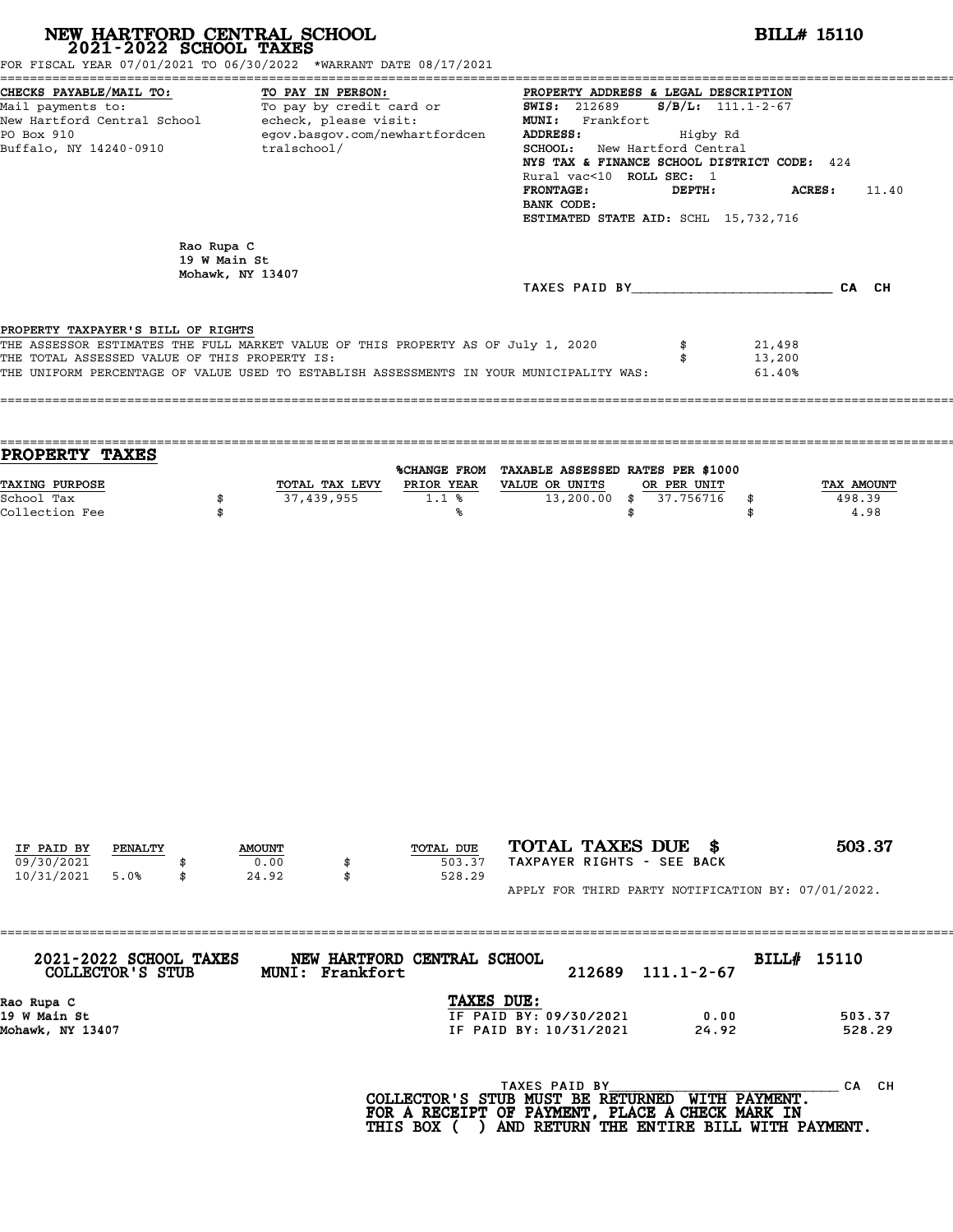|                                                                                                                                             |                                                | NEW HARTFORD CENTRAL SCHOOL 2021-2022 SCHOOL TAXES                                             |           |                                                                                      |                                                                                                                                                                                                               | <b>BILL# 15110</b>   |                              |
|---------------------------------------------------------------------------------------------------------------------------------------------|------------------------------------------------|------------------------------------------------------------------------------------------------|-----------|--------------------------------------------------------------------------------------|---------------------------------------------------------------------------------------------------------------------------------------------------------------------------------------------------------------|----------------------|------------------------------|
| FOR FISCAL YEAR 07/01/2021 TO 06/30/2022 *WARRANT DATE 08/17/2021                                                                           |                                                |                                                                                                |           |                                                                                      |                                                                                                                                                                                                               |                      |                              |
| CHECKS PAYABLE/MAIL TO:<br>Mail payments to:<br>New Hartford Central School - echeck, please visit:<br>PO Box 910<br>Buffalo, NY 14240-0910 |                                                | TO PAY IN PERSON:<br>To pay by credit card or<br>egov.basgov.com/newhartfordcen<br>tralschool/ |           | <b>SWIS: 212689</b><br>MUNI: Frankfort<br>ADDRESS:<br><b>FRONTAGE:</b><br>BANK CODE: | PROPERTY ADDRESS & LEGAL DESCRIPTION<br>Higby Rd<br>SCHOOL: New Hartford Central<br>NYS TAX & FINANCE SCHOOL DISTRICT CODE: 424<br>Rural vac<10 ROLL SEC: 1<br>DEPTH:<br>ESTIMATED STATE AID: SCHL 15,732,716 | $S/B/L$ : 111.1-2-67 | ACRES:<br>11.40              |
|                                                                                                                                             | Rao Rupa C<br>19 W Main St<br>Mohawk, NY 13407 |                                                                                                |           | TAXES PAID BY CA CH                                                                  |                                                                                                                                                                                                               |                      |                              |
| PROPERTY TAXES                                                                                                                              |                                                |                                                                                                |           | %CHANGE FROM TAXABLE ASSESSED RATES PER \$1000                                       |                                                                                                                                                                                                               |                      |                              |
| TAXING PURPOSE<br>School Tax<br>Collection Fee                                                                                              | \$<br>\$                                       | TOTAL TAX LEVY PRIOR YEAR VALUE OR UNITS<br>37,439,955                                         | 1.1%<br>℁ | $13,200.00$ \$                                                                       | OR PER UNIT<br>37.756716<br>\$                                                                                                                                                                                | \$<br>\$             | TAX AMOUNT<br>498.39<br>4.98 |
|                                                                                                                                             |                                                |                                                                                                |           |                                                                                      |                                                                                                                                                                                                               |                      |                              |
|                                                                                                                                             |                                                |                                                                                                |           |                                                                                      |                                                                                                                                                                                                               |                      |                              |

APPLY FOR THIRD PARTY NOTIFICATION BY: 07/01/2022.

| MUNI: Frankfort | 212689        | $111.1 - 2 - 67$                                                                              |                                                                             |
|-----------------|---------------|-----------------------------------------------------------------------------------------------|-----------------------------------------------------------------------------|
|                 |               |                                                                                               |                                                                             |
|                 |               | 0.00                                                                                          | 503.37                                                                      |
|                 |               | 24.92                                                                                         | 528.29                                                                      |
|                 |               |                                                                                               |                                                                             |
|                 | TAXES PAID BY |                                                                                               | CH.<br>CА                                                                   |
|                 |               | NEW HARTFORD CENTRAL SCHOOL<br>TAXES DUE:<br>IF PAID BY: 09/30/2021<br>IF PAID BY: 10/31/2021 | BILL# 15110<br><b>MTTU DAVMPNT</b><br>$COT$ הקווסזוייקס קס ישטווא מזויים וכ |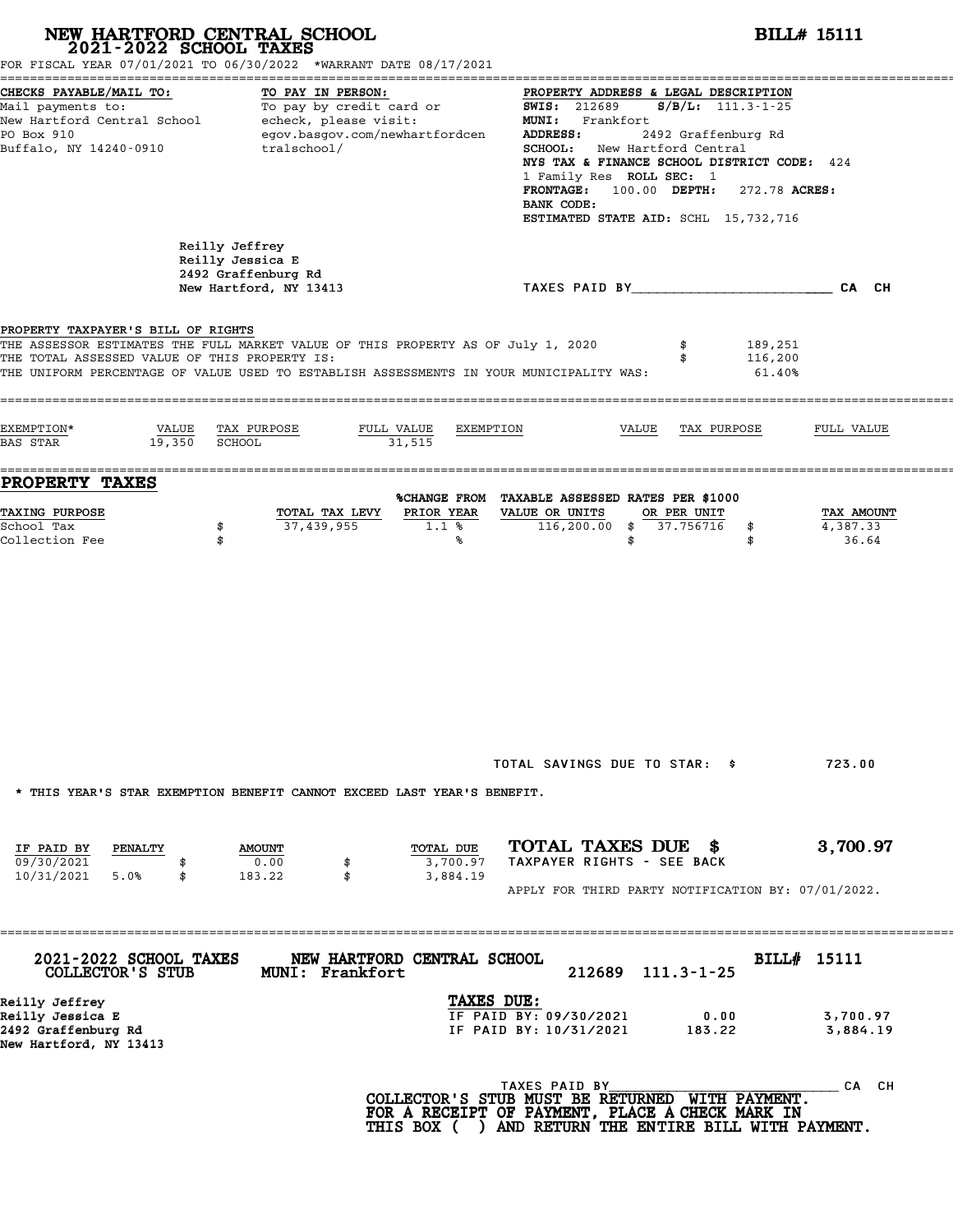|                                                                                     | NEW HARTFORD CENTRAL SCHOOL<br>2021-2022 SCHOOL TAXES<br>FOR FISCAL YEAR 07/01/2021 TO 06/30/2022 *WARRANT DATE 08/17/2021                                                  |                                                                                                                                                                                                                                                                                                                                                        | <b>BILL# 15111</b>              |
|-------------------------------------------------------------------------------------|-----------------------------------------------------------------------------------------------------------------------------------------------------------------------------|--------------------------------------------------------------------------------------------------------------------------------------------------------------------------------------------------------------------------------------------------------------------------------------------------------------------------------------------------------|---------------------------------|
| CHECKS PAYABLE/MAIL TO:<br>PO Box 910<br>Buffalo, NY 14240-0910                     | TO PAY IN PERSON:<br>Mail payments to: To pay by credit card or<br>New Hartford Central School echeck, please visit:<br>egov.basgov.com/newhartfordcen<br>tralschool/       | PROPERTY ADDRESS & LEGAL DESCRIPTION<br>$S/B/L$ : 111.3-1-25<br><b>SWIS: 212689</b><br>MUNI: Frankfort<br>2492 Graffenburg Rd<br>ADDRESS:<br>SCHOOL: New Hartford Central<br>NYS TAX & FINANCE SCHOOL DISTRICT CODE: 424<br>1 Family Res ROLL SEC: 1<br>FRONTAGE: 100.00 DEPTH:<br>272.78 ACRES:<br>BANK CODE:<br>ESTIMATED STATE AID: SCHL 15,732,716 |                                 |
|                                                                                     | Reilly Jeffrey<br>Reilly Jessica E<br>2492 Graffenburg Rd<br>New Hartford, NY 13413                                                                                         | TAXES PAID BY TAND AND TAXES PAID BY                                                                                                                                                                                                                                                                                                                   |                                 |
| PROPERTY TAXPAYER'S BILL OF RIGHTS<br>THE TOTAL ASSESSED VALUE OF THIS PROPERTY IS: | THE ASSESSOR ESTIMATES THE FULL MARKET VALUE OF THIS PROPERTY AS OF July 1, 2020<br>THE UNIFORM PERCENTAGE OF VALUE USED TO ESTABLISH ASSESSMENTS IN YOUR MUNICIPALITY WAS: | 189,251<br>\$<br>116,200<br>\$<br>61.40%                                                                                                                                                                                                                                                                                                               |                                 |
| EXEMPTION*<br>VALUE<br>19,350<br><b>BAS STAR</b>                                    | TAX PURPOSE<br>FULL VALUE<br>SCHOOL<br>31,515                                                                                                                               | EXEMPTION<br>VALUE<br>TAX PURPOSE                                                                                                                                                                                                                                                                                                                      | FULL VALUE                      |
| <b>PROPERTY TAXES</b>                                                               |                                                                                                                                                                             | %CHANGE FROM TAXABLE ASSESSED RATES PER \$1000                                                                                                                                                                                                                                                                                                         |                                 |
| TAXING PURPOSE<br>School Tax<br>Collection Fee                                      | PRIOR YEAR<br>TOTAL TAX LEVY<br>37,439,955<br>\$<br>1.1%<br>\$<br>℁                                                                                                         | VALUE OR UNITS<br>OR PER UNIT<br>$116,200.00$ \$<br>37.756716<br>\$<br>\$<br>\$                                                                                                                                                                                                                                                                        | TAX AMOUNT<br>4,387.33<br>36.64 |
|                                                                                     | * THIS YEAR'S STAR EXEMPTION BENEFIT CANNOT EXCEED LAST YEAR'S BENEFIT.                                                                                                     | TOTAL SAVINGS DUE TO STAR: \$                                                                                                                                                                                                                                                                                                                          | 723.00                          |
| IF PAID BY<br>PENALTY<br>09/30/2021<br>10/31/2021<br>5.0%<br>\$                     | TOTAL DUE<br><b>AMOUNT</b><br>0.00<br>3,700.97<br>\$<br>183.22<br>\$<br>3,884.19                                                                                            | TOTAL TAXES DUE \$<br>TAXPAYER RIGHTS - SEE BACK                                                                                                                                                                                                                                                                                                       | 3,700.97                        |
|                                                                                     |                                                                                                                                                                             | APPLY FOR THIRD PARTY NOTIFICATION BY: 07/01/2022.                                                                                                                                                                                                                                                                                                     |                                 |
| 2021-2022 SCHOOL TAXES<br>COLLECTOR'S STUB                                          | NEW HARTFORD CENTRAL SCHOOL<br>MUNI: Frankfort                                                                                                                              | 212689<br>$111.3 - 1 - 25$                                                                                                                                                                                                                                                                                                                             | BILL# 15111                     |
| Reilly Jeffrey<br>Reilly Jessica E<br>2492 Graffenburg Rd<br>New Hartford, NY 13413 |                                                                                                                                                                             | TAXES DUE:<br>IF PAID BY: 09/30/2021<br>0.00<br>IF PAID BY: 10/31/2021<br>183.22                                                                                                                                                                                                                                                                       | 3,700.97<br>3,884.19            |
|                                                                                     |                                                                                                                                                                             |                                                                                                                                                                                                                                                                                                                                                        | CA CH                           |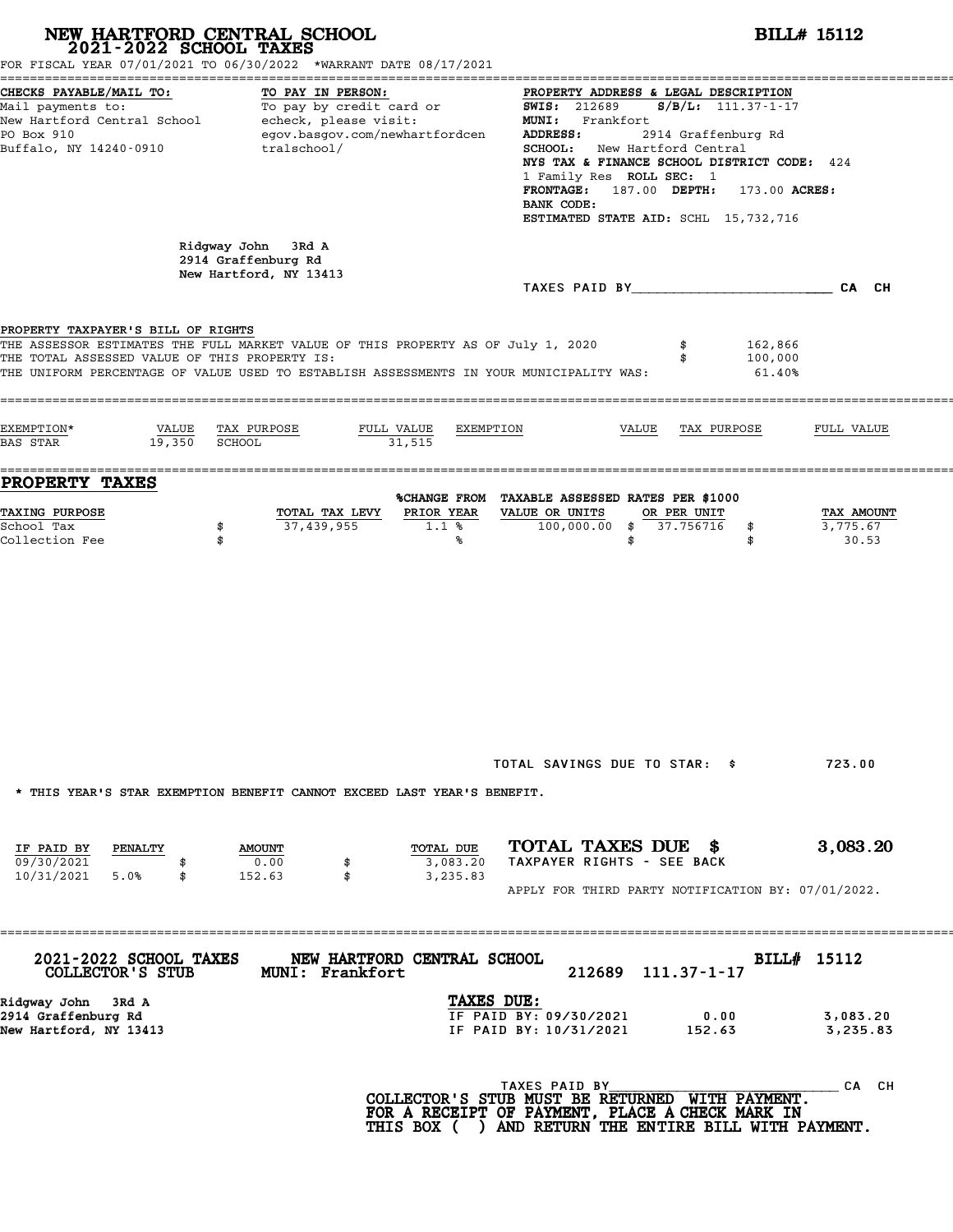|                                                                                                                     | NEW HARTFORD CENTRAL SCHOOL<br>2021-2022 SCHOOL TAXES<br>FOR FISCAL YEAR 07/01/2021 TO 06/30/2022 *WARRANT DATE 08/17/2021                                                  |                                                                                                                                                                                                                                                                                                                                                                                                                                     | <b>BILL# 15112</b>                  |
|---------------------------------------------------------------------------------------------------------------------|-----------------------------------------------------------------------------------------------------------------------------------------------------------------------------|-------------------------------------------------------------------------------------------------------------------------------------------------------------------------------------------------------------------------------------------------------------------------------------------------------------------------------------------------------------------------------------------------------------------------------------|-------------------------------------|
| CHECKS PAYABLE/MAIL TO:<br>PO Box 910<br>Buffalo, NY 14240-0910                                                     | TO PAY IN PERSON:<br>egov.basgov.com/newhartfordcen<br>tralschool/                                                                                                          | PROPERTY ADDRESS & LEGAL DESCRIPTION<br>Mail payments to: To pay by credit card or MIS: 212689 S/B/L: 111.37-1-17<br>New Hartford Central School echeck, please visit: MINI: Frankfort<br>ADDRESS:<br>2914 Graffenburg Rd<br>SCHOOL: New Hartford Central<br>NYS TAX & FINANCE SCHOOL DISTRICT CODE: 424<br>1 Family Res ROLL SEC: 1<br>FRONTAGE: 187.00 DEPTH: 173.00 ACRES:<br>BANK CODE:<br>ESTIMATED STATE AID: SCHL 15,732,716 |                                     |
|                                                                                                                     | Ridgway John 3Rd A<br>2914 Graffenburg Rd<br>New Hartford, NY 13413                                                                                                         |                                                                                                                                                                                                                                                                                                                                                                                                                                     |                                     |
| PROPERTY TAXPAYER'S BILL OF RIGHTS<br>THE TOTAL ASSESSED VALUE OF THIS PROPERTY IS:                                 | THE ASSESSOR ESTIMATES THE FULL MARKET VALUE OF THIS PROPERTY AS OF July 1, 2020<br>THE UNIFORM PERCENTAGE OF VALUE USED TO ESTABLISH ASSESSMENTS IN YOUR MUNICIPALITY WAS: | 162,866<br>100,000<br>61.40%                                                                                                                                                                                                                                                                                                                                                                                                        |                                     |
| EXEMPTION*<br>$19,350$ SCHOOL<br><b>BAS STAR</b>                                                                    | VALUE TAX PURPOSE<br>FULL VALUE<br>EXEMPTION<br>31,515                                                                                                                      | VALUE TAX PURPOSE                                                                                                                                                                                                                                                                                                                                                                                                                   | FULL VALUE                          |
| <b>PROPERTY TAXES</b><br><b>TAXING PURPOSE</b><br>School Tax<br>Collection Fee                                      | TOTAL TAX LEVY<br>PRIOR YEAR<br>37,439,955<br>1.1%<br>\$<br>\$<br>℁                                                                                                         | %CHANGE FROM TAXABLE ASSESSED RATES PER \$1000<br>VALUE OR UNITS<br>OR PER UNIT<br>100,000.00 \$ 37.756716<br>\$<br>\$<br>\$                                                                                                                                                                                                                                                                                                        | TAX AMOUNT<br>3,775.67<br>30.53     |
|                                                                                                                     | * THIS YEAR'S STAR EXEMPTION BENEFIT CANNOT EXCEED LAST YEAR'S BENEFIT.                                                                                                     | TOTAL SAVINGS DUE TO STAR: \$                                                                                                                                                                                                                                                                                                                                                                                                       | 723.00                              |
| IF PAID BY<br>PENALTY<br>09/30/2021<br>10/31/2021 5.0%<br>\$                                                        | TOTAL DUE<br><b>AMOUNT</b><br>0.00<br>3,083.20<br>\$<br>3,235.83<br>152.63                                                                                                  | TOTAL TAXES DUE \$<br>TAXPAYER RIGHTS - SEE BACK<br>APPLY FOR THIRD PARTY NOTIFICATION BY: 07/01/2022.                                                                                                                                                                                                                                                                                                                              | 3,083.20                            |
| 2021-2022 SCHOOL TAXES<br>COLLECTOR'S STUB<br>Ridgway John - 3Rd A<br>2914 Graffenburg Rd<br>New Hartford, NY 13413 | NEW HARTFORD CENTRAL SCHOOL<br>MUNI: Frankfort<br>TAXES DUE:                                                                                                                | 212689<br>111.37-1-17<br>IF PAID BY: 09/30/2021<br>0.00<br>IF PAID BY: 10/31/2021<br>152.63                                                                                                                                                                                                                                                                                                                                         | BILL# 15112<br>3,083.20<br>3,235.83 |
|                                                                                                                     |                                                                                                                                                                             | TAXES PAID BY<br>COLLECTOR'S STUB MUST BE RETURNED WITH PAYMENT.<br>FOR A RECEIPT OF PAYMENT, PLACE A CHECK MARK IN<br>THIS BOX ( ) AND RETURN THE ENTIRE BILL WITH PAYMENT.                                                                                                                                                                                                                                                        | CA CH                               |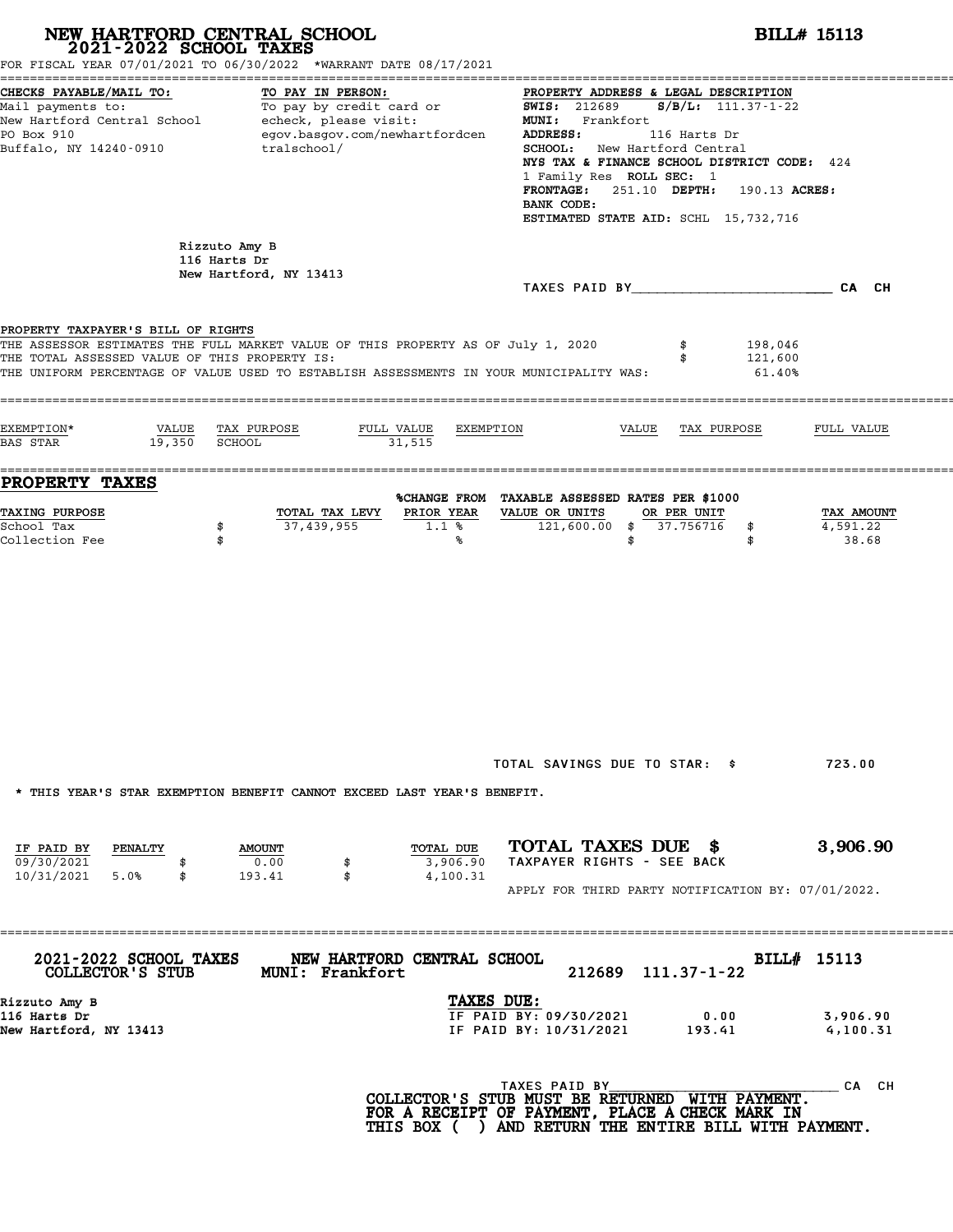| NEW HARTFORD CENTRAL SCHOOL 2021-2022 SCHOOL TAXES                                  | FOR FISCAL YEAR 07/01/2021 TO 06/30/2022 *WARRANT DATE 08/17/2021                                                                                                           |                                                                                                                                                                                                                                                                                                                                                         | <b>BILL# 15113</b>              |
|-------------------------------------------------------------------------------------|-----------------------------------------------------------------------------------------------------------------------------------------------------------------------------|---------------------------------------------------------------------------------------------------------------------------------------------------------------------------------------------------------------------------------------------------------------------------------------------------------------------------------------------------------|---------------------------------|
| CHECKS PAYABLE/MAIL TO:<br>PO Box 910<br>Buffalo, NY 14240-0910                     | TO PAY IN PERSON:<br>Mail payments to: To pay by credit card or<br>New Hartford Central School echeck, please visit:<br>egov.basgov.com/newhartfordcen<br>tralschool/       | PROPERTY ADDRESS & LEGAL DESCRIPTION<br><b>SWIS: 212689</b><br>$S/B/L: 111.37 - 1 - 22$<br>MUNI: Frankfort<br>ADDRESS:<br>116 Harts Dr<br><b>SCHOOL:</b> New Hartford Central<br>NYS TAX & FINANCE SCHOOL DISTRICT CODE: 424<br>1 Family Res ROLL SEC: 1<br>FRONTAGE: 251.10 DEPTH: 190.13 ACRES:<br>BANK CODE:<br>ESTIMATED STATE AID: SCHL 15,732,716 |                                 |
|                                                                                     | Rizzuto Amy B<br>116 Harts Dr<br>New Hartford, NY 13413                                                                                                                     |                                                                                                                                                                                                                                                                                                                                                         |                                 |
| PROPERTY TAXPAYER'S BILL OF RIGHTS<br>THE TOTAL ASSESSED VALUE OF THIS PROPERTY IS: | THE ASSESSOR ESTIMATES THE FULL MARKET VALUE OF THIS PROPERTY AS OF July 1, 2020<br>THE UNIFORM PERCENTAGE OF VALUE USED TO ESTABLISH ASSESSMENTS IN YOUR MUNICIPALITY WAS: | \$<br>198,046<br>121,600<br>\$<br>61.40%                                                                                                                                                                                                                                                                                                                |                                 |
| EXEMPTION*<br>19,350 SCHOOL<br>BAS STAR                                             | VALUE TAX PURPOSE<br>FULL VALUE<br>EXEMPTION<br>31,515                                                                                                                      | VALUE<br>TAX PURPOSE                                                                                                                                                                                                                                                                                                                                    | FULL VALUE                      |
| PROPERTY TAXES<br><b>TAXING PURPOSE</b><br>School Tax<br>Collection Fee             | PRIOR YEAR<br>TOTAL TAX LEVY<br>37,439,955<br>1.1%<br>\$<br>\$<br>℁                                                                                                         | %CHANGE FROM TAXABLE ASSESSED RATES PER \$1000<br>VALUE OR UNITS<br>OR PER UNIT<br>121,600.00 \$ 37.756716<br>\$<br>\$<br>\$                                                                                                                                                                                                                            | TAX AMOUNT<br>4,591.22<br>38.68 |
|                                                                                     | * THIS YEAR'S STAR EXEMPTION BENEFIT CANNOT EXCEED LAST YEAR'S BENEFIT.                                                                                                     | TOTAL SAVINGS DUE TO STAR: \$                                                                                                                                                                                                                                                                                                                           | 723.00                          |
| IF PAID BY<br><b>PENALTY</b><br>09/30/2021<br>10/31/2021<br>5.0%<br>\$              | TOTAL DUE<br><b>AMOUNT</b><br>0.00<br>3,906.90<br>\$<br>\$<br>4,100.31<br>193.41                                                                                            | TOTAL TAXES DUE \$<br>TAXPAYER RIGHTS - SEE BACK<br>APPLY FOR THIRD PARTY NOTIFICATION BY: 07/01/2022.                                                                                                                                                                                                                                                  | 3,906.90                        |
| 2021-2022 SCHOOL TAXES<br>COLLECTOR'S STUB                                          | NEW HARTFORD CENTRAL SCHOOL<br><b>MUNI: Frankfort</b>                                                                                                                       | 212689 111.37-1-22                                                                                                                                                                                                                                                                                                                                      | BILL# 15113                     |
| Rizzuto Amy B<br>116 Harts Dr<br>New Hartford, NY 13413                             | TAXES DUE:                                                                                                                                                                  | IF PAID BY: 09/30/2021<br>0.00<br>IF PAID BY: 10/31/2021<br>193.41                                                                                                                                                                                                                                                                                      | 3,906.90<br>4,100.31            |
|                                                                                     |                                                                                                                                                                             | TAXES PAID BY<br>COLLECTOR'S STUB MUST BE RETURNED WITH PAYMENT.<br>FOR A RECEIPT OF PAYMENT, PLACE A CHECK MARK IN<br>THIS BOX ( ) AND RETURN THE ENTIRE BILL WITH PAYMENT.                                                                                                                                                                            | CA CH                           |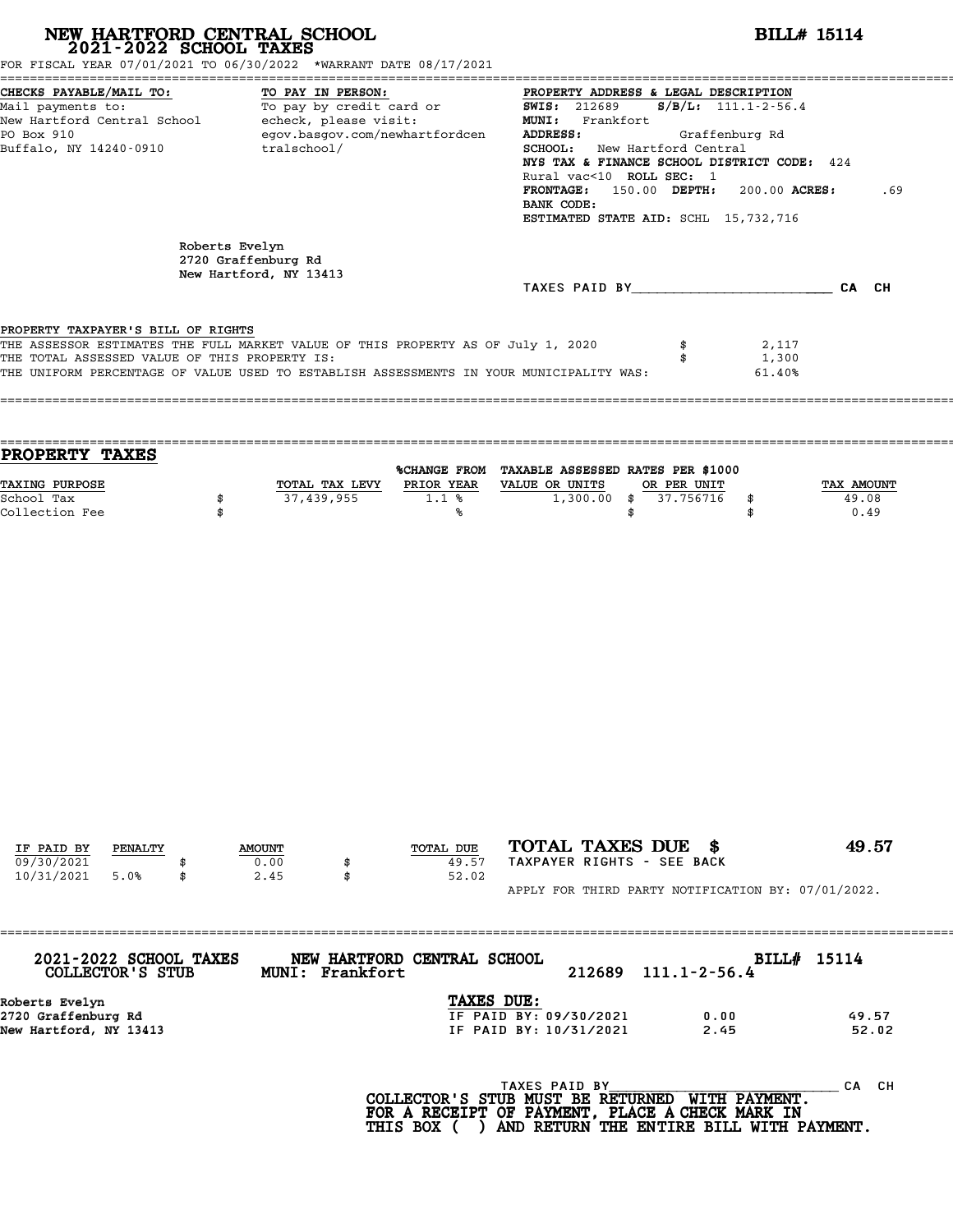| NEW HARTFORD CENTRAL SCHOOL 2021-2022 SCHOOL TAXES<br>FOR FISCAL YEAR 07/01/2021 TO 06/30/2022 *WARRANT DATE 08/17/2021                                                 |                |                                  |                                                                                                                          |                                                                                                                                                                                                                                                                               |                                             | <b>BILL# 15114</b>          |
|-------------------------------------------------------------------------------------------------------------------------------------------------------------------------|----------------|----------------------------------|--------------------------------------------------------------------------------------------------------------------------|-------------------------------------------------------------------------------------------------------------------------------------------------------------------------------------------------------------------------------------------------------------------------------|---------------------------------------------|-----------------------------|
| CHECKS PAYABLE/MAIL TO:<br>Mail payments to:<br>New Hartford Central School - echeck, please visit:<br>PO Box 910<br>Buffalo, NY 14240-0910                             |                | TO PAY IN PERSON:<br>tralschool/ | TU: TO PAY IN PERSON: TO PROPERTY ADDRENT TO DAY by credit card or Taylor SWIS: 212689<br>egov.basgov.com/newhartfordcen | PROPERTY ADDRESS & LEGAL DESCRIPTION<br>MUNI: Frankfort<br>ADDRESS:<br>SCHOOL: New Hartford Central<br>NYS TAX & FINANCE SCHOOL DISTRICT CODE: 424<br>Rural vac<10 ROLL SEC: 1<br>FRONTAGE: 150.00 DEPTH: 200.00 ACRES:<br>BANK CODE:<br>ESTIMATED STATE AID: SCHL 15,732,716 | $S/B/L: 111.1 - 2 - 56.4$<br>Graffenburg Rd | .69                         |
|                                                                                                                                                                         | Roberts Evelyn | 2720 Graffenburg Rd              |                                                                                                                          |                                                                                                                                                                                                                                                                               |                                             |                             |
|                                                                                                                                                                         |                | New Hartford, NY 13413           |                                                                                                                          | TAXES PAID BY CA CH                                                                                                                                                                                                                                                           |                                             |                             |
| PROPERTY TAXPAYER'S BILL OF RIGHTS<br>THE ASSESSOR ESTIMATES THE FULL MARKET VALUE OF THIS PROPERTY AS OF July 1, 2020<br>THE TOTAL ASSESSED VALUE OF THIS PROPERTY IS: |                |                                  |                                                                                                                          | THE UNIFORM PERCENTAGE OF VALUE USED TO ESTABLISH ASSESSMENTS IN YOUR MUNICIPALITY WAS:                                                                                                                                                                                       | 2,117<br>1,300<br>\$<br>61.40%              |                             |
| PROPERTY TAXES                                                                                                                                                          |                |                                  |                                                                                                                          | %CHANGE FROM TAXABLE ASSESSED RATES PER \$1000                                                                                                                                                                                                                                |                                             |                             |
| TAXING PURPOSE<br>School Tax<br>Collection Fee                                                                                                                          | \$<br>\$       | 37,439,955                       | TOTAL TAX LEVY PRIOR YEAR VALUE OR UNITS<br>1.1%<br>℁                                                                    | $1,300.00$ \$<br>\$                                                                                                                                                                                                                                                           | OR PER UNIT<br>37.756716<br>\$<br>\$        | TAX AMOUNT<br>49.08<br>0.49 |
| IF PAID BY<br>PENALTY<br>09/30/2021                                                                                                                                     |                | <b>AMOUNT</b><br>0.00<br>\$      | TOTAL DUE<br>49.57                                                                                                       | TOTAL TAXES DUE \$<br>TAXPAYER RIGHTS - SEE BACK                                                                                                                                                                                                                              |                                             | 49.57                       |
| 10/31/2021<br>5.0%                                                                                                                                                      | \$             | 2.45<br>\$                       | 52.02                                                                                                                    | APPLY FOR THIRD PARTY NOTIFICATION BY: 07/01/2022.                                                                                                                                                                                                                            |                                             |                             |
| 2021-2022 SCHOOL TAXES                                                                                                                                                  |                |                                  | NEW HARTFORD CENTRAL SCHOOL                                                                                              |                                                                                                                                                                                                                                                                               |                                             | BILL# 15114                 |
| COLLECTOR'S STUB<br>Roberts Evelyn                                                                                                                                      |                | MUNI: Frankfort                  |                                                                                                                          | 212689<br>TAXES DUE:                                                                                                                                                                                                                                                          | $111.1 - 2 - 56.4$                          |                             |
| 2720 Graffenburg Rd<br>New Hartford, NY 13413                                                                                                                           |                |                                  |                                                                                                                          | IF PAID BY: 09/30/2021<br>IF PAID BY: 10/31/2021                                                                                                                                                                                                                              | 0.00<br>2.45                                | 49.57<br>52.02              |
|                                                                                                                                                                         |                |                                  |                                                                                                                          | TAXES PAID BY TAND TAXES PAID BY THE PAYMENT.<br>FOR A RECEIPT OF PAYMENT, PLACE A CHECK MARK IN                                                                                                                                                                              |                                             | CA CH                       |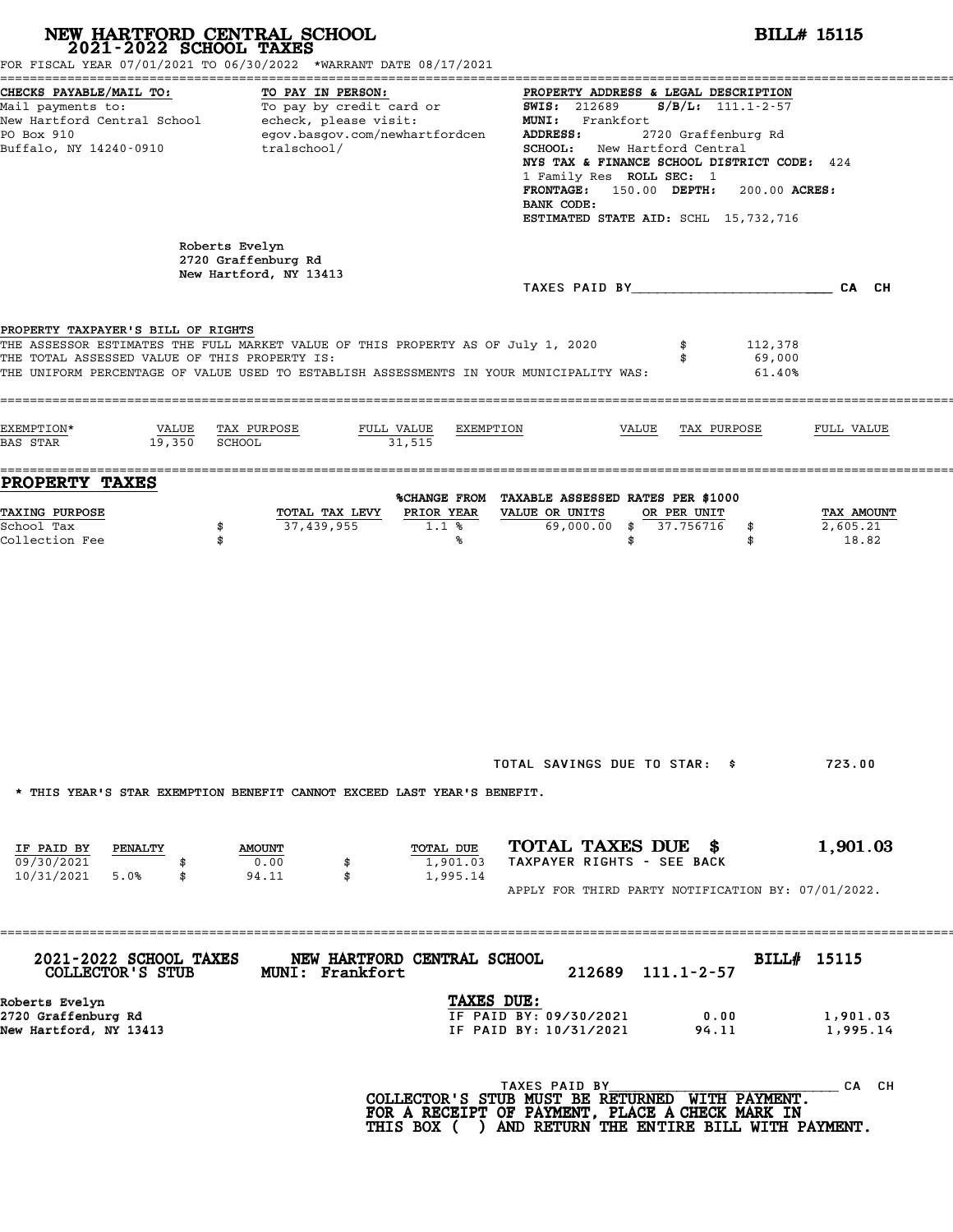| FOR FISCAL YEAR 07/01/2021 TO 06/30/2022 *WARRANT DATE 08/17/2021<br>CHECKS PAYABLE/MAIL TO:<br>TO PAY IN PERSON:<br>PROPERTY ADDRESS & LEGAL DESCRIPTION<br>Mail payments to:<br>Mail payments to:<br>New Hartford Central School echeck, please visit:<br>$S/B/L$ : 111.1-2-57<br><b>SWIS: 212689</b><br>MUNI: Frankfort<br>egov.basgov.com/newhartfordcen<br>2720 Graffenburg Rd<br>PO Box 910<br>ADDRESS:<br>Buffalo, NY 14240-0910<br>SCHOOL: New Hartford Central<br>tralschool/<br>NYS TAX & FINANCE SCHOOL DISTRICT CODE: 424<br>1 Family Res ROLL SEC: 1<br>FRONTAGE: 150.00 DEPTH:<br>200.00 ACRES:<br>BANK CODE:<br>ESTIMATED STATE AID: SCHL 15,732,716<br>Roberts Evelyn<br>2720 Graffenburg Rd<br>New Hartford, NY 13413<br>TAXES PAID BY CA CH<br>112,378<br>\$<br>69,000<br>\$<br>61.40%<br>VALUE<br>TAX PURPOSE<br>FULL VALUE<br>EXEMPTION<br>VALUE<br>TAX PURPOSE<br>FULL VALUE<br>19,350 SCHOOL<br>31,515<br>%CHANGE FROM TAXABLE ASSESSED RATES PER \$1000 |
|--------------------------------------------------------------------------------------------------------------------------------------------------------------------------------------------------------------------------------------------------------------------------------------------------------------------------------------------------------------------------------------------------------------------------------------------------------------------------------------------------------------------------------------------------------------------------------------------------------------------------------------------------------------------------------------------------------------------------------------------------------------------------------------------------------------------------------------------------------------------------------------------------------------------------------------------------------------------------------|
| PROPERTY TAXPAYER'S BILL OF RIGHTS<br>THE ASSESSOR ESTIMATES THE FULL MARKET VALUE OF THIS PROPERTY AS OF July 1, 2020<br>THE TOTAL ASSESSED VALUE OF THIS PROPERTY IS:<br>THE UNIFORM PERCENTAGE OF VALUE USED TO ESTABLISH ASSESSMENTS IN YOUR MUNICIPALITY WAS:<br>EXEMPTION*<br>BAS STAR<br><b>PROPERTY TAXES</b>                                                                                                                                                                                                                                                                                                                                                                                                                                                                                                                                                                                                                                                          |
|                                                                                                                                                                                                                                                                                                                                                                                                                                                                                                                                                                                                                                                                                                                                                                                                                                                                                                                                                                                |
|                                                                                                                                                                                                                                                                                                                                                                                                                                                                                                                                                                                                                                                                                                                                                                                                                                                                                                                                                                                |
|                                                                                                                                                                                                                                                                                                                                                                                                                                                                                                                                                                                                                                                                                                                                                                                                                                                                                                                                                                                |
| TAXING PURPOSE<br>PRIOR YEAR<br>VALUE OR UNITS<br>TOTAL TAX LEVY<br>OR PER UNIT<br>TAX AMOUNT<br>37,439,955<br>69,000.00 \$ 37.756716<br>2,605.21<br>School Tax<br>\$<br>1.1%<br>\$<br>Collection Fee<br>\$<br>\$<br>℁<br>\$                                                                                                                                                                                                                                                                                                                                                                                                                                                                                                                                                                                                                                                                                                                                                   |
| TOTAL SAVINGS DUE TO STAR: \$<br>723.00<br>* THIS YEAR'S STAR EXEMPTION BENEFIT CANNOT EXCEED LAST YEAR'S BENEFIT.                                                                                                                                                                                                                                                                                                                                                                                                                                                                                                                                                                                                                                                                                                                                                                                                                                                             |
|                                                                                                                                                                                                                                                                                                                                                                                                                                                                                                                                                                                                                                                                                                                                                                                                                                                                                                                                                                                |
| TOTAL TAXES DUE \$<br>1,901.03<br>TOTAL DUE<br>IF PAID BY<br><b>PENALTY</b><br><b>AMOUNT</b><br>TAXPAYER RIGHTS - SEE BACK<br>09/30/2021<br>0.00<br>1,901.03<br>\$<br>10/31/2021 5.0%<br>94.11<br>\$<br>1,995.14<br>\$<br>APPLY FOR THIRD PARTY NOTIFICATION BY: 07/01/2022.                                                                                                                                                                                                                                                                                                                                                                                                                                                                                                                                                                                                                                                                                                   |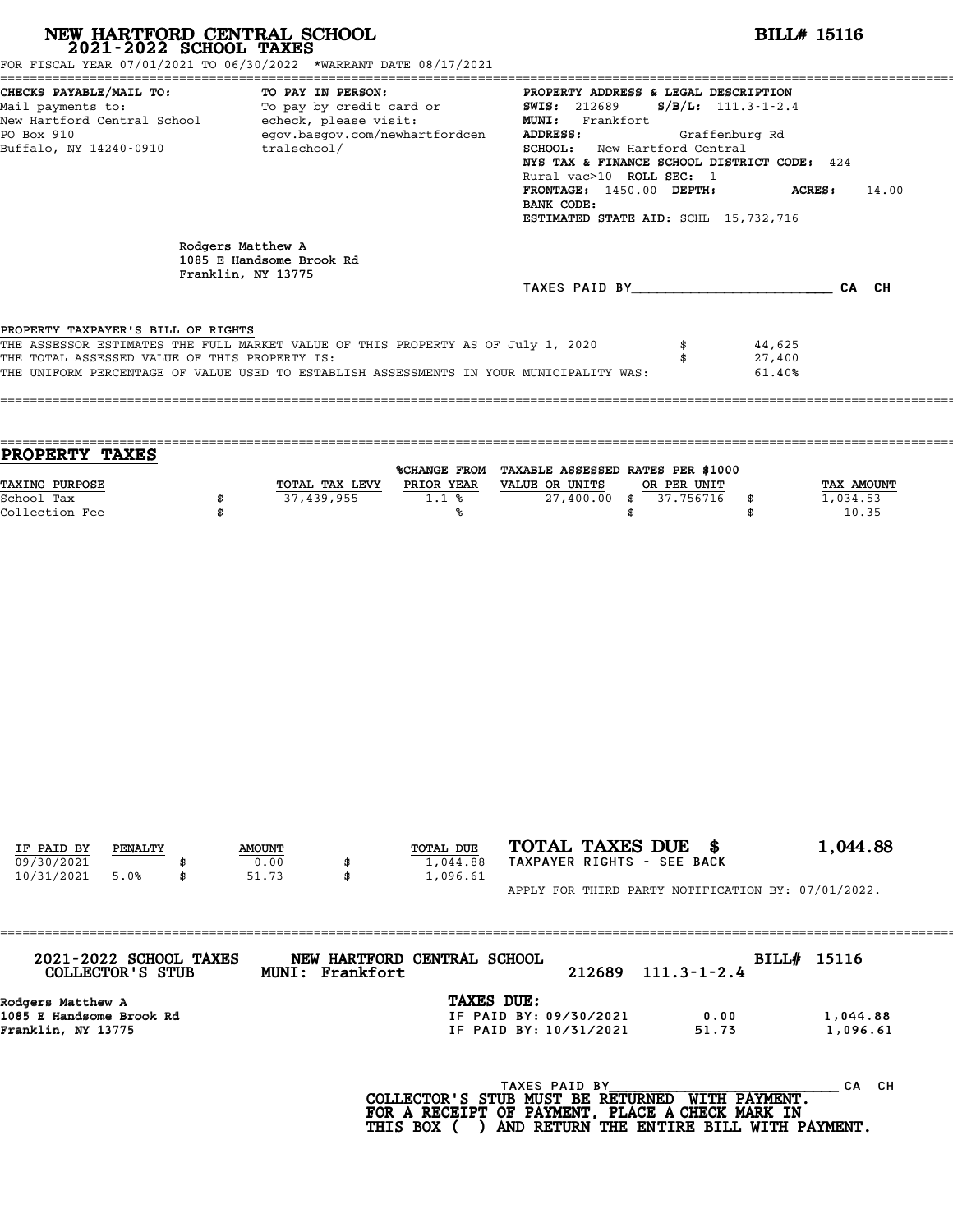| FOR FISCAL YEAR 07/01/2021 TO 06/30/2022 *WARRANT DATE 08/17/2021                                                                                                                                                                                                  | NEW HARTFORD CENTRAL SCHOOL 2021-2022 SCHOOL TAXES                                                                                                                                                                                                                                                                                                                                                                                                   |                                                        |                                                                                                                                                                              |                                        | <b>BILL# 15116</b>                     |  |
|--------------------------------------------------------------------------------------------------------------------------------------------------------------------------------------------------------------------------------------------------------------------|------------------------------------------------------------------------------------------------------------------------------------------------------------------------------------------------------------------------------------------------------------------------------------------------------------------------------------------------------------------------------------------------------------------------------------------------------|--------------------------------------------------------|------------------------------------------------------------------------------------------------------------------------------------------------------------------------------|----------------------------------------|----------------------------------------|--|
| CHECKS PAYABLE/MAIL TO:<br>Mail payments to:<br>New Hartford Central School echeck, please visit:<br>PO Box 910<br>Buffalo, NY 14240-0910 tralschool/                                                                                                              | PROPERTY ADDRESS & LEGAL DESCRIPTION<br><u>ro:</u> To PAY IN PERSON:<br>To pay by credit card or TO 11689 BOPERTY ADDRES<br>$S/B/L$ : 111.3-1-2.4<br>MUNI: Frankfort<br>egov.basgov.com/newhartfordcen<br>ADDRESS:<br>Graffenburg Rd<br>SCHOOL: New Hartford Central<br>NYS TAX & FINANCE SCHOOL DISTRICT CODE: 424<br>Rural vac>10 ROLL SEC: 1<br>FRONTAGE: 1450.00 DEPTH:<br>ACRES:<br>14.00<br>BANK CODE:<br>ESTIMATED STATE AID: SCHL 15,732,716 |                                                        |                                                                                                                                                                              |                                        |                                        |  |
|                                                                                                                                                                                                                                                                    | Rodgers Matthew A<br>1085 E Handsome Brook Rd<br>Franklin, NY 13775                                                                                                                                                                                                                                                                                                                                                                                  |                                                        |                                                                                                                                                                              |                                        |                                        |  |
|                                                                                                                                                                                                                                                                    |                                                                                                                                                                                                                                                                                                                                                                                                                                                      |                                                        | TAXES PAID BY CA CH                                                                                                                                                          |                                        |                                        |  |
| PROPERTY TAXPAYER'S BILL OF RIGHTS<br>THE ASSESSOR ESTIMATES THE FULL MARKET VALUE OF THIS PROPERTY AS OF July 1, 2020<br>THE TOTAL ASSESSED VALUE OF THIS PROPERTY IS:<br>THE UNIFORM PERCENTAGE OF VALUE USED TO ESTABLISH ASSESSMENTS IN YOUR MUNICIPALITY WAS: |                                                                                                                                                                                                                                                                                                                                                                                                                                                      |                                                        |                                                                                                                                                                              | \$<br>44,625<br>27,400<br>\$<br>61.40% |                                        |  |
| <b>PROPERTY TAXES</b>                                                                                                                                                                                                                                              |                                                                                                                                                                                                                                                                                                                                                                                                                                                      |                                                        | %CHANGE FROM TAXABLE ASSESSED RATES PER \$1000                                                                                                                               |                                        |                                        |  |
| TAXING PURPOSE<br>School Tax<br>Collection Fee                                                                                                                                                                                                                     | 37,439,955<br>\$<br>\$                                                                                                                                                                                                                                                                                                                                                                                                                               | TOTAL TAX LEVY PRIOR YEAR VALUE OR UNITS<br>1.1%<br>%ร | 27,400.00 \$ 37.756716<br>\$                                                                                                                                                 | OR PER UNIT<br>\$<br>\$                | <b>TAX AMOUNT</b><br>1,034.53<br>10.35 |  |
|                                                                                                                                                                                                                                                                    |                                                                                                                                                                                                                                                                                                                                                                                                                                                      |                                                        |                                                                                                                                                                              |                                        |                                        |  |
| IF PAID BY<br>PENALTY<br>09/30/2021<br>10/31/2021<br>5.0%<br>\$                                                                                                                                                                                                    | <b>AMOUNT</b><br>0.00<br>\$<br>51.73<br>\$                                                                                                                                                                                                                                                                                                                                                                                                           | TOTAL DUE<br>1,044.88<br>1,096.61                      | TOTAL TAXES DUE \$<br>TAXPAYER RIGHTS - SEE BACK                                                                                                                             |                                        | 1,044.88                               |  |
|                                                                                                                                                                                                                                                                    |                                                                                                                                                                                                                                                                                                                                                                                                                                                      |                                                        | APPLY FOR THIRD PARTY NOTIFICATION BY: 07/01/2022.                                                                                                                           |                                        |                                        |  |
| 2021-2022 SCHOOL TAXES<br>COLLECTOR'S STUB                                                                                                                                                                                                                         | MUNI: Frankfort                                                                                                                                                                                                                                                                                                                                                                                                                                      | NEW HARTFORD CENTRAL SCHOOL                            | 212689                                                                                                                                                                       | $111.3 - 1 - 2.4$                      | BILL# 15116                            |  |
| Rodgers Matthew A<br>1085 E Handsome Brook Rd<br>Franklin, NY 13775                                                                                                                                                                                                |                                                                                                                                                                                                                                                                                                                                                                                                                                                      | TAXES DUE:                                             | IF PAID BY: 09/30/2021<br>IF PAID BY: 10/31/2021                                                                                                                             | 0.00<br>51.73                          | 1,044.88<br>1,096.61                   |  |
|                                                                                                                                                                                                                                                                    |                                                                                                                                                                                                                                                                                                                                                                                                                                                      |                                                        | TAXES PAID BY<br>COLLECTOR'S STUB MUST BE RETURNED WITH PAYMENT.<br>FOR A RECEIPT OF PAYMENT, PLACE A CHECK MARK IN<br>THIS BOX ( ) AND RETURN THE ENTIRE BILL WITH PAYMENT. |                                        | CA CH                                  |  |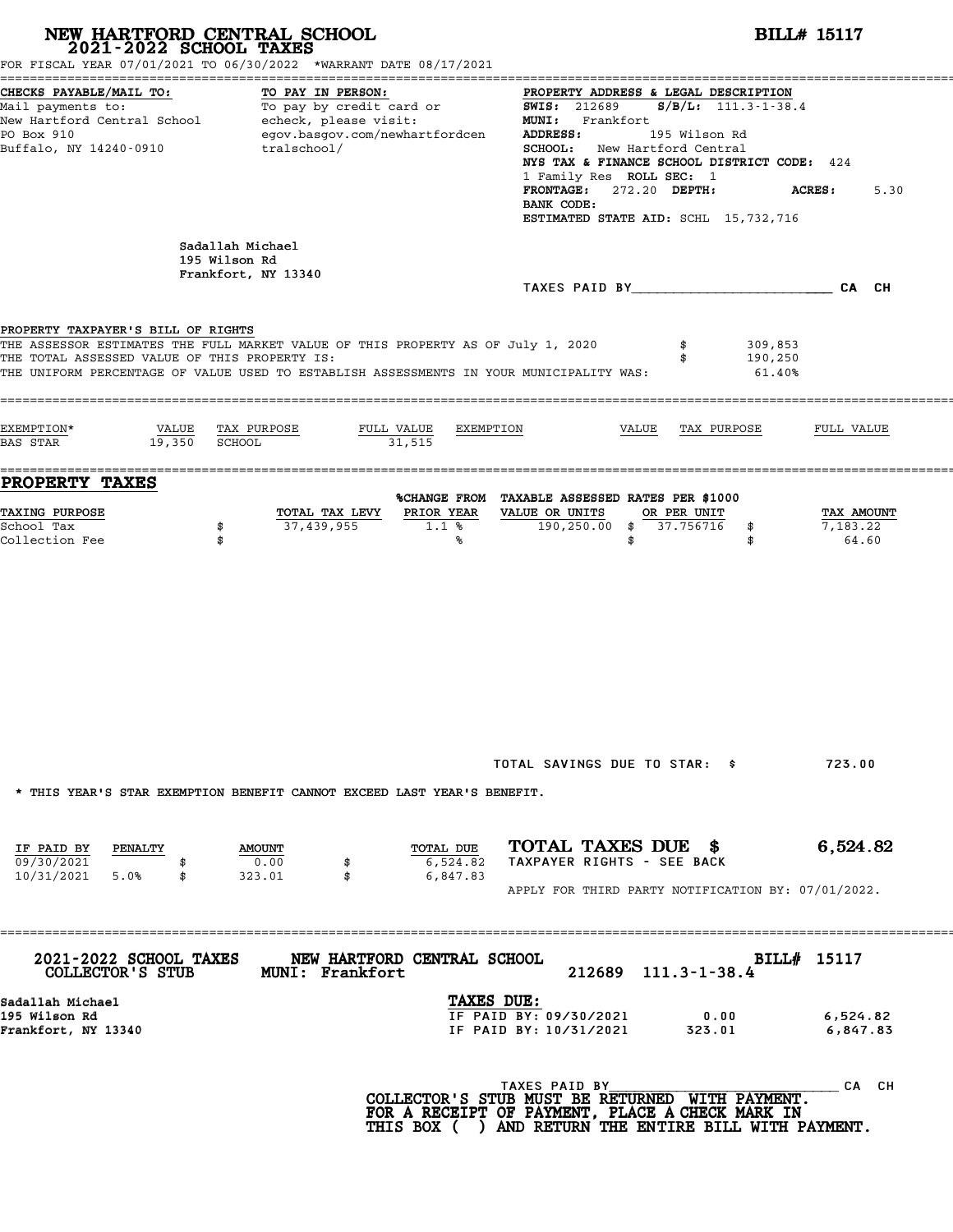| NEW HARTFORD CENTRAL SCHOOL<br>2021-2022 SCHOOL TAXES                               | FOR FISCAL YEAR 07/01/2021 TO 06/30/2022 *WARRANT DATE 08/17/2021                                                                                                           | <b>BILL# 15117</b>                                                                                                                                                                                                                                                                                                                                                                                                                                                                                             |
|-------------------------------------------------------------------------------------|-----------------------------------------------------------------------------------------------------------------------------------------------------------------------------|----------------------------------------------------------------------------------------------------------------------------------------------------------------------------------------------------------------------------------------------------------------------------------------------------------------------------------------------------------------------------------------------------------------------------------------------------------------------------------------------------------------|
| CHECKS PAYABLE/MAIL TO:<br>PO Box 910<br>Buffalo, NY 14240-0910                     | TO PAY IN PERSON:<br>egov.basgov.com/newhartfordcen<br>tralschool/                                                                                                          | PROPERTY ADDRESS & LEGAL DESCRIPTION<br>Mail payments to:<br>Mail payments to:<br>New Hartford Central School echeck, please visit:<br>New Hartford Central School echeck, please visit:<br>NEW MI: Frankfort<br>Frankfort (105 111.3-1-38.4)<br><b>ADDRESS:</b><br>195 Wilson Rd<br><b>SCHOOL:</b> New Hartford Central<br>NYS TAX & FINANCE SCHOOL DISTRICT CODE: 424<br>1 Family Res ROLL SEC: 1<br>FRONTAGE: 272.20 DEPTH:<br><b>ACRES :</b><br>5.30<br>BANK CODE:<br>ESTIMATED STATE AID: SCHL 15,732,716 |
|                                                                                     | Sadallah Michael<br>195 Wilson Rd<br>Frankfort, NY 13340                                                                                                                    |                                                                                                                                                                                                                                                                                                                                                                                                                                                                                                                |
| PROPERTY TAXPAYER'S BILL OF RIGHTS<br>THE TOTAL ASSESSED VALUE OF THIS PROPERTY IS: | THE ASSESSOR ESTIMATES THE FULL MARKET VALUE OF THIS PROPERTY AS OF July 1, 2020<br>THE UNIFORM PERCENTAGE OF VALUE USED TO ESTABLISH ASSESSMENTS IN YOUR MUNICIPALITY WAS: | 309,853<br>190,250<br>$61.40\%$                                                                                                                                                                                                                                                                                                                                                                                                                                                                                |
| EXEMPTION*<br>$19,350$ SCHOOL<br><b>BAS STAR</b>                                    | VALUE TAX PURPOSE<br>FULL VALUE<br>31,515                                                                                                                                   | EXEMPTION<br>VALUE TAX PURPOSE<br>FULL VALUE                                                                                                                                                                                                                                                                                                                                                                                                                                                                   |
| <b>PROPERTY TAXES</b><br><b>TAXING PURPOSE</b><br>School Tax<br>Collection Fee      | TOTAL TAX LEVY<br>PRIOR YEAR<br>37,439,955<br>1.1%<br>\$<br>\$<br>℁                                                                                                         | %CHANGE FROM TAXABLE ASSESSED RATES PER \$1000<br>VALUE OR UNITS<br>OR PER UNIT<br>TAX AMOUNT<br>190,250.00 \$ 37.756716<br>7,183.22<br>\$<br>64.60<br>\$<br>\$                                                                                                                                                                                                                                                                                                                                                |
|                                                                                     | * THIS YEAR'S STAR EXEMPTION BENEFIT CANNOT EXCEED LAST YEAR'S BENEFIT.                                                                                                     | TOTAL SAVINGS DUE TO STAR: \$<br>723.00                                                                                                                                                                                                                                                                                                                                                                                                                                                                        |
| IF PAID BY<br><b>PENALTY</b><br>09/30/2021<br>10/31/2021 5.0%<br>\$                 | TOTAL DUE<br><b>AMOUNT</b><br>0.00<br>6,524.82<br>\$<br>\$<br>6,847.83<br>323.01                                                                                            | TOTAL TAXES DUE \$<br>6,524.82<br>TAXPAYER RIGHTS - SEE BACK<br>APPLY FOR THIRD PARTY NOTIFICATION BY: 07/01/2022.                                                                                                                                                                                                                                                                                                                                                                                             |
| 2021-2022 SCHOOL TAXES<br>COLLECTOR'S STUB                                          | NEW HARTFORD CENTRAL SCHOOL<br><b>MUNI: Frankfort</b>                                                                                                                       | BILL# 15117<br>212689 111.3-1-38.4                                                                                                                                                                                                                                                                                                                                                                                                                                                                             |
| Sadallah Michael<br>195 Wilson Rd<br>Frankfort, NY 13340                            |                                                                                                                                                                             | TAXES DUE:<br>IF PAID BY: 09/30/2021<br>0.00<br>6,524.82<br>IF PAID BY: 10/31/2021<br>323.01<br>6,847.83                                                                                                                                                                                                                                                                                                                                                                                                       |
|                                                                                     |                                                                                                                                                                             | TAXES PAID BY<br>CA CH<br>COLLECTOR'S STUB MUST BE RETURNED WITH PAYMENT.<br>FOR A RECEIPT OF PAYMENT, PLACE A CHECK MARK IN<br>THIS BOX ( ) AND RETURN THE ENTIRE BILL WITH PAYMENT.                                                                                                                                                                                                                                                                                                                          |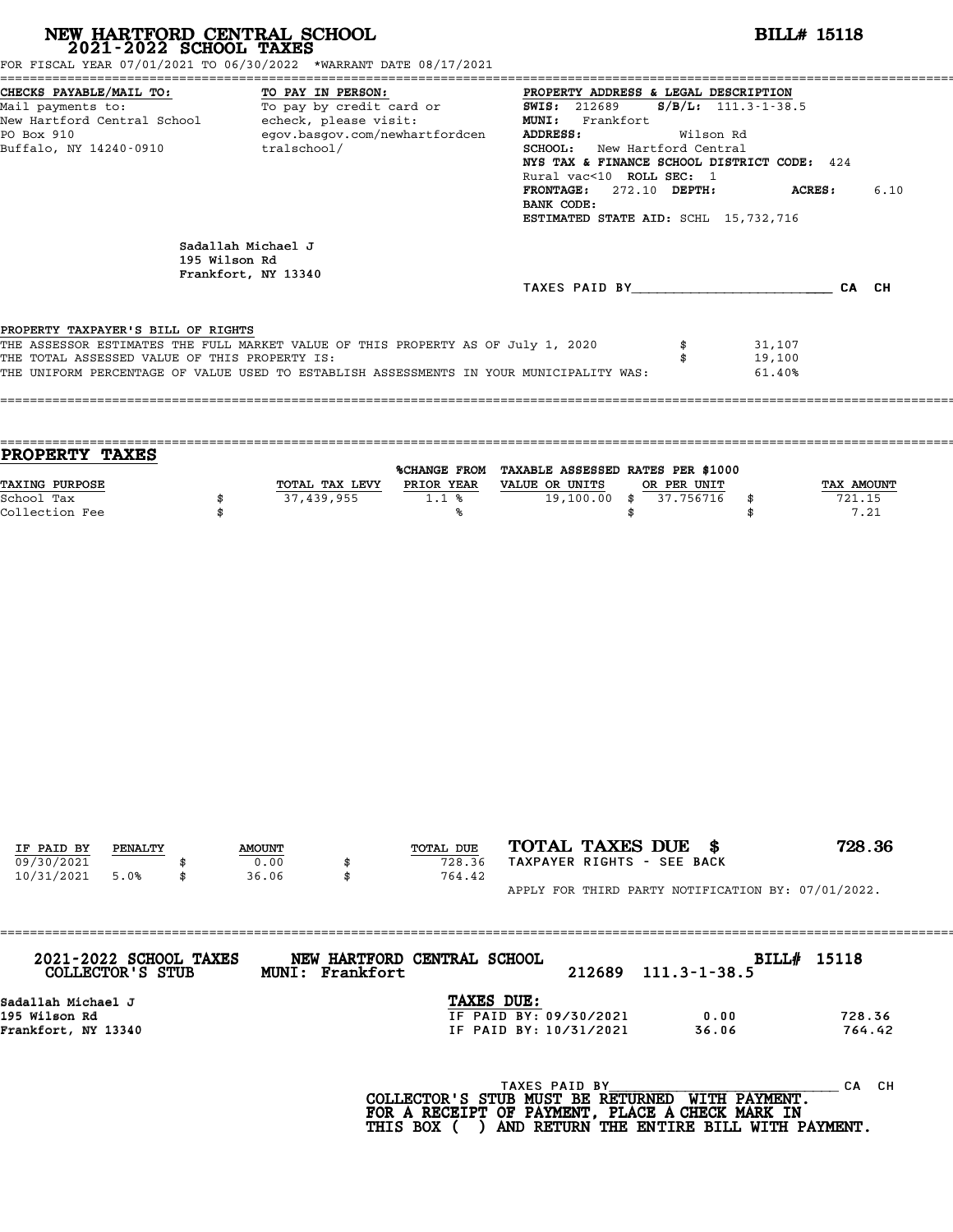| FOR FISCAL YEAR 07/01/2021 TO 06/30/2022 *WARRANT DATE 08/17/2021                                                                                                                                                                                                  |                                                                                                                                                                                                                                                                                                                                                  | NEW HARTFORD CENTRAL SCHOOL 2021-2022 SCHOOL TAXES |                                       | <b>BILL# 15118</b>                                                                                                                                                                                                                                                                |                        |                            |                  |  |  |  |
|--------------------------------------------------------------------------------------------------------------------------------------------------------------------------------------------------------------------------------------------------------------------|--------------------------------------------------------------------------------------------------------------------------------------------------------------------------------------------------------------------------------------------------------------------------------------------------------------------------------------------------|----------------------------------------------------|---------------------------------------|-----------------------------------------------------------------------------------------------------------------------------------------------------------------------------------------------------------------------------------------------------------------------------------|------------------------|----------------------------|------------------|--|--|--|
| CHECKS PAYABLE/MAIL TO:<br>PO Box 910                                                                                                                                                                                                                              | TO PAY IN PERSON:<br>CHECKS PAYABLE/MAIL TO: TO PAY IN PERSON: PROPERTY ADDRESS & LEGAL DESCRIPTION<br>Mail payments to: To pay by credit card or $\overline{SWIS}$ : 212689 $S/B/L$ : 111.3-1-38.5<br>New Hartford Central School echeck, please visit: MUNI: Frankf<br>egov.basgov.com/newhartfordcen<br>Buffalo, NY 14240-0910<br>tralschool/ |                                                    |                                       | PROPERTY ADDRESS & LEGAL DESCRIPTION<br><b>ADDRESS:</b><br>Wilson Rd<br><b>SCHOOL:</b> New Hartford Central<br>NYS TAX & FINANCE SCHOOL DISTRICT CODE: 424<br>Rural vac<10 ROLL SEC: 1<br>FRONTAGE: 272.10 DEPTH:<br>ACRES:<br>BANK CODE:<br>ESTIMATED STATE AID: SCHL 15,732,716 |                        |                            |                  |  |  |  |
|                                                                                                                                                                                                                                                                    | 195 Wilson Rd                                                                                                                                                                                                                                                                                                                                    | Sadallah Michael J<br>Frankfort, NY 13340          |                                       | TAXES PAID BY CA CH                                                                                                                                                                                                                                                               |                        |                            |                  |  |  |  |
| PROPERTY TAXPAYER'S BILL OF RIGHTS<br>THE ASSESSOR ESTIMATES THE FULL MARKET VALUE OF THIS PROPERTY AS OF July 1, 2020<br>THE TOTAL ASSESSED VALUE OF THIS PROPERTY IS:<br>THE UNIFORM PERCENTAGE OF VALUE USED TO ESTABLISH ASSESSMENTS IN YOUR MUNICIPALITY WAS: |                                                                                                                                                                                                                                                                                                                                                  |                                                    |                                       |                                                                                                                                                                                                                                                                                   | \$<br>\$               | 31,107<br>19,100<br>61.40% |                  |  |  |  |
| PROPERTY TAXES<br><b>TAXING PURPOSE</b>                                                                                                                                                                                                                            |                                                                                                                                                                                                                                                                                                                                                  | TOTAL TAX LEVY PRIOR YEAR VALUE OR UNITS           |                                       | %CHANGE FROM TAXABLE ASSESSED RATES PER \$1000                                                                                                                                                                                                                                    | OR PER UNIT            |                            | TAX AMOUNT       |  |  |  |
| School Tax<br>Collection Fee                                                                                                                                                                                                                                       | \$<br>\$                                                                                                                                                                                                                                                                                                                                         | 37,439,955                                         | 1.1%<br>°∝                            | \$                                                                                                                                                                                                                                                                                | 19,100.00 \$ 37.756716 | \$<br>\$                   | 721.15<br>7.21   |  |  |  |
|                                                                                                                                                                                                                                                                    |                                                                                                                                                                                                                                                                                                                                                  |                                                    |                                       |                                                                                                                                                                                                                                                                                   |                        |                            |                  |  |  |  |
|                                                                                                                                                                                                                                                                    |                                                                                                                                                                                                                                                                                                                                                  |                                                    |                                       |                                                                                                                                                                                                                                                                                   |                        |                            |                  |  |  |  |
| IF PAID BY<br>PENALTY<br>09/30/2021                                                                                                                                                                                                                                |                                                                                                                                                                                                                                                                                                                                                  | <b>AMOUNT</b><br>0.00                              | TOTAL DUE<br>728.36                   | TOTAL TAXES DUE \$<br>TAXPAYER RIGHTS - SEE BACK                                                                                                                                                                                                                                  |                        |                            | 728.36           |  |  |  |
| 10/31/2021<br>5.0%<br>2021-2022 SCHOOL TAXES                                                                                                                                                                                                                       | \$                                                                                                                                                                                                                                                                                                                                               | 36.06<br>\$<br>MUNI: Frankfort                     | 764.42<br>NEW HARTFORD CENTRAL SCHOOL | APPLY FOR THIRD PARTY NOTIFICATION BY: 07/01/2022.<br>212689                                                                                                                                                                                                                      | $111.3 - 1 - 38.5$     | BILL# 15118                |                  |  |  |  |
| COLLECTOR'S STUB<br>Sadallah Michael J<br>195 Wilson Rd<br>Frankfort, NY 13340                                                                                                                                                                                     |                                                                                                                                                                                                                                                                                                                                                  |                                                    | TAXES DUE:                            | IF PAID BY: 09/30/2021<br>IF PAID BY: 10/31/2021                                                                                                                                                                                                                                  | 0.00<br>36.06          |                            | 728.36<br>764.42 |  |  |  |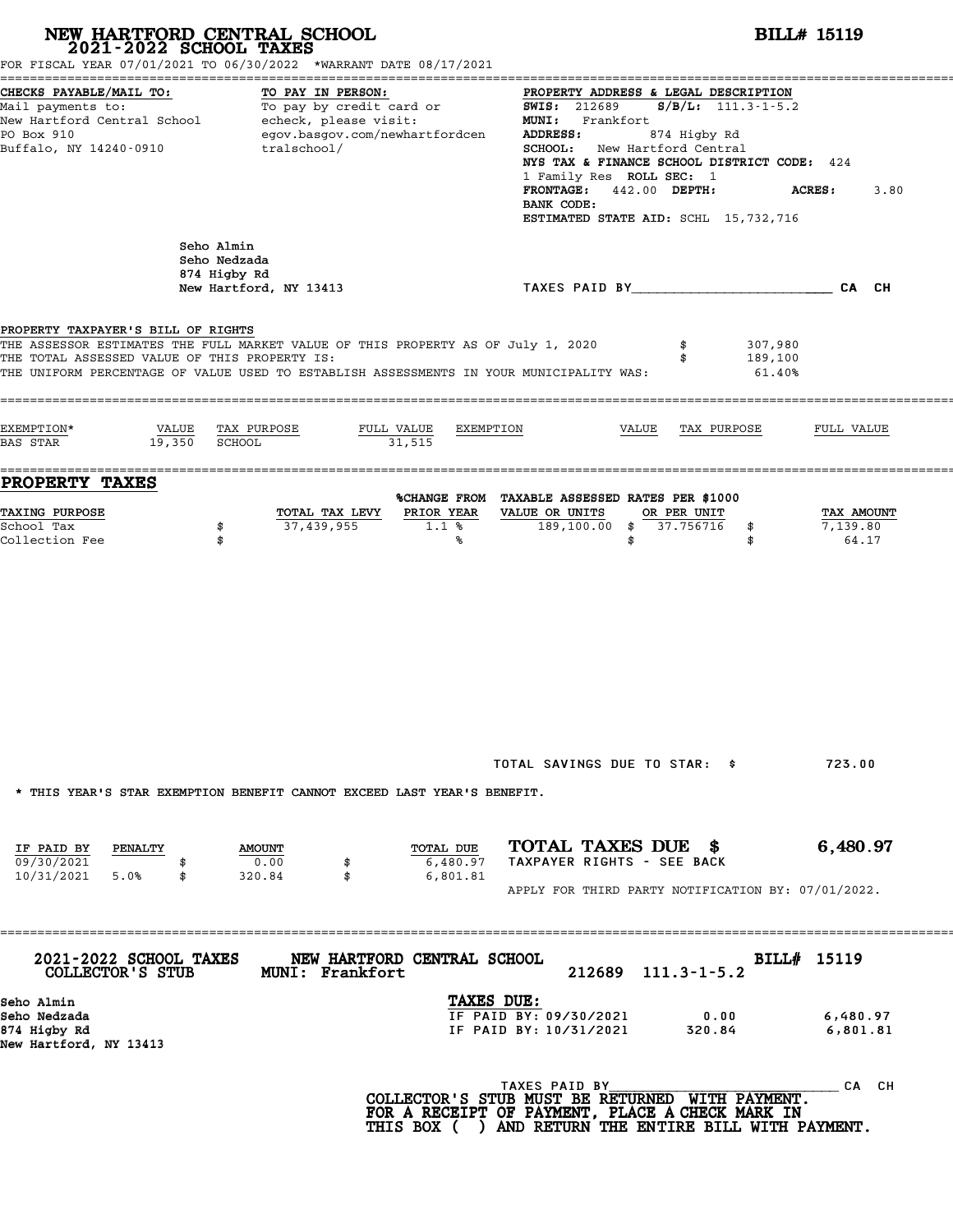|                                                                                     | NEW HARTFORD CENTRAL SCHOOL<br>2021-2022 SCHOOL TAXES<br>FOR FISCAL YEAR 07/01/2021 TO 06/30/2022 *WARRANT DATE 08/17/2021                                                                 |                                                                                                                                                                                                                                                         | <b>BILL# 15119</b>                                                                            |  |  |  |  |
|-------------------------------------------------------------------------------------|--------------------------------------------------------------------------------------------------------------------------------------------------------------------------------------------|---------------------------------------------------------------------------------------------------------------------------------------------------------------------------------------------------------------------------------------------------------|-----------------------------------------------------------------------------------------------|--|--|--|--|
| CHECKS PAYABLE/MAIL TO:<br>PO Box 910<br>Buffalo, NY 14240-0910                     | TO PAY IN PERSON:<br>Mail payments to:<br>Mail payments to: To pay by credit card or<br>New Hartford Central School echeck, please visit:<br>egov.basgov.com/newhartfordcen<br>tralschool/ | PROPERTY ADDRESS & LEGAL DESCRIPTION<br><b>SWIS:</b> 212689<br>MUNI: Frankfort<br>ADDRESS:<br>874 Higby Rd<br>SCHOOL: New Hartford Central<br>1 Family Res ROLL SEC: 1<br>FRONTAGE: 442.00 DEPTH:<br>BANK CODE:<br>ESTIMATED STATE AID: SCHL 15,732,716 | $S/B/L$ : 111.3-1-5.2<br>NYS TAX & FINANCE SCHOOL DISTRICT CODE: 424<br><b>ACRES:</b><br>3.80 |  |  |  |  |
|                                                                                     | Seho Almin<br>Seho Nedzada<br>874 Higby Rd<br>New Hartford, NY 13413                                                                                                                       | TAXES PAID BY CAN CHE CAN CH                                                                                                                                                                                                                            |                                                                                               |  |  |  |  |
| PROPERTY TAXPAYER'S BILL OF RIGHTS<br>THE TOTAL ASSESSED VALUE OF THIS PROPERTY IS: | THE ASSESSOR ESTIMATES THE FULL MARKET VALUE OF THIS PROPERTY AS OF July 1, 2020<br>THE UNIFORM PERCENTAGE OF VALUE USED TO ESTABLISH ASSESSMENTS IN YOUR MUNICIPALITY WAS:                | 307,980<br>\$<br>189,100<br>\$<br>61.40%                                                                                                                                                                                                                |                                                                                               |  |  |  |  |
| EXEMPTION*<br>VALUE<br>19,350 SCHOOL<br>BAS STAR                                    | TAX PURPOSE<br>FULL VALUE<br>EXEMPTION<br>31,515                                                                                                                                           | VALUE<br>TAX PURPOSE                                                                                                                                                                                                                                    | FULL VALUE                                                                                    |  |  |  |  |
| <b>PROPERTY TAXES</b>                                                               |                                                                                                                                                                                            | %CHANGE FROM TAXABLE ASSESSED RATES PER \$1000                                                                                                                                                                                                          |                                                                                               |  |  |  |  |
| TAXING PURPOSE<br>School Tax<br>Collection Fee                                      | PRIOR YEAR<br>TOTAL TAX LEVY<br>37,439,955<br>\$<br>$1.1$ %<br>\$<br>℁                                                                                                                     | VALUE OR UNITS<br>OR PER UNIT<br>189,100.00 \$ 37.756716<br>\$<br>\$<br>\$                                                                                                                                                                              | TAX AMOUNT<br>7,139.80<br>64.17                                                               |  |  |  |  |
| IF PAID BY<br>PENALTY                                                               | * THIS YEAR'S STAR EXEMPTION BENEFIT CANNOT EXCEED LAST YEAR'S BENEFIT.<br>TOTAL DUE<br><b>AMOUNT</b>                                                                                      | TOTAL SAVINGS DUE TO STAR: \$<br>TOTAL TAXES DUE \$                                                                                                                                                                                                     | 723.00<br>6,480.97                                                                            |  |  |  |  |
| 09/30/2021<br>10/31/2021 5.0%<br>\$                                                 | 0.00<br>6,480.97<br>\$<br>\$<br>6,801.81<br>320.84                                                                                                                                         | TAXPAYER RIGHTS - SEE BACK<br>APPLY FOR THIRD PARTY NOTIFICATION BY: 07/01/2022.                                                                                                                                                                        |                                                                                               |  |  |  |  |
| 2021-2022 SCHOOL TAXES<br>COLLECTOR'S STUB                                          | NEW HARTFORD CENTRAL SCHOOL<br><b>MUNI: Frankfort</b>                                                                                                                                      | 212689<br>$111.3 - 1 - 5.2$                                                                                                                                                                                                                             | BILL# 15119                                                                                   |  |  |  |  |
| Seho Almin<br>Seho Nedzada<br>874 Higby Rd<br>New Hartford, NY 13413                |                                                                                                                                                                                            | TAXES DUE:<br>IF PAID BY: 09/30/2021<br>0.00<br>IF PAID BY: 10/31/2021<br>320.84                                                                                                                                                                        | 6,480.97<br>6,801.81                                                                          |  |  |  |  |
|                                                                                     |                                                                                                                                                                                            | TAXES PAID BY<br>COLLECTOR'S STUB MUST BE RETURNED WITH PAYMENT.<br>FOR A RECEIPT OF PAYMENT, PLACE A CHECK MARK IN<br>THIS BOX ( ) AND RETURN THE ENTIRE BILL WITH PAYMENT.                                                                            | CA CH                                                                                         |  |  |  |  |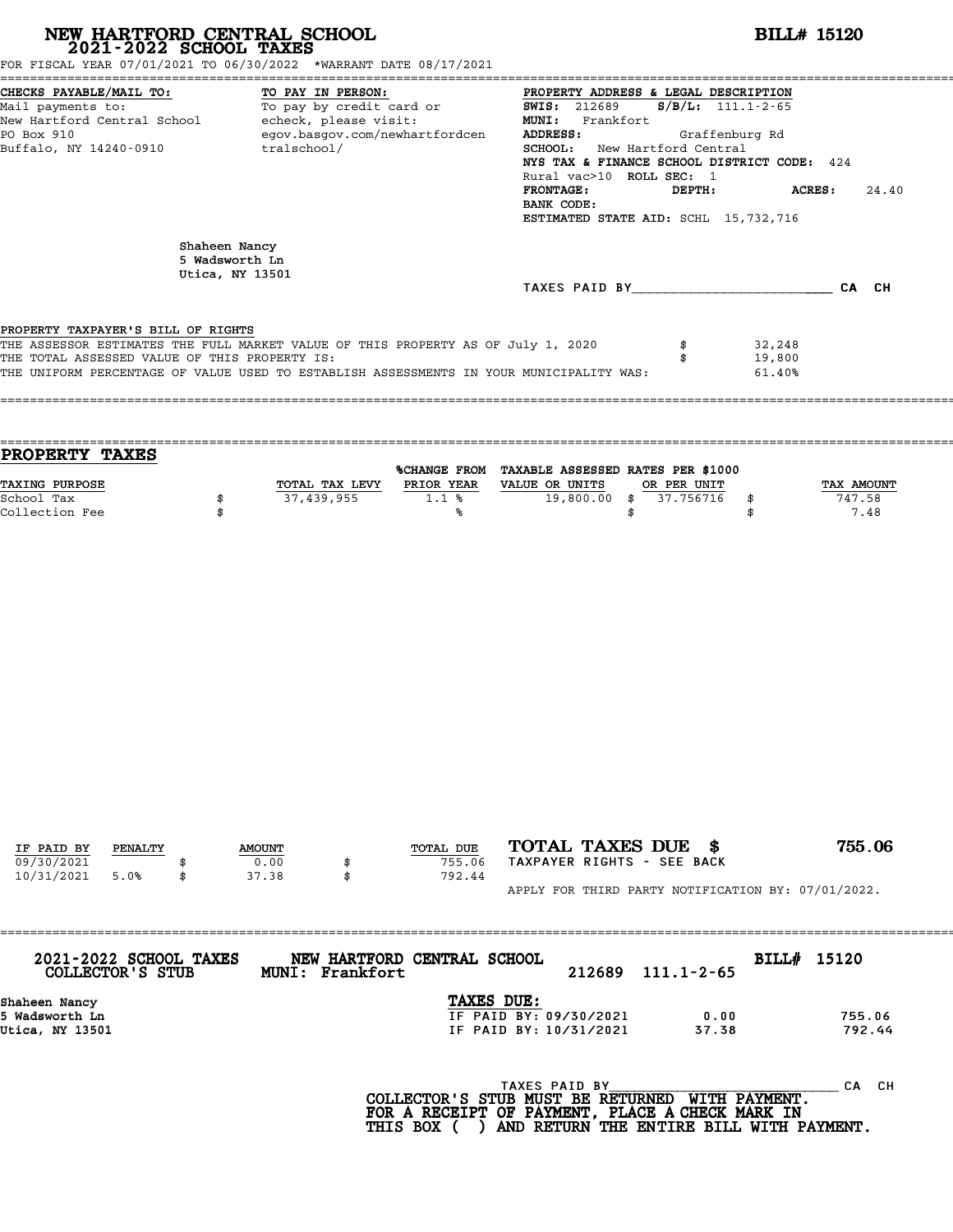| NEW HARTFORD CENTRAL SCHOOL 2021-2022 SCHOOL TAXES<br>FOR FISCAL YEAR 07/01/2021 TO 06/30/2022 *WARRANT DATE 08/17/2021                                                                                                                                            |                                 |               |                 |                                                                                                                                                                                                                                                                                                                                                               | <b>BILL# 15120</b>                               |                      |                                                                                  |                            |                              |  |
|--------------------------------------------------------------------------------------------------------------------------------------------------------------------------------------------------------------------------------------------------------------------|---------------------------------|---------------|-----------------|---------------------------------------------------------------------------------------------------------------------------------------------------------------------------------------------------------------------------------------------------------------------------------------------------------------------------------------------------------------|--------------------------------------------------|----------------------|----------------------------------------------------------------------------------|----------------------------|------------------------------|--|
| CHECKS PAYABLE/MAIL TO:<br>TO PAY IN PERSON:<br>TO PAI IN PERSON:<br>To pay by credit card or<br>Mail payments to:<br>New Hartford Central School - echeck, please visit:<br>egov.basgov.com/newhartfordcen<br>PO Box 910<br>Buffalo, NY 14240-0910<br>tralschool/ |                                 |               |                 | PROPERTY ADDRESS & LEGAL DESCRIPTION<br><b>SWIS: 212689</b><br>$S/B/L$ : 111.1-2-65<br>MUNI: Frankfort<br>ADDRESS:<br>Graffenburg Rd<br>SCHOOL: New Hartford Central<br>NYS TAX & FINANCE SCHOOL DISTRICT CODE: 424<br>Rural vac>10 ROLL SEC: 1<br><b>FRONTAGE:</b><br>DEPTH:<br><b>ACRES:</b><br>24.40<br>BANK CODE:<br>ESTIMATED STATE AID: SCHL 15,732,716 |                                                  |                      |                                                                                  |                            |                              |  |
|                                                                                                                                                                                                                                                                    | Shaheen Nancy<br>5 Wadsworth Ln |               |                 |                                                                                                                                                                                                                                                                                                                                                               |                                                  |                      |                                                                                  |                            |                              |  |
|                                                                                                                                                                                                                                                                    | Utica, NY 13501                 |               |                 |                                                                                                                                                                                                                                                                                                                                                               |                                                  |                      | TAXES PAID BY CA CH                                                              |                            |                              |  |
| PROPERTY TAXPAYER'S BILL OF RIGHTS<br>THE ASSESSOR ESTIMATES THE FULL MARKET VALUE OF THIS PROPERTY AS OF July 1, 2020<br>THE TOTAL ASSESSED VALUE OF THIS PROPERTY IS:<br>THE UNIFORM PERCENTAGE OF VALUE USED TO ESTABLISH ASSESSMENTS IN YOUR MUNICIPALITY WAS: |                                 |               |                 |                                                                                                                                                                                                                                                                                                                                                               |                                                  |                      | \$                                                                               | 32,248<br>19,800<br>61.40% |                              |  |
| PROPERTY TAXES<br>TAXING PURPOSE<br>School Tax<br>Collection Fee                                                                                                                                                                                                   | \$<br>\$                        | 37,439,955    | TOTAL TAX LEVY  | %CHANGE FROM TAXABLE ASSESSED RATES PER \$1000<br>PRIOR YEAR VALUE OR UNITS<br>$1.1$ %<br>℁                                                                                                                                                                                                                                                                   |                                                  | $19,800.00$ \$<br>\$ | OR PER UNIT<br>37.756716                                                         | \$<br>\$                   | TAX AMOUNT<br>747.58<br>7.48 |  |
|                                                                                                                                                                                                                                                                    |                                 |               |                 |                                                                                                                                                                                                                                                                                                                                                               |                                                  |                      |                                                                                  |                            |                              |  |
| IF PAID BY<br>PENALTY                                                                                                                                                                                                                                              |                                 | <b>AMOUNT</b> |                 | TOTAL DUE                                                                                                                                                                                                                                                                                                                                                     | TOTAL TAXES DUE \$                               |                      |                                                                                  |                            | 755.06                       |  |
| 09/30/2021<br>10/31/2021<br>5.0%                                                                                                                                                                                                                                   | \$                              | 0.00<br>37.38 | \$<br>\$        | 755.06<br>792.44                                                                                                                                                                                                                                                                                                                                              |                                                  |                      | TAXPAYER RIGHTS - SEE BACK<br>APPLY FOR THIRD PARTY NOTIFICATION BY: 07/01/2022. |                            |                              |  |
|                                                                                                                                                                                                                                                                    |                                 |               |                 |                                                                                                                                                                                                                                                                                                                                                               |                                                  |                      |                                                                                  |                            |                              |  |
| 2021-2022 SCHOOL TAXES<br>COLLECTOR'S STUB                                                                                                                                                                                                                         |                                 |               | MUNI: Frankfort | NEW HARTFORD CENTRAL SCHOOL                                                                                                                                                                                                                                                                                                                                   |                                                  | 212689               | $111.1 - 2 - 65$                                                                 | BILL# 15120                |                              |  |
| Shaheen Nancy<br>5 Wadsworth Ln<br>Utica, NY 13501                                                                                                                                                                                                                 |                                 |               |                 | TAXES DUE:                                                                                                                                                                                                                                                                                                                                                    | IF PAID BY: 09/30/2021<br>IF PAID BY: 10/31/2021 |                      | 0.00<br>37.38                                                                    |                            | 755.06<br>792.44             |  |
|                                                                                                                                                                                                                                                                    |                                 |               |                 | COLLECTOR'S STUB MUST BE RETURNED<br>FOR A RECEIPT OF PAYMENT, PLACE A CHECK MARK IN                                                                                                                                                                                                                                                                          | TAXES PAID BY                                    |                      |                                                                                  | WITH PAYMENT.              | CA CH                        |  |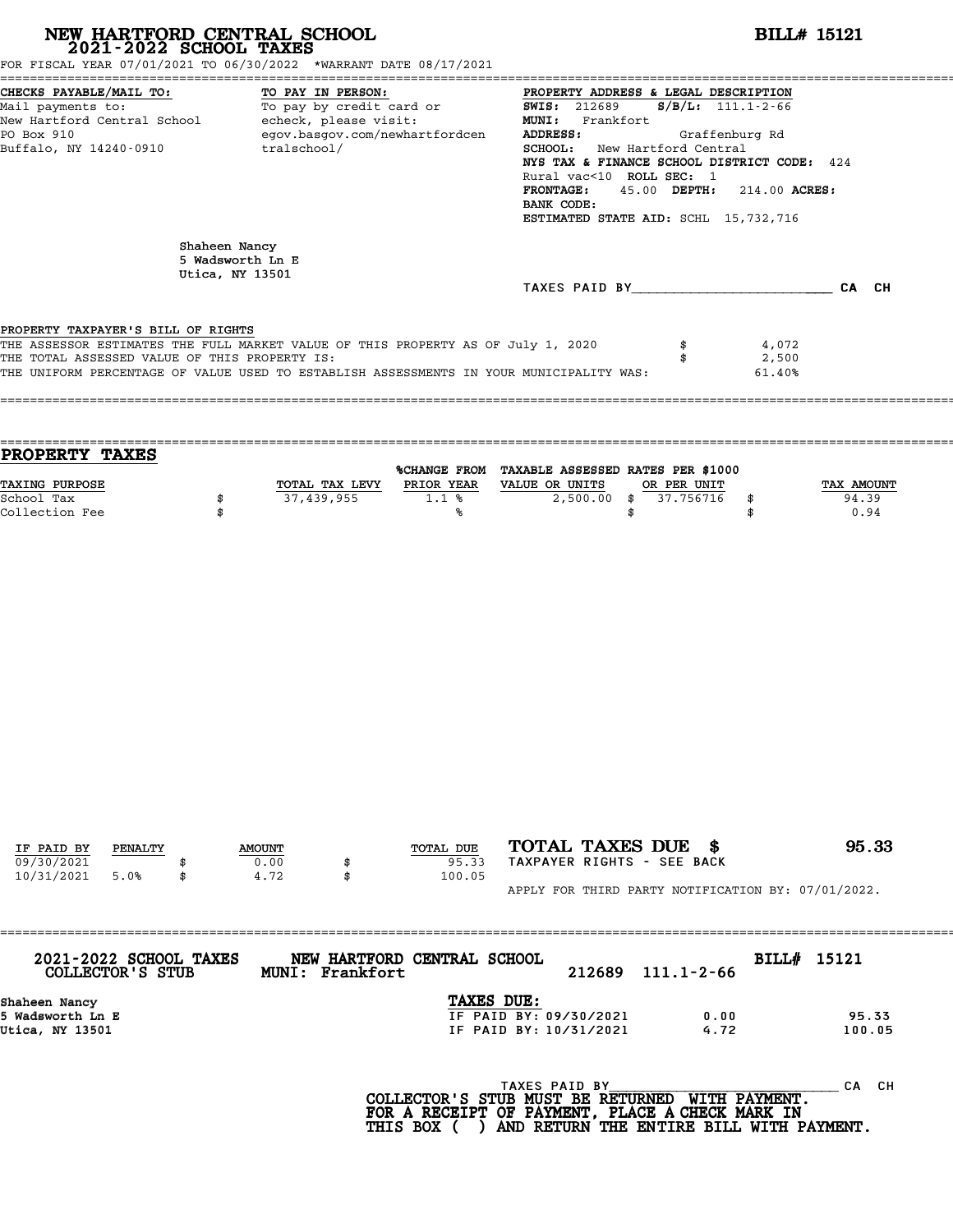| CHECKS PAYABLE/MAIL TO:<br>TO PAY IN PERSON:<br>PROPERTY ADDRESS & LEGAL DESCRIPTION<br>CHECKS PAYABLE/MAIL TO: TO PAY IN PERSON: PROPERTY ADDRESS & LEGAL DESCRIPTION<br>Mail payments to: To pay by credit card or SWIS: 212689 S/B/L: 111.1-2-66<br>New Hartford Central School echcick, please visit: MUNI: Frankfort<br>PO<br>egov.basgov.com/newhartfordcen<br>PO Box 910<br>ADDRESS:<br>Graffenburg Rd<br>Buffalo, NY 14240-0910<br>tralschool/<br><b>SCHOOL:</b> New Hartford Central<br>NYS TAX & FINANCE SCHOOL DISTRICT CODE: 424<br>Rural vac<10 ROLL SEC: 1<br>45.00 DEPTH: 214.00 ACRES:<br><b>FRONTAGE:</b><br>BANK CODE:<br>ESTIMATED STATE AID: SCHL 15,732,716<br>Shaheen Nancy<br>5 Wadsworth Ln E<br>Utica, NY 13501<br>TAXES PAID BY CA CH<br>PROPERTY TAXPAYER'S BILL OF RIGHTS<br>THE ASSESSOR ESTIMATES THE FULL MARKET VALUE OF THIS PROPERTY AS OF July 1, 2020<br>4,072<br>THE TOTAL ASSESSED VALUE OF THIS PROPERTY IS:<br>2,500<br>\$<br>THE UNIFORM PERCENTAGE OF VALUE USED TO ESTABLISH ASSESSMENTS IN YOUR MUNICIPALITY WAS:<br>61.40%<br>PROPERTY TAXES<br>%CHANGE FROM TAXABLE ASSESSED RATES PER \$1000<br><b>TAXING PURPOSE</b><br>TOTAL TAX LEVY PRIOR YEAR VALUE OR UNITS<br>OR PER UNIT<br>37,439,955<br>1.1%<br>2,500.00 \$ 37.756716<br>School Tax<br>\$<br>\$<br>Collection Fee<br>\$<br>\$<br>\$<br>°∝<br>TOTAL TAXES DUE \$<br>TOTAL DUE<br>IF PAID BY<br><b>PENALTY</b><br><b>AMOUNT</b><br>09/30/2021<br>TAXPAYER RIGHTS - SEE BACK<br>0.00<br>95.33<br>10/31/2021<br>5.0%<br>\$<br>4.72<br>100.05<br>\$<br>APPLY FOR THIRD PARTY NOTIFICATION BY: 07/01/2022.<br>2021-2022 SCHOOL TAXES<br>NEW HARTFORD CENTRAL SCHOOL<br>BILL# 15121<br><b>COLLECTOR'S STUB</b><br>MUNI: Frankfort<br>212689<br>$111.1 - 2 - 66$<br>TAXES DUE:<br>Shaheen Nancy<br>IF PAID BY: 09/30/2021<br>5 Wadsworth Ln E<br>0.00<br>IF PAID BY: 10/31/2021<br>4.72<br>Utica, NY 13501 | NEW HARTFORD CENTRAL SCHOOL 2021-2022 SCHOOL TAXES | FOR FISCAL YEAR 07/01/2021 TO 06/30/2022 *WARRANT DATE 08/17/2021 | <b>BILL# 15121</b>          |
|-------------------------------------------------------------------------------------------------------------------------------------------------------------------------------------------------------------------------------------------------------------------------------------------------------------------------------------------------------------------------------------------------------------------------------------------------------------------------------------------------------------------------------------------------------------------------------------------------------------------------------------------------------------------------------------------------------------------------------------------------------------------------------------------------------------------------------------------------------------------------------------------------------------------------------------------------------------------------------------------------------------------------------------------------------------------------------------------------------------------------------------------------------------------------------------------------------------------------------------------------------------------------------------------------------------------------------------------------------------------------------------------------------------------------------------------------------------------------------------------------------------------------------------------------------------------------------------------------------------------------------------------------------------------------------------------------------------------------------------------------------------------------------------------------------------------------------------------------------------------------------------------------------------|----------------------------------------------------|-------------------------------------------------------------------|-----------------------------|
|                                                                                                                                                                                                                                                                                                                                                                                                                                                                                                                                                                                                                                                                                                                                                                                                                                                                                                                                                                                                                                                                                                                                                                                                                                                                                                                                                                                                                                                                                                                                                                                                                                                                                                                                                                                                                                                                                                             |                                                    |                                                                   |                             |
|                                                                                                                                                                                                                                                                                                                                                                                                                                                                                                                                                                                                                                                                                                                                                                                                                                                                                                                                                                                                                                                                                                                                                                                                                                                                                                                                                                                                                                                                                                                                                                                                                                                                                                                                                                                                                                                                                                             |                                                    |                                                                   |                             |
|                                                                                                                                                                                                                                                                                                                                                                                                                                                                                                                                                                                                                                                                                                                                                                                                                                                                                                                                                                                                                                                                                                                                                                                                                                                                                                                                                                                                                                                                                                                                                                                                                                                                                                                                                                                                                                                                                                             |                                                    |                                                                   |                             |
|                                                                                                                                                                                                                                                                                                                                                                                                                                                                                                                                                                                                                                                                                                                                                                                                                                                                                                                                                                                                                                                                                                                                                                                                                                                                                                                                                                                                                                                                                                                                                                                                                                                                                                                                                                                                                                                                                                             |                                                    |                                                                   |                             |
|                                                                                                                                                                                                                                                                                                                                                                                                                                                                                                                                                                                                                                                                                                                                                                                                                                                                                                                                                                                                                                                                                                                                                                                                                                                                                                                                                                                                                                                                                                                                                                                                                                                                                                                                                                                                                                                                                                             |                                                    |                                                                   |                             |
|                                                                                                                                                                                                                                                                                                                                                                                                                                                                                                                                                                                                                                                                                                                                                                                                                                                                                                                                                                                                                                                                                                                                                                                                                                                                                                                                                                                                                                                                                                                                                                                                                                                                                                                                                                                                                                                                                                             |                                                    |                                                                   |                             |
|                                                                                                                                                                                                                                                                                                                                                                                                                                                                                                                                                                                                                                                                                                                                                                                                                                                                                                                                                                                                                                                                                                                                                                                                                                                                                                                                                                                                                                                                                                                                                                                                                                                                                                                                                                                                                                                                                                             |                                                    |                                                                   | TAX AMOUNT<br>94.39<br>0.94 |
|                                                                                                                                                                                                                                                                                                                                                                                                                                                                                                                                                                                                                                                                                                                                                                                                                                                                                                                                                                                                                                                                                                                                                                                                                                                                                                                                                                                                                                                                                                                                                                                                                                                                                                                                                                                                                                                                                                             |                                                    |                                                                   |                             |
|                                                                                                                                                                                                                                                                                                                                                                                                                                                                                                                                                                                                                                                                                                                                                                                                                                                                                                                                                                                                                                                                                                                                                                                                                                                                                                                                                                                                                                                                                                                                                                                                                                                                                                                                                                                                                                                                                                             |                                                    |                                                                   |                             |
|                                                                                                                                                                                                                                                                                                                                                                                                                                                                                                                                                                                                                                                                                                                                                                                                                                                                                                                                                                                                                                                                                                                                                                                                                                                                                                                                                                                                                                                                                                                                                                                                                                                                                                                                                                                                                                                                                                             |                                                    |                                                                   |                             |
|                                                                                                                                                                                                                                                                                                                                                                                                                                                                                                                                                                                                                                                                                                                                                                                                                                                                                                                                                                                                                                                                                                                                                                                                                                                                                                                                                                                                                                                                                                                                                                                                                                                                                                                                                                                                                                                                                                             |                                                    |                                                                   |                             |
|                                                                                                                                                                                                                                                                                                                                                                                                                                                                                                                                                                                                                                                                                                                                                                                                                                                                                                                                                                                                                                                                                                                                                                                                                                                                                                                                                                                                                                                                                                                                                                                                                                                                                                                                                                                                                                                                                                             |                                                    |                                                                   | 95.33                       |
|                                                                                                                                                                                                                                                                                                                                                                                                                                                                                                                                                                                                                                                                                                                                                                                                                                                                                                                                                                                                                                                                                                                                                                                                                                                                                                                                                                                                                                                                                                                                                                                                                                                                                                                                                                                                                                                                                                             |                                                    |                                                                   |                             |
|                                                                                                                                                                                                                                                                                                                                                                                                                                                                                                                                                                                                                                                                                                                                                                                                                                                                                                                                                                                                                                                                                                                                                                                                                                                                                                                                                                                                                                                                                                                                                                                                                                                                                                                                                                                                                                                                                                             |                                                    |                                                                   |                             |
|                                                                                                                                                                                                                                                                                                                                                                                                                                                                                                                                                                                                                                                                                                                                                                                                                                                                                                                                                                                                                                                                                                                                                                                                                                                                                                                                                                                                                                                                                                                                                                                                                                                                                                                                                                                                                                                                                                             |                                                    |                                                                   | 95.33<br>100.05             |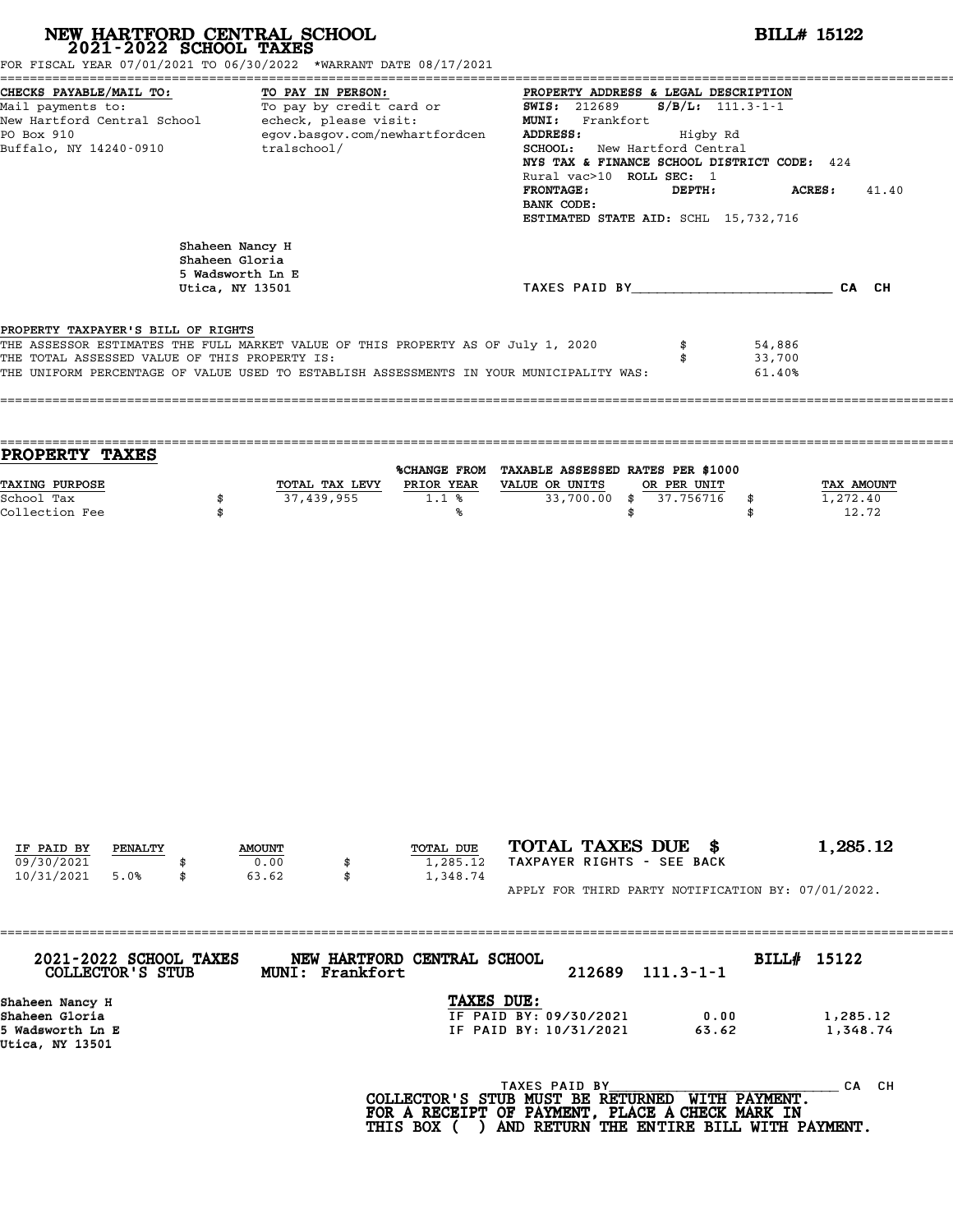| NEW HARTFORD CENTRAL SCHOOL 2021-2022 SCHOOL TAXES<br>FOR FISCAL YEAR 07/01/2021 TO 06/30/2022 *WARRANT DATE 08/17/2021                                                                                                                                            |                                                                          |                       |                                                                                                                            |                                                                |                                                                                                                                                                   |        |                 |                                          | <b>BILL# 15122</b>                                                                  |                                                    |
|--------------------------------------------------------------------------------------------------------------------------------------------------------------------------------------------------------------------------------------------------------------------|--------------------------------------------------------------------------|-----------------------|----------------------------------------------------------------------------------------------------------------------------|----------------------------------------------------------------|-------------------------------------------------------------------------------------------------------------------------------------------------------------------|--------|-----------------|------------------------------------------|-------------------------------------------------------------------------------------|----------------------------------------------------|
| CHECKS PAYABLE/MAIL TO:<br>Mail payments to:<br>New Hartford Central School echeck, please visit:<br>PO Box 910<br>Buffalo, NY 14240-0910 tralschool/                                                                                                              |                                                                          | TO PAY IN PERSON:     | <u>TO: TO: TO PAY IN PERSON:</u> PROPERTY ADDRE<br>To pay by credit card or SWIS: 212689<br>egov.basgov.com/newhartfordcen |                                                                | PROPERTY ADDRESS & LEGAL DESCRIPTION<br>MUNI: Frankfort<br>ADDRESS:<br>SCHOOL: New Hartford Central<br>Rural vac>10 ROLL SEC: 1<br><b>FRONTAGE:</b><br>BANK CODE: |        |                 | $S/B/L: 111.3-1-1$<br>Higby Rd<br>DEPTH: | NYS TAX & FINANCE SCHOOL DISTRICT CODE: 424<br>ESTIMATED STATE AID: SCHL 15,732,716 | <b>ACRES :</b><br>41.40                            |
|                                                                                                                                                                                                                                                                    | Shaheen Nancy H<br>Shaheen Gloria<br>5 Wadsworth Ln E<br>Utica, NY 13501 |                       |                                                                                                                            |                                                                |                                                                                                                                                                   |        |                 |                                          |                                                                                     | TAXES PAID BY CAN CH                               |
| PROPERTY TAXPAYER'S BILL OF RIGHTS<br>THE ASSESSOR ESTIMATES THE FULL MARKET VALUE OF THIS PROPERTY AS OF July 1, 2020<br>THE TOTAL ASSESSED VALUE OF THIS PROPERTY IS:<br>THE UNIFORM PERCENTAGE OF VALUE USED TO ESTABLISH ASSESSMENTS IN YOUR MUNICIPALITY WAS: |                                                                          |                       |                                                                                                                            |                                                                |                                                                                                                                                                   |        | \$<br>\$        |                                          | 54,886<br>33,700<br>61.40%                                                          |                                                    |
| PROPERTY TAXES                                                                                                                                                                                                                                                     |                                                                          |                       |                                                                                                                            |                                                                |                                                                                                                                                                   |        |                 |                                          |                                                                                     |                                                    |
| TAXING PURPOSE<br>School Tax<br>Collection Fee                                                                                                                                                                                                                     | \$<br>\$                                                                 | 37,439,955            | TOTAL TAX LEVY PRIOR YEAR VALUE OR UNITS<br>1.1%                                                                           | %CHANGE FROM TAXABLE ASSESSED RATES PER \$1000<br>℁            |                                                                                                                                                                   | \$     | OR PER UNIT     | 33,700.00 \$ 37.756716                   | \$<br>\$                                                                            | <b>TAX AMOUNT</b><br>1,272.40<br>12.72             |
| IF PAID BY<br>PENALTY<br>09/30/2021                                                                                                                                                                                                                                |                                                                          | <b>AMOUNT</b><br>0.00 | TOTAL DUE                                                                                                                  | 1,285.12                                                       | TOTAL TAXES DUE \$<br>TAXPAYER RIGHTS - SEE BACK                                                                                                                  |        |                 |                                          |                                                                                     | 1,285.12                                           |
| 10/31/2021<br>5.0%                                                                                                                                                                                                                                                 | \$                                                                       | 63.62<br>\$           |                                                                                                                            | 1,348.74                                                       |                                                                                                                                                                   |        |                 |                                          |                                                                                     | APPLY FOR THIRD PARTY NOTIFICATION BY: 07/01/2022. |
| 2021-2022 SCHOOL TAXES<br>COLLECTOR'S STUB                                                                                                                                                                                                                         |                                                                          | MUNI: Frankfort       | NEW HARTFORD CENTRAL SCHOOL                                                                                                |                                                                |                                                                                                                                                                   | 212689 | $111.3 - 1 - 1$ |                                          | BILL# 15122                                                                         |                                                    |
| Shaheen Nancy H<br>Shaheen Gloria<br>5 Wadsworth Ln E<br>Utica, NY 13501                                                                                                                                                                                           |                                                                          |                       |                                                                                                                            | TAXES DUE:<br>IF PAID BY: 09/30/2021<br>IF PAID BY: 10/31/2021 |                                                                                                                                                                   |        |                 | 0.00<br>63.62                            |                                                                                     | 1,285.12<br>1,348.74                               |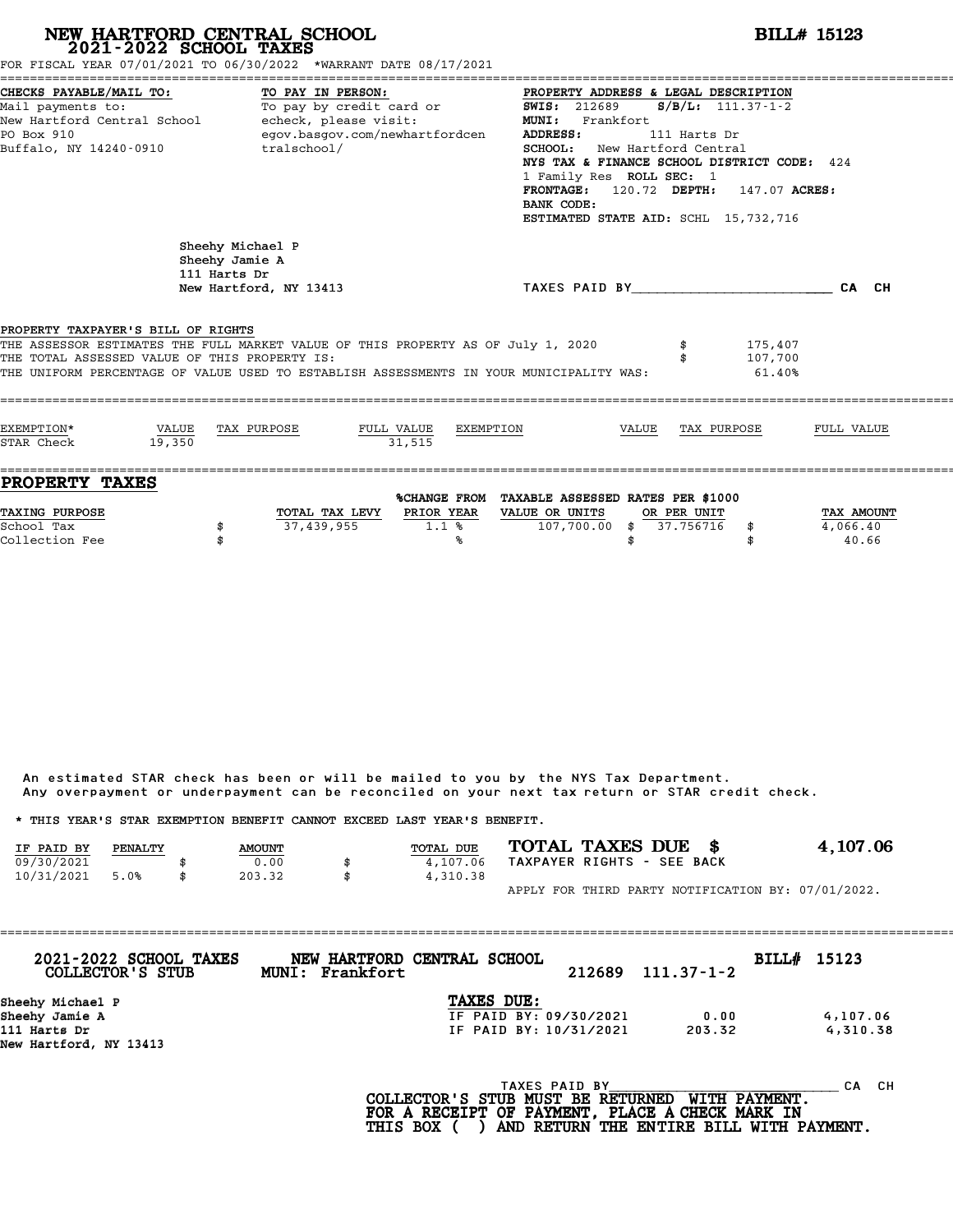|                                                                                      | NEW HARTFORD CENTRAL SCHOOL<br>2021-2022 SCHOOL TAXES                                                                                                                                                                      | BILL# 15123                       |                                                                                |                                                                                                                                                                                                                                                                                                                    |                          |                              |                                 |  |  |  |
|--------------------------------------------------------------------------------------|----------------------------------------------------------------------------------------------------------------------------------------------------------------------------------------------------------------------------|-----------------------------------|--------------------------------------------------------------------------------|--------------------------------------------------------------------------------------------------------------------------------------------------------------------------------------------------------------------------------------------------------------------------------------------------------------------|--------------------------|------------------------------|---------------------------------|--|--|--|
| CHECKS PAYABLE/MAIL TO:<br>Mail payments to:<br>PO Box 910<br>Buffalo, NY 14240-0910 | FOR FISCAL YEAR 07/01/2021 TO 06/30/2022 *WARRANT DATE 08/17/2021<br>TO PAY IN PERSON:<br>To pay by credit card or<br>New Hartford Central School - echeck, please visit:<br>egov.basgov.com/newhartfordcen<br>tralschool/ |                                   | <b>ADDRESS:</b><br>BANK CODE:                                                  | PROPERTY ADDRESS & LEGAL DESCRIPTION<br>$S/B/L$ : 111.37-1-2<br><b>SWIS: 212689</b><br>MUNI: Frankfort<br>111 Harts Dr<br>SCHOOL: New Hartford Central<br>NYS TAX & FINANCE SCHOOL DISTRICT CODE: 424<br>1 Family Res ROLL SEC: 1<br>FRONTAGE: 120.72 DEPTH: 147.07 ACRES:<br>ESTIMATED STATE AID: SCHL 15,732,716 |                          |                              |                                 |  |  |  |
|                                                                                      | Sheehy Michael P<br>Sheehy Jamie A<br>111 Harts Dr<br>New Hartford, NY 13413                                                                                                                                               |                                   | TAXES PAID BY CA CH                                                            |                                                                                                                                                                                                                                                                                                                    |                          |                              |                                 |  |  |  |
| PROPERTY TAXPAYER'S BILL OF RIGHTS<br>THE TOTAL ASSESSED VALUE OF THIS PROPERTY IS:  | THE ASSESSOR ESTIMATES THE FULL MARKET VALUE OF THIS PROPERTY AS OF July 1, 2020<br>THE UNIFORM PERCENTAGE OF VALUE USED TO ESTABLISH ASSESSMENTS IN YOUR MUNICIPALITY WAS:                                                |                                   |                                                                                |                                                                                                                                                                                                                                                                                                                    |                          | 175,407<br>107,700<br>61.40% |                                 |  |  |  |
| EXEMPTION*<br>STAR Check<br>19,350                                                   | VALUE<br>TAX PURPOSE                                                                                                                                                                                                       | FULL VALUE<br>EXEMPTION<br>31.515 |                                                                                | VALUE                                                                                                                                                                                                                                                                                                              | TAX PURPOSE              |                              | FULL VALUE                      |  |  |  |
| <b>PROPERTY TAXES</b><br>TAXING PURPOSE<br>School Tax<br>Collection Fee              | TOTAL TAX LEVY<br>37,439,955<br>\$<br>\$                                                                                                                                                                                   | PRIOR YEAR<br>1.1%<br>℁           | %CHANGE FROM TAXABLE ASSESSED RATES PER \$1000<br>VALUE OR UNITS<br>107,700.00 | \$<br>\$                                                                                                                                                                                                                                                                                                           | OR PER UNIT<br>37.756716 | \$<br>\$                     | TAX AMOUNT<br>4,066.40<br>40.66 |  |  |  |

An estimated STAR check has been or will be mailed to you by the NYS Tax Department. An estimated STAR check has been or will be mailed to you by the NYS Tax Department.<br>Any overpayment or underpayment can be reconciled on your next tax return or STAR credit check.

|                                                                         |         |               | Any overpayment or underpayment can be reconciled on your next tax return or STAR credit check. |                  |  |                            |                                                    |
|-------------------------------------------------------------------------|---------|---------------|-------------------------------------------------------------------------------------------------|------------------|--|----------------------------|----------------------------------------------------|
| * THIS YEAR'S STAR EXEMPTION BENEFIT CANNOT EXCEED LAST YEAR'S BENEFIT. |         |               |                                                                                                 |                  |  |                            |                                                    |
| IF PAID BY                                                              | PENALTY | <b>AMOUNT</b> |                                                                                                 | <b>TOTAL DUE</b> |  | TOTAL TAXES DUE \$         | 4,107.06                                           |
| 09/30/2021                                                              |         | 0.00          | \$                                                                                              | 4.107.06         |  | TAXPAYER RIGHTS - SEE BACK |                                                    |
| 10/31/2021                                                              | 5.0%    | 203.32        | \$                                                                                              | 4,310.38         |  |                            |                                                    |
|                                                                         |         |               |                                                                                                 |                  |  |                            | APPLY FOR THIRD PARTY NOTIFICATION BY: 07/01/2022. |

| 2021-2022 SCHOOL TAXES<br>COLLECTOR'S STUB | NEW HARTFORD CENTRAL SCHOOL<br>MUNI: Frankfort |                        | 212689        | $111.37 - 1 - 2$ | BILL# 15123 |           |
|--------------------------------------------|------------------------------------------------|------------------------|---------------|------------------|-------------|-----------|
| Sheehy Michael P                           |                                                | TAXES DUE:             |               |                  |             |           |
| Sheehy Jamie A                             |                                                | IF PAID BY: 09/30/2021 |               | 0.00             |             | 4,107.06  |
| 111 Harts Dr                               |                                                | IF PAID BY: 10/31/2021 |               | 203.32           |             | 4,310.38  |
| New Hartford, NY 13413                     |                                                |                        |               |                  |             |           |
|                                            |                                                |                        | TAXES PAID BY |                  |             | CH.<br>CА |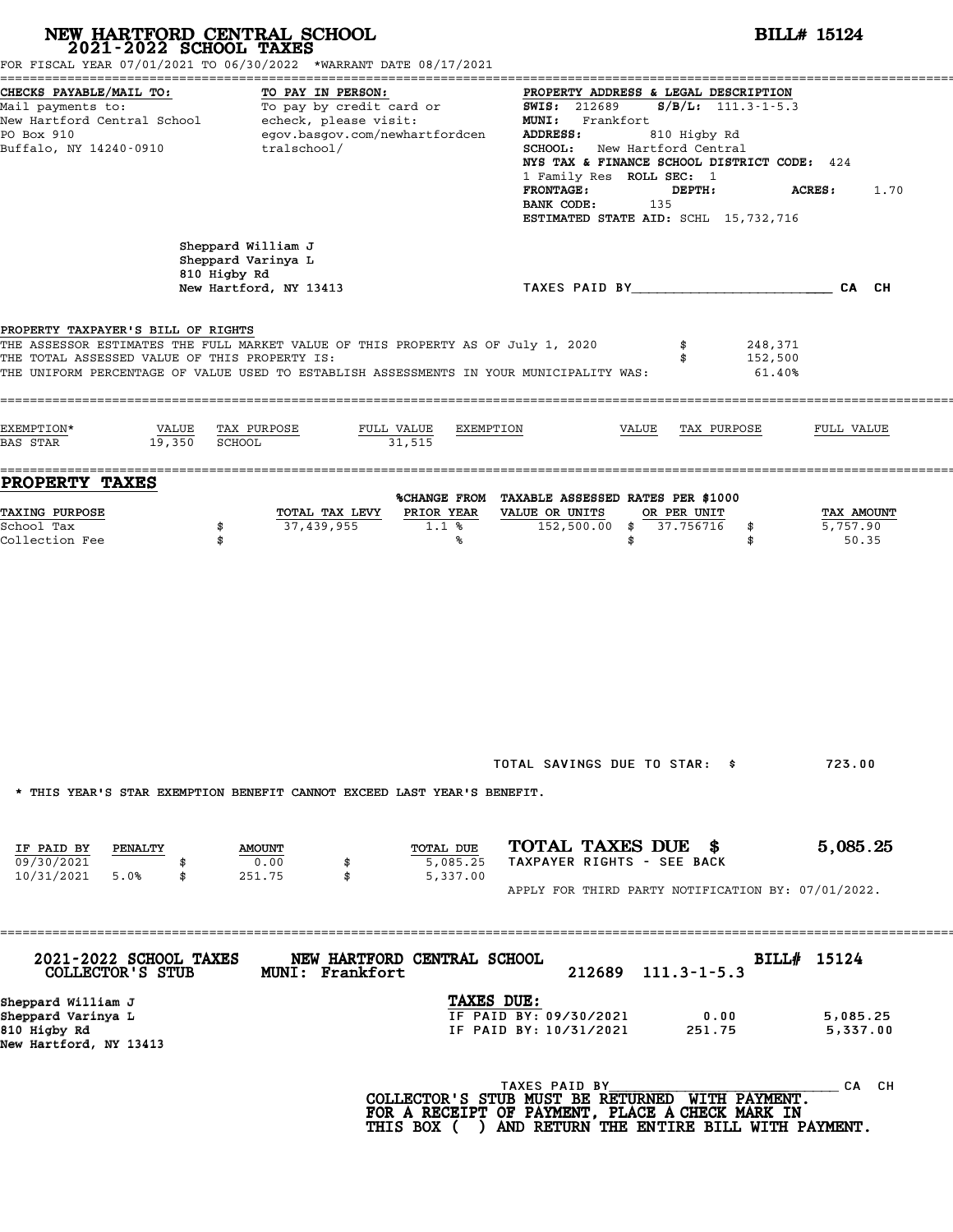| NEW HARTFORD CENTRAL SCHOOL<br>2021-2022 SCHOOL TAXES                               | FOR FISCAL YEAR 07/01/2021 TO 06/30/2022 *WARRANT DATE 08/17/2021                                                                                                           |                                                                                                                                                                                                                                                                                                                                                 | <b>BILL# 15124</b>              |
|-------------------------------------------------------------------------------------|-----------------------------------------------------------------------------------------------------------------------------------------------------------------------------|-------------------------------------------------------------------------------------------------------------------------------------------------------------------------------------------------------------------------------------------------------------------------------------------------------------------------------------------------|---------------------------------|
| CHECKS PAYABLE/MAIL TO:<br>PO Box 910<br>Buffalo, NY 14240-0910                     | TO PAY IN PERSON:<br>Mail payments to: To pay by credit card or<br>New Hartford Central School echeck, please visit:<br>egov.basgov.com/newhartfordcen<br>tralschool/       | PROPERTY ADDRESS & LEGAL DESCRIPTION<br>$S/B/L: 111.3-1-5.3$<br><b>SWIS:</b> 212689<br>MUNI: Frankfort<br>ADDRESS:<br>810 Higby Rd<br><b>SCHOOL:</b> New Hartford Central<br>NYS TAX & FINANCE SCHOOL DISTRICT CODE: 424<br>1 Family Res ROLL SEC: 1<br><b>FRONTAGE:</b><br>DEPTH:<br>BANK CODE:<br>135<br>ESTIMATED STATE AID: SCHL 15,732,716 | <b>ACRES:</b><br>1.70           |
|                                                                                     | Sheppard William J<br>Sheppard Varinya L<br>810 Higby Rd<br>New Hartford, NY 13413                                                                                          | TAXES PAID BY CAN CH                                                                                                                                                                                                                                                                                                                            |                                 |
| PROPERTY TAXPAYER'S BILL OF RIGHTS<br>THE TOTAL ASSESSED VALUE OF THIS PROPERTY IS: | THE ASSESSOR ESTIMATES THE FULL MARKET VALUE OF THIS PROPERTY AS OF July 1, 2020<br>THE UNIFORM PERCENTAGE OF VALUE USED TO ESTABLISH ASSESSMENTS IN YOUR MUNICIPALITY WAS: | 248,371<br>152,500<br>61.40%                                                                                                                                                                                                                                                                                                                    |                                 |
| EXEMPTION*<br>VALUE<br>19,350<br>BAS STAR                                           | TAX PURPOSE<br>FULL VALUE<br>EXEMPTION<br>SCHOOL<br>31,515                                                                                                                  | VALUE<br>TAX PURPOSE                                                                                                                                                                                                                                                                                                                            | FULL VALUE                      |
| <b>PROPERTY TAXES</b><br><b>TAXING PURPOSE</b><br>School Tax<br>Collection Fee      | TOTAL TAX LEVY<br>PRIOR YEAR<br>37,439,955<br>1.1%<br>\$<br>\$<br>%                                                                                                         | %CHANGE FROM TAXABLE ASSESSED RATES PER \$1000<br>VALUE OR UNITS<br>OR PER UNIT<br>152,500.00 \$ 37.756716<br>\$<br>\$<br>\$                                                                                                                                                                                                                    | TAX AMOUNT<br>5,757.90<br>50.35 |
|                                                                                     | * THIS YEAR'S STAR EXEMPTION BENEFIT CANNOT EXCEED LAST YEAR'S BENEFIT.                                                                                                     | TOTAL SAVINGS DUE TO STAR: \$                                                                                                                                                                                                                                                                                                                   | 723.00                          |
| IF PAID BY<br>PENALTY<br>09/30/2021<br>10/31/2021<br>5.0%<br>\$                     | TOTAL DUE<br><b>AMOUNT</b><br>0.00<br>5,085.25<br>\$<br>5,337.00<br>251.75                                                                                                  | TOTAL TAXES DUE \$<br>TAXPAYER RIGHTS - SEE BACK<br>APPLY FOR THIRD PARTY NOTIFICATION BY: 07/01/2022.                                                                                                                                                                                                                                          | 5,085.25                        |
| 2021-2022 SCHOOL TAXES<br>COLLECTOR'S STUB                                          | NEW HARTFORD CENTRAL SCHOOL<br>MUNI: Frankfort                                                                                                                              | 212689<br>$111.3 - 1 - 5.3$                                                                                                                                                                                                                                                                                                                     | BILL# 15124                     |
| Sheppard William J<br>Sheppard Varinya L<br>810 Higby Rd<br>New Hartford, NY 13413  | TAXES DUE:                                                                                                                                                                  | IF PAID BY: 09/30/2021<br>0.00<br>IF PAID BY: 10/31/2021<br>251.75                                                                                                                                                                                                                                                                              | 5,085.25<br>5,337.00            |
|                                                                                     |                                                                                                                                                                             | TAXES PAID BY<br>COLLECTOR'S STUB MUST BE RETURNED WITH PAYMENT.<br>FOR A RECEIPT OF PAYMENT, PLACE A CHECK MARK IN<br>THIS BOX ( ) AND RETURN THE ENTIRE BILL WITH PAYMENT.                                                                                                                                                                    | CA CH                           |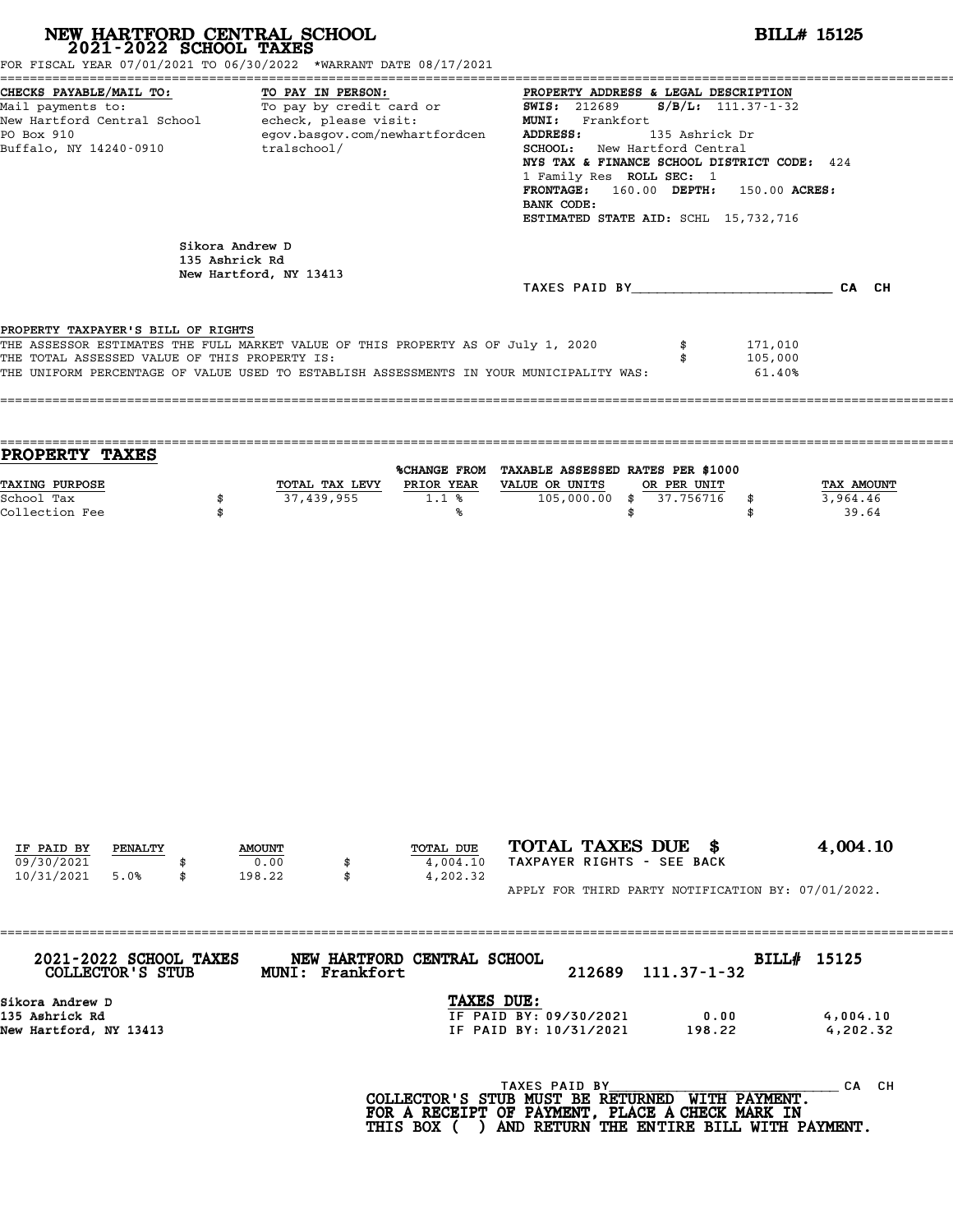| NEW HARTFORD CENTRAL SCHOOL 2021-2022 SCHOOL TAXES<br>FOR FISCAL YEAR 07/01/2021 TO 06/30/2022 *WARRANT DATE 08/17/2021                                                                                                                                            |    |                                   |                 |                                                                                                                                                                                                                                                                                                      |                                                                                                                                                                              |                                | <b>BILL# 15125</b>           |                                 |
|--------------------------------------------------------------------------------------------------------------------------------------------------------------------------------------------------------------------------------------------------------------------|----|-----------------------------------|-----------------|------------------------------------------------------------------------------------------------------------------------------------------------------------------------------------------------------------------------------------------------------------------------------------------------------|------------------------------------------------------------------------------------------------------------------------------------------------------------------------------|--------------------------------|------------------------------|---------------------------------|
| CHECKS PAYABLE/MAIL TO:<br>TO PAY IN PERSON:<br>TO PAI IN PERSON:<br>To pay by credit card or<br>Mail payments to:<br>New Hartford Central School - echeck, please visit:<br>PO Box 910<br>egov.basgov.com/newhartfordcen<br>Buffalo, NY 14240-0910<br>tralschool/ |    |                                   |                 | PROPERTY ADDRESS & LEGAL DESCRIPTION<br><b>SWIS: 212689</b><br>MUNI: Frankfort<br>ADDRESS:<br>SCHOOL: New Hartford Central<br>NYS TAX & FINANCE SCHOOL DISTRICT CODE: 424<br>1 Family Res ROLL SEC: 1<br>FRONTAGE: 160.00 DEPTH: 150.00 ACRES:<br>BANK CODE:<br>ESTIMATED STATE AID: SCHL 15,732,716 | $S/B/L: 111.37-1-32$<br>135 Ashrick Dr                                                                                                                                       |                                |                              |                                 |
|                                                                                                                                                                                                                                                                    |    | Sikora Andrew D<br>135 Ashrick Rd |                 |                                                                                                                                                                                                                                                                                                      |                                                                                                                                                                              |                                |                              |                                 |
|                                                                                                                                                                                                                                                                    |    | New Hartford, NY 13413            |                 |                                                                                                                                                                                                                                                                                                      | TAXES PAID BY CA CH                                                                                                                                                          |                                |                              |                                 |
| PROPERTY TAXPAYER'S BILL OF RIGHTS                                                                                                                                                                                                                                 |    |                                   |                 |                                                                                                                                                                                                                                                                                                      |                                                                                                                                                                              |                                |                              |                                 |
| THE ASSESSOR ESTIMATES THE FULL MARKET VALUE OF THIS PROPERTY AS OF July 1, 2020<br>THE TOTAL ASSESSED VALUE OF THIS PROPERTY IS:<br>THE UNIFORM PERCENTAGE OF VALUE USED TO ESTABLISH ASSESSMENTS IN YOUR MUNICIPALITY WAS:                                       |    |                                   |                 |                                                                                                                                                                                                                                                                                                      |                                                                                                                                                                              | \$                             | 171,010<br>105,000<br>61.40% |                                 |
| PROPERTY TAXES                                                                                                                                                                                                                                                     |    |                                   |                 |                                                                                                                                                                                                                                                                                                      | %CHANGE FROM TAXABLE ASSESSED RATES PER \$1000                                                                                                                               |                                |                              |                                 |
| TAXING PURPOSE<br>School Tax<br>Collection Fee                                                                                                                                                                                                                     | \$ | \$                                | 37,439,955      | 1.1%<br>%                                                                                                                                                                                                                                                                                            | TOTAL TAX LEVY PRIOR YEAR VALUE OR UNITS<br>$105,000.00$ \$                                                                                                                  | OR PER UNIT<br>37.756716<br>\$ | \$<br>\$                     | TAX AMOUNT<br>3,964.46<br>39.64 |
|                                                                                                                                                                                                                                                                    |    |                                   |                 |                                                                                                                                                                                                                                                                                                      |                                                                                                                                                                              |                                |                              |                                 |
| IF PAID BY<br>PENALTY<br>09/30/2021                                                                                                                                                                                                                                |    | <b>AMOUNT</b><br>0.00             | \$              | TOTAL DUE<br>4,004.10                                                                                                                                                                                                                                                                                | TOTAL TAXES DUE \$<br>TAXPAYER RIGHTS - SEE BACK                                                                                                                             |                                |                              | 4,004.10                        |
| 10/31/2021<br>5.0%                                                                                                                                                                                                                                                 | \$ | 198.22                            | \$              | 4,202.32                                                                                                                                                                                                                                                                                             | APPLY FOR THIRD PARTY NOTIFICATION BY: 07/01/2022.                                                                                                                           |                                |                              |                                 |
|                                                                                                                                                                                                                                                                    |    |                                   |                 |                                                                                                                                                                                                                                                                                                      |                                                                                                                                                                              |                                |                              |                                 |
| 2021-2022 SCHOOL TAXES<br>COLLECTOR'S STUB                                                                                                                                                                                                                         |    |                                   | MUNI: Frankfort | NEW HARTFORD CENTRAL SCHOOL                                                                                                                                                                                                                                                                          | 212689                                                                                                                                                                       | $111.37 - 1 - 32$              | BILL# 15125                  |                                 |
| Sikora Andrew D<br>135 Ashrick Rd<br>New Hartford, NY 13413                                                                                                                                                                                                        |    |                                   |                 | TAXES DUE:                                                                                                                                                                                                                                                                                           | IF PAID BY: 09/30/2021<br>IF PAID BY: 10/31/2021                                                                                                                             | 198.22                         | 0.00                         | 4,004.10<br>4,202.32            |
|                                                                                                                                                                                                                                                                    |    |                                   |                 |                                                                                                                                                                                                                                                                                                      | TAXES PAID BY<br>COLLECTOR'S STUB MUST BE RETURNED WITH PAYMENT.<br>FOR A RECEIPT OF PAYMENT, PLACE A CHECK MARK IN<br>THIS BOX ( ) AND RETURN THE ENTIRE BILL WITH PAYMENT. |                                |                              | CA CH                           |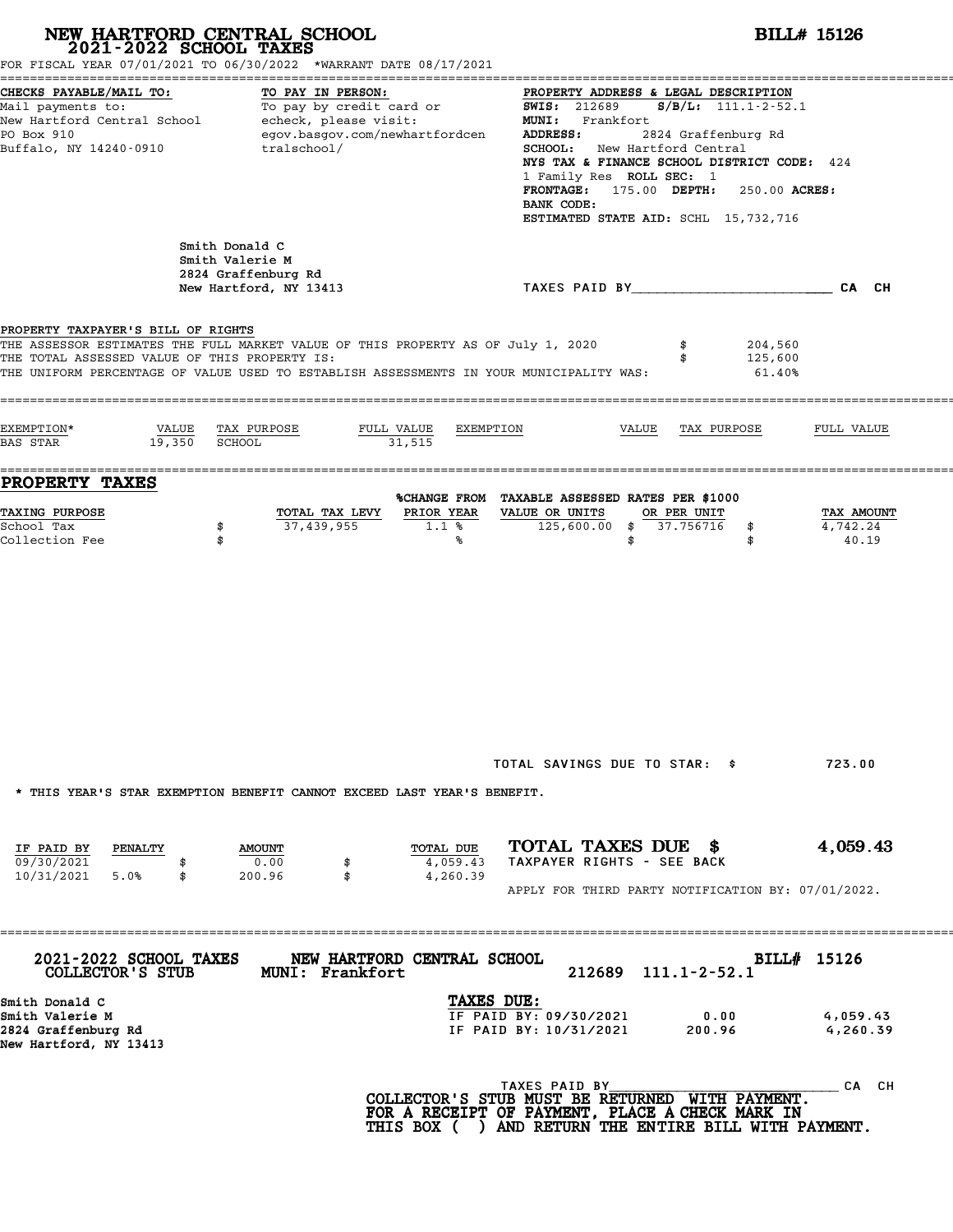# **NEW HARTFORD CENTRAL SCHOOL**<br>
2021-2022 SCHOOL TAXES<br>
FOR FISCAL YEAR 07/01/2021 TO 06/30/2022 \*WARRANT DATE 08/17/2021<br> **POR FISCAL YEAR 07/01/2021 TO 06/30/2022** \*WARRANT DATE 08/17/2021

|                                                                                                                                                                                                                                                                    | FOR FISCAL YEAR 07/01/2021 TO 06/30/2022 *WARRANT DATE 08/17/2021                                                       |                                                                                                                                                             |                                                                                                                                                                                                                                                                                                                                                         |                                                    |                              |                                 |  |
|--------------------------------------------------------------------------------------------------------------------------------------------------------------------------------------------------------------------------------------------------------------------|-------------------------------------------------------------------------------------------------------------------------|-------------------------------------------------------------------------------------------------------------------------------------------------------------|---------------------------------------------------------------------------------------------------------------------------------------------------------------------------------------------------------------------------------------------------------------------------------------------------------------------------------------------------------|----------------------------------------------------|------------------------------|---------------------------------|--|
| CHECKS PAYABLE/MAIL TO:<br>Mail payments to:<br>New Hartford Central School<br>PO Box 910<br>Buffalo, NY 14240-0910                                                                                                                                                | TO PAY IN PERSON:<br>To pay by credit card or<br>echeck, please visit:<br>egov.basgov.com/newhartfordcen<br>tralschool/ |                                                                                                                                                             | PROPERTY ADDRESS & LEGAL DESCRIPTION<br>$S/B/L: 111.1-2-52.1$<br><b>SWIS:</b> 212689<br>MUNI: Frankfort<br>ADDRESS:<br>2824 Graffenburg Rd<br>SCHOOL: New Hartford Central<br>NYS TAX & FINANCE SCHOOL DISTRICT CODE: 424<br>1 Family Res ROLL SEC: 1<br>FRONTAGE: 175.00 DEPTH:<br>250.00 ACRES:<br>BANK CODE:<br>ESTIMATED STATE AID: SCHL 15,732,716 |                                                    |                              |                                 |  |
|                                                                                                                                                                                                                                                                    | Smith Donald C<br>Smith Valerie M<br>2824 Graffenburg Rd<br>New Hartford, NY 13413                                      |                                                                                                                                                             |                                                                                                                                                                                                                                                                                                                                                         | TAXES PAID BY CALCH                                |                              |                                 |  |
| PROPERTY TAXPAYER'S BILL OF RIGHTS<br>THE ASSESSOR ESTIMATES THE FULL MARKET VALUE OF THIS PROPERTY AS OF July 1, 2020<br>THE TOTAL ASSESSED VALUE OF THIS PROPERTY IS:<br>THE UNIFORM PERCENTAGE OF VALUE USED TO ESTABLISH ASSESSMENTS IN YOUR MUNICIPALITY WAS: |                                                                                                                         |                                                                                                                                                             |                                                                                                                                                                                                                                                                                                                                                         | \$                                                 | 204,560<br>125,600<br>61.40% |                                 |  |
| EXEMPTION*<br>VALUE<br><b>BAS STAR</b><br>19,350                                                                                                                                                                                                                   | TAX PURPOSE<br>FULL VALUE<br><b>SCHOOL</b>                                                                              | EXEMPTION<br>31,515                                                                                                                                         |                                                                                                                                                                                                                                                                                                                                                         | VALUE<br>TAX PURPOSE                               |                              | FULL VALUE                      |  |
| PROPERTY TAXES<br>TAXING PURPOSE<br>School Tax<br>Collection Fee                                                                                                                                                                                                   | TOTAL TAX LEVY<br>37,439,955<br>\$                                                                                      | %CHANGE FROM TAXABLE ASSESSED RATES PER \$1000<br>PRIOR YEAR<br>1.1%<br>℁                                                                                   | VALUE OR UNITS<br>125,600.00<br>\$<br>\$                                                                                                                                                                                                                                                                                                                | OR PER UNIT<br>37.756716                           | \$<br>\$                     | TAX AMOUNT<br>4,742.24<br>40.19 |  |
|                                                                                                                                                                                                                                                                    |                                                                                                                         |                                                                                                                                                             |                                                                                                                                                                                                                                                                                                                                                         | TOTAL SAVINGS DUE TO STAR: \$                      |                              | 723.00                          |  |
|                                                                                                                                                                                                                                                                    | * THIS YEAR'S STAR EXEMPTION BENEFIT CANNOT EXCEED LAST YEAR'S BENEFIT.                                                 |                                                                                                                                                             |                                                                                                                                                                                                                                                                                                                                                         |                                                    |                              |                                 |  |
| IF PAID BY<br>PENALTY<br>09/30/2021<br>10/31/2021<br>5.0%<br>\$                                                                                                                                                                                                    | <b>AMOUNT</b><br>0.00<br>\$<br>\$<br>200.96                                                                             | TOTAL DUE<br>4,059.43<br>4,260.39                                                                                                                           | TOTAL TAXES DUE \$<br>TAXPAYER RIGHTS - SEE BACK                                                                                                                                                                                                                                                                                                        | APPLY FOR THIRD PARTY NOTIFICATION BY: 07/01/2022. |                              | 4,059.43                        |  |
| 2021-2022 SCHOOL TAXES<br>COLLECTOR'S STUB                                                                                                                                                                                                                         | --------------------------------------<br><b>MUNI: Frankfort</b>                                                        | NEW HARTFORD CENTRAL SCHOOL                                                                                                                                 | 212689                                                                                                                                                                                                                                                                                                                                                  | $111.1 - 2 - 52.1$                                 | BILL# 15126                  |                                 |  |
| Smith Donald C<br>Smith Valerie M<br>2824 Graffenburg Rd<br>New Hartford, NY 13413                                                                                                                                                                                 |                                                                                                                         | TAXES DUE:                                                                                                                                                  | IF PAID BY: 09/30/2021<br>IF PAID BY: 10/31/2021                                                                                                                                                                                                                                                                                                        | 0.00<br>200.96                                     |                              | 4,059.43<br>4,260.39            |  |
|                                                                                                                                                                                                                                                                    |                                                                                                                         | COLLECTOR'S STUB MUST BE RETURNED WITH PAYMENT.<br>FOR A RECEIPT OF PAYMENT, PLACE A CHECK MARK IN<br>THIS BOX ( ) AND RETURN THE ENTIRE BILL WITH PAYMENT. | TAXES PAID BY                                                                                                                                                                                                                                                                                                                                           |                                                    |                              | CA CH                           |  |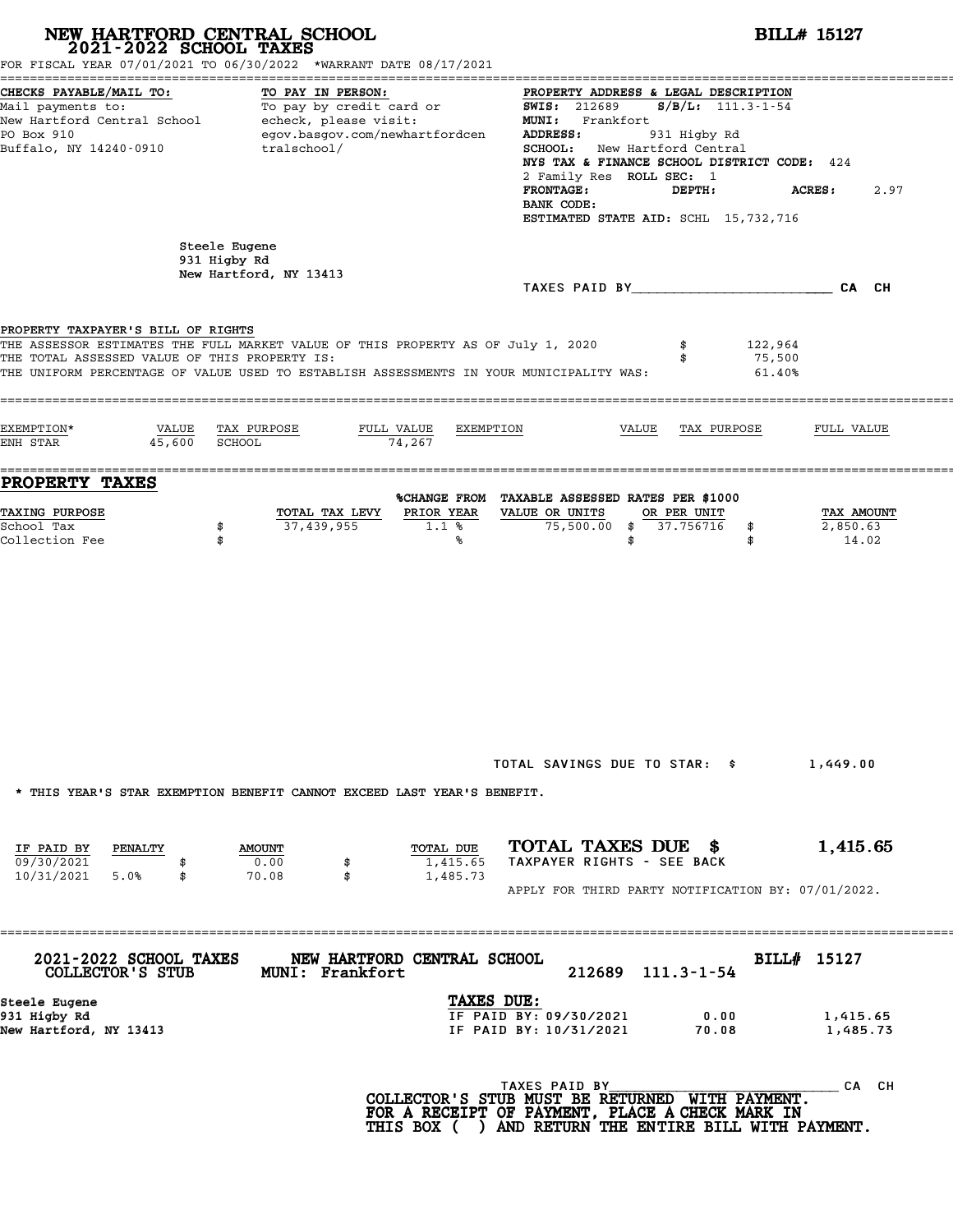| NEW HARTFORD CENTRAL SCHOOL<br>2021-2022 SCHOOL TAXES                               | FOR FISCAL YEAR 07/01/2021 TO 06/30/2022 *WARRANT DATE 08/17/2021                                                                                                           |                                                                                                                                                                                                                                                                                                                                                                      | <b>BILL# 15127</b>              |  |  |  |  |
|-------------------------------------------------------------------------------------|-----------------------------------------------------------------------------------------------------------------------------------------------------------------------------|----------------------------------------------------------------------------------------------------------------------------------------------------------------------------------------------------------------------------------------------------------------------------------------------------------------------------------------------------------------------|---------------------------------|--|--|--|--|
| CHECKS PAYABLE/MAIL TO:<br>PO Box 910<br>Buffalo, NY 14240-0910                     | TO PAY IN PERSON:<br>Mail payments to: To pay by credit card or<br>New Hartford Central School echeck, please visit:<br>egov.basgov.com/newhartfordcen<br>tralschool/       | PROPERTY ADDRESS & LEGAL DESCRIPTION<br>$S/B/L: 111.3 - 1 - 54$<br><b>SWIS:</b> 212689<br>MUNI: Frankfort<br>ADDRESS:<br>931 Higby Rd<br><b>SCHOOL:</b> New Hartford Central<br>NYS TAX & FINANCE SCHOOL DISTRICT CODE: 424<br>2 Family Res ROLL SEC: 1<br><b>FRONTAGE:</b><br>DEPTH:<br><b>ACRES:</b><br>2.97<br>BANK CODE:<br>ESTIMATED STATE AID: SCHL 15,732,716 |                                 |  |  |  |  |
|                                                                                     | Steele Eugene<br>931 Higby Rd<br>New Hartford, NY 13413                                                                                                                     |                                                                                                                                                                                                                                                                                                                                                                      |                                 |  |  |  |  |
|                                                                                     |                                                                                                                                                                             | TAXES PAID BY CA CH                                                                                                                                                                                                                                                                                                                                                  |                                 |  |  |  |  |
| PROPERTY TAXPAYER'S BILL OF RIGHTS<br>THE TOTAL ASSESSED VALUE OF THIS PROPERTY IS: | THE ASSESSOR ESTIMATES THE FULL MARKET VALUE OF THIS PROPERTY AS OF July 1, 2020<br>THE UNIFORM PERCENTAGE OF VALUE USED TO ESTABLISH ASSESSMENTS IN YOUR MUNICIPALITY WAS: | \$<br>122,964<br>75,500<br>61.40%                                                                                                                                                                                                                                                                                                                                    |                                 |  |  |  |  |
| EXEMPTION*<br>45,600<br>ENH STAR                                                    | VALUE TAX PURPOSE<br>FULL VALUE<br>EXEMPTION<br>SCHOOL<br>74,267                                                                                                            | VALUE<br>TAX PURPOSE                                                                                                                                                                                                                                                                                                                                                 | FULL VALUE                      |  |  |  |  |
| PROPERTY TAXES<br><b>TAXING PURPOSE</b><br>School Tax<br>\$<br>Collection Fee<br>\$ | TOTAL TAX LEVY<br>PRIOR YEAR<br>37,439,955<br>1.1%<br>%                                                                                                                     | %CHANGE FROM TAXABLE ASSESSED RATES PER \$1000<br>VALUE OR UNITS<br>OR PER UNIT<br>75,500.00 \$ 37.756716<br>\$<br>\$<br>\$                                                                                                                                                                                                                                          | TAX AMOUNT<br>2,850.63<br>14.02 |  |  |  |  |
|                                                                                     |                                                                                                                                                                             | TOTAL SAVINGS DUE TO STAR: \$                                                                                                                                                                                                                                                                                                                                        |                                 |  |  |  |  |
|                                                                                     | * THIS YEAR'S STAR EXEMPTION BENEFIT CANNOT EXCEED LAST YEAR'S BENEFIT.                                                                                                     |                                                                                                                                                                                                                                                                                                                                                                      | 1,449.00                        |  |  |  |  |
| IF PAID BY<br>PENALTY<br>09/30/2021<br>\$<br>10/31/2021 5.0%<br>\$                  | TOTAL DUE<br><b>AMOUNT</b><br>0.00<br>1,415.65<br>70.08<br>\$<br>1,485.73                                                                                                   | TOTAL TAXES DUE \$<br>TAXPAYER RIGHTS - SEE BACK                                                                                                                                                                                                                                                                                                                     | 1,415.65                        |  |  |  |  |
|                                                                                     |                                                                                                                                                                             | APPLY FOR THIRD PARTY NOTIFICATION BY: 07/01/2022.                                                                                                                                                                                                                                                                                                                   |                                 |  |  |  |  |
| 2021-2022 SCHOOL TAXES<br>COLLECTOR'S STUB                                          | NEW HARTFORD CENTRAL SCHOOL<br>MUNI: Frankfort                                                                                                                              | 212689 111.3-1-54                                                                                                                                                                                                                                                                                                                                                    | BILL# 15127                     |  |  |  |  |
| Steele Eugene<br>931 Higby Rd<br>New Hartford, NY 13413                             | TAXES DUE:                                                                                                                                                                  | IF PAID BY: 09/30/2021<br>0.00<br>IF PAID BY: 10/31/2021<br>70.08                                                                                                                                                                                                                                                                                                    | 1,415.65<br>1,485.73            |  |  |  |  |
|                                                                                     |                                                                                                                                                                             | TAXES PAID BY<br>COLLECTOR'S STUB MUST BE RETURNED WITH PAYMENT.<br>FOR A RECEIPT OF PAYMENT, PLACE A CHECK MARK IN<br>THIS BOX ( ) AND RETURN THE ENTIRE BILL WITH PAYMENT.                                                                                                                                                                                         | CA CH                           |  |  |  |  |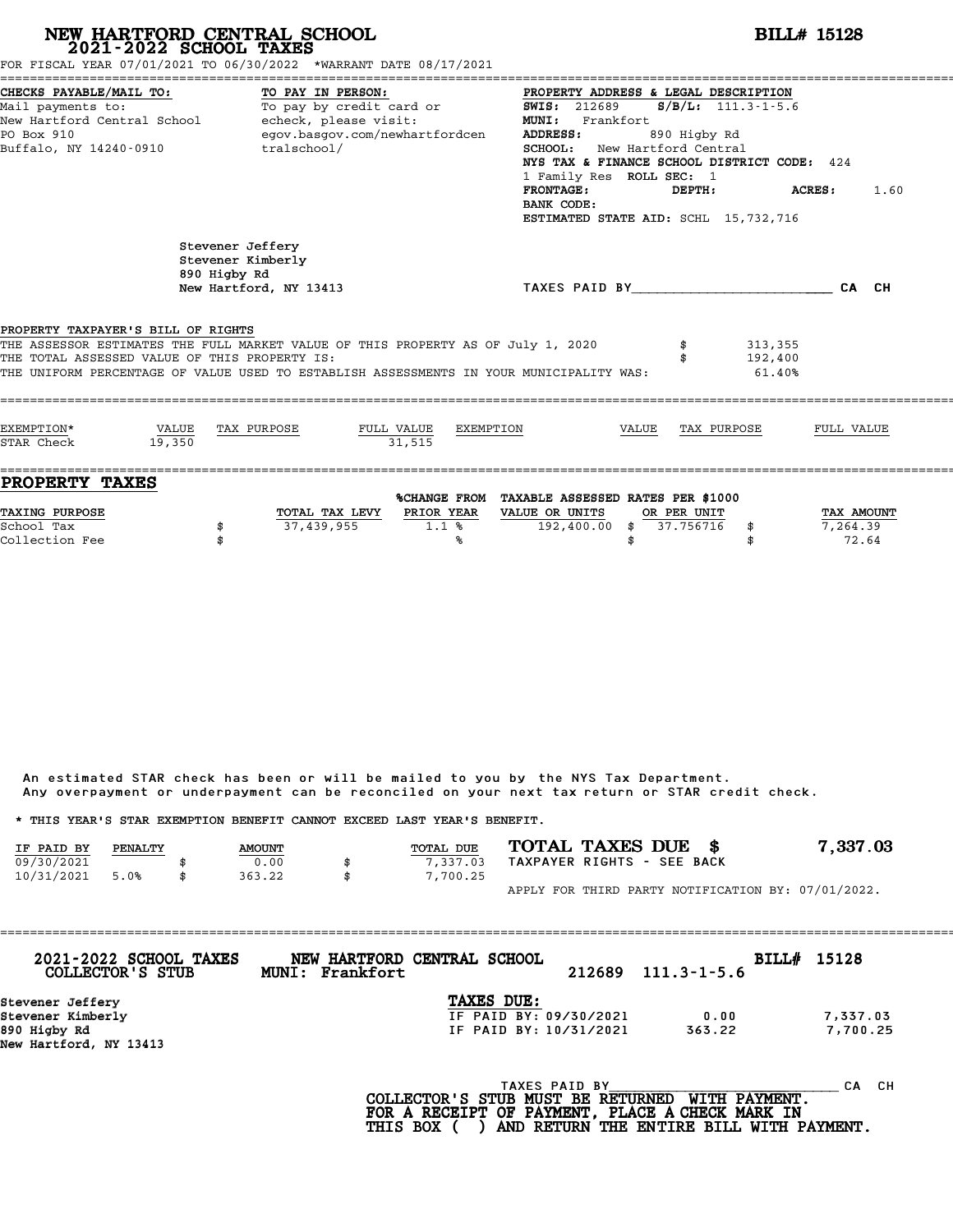|                                                                                      | 2021-2022 SCHOOL TAXES | NEW HARTFORD CENTRAL SCHOOL<br>FOR FISCAL YEAR 07/01/2021 TO 06/30/2022 *WARRANT DATE 08/17/2021                                                                            |                                   |                                                                                             | <b>BILL# 15128</b>                                                                                      |                          |                                                                                                              |                        |  |  |  |
|--------------------------------------------------------------------------------------|------------------------|-----------------------------------------------------------------------------------------------------------------------------------------------------------------------------|-----------------------------------|---------------------------------------------------------------------------------------------|---------------------------------------------------------------------------------------------------------|--------------------------|--------------------------------------------------------------------------------------------------------------|------------------------|--|--|--|
| CHECKS PAYABLE/MAIL TO:<br>Mail payments to:<br>PO Box 910<br>Buffalo, NY 14240-0910 |                        | TO PAY IN PERSON:<br>To pay by credit card or<br>New Hartford Central School - echeck, please visit:<br>egov.basgov.com/newhartfordcen<br>tralschool/                       |                                   | <b>SWIS: 212689</b><br>MUNI: Frankfort<br><b>ADDRESS:</b><br><b>FRONTAGE:</b><br>BANK CODE: | PROPERTY ADDRESS & LEGAL DESCRIPTION<br><b>SCHOOL:</b> New Hartford Central<br>1 Family Res ROLL SEC: 1 | 890 Higby Rd<br>DEPTH:   | $S/B/L$ : 111.3-1-5.6<br>NYS TAX & FINANCE SCHOOL DISTRICT CODE: 424<br>ESTIMATED STATE AID: SCHL 15,732,716 | <b>ACRES:</b> 1.60     |  |  |  |
|                                                                                      |                        | Stevener Jeffery<br>Stevener Kimberly<br>890 Higby Rd<br>New Hartford, NY 13413                                                                                             |                                   |                                                                                             |                                                                                                         |                          | TAXES PAID BY CALCH                                                                                          |                        |  |  |  |
| PROPERTY TAXPAYER'S BILL OF RIGHTS<br>THE TOTAL ASSESSED VALUE OF THIS PROPERTY IS:  |                        | THE ASSESSOR ESTIMATES THE FULL MARKET VALUE OF THIS PROPERTY AS OF July 1, 2020<br>THE UNIFORM PERCENTAGE OF VALUE USED TO ESTABLISH ASSESSMENTS IN YOUR MUNICIPALITY WAS: |                                   |                                                                                             |                                                                                                         |                          | 313,355<br>192,400<br>61.40%                                                                                 |                        |  |  |  |
| EXEMPTION*<br>STAR Check                                                             | VALUE<br>19,350        | TAX PURPOSE                                                                                                                                                                 | FULL VALUE<br>31.515              | EXEMPTION                                                                                   | VALUE                                                                                                   | TAX PURPOSE              |                                                                                                              | FULL VALUE             |  |  |  |
| <b>PROPERTY TAXES</b><br>TAXING PURPOSE<br>School Tax                                | \$                     | 37,439,955                                                                                                                                                                  | TOTAL TAX LEVY PRIOR YEAR<br>1.1% | %CHANGE FROM TAXABLE ASSESSED RATES PER \$1000<br>VALUE OR UNITS<br>$192,400.00$ \$         |                                                                                                         | OR PER UNIT<br>37.756716 | \$                                                                                                           | TAX AMOUNT<br>7,264.39 |  |  |  |

An estimated STAR check has been or will be mailed to you by the NYS Tax Department. An estimated STAR check has been or will be mailed to you by the NYS Tax Department.<br>Any overpayment or underpayment can be reconciled on your next tax return or STAR credit check.

|            |         |               | Any overpayment or underpayment can be reconciled on your next tax return or STAR credit check. |                            |                                                    |
|------------|---------|---------------|-------------------------------------------------------------------------------------------------|----------------------------|----------------------------------------------------|
|            |         |               | * THIS YEAR'S STAR EXEMPTION BENEFIT CANNOT EXCEED LAST YEAR'S BENEFIT.                         |                            |                                                    |
| IF PAID BY | PENALTY | <b>AMOUNT</b> | <b>TOTAL DUE</b>                                                                                | TOTAL TAXES DUE \$         | 7,337.03                                           |
| 09/30/2021 |         | 0.00          | \$<br>7.337.03                                                                                  | TAXPAYER RIGHTS - SEE BACK |                                                    |
| 10/31/2021 | 5.0%    | 363.22        | \$<br>7,700.25                                                                                  |                            |                                                    |
|            |         |               |                                                                                                 |                            | APPLY FOR THIRD PARTY NOTIFICATION BY: 07/01/2022. |

| 2021-2022 SCHOOL TAXES<br>COLLECTOR'S STUB | MUNI: Frankfort | NEW HARTFORD CENTRAL SCHOOL | 212689        | $111.3 - 1 - 5.6$ | BILL# 15128 |
|--------------------------------------------|-----------------|-----------------------------|---------------|-------------------|-------------|
| Stevener Jeffery                           |                 | TAXES DUE:                  |               |                   |             |
| Stevener Kimberly                          |                 | IF PAID BY: 09/30/2021      |               | 0.00              | 7,337.03    |
| 890 Higby Rd                               |                 | IF PAID BY: 10/31/2021      |               | 363.22            | 7,700.25    |
| New Hartford, NY 13413                     |                 |                             |               |                   |             |
|                                            |                 |                             | TAXES PAID BY |                   | CH.<br>CА   |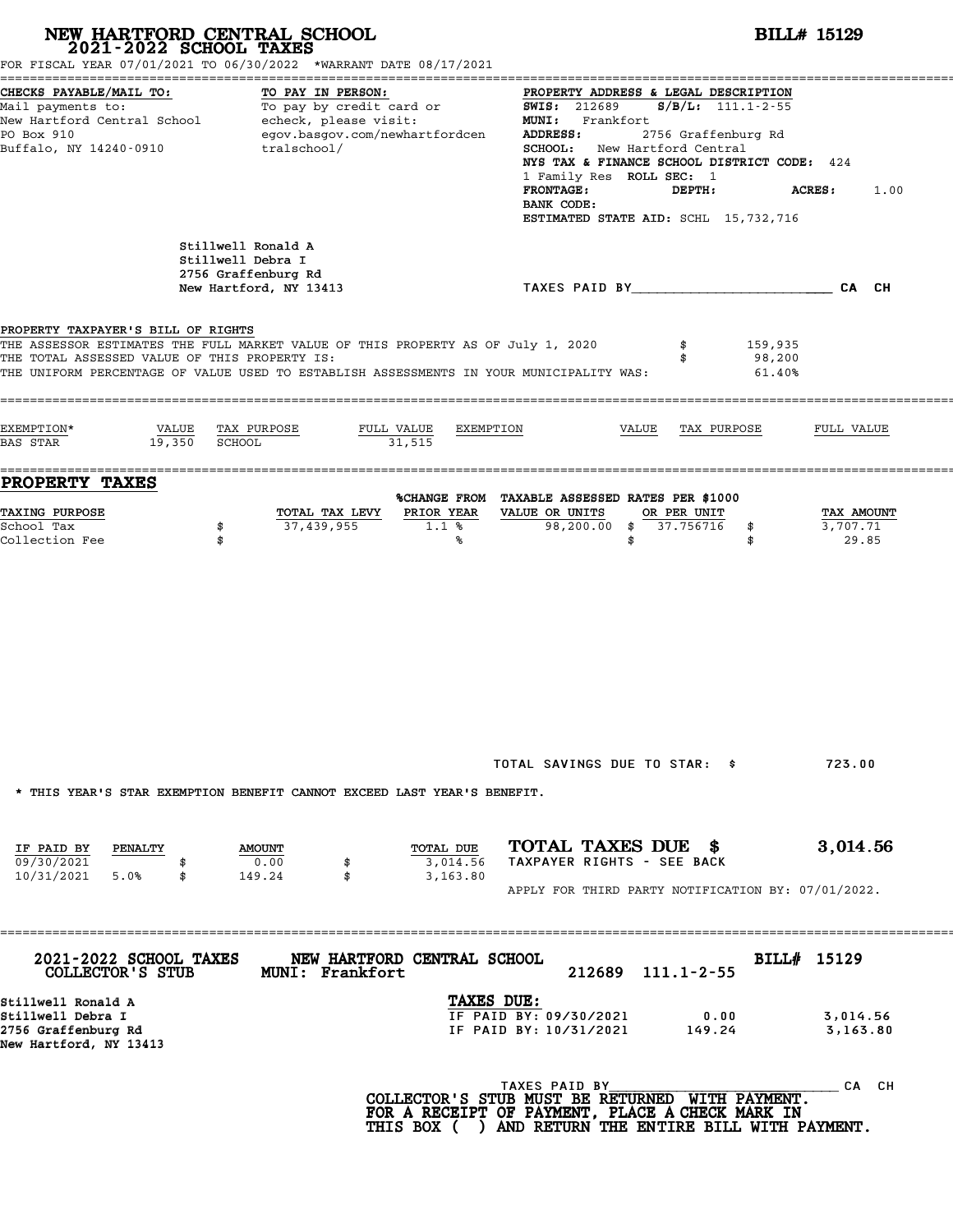|                                                                                          | NEW HARTFORD CENTRAL SCHOOL 2021-2022 SCHOOL TAXES<br>FOR FISCAL YEAR 07/01/2021 TO 06/30/2022 *WARRANT DATE 08/17/2021                                                     |                                                                                                                                                                                                                                                                                                                                                                   | <b>BILL# 15129</b>              |  |  |  |  |
|------------------------------------------------------------------------------------------|-----------------------------------------------------------------------------------------------------------------------------------------------------------------------------|-------------------------------------------------------------------------------------------------------------------------------------------------------------------------------------------------------------------------------------------------------------------------------------------------------------------------------------------------------------------|---------------------------------|--|--|--|--|
| CHECKS PAYABLE/MAIL TO:<br>PO Box 910<br>Buffalo, NY 14240-0910                          | TO PAY IN PERSON:<br>Mail payments to:<br>Mail payments to:<br>New Hartford Central School echeck, please visit:<br>egov.basgov.com/newhartfordcen<br>tralschool/           | PROPERTY ADDRESS & LEGAL DESCRIPTION<br>$S/B/L$ : 111.1-2-55<br><b>SWIS: 212689</b><br>MUNI: Frankfort<br>2756 Graffenburg Rd<br>ADDRESS:<br>SCHOOL: New Hartford Central<br>NYS TAX & FINANCE SCHOOL DISTRICT CODE: 424<br>1 Family Res ROLL SEC: 1<br><b>FRONTAGE:</b><br>DEPTH:<br><b>ACRES:</b><br>1.00<br>BANK CODE:<br>ESTIMATED STATE AID: SCHL 15,732,716 |                                 |  |  |  |  |
|                                                                                          | Stillwell Ronald A<br>Stillwell Debra I<br>2756 Graffenburg Rd<br>New Hartford, NY 13413                                                                                    | TAXES PAID BY CAN CHE CAN CH                                                                                                                                                                                                                                                                                                                                      |                                 |  |  |  |  |
| PROPERTY TAXPAYER'S BILL OF RIGHTS<br>THE TOTAL ASSESSED VALUE OF THIS PROPERTY IS:      | THE ASSESSOR ESTIMATES THE FULL MARKET VALUE OF THIS PROPERTY AS OF July 1, 2020<br>THE UNIFORM PERCENTAGE OF VALUE USED TO ESTABLISH ASSESSMENTS IN YOUR MUNICIPALITY WAS: | 159,935<br>\$<br>98,200<br>\$<br>61.40%                                                                                                                                                                                                                                                                                                                           |                                 |  |  |  |  |
| EXEMPTION*<br>VALUE<br>19,350 SCHOOL<br>BAS STAR                                         | TAX PURPOSE<br>FULL VALUE<br>31,515                                                                                                                                         | EXEMPTION<br>VALUE<br>TAX PURPOSE                                                                                                                                                                                                                                                                                                                                 | FULL VALUE                      |  |  |  |  |
| <b>PROPERTY TAXES</b>                                                                    |                                                                                                                                                                             | %CHANGE FROM TAXABLE ASSESSED RATES PER \$1000                                                                                                                                                                                                                                                                                                                    |                                 |  |  |  |  |
| TAXING PURPOSE<br>School Tax<br>Collection Fee                                           | PRIOR YEAR<br>TOTAL TAX LEVY<br>37,439,955<br>\$<br>$1.1$ %<br>\$<br>℁                                                                                                      | VALUE OR UNITS<br>OR PER UNIT<br>98,200.00 \$ 37.756716<br>\$<br>\$<br>\$                                                                                                                                                                                                                                                                                         | TAX AMOUNT<br>3,707.71<br>29.85 |  |  |  |  |
|                                                                                          | * THIS YEAR'S STAR EXEMPTION BENEFIT CANNOT EXCEED LAST YEAR'S BENEFIT.                                                                                                     | TOTAL SAVINGS DUE TO STAR: \$                                                                                                                                                                                                                                                                                                                                     | 723.00                          |  |  |  |  |
| IF PAID BY<br><b>PENALTY</b><br>09/30/2021<br>10/31/2021 5.0%<br>\$                      | TOTAL DUE<br><b>AMOUNT</b><br>0.00<br>3,014.56<br>\$<br>149.24<br>\$<br>3,163.80                                                                                            | TOTAL TAXES DUE \$<br>TAXPAYER RIGHTS - SEE BACK<br>APPLY FOR THIRD PARTY NOTIFICATION BY: 07/01/2022.                                                                                                                                                                                                                                                            | 3,014.56                        |  |  |  |  |
| 2021-2022 SCHOOL TAXES<br>COLLECTOR'S STUB                                               | NEW HARTFORD CENTRAL SCHOOL<br><b>MUNI: Frankfort</b>                                                                                                                       | 212689 111.1-2-55                                                                                                                                                                                                                                                                                                                                                 | BILL# 15129                     |  |  |  |  |
| Stillwell Ronald A<br>Stillwell Debra I<br>2756 Graffenburg Rd<br>New Hartford, NY 13413 |                                                                                                                                                                             | TAXES DUE:<br>IF PAID BY: 09/30/2021<br>0.00<br>IF PAID BY: 10/31/2021<br>149.24                                                                                                                                                                                                                                                                                  | 3,014.56<br>3,163.80            |  |  |  |  |
|                                                                                          |                                                                                                                                                                             | TAXES PAID BY<br>COLLECTOR'S STUB MUST BE RETURNED WITH PAYMENT.<br>FOR A RECEIPT OF PAYMENT, PLACE A CHECK MARK IN<br>THIS BOX ( ) AND RETURN THE ENTIRE BILL WITH PAYMENT.                                                                                                                                                                                      | CA CH                           |  |  |  |  |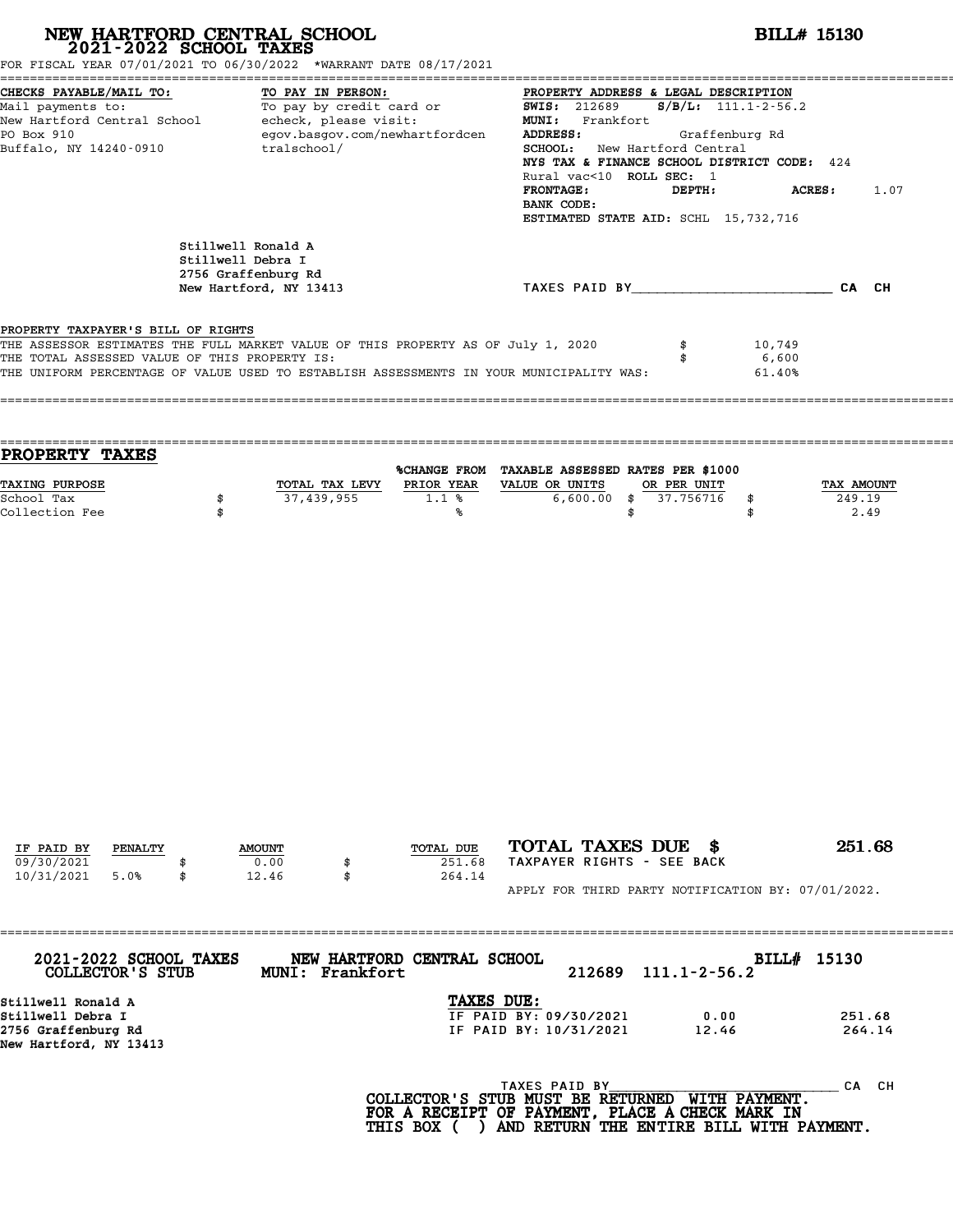| NEW HARTFORD CENTRAL SCHOOL 2021-2022 SCHOOL TAXES                                                                                        | FOR FISCAL YEAR 07/01/2021 TO 06/30/2022 *WARRANT DATE 08/17/2021                                                                                                           | <b>BILL# 15130</b>                                                                                                                                                                                                                                                                                                                      |
|-------------------------------------------------------------------------------------------------------------------------------------------|-----------------------------------------------------------------------------------------------------------------------------------------------------------------------------|-----------------------------------------------------------------------------------------------------------------------------------------------------------------------------------------------------------------------------------------------------------------------------------------------------------------------------------------|
| CHECKS PAYABLE/MAIL TO:<br>Mail payments to:<br>New Hartford Central School echeck, please visit:<br>PO Box 910<br>Buffalo, NY 14240-0910 | TO PAY IN PERSON:<br>TO: TO PAY IN PERSON: TO PROPERTY ADDRENT TO pay by credit card or Taylor SWIS: 212689<br>egov.basgov.com/newhartfordcen<br>tralschool/                | PROPERTY ADDRESS & LEGAL DESCRIPTION<br>$S/B/L: 111.1-2-56.2$<br>MUNI: Frankfort<br>ADDRESS:<br>Graffenburg Rd<br>SCHOOL: New Hartford Central<br>NYS TAX & FINANCE SCHOOL DISTRICT CODE: 424<br>Rural vac<10 ROLL SEC: 1<br><b>FRONTAGE:</b><br>DEPTH:<br><b>ACRES :</b><br>1.07<br>BANK CODE:<br>ESTIMATED STATE AID: SCHL 15,732,716 |
|                                                                                                                                           | Stillwell Ronald A<br>Stillwell Debra I<br>2756 Graffenburg Rd<br>New Hartford, NY 13413                                                                                    | TAXES PAID BY CAN CH                                                                                                                                                                                                                                                                                                                    |
| PROPERTY TAXPAYER'S BILL OF RIGHTS<br>THE TOTAL ASSESSED VALUE OF THIS PROPERTY IS:                                                       | THE ASSESSOR ESTIMATES THE FULL MARKET VALUE OF THIS PROPERTY AS OF July 1, 2020<br>THE UNIFORM PERCENTAGE OF VALUE USED TO ESTABLISH ASSESSMENTS IN YOUR MUNICIPALITY WAS: | \$<br>10,749<br>6,600<br>\$<br>61.40%                                                                                                                                                                                                                                                                                                   |
| PROPERTY TAXES                                                                                                                            |                                                                                                                                                                             |                                                                                                                                                                                                                                                                                                                                         |
| TAXING PURPOSE<br>School Tax<br>Collection Fee                                                                                            | TOTAL TAX LEVY PRIOR YEAR VALUE OR UNITS<br>37,439,955<br>1.1%<br>\$<br>\$<br>℁                                                                                             | %CHANGE FROM TAXABLE ASSESSED RATES PER \$1000<br>OR PER UNIT<br>TAX AMOUNT<br>$6,600.00$ \$<br>37.756716<br>249.19<br>\$<br>2.49<br>\$<br>\$                                                                                                                                                                                           |
| IF PAID BY<br>PENALTY<br>09/30/2021<br>10/31/2021<br>5.0%                                                                                 | TOTAL DUE<br><b>AMOUNT</b><br>0.00<br>251.68<br>12.46<br>264.14<br>\$                                                                                                       | TOTAL TAXES DUE \$<br>251.68<br>TAXPAYER RIGHTS - SEE BACK                                                                                                                                                                                                                                                                              |
| 2021-2022 SCHOOL TAXES                                                                                                                    | NEW HARTFORD CENTRAL SCHOOL                                                                                                                                                 | APPLY FOR THIRD PARTY NOTIFICATION BY: 07/01/2022.<br>BILL# 15130                                                                                                                                                                                                                                                                       |
| COLLECTOR'S STUB<br>Stillwell Ronald A<br>Stillwell Debra I<br>2756 Graffenburg Rd<br>New Hartford, NY 13413                              | MUNI: Frankfort                                                                                                                                                             | 212689<br>$111.1 - 2 - 56.2$<br>TAXES DUE:<br>IF PAID BY: 09/30/2021<br>0.00<br>251.68<br>IF PAID BY: 10/31/2021<br>12.46<br>264.14                                                                                                                                                                                                     |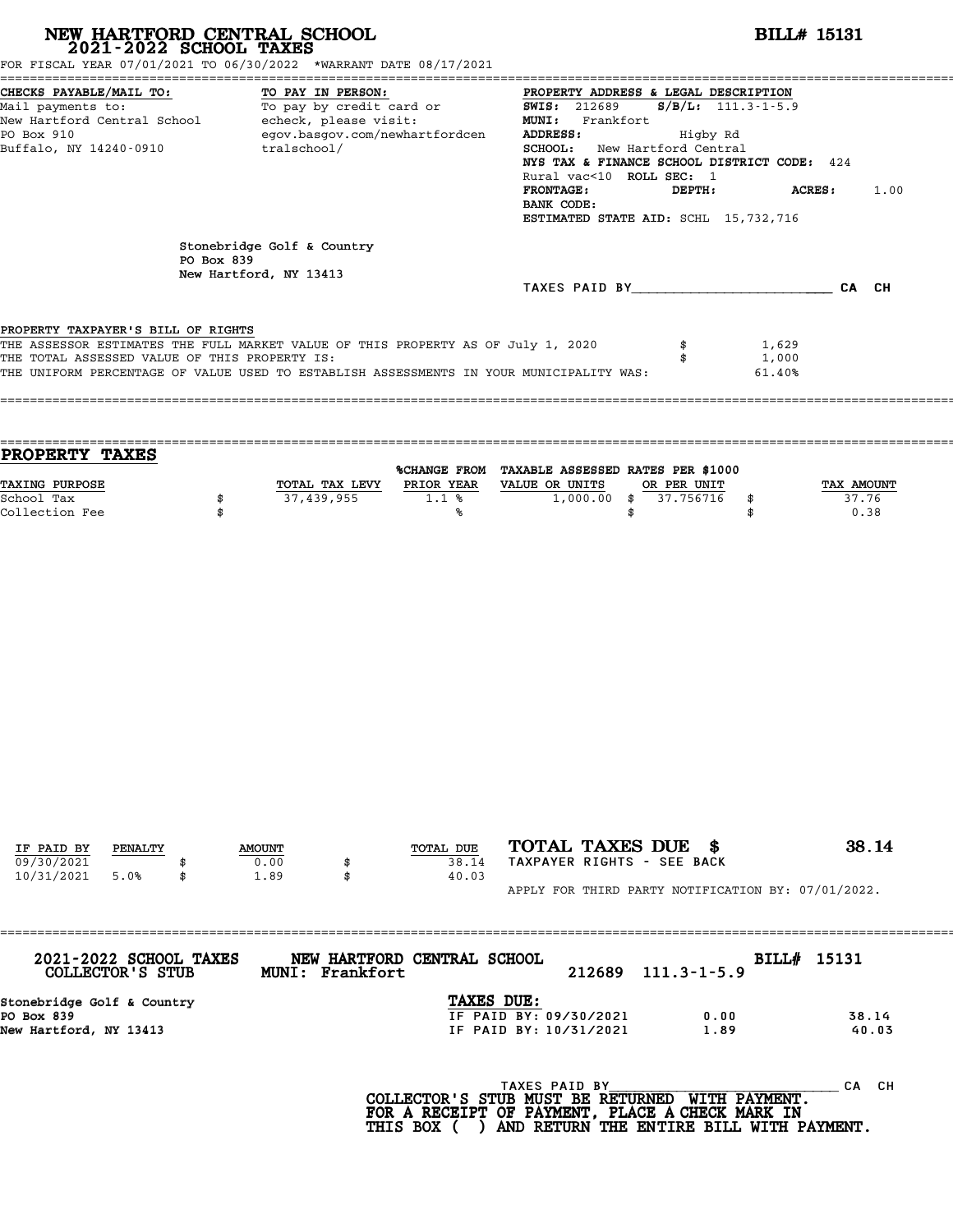# **NEW HARTFORD CENTRAL SCHOOL**<br>
2021-2022 SCHOOL TAXES<br>
FOR FISCAL YEAR 07/01/2021 TO 06/30/2022 \*WARRANT DATE 08/17/2021<br> **2021-2022** TO 06/30/2022 \*WARRANT DATE 08/17/2021

| FOR FISCAL YEAR 07/01/2021 TO 06/30/2022 *WARRANT DATE 08/17/2021                                                                                                                                                                                                            |            |                                               |                             | =========================                                                                                                                                                                                                                                                                                                                               |                                      |                             |  |  |  |
|------------------------------------------------------------------------------------------------------------------------------------------------------------------------------------------------------------------------------------------------------------------------------|------------|-----------------------------------------------|-----------------------------|---------------------------------------------------------------------------------------------------------------------------------------------------------------------------------------------------------------------------------------------------------------------------------------------------------------------------------------------------------|--------------------------------------|-----------------------------|--|--|--|
| CHECKS PAYABLE/MAIL TO:<br>TO PAY IN PERSON:<br>Mail payments to:<br>To pay by credit card or<br>echeck, please visit:<br>New Hartford Central School<br>PO Box 910<br>egov.basgov.com/newhartfordcen<br>tralschool/<br>Buffalo, NY 14240-0910<br>Stonebridge Golf & Country |            |                                               |                             | PROPERTY ADDRESS & LEGAL DESCRIPTION<br><b>SWIS: 212689</b><br>$S/B/L$ : 111.3-1-5.9<br>MUNI: Frankfort<br>ADDRESS:<br>Higby Rd<br><b>SCHOOL:</b> New Hartford Central<br>NYS TAX & FINANCE SCHOOL DISTRICT CODE: 424<br>Rural vac<10 ROLL SEC: 1<br><b>FRONTAGE:</b><br>DEPTH:<br>ACRES:<br>1.00<br>BANK CODE:<br>ESTIMATED STATE AID: SCHL 15,732,716 |                                      |                             |  |  |  |
|                                                                                                                                                                                                                                                                              | PO Box 839 | New Hartford, NY 13413                        |                             |                                                                                                                                                                                                                                                                                                                                                         | TAXES PAID BY TAXES PAID BY          | CA CH                       |  |  |  |
| PROPERTY TAXPAYER'S BILL OF RIGHTS<br>THE ASSESSOR ESTIMATES THE FULL MARKET VALUE OF THIS PROPERTY AS OF July 1, 2020<br>THE TOTAL ASSESSED VALUE OF THIS PROPERTY IS:<br>THE UNIFORM PERCENTAGE OF VALUE USED TO ESTABLISH ASSESSMENTS IN YOUR MUNICIPALITY WAS:           |            |                                               |                             |                                                                                                                                                                                                                                                                                                                                                         |                                      | 1,629<br>1,000<br>61.40%    |  |  |  |
| PROPERTY TAXES                                                                                                                                                                                                                                                               |            |                                               |                             | %CHANGE FROM TAXABLE ASSESSED RATES PER \$1000                                                                                                                                                                                                                                                                                                          |                                      |                             |  |  |  |
| TAXING PURPOSE<br>School Tax<br>Collection Fee                                                                                                                                                                                                                               | \$<br>\$   | TOTAL TAX LEVY<br>37,439,955                  | PRIOR YEAR<br>1.1%<br>್ಠಿ   | VALUE OR UNITS<br>1,000.00<br>\$<br>\$                                                                                                                                                                                                                                                                                                                  | OR PER UNIT<br>37.756716<br>\$<br>\$ | TAX AMOUNT<br>37.76<br>0.38 |  |  |  |
|                                                                                                                                                                                                                                                                              |            |                                               |                             |                                                                                                                                                                                                                                                                                                                                                         |                                      |                             |  |  |  |
|                                                                                                                                                                                                                                                                              |            |                                               |                             |                                                                                                                                                                                                                                                                                                                                                         |                                      |                             |  |  |  |
|                                                                                                                                                                                                                                                                              |            |                                               |                             |                                                                                                                                                                                                                                                                                                                                                         |                                      |                             |  |  |  |
| IF PAID BY<br>PENALTY<br>09/30/2021<br>10/31/2021<br>5.0%                                                                                                                                                                                                                    | \$         | <b>AMOUNT</b><br>0.00<br>\$<br>1.89<br>\$     | TOTAL DUE<br>38.14<br>40.03 | TOTAL TAXES DUE \$<br>TAXPAYER RIGHTS - SEE BACK                                                                                                                                                                                                                                                                                                        |                                      | 38.14                       |  |  |  |
| 2021-2022 SCHOOL TAXES                                                                                                                                                                                                                                                       |            | ==============<br>NEW HARTFORD CENTRAL SCHOOL |                             | APPLY FOR THIRD PARTY NOTIFICATION BY: 07/01/2022.                                                                                                                                                                                                                                                                                                      |                                      | BILL# 15131                 |  |  |  |
| COLLECTOR'S STUB<br>Stonebridge Golf & Country                                                                                                                                                                                                                               |            | MUNI: Frankfort                               | TAXES DUE:                  | 212689                                                                                                                                                                                                                                                                                                                                                  | $111.3 - 1 - 5.9$                    |                             |  |  |  |
| PO Box 839<br>New Hartford, NY 13413                                                                                                                                                                                                                                         |            |                                               |                             | IF PAID BY: 09/30/2021<br>IF PAID BY: 10/31/2021                                                                                                                                                                                                                                                                                                        | 0.00<br>1.89                         | 38.14<br>40.03              |  |  |  |
|                                                                                                                                                                                                                                                                              |            |                                               |                             | TAXES PAID BY<br>COLLECTOR'S STUB MUST BE RETURNED<br>FOR A RECEIPT OF PAYMENT, PLACE A CHECK MARK IN<br>THIS BOX ( ) AND RETURN THE ENTIRE BILL WITH PAYMENT.                                                                                                                                                                                          | WITH PAYMENT.                        | CA CH                       |  |  |  |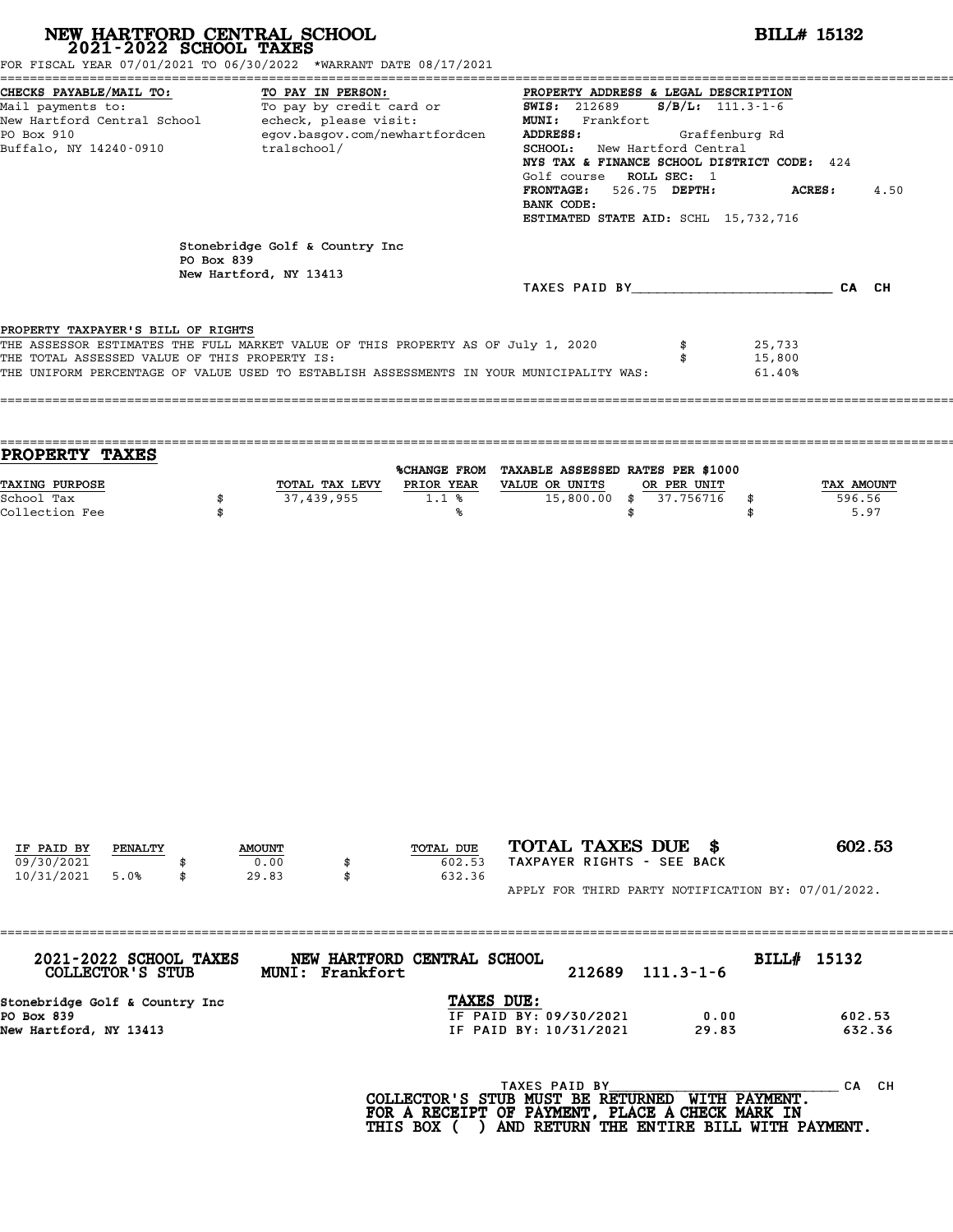| NEW HARTFORD CENTRAL SCHOOL 2021-2022 SCHOOL TAXES<br>FOR FISCAL YEAR 07/01/2021 TO 06/30/2022 *WARRANT DATE 08/17/2021                                                                                                      |                                                                                                                                                       |                                |                 |                               |                                                                                                                                                                                                                                                                                                                                                         |                                | <b>BILL# 15132</b>         |                              |  |  |
|------------------------------------------------------------------------------------------------------------------------------------------------------------------------------------------------------------------------------|-------------------------------------------------------------------------------------------------------------------------------------------------------|--------------------------------|-----------------|-------------------------------|---------------------------------------------------------------------------------------------------------------------------------------------------------------------------------------------------------------------------------------------------------------------------------------------------------------------------------------------------------|--------------------------------|----------------------------|------------------------------|--|--|
| CHECKS PAYABLE/MAIL TO:<br>Mail payments to:<br>PO Box 910<br>Buffalo, NY 14240-0910                                                                                                                                         | TO PAY IN PERSON:<br>To pay by credit card or<br>New Hartford Central School - echeck, please visit:<br>egov.basgov.com/newhartfordcen<br>tralschool/ |                                |                 |                               | PROPERTY ADDRESS & LEGAL DESCRIPTION<br><b>SWIS: 212689</b><br>$S/B/L: 111.3-1-6$<br>MUNI: Frankfort<br>ADDRESS:<br>Graffenburg Rd<br>SCHOOL: New Hartford Central<br>NYS TAX & FINANCE SCHOOL DISTRICT CODE: 424<br>Golf course ROLL SEC: 1<br>FRONTAGE: 526.75 DEPTH:<br><b>ACRES :</b><br>4.50<br>BANK CODE:<br>ESTIMATED STATE AID: SCHL 15,732,716 |                                |                            |                              |  |  |
|                                                                                                                                                                                                                              | PO Box 839                                                                                                                                            | Stonebridge Golf & Country Inc |                 |                               |                                                                                                                                                                                                                                                                                                                                                         |                                |                            |                              |  |  |
|                                                                                                                                                                                                                              |                                                                                                                                                       | New Hartford, NY 13413         |                 |                               | TAXES PAID BY CA CH                                                                                                                                                                                                                                                                                                                                     |                                |                            |                              |  |  |
| PROPERTY TAXPAYER'S BILL OF RIGHTS                                                                                                                                                                                           |                                                                                                                                                       |                                |                 |                               |                                                                                                                                                                                                                                                                                                                                                         |                                |                            |                              |  |  |
| THE ASSESSOR ESTIMATES THE FULL MARKET VALUE OF THIS PROPERTY AS OF July 1, 2020<br>THE TOTAL ASSESSED VALUE OF THIS PROPERTY IS:<br>THE UNIFORM PERCENTAGE OF VALUE USED TO ESTABLISH ASSESSMENTS IN YOUR MUNICIPALITY WAS: |                                                                                                                                                       |                                |                 |                               |                                                                                                                                                                                                                                                                                                                                                         | \$<br>\$                       | 25,733<br>15,800<br>61.40% |                              |  |  |
| PROPERTY TAXES                                                                                                                                                                                                               |                                                                                                                                                       |                                |                 |                               | %CHANGE FROM TAXABLE ASSESSED RATES PER \$1000                                                                                                                                                                                                                                                                                                          |                                |                            |                              |  |  |
| TAXING PURPOSE<br>School Tax<br>Collection Fee                                                                                                                                                                               | \$<br>\$                                                                                                                                              |                                | 37,439,955      | $1.1$ %<br>℁                  | TOTAL TAX LEVY PRIOR YEAR VALUE OR UNITS<br>$15,800.00$ \$                                                                                                                                                                                                                                                                                              | OR PER UNIT<br>37.756716<br>\$ | \$<br>\$                   | TAX AMOUNT<br>596.56<br>5.97 |  |  |
|                                                                                                                                                                                                                              |                                                                                                                                                       |                                |                 |                               |                                                                                                                                                                                                                                                                                                                                                         |                                |                            |                              |  |  |
| IF PAID BY<br>PENALTY<br>09/30/2021<br>10/31/2021<br>5.0%                                                                                                                                                                    | \$                                                                                                                                                    | <b>AMOUNT</b><br>0.00<br>29.83 | \$<br>\$        | TOTAL DUE<br>602.53<br>632.36 | TOTAL TAXES DUE \$<br>TAXPAYER RIGHTS - SEE BACK                                                                                                                                                                                                                                                                                                        |                                |                            | 602.53                       |  |  |
|                                                                                                                                                                                                                              |                                                                                                                                                       |                                |                 |                               | APPLY FOR THIRD PARTY NOTIFICATION BY: 07/01/2022.                                                                                                                                                                                                                                                                                                      |                                |                            |                              |  |  |
| 2021-2022 SCHOOL TAXES<br>COLLECTOR'S STUB                                                                                                                                                                                   |                                                                                                                                                       |                                | MUNI: Frankfort | NEW HARTFORD CENTRAL SCHOOL   | 212689                                                                                                                                                                                                                                                                                                                                                  | $111.3 - 1 - 6$                | BILL# 15132                |                              |  |  |
| Stonebridge Golf & Country Inc<br>PO Box 839<br>New Hartford, NY 13413                                                                                                                                                       |                                                                                                                                                       |                                |                 | TAXES DUE:                    | IF PAID BY: 09/30/2021<br>IF PAID BY: 10/31/2021                                                                                                                                                                                                                                                                                                        | 0.00<br>29.83                  |                            | 602.53<br>632.36             |  |  |
|                                                                                                                                                                                                                              |                                                                                                                                                       |                                |                 |                               | TAXES PAID BY<br>COLLECTOR'S STUB MUST BE RETURNED WITH PAYMENT.<br>FOR A RECEIPT OF PAYMENT, PLACE A CHECK MARK IN<br>THIS BOX ( ) AND RETURN THE ENTIRE BILL WITH PAYMENT.                                                                                                                                                                            |                                |                            | CA CH                        |  |  |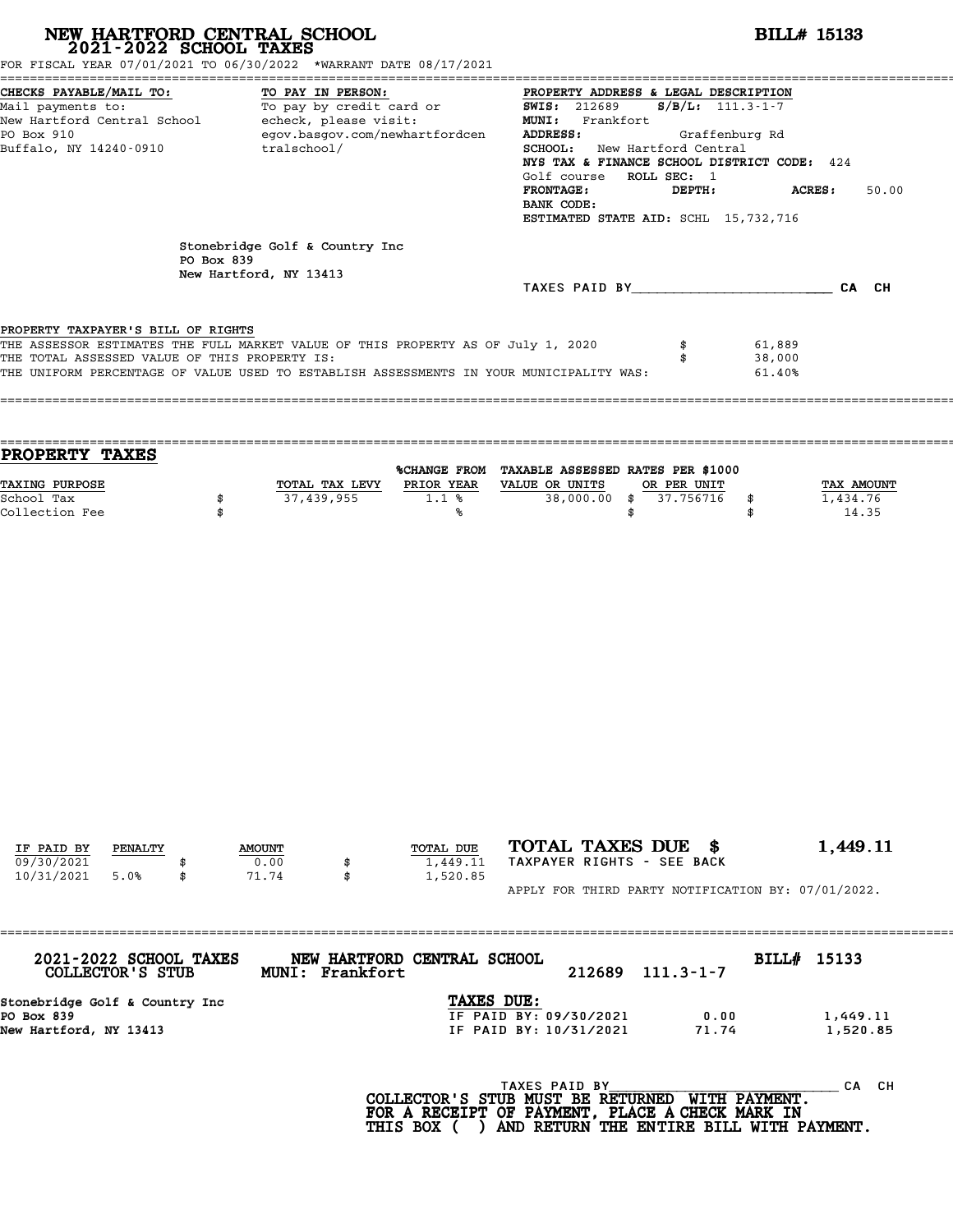| NEW HARTFORD CENTRAL SCHOOL 2021-2022 SCHOOL TAXES<br>FOR FISCAL YEAR 07/01/2021 TO 06/30/2022 *WARRANT DATE 08/17/2021                                                                                                                                            |            |                                                          |                   |                                                                                                                                                                                                                                                                                                                                                                                                                                                                                                                   |                                                                                                                                                                              |                          | <b>BILL# 15133</b>         |                            |  |
|--------------------------------------------------------------------------------------------------------------------------------------------------------------------------------------------------------------------------------------------------------------------|------------|----------------------------------------------------------|-------------------|-------------------------------------------------------------------------------------------------------------------------------------------------------------------------------------------------------------------------------------------------------------------------------------------------------------------------------------------------------------------------------------------------------------------------------------------------------------------------------------------------------------------|------------------------------------------------------------------------------------------------------------------------------------------------------------------------------|--------------------------|----------------------------|----------------------------|--|
| CHECKS PAYABLE/MAIL TO:<br>Mail payments to:<br>New Hartford Central School echeck, please visit:<br>PO Box 910<br>Buffalo, NY 14240-0910                                                                                                                          |            | egov.basgov.com/newhartfordcen<br>tralschool/            | TO PAY IN PERSON: | PROPERTY ADDRESS & LEGAL DESCRIPTION<br><u>TO: TO PAY IN PERSON:</u> TO PAY IN PROPERTY ADDRE PROPERTY ADDRENTY ADDRENTY ADDRENTY ADDRENTY ADDRENTY ADDRENTY A<br>To pay by credit card or and SWIS: 212689<br>$S/B/L: 111.3-1-7$<br>MUNI: Frankfort<br>ADDRESS:<br>Graffenburg Rd<br><b>SCHOOL:</b> New Hartford Central<br>NYS TAX & FINANCE SCHOOL DISTRICT CODE: 424<br>Golf course ROLL SEC: 1<br><b>FRONTAGE:</b><br>DEPTH:<br><b>ACRES:</b><br>50.00<br>BANK CODE:<br>ESTIMATED STATE AID: SCHL 15,732,716 |                                                                                                                                                                              |                          |                            |                            |  |
|                                                                                                                                                                                                                                                                    | PO Box 839 | Stonebridge Golf & Country Inc<br>New Hartford, NY 13413 |                   |                                                                                                                                                                                                                                                                                                                                                                                                                                                                                                                   |                                                                                                                                                                              |                          | TAXES PAID BY CA CH        |                            |  |
| PROPERTY TAXPAYER'S BILL OF RIGHTS<br>THE ASSESSOR ESTIMATES THE FULL MARKET VALUE OF THIS PROPERTY AS OF July 1, 2020<br>THE TOTAL ASSESSED VALUE OF THIS PROPERTY IS:<br>THE UNIFORM PERCENTAGE OF VALUE USED TO ESTABLISH ASSESSMENTS IN YOUR MUNICIPALITY WAS: |            |                                                          |                   |                                                                                                                                                                                                                                                                                                                                                                                                                                                                                                                   |                                                                                                                                                                              | \$<br>\$                 | 61,889<br>38,000<br>61.40% |                            |  |
| PROPERTY TAXES                                                                                                                                                                                                                                                     |            |                                                          |                   |                                                                                                                                                                                                                                                                                                                                                                                                                                                                                                                   | %CHANGE FROM TAXABLE ASSESSED RATES PER \$1000                                                                                                                               |                          |                            |                            |  |
| TAXING PURPOSE<br>School Tax<br>Collection Fee                                                                                                                                                                                                                     | \$<br>\$   |                                                          | 37,439,955        | 1.1%<br>%ร                                                                                                                                                                                                                                                                                                                                                                                                                                                                                                        | TOTAL TAX LEVY PRIOR YEAR VALUE OR UNITS<br>$38,000.00$ \$<br>\$                                                                                                             | OR PER UNIT<br>37.756716 | 1,434.76<br>\$<br>\$       | <b>TAX AMOUNT</b><br>14.35 |  |
| IF PAID BY<br>PENALTY                                                                                                                                                                                                                                              |            | <b>AMOUNT</b>                                            |                   | TOTAL DUE                                                                                                                                                                                                                                                                                                                                                                                                                                                                                                         | TOTAL TAXES DUE \$                                                                                                                                                           |                          |                            | 1,449.11                   |  |
| 09/30/2021<br>10/31/2021<br>5.0%                                                                                                                                                                                                                                   | \$         | 0.00<br>71.74                                            | \$<br>\$          | 1,449.11<br>1,520.85                                                                                                                                                                                                                                                                                                                                                                                                                                                                                              | TAXPAYER RIGHTS - SEE BACK<br>APPLY FOR THIRD PARTY NOTIFICATION BY: 07/01/2022.                                                                                             |                          |                            |                            |  |
| 2021-2022 SCHOOL TAXES<br>COLLECTOR'S STUB                                                                                                                                                                                                                         |            |                                                          | MUNI: Frankfort   | NEW HARTFORD CENTRAL SCHOOL                                                                                                                                                                                                                                                                                                                                                                                                                                                                                       | 212689                                                                                                                                                                       | $111.3 - 1 - 7$          | BILL# 15133                |                            |  |
| Stonebridge Golf & Country Inc<br>PO Box 839<br>New Hartford, NY 13413                                                                                                                                                                                             |            |                                                          |                   | TAXES DUE:                                                                                                                                                                                                                                                                                                                                                                                                                                                                                                        | IF PAID BY: 09/30/2021<br>IF PAID BY: 10/31/2021                                                                                                                             | 0.00<br>71.74            |                            | 1,449.11<br>1,520.85       |  |
|                                                                                                                                                                                                                                                                    |            |                                                          |                   |                                                                                                                                                                                                                                                                                                                                                                                                                                                                                                                   | TAXES PAID BY<br>COLLECTOR'S STUB MUST BE RETURNED WITH PAYMENT.<br>FOR A RECEIPT OF PAYMENT, PLACE A CHECK MARK IN<br>THIS BOX ( ) AND RETURN THE ENTIRE BILL WITH PAYMENT. |                          |                            | CA CH                      |  |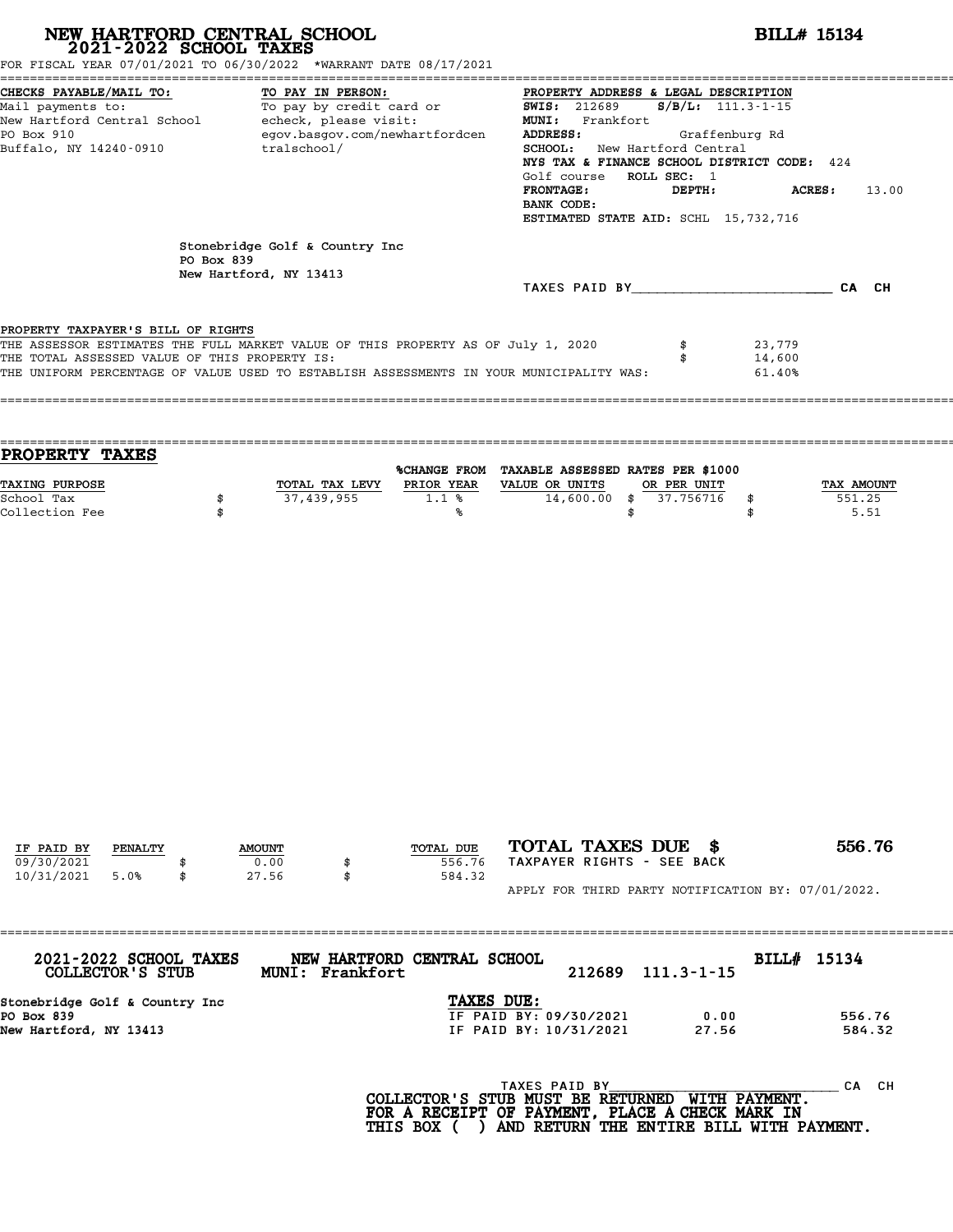| NEW HARTFORD CENTRAL SCHOOL 2021-2022 SCHOOL TAXES<br>FOR FISCAL YEAR 07/01/2021 TO 06/30/2022 *WARRANT DATE 08/17/2021                                                                                                                                            |            |                                                                                                                                                                                            |                 |                                                                                                          |                                                  |                                                                                                                                                                                                                                                                                                                                              |          |                          |                            | <b>BILL# 15134</b>                                 |  |
|--------------------------------------------------------------------------------------------------------------------------------------------------------------------------------------------------------------------------------------------------------------------|------------|--------------------------------------------------------------------------------------------------------------------------------------------------------------------------------------------|-----------------|----------------------------------------------------------------------------------------------------------|--------------------------------------------------|----------------------------------------------------------------------------------------------------------------------------------------------------------------------------------------------------------------------------------------------------------------------------------------------------------------------------------------------|----------|--------------------------|----------------------------|----------------------------------------------------|--|
| CHECKS PAYABLE/MAIL TO:<br>Mail payments to:<br>PO Box 910<br>Buffalo, NY 14240-0910                                                                                                                                                                               |            | TO PAY IN PERSON:<br>TO PAY IN PERSON:<br>To pay by credit card or TO SWIS: 212689<br>New Hartford Central School - echeck, please visit:<br>egov.basgov.com/newhartfordcen<br>tralschool/ |                 |                                                                                                          |                                                  | PROPERTY ADDRESS & LEGAL DESCRIPTION<br>$S/B/L$ : 111.3-1-15<br>MUNI: Frankfort<br>ADDRESS:<br>Graffenburg Rd<br><b>SCHOOL:</b> New Hartford Central<br>NYS TAX & FINANCE SCHOOL DISTRICT CODE: 424<br>Golf course ROLL SEC: 1<br><b>FRONTAGE:</b><br>DEPTH:<br><b>ACRES:</b><br>13.00<br>BANK CODE:<br>ESTIMATED STATE AID: SCHL 15,732,716 |          |                          |                            |                                                    |  |
|                                                                                                                                                                                                                                                                    | PO Box 839 | Stonebridge Golf & Country Inc                                                                                                                                                             |                 |                                                                                                          |                                                  |                                                                                                                                                                                                                                                                                                                                              |          |                          |                            |                                                    |  |
|                                                                                                                                                                                                                                                                    |            | New Hartford, NY 13413                                                                                                                                                                     |                 |                                                                                                          |                                                  |                                                                                                                                                                                                                                                                                                                                              |          |                          |                            | TAXES PAID BY CA CH                                |  |
| PROPERTY TAXPAYER'S BILL OF RIGHTS<br>THE ASSESSOR ESTIMATES THE FULL MARKET VALUE OF THIS PROPERTY AS OF July 1, 2020<br>THE TOTAL ASSESSED VALUE OF THIS PROPERTY IS:<br>THE UNIFORM PERCENTAGE OF VALUE USED TO ESTABLISH ASSESSMENTS IN YOUR MUNICIPALITY WAS: |            |                                                                                                                                                                                            |                 |                                                                                                          |                                                  |                                                                                                                                                                                                                                                                                                                                              | \$<br>\$ |                          | 23,779<br>14,600<br>61.40% |                                                    |  |
| PROPERTY TAXES<br>TAXING PURPOSE<br>School Tax<br>Collection Fee                                                                                                                                                                                                   | \$<br>\$   |                                                                                                                                                                                            | 37,439,955      | %CHANGE FROM TAXABLE ASSESSED RATES PER \$1000<br>TOTAL TAX LEVY PRIOR YEAR VALUE OR UNITS<br>1.1%<br>%ร |                                                  | $14,600.00$ \$                                                                                                                                                                                                                                                                                                                               | \$       | OR PER UNIT<br>37.756716 | \$<br>\$                   | TAX AMOUNT<br>551.25<br>5.51                       |  |
|                                                                                                                                                                                                                                                                    |            |                                                                                                                                                                                            |                 |                                                                                                          |                                                  |                                                                                                                                                                                                                                                                                                                                              |          |                          |                            |                                                    |  |
| IF PAID BY<br>PENALTY                                                                                                                                                                                                                                              |            | <b>AMOUNT</b>                                                                                                                                                                              |                 | TOTAL DUE                                                                                                |                                                  | TOTAL TAXES DUE \$                                                                                                                                                                                                                                                                                                                           |          |                          |                            | 556.76                                             |  |
| 09/30/2021<br>10/31/2021<br>5.0%                                                                                                                                                                                                                                   | \$         | 0.00<br>27.56                                                                                                                                                                              | \$<br>\$        | 556.76<br>584.32                                                                                         |                                                  | TAXPAYER RIGHTS - SEE BACK                                                                                                                                                                                                                                                                                                                   |          |                          |                            |                                                    |  |
|                                                                                                                                                                                                                                                                    |            |                                                                                                                                                                                            |                 |                                                                                                          |                                                  |                                                                                                                                                                                                                                                                                                                                              |          |                          |                            | APPLY FOR THIRD PARTY NOTIFICATION BY: 07/01/2022. |  |
| 2021-2022 SCHOOL TAXES<br>COLLECTOR'S STUB                                                                                                                                                                                                                         |            |                                                                                                                                                                                            | MUNI: Frankfort | NEW HARTFORD CENTRAL SCHOOL                                                                              |                                                  | 212689                                                                                                                                                                                                                                                                                                                                       |          | $111.3 - 1 - 15$         | BILL# 15134                |                                                    |  |
| Stonebridge Golf & Country Inc<br>PO Box 839<br>New Hartford, NY 13413                                                                                                                                                                                             |            |                                                                                                                                                                                            |                 | TAXES DUE:                                                                                               | IF PAID BY: 09/30/2021<br>IF PAID BY: 10/31/2021 |                                                                                                                                                                                                                                                                                                                                              |          | 0.00<br>27.56            |                            | 556.76<br>584.32                                   |  |
|                                                                                                                                                                                                                                                                    |            |                                                                                                                                                                                            |                 | COLLECTOR'S STUB MUST BE RETURNED WITH PAYMENT.<br>FOR A RECEIPT OF PAYMENT, PLACE A CHECK MARK IN       | TAXES PAID BY                                    |                                                                                                                                                                                                                                                                                                                                              |          |                          |                            | CA CH                                              |  |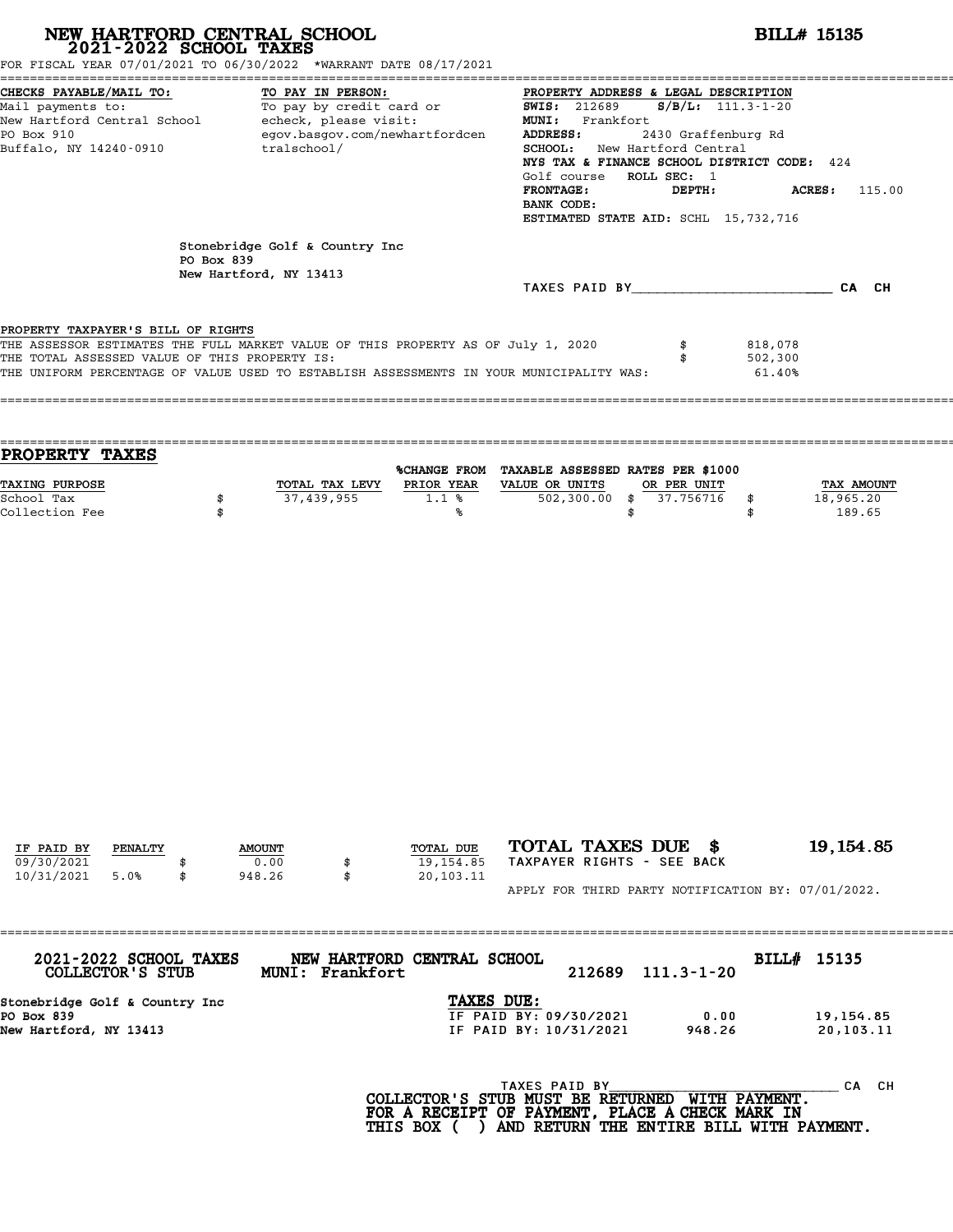| NEW HARTFORD CENTRAL SCHOOL 2021-2022 SCHOOL TAXES<br>FOR FISCAL YEAR 07/01/2021 TO 06/30/2022 *WARRANT DATE 08/17/2021                                                                                                                                            |                                                                                                                                                       |                                                          |                 |                             |                                                                                                                                                                              |                                                                                                                                                                                                                                                                                                                                                             |                              | <b>BILL# 15135</b>                       |  |  |  |
|--------------------------------------------------------------------------------------------------------------------------------------------------------------------------------------------------------------------------------------------------------------------|-------------------------------------------------------------------------------------------------------------------------------------------------------|----------------------------------------------------------|-----------------|-----------------------------|------------------------------------------------------------------------------------------------------------------------------------------------------------------------------|-------------------------------------------------------------------------------------------------------------------------------------------------------------------------------------------------------------------------------------------------------------------------------------------------------------------------------------------------------------|------------------------------|------------------------------------------|--|--|--|
| CHECKS PAYABLE/MAIL TO:<br>Mail payments to:<br>PO Box 910<br>Buffalo, NY 14240-0910                                                                                                                                                                               | TO PAY IN PERSON:<br>To pay by credit card or<br>New Hartford Central School - echeck, please visit:<br>egov.basgov.com/newhartfordcen<br>tralschool/ |                                                          |                 |                             |                                                                                                                                                                              | PROPERTY ADDRESS & LEGAL DESCRIPTION<br><b>SWIS: 212689</b><br>$S/B/L$ : 111.3-1-20<br>MUNI: Frankfort<br>2430 Graffenburg Rd<br>ADDRESS:<br>SCHOOL: New Hartford Central<br>NYS TAX & FINANCE SCHOOL DISTRICT CODE: 424<br>Golf course ROLL SEC: 1<br><b>FRONTAGE:</b><br>DEPTH:<br>ACRES:<br>115.00<br>BANK CODE:<br>ESTIMATED STATE AID: SCHL 15,732,716 |                              |                                          |  |  |  |
|                                                                                                                                                                                                                                                                    | PO Box 839                                                                                                                                            | Stonebridge Golf & Country Inc<br>New Hartford, NY 13413 |                 |                             | TAXES PAID BY CA CH                                                                                                                                                          |                                                                                                                                                                                                                                                                                                                                                             |                              |                                          |  |  |  |
| PROPERTY TAXPAYER'S BILL OF RIGHTS<br>THE ASSESSOR ESTIMATES THE FULL MARKET VALUE OF THIS PROPERTY AS OF July 1, 2020<br>THE TOTAL ASSESSED VALUE OF THIS PROPERTY IS:<br>THE UNIFORM PERCENTAGE OF VALUE USED TO ESTABLISH ASSESSMENTS IN YOUR MUNICIPALITY WAS: |                                                                                                                                                       |                                                          |                 |                             |                                                                                                                                                                              | \$                                                                                                                                                                                                                                                                                                                                                          | 818,078<br>502,300<br>61.40% |                                          |  |  |  |
| PROPERTY TAXES                                                                                                                                                                                                                                                     |                                                                                                                                                       |                                                          |                 |                             | %CHANGE FROM TAXABLE ASSESSED RATES PER \$1000                                                                                                                               |                                                                                                                                                                                                                                                                                                                                                             |                              |                                          |  |  |  |
| TAXING PURPOSE<br>School Tax<br>Collection Fee                                                                                                                                                                                                                     | \$<br>\$                                                                                                                                              |                                                          | 37,439,955      | 1.1%<br>‱                   | TOTAL TAX LEVY PRIOR YEAR VALUE OR UNITS<br>$502,300.00$ \$                                                                                                                  | OR PER UNIT<br>37.756716<br>\$                                                                                                                                                                                                                                                                                                                              | \$<br>\$                     | <b>TAX AMOUNT</b><br>18,965.20<br>189.65 |  |  |  |
| IF PAID BY<br>PENALTY                                                                                                                                                                                                                                              |                                                                                                                                                       | <b>AMOUNT</b>                                            |                 | TOTAL DUE                   | TOTAL TAXES DUE \$                                                                                                                                                           |                                                                                                                                                                                                                                                                                                                                                             |                              | 19, 154.85                               |  |  |  |
| 09/30/2021<br>10/31/2021<br>5.0%                                                                                                                                                                                                                                   | \$                                                                                                                                                    | 0.00<br>948.26                                           | \$<br>\$        | 19,154.85<br>20,103.11      | TAXPAYER RIGHTS - SEE BACK<br>APPLY FOR THIRD PARTY NOTIFICATION BY: 07/01/2022.                                                                                             |                                                                                                                                                                                                                                                                                                                                                             |                              |                                          |  |  |  |
| 2021-2022 SCHOOL TAXES<br>COLLECTOR'S STUB                                                                                                                                                                                                                         |                                                                                                                                                       | ================================                         | MUNI: Frankfort | NEW HARTFORD CENTRAL SCHOOL | 212689                                                                                                                                                                       | $111.3 - 1 - 20$                                                                                                                                                                                                                                                                                                                                            |                              | BILL# 15135                              |  |  |  |
| Stonebridge Golf & Country Inc<br>PO Box 839<br>New Hartford, NY 13413                                                                                                                                                                                             |                                                                                                                                                       |                                                          |                 | TAXES DUE:                  | IF PAID BY: 09/30/2021<br>IF PAID BY: 10/31/2021                                                                                                                             | 0.00<br>948.26                                                                                                                                                                                                                                                                                                                                              |                              | 19,154.85<br>20,103.11                   |  |  |  |
|                                                                                                                                                                                                                                                                    |                                                                                                                                                       |                                                          |                 |                             | TAXES PAID BY<br>COLLECTOR'S STUB MUST BE RETURNED WITH PAYMENT.<br>FOR A RECEIPT OF PAYMENT, PLACE A CHECK MARK IN<br>THIS BOX ( ) AND RETURN THE ENTIRE BILL WITH PAYMENT. |                                                                                                                                                                                                                                                                                                                                                             |                              | CA CH                                    |  |  |  |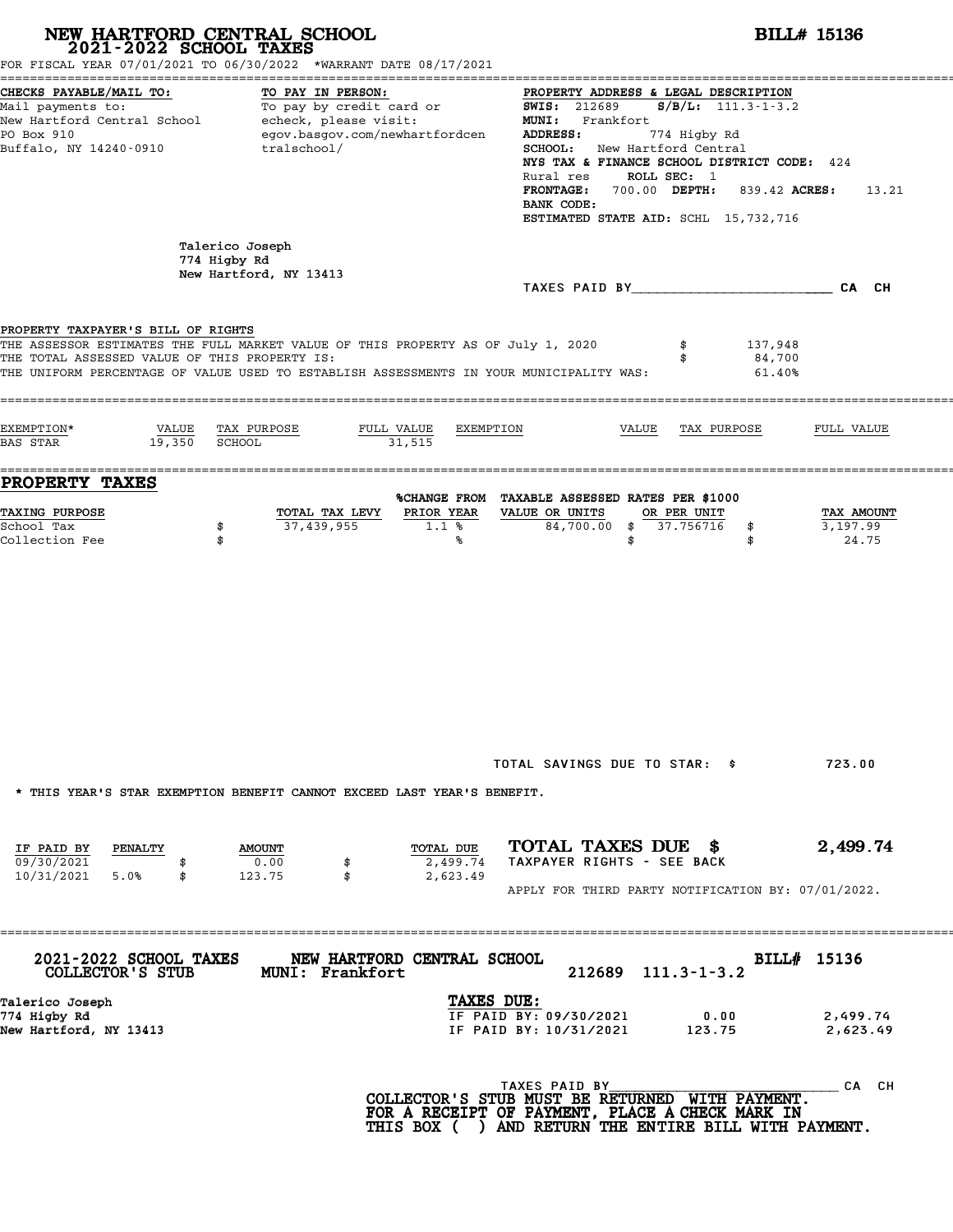| 2021-2022 SCHOOL TAXES                                                              | NEW HARTFORD CENTRAL SCHOOL<br>FOR FISCAL YEAR 07/01/2021 TO 06/30/2022 *WARRANT DATE 08/17/2021                                                                            | <b>BILL# 15136</b>                                                                                                                                                                                                                                                                                                                                               |                                 |  |  |
|-------------------------------------------------------------------------------------|-----------------------------------------------------------------------------------------------------------------------------------------------------------------------------|------------------------------------------------------------------------------------------------------------------------------------------------------------------------------------------------------------------------------------------------------------------------------------------------------------------------------------------------------------------|---------------------------------|--|--|
| CHECKS PAYABLE/MAIL TO:<br>PO Box 910<br>Buffalo, NY 14240-0910                     | TO PAY IN PERSON:<br>Mail payments to: To pay by credit card or<br>New Hartford Central School echeck, please visit:<br>egov.basgov.com/newhartfordcen<br>tralschool/       | PROPERTY ADDRESS & LEGAL DESCRIPTION<br>$S/B/L: 111.3 - 1 - 3.2$<br><b>SWIS:</b> 212689<br>MUNI: Frankfort<br>ADDRESS:<br>774 Higby Rd<br><b>SCHOOL:</b> New Hartford Central<br>NYS TAX & FINANCE SCHOOL DISTRICT CODE: 424<br>ROLL SEC: 1<br>Rural res<br>FRONTAGE: 700.00 DEPTH: 839.42 ACRES:<br>13.21<br>BANK CODE:<br>ESTIMATED STATE AID: SCHL 15,732,716 |                                 |  |  |
|                                                                                     | Talerico Joseph<br>774 Higby Rd<br>New Hartford, NY 13413                                                                                                                   | TAXES PAID BY CA CH                                                                                                                                                                                                                                                                                                                                              |                                 |  |  |
| PROPERTY TAXPAYER'S BILL OF RIGHTS<br>THE TOTAL ASSESSED VALUE OF THIS PROPERTY IS: | THE ASSESSOR ESTIMATES THE FULL MARKET VALUE OF THIS PROPERTY AS OF July 1, 2020<br>THE UNIFORM PERCENTAGE OF VALUE USED TO ESTABLISH ASSESSMENTS IN YOUR MUNICIPALITY WAS: | 137,948<br>84,700<br>61.40%                                                                                                                                                                                                                                                                                                                                      |                                 |  |  |
| EXEMPTION*<br>19,350<br><b>BAS STAR</b>                                             | VALUE TAX PURPOSE<br>FULL VALUE<br>EXEMPTION<br>SCHOOL<br>31,515                                                                                                            | VALUE<br>TAX PURPOSE                                                                                                                                                                                                                                                                                                                                             | FULL VALUE                      |  |  |
| <b>PROPERTY TAXES</b><br><b>TAXING PURPOSE</b><br>School Tax<br>Collection Fee      | TOTAL TAX LEVY<br>PRIOR YEAR<br>37,439,955<br>1.1%<br>\$<br>\$<br>%                                                                                                         | %CHANGE FROM TAXABLE ASSESSED RATES PER \$1000<br>VALUE OR UNITS<br>OR PER UNIT<br>84,700.00 \$ 37.756716<br>\$<br>\$<br>\$                                                                                                                                                                                                                                      | TAX AMOUNT<br>3,197.99<br>24.75 |  |  |
|                                                                                     |                                                                                                                                                                             |                                                                                                                                                                                                                                                                                                                                                                  |                                 |  |  |
|                                                                                     |                                                                                                                                                                             | TOTAL SAVINGS DUE TO STAR: \$                                                                                                                                                                                                                                                                                                                                    | 723.00                          |  |  |
| IF PAID BY<br>PENALTY<br>09/30/2021<br>\$                                           | * THIS YEAR'S STAR EXEMPTION BENEFIT CANNOT EXCEED LAST YEAR'S BENEFIT.<br>TOTAL DUE<br><b>AMOUNT</b><br>0.00<br>2,499.74<br>\$                                             | TOTAL TAXES DUE \$<br>TAXPAYER RIGHTS - SEE BACK                                                                                                                                                                                                                                                                                                                 | 2,499.74                        |  |  |
| 10/31/2021 5.0%<br>\$                                                               | 123.75<br>\$<br>2,623.49                                                                                                                                                    | APPLY FOR THIRD PARTY NOTIFICATION BY: 07/01/2022.                                                                                                                                                                                                                                                                                                               |                                 |  |  |
|                                                                                     | NEW HARTFORD CENTRAL SCHOOL<br><b>MUNI: Frankfort</b>                                                                                                                       | 212689<br>$111.3 - 1 - 3.2$                                                                                                                                                                                                                                                                                                                                      | BILL# 15136                     |  |  |
| 2021-2022 SCHOOL TAXES<br>COLLECTOR'S STUB                                          |                                                                                                                                                                             |                                                                                                                                                                                                                                                                                                                                                                  |                                 |  |  |
| Talerico Joseph<br>774 Higby Rd<br>New Hartford, NY 13413                           | TAXES DUE:                                                                                                                                                                  | IF PAID BY: 09/30/2021<br>0.00<br>IF PAID BY: 10/31/2021<br>123.75                                                                                                                                                                                                                                                                                               | 2,499.74<br>2,623.49            |  |  |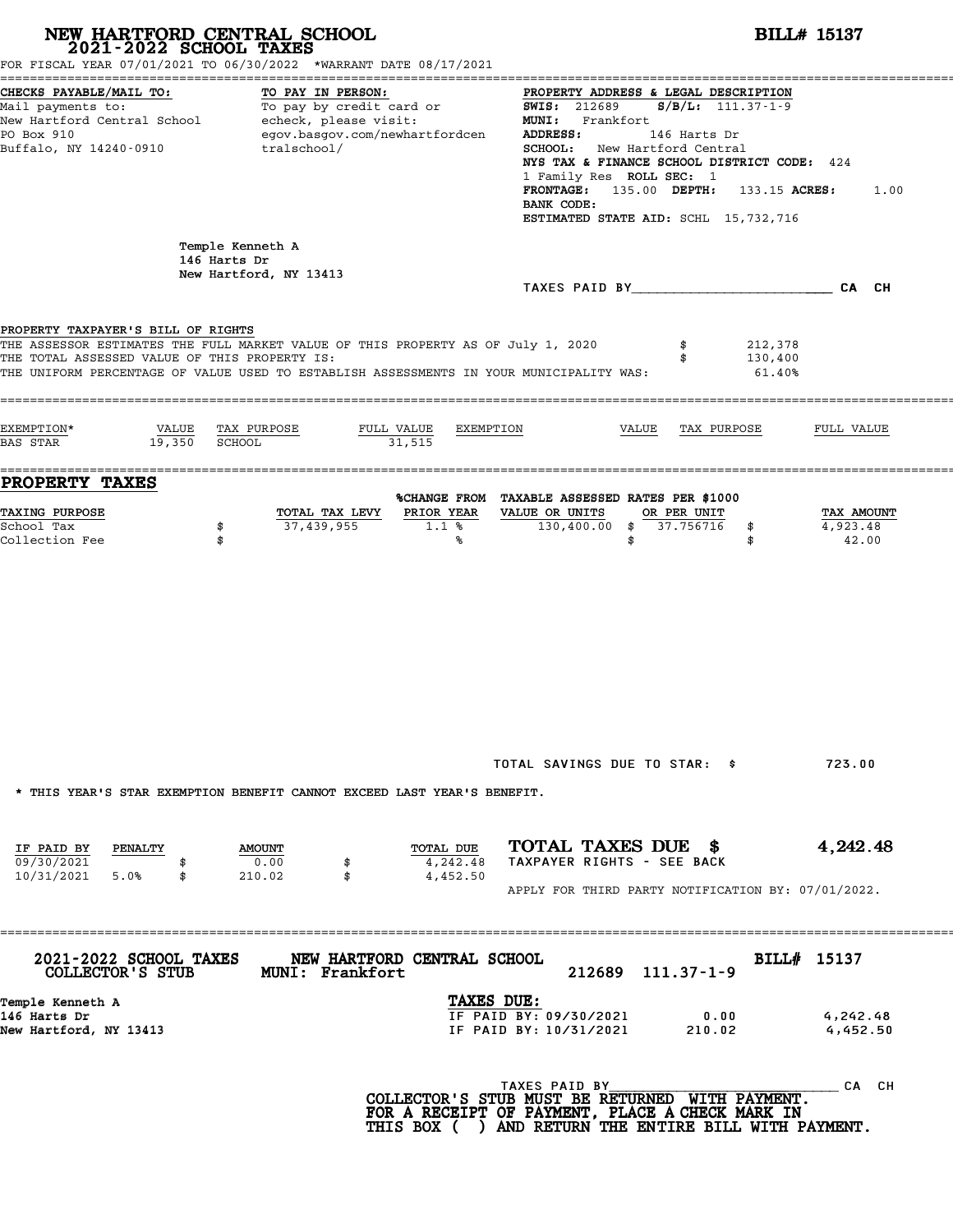| 2021-2022 SCHOOL TAXES                                                              | NEW HARTFORD CENTRAL SCHOOL<br>FOR FISCAL YEAR 07/01/2021 TO 06/30/2022 *WARRANT DATE 08/17/2021                                                                            |                                                                                                                                                                                                                                                                                                                                                                                                                                                                                                                                                                                | <b>BILL# 15137</b> |  |  |  |
|-------------------------------------------------------------------------------------|-----------------------------------------------------------------------------------------------------------------------------------------------------------------------------|--------------------------------------------------------------------------------------------------------------------------------------------------------------------------------------------------------------------------------------------------------------------------------------------------------------------------------------------------------------------------------------------------------------------------------------------------------------------------------------------------------------------------------------------------------------------------------|--------------------|--|--|--|
| CHECKS PAYABLE/MAIL TO:<br>PO Box 910<br>Buffalo, NY 14240-0910                     | TO PAY IN PERSON:<br>egov.basgov.com/newhartfordcen<br>tralschool/                                                                                                          | PROPERTY ADDRESS & LEGAL DESCRIPTION<br>Mail payments to:<br>Mail payments to: To pay by credit card or $\frac{1000 \text{ m} \cdot \text{m} \cdot \text{m} \cdot \text{m} \cdot \text{m} \cdot \text{m} \cdot \text{m}}{111.37 \cdot 1 \cdot 9}$<br>New Hartford Central School echeck, please visit: MUNI: Frankfort<br><b>ADDRESS:</b><br>146 Harts Dr<br><b>SCHOOL:</b> New Hartford Central<br>NYS TAX & FINANCE SCHOOL DISTRICT CODE: 424<br>1 Family Res ROLL SEC: 1<br>FRONTAGE: $135.00$ DEPTH: $133.15$ ACRES:<br>BANK CODE:<br>ESTIMATED STATE AID: SCHL 15,732,716 | 1.00               |  |  |  |
|                                                                                     | Temple Kenneth A<br>146 Harts Dr<br>New Hartford, NY 13413                                                                                                                  |                                                                                                                                                                                                                                                                                                                                                                                                                                                                                                                                                                                |                    |  |  |  |
| PROPERTY TAXPAYER'S BILL OF RIGHTS<br>THE TOTAL ASSESSED VALUE OF THIS PROPERTY IS: | THE ASSESSOR ESTIMATES THE FULL MARKET VALUE OF THIS PROPERTY AS OF July 1, 2020<br>THE UNIFORM PERCENTAGE OF VALUE USED TO ESTABLISH ASSESSMENTS IN YOUR MUNICIPALITY WAS: | 212,378<br>130,400<br>61.40%                                                                                                                                                                                                                                                                                                                                                                                                                                                                                                                                                   |                    |  |  |  |
| EXEMPTION*<br>19,350 SCHOOL<br><b>BAS STAR</b>                                      | VALUE TAX PURPOSE<br>FULL VALUE<br>31,515                                                                                                                                   | EXEMPTION<br>VALUE TAX PURPOSE<br>FULL VALUE                                                                                                                                                                                                                                                                                                                                                                                                                                                                                                                                   |                    |  |  |  |
| <b>PROPERTY TAXES</b><br><b>TAXING PURPOSE</b><br>School Tax<br>Collection Fee      | TOTAL TAX LEVY<br>PRIOR YEAR<br>37,439,955<br>1.1%<br>\$<br>\$<br>℁                                                                                                         | %CHANGE FROM TAXABLE ASSESSED RATES PER \$1000<br>VALUE OR UNITS<br>OR PER UNIT<br>TAX AMOUNT<br>130,400.00 \$ 37.756716<br>4,923.48<br>\$<br>42.00<br>\$<br>\$                                                                                                                                                                                                                                                                                                                                                                                                                |                    |  |  |  |
|                                                                                     | * THIS YEAR'S STAR EXEMPTION BENEFIT CANNOT EXCEED LAST YEAR'S BENEFIT.                                                                                                     | TOTAL SAVINGS DUE TO STAR: \$<br>723.00                                                                                                                                                                                                                                                                                                                                                                                                                                                                                                                                        |                    |  |  |  |
| IF PAID BY PENALTY<br>09/30/2021<br>10/31/2021 5.0%<br>\$                           | TOTAL DUE<br><b>AMOUNT</b><br>0.00<br>4,242.48<br>\$<br>\$<br>4,452.50<br>210.02                                                                                            | TOTAL TAXES DUE \$<br>4,242.48<br>TAXPAYER RIGHTS - SEE BACK<br>APPLY FOR THIRD PARTY NOTIFICATION BY: 07/01/2022.                                                                                                                                                                                                                                                                                                                                                                                                                                                             |                    |  |  |  |
| ===========<br>2021-2022 SCHOOL TAXES<br>COLLECTOR'S STUB                           | NEW HARTFORD CENTRAL SCHOOL<br><b>MUNI: Frankfort</b>                                                                                                                       | BILL# 15137<br>212689 111.37-1-9                                                                                                                                                                                                                                                                                                                                                                                                                                                                                                                                               |                    |  |  |  |
| Temple Kenneth A<br>146 Harts Dr<br>New Hartford, NY 13413                          |                                                                                                                                                                             | TAXES DUE:<br>IF PAID BY: 09/30/2021<br>0.00<br>4,242.48<br>IF PAID BY: 10/31/2021<br>210.02<br>4,452.50                                                                                                                                                                                                                                                                                                                                                                                                                                                                       |                    |  |  |  |
|                                                                                     |                                                                                                                                                                             | TAXES PAID BY<br>COLLECTOR'S STUB MUST BE RETURNED WITH PAYMENT.<br>FOR A RECEIPT OF PAYMENT, PLACE A CHECK MARK IN<br>THIS BOX ( ) AND RETURN THE ENTIRE BILL WITH PAYMENT.                                                                                                                                                                                                                                                                                                                                                                                                   | CA CH              |  |  |  |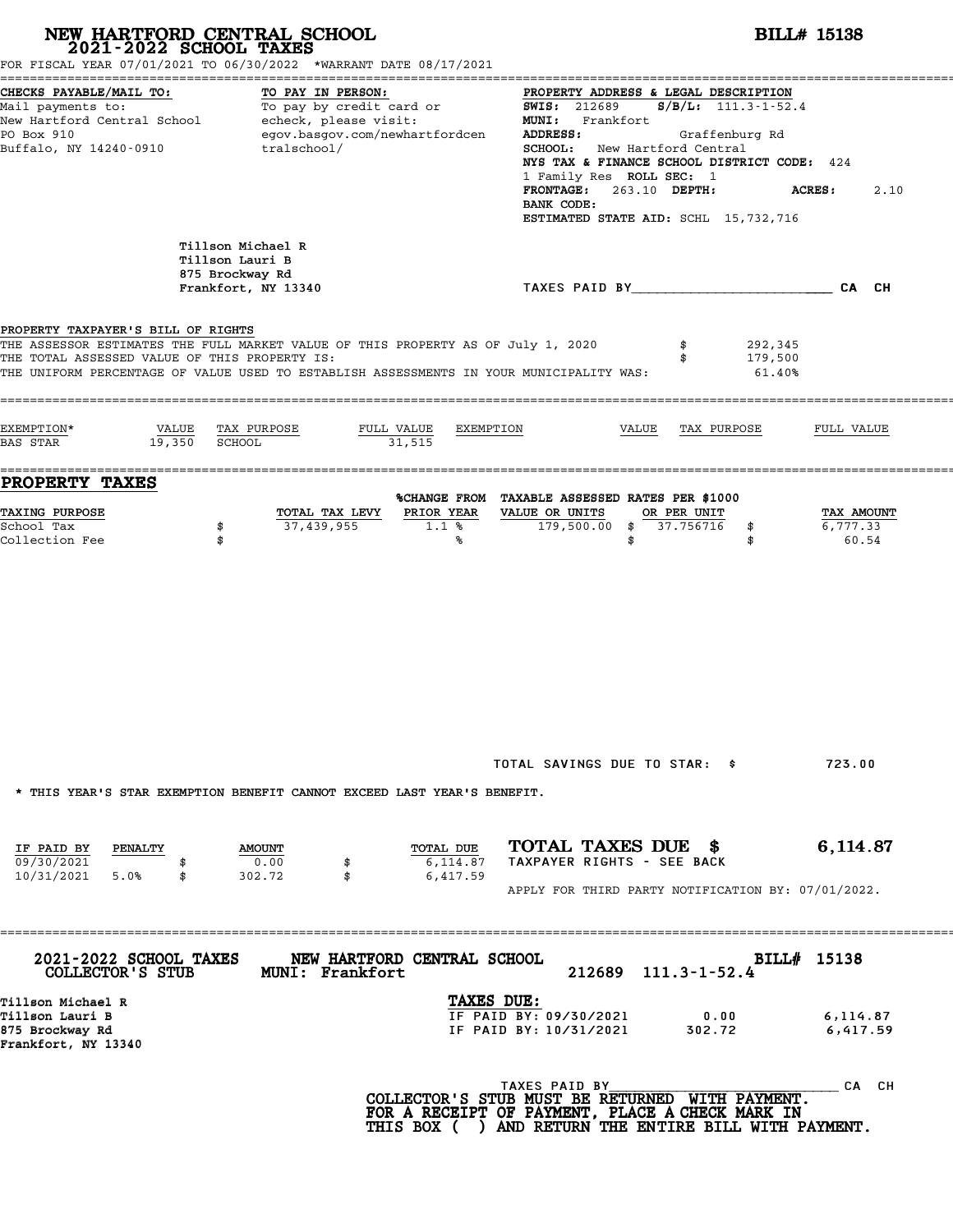|                                                                                     | NEW HARTFORD CENTRAL SCHOOL<br>2021-2022 SCHOOL TAXES<br>FOR FISCAL YEAR 07/01/2021 TO 06/30/2022 *WARRANT DATE 08/17/2021                                                  |                                                                                                                                                                                                                                    | <b>BILL# 15138</b>                                                                                                                        |  |  |  |  |
|-------------------------------------------------------------------------------------|-----------------------------------------------------------------------------------------------------------------------------------------------------------------------------|------------------------------------------------------------------------------------------------------------------------------------------------------------------------------------------------------------------------------------|-------------------------------------------------------------------------------------------------------------------------------------------|--|--|--|--|
| CHECKS PAYABLE/MAIL TO:<br>PO Box 910<br>Buffalo, NY 14240-0910                     | TO PAY IN PERSON:<br>Mail payments to:<br>Mail payments to:<br>New Hartford Central School echeck, please visit:<br>egov.basgov.com/newhartfordcen<br>tralschool/           | <b>SWIS: 212689</b><br>MUNI: Frankfort<br>Graffenburg Rd<br>ADDRESS:<br><b>SCHOOL:</b> New Hartford Central<br>1 Family Res ROLL SEC: 1<br>263.10 DEPTH:<br><b>FRONTAGE:</b><br>BANK CODE:<br>ESTIMATED STATE AID: SCHL 15,732,716 | PROPERTY ADDRESS & LEGAL DESCRIPTION<br>$S/B/L: 111.3 - 1 - 52.4$<br>NYS TAX & FINANCE SCHOOL DISTRICT CODE: 424<br><b>ACRES:</b><br>2.10 |  |  |  |  |
|                                                                                     | Tillson Michael R<br>Tillson Lauri B<br>875 Brockway Rd<br>Frankfort, NY 13340                                                                                              | TAXES PAID BY THE CALCULATION CALCH                                                                                                                                                                                                |                                                                                                                                           |  |  |  |  |
| PROPERTY TAXPAYER'S BILL OF RIGHTS<br>THE TOTAL ASSESSED VALUE OF THIS PROPERTY IS: | THE ASSESSOR ESTIMATES THE FULL MARKET VALUE OF THIS PROPERTY AS OF July 1, 2020<br>THE UNIFORM PERCENTAGE OF VALUE USED TO ESTABLISH ASSESSMENTS IN YOUR MUNICIPALITY WAS: | 292,345<br>179,500<br>61.40%                                                                                                                                                                                                       |                                                                                                                                           |  |  |  |  |
| EXEMPTION*<br>VALUE<br>19,350<br><b>BAS STAR</b>                                    | TAX PURPOSE<br>FULL VALUE<br><b>SCHOOL</b><br>31,515                                                                                                                        | EXEMPTION<br>VALUE<br>TAX PURPOSE                                                                                                                                                                                                  | FULL VALUE                                                                                                                                |  |  |  |  |
| PROPERTY TAXES                                                                      |                                                                                                                                                                             | %CHANGE FROM TAXABLE ASSESSED RATES PER \$1000                                                                                                                                                                                     |                                                                                                                                           |  |  |  |  |
| TAXING PURPOSE<br>School Tax<br>Collection Fee                                      | PRIOR YEAR<br>TOTAL TAX LEVY<br>37,439,955<br>\$<br>$1.1$ %<br>\$<br>℁                                                                                                      | VALUE OR UNITS<br>OR PER UNIT<br>179,500.00 \$ 37.756716<br>\$<br>\$<br>\$                                                                                                                                                         | TAX AMOUNT<br>6,777.33<br>60.54                                                                                                           |  |  |  |  |
|                                                                                     | * THIS YEAR'S STAR EXEMPTION BENEFIT CANNOT EXCEED LAST YEAR'S BENEFIT.                                                                                                     | TOTAL SAVINGS DUE TO STAR: \$                                                                                                                                                                                                      | 723.00                                                                                                                                    |  |  |  |  |
| IF PAID BY<br>PENALTY<br>09/30/2021<br>10/31/2021 5.0%<br>\$                        | TOTAL DUE<br><b>AMOUNT</b><br>0.00<br>6,114.87<br>\$<br>302.72<br>\$<br>6,417.59                                                                                            | TOTAL TAXES DUE \$<br>TAXPAYER RIGHTS - SEE BACK<br>APPLY FOR THIRD PARTY NOTIFICATION BY: 07/01/2022.                                                                                                                             | 6,114.87                                                                                                                                  |  |  |  |  |
|                                                                                     |                                                                                                                                                                             |                                                                                                                                                                                                                                    |                                                                                                                                           |  |  |  |  |
| 2021-2022 SCHOOL TAXES<br>COLLECTOR'S STUB                                          | NEW HARTFORD CENTRAL SCHOOL<br>MUNI: Frankfort                                                                                                                              | $111.3 - 1 - 52.4$<br>212689                                                                                                                                                                                                       | BILL# 15138                                                                                                                               |  |  |  |  |
| Tillson Michael R<br>Tillson Lauri B<br>875 Brockway Rd<br>Frankfort, NY 13340      |                                                                                                                                                                             | TAXES DUE:<br>IF PAID BY: 09/30/2021<br>0.00<br>IF PAID BY: 10/31/2021<br>302.72                                                                                                                                                   | 6,114.87<br>6,417.59                                                                                                                      |  |  |  |  |
|                                                                                     |                                                                                                                                                                             |                                                                                                                                                                                                                                    |                                                                                                                                           |  |  |  |  |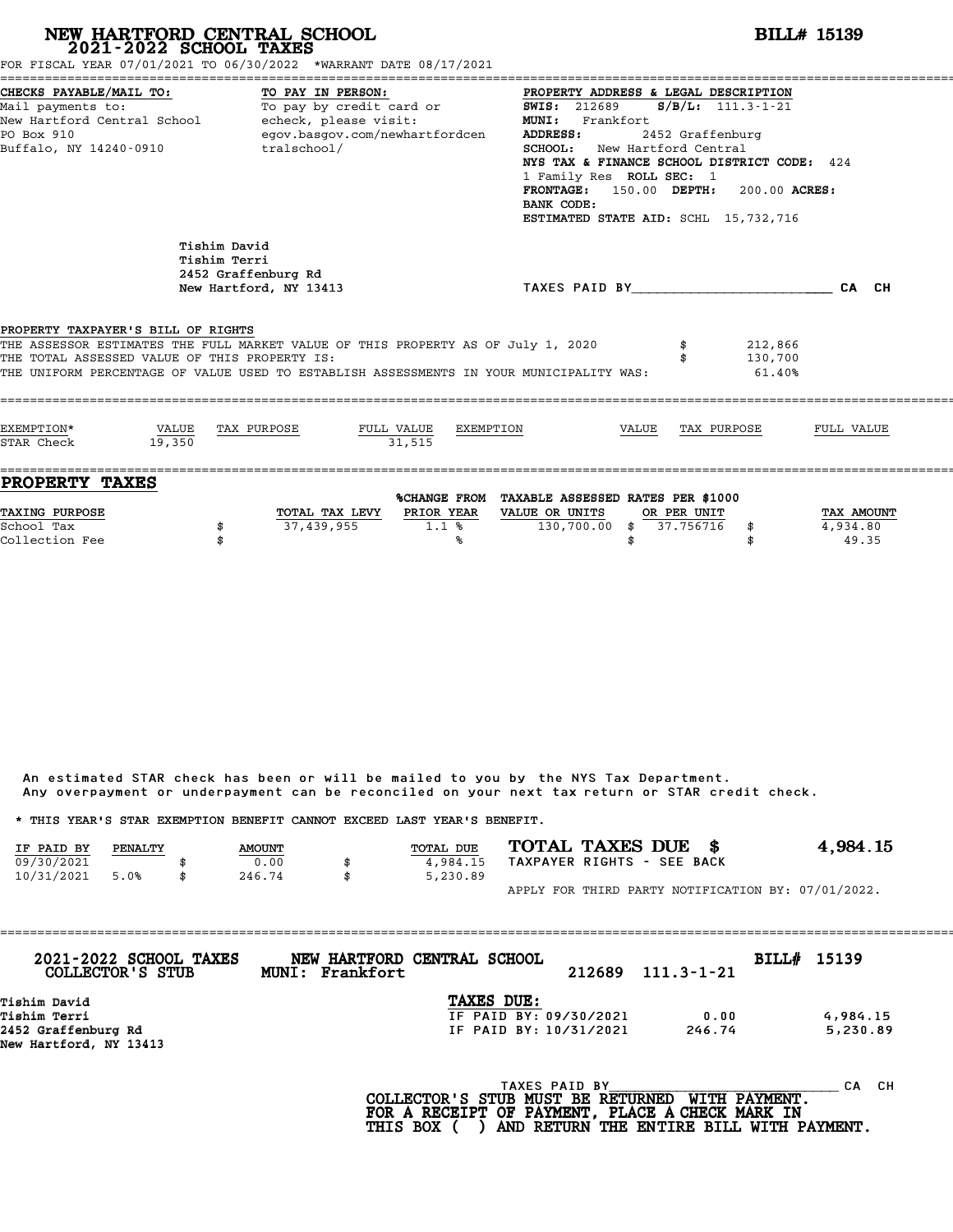# **NEW HARTFORD CENTRAL SCHOOL**<br>
2021-2022 SCHOOL TAXES<br>
FOR FISCAL YEAR 07/01/2021 TO 06/30/2022 \*WARRANT DATE 08/17/2021<br> **2021-2022** TO 06/30/2022 \*WARRANT DATE 08/17/2021

| CHECKS PAYABLE/MAIL TO:<br>TO PAY IN PERSON:<br>PROPERTY ADDRESS & LEGAL DESCRIPTION<br>To pay by credit card or<br>Mail payments to:<br>$S/B/L$ : 111.3-1-21<br><b>SWIS:</b> 212689<br>New Hartford Central School - echeck, please visit:<br><b>MUNI:</b><br>Frankfort<br>egov.basgov.com/newhartfordcen<br>PO Box 910<br>ADDRESS:<br>2452 Graffenburg<br>tralschool/<br>Buffalo, NY 14240-0910<br>SCHOOL: New Hartford Central<br>NYS TAX & FINANCE SCHOOL DISTRICT CODE: 424<br>1 Family Res ROLL SEC: 1<br>FRONTAGE: 150.00 DEPTH: 200.00 ACRES:<br>BANK CODE:<br>ESTIMATED STATE AID: SCHL 15,732,716<br>Tishim David<br>Tishim Terri<br>2452 Graffenburg Rd<br>TAXES PAID BY CA CH<br>New Hartford, NY 13413<br>PROPERTY TAXPAYER'S BILL OF RIGHTS<br>THE ASSESSOR ESTIMATES THE FULL MARKET VALUE OF THIS PROPERTY AS OF July 1, 2020<br>212,866<br>THE TOTAL ASSESSED VALUE OF THIS PROPERTY IS:<br>130,700<br>THE UNIFORM PERCENTAGE OF VALUE USED TO ESTABLISH ASSESSMENTS IN YOUR MUNICIPALITY WAS:<br>61.40%<br>EXEMPTION*<br>VALUE<br>TAX PURPOSE<br>FULL VALUE EXEMPTION<br>VALUE<br>TAX PURPOSE<br>FULL VALUE<br>31.515<br>STAR Check<br>19.350<br><b>PROPERTY TAXES</b><br>%CHANGE FROM TAXABLE ASSESSED RATES PER \$1000<br>TOTAL TAX LEVY PRIOR YEAR<br><b>TAXING PURPOSE</b><br>VALUE OR UNITS<br>OR PER UNIT<br>TAX AMOUNT<br>37,439,955<br>130,700.00 \$ 37.756716 \$<br>School Tax<br>1.1%<br>4,934.80<br>\$<br>Collection Fee<br>℁ | FOR FISCAL YEAR 07/01/2021 TO 06/30/2022 *WARRANT DATE 08/17/2021 |             |
|------------------------------------------------------------------------------------------------------------------------------------------------------------------------------------------------------------------------------------------------------------------------------------------------------------------------------------------------------------------------------------------------------------------------------------------------------------------------------------------------------------------------------------------------------------------------------------------------------------------------------------------------------------------------------------------------------------------------------------------------------------------------------------------------------------------------------------------------------------------------------------------------------------------------------------------------------------------------------------------------------------------------------------------------------------------------------------------------------------------------------------------------------------------------------------------------------------------------------------------------------------------------------------------------------------------------------------------------------------------------------------------------------------------------------------------------------------|-------------------------------------------------------------------|-------------|
|                                                                                                                                                                                                                                                                                                                                                                                                                                                                                                                                                                                                                                                                                                                                                                                                                                                                                                                                                                                                                                                                                                                                                                                                                                                                                                                                                                                                                                                            |                                                                   |             |
|                                                                                                                                                                                                                                                                                                                                                                                                                                                                                                                                                                                                                                                                                                                                                                                                                                                                                                                                                                                                                                                                                                                                                                                                                                                                                                                                                                                                                                                            |                                                                   |             |
|                                                                                                                                                                                                                                                                                                                                                                                                                                                                                                                                                                                                                                                                                                                                                                                                                                                                                                                                                                                                                                                                                                                                                                                                                                                                                                                                                                                                                                                            |                                                                   |             |
|                                                                                                                                                                                                                                                                                                                                                                                                                                                                                                                                                                                                                                                                                                                                                                                                                                                                                                                                                                                                                                                                                                                                                                                                                                                                                                                                                                                                                                                            |                                                                   |             |
|                                                                                                                                                                                                                                                                                                                                                                                                                                                                                                                                                                                                                                                                                                                                                                                                                                                                                                                                                                                                                                                                                                                                                                                                                                                                                                                                                                                                                                                            |                                                                   | \$<br>49.35 |

An estimated STAR check has been or will be mailed to you by the NYS Tax Department. An estimated STAR check has been or will be mailed to you by the NYS Tax Department.<br>Any overpayment or underpayment can be reconciled on your next tax return or STAR credit check.

|            |         |               | Any overpayment or underpayment can be reconciled on your next tax return or STAR credit check. |                            |                                                    |
|------------|---------|---------------|-------------------------------------------------------------------------------------------------|----------------------------|----------------------------------------------------|
|            |         |               | * THIS YEAR'S STAR EXEMPTION BENEFIT CANNOT EXCEED LAST YEAR'S BENEFIT.                         |                            |                                                    |
| IF PAID BY | PENALTY | <b>AMOUNT</b> | <b>TOTAL DUE</b>                                                                                | TOTAL TAXES DUE \$         | 4.984.15                                           |
| 09/30/2021 |         | 0.00          | 4,984.15                                                                                        | TAXPAYER RIGHTS - SEE BACK |                                                    |
| 10/31/2021 | 5.0%    | \$<br>246.74  | \$<br>5,230.89                                                                                  |                            |                                                    |
|            |         |               |                                                                                                 |                            | APPLY FOR THIRD PARTY NOTIFICATION BY: 07/01/2022. |

| 2021-2022 SCHOOL TAXES<br>COLLECTOR'S STUB | NEW HARTFORD CENTRAL SCHOOL<br>MUNI: Frankfort | 212689                 | $111.3 - 1 - 21$ | BILL# 15139 |          |
|--------------------------------------------|------------------------------------------------|------------------------|------------------|-------------|----------|
| Tishim David                               |                                                | TAXES DUE:             |                  |             |          |
| Tishim Terri                               |                                                | IF PAID BY: 09/30/2021 | 0.00             |             | 4,984.15 |
| 2452 Graffenburg Rd                        |                                                | IF PAID BY: 10/31/2021 | 246.74           |             | 5,230.89 |
| New Hartford, NY 13413                     |                                                |                        |                  |             |          |
|                                            |                                                | TAXES PAID BY          |                  | CА          | CH.      |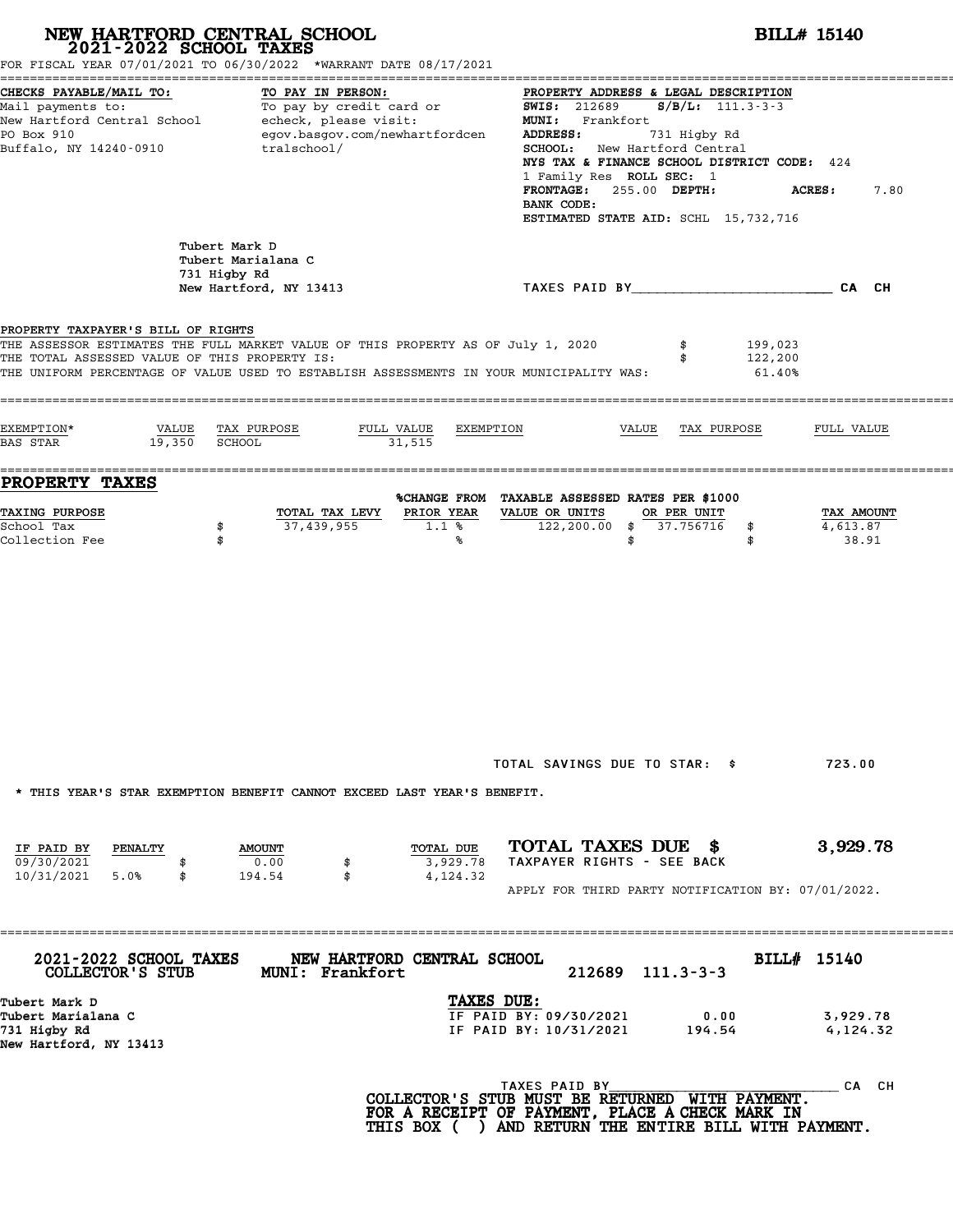|                                                                                     | NEW HARTFORD CENTRAL SCHOOL 2021-2022 SCHOOL TAXES<br>FOR FISCAL YEAR 07/01/2021 TO 06/30/2022 *WARRANT DATE 08/17/2021                                                     | <b>BILL# 15140</b>                                                                                                                                                                                                                                                                                                                                     |                                 |  |  |
|-------------------------------------------------------------------------------------|-----------------------------------------------------------------------------------------------------------------------------------------------------------------------------|--------------------------------------------------------------------------------------------------------------------------------------------------------------------------------------------------------------------------------------------------------------------------------------------------------------------------------------------------------|---------------------------------|--|--|
| CHECKS PAYABLE/MAIL TO:<br>PO Box 910<br>Buffalo, NY 14240-0910                     | TO PAY IN PERSON:<br>Mail payments to: To pay by credit card or<br>New Hartford Central School echeck, please visit:<br>egov.basgov.com/newhartfordcen<br>tralschool/       | PROPERTY ADDRESS & LEGAL DESCRIPTION<br><b>SWIS: 212689</b><br>$S/B/L$ : 111.3-3-3<br>MUNI: Frankfort<br>ADDRESS:<br>731 Higby Rd<br>SCHOOL: New Hartford Central<br>NYS TAX & FINANCE SCHOOL DISTRICT CODE: 424<br>1 Family Res ROLL SEC: 1<br>FRONTAGE: 255.00 DEPTH:<br><b>ACRES:</b><br>7.80<br>BANK CODE:<br>ESTIMATED STATE AID: SCHL 15,732,716 |                                 |  |  |
|                                                                                     | Tubert Mark D<br>Tubert Marialana C<br>731 Higby Rd<br>New Hartford, NY 13413                                                                                               | TAXES PAID BY TAND AND TAXES PAID BY                                                                                                                                                                                                                                                                                                                   |                                 |  |  |
| PROPERTY TAXPAYER'S BILL OF RIGHTS<br>THE TOTAL ASSESSED VALUE OF THIS PROPERTY IS: | THE ASSESSOR ESTIMATES THE FULL MARKET VALUE OF THIS PROPERTY AS OF July 1, 2020<br>THE UNIFORM PERCENTAGE OF VALUE USED TO ESTABLISH ASSESSMENTS IN YOUR MUNICIPALITY WAS: | 199,023<br>\$<br>122,200<br>\$<br>61.40%                                                                                                                                                                                                                                                                                                               |                                 |  |  |
| EXEMPTION*<br>19,350 SCHOOL<br>BAS STAR                                             | VALUE TAX PURPOSE<br>FULL VALUE<br>EXEMPTION<br>31,515                                                                                                                      | VALUE<br>TAX PURPOSE                                                                                                                                                                                                                                                                                                                                   | FULL VALUE                      |  |  |
| PROPERTY TAXES<br><b>TAXING PURPOSE</b><br>School Tax<br>\$<br>Collection Fee<br>\$ | PRIOR YEAR<br>TOTAL TAX LEVY<br>37,439,955<br>1.1%<br>℁                                                                                                                     | %CHANGE FROM TAXABLE ASSESSED RATES PER \$1000<br>VALUE OR UNITS<br>OR PER UNIT<br>122,200.00 \$ 37.756716<br>\$<br>\$<br>\$                                                                                                                                                                                                                           | TAX AMOUNT<br>4,613.87<br>38.91 |  |  |
|                                                                                     | * THIS YEAR'S STAR EXEMPTION BENEFIT CANNOT EXCEED LAST YEAR'S BENEFIT.<br>TOTAL DUE                                                                                        | TOTAL SAVINGS DUE TO STAR: \$<br>TOTAL TAXES DUE \$                                                                                                                                                                                                                                                                                                    | 723.00<br>3,929.78              |  |  |
| IF PAID BY<br>PENALTY<br>09/30/2021<br>5.0%<br>10/31/2021<br>\$                     | <b>AMOUNT</b><br>0.00<br>3,929.78<br>194.54<br>\$<br>4,124.32                                                                                                               | TAXPAYER RIGHTS - SEE BACK<br>APPLY FOR THIRD PARTY NOTIFICATION BY: 07/01/2022.                                                                                                                                                                                                                                                                       |                                 |  |  |
| 2021-2022 SCHOOL TAXES<br>COLLECTOR'S STUB<br>Tubert Mark D                         | NEW HARTFORD CENTRAL SCHOOL<br>MUNI: Frankfort<br>TAXES DUE:                                                                                                                | BILL# 15140<br>$212689$ $111.3-3-3$                                                                                                                                                                                                                                                                                                                    |                                 |  |  |
| Tubert Marialana C<br>731 Higby Rd                                                  |                                                                                                                                                                             | IF PAID BY: 09/30/2021<br>0.00<br>IF PAID BY: 10/31/2021<br>194.54                                                                                                                                                                                                                                                                                     | 3,929.78<br>4,124.32            |  |  |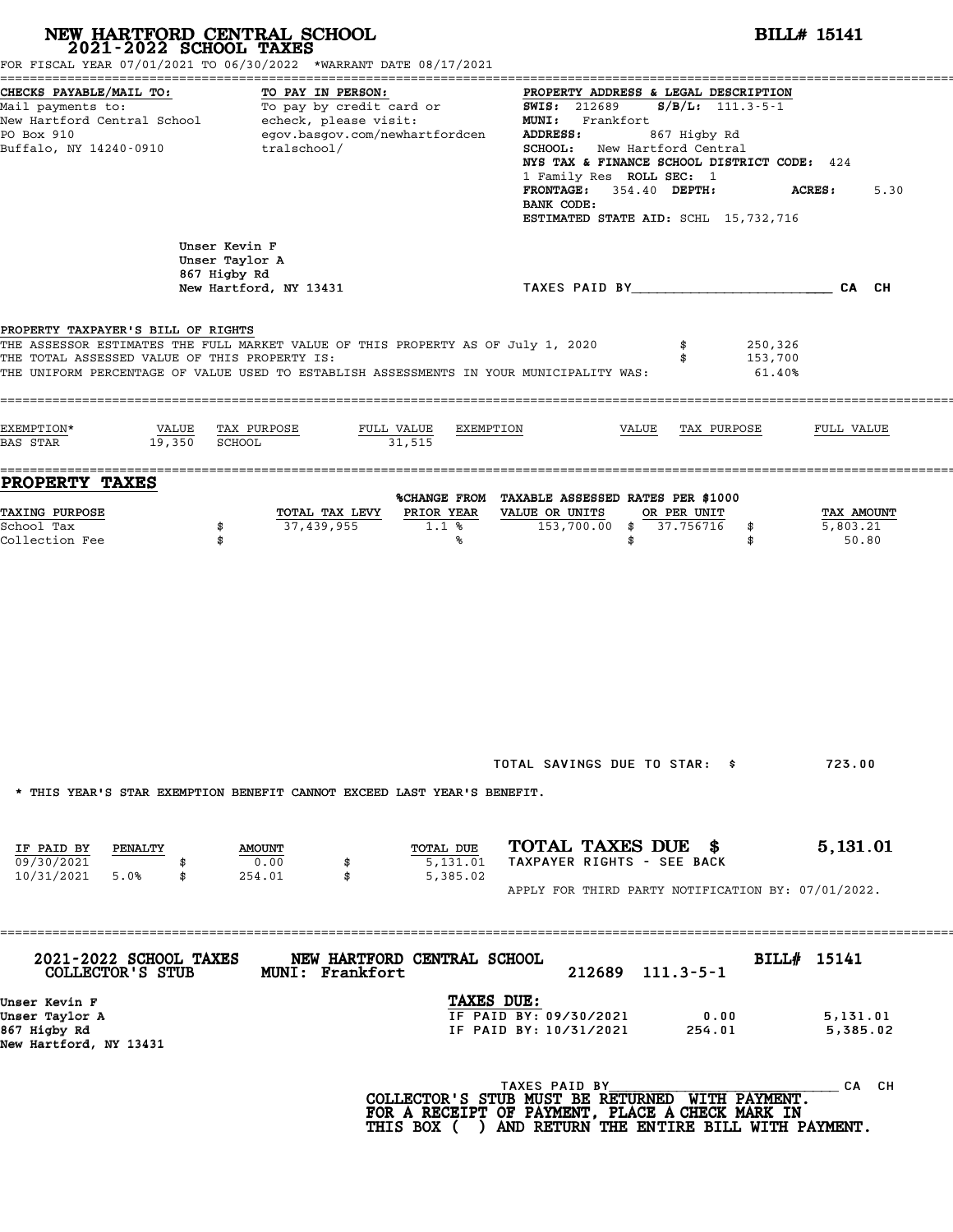|                                                                                     | NEW HARTFORD CENTRAL SCHOOL<br>2021-2022 SCHOOL TAXES<br>FOR FISCAL YEAR 07/01/2021 TO 06/30/2022 *WARRANT DATE 08/17/2021                                                                     |                                                                                                                                                                                                                      | <b>BILL# 15141</b>                                                                                                                                   |  |  |  |
|-------------------------------------------------------------------------------------|------------------------------------------------------------------------------------------------------------------------------------------------------------------------------------------------|----------------------------------------------------------------------------------------------------------------------------------------------------------------------------------------------------------------------|------------------------------------------------------------------------------------------------------------------------------------------------------|--|--|--|
| CHECKS PAYABLE/MAIL TO:<br>PO Box 910<br>Buffalo, NY 14240-0910                     | TO PAY IN PERSON:<br>Mail payments to: To pay by credit card<br>New Hartford Central School echeck, please visit:<br>To pay by credit card or<br>egov.basgov.com/newhartfordcen<br>tralschool/ | $S/B/L: 111.3-5-1$<br><b>SWIS: 212689</b><br><b>MUNI:</b><br>Frankfort<br>ADDRESS:<br>867 Higby Rd<br>SCHOOL:<br>New Hartford Central<br>1 Family Res ROLL SEC: 1<br>354.40 DEPTH:<br><b>FRONTAGE:</b><br>BANK CODE: | PROPERTY ADDRESS & LEGAL DESCRIPTION<br>NYS TAX & FINANCE SCHOOL DISTRICT CODE: 424<br><b>ACRES:</b><br>5.30<br>ESTIMATED STATE AID: SCHL 15,732,716 |  |  |  |
|                                                                                     | Unser Kevin F<br>Unser Taylor A<br>867 Higby Rd<br>New Hartford, NY 13431                                                                                                                      | TAXES PAID BY___________________________CA CH                                                                                                                                                                        |                                                                                                                                                      |  |  |  |
| PROPERTY TAXPAYER'S BILL OF RIGHTS<br>THE TOTAL ASSESSED VALUE OF THIS PROPERTY IS: | THE ASSESSOR ESTIMATES THE FULL MARKET VALUE OF THIS PROPERTY AS OF July 1, 2020<br>THE UNIFORM PERCENTAGE OF VALUE USED TO ESTABLISH ASSESSMENTS IN YOUR MUNICIPALITY WAS:                    | 250,326<br>\$<br>153,700<br>\$<br>61.40%                                                                                                                                                                             |                                                                                                                                                      |  |  |  |
| EXEMPTION*<br>VALUE<br>19,350<br><b>BAS STAR</b>                                    | TAX PURPOSE<br>FULL VALUE<br>SCHOOL<br>31,515                                                                                                                                                  | EXEMPTION<br>VALUE<br>TAX PURPOSE                                                                                                                                                                                    | FULL VALUE                                                                                                                                           |  |  |  |
| <b>PROPERTY TAXES</b><br>TAXING PURPOSE<br>School Tax<br>Collection Fee             | PRIOR YEAR<br>TOTAL TAX LEVY<br>37,439,955<br>\$<br>1.1%<br>\$<br>℁                                                                                                                            | %CHANGE FROM TAXABLE ASSESSED RATES PER \$1000<br>VALUE OR UNITS<br>OR PER UNIT<br>153,700.00 \$<br>37.756716<br>\$<br>\$<br>\$                                                                                      | TAX AMOUNT<br>5,803.21<br>50.80                                                                                                                      |  |  |  |
| IF PAID BY<br>PENALTY<br>09/30/2021                                                 | * THIS YEAR'S STAR EXEMPTION BENEFIT CANNOT EXCEED LAST YEAR'S BENEFIT.<br>TOTAL DUE<br><b>AMOUNT</b><br>0.00<br>5,131.01<br>\$                                                                | TOTAL SAVINGS DUE TO STAR: \$<br>TOTAL TAXES DUE \$<br>TAXPAYER RIGHTS - SEE BACK                                                                                                                                    | 723.00<br>5,131.01                                                                                                                                   |  |  |  |
| 10/31/2021<br>5.0%<br>\$                                                            | \$<br>5,385.02<br>254.01                                                                                                                                                                       | APPLY FOR THIRD PARTY NOTIFICATION BY: 07/01/2022.                                                                                                                                                                   |                                                                                                                                                      |  |  |  |
| 2021-2022 SCHOOL TAXES<br>COLLECTOR'S STUB<br>Unser Kevin F<br>Unser Taylor A       | NEW HARTFORD CENTRAL SCHOOL<br>MUNI: Frankfort                                                                                                                                                 | $212689$ $111.3-5-1$<br>TAXES DUE:<br>IF PAID BY: 09/30/2021<br>0.00<br>IF PAID BY: 10/31/2021                                                                                                                       | BILL# 15141<br>5,131.01                                                                                                                              |  |  |  |
| 867 Higby Rd<br>New Hartford, NY 13431                                              |                                                                                                                                                                                                | 254.01<br>TAXES PAID BY<br>COLLECTOR'S STUB MUST BE RETURNED WITH PAYMENT.<br>FOR A RECEIPT OF PAYMENT, PLACE A CHECK MARK IN<br>THIS BOX ( ) AND RETURN THE ENTIRE BILL WITH PAYMENT.                               | 5,385.02<br>CA CH                                                                                                                                    |  |  |  |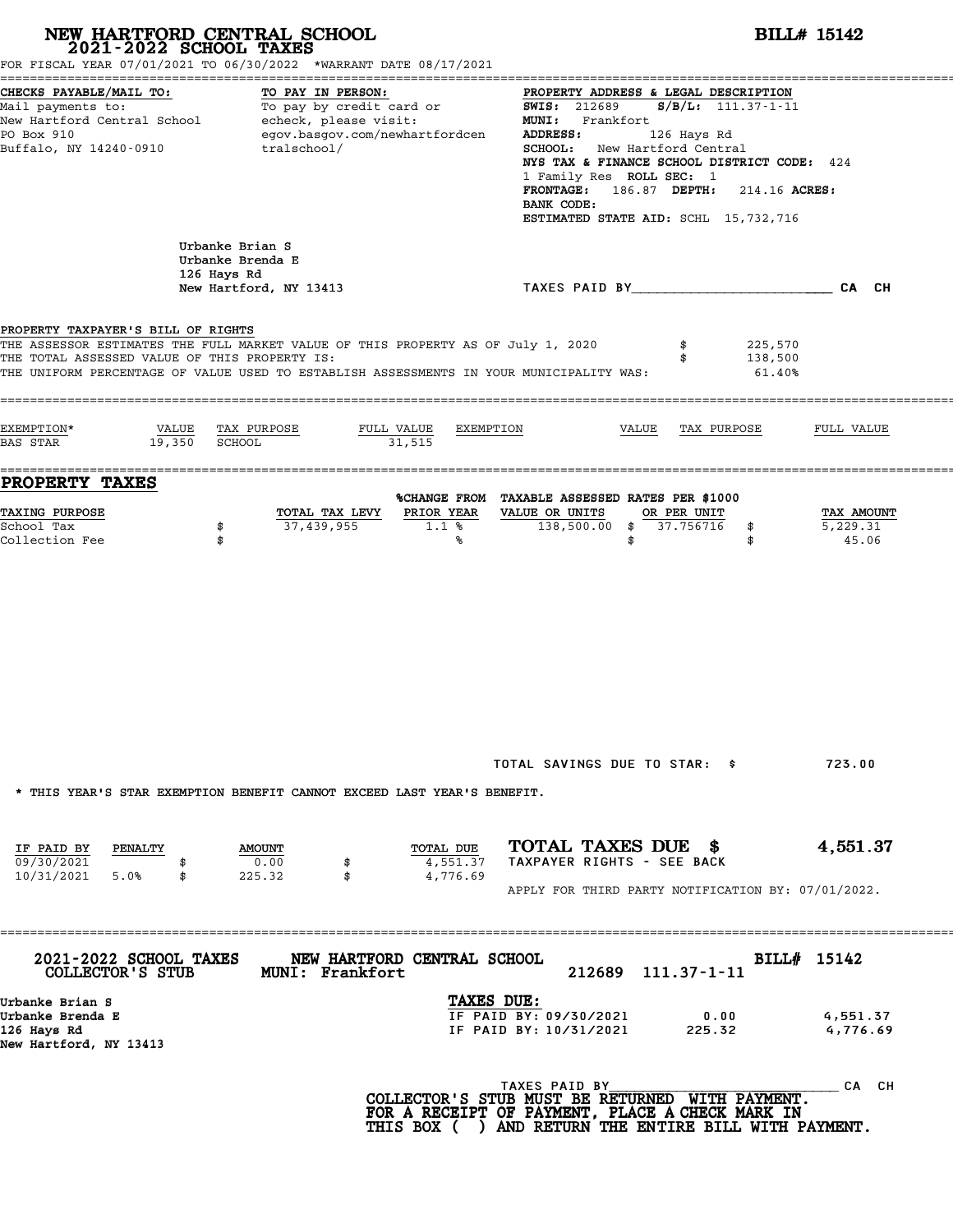# **NEW HARTFORD CENTRAL SCHOOL**<br>
2021-2022 SCHOOL TAXES<br>
FOR FISCAL YEAR 07/01/2021 TO 06/30/2022 \*WARRANT DATE 08/17/2021<br> **2021-2022** TO 06/30/2022 \*WARRANT DATE 08/17/2021

| FOR FISCAL YEAR 07/01/2021 TO 06/30/2022 *WARRANT DATE 08/17/2021                                                                                                                                                                                                  |                                                                                       |                                   |                                                                                                                                                                              |                                                                                                                                                                                                                              |                                 |
|--------------------------------------------------------------------------------------------------------------------------------------------------------------------------------------------------------------------------------------------------------------------|---------------------------------------------------------------------------------------|-----------------------------------|------------------------------------------------------------------------------------------------------------------------------------------------------------------------------|------------------------------------------------------------------------------------------------------------------------------------------------------------------------------------------------------------------------------|---------------------------------|
| CHECKS PAYABLE/MAIL TO:<br>Mail payments to:<br>New Hartford Central School<br>PO Box 910<br>Buffalo, NY 14240-0910                                                                                                                                                | TO PAY IN PERSON:<br>To pay by credit card or<br>echeck, please visit:<br>tralschool/ | egov.basgov.com/newhartfordcen    | <b>SWIS: 212689</b><br>MUNI: Frankfort<br>ADDRESS:<br><b>SCHOOL:</b><br>1 Family Res ROLL SEC: 1<br><b>FRONTAGE:</b><br>BANK CODE:                                           | PROPERTY ADDRESS & LEGAL DESCRIPTION<br>$S/B/L: 111.37-1-11$<br>126 Hays Rd<br>New Hartford Central<br>NYS TAX & FINANCE SCHOOL DISTRICT CODE: 424<br>186.87 DEPTH:<br>214.16 ACRES:<br>ESTIMATED STATE AID: SCHL 15,732,716 |                                 |
|                                                                                                                                                                                                                                                                    | Urbanke Brian S<br>Urbanke Brenda E<br>126 Hays Rd<br>New Hartford, NY 13413          |                                   |                                                                                                                                                                              | TAXES PAID BY TAND AND TAXES PAID BY                                                                                                                                                                                         | CA CH                           |
| PROPERTY TAXPAYER'S BILL OF RIGHTS<br>THE ASSESSOR ESTIMATES THE FULL MARKET VALUE OF THIS PROPERTY AS OF July 1, 2020<br>THE TOTAL ASSESSED VALUE OF THIS PROPERTY IS:<br>THE UNIFORM PERCENTAGE OF VALUE USED TO ESTABLISH ASSESSMENTS IN YOUR MUNICIPALITY WAS: |                                                                                       |                                   |                                                                                                                                                                              | 225,570<br>138,500<br>61.40%                                                                                                                                                                                                 |                                 |
| EXEMPTION*<br>VALUE<br>19,350<br>BAS STAR                                                                                                                                                                                                                          | TAX PURPOSE<br><b>SCHOOL</b>                                                          | FULL VALUE<br>EXEMPTION<br>31,515 | VALUE                                                                                                                                                                        | TAX PURPOSE                                                                                                                                                                                                                  | FULL VALUE                      |
| <b>PROPERTY TAXES</b><br>TAXING PURPOSE<br>School Tax<br>Collection Fee                                                                                                                                                                                            | TOTAL TAX LEVY<br>37,439,955<br>\$<br>\$                                              | PRIOR YEAR<br>1.1%<br>℁           | %CHANGE FROM TAXABLE ASSESSED RATES PER \$1000<br>VALUE OR UNITS<br>138,500.00<br>\$<br>\$                                                                                   | OR PER UNIT<br>37.756716<br>\$<br>\$                                                                                                                                                                                         | TAX AMOUNT<br>5,229.31<br>45.06 |
| * THIS YEAR'S STAR EXEMPTION BENEFIT CANNOT EXCEED LAST YEAR'S BENEFIT.                                                                                                                                                                                            |                                                                                       |                                   | TOTAL SAVINGS DUE TO STAR: \$                                                                                                                                                |                                                                                                                                                                                                                              | 723.00                          |
| IF PAID BY<br>PENALTY<br>09/30/2021<br>10/31/2021<br>5.0%<br>\$                                                                                                                                                                                                    | <b>AMOUNT</b><br>0.00<br>\$<br>\$<br>225.32                                           | TOTAL DUE<br>4,551.37<br>4,776.69 | TOTAL TAXES DUE \$<br>TAXPAYER RIGHTS - SEE BACK<br>APPLY FOR THIRD PARTY NOTIFICATION BY: 07/01/2022.                                                                       |                                                                                                                                                                                                                              | 4,551.37                        |
| 2021-2022 SCHOOL TAXES<br>COLLECTOR'S STUB                                                                                                                                                                                                                         | ;===============================<br><b>MUNI: Frankfort</b>                            | NEW HARTFORD CENTRAL SCHOOL       | 212689                                                                                                                                                                       | $111.37 - 1 - 11$                                                                                                                                                                                                            | BILL# 15142                     |
| Urbanke Brian S<br>Urbanke Brenda E<br>126 Hays Rd<br>New Hartford, NY 13413                                                                                                                                                                                       |                                                                                       | TAXES DUE:                        | IF PAID BY: 09/30/2021<br>IF PAID BY: 10/31/2021                                                                                                                             | 0.00<br>225.32                                                                                                                                                                                                               | 4,551.37<br>4,776.69            |
|                                                                                                                                                                                                                                                                    |                                                                                       |                                   | TAXES PAID BY<br>COLLECTOR'S STUB MUST BE RETURNED WITH PAYMENT.<br>FOR A RECEIPT OF PAYMENT, PLACE A CHECK MARK IN<br>THIS BOX ( ) AND RETURN THE ENTIRE BILL WITH PAYMENT. |                                                                                                                                                                                                                              | CA CH                           |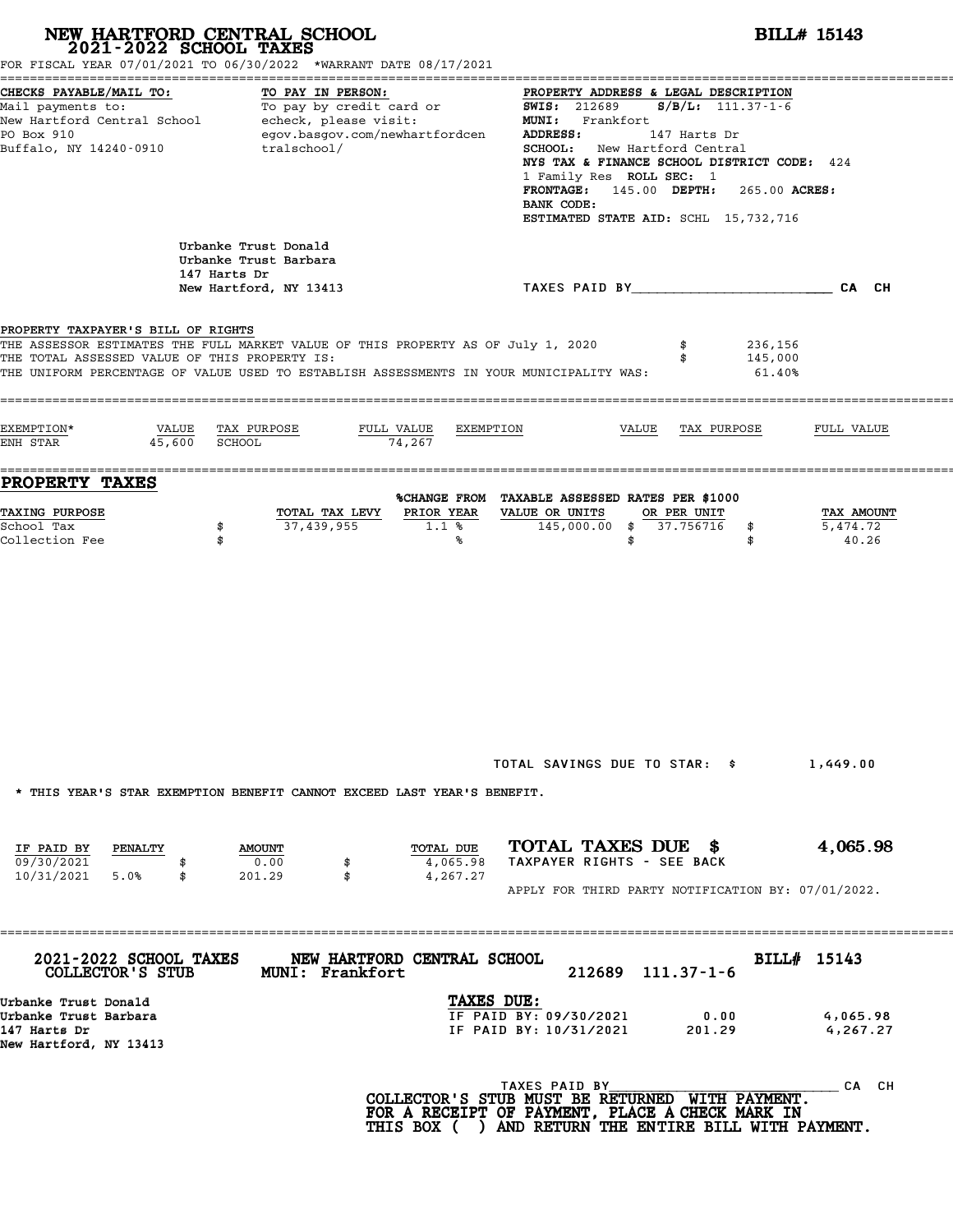|                                                                                                             | NEW HARTFORD CENTRAL SCHOOL 2021-2022 SCHOOL TAXES<br>FOR FISCAL YEAR 07/01/2021 TO 06/30/2022 *WARRANT DATE 08/17/2021                                                     |                                                                                                                                                                                                                                                                                                                                             | <b>BILL# 15143</b>                  |
|-------------------------------------------------------------------------------------------------------------|-----------------------------------------------------------------------------------------------------------------------------------------------------------------------------|---------------------------------------------------------------------------------------------------------------------------------------------------------------------------------------------------------------------------------------------------------------------------------------------------------------------------------------------|-------------------------------------|
| CHECKS PAYABLE/MAIL TO:<br>PO Box 910<br>Buffalo, NY 14240-0910                                             | TO PAY IN PERSON:<br>Mail payments to:<br>Mail payments to:<br>New Hartford Central School echeck, please visit:<br>egov.basgov.com/newhartfordcen<br>tralschool/           | PROPERTY ADDRESS & LEGAL DESCRIPTION<br><b>SWIS: 212689</b><br>$S/B/L: 111.37-1-6$<br>MUNI: Frankfort<br>ADDRESS:<br>147 Harts Dr<br>SCHOOL: New Hartford Central<br>NYS TAX & FINANCE SCHOOL DISTRICT CODE: 424<br>1 Family Res ROLL SEC: 1<br>FRONTAGE: 145.00 DEPTH: 265.00 ACRES:<br>BANK CODE:<br>ESTIMATED STATE AID: SCHL 15,732,716 |                                     |
|                                                                                                             | Urbanke Trust Donald<br>Urbanke Trust Barbara<br>147 Harts Dr<br>New Hartford, NY 13413                                                                                     | TAXES PAID BY CA CH                                                                                                                                                                                                                                                                                                                         |                                     |
| PROPERTY TAXPAYER'S BILL OF RIGHTS<br>THE TOTAL ASSESSED VALUE OF THIS PROPERTY IS:<br>=============        | THE ASSESSOR ESTIMATES THE FULL MARKET VALUE OF THIS PROPERTY AS OF July 1, 2020<br>THE UNIFORM PERCENTAGE OF VALUE USED TO ESTABLISH ASSESSMENTS IN YOUR MUNICIPALITY WAS: | 236,156<br>145,000<br>$61.40\%$                                                                                                                                                                                                                                                                                                             |                                     |
| EXEMPTION*<br>VALUE<br>45,600 SCHOOL<br>ENH STAR                                                            | TAX PURPOSE<br>FULL VALUE<br>EXEMPTION<br>74,267                                                                                                                            | VALUE<br>TAX PURPOSE                                                                                                                                                                                                                                                                                                                        | FULL VALUE                          |
| PROPERTY TAXES<br>TAXING PURPOSE<br>School Tax<br>Collection Fee                                            | PRIOR YEAR<br>TOTAL TAX LEVY<br>37,439,955<br>\$<br>1.1%<br>\$<br>℁                                                                                                         | %CHANGE FROM TAXABLE ASSESSED RATES PER \$1000<br>VALUE OR UNITS<br>OR PER UNIT<br>145,000.00 \$ 37.756716<br>\$<br>\$<br>\$                                                                                                                                                                                                                | TAX AMOUNT<br>5,474.72<br>40.26     |
| IF PAID BY<br>PENALTY                                                                                       | * THIS YEAR'S STAR EXEMPTION BENEFIT CANNOT EXCEED LAST YEAR'S BENEFIT.<br>TOTAL DUE<br><b>AMOUNT</b>                                                                       | TOTAL SAVINGS DUE TO STAR: \$<br>TOTAL TAXES DUE \$                                                                                                                                                                                                                                                                                         | 1,449.00<br>4,065.98                |
| 09/30/2021<br>10/31/2021 5.0%<br>\$                                                                         | 0.00<br>4,065.98<br>\$<br>201.29<br>\$<br>4,267.27                                                                                                                          | TAXPAYER RIGHTS - SEE BACK<br>APPLY FOR THIRD PARTY NOTIFICATION BY: 07/01/2022.                                                                                                                                                                                                                                                            |                                     |
| 2021-2022 SCHOOL TAXES<br>COLLECTOR'S STUB<br>Urbanke Trust Donald<br>Urbanke Trust Barbara<br>147 Harts Dr | NEW HARTFORD CENTRAL SCHOOL<br><b>MUNI: Frankfort</b><br>TAXES DUE:                                                                                                         | 212689 111.37-1-6<br>IF PAID BY: 09/30/2021<br>0.00<br>IF PAID BY: 10/31/2021<br>201.29                                                                                                                                                                                                                                                     | BILL# 15143<br>4,065.98<br>4,267.27 |
| New Hartford, NY 13413                                                                                      |                                                                                                                                                                             | TAXES PAID BY<br>COLLECTOR'S STUB MUST BE RETURNED WITH PAYMENT.<br>FOR A RECEIPT OF PAYMENT, PLACE A CHECK MARK IN<br>THIS BOX ( ) AND RETURN THE ENTIRE BILL WITH PAYMENT.                                                                                                                                                                | CA CH                               |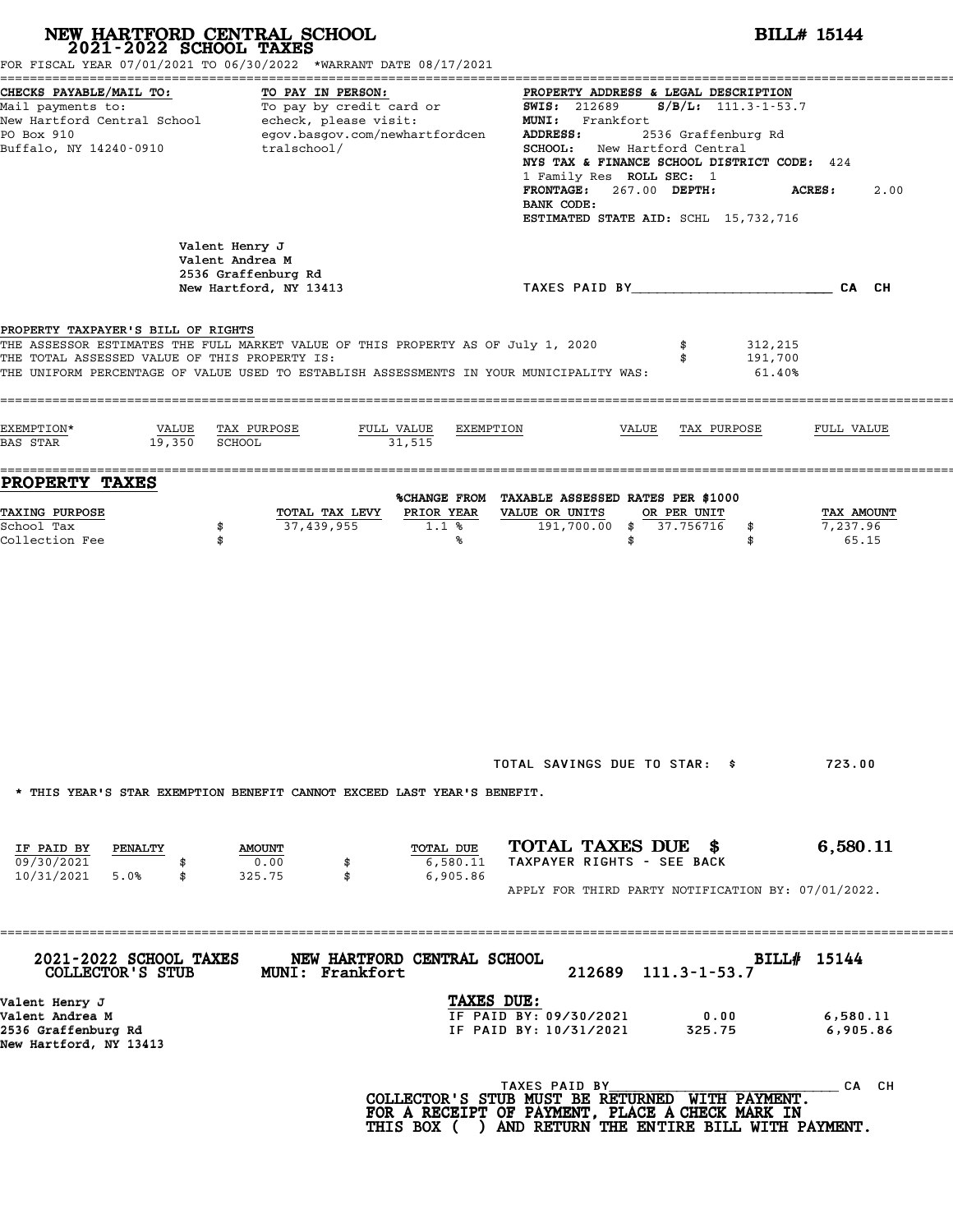|                                                                                      | NEW HARTFORD CENTRAL SCHOOL 2021-2022 SCHOOL TAXES<br>FOR FISCAL YEAR 07/01/2021 TO 06/30/2022 *WARRANT DATE 08/17/2021                                                     | <b>BILL# 15144</b>                                                                                                                                                                                                                                                                                                                                          |                                 |  |  |  |  |  |
|--------------------------------------------------------------------------------------|-----------------------------------------------------------------------------------------------------------------------------------------------------------------------------|-------------------------------------------------------------------------------------------------------------------------------------------------------------------------------------------------------------------------------------------------------------------------------------------------------------------------------------------------------------|---------------------------------|--|--|--|--|--|
| CHECKS PAYABLE/MAIL TO:<br>Mail payments to:<br>PO Box 910<br>Buffalo, NY 14240-0910 | TO PAY IN PERSON:<br>Mail payments to:<br>Mail payments to:<br>New Hartford Central School echeck, please visit:<br>egov.basgov.com/newhartfordcen<br>tralschool/           | PROPERTY ADDRESS & LEGAL DESCRIPTION<br><b>SWIS: 212689</b><br>$S/B/L: 111.3 - 1 - 53.7$<br>MUNI: Frankfort<br>2536 Graffenburg Rd<br><b>ADDRESS:</b><br>SCHOOL: New Hartford Central<br>NYS TAX & FINANCE SCHOOL DISTRICT CODE: 424<br>1 Family Res ROLL SEC: 1<br>267.00 DEPTH:<br><b>FRONTAGE:</b><br>BANK CODE:<br>ESTIMATED STATE AID: SCHL 15,732,716 | <b>ACRES :</b><br>2.00          |  |  |  |  |  |
|                                                                                      | Valent Henry J<br>Valent Andrea M<br>2536 Graffenburg Rd<br>New Hartford, NY 13413                                                                                          | TAXES PAID BY____________________________CA CH                                                                                                                                                                                                                                                                                                              |                                 |  |  |  |  |  |
| PROPERTY TAXPAYER'S BILL OF RIGHTS<br>THE TOTAL ASSESSED VALUE OF THIS PROPERTY IS:  | THE ASSESSOR ESTIMATES THE FULL MARKET VALUE OF THIS PROPERTY AS OF July 1, 2020<br>THE UNIFORM PERCENTAGE OF VALUE USED TO ESTABLISH ASSESSMENTS IN YOUR MUNICIPALITY WAS: | 312,215<br>191,700<br>61.40%                                                                                                                                                                                                                                                                                                                                |                                 |  |  |  |  |  |
| EXEMPTION*<br>VALUE<br>19,350<br><b>BAS STAR</b>                                     | FULL VALUE<br>TAX PURPOSE<br>EXEMPTION<br><b>SCHOOL</b><br>31,515                                                                                                           | VALUE<br>TAX PURPOSE                                                                                                                                                                                                                                                                                                                                        | FULL VALUE                      |  |  |  |  |  |
| PROPERTY TAXES                                                                       |                                                                                                                                                                             | %CHANGE FROM TAXABLE ASSESSED RATES PER \$1000                                                                                                                                                                                                                                                                                                              |                                 |  |  |  |  |  |
| TAXING PURPOSE<br>School Tax<br>Collection Fee                                       | PRIOR YEAR<br>TOTAL TAX LEVY<br>37,439,955<br>1.1%<br>\$<br>\$<br>℁                                                                                                         | VALUE OR UNITS<br>OR PER UNIT<br>191,700.00<br>\$37.756716<br>\$<br>\$<br>\$                                                                                                                                                                                                                                                                                | TAX AMOUNT<br>7,237.96<br>65.15 |  |  |  |  |  |
| IF PAID BY<br>PENALTY<br>09/30/2021                                                  | * THIS YEAR'S STAR EXEMPTION BENEFIT CANNOT EXCEED LAST YEAR'S BENEFIT.<br>TOTAL DUE<br><b>AMOUNT</b><br>0.00<br>6,580.11<br>\$                                             | TOTAL SAVINGS DUE TO STAR: \$<br>TOTAL TAXES DUE \$<br>TAXPAYER RIGHTS - SEE BACK                                                                                                                                                                                                                                                                           | 723.00<br>6,580.11              |  |  |  |  |  |
| 10/31/2021 5.0%<br>\$                                                                | 325.75<br>\$<br>6,905.86                                                                                                                                                    | APPLY FOR THIRD PARTY NOTIFICATION BY: 07/01/2022.                                                                                                                                                                                                                                                                                                          |                                 |  |  |  |  |  |
| 2021-2022 SCHOOL TAXES<br>COLLECTOR'S STUB                                           | NEW HARTFORD CENTRAL SCHOOL<br>MUNI: Frankfort                                                                                                                              | 212689<br>$111.3 - 1 - 53.7$                                                                                                                                                                                                                                                                                                                                | BILL# 15144                     |  |  |  |  |  |
| Valent Henry J<br>Valent Andrea M<br>2536 Graffenburg Rd                             |                                                                                                                                                                             | TAXES DUE:<br>IF PAID BY: 09/30/2021<br>0.00<br>IF PAID BY: 10/31/2021<br>325.75                                                                                                                                                                                                                                                                            | 6,580.11<br>6,905.86            |  |  |  |  |  |
| New Hartford, NY 13413                                                               |                                                                                                                                                                             |                                                                                                                                                                                                                                                                                                                                                             |                                 |  |  |  |  |  |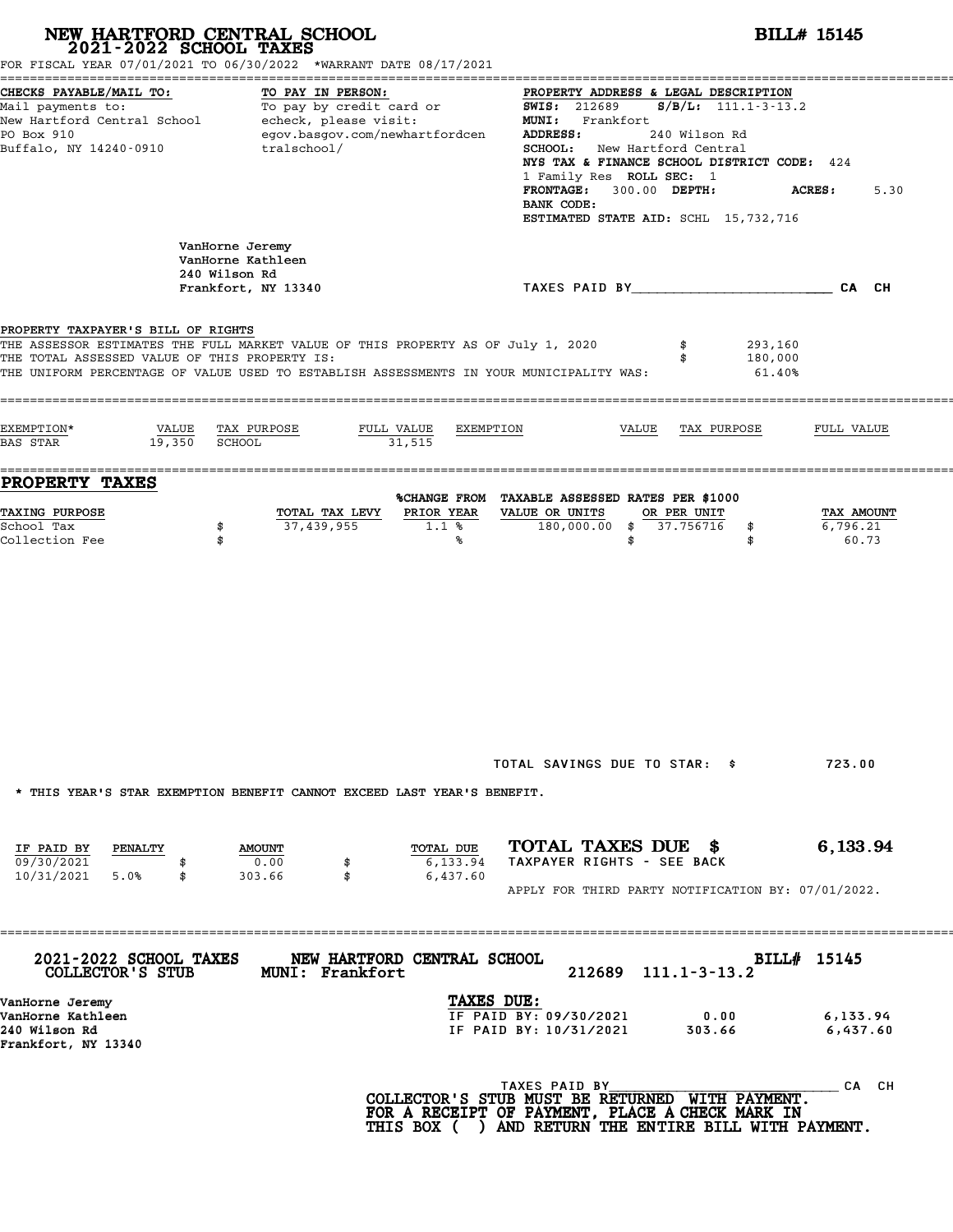|                                                                                     | NEW HARTFORD CENTRAL SCHOOL 2021-2022 SCHOOL TAXES<br>FOR FISCAL YEAR 07/01/2021 TO 06/30/2022 *WARRANT DATE 08/17/2021                                                     | <b>BILL# 15145</b>                                                                                                                                                                                                                                                                                                                                                       |      |
|-------------------------------------------------------------------------------------|-----------------------------------------------------------------------------------------------------------------------------------------------------------------------------|--------------------------------------------------------------------------------------------------------------------------------------------------------------------------------------------------------------------------------------------------------------------------------------------------------------------------------------------------------------------------|------|
| CHECKS PAYABLE/MAIL TO:<br>PO Box 910<br>Buffalo, NY 14240-0910                     | TO PAY IN PERSON:<br>Mail payments to: To pay by credit card or<br>New Hartford Central School echeck, please visit:<br>egov.basgov.com/newhartfordcen<br>tralschool/       | PROPERTY ADDRESS & LEGAL DESCRIPTION<br><b>SWIS: 212689</b><br>$S/B/L: 111.1 - 3 - 13.2$<br>MUNI: Frankfort<br>ADDRESS:<br>240 Wilson Rd<br><b>SCHOOL:</b> New Hartford Central<br>NYS TAX & FINANCE SCHOOL DISTRICT CODE: 424<br>1 Family Res ROLL SEC: 1<br>300.00 DEPTH:<br><b>FRONTAGE :</b><br><b>ACRES :</b><br>BANK CODE:<br>ESTIMATED STATE AID: SCHL 15,732,716 | 5.30 |
|                                                                                     | VanHorne Jeremy<br>VanHorne Kathleen<br>240 Wilson Rd                                                                                                                       |                                                                                                                                                                                                                                                                                                                                                                          |      |
|                                                                                     | Frankfort, NY 13340                                                                                                                                                         | TAXES PAID BY TAND AND TAXES PAID BY                                                                                                                                                                                                                                                                                                                                     |      |
| PROPERTY TAXPAYER'S BILL OF RIGHTS<br>THE TOTAL ASSESSED VALUE OF THIS PROPERTY IS: | THE ASSESSOR ESTIMATES THE FULL MARKET VALUE OF THIS PROPERTY AS OF July 1, 2020<br>THE UNIFORM PERCENTAGE OF VALUE USED TO ESTABLISH ASSESSMENTS IN YOUR MUNICIPALITY WAS: | 293,160<br>\$<br>180,000<br>\$<br>61.40%                                                                                                                                                                                                                                                                                                                                 |      |
| EXEMPTION*<br>19,350 SCHOOL<br>BAS STAR                                             | VALUE TAX PURPOSE<br>FULL VALUE<br>EXEMPTION<br>31,515                                                                                                                      | VALUE<br>TAX PURPOSE<br>FULL VALUE                                                                                                                                                                                                                                                                                                                                       |      |
| PROPERTY TAXES                                                                      |                                                                                                                                                                             | %CHANGE FROM TAXABLE ASSESSED RATES PER \$1000                                                                                                                                                                                                                                                                                                                           |      |
| <b>TAXING PURPOSE</b><br>School Tax<br>Collection Fee                               | PRIOR YEAR<br>TOTAL TAX LEVY<br>37,439,955<br>1.1%<br>\$<br>\$<br>℁                                                                                                         | VALUE OR UNITS<br>OR PER UNIT<br>TAX AMOUNT<br>180,000.00 \$ 37.756716<br>6,796.21<br>\$<br>60.73<br>\$<br>\$                                                                                                                                                                                                                                                            |      |
| IF PAID BY<br>PENALTY<br>09/30/2021<br>5.0%<br>10/31/2021<br>\$                     | * THIS YEAR'S STAR EXEMPTION BENEFIT CANNOT EXCEED LAST YEAR'S BENEFIT.<br>TOTAL DUE<br><b>AMOUNT</b><br>0.00<br>6,133.94<br>\$<br>303.66<br>\$<br>6,437.60                 | TOTAL SAVINGS DUE TO STAR: \$<br>723.00<br>TOTAL TAXES DUE \$<br>6,133.94<br>TAXPAYER RIGHTS - SEE BACK                                                                                                                                                                                                                                                                  |      |
| 2021-2022 SCHOOL TAXES                                                              | NEW HARTFORD CENTRAL SCHOOL                                                                                                                                                 | APPLY FOR THIRD PARTY NOTIFICATION BY: 07/01/2022.<br>BILL# 15145                                                                                                                                                                                                                                                                                                        |      |
| COLLECTOR'S STUB                                                                    | MUNI: Frankfort                                                                                                                                                             | 212689<br>$111.1 - 3 - 13.2$                                                                                                                                                                                                                                                                                                                                             |      |
| VanHorne Jeremy<br>VanHorne Kathleen<br>240 Wilson Rd<br>Frankfort, NY 13340        |                                                                                                                                                                             | TAXES DUE:<br>IF PAID BY: 09/30/2021<br>0.00<br>6,133.94<br>IF PAID BY: 10/31/2021<br>303.66<br>6,437.60                                                                                                                                                                                                                                                                 |      |
|                                                                                     |                                                                                                                                                                             | TAXES PAID BY<br>CA CH<br>COLLECTOR'S STUB MUST BE RETURNED WITH PAYMENT.<br>FOR A RECEIPT OF PAYMENT, PLACE A CHECK MARK IN<br>THIS BOX ( ) AND RETURN THE ENTIRE BILL WITH PAYMENT.                                                                                                                                                                                    |      |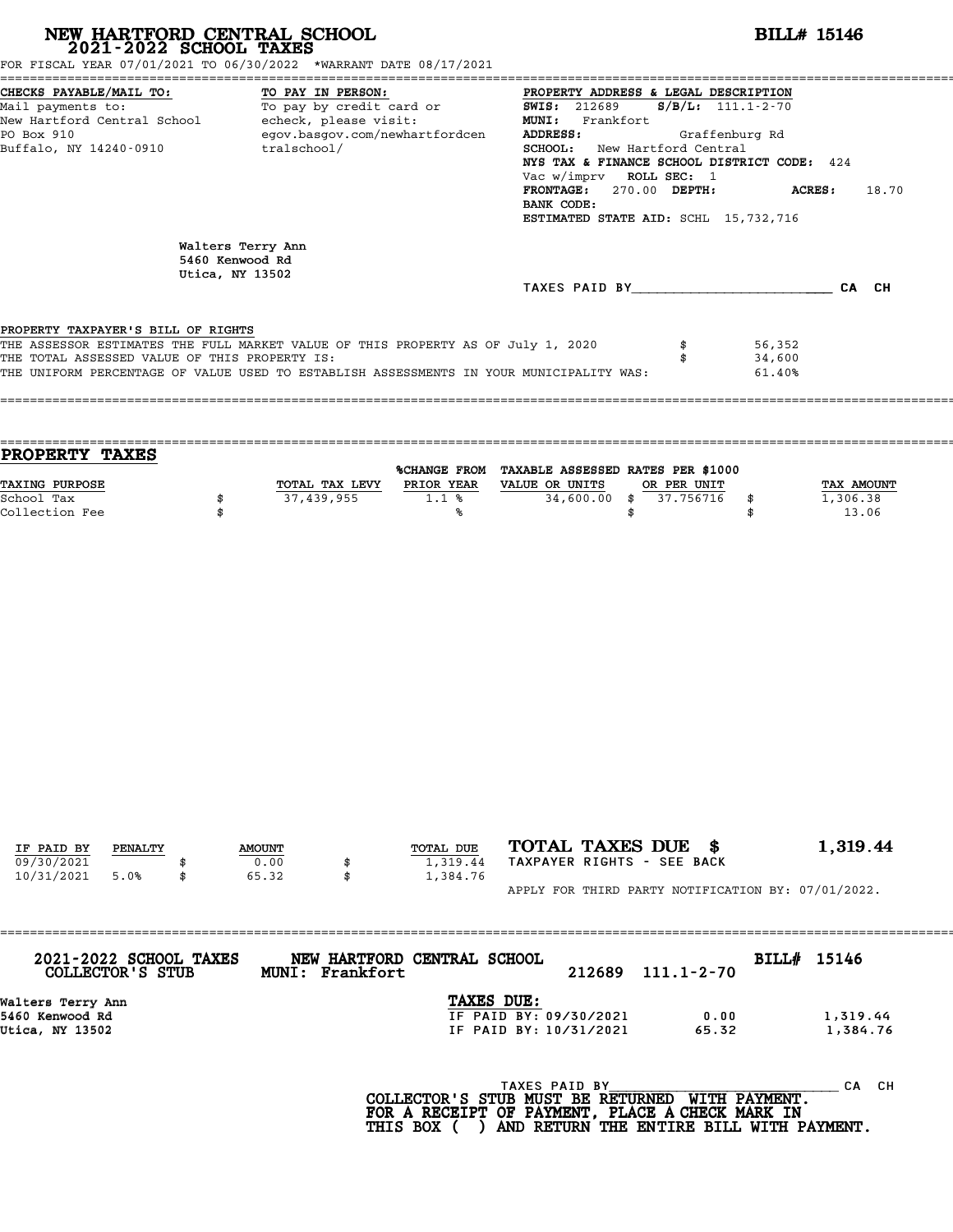| NEW HARTFORD CENTRAL SCHOOL 2021-2022 SCHOOL TAXES<br>FOR FISCAL YEAR 07/01/2021 TO 06/30/2022 *WARRANT DATE 08/17/2021                                                                                                                                            |          |                                      |                   |                                                                                                            |                                                                  | <b>BILL# 15146</b>   |                                                                                                                                                                                                                                           |                            |                                 |  |  |  |
|--------------------------------------------------------------------------------------------------------------------------------------------------------------------------------------------------------------------------------------------------------------------|----------|--------------------------------------|-------------------|------------------------------------------------------------------------------------------------------------|------------------------------------------------------------------|----------------------|-------------------------------------------------------------------------------------------------------------------------------------------------------------------------------------------------------------------------------------------|----------------------------|---------------------------------|--|--|--|
| CHECKS PAYABLE/MAIL TO:<br>Mail payments to:<br>New Hartford Central School - echeck, please visit:<br>PO Box 910<br>Buffalo, NY 14240-0910                                                                                                                        |          | tralschool/                          | TO PAY IN PERSON: | TO PAI IN PERSON:<br>To pay by credit card or<br>egov.basgov.com/newhartfordcen                            | <b>SWIS: 212689</b><br>MUNI: Frankfort<br>ADDRESS:<br>BANK CODE: |                      | PROPERTY ADDRESS & LEGAL DESCRIPTION<br>$S/B/L$ : 111.1-2-70<br>SCHOOL: New Hartford Central<br>NYS TAX & FINANCE SCHOOL DISTRICT CODE: 424<br>Vac w/imprv ROLL SEC: 1<br>FRONTAGE: 270.00 DEPTH:<br>ESTIMATED STATE AID: SCHL 15,732,716 | Graffenburg Rd             | <b>ACRES:</b><br>18.70          |  |  |  |
|                                                                                                                                                                                                                                                                    |          | Walters Terry Ann<br>5460 Kenwood Rd |                   |                                                                                                            |                                                                  |                      |                                                                                                                                                                                                                                           |                            |                                 |  |  |  |
|                                                                                                                                                                                                                                                                    |          | Utica, NY 13502                      |                   |                                                                                                            |                                                                  |                      | TAXES PAID BY CA CH                                                                                                                                                                                                                       |                            |                                 |  |  |  |
| PROPERTY TAXPAYER'S BILL OF RIGHTS<br>THE ASSESSOR ESTIMATES THE FULL MARKET VALUE OF THIS PROPERTY AS OF July 1, 2020<br>THE TOTAL ASSESSED VALUE OF THIS PROPERTY IS:<br>THE UNIFORM PERCENTAGE OF VALUE USED TO ESTABLISH ASSESSMENTS IN YOUR MUNICIPALITY WAS: |          |                                      |                   |                                                                                                            |                                                                  |                      | \$<br>\$                                                                                                                                                                                                                                  | 56,352<br>34,600<br>61.40% |                                 |  |  |  |
| PROPERTY TAXES<br>TAXING PURPOSE<br>School Tax<br>Collection Fee                                                                                                                                                                                                   | \$<br>\$ |                                      | 37,439,955        | %CHANGE FROM TAXABLE ASSESSED RATES PER \$1000<br>TOTAL TAX LEVY PRIOR YEAR VALUE OR UNITS<br>$1.1$ %<br>℁ |                                                                  | $34,600.00$ \$<br>\$ | OR PER UNIT<br>37.756716                                                                                                                                                                                                                  | \$<br>\$                   | TAX AMOUNT<br>1,306.38<br>13.06 |  |  |  |
|                                                                                                                                                                                                                                                                    |          |                                      |                   |                                                                                                            |                                                                  |                      |                                                                                                                                                                                                                                           |                            |                                 |  |  |  |
| IF PAID BY<br>PENALTY                                                                                                                                                                                                                                              |          | <b>AMOUNT</b>                        |                   | TOTAL DUE                                                                                                  |                                                                  |                      | TOTAL TAXES DUE \$                                                                                                                                                                                                                        |                            | 1,319.44                        |  |  |  |
| 09/30/2021<br>10/31/2021<br>5.0%                                                                                                                                                                                                                                   | \$       | 0.00<br>65.32                        | \$<br>\$          | 1,319.44<br>1,384.76                                                                                       |                                                                  |                      | TAXPAYER RIGHTS - SEE BACK<br>APPLY FOR THIRD PARTY NOTIFICATION BY: 07/01/2022.                                                                                                                                                          |                            |                                 |  |  |  |
|                                                                                                                                                                                                                                                                    |          |                                      |                   |                                                                                                            |                                                                  |                      |                                                                                                                                                                                                                                           |                            |                                 |  |  |  |
| 2021-2022 SCHOOL TAXES<br>COLLECTOR'S STUB                                                                                                                                                                                                                         |          |                                      | MUNI: Frankfort   | NEW HARTFORD CENTRAL SCHOOL                                                                                |                                                                  | 212689               | $111.1 - 2 - 70$                                                                                                                                                                                                                          | BILL# 15146                |                                 |  |  |  |
| Walters Terry Ann<br>5460 Kenwood Rd<br>Utica, NY 13502                                                                                                                                                                                                            |          |                                      |                   | TAXES DUE:                                                                                                 | IF PAID BY: 09/30/2021<br>IF PAID BY: 10/31/2021                 |                      | 0.00<br>65.32                                                                                                                                                                                                                             |                            | 1,319.44<br>1,384.76            |  |  |  |
|                                                                                                                                                                                                                                                                    |          |                                      |                   | COLLECTOR'S STUB MUST BE RETURNED WITH PAYMENT.<br>FOR A RECEIPT OF PAYMENT, PLACE A CHECK MARK IN         | TAXES PAID BY                                                    |                      |                                                                                                                                                                                                                                           |                            | CA CH                           |  |  |  |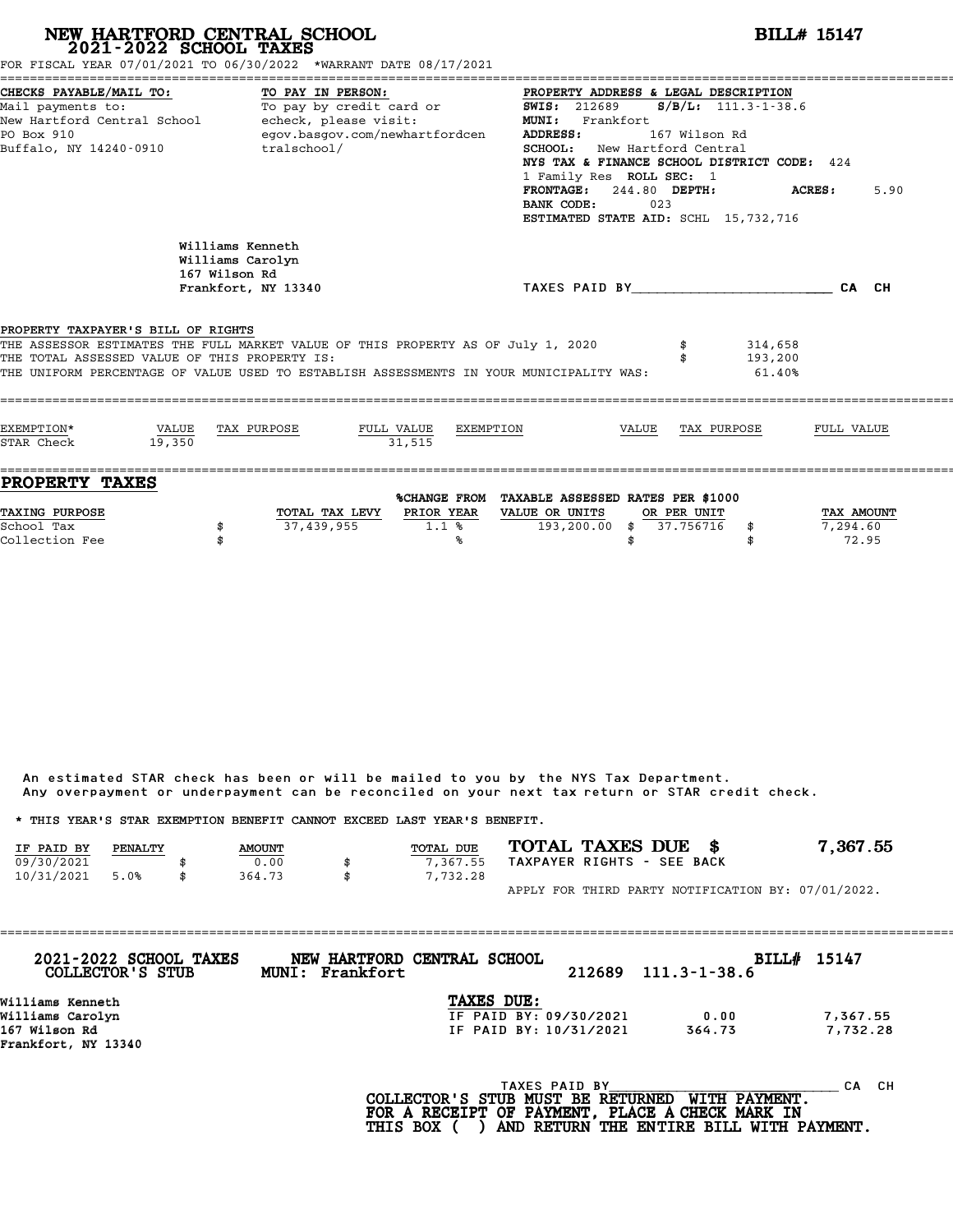|                                                                                      | 2021-2022 SCHOOL TAXES | NEW HARTFORD CENTRAL SCHOOL<br>FOR FISCAL YEAR 07/01/2021 TO 06/30/2022 *WARRANT DATE 08/17/2021                                                                            |                           |                                                                                                                                                                                                                                                                                                      |       |               |                              | BILL# 15147    |
|--------------------------------------------------------------------------------------|------------------------|-----------------------------------------------------------------------------------------------------------------------------------------------------------------------------|---------------------------|------------------------------------------------------------------------------------------------------------------------------------------------------------------------------------------------------------------------------------------------------------------------------------------------------|-------|---------------|------------------------------|----------------|
| CHECKS PAYABLE/MAIL TO:<br>Mail payments to:<br>PO Box 910<br>Buffalo, NY 14240-0910 |                        | TO PAY IN PERSON:<br>To pay by credit card or<br>New Hartford Central School - echeck, please visit:<br>egov.basgov.com/newhartfordcen<br>tralschool/                       |                           | PROPERTY ADDRESS & LEGAL DESCRIPTION<br><b>SWIS: 212689</b><br>MUNI: Frankfort<br><b>ADDRESS:</b><br><b>SCHOOL:</b> New Hartford Central<br>NYS TAX & FINANCE SCHOOL DISTRICT CODE: 424<br>1 Family Res ROLL SEC: 1<br>FRONTAGE: 244.80 DEPTH:<br>BANK CODE:<br>ESTIMATED STATE AID: SCHL 15,732,716 | 023   | 167 Wilson Rd | $S/B/L: 111.3 - 1 - 38.6$    | 5.90<br>ACRES: |
|                                                                                      |                        | Williams Kenneth<br>Williams Carolyn<br>167 Wilson Rd<br>Frankfort, NY 13340                                                                                                |                           | TAXES PAID BY CAN CH                                                                                                                                                                                                                                                                                 |       |               |                              |                |
| PROPERTY TAXPAYER'S BILL OF RIGHTS<br>THE TOTAL ASSESSED VALUE OF THIS PROPERTY IS:  |                        | THE ASSESSOR ESTIMATES THE FULL MARKET VALUE OF THIS PROPERTY AS OF July 1, 2020<br>THE UNIFORM PERCENTAGE OF VALUE USED TO ESTABLISH ASSESSMENTS IN YOUR MUNICIPALITY WAS: |                           |                                                                                                                                                                                                                                                                                                      |       |               | 314,658<br>193,200<br>61.40% |                |
| EXEMPTION*<br>STAR Check                                                             | VALUE<br>19,350        | TAX PURPOSE                                                                                                                                                                 | FULL VALUE<br>31.515      | EXEMPTION                                                                                                                                                                                                                                                                                            | VALUE | TAX PURPOSE   |                              | FULL VALUE     |
| <b>PROPERTY TAXES</b>                                                                |                        |                                                                                                                                                                             | TOTAL TAX LEVY PRIOR YEAR | %CHANGE FROM TAXABLE ASSESSED RATES PER \$1000<br>VALUE OR UNITS                                                                                                                                                                                                                                     |       | OR PER UNIT   |                              |                |

An estimated STAR check has been or will be mailed to you by the NYS Tax Department. An estimated STAR check has been or will be mailed to you by the NYS Tax Department.<br>Any overpayment or underpayment can be reconciled on your next tax return or STAR credit check.

|            |         |               | Any overpayment or underpayment can be reconciled on your next tax return or STAR credit check. |                            |                                                    |
|------------|---------|---------------|-------------------------------------------------------------------------------------------------|----------------------------|----------------------------------------------------|
|            |         |               | * THIS YEAR'S STAR EXEMPTION BENEFIT CANNOT EXCEED LAST YEAR'S BENEFIT.                         |                            |                                                    |
| IF PAID BY | PENALTY | <b>AMOUNT</b> | <b>TOTAL DUE</b>                                                                                | TOTAL TAXES DUE \$         | 7.367.55                                           |
| 09/30/2021 |         | 0.00          | \$<br>7.367.55                                                                                  | TAXPAYER RIGHTS - SEE BACK |                                                    |
| 10/31/2021 | 5.0%    | 364.73        | \$<br>7,732.28                                                                                  |                            |                                                    |
|            |         |               |                                                                                                 |                            | APPLY FOR THIRD PARTY NOTIFICATION BY: 07/01/2022. |

| 2021-2022 SCHOOL TAXES<br>COLLECTOR'S STUB | Frankfort<br><b>MUNI:</b> | NEW HARTFORD CENTRAL SCHOOL | 212689 | $111.3 - 1 - 38.6$ | BILL# 15147 |
|--------------------------------------------|---------------------------|-----------------------------|--------|--------------------|-------------|
| Williams Kenneth                           |                           | TAXES DUE:                  |        |                    |             |
| Williams Carolyn                           |                           | IF PAID BY: 09/30/2021      |        | 0.00               | 7,367.55    |
| 167 Wilson Rd                              |                           | IF PAID BY: 10/31/2021      |        | 364.73             | 7,732.28    |
| Frankfort, NY 13340                        |                           |                             |        |                    |             |
|                                            |                           | TAXES PAID BY               |        |                    | CH.<br>CА   |

**COLLECTOR'S STUB MUST BE RETURNED WITH PAYMENT.** <sup>TAXES PAID BY</sup><br>COLLECTOR'S STUB MUST BE RETURNED WITH PAYMENT.<br>FOR A RECEIPT OF PAYMENT, PLACE A CHECK MARK IN<br>THIS BOX ( ) AND RETURN THE ENTIRE BILL WITH PAYN COLLECTOR'S STUB MUST BE RETURNED WITH PAYMENT. HTTP CANNON BUST BE RETURNED WITH PAYMENT. THE CANNO<br>FOR A RECEIPT OF PAYMENT, PLACE A CHECK MARK IN<br>THIS BOX ( ) AND RETURN THE ENTIRE BILL WITH PAYMENT.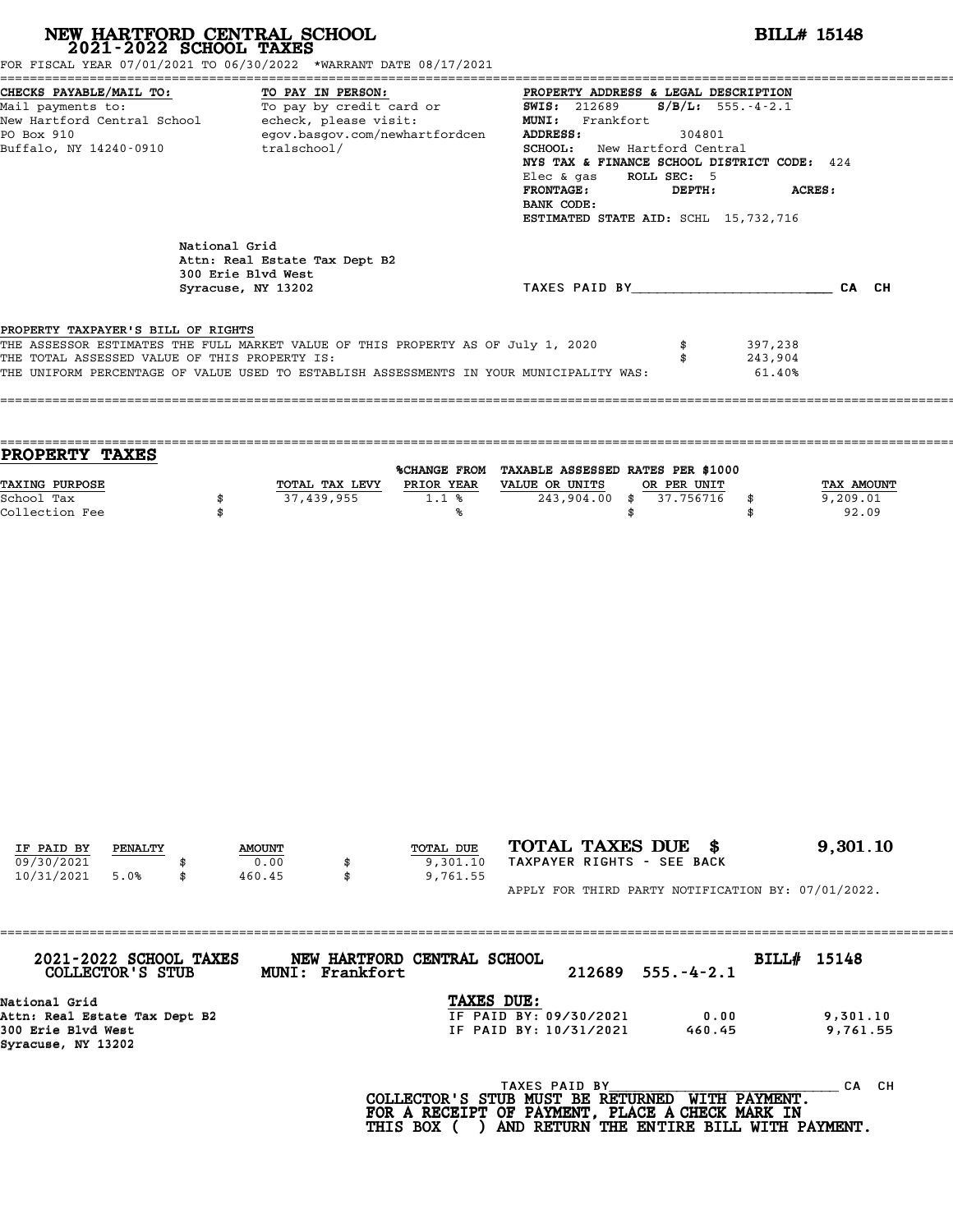| FOR FISCAL YEAR 07/01/2021 TO 06/30/2022 *WARRANT DATE 08/17/2021                                                                                                                                                                                                  | NEW HARTFORD CENTRAL SCHOOL 2021-2022 SCHOOL TAXES                                         |                                                                                                      |                                                                                                                                                                                                                                                                               | <b>BILL# 15148</b>                       |                                 |  |  |  |  |  |
|--------------------------------------------------------------------------------------------------------------------------------------------------------------------------------------------------------------------------------------------------------------------|--------------------------------------------------------------------------------------------|------------------------------------------------------------------------------------------------------|-------------------------------------------------------------------------------------------------------------------------------------------------------------------------------------------------------------------------------------------------------------------------------|------------------------------------------|---------------------------------|--|--|--|--|--|
| CHECKS PAYABLE/MAIL TO:<br>Mail payments to:<br>New Hartford Central School - echeck, please visit:<br>PO Box 910<br>Buffalo, NY 14240-0910                                                                                                                        | tralschool/                                                                                | TO PAY IN PERSON:<br>TO PAY IN PERSON:<br>To pay by credit card or<br>egov.basgov.com/newhartfordcen | PROPERTY ADDRESS & LEGAL DESCRIPTION<br><b>SWIS:</b> 212689<br>MUNI: Frankfort<br>ADDRESS:<br>SCHOOL: New Hartford Central<br>NYS TAX & FINANCE SCHOOL DISTRICT CODE: 424<br>Elec & gas ROLL SEC: 5<br><b>FRONTAGE:</b><br>BANK CODE:<br>ESTIMATED STATE AID: SCHL 15,732,716 | $S/B/L$ : 555.-4-2.1<br>304801<br>DEPTH: | ACRES:                          |  |  |  |  |  |
|                                                                                                                                                                                                                                                                    | National Grid<br>Attn: Real Estate Tax Dept B2<br>300 Erie Blvd West<br>Syracuse, NY 13202 |                                                                                                      | TAXES PAID BY CAN CH                                                                                                                                                                                                                                                          |                                          |                                 |  |  |  |  |  |
| PROPERTY TAXPAYER'S BILL OF RIGHTS<br>THE ASSESSOR ESTIMATES THE FULL MARKET VALUE OF THIS PROPERTY AS OF July 1, 2020<br>THE TOTAL ASSESSED VALUE OF THIS PROPERTY IS:<br>THE UNIFORM PERCENTAGE OF VALUE USED TO ESTABLISH ASSESSMENTS IN YOUR MUNICIPALITY WAS: |                                                                                            |                                                                                                      | \$<br>\$                                                                                                                                                                                                                                                                      | 397,238<br>243,904<br>61.40%             |                                 |  |  |  |  |  |
| PROPERTY TAXES                                                                                                                                                                                                                                                     |                                                                                            |                                                                                                      | %CHANGE FROM TAXABLE ASSESSED RATES PER \$1000                                                                                                                                                                                                                                |                                          |                                 |  |  |  |  |  |
|                                                                                                                                                                                                                                                                    | \$<br>\$                                                                                   | TOTAL TAX LEVY PRIOR YEAR VALUE OR UNITS<br>37,439,955<br>1.1%<br>%                                  | OR PER UNIT<br>$243,904.00$ \$<br>\$                                                                                                                                                                                                                                          | 37.756716<br>\$<br>\$                    | TAX AMOUNT<br>9,209.01<br>92.09 |  |  |  |  |  |
| TAXING PURPOSE<br>School Tax<br>Collection Fee                                                                                                                                                                                                                     |                                                                                            |                                                                                                      |                                                                                                                                                                                                                                                                               |                                          |                                 |  |  |  |  |  |

| 2021-2022 SCHOOL TAXES<br>COLLECTOR'S STUB | MUNI: Frankfort | NEW HARTFORD CENTRAL SCHOOL |               | $212689$ $555.-4-2.1$ | BILL# 15148 |          |
|--------------------------------------------|-----------------|-----------------------------|---------------|-----------------------|-------------|----------|
| National Grid                              |                 | <b>TAXES DUE:</b>           |               |                       |             |          |
| Attn: Real Estate Tax Dept B2              |                 | IF PAID BY: 09/30/2021      |               | 0.00                  |             | 9,301.10 |
| 300 Erie Blvd West                         |                 | IF PAID BY: 10/31/2021      |               | 460.45                |             | 9,761.55 |
| Syracuse, NY 13202                         |                 |                             |               |                       |             |          |
|                                            |                 |                             | TAXES PAID BY |                       |             | CH<br>CА |

**COLLECTOR'S STUB MUST BE RETURNED WITH PAYMENT.** <sup>TAXES PAID BY</sup><br>COLLECTOR'S STUB MUST BE RETURNED WITH PAYMENT.<br>FOR A RECEIPT OF PAYMENT, PLACE A CHECK MARK IN<br>THIS BOX ( ) AND RETURN THE ENTIRE BILL WITH PAYN COLLECTOR'S STUB MUST BE RETURNED WITH PAYMENT. HTTP CANNON BUST BE RETURNED WITH PAYMENT. THE CANNO<br>FOR A RECEIPT OF PAYMENT, PLACE A CHECK MARK IN<br>THIS BOX ( ) AND RETURN THE ENTIRE BILL WITH PAYMENT.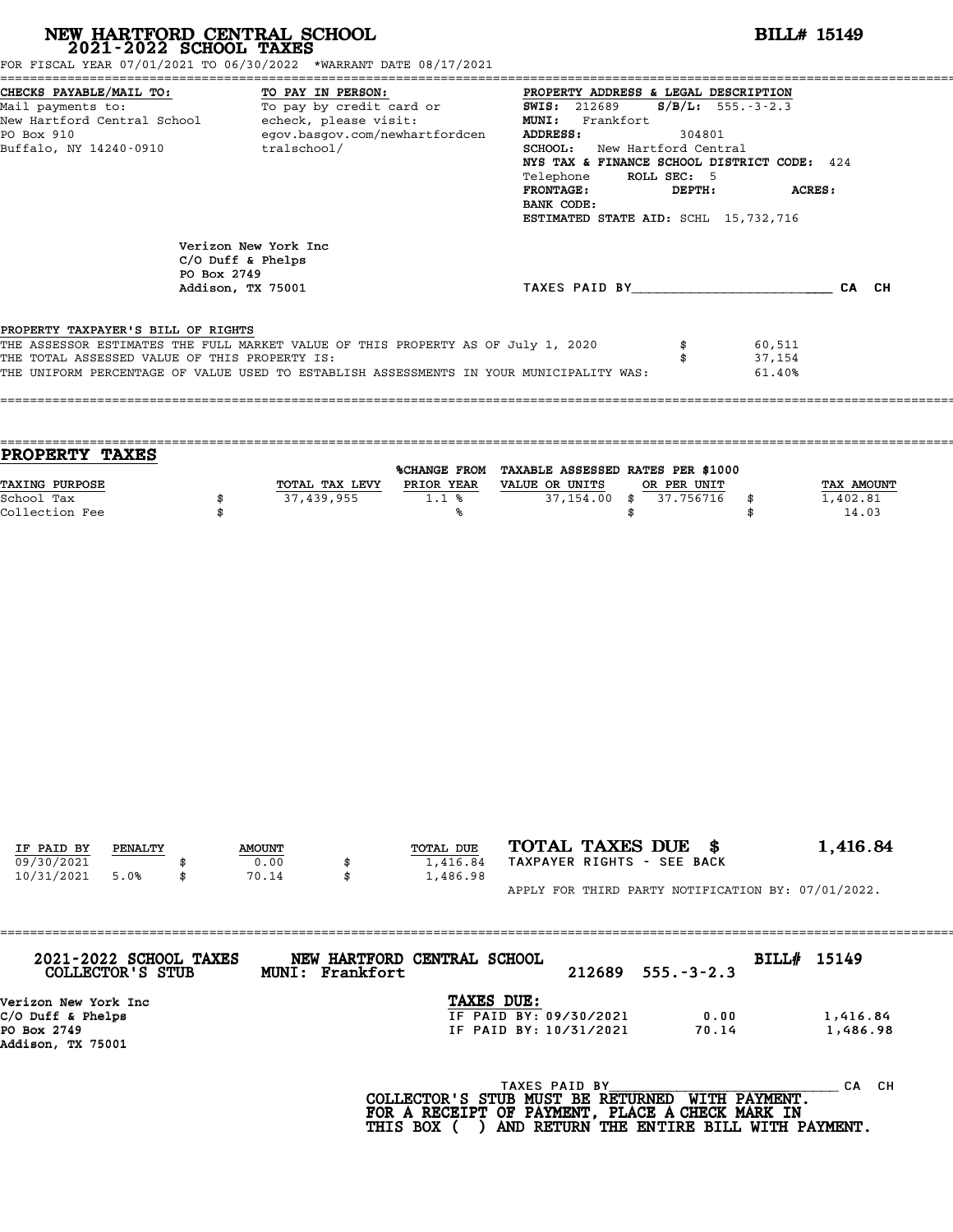| NEW HARTFORD CENTRAL SCHOOL 2021-2022 SCHOOL TAXES<br>FOR FISCAL YEAR 07/01/2021 TO 06/30/2022 *WARRANT DATE 08/17/2021                                                                                                                                            |             |                                             |                              |                                                                                                                                                                                                                                                                                                                                                  |                                                  |                            |          |                          | <b>BILL# 15149</b>         |                                                    |
|--------------------------------------------------------------------------------------------------------------------------------------------------------------------------------------------------------------------------------------------------------------------|-------------|---------------------------------------------|------------------------------|--------------------------------------------------------------------------------------------------------------------------------------------------------------------------------------------------------------------------------------------------------------------------------------------------------------------------------------------------|--------------------------------------------------|----------------------------|----------|--------------------------|----------------------------|----------------------------------------------------|
| CHECKS PAYABLE/MAIL TO:<br>TO PAY IN PERSON:<br>Mail payments to:<br>New Hartford Central School echeck, please visit:<br>egov.basgov.com/newhartfordcen<br>PO Box 910<br>Buffalo, NY 14240-0910<br>tralschool/                                                    |             |                                             |                              | PROPERTY ADDRESS & LEGAL DESCRIPTION<br><b>SWIS:</b> 212689<br>$S/B/L$ : 555.-3-2.3<br>MUNI: Frankfort<br>ADDRESS:<br>304801<br><b>SCHOOL:</b> New Hartford Central<br>NYS TAX & FINANCE SCHOOL DISTRICT CODE: 424<br>Telephone ROLL SEC: 5<br><b>FRONTAGE:</b><br>DEPTH:<br><b>ACRES:</b><br>BANK CODE:<br>ESTIMATED STATE AID: SCHL 15,732,716 |                                                  |                            |          |                          |                            |                                                    |
|                                                                                                                                                                                                                                                                    |             | Verizon New York Inc<br>$C/O$ Duff & Phelps |                              |                                                                                                                                                                                                                                                                                                                                                  |                                                  |                            |          |                          |                            |                                                    |
|                                                                                                                                                                                                                                                                    | PO Box 2749 | Addison, TX 75001                           |                              |                                                                                                                                                                                                                                                                                                                                                  |                                                  |                            |          |                          |                            | TAXES PAID BY CA CH                                |
| PROPERTY TAXPAYER'S BILL OF RIGHTS<br>THE ASSESSOR ESTIMATES THE FULL MARKET VALUE OF THIS PROPERTY AS OF July 1, 2020<br>THE TOTAL ASSESSED VALUE OF THIS PROPERTY IS:<br>THE UNIFORM PERCENTAGE OF VALUE USED TO ESTABLISH ASSESSMENTS IN YOUR MUNICIPALITY WAS: |             |                                             |                              |                                                                                                                                                                                                                                                                                                                                                  |                                                  |                            |          | \$                       | 60,511<br>37,154<br>61.40% |                                                    |
| PROPERTY TAXES<br>TAXING PURPOSE<br>School Tax<br>Collection Fee                                                                                                                                                                                                   | \$<br>\$    |                                             | TOTAL TAX LEVY<br>37,439,955 | %CHANGE FROM TAXABLE ASSESSED RATES PER \$1000<br>PRIOR YEAR VALUE OR UNITS<br>1.1%<br>℁                                                                                                                                                                                                                                                         |                                                  | 37,154.00                  | \$<br>\$ | OR PER UNIT<br>37.756716 | \$<br>\$                   | TAX AMOUNT<br>1,402.81<br>14.03                    |
|                                                                                                                                                                                                                                                                    |             |                                             |                              |                                                                                                                                                                                                                                                                                                                                                  |                                                  |                            |          |                          |                            |                                                    |
| IF PAID BY<br>PENALTY                                                                                                                                                                                                                                              |             | <b>AMOUNT</b>                               |                              | TOTAL DUE                                                                                                                                                                                                                                                                                                                                        |                                                  | TOTAL TAXES DUE \$         |          |                          |                            | 1,416.84                                           |
| 09/30/2021<br>10/31/2021<br>5.0%                                                                                                                                                                                                                                   | \$          | 0.00<br>70.14                               | \$<br>\$                     | 1,416.84<br>1,486.98                                                                                                                                                                                                                                                                                                                             |                                                  | TAXPAYER RIGHTS - SEE BACK |          |                          |                            | APPLY FOR THIRD PARTY NOTIFICATION BY: 07/01/2022. |
|                                                                                                                                                                                                                                                                    |             |                                             |                              |                                                                                                                                                                                                                                                                                                                                                  |                                                  |                            |          |                          |                            |                                                    |
| 2021-2022 SCHOOL TAXES<br>COLLECTOR'S STUB                                                                                                                                                                                                                         |             |                                             | MUNI: Frankfort              | NEW HARTFORD CENTRAL SCHOOL                                                                                                                                                                                                                                                                                                                      |                                                  | 212689                     |          | $555. - 3 - 2.3$         | BILL# 15149                |                                                    |
| Verizon New York Inc<br>$C/O$ Duff & Phelps<br>PO Box 2749<br>Addison, TX 75001                                                                                                                                                                                    |             |                                             |                              | TAXES DUE:                                                                                                                                                                                                                                                                                                                                       | IF PAID BY: 09/30/2021<br>IF PAID BY: 10/31/2021 |                            |          | 0.00<br>70.14            |                            | 1,416.84<br>1,486.98                               |
|                                                                                                                                                                                                                                                                    |             |                                             |                              | COLLECTOR'S STUB MUST BE RETURNED WITH PAYMENT.<br>FOR A RECEIPT OF PAYMENT, PLACE A CHECK MARK IN                                                                                                                                                                                                                                               | TAXES PAID BY                                    |                            |          |                          |                            | CA CH                                              |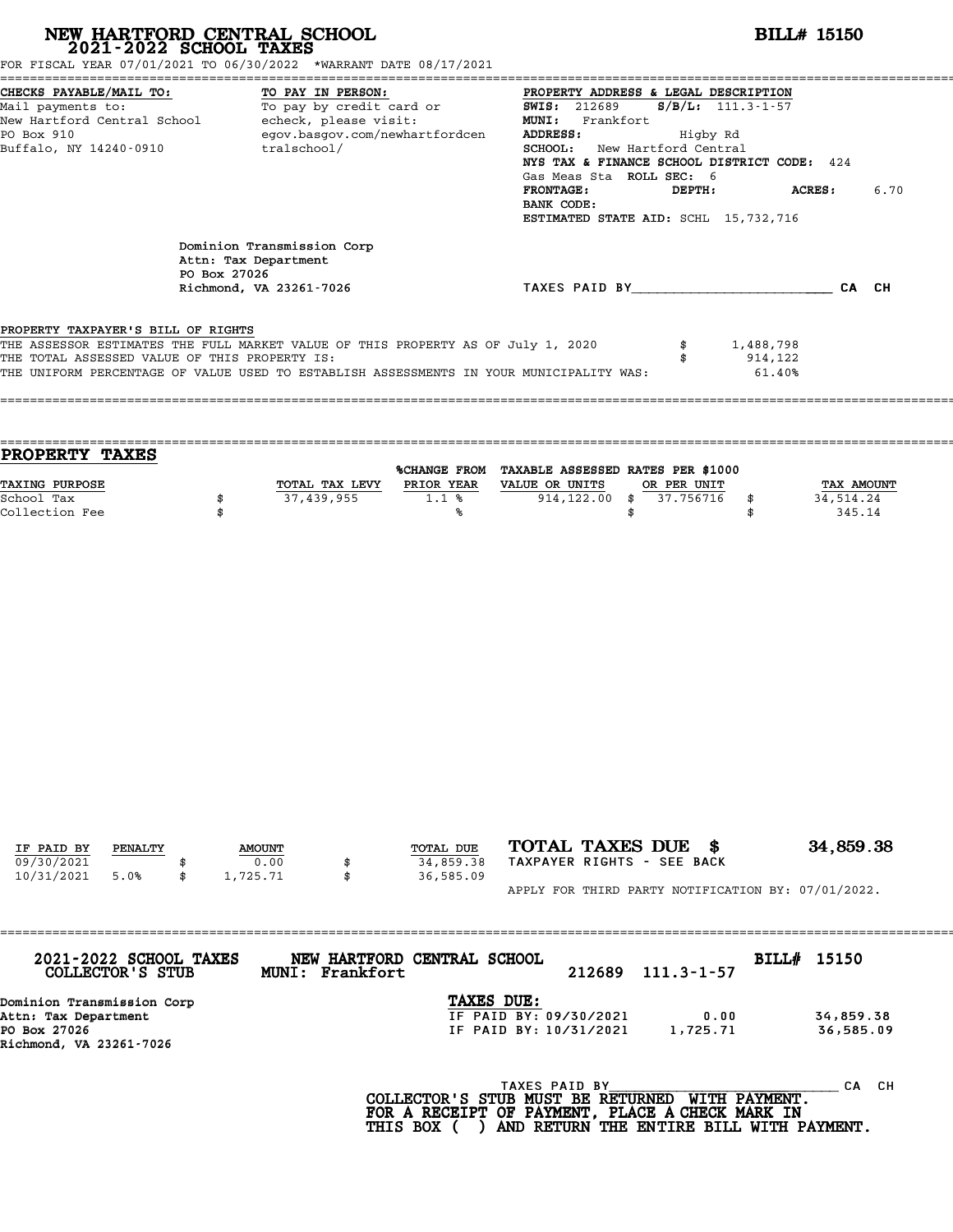| NEW HARTFORD CENTRAL SCHOOL 2021-2022 SCHOOL TAXES<br>FOR FISCAL YEAR 07/01/2021 TO 06/30/2022 *WARRANT DATE 08/17/2021                                                                                                                                            |                |                                                    |                   |                                                                                                                                                           |          |                                                                                                                                                                                                                                              |                          |                      |        | <b>BILL# 15150</b>      |       |
|--------------------------------------------------------------------------------------------------------------------------------------------------------------------------------------------------------------------------------------------------------------------|----------------|----------------------------------------------------|-------------------|-----------------------------------------------------------------------------------------------------------------------------------------------------------|----------|----------------------------------------------------------------------------------------------------------------------------------------------------------------------------------------------------------------------------------------------|--------------------------|----------------------|--------|-------------------------|-------|
| CHECKS PAYABLE/MAIL TO:<br>Mail payments to:<br>New Hartford Central School - echeck, please visit:<br>PO Box 910<br>Buffalo, NY 14240-0910                                                                                                                        |                | tralschool/                                        | TO PAY IN PERSON: | TO: TO PAY IN PERSON: TO PAY IN PERSON:<br>To pay by credit card or TO SWIS: 212689<br>egov.basgov.com/newhartfordcen                                     | ADDRESS: | PROPERTY ADDRESS & LEGAL DESCRIPTION<br>MUNI: Frankfort<br>SCHOOL: New Hartford Central<br>NYS TAX & FINANCE SCHOOL DISTRICT CODE: 424<br>Gas Meas Sta ROLL SEC: 6<br><b>FRONTAGE:</b><br>BANK CODE:<br>ESTIMATED STATE AID: SCHL 15,732,716 | Higby Rd<br>DEPTH:       | $S/B/L$ : 111.3-1-57 |        | <b>ACRES :</b>          | 6.70  |
|                                                                                                                                                                                                                                                                    | PO Box 27026   | Dominion Transmission Corp<br>Attn: Tax Department |                   |                                                                                                                                                           |          |                                                                                                                                                                                                                                              |                          |                      |        |                         |       |
|                                                                                                                                                                                                                                                                    |                | Richmond, VA 23261-7026                            |                   |                                                                                                                                                           |          | TAXES PAID BY CAN CH                                                                                                                                                                                                                         |                          |                      |        |                         |       |
| PROPERTY TAXPAYER'S BILL OF RIGHTS<br>THE ASSESSOR ESTIMATES THE FULL MARKET VALUE OF THIS PROPERTY AS OF July 1, 2020<br>THE TOTAL ASSESSED VALUE OF THIS PROPERTY IS:<br>THE UNIFORM PERCENTAGE OF VALUE USED TO ESTABLISH ASSESSMENTS IN YOUR MUNICIPALITY WAS: |                |                                                    |                   |                                                                                                                                                           |          |                                                                                                                                                                                                                                              | \$<br>\$                 | 1,488,798<br>914,122 | 61.40% |                         |       |
| PROPERTY TAXES<br>TAXING PURPOSE<br>School Tax                                                                                                                                                                                                                     | \$             | 37,439,955                                         | TOTAL TAX LEVY    | %CHANGE FROM TAXABLE ASSESSED RATES PER \$1000<br>PRIOR YEAR VALUE OR UNITS<br>1.1%                                                                       |          | $914, 122.00$ \$                                                                                                                                                                                                                             | OR PER UNIT<br>37.756716 | \$                   |        | TAX AMOUNT<br>34,514.24 |       |
| Collection Fee                                                                                                                                                                                                                                                     | \$             |                                                    |                   | ℁                                                                                                                                                         |          |                                                                                                                                                                                                                                              | \$                       | \$                   |        | 345.14                  |       |
| IF PAID BY<br>PENALTY                                                                                                                                                                                                                                              | <b>AMOUNT</b>  | 0.00                                               |                   | TOTAL DUE                                                                                                                                                 |          | TOTAL TAXES DUE \$<br>TAXPAYER RIGHTS - SEE BACK                                                                                                                                                                                             |                          |                      |        | 34,859.38               |       |
| 09/30/2021<br>10/31/2021<br>5.0%                                                                                                                                                                                                                                   | \$<br>1,725.71 |                                                    | \$                | 34,859.38<br>36,585.09                                                                                                                                    |          | APPLY FOR THIRD PARTY NOTIFICATION BY: 07/01/2022.                                                                                                                                                                                           |                          |                      |        |                         |       |
|                                                                                                                                                                                                                                                                    |                |                                                    |                   |                                                                                                                                                           |          |                                                                                                                                                                                                                                              |                          |                      |        |                         |       |
| 2021-2022 SCHOOL TAXES<br>COLLECTOR'S STUB                                                                                                                                                                                                                         |                |                                                    | MUNI: Frankfort   | NEW HARTFORD CENTRAL SCHOOL                                                                                                                               |          | 212689                                                                                                                                                                                                                                       | $111.3 - 1 - 57$         |                      |        | BILL# 15150             |       |
| Dominion Transmission Corp<br>Attn: Tax Department<br>PO Box 27026<br>Richmond, VA 23261-7026                                                                                                                                                                      |                |                                                    |                   | TAXES DUE:                                                                                                                                                |          | IF PAID BY: 09/30/2021<br>IF PAID BY: 10/31/2021                                                                                                                                                                                             | 0.00<br>1,725.71         |                      |        | 34,859.38<br>36,585.09  |       |
|                                                                                                                                                                                                                                                                    |                |                                                    |                   | TAXES PAID BY TAND TAXES PAID BY THE PAYMENT.<br>FOR A RECEIPT OF PAYMENT, PLACE A CHECK MARK IN<br>THIS BOX ( ) AND RETURN THE ENTIRE BILL WITH PAYMENT. |          |                                                                                                                                                                                                                                              |                          |                      |        |                         | CA CH |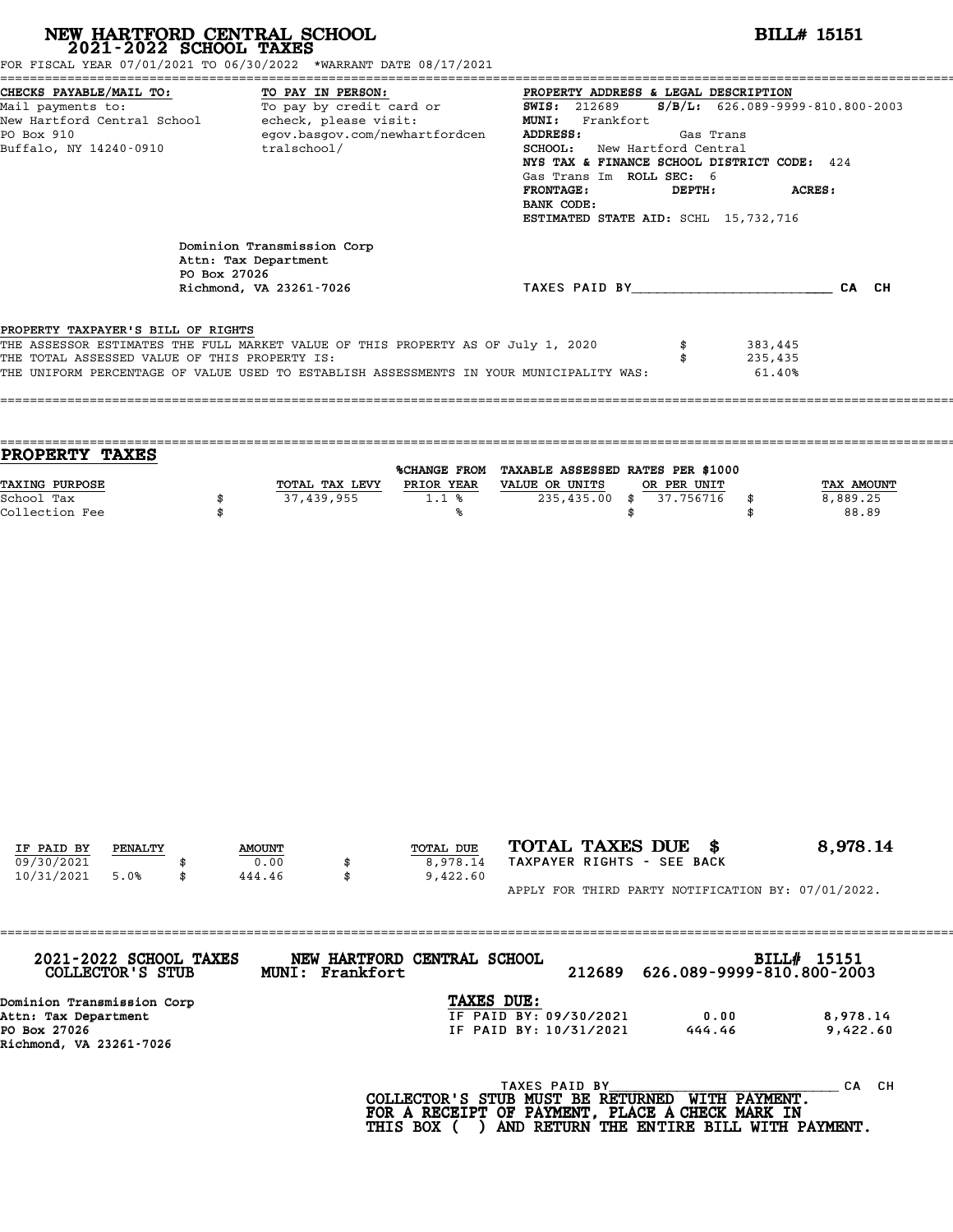| NEW HARTFORD CENTRAL SCHOOL 2021-2022 SCHOOL TAXES<br>FOR FISCAL YEAR 07/01/2021 TO 06/30/2022 *WARRANT DATE 08/17/2021                                                                                                                                            |              |                                                    |                              |                                                                                                                                                                                                                                                                                                                                                                     |                                                                                                                     |                                |                                 | <b>BILL# 15151</b>     |  |
|--------------------------------------------------------------------------------------------------------------------------------------------------------------------------------------------------------------------------------------------------------------------|--------------|----------------------------------------------------|------------------------------|---------------------------------------------------------------------------------------------------------------------------------------------------------------------------------------------------------------------------------------------------------------------------------------------------------------------------------------------------------------------|---------------------------------------------------------------------------------------------------------------------|--------------------------------|---------------------------------|------------------------|--|
| CHECKS PAYABLE/MAIL TO:<br>TO PAY IN PERSON:<br>Mail payments to:<br>Mail payments to:<br>New Hartford Central School echeck, please visit:<br>egov.basgov.com/newhartfordcen<br>PO Box 910<br>Buffalo, NY 14240-0910<br>tralschool/                               |              |                                                    |                              | PROPERTY ADDRESS & LEGAL DESCRIPTION<br><b>SWIS: 212689</b><br>$S/B/L: 626.089 - 9999 - 810.800 - 2003$<br>MUNI: Frankfort<br>ADDRESS:<br>Gas Trans<br>SCHOOL: New Hartford Central<br>NYS TAX & FINANCE SCHOOL DISTRICT CODE: 424<br>Gas Trans Im ROLL SEC: 6<br><b>FRONTAGE:</b><br>DEPTH:<br><b>ACRES:</b><br>BANK CODE:<br>ESTIMATED STATE AID: SCHL 15,732,716 |                                                                                                                     |                                |                                 |                        |  |
|                                                                                                                                                                                                                                                                    | PO Box 27026 | Dominion Transmission Corp<br>Attn: Tax Department |                              |                                                                                                                                                                                                                                                                                                                                                                     |                                                                                                                     |                                |                                 |                        |  |
|                                                                                                                                                                                                                                                                    |              | Richmond, VA 23261-7026                            |                              |                                                                                                                                                                                                                                                                                                                                                                     | TAXES PAID BY CAN CH                                                                                                |                                |                                 |                        |  |
| PROPERTY TAXPAYER'S BILL OF RIGHTS<br>THE ASSESSOR ESTIMATES THE FULL MARKET VALUE OF THIS PROPERTY AS OF July 1, 2020<br>THE TOTAL ASSESSED VALUE OF THIS PROPERTY IS:<br>THE UNIFORM PERCENTAGE OF VALUE USED TO ESTABLISH ASSESSMENTS IN YOUR MUNICIPALITY WAS: |              |                                                    |                              |                                                                                                                                                                                                                                                                                                                                                                     |                                                                                                                     | \$                             | 383,445<br>235,435<br>$61.40\%$ |                        |  |
| <b>PROPERTY TAXES</b><br>TAXING PURPOSE<br>School Tax                                                                                                                                                                                                              | \$           |                                                    | TOTAL TAX LEVY<br>37,439,955 | $1.1$ %                                                                                                                                                                                                                                                                                                                                                             | %CHANGE FROM TAXABLE ASSESSED RATES PER \$1000<br>PRIOR YEAR VALUE OR UNITS<br>235,435.00                           | OR PER UNIT<br>37.756716<br>\$ | \$                              | TAX AMOUNT<br>8,889.25 |  |
|                                                                                                                                                                                                                                                                    |              |                                                    |                              |                                                                                                                                                                                                                                                                                                                                                                     |                                                                                                                     |                                |                                 |                        |  |
| IF PAID BY<br>PENALTY                                                                                                                                                                                                                                              |              | <b>AMOUNT</b>                                      |                              | TOTAL DUE                                                                                                                                                                                                                                                                                                                                                           | TOTAL TAXES DUE \$                                                                                                  |                                |                                 | 8,978.14               |  |
| 09/30/2021<br>10/31/2021<br>5.0%                                                                                                                                                                                                                                   | \$           | 0.00<br>444.46                                     | \$<br>\$                     | 8,978.14<br>9,422.60                                                                                                                                                                                                                                                                                                                                                | TAXPAYER RIGHTS - SEE BACK<br>APPLY FOR THIRD PARTY NOTIFICATION BY: 07/01/2022.                                    |                                |                                 |                        |  |
|                                                                                                                                                                                                                                                                    |              |                                                    |                              |                                                                                                                                                                                                                                                                                                                                                                     |                                                                                                                     |                                |                                 |                        |  |
| 2021-2022 SCHOOL TAXES<br>COLLECTOR'S STUB                                                                                                                                                                                                                         |              |                                                    | MUNI: Frankfort              | NEW HARTFORD CENTRAL SCHOOL                                                                                                                                                                                                                                                                                                                                         | 212689                                                                                                              |                                | 626.089-9999-810.800-2003       | BILL# 15151            |  |
| Dominion Transmission Corp<br>Attn: Tax Department<br>PO Box 27026<br>Richmond, VA 23261-7026                                                                                                                                                                      |              |                                                    |                              | TAXES DUE:                                                                                                                                                                                                                                                                                                                                                          | IF PAID BY: 09/30/2021<br>IF PAID BY: 10/31/2021                                                                    | 444.46                         | 0.00                            | 8,978.14<br>9,422.60   |  |
|                                                                                                                                                                                                                                                                    |              |                                                    |                              |                                                                                                                                                                                                                                                                                                                                                                     | TAXES PAID BY<br>COLLECTOR'S STUB MUST BE RETURNED WITH PAYMENT.<br>FOR A RECEIPT OF PAYMENT, PLACE A CHECK MARK IN |                                |                                 | CA CH                  |  |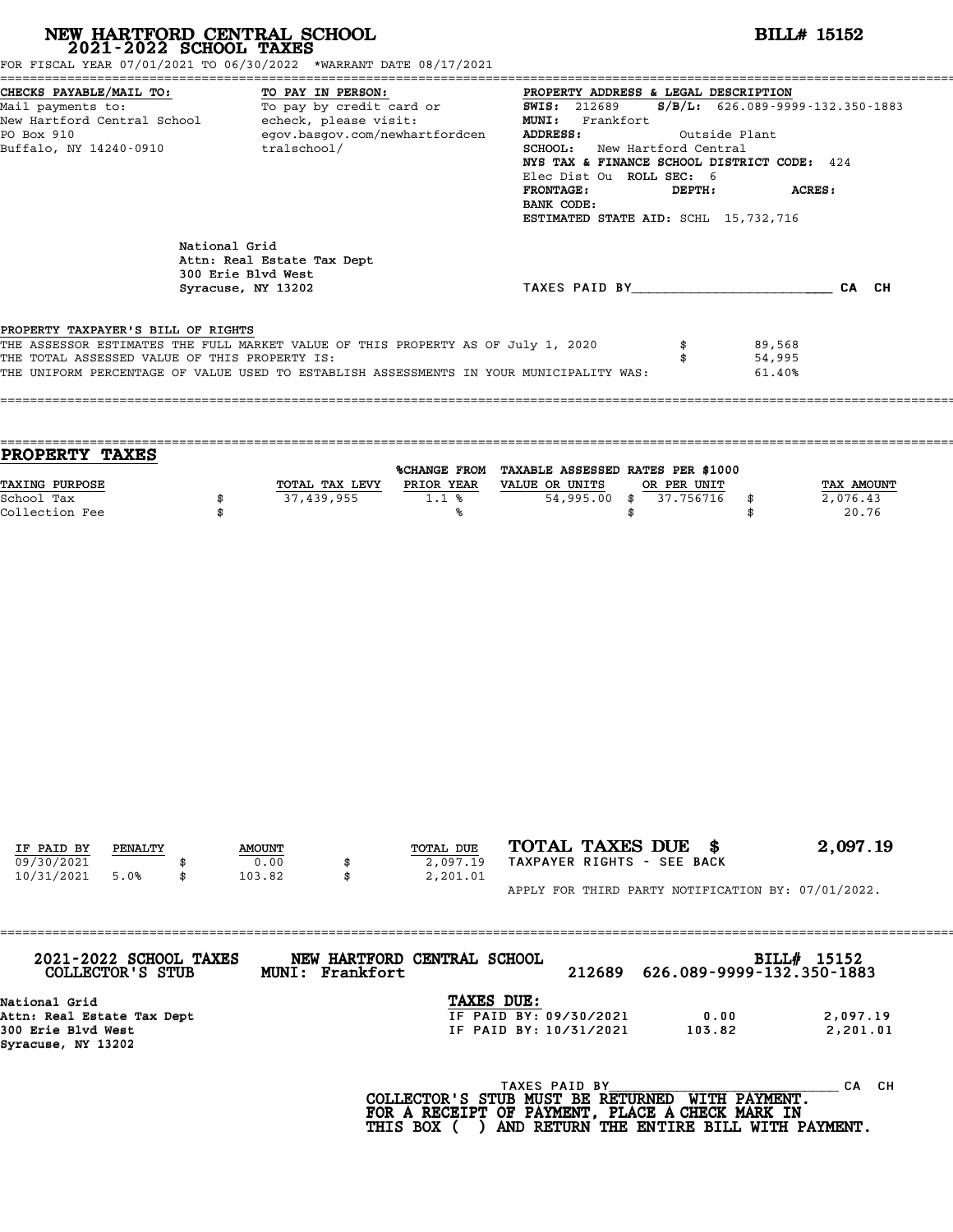| NEW HARTFORD CENTRAL SCHOOL<br>2021-2022 SCHOOL TAXES                                                                                                                                                                                                                                                                                                                                                                                                |               |                                                                        |                                                          | <b>BILL# 15152</b>                               |                                                                                                                                                                                                                                                                                                                       |                                 |  |  |  |
|------------------------------------------------------------------------------------------------------------------------------------------------------------------------------------------------------------------------------------------------------------------------------------------------------------------------------------------------------------------------------------------------------------------------------------------------------|---------------|------------------------------------------------------------------------|----------------------------------------------------------|--------------------------------------------------|-----------------------------------------------------------------------------------------------------------------------------------------------------------------------------------------------------------------------------------------------------------------------------------------------------------------------|---------------------------------|--|--|--|
| FOR FISCAL YEAR 07/01/2021 TO 06/30/2022 *WARRANT DATE 08/17/2021<br>CHECKS PAYABLE/MAIL TO:<br>TO PAY IN PERSON:<br>CHECKS PAYABLE/MAIL TO:<br>Mail payments to:<br>New Hartford Central School (To pay by credit card or<br>New Hartford Central School (Content of the card of the content of the card of the card of the card of the card<br>Content of<br>egov.basgov.com/newhartfordcen<br>PO Box 910<br>Buffalo, NY 14240-0910<br>tralschool/ |               |                                                                        |                                                          | ADDRESS:<br><b>FRONTAGE:</b><br>BANK CODE:       | PROPERTY ADDRESS & LEGAL DESCRIPTION<br><b>SWIS:</b> 212689 <b>S/B/L:</b> 626.089-9999-132.350-1883<br>MUNI: Frankfort<br>Outside Plant<br>SCHOOL: New Hartford Central<br>NYS TAX & FINANCE SCHOOL DISTRICT CODE: 424<br>Elec Dist Ou ROLL SEC: 6<br>DEPTH:<br><b>ACRES:</b><br>ESTIMATED STATE AID: SCHL 15,732,716 |                                 |  |  |  |
|                                                                                                                                                                                                                                                                                                                                                                                                                                                      | National Grid | Attn: Real Estate Tax Dept<br>300 Erie Blvd West<br>Syracuse, NY 13202 |                                                          | TAXES PAID BY CAN CH                             |                                                                                                                                                                                                                                                                                                                       |                                 |  |  |  |
| PROPERTY TAXPAYER'S BILL OF RIGHTS<br>THE ASSESSOR ESTIMATES THE FULL MARKET VALUE OF THIS PROPERTY AS OF July 1, 2020<br>THE TOTAL ASSESSED VALUE OF THIS PROPERTY IS:<br>THE UNIFORM PERCENTAGE OF VALUE USED TO ESTABLISH ASSESSMENTS IN YOUR MUNICIPALITY WAS:                                                                                                                                                                                   |               |                                                                        |                                                          |                                                  | 89,568<br>\$                                                                                                                                                                                                                                                                                                          | 54,995<br>61.40%                |  |  |  |
| PROPERTY TAXES                                                                                                                                                                                                                                                                                                                                                                                                                                       |               |                                                                        |                                                          | %CHANGE FROM TAXABLE ASSESSED RATES PER \$1000   |                                                                                                                                                                                                                                                                                                                       |                                 |  |  |  |
| TAXING PURPOSE<br>School Tax<br>Collection Fee                                                                                                                                                                                                                                                                                                                                                                                                       | \$<br>\$      | 37,439,955                                                             | TOTAL TAX LEVY PRIOR YEAR VALUE OR UNITS<br>$1.1$ %<br>℁ | 54,995.00<br>\$                                  | OR PER UNIT<br>\$37.756716<br>\$<br>\$                                                                                                                                                                                                                                                                                | TAX AMOUNT<br>2,076.43<br>20.76 |  |  |  |
|                                                                                                                                                                                                                                                                                                                                                                                                                                                      |               |                                                                        |                                                          |                                                  |                                                                                                                                                                                                                                                                                                                       |                                 |  |  |  |
|                                                                                                                                                                                                                                                                                                                                                                                                                                                      |               |                                                                        |                                                          |                                                  |                                                                                                                                                                                                                                                                                                                       |                                 |  |  |  |
| IF PAID BY<br>PENALTY<br>09/30/2021                                                                                                                                                                                                                                                                                                                                                                                                                  |               | <b>AMOUNT</b><br>0.00<br>\$                                            | TOTAL DUE<br>2,097.19                                    | TOTAL TAXES DUE \$<br>TAXPAYER RIGHTS - SEE BACK |                                                                                                                                                                                                                                                                                                                       | 2,097.19                        |  |  |  |
| 10/31/2021<br>5.0%                                                                                                                                                                                                                                                                                                                                                                                                                                   | \$            | 103.82<br>\$                                                           | 2,201.01                                                 |                                                  | APPLY FOR THIRD PARTY NOTIFICATION BY: 07/01/2022.                                                                                                                                                                                                                                                                    |                                 |  |  |  |
| 2021-2022 SCHOOL TAXES<br>COLLECTOR'S STUB                                                                                                                                                                                                                                                                                                                                                                                                           |               | =====================================<br>MUNI: Frankfort               | NEW HARTFORD CENTRAL SCHOOL                              | 212689                                           | 626.089-9999-132.350-1883                                                                                                                                                                                                                                                                                             | BILL# 15152                     |  |  |  |
| National Grid<br>Attn: Real Estate Tax Dept<br>300 Erie Blvd West<br>Syracuse, NY 13202                                                                                                                                                                                                                                                                                                                                                              |               |                                                                        | TAXES DUE:                                               | IF PAID BY: 09/30/2021<br>IF PAID BY: 10/31/2021 | 0.00<br>103.82                                                                                                                                                                                                                                                                                                        | 2,097.19<br>2,201.01            |  |  |  |

TAXES PAID BY\_\_\_\_\_\_\_\_\_\_\_\_\_\_\_\_\_\_\_\_\_ \_\_\_\_\_\_\_\_\_\_ CA CH **COLLECTOR'S STUB MUST BE RETURNED WITH PAYMENT.** <sup>TAXES PAID BY</sup><br>COLLECTOR'S STUB MUST BE RETURNED WITH PAYMENT.<br>FOR A RECEIPT OF PAYMENT, PLACE A CHECK MARK IN<br>THIS BOX ( ) AND RETURN THE ENTIRE BILL WITH PAYN COLLECTOR'S STUB MUST BE RETURNED WITH PAYMENT. HTTP CANNON BUST BE RETURNED WITH PAYMENT. THE CANNO<br>FOR A RECEIPT OF PAYMENT, PLACE A CHECK MARK IN<br>THIS BOX ( ) AND RETURN THE ENTIRE BILL WITH PAYMENT.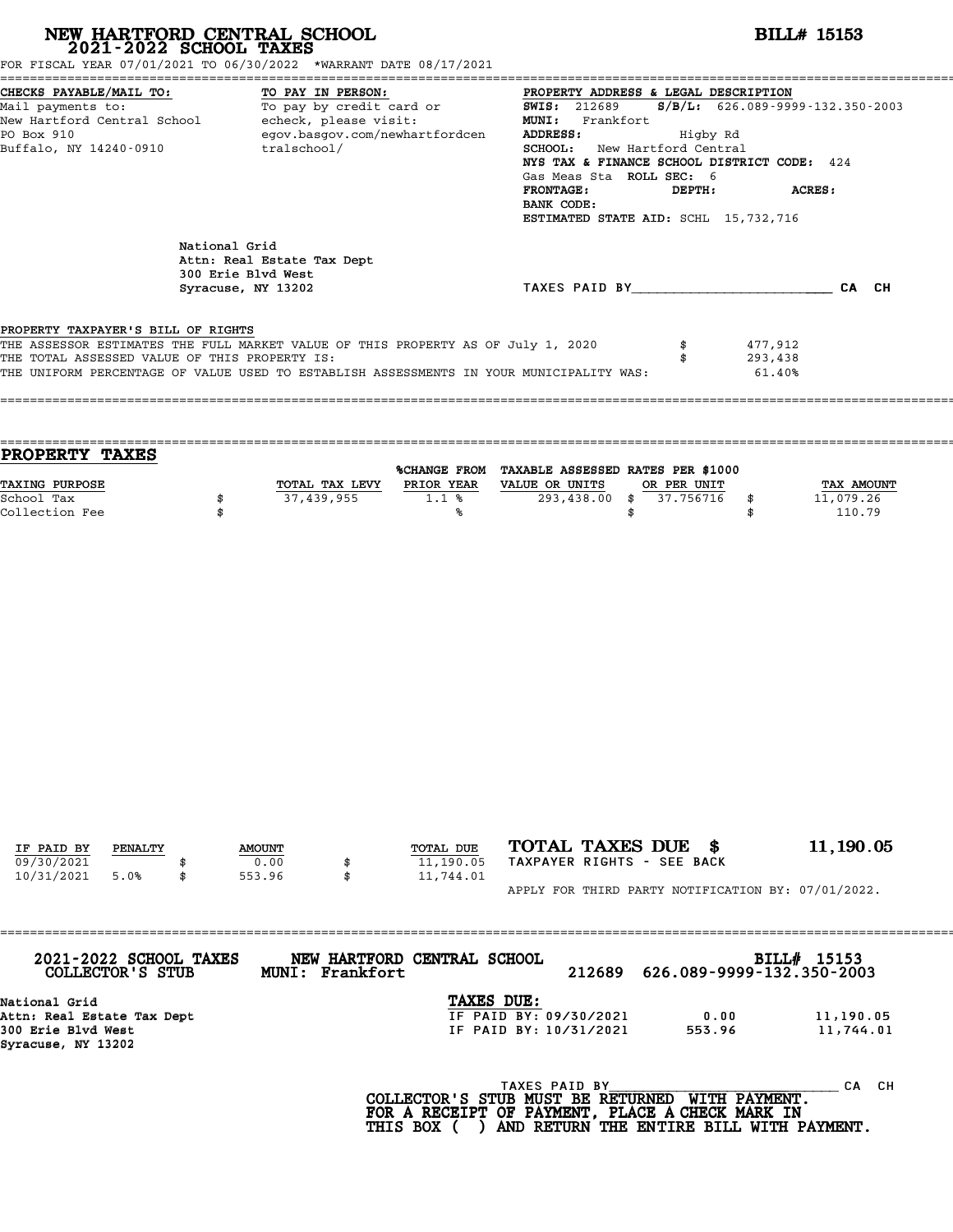| NEW HARTFORD CENTRAL SCHOOL 2021-2022 SCHOOL TAXES                                                                                                                                                                                                                 |               |                                                                        | <b>BILL# 15153</b>                                    |                                                                                                                                                                                                                                                                                                                                                                                                                    |                   |                                                                   |  |  |
|--------------------------------------------------------------------------------------------------------------------------------------------------------------------------------------------------------------------------------------------------------------------|---------------|------------------------------------------------------------------------|-------------------------------------------------------|--------------------------------------------------------------------------------------------------------------------------------------------------------------------------------------------------------------------------------------------------------------------------------------------------------------------------------------------------------------------------------------------------------------------|-------------------|-------------------------------------------------------------------|--|--|
| FOR FISCAL YEAR 07/01/2021 TO 06/30/2022 *WARRANT DATE 08/17/2021<br>Buffalo, NY 14240-0910                                                                                                                                                                        | tralschool/   |                                                                        | <b>FRONTAGE:</b><br>BANK CODE:                        | CHECKS PAYABLE/MAIL TO:<br>Mail payments to: To pay by credit card or and SWIS: 212689 S/B/L: 626.089-9999-132.350-2003<br>New Hartford Central School echeck, please visit: MUNI: Frankfort<br>PO Box 910 egov.basgov.com/newhartfo<br><b>SCHOOL:</b> New Hartford Central<br>NYS TAX & FINANCE SCHOOL DISTRICT CODE: 424<br>Gas Meas Sta ROLL SEC: 6<br>ACRES:<br>DEPTH:<br>ESTIMATED STATE AID: SCHL 15,732,716 |                   |                                                                   |  |  |
|                                                                                                                                                                                                                                                                    | National Grid | Attn: Real Estate Tax Dept<br>300 Erie Blvd West<br>Syracuse, NY 13202 |                                                       |                                                                                                                                                                                                                                                                                                                                                                                                                    |                   | TAXES PAID BY CAN CH                                              |  |  |
| PROPERTY TAXPAYER'S BILL OF RIGHTS<br>THE ASSESSOR ESTIMATES THE FULL MARKET VALUE OF THIS PROPERTY AS OF July 1, 2020<br>THE TOTAL ASSESSED VALUE OF THIS PROPERTY IS:<br>THE UNIFORM PERCENTAGE OF VALUE USED TO ESTABLISH ASSESSMENTS IN YOUR MUNICIPALITY WAS: |               |                                                                        |                                                       |                                                                                                                                                                                                                                                                                                                                                                                                                    |                   | 477,912<br>293,438<br>61.40%                                      |  |  |
| PROPERTY TAXES<br><b>TAXING PURPOSE</b><br>School Tax<br>Collection Fee                                                                                                                                                                                            | \$<br>\$      | 37,439,955                                                             | 1.1%<br>%ร                                            | %CHANGE FROM TAXABLE ASSESSED RATES PER \$1000<br>TOTAL TAX LEVY PRIOR YEAR VALUE OR UNITS<br>293,438.00 \$ 37.756716 \$                                                                                                                                                                                                                                                                                           | OR PER UNIT<br>\$ | TAX AMOUNT<br>11,079.26<br>110.79<br>\$                           |  |  |
| IF PAID BY<br>PENALTY                                                                                                                                                                                                                                              |               | <b>AMOUNT</b>                                                          | TOTAL DUE                                             | TOTAL TAXES DUE \$                                                                                                                                                                                                                                                                                                                                                                                                 |                   | 11,190.05                                                         |  |  |
| 09/30/2021<br>10/31/2021<br>5.0%<br>2021-2022 SCHOOL TAXES                                                                                                                                                                                                         | \$            | 0.00<br>\$<br>553.96<br>\$                                             | 11,190.05<br>11,744.01<br>NEW HARTFORD CENTRAL SCHOOL | TAXPAYER RIGHTS - SEE BACK                                                                                                                                                                                                                                                                                                                                                                                         |                   | APPLY FOR THIRD PARTY NOTIFICATION BY: 07/01/2022.<br>BILL# 15153 |  |  |
| COLLECTOR'S STUB<br>National Grid<br>Attn: Real Estate Tax Dept<br>300 Erie Blvd West                                                                                                                                                                              |               | MUNI: Frankfort                                                        |                                                       | 212689<br>TAXES DUE:<br>IF PAID BY: 09/30/2021<br>IF PAID BY: 10/31/2021                                                                                                                                                                                                                                                                                                                                           | 0.00<br>553.96    | 626.089-9999-132.350-2003<br>11,190.05<br>11,744.01               |  |  |

Attn: Real Estate Tax Dept<br>300 Erie Blvd West<br>Syracuse, NY 13202

TAXES PAID BY\_\_\_\_\_\_\_\_\_\_\_\_\_\_\_\_\_\_\_\_\_ \_\_\_\_\_\_\_\_\_\_ CA CH **COLLECTOR'S STUB MUST BE RETURNED WITH PAYMENT.** <sup>TAXES PAID BY</sup><br>COLLECTOR'S STUB MUST BE RETURNED WITH PAYMENT.<br>FOR A RECEIPT OF PAYMENT, PLACE A CHECK MARK IN<br>THIS BOX ( ) AND RETURN THE ENTIRE BILL WITH PAYN COLLECTOR'S STUB MUST BE RETURNED WITH PAYMENT. HTTP CANNON BUST BE RETURNED WITH PAYMENT. THE CANNO<br>FOR A RECEIPT OF PAYMENT, PLACE A CHECK MARK IN<br>THIS BOX ( ) AND RETURN THE ENTIRE BILL WITH PAYMENT.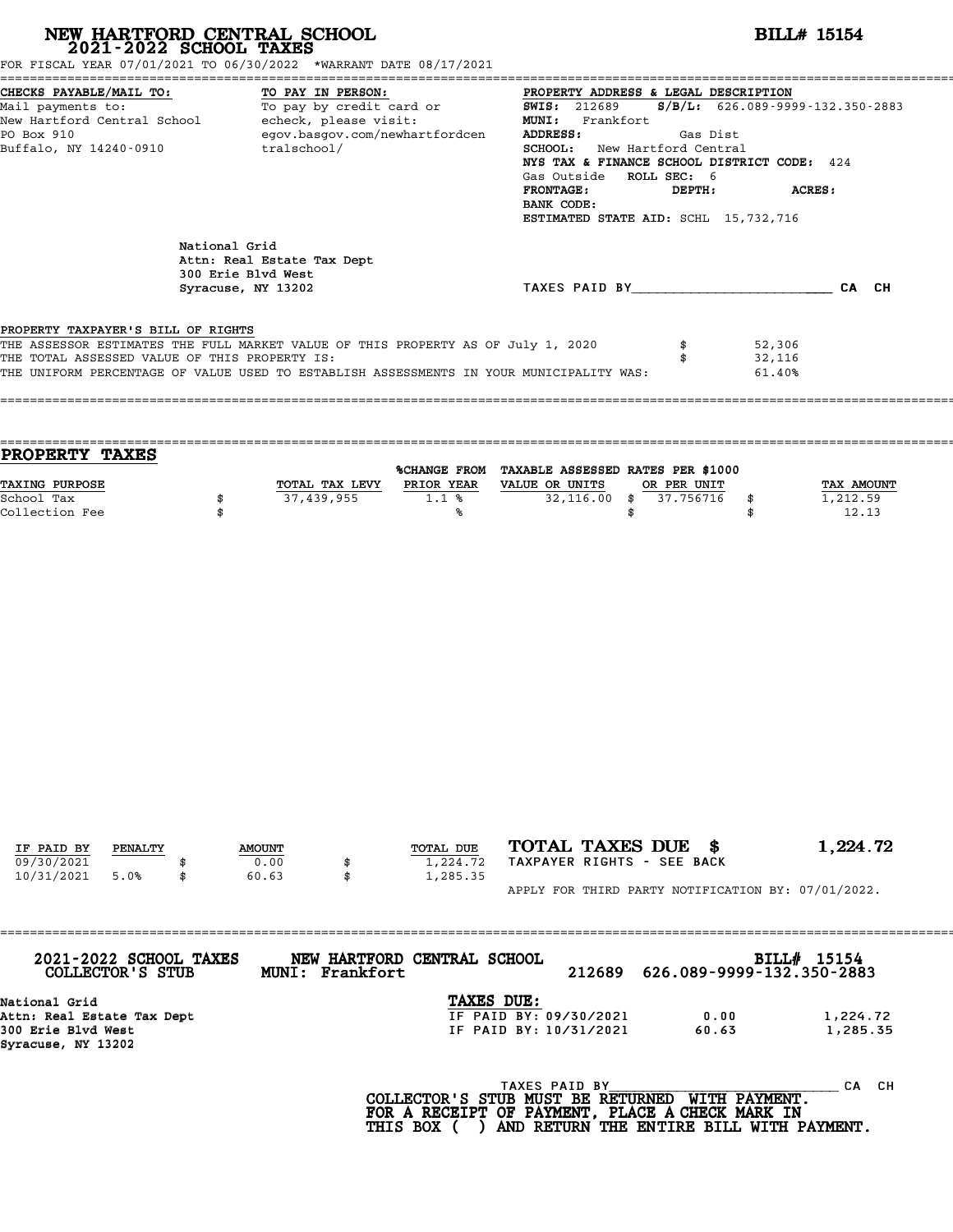| NEW HARTFORD CENTRAL SCHOOL 2021-2022 SCHOOL TAXES<br>FOR FISCAL YEAR 07/01/2021 TO 06/30/2022 *WARRANT DATE 08/17/2021                                                                                                                                                   |                                                           |                                                                    |                                   |                                                                                                                                                                                                                                                                                                                  | <b>BILL# 15154</b>                                 |                                 |  |  |
|---------------------------------------------------------------------------------------------------------------------------------------------------------------------------------------------------------------------------------------------------------------------------|-----------------------------------------------------------|--------------------------------------------------------------------|-----------------------------------|------------------------------------------------------------------------------------------------------------------------------------------------------------------------------------------------------------------------------------------------------------------------------------------------------------------|----------------------------------------------------|---------------------------------|--|--|
| CHECKS PAYABLE/MAIL TO:<br>CHECKS PAYABLE/MAIL TO: TO PAY IN PERSON: TO PAY IN PROPERTY ADDRESS &<br>Mail payments to: To pay by credit card or SWIS: 212689<br>New Hartford Central School echeck, please visit: MUNI: Frankfort<br>PO Box 910<br>Buffalo, NY 14240-0910 |                                                           | TO PAY IN PERSON:<br>egov.basgov.com/newhartfordcen<br>tralschool/ |                                   | PROPERTY ADDRESS & LEGAL DESCRIPTION<br>$S/B/L: 626.089 - 9999 - 132.350 - 2883$<br>ADDRESS:<br>Gas Dist<br>SCHOOL: New Hartford Central<br>NYS TAX & FINANCE SCHOOL DISTRICT CODE: 424<br>Gas Outside ROLL SEC: 6<br><b>FRONTAGE:</b><br>DEPTH:<br>ACRES:<br>BANK CODE:<br>ESTIMATED STATE AID: SCHL 15,732,716 |                                                    |                                 |  |  |
|                                                                                                                                                                                                                                                                           | National Grid<br>300 Erie Blvd West<br>Syracuse, NY 13202 | Attn: Real Estate Tax Dept                                         |                                   |                                                                                                                                                                                                                                                                                                                  | TAXES PAID BY CAN CH                               |                                 |  |  |
| PROPERTY TAXPAYER'S BILL OF RIGHTS<br>THE ASSESSOR ESTIMATES THE FULL MARKET VALUE OF THIS PROPERTY AS OF July 1, 2020<br>THE TOTAL ASSESSED VALUE OF THIS PROPERTY IS:<br>THE UNIFORM PERCENTAGE OF VALUE USED TO ESTABLISH ASSESSMENTS IN YOUR MUNICIPALITY WAS:        |                                                           |                                                                    |                                   |                                                                                                                                                                                                                                                                                                                  | \$                                                 | 52,306<br>32,116<br>61.40%      |  |  |
| PROPERTY TAXES                                                                                                                                                                                                                                                            |                                                           |                                                                    |                                   | %CHANGE FROM TAXABLE ASSESSED RATES PER \$1000                                                                                                                                                                                                                                                                   |                                                    |                                 |  |  |
| TAXING PURPOSE<br>School Tax<br>Collection Fee                                                                                                                                                                                                                            | \$<br>\$                                                  | TOTAL TAX LEVY<br>37,439,955                                       | 1.1%<br>℁                         | PRIOR YEAR VALUE OR UNITS<br>\$                                                                                                                                                                                                                                                                                  | OR PER UNIT<br>32,116.00 \$ 37.756716<br>\$<br>\$  | TAX AMOUNT<br>1,212.59<br>12.13 |  |  |
|                                                                                                                                                                                                                                                                           |                                                           |                                                                    |                                   |                                                                                                                                                                                                                                                                                                                  |                                                    |                                 |  |  |
|                                                                                                                                                                                                                                                                           |                                                           |                                                                    |                                   |                                                                                                                                                                                                                                                                                                                  |                                                    |                                 |  |  |
| IF PAID BY<br>PENALTY<br>09/30/2021<br>10/31/2021<br>5.0%<br>\$                                                                                                                                                                                                           |                                                           | <b>AMOUNT</b><br>0.00<br>\$<br>60.63<br>\$                         | TOTAL DUE<br>1,224.72<br>1,285.35 | TOTAL TAXES DUE \$<br>TAXPAYER RIGHTS - SEE BACK                                                                                                                                                                                                                                                                 |                                                    | 1,224.72                        |  |  |
|                                                                                                                                                                                                                                                                           |                                                           | =====================                                              |                                   |                                                                                                                                                                                                                                                                                                                  | APPLY FOR THIRD PARTY NOTIFICATION BY: 07/01/2022. |                                 |  |  |
| 2021-2022 SCHOOL TAXES<br><b>COLLECTOR'S STUB</b>                                                                                                                                                                                                                         |                                                           | MUNI: Frankfort                                                    | NEW HARTFORD CENTRAL SCHOOL       | 212689                                                                                                                                                                                                                                                                                                           | 626.089-9999-132.350-2883                          | BILL# $15154$                   |  |  |
| National Grid<br>Attn: Real Estate Tax Dept<br>300 Erie Blvd West<br>Syracuse, NY 13202                                                                                                                                                                                   |                                                           |                                                                    | TAXES DUE:                        | IF PAID BY: 09/30/2021<br>IF PAID BY: 10/31/2021                                                                                                                                                                                                                                                                 | 0.00<br>60.63                                      | 1,224.72<br>1,285.35            |  |  |

TAXES PAID BY\_\_\_\_\_\_\_\_\_\_\_\_\_\_\_\_\_\_\_\_\_ \_\_\_\_\_\_\_\_\_\_ CA CH **COLLECTOR'S STUB MUST BE RETURNED WITH PAYMENT.** <sup>TAXES PAID BY</sup><br>COLLECTOR'S STUB MUST BE RETURNED WITH PAYMENT.<br>FOR A RECEIPT OF PAYMENT, PLACE A CHECK MARK IN<br>THIS BOX ( ) AND RETURN THE ENTIRE BILL WITH PAYN COLLECTOR'S STUB MUST BE RETURNED WITH PAYMENT. HTTP CANNON BUST BE RETURNED WITH PAYMENT. THE CANNO<br>FOR A RECEIPT OF PAYMENT, PLACE A CHECK MARK IN<br>THIS BOX ( ) AND RETURN THE ENTIRE BILL WITH PAYMENT.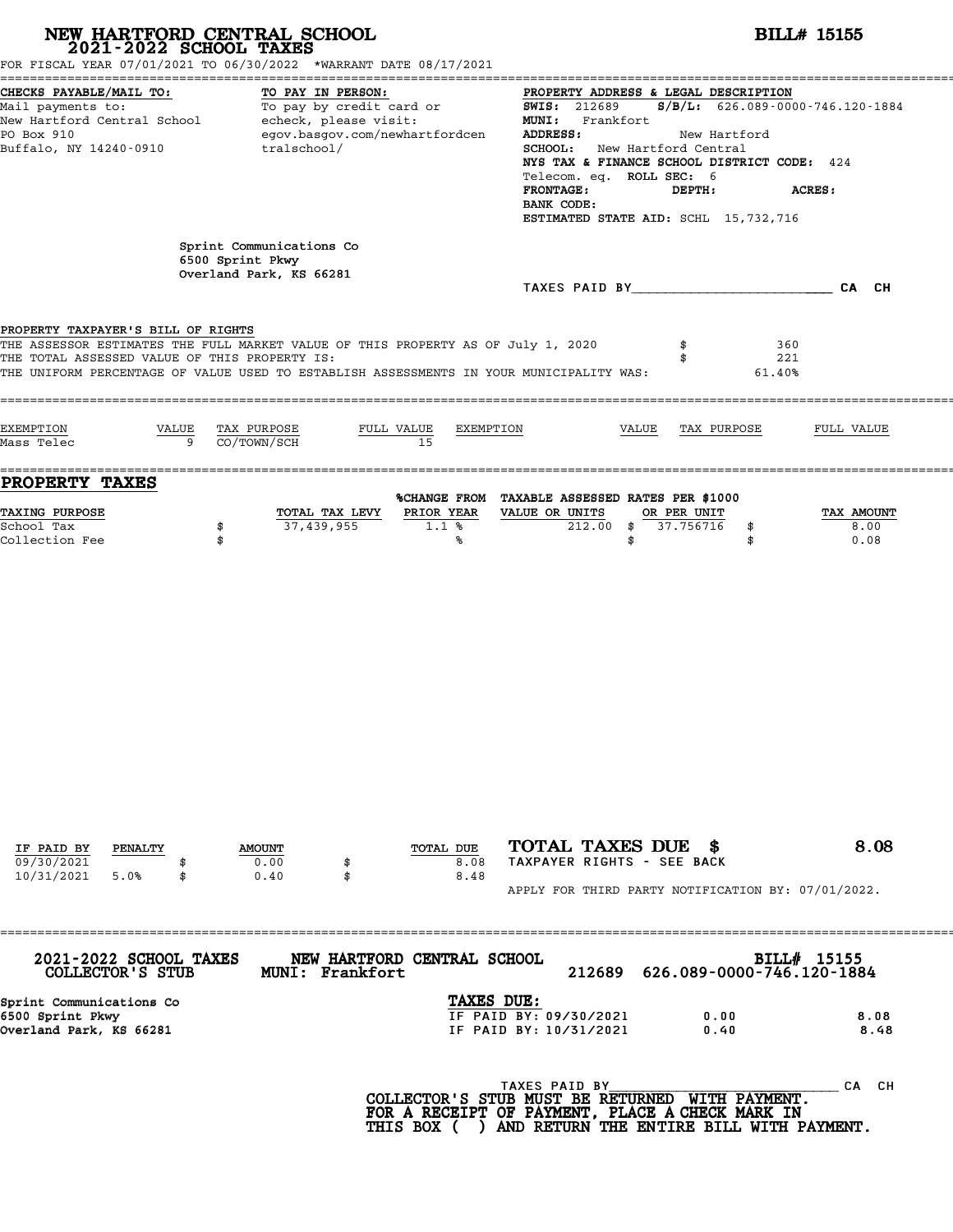**NEW HARTFORD CENTRAL SCHOOL**<br>
2021-2022 SCHOOL TAXES<br>
FOR FISCAL YEAR 07/01/2021 TO 06/30/2022 \*WARRANT DATE 08/17/2021<br> **2021-2022** TO 06/30/2022 \*WARRANT DATE 08/17/2021 ======================================================================================================================================== CHECKS PAYABLE/MAIL TO: TO PAY IN PERSON: PROPERTY ADDRESS & LEGAL DESCRIPTION Mail payments to: To pay by credit card or SWIS: <sup>212689</sup> S/B/L: 626.089-0000-746.120-1884 CHECKS PAYABLE/MAIL TO:<br>
Mail payments to: To pay by credit card or and the SWIS: 212689 S/<br>
New Hartford Central School echeck, please visit: MUNI: Frankfort<br>
Po Box 910 and ecouples are and the state of the state of the Mail payments to: To pay by credit card or<br>New Hartford Central School echeck, please visit: MUNI: Frankfort<br>PO Box 910 egov.basgov.com/newhartfordcen ADDRESS: New Hartford<br>Puffalo NY 14240-0910 tralschool/ SCHOOL: New Har New Hartford Central School echeck, please visit: MUNI: Frankfort<br>PO Box 910 egov.basgov.com/newhartfordcen ADDRESS: New Hartford<br>Buffalo, NY 14240-0910 tralschool/ SCHOOL: New Hartford Central<br>NYS TAX & FINANCE SCHOOL.DIS ADDRESS:<br>SCHOOL: New Hartford Central<br>NYS TAX & FINANCE SCHOOL DISTRICT CODE: 424<br>Telecom eq. POLL SEC: 6 SCHOOL: New Hartford Centra<br>NYS TAX & FINANCE SCHOOL DIST<br>Telecom. eq. ROLL SEC: 6<br>FRONTAGE. DEPTH. FRONTAGE: DEPTH: ACRES: Telecom. eq. ROLL SEC: 6<br>FRONTAGE: DEPTH:<br>BANK CODE: ESTIMATED STATE AID: SCHL 15,732,716 Sprint Communications Co<br>6500 Sprint Pkwy Sprint Communicatio<br>6500 Sprint Pkwy<br>Overland Park KS 6 6500 Sprint Pkwy<br>Overland Park, KS 66281 TAXES PAID BY\_\_\_\_\_\_\_\_\_\_\_\_\_\_\_\_\_\_\_\_\_\_\_\_ CA CH **PROPERTY TAXPAYER'S BILL OF RIGHTS**<br>THE ASSESSOP FSTIMATES THE FILL MAPER **PROPERTY TAXPAYER'S BILL OF RIGHTS**<br>THE ASSESSOR ESTIMATES THE FULL MARKET VALUE OF THIS PROPERTY AS OF July 1, 2020 \$ 360<br>THE TOTAL ASSESSED VALUE OF THIS PROPERTY IS. **PROPERTY TAXPAYER'S BILL OF RIGHTS<br>THE ASSESSOR ESTIMATES THE FULL MARKET VALUE OF THIS PROPERTY AS OF July 1, 2020 \$\$\$\$\$\$\$\$\$\$\$\$\$\$\$\$\$\$\$\$\$\$\$\$\$\$\$\$\$<br>THE TOTAL ASSESSED VALUE OF THIS PROPERTY IS:<br>THE INIEOPM PERCENTAGE OF VAL** THE ASSESSOR ESTIMATES THE FULL MARKET VALUE OF THIS PROPERTY AS OF July 1, 2020 \$\$\$\$\$\$\$\$\$\$\$\$\$\$\$\$\$\$\$\$\$\$\$\$\$\$\$\$<br>THE TOTAL ASSESSED VALUE OF THIS PROPERTY IS:<br>THE UNIFORM PERCENTAGE OF VALUE USED TO ESTABLISH ASSESSMENTS IN Y ==================================================================================================================================== EXEMPTION VALUE TAX PURPOSE FULL VALUE EXEMPTION VALUE TAX PURPOSE FULL VALUE EXEMPTION VALUE TAX PURPOSE FULL VALUE EXEMPTION Mass Telec 3 CO/TOWN/SCH 15 ==================================================================================================================================== **PROPERTY TAXES** %CHANGE FROM TAXABLE ASSESSED RATES PER \$1000 TAXING PURPOSE TOTAL TAX LEVY PRIOR YEAR VALUE OR UNITS OR PER UNIT TAX AMOUNT **EXING PURPOSE**<br>
School Tax **37,439,955 37,439,955 EXIOR YEAR School Tax amount**<br>
School Tax **\$** 37,439,955 1.1 % 212.00 \$ 37.756716 \$ 8.00<br>
Collection Fee \* 8.00 Collection Fee \$ % \$ \$ 0.08 IF PAID BY PENALTY<br>
09/30/2021 5.0% \$ 0.00 \$ 9.08 TAXPAYER RIGHTS - SEE BACK<br>
10/31/2021 5.0% \$ 0.40 \$ 8.48 **DUE TOTAL TAXES DUE \$** 8.0<br> **B.08** TAXPAYER RIGHTS - SEE BACK<br> **B.48**<br>
APPLY FOR THIRD PARTY NOTIFICATION BY: 07/01/2022. ==================================================================================================================================== **2021-2022 SCHOOL TAXES NEW HARTFORD CENTRAL SCHOOL BILL# <sup>15155</sup> COLLECTOR'S STUB MUNI: Frankfort <sup>212689</sup> 626.089-0000-746.120-1884** 2021-2022 SCHOOL TAXES NEW HARTFORD CENTRAL SCHOOL<br>COLLECTOR'S STUB MUNI: Frankfort<br>Sprint Communications Co<br>6500 Sprint Pkwy TF PAID BY: 09/ COLLECTOR'S STUB MUNI: Frankfort 212689 626.089-0000-746.120-1884<br>
Sprint Communications Co<br>
6500 Sprint Pkwy IF PAID BY: 09/30/2021 0.00 8.08<br>
Overland Park KS 66281 8.68 Sprint Communications Co<br>
Overland Park, KS 66281 Contract Communications Communications Communications Communications Communications C<br>
IF PAID BY: 10/31/2021 0.40 8.48<br>
Overland Park, KS 66281 TAXES PAID BY\_\_\_\_\_\_\_\_\_\_\_\_\_\_\_\_\_\_\_\_\_ \_\_\_\_\_\_\_\_\_\_ CA CH **COLLECTOR'S STUB MUST BE RETURNED WITH PAYMENT.** <sup>TAXES PAID BY</sup><br>COLLECTOR'S STUB MUST BE RETURNED WITH PAYMENT.<br>FOR A RECEIPT OF PAYMENT, PLACE A CHECK MARK IN<br>THIS BOX ( ) AND RETURN THE ENTIRE BILL WITH PAYN COLLECTOR'S STUB MUST BE RETURNED WITH PAYMENT. HTTP CANNON BUST BE RETURNED WITH PAYMENT. THE CANNO<br>FOR A RECEIPT OF PAYMENT, PLACE A CHECK MARK IN<br>THIS BOX ( ) AND RETURN THE ENTIRE BILL WITH PAYMENT.